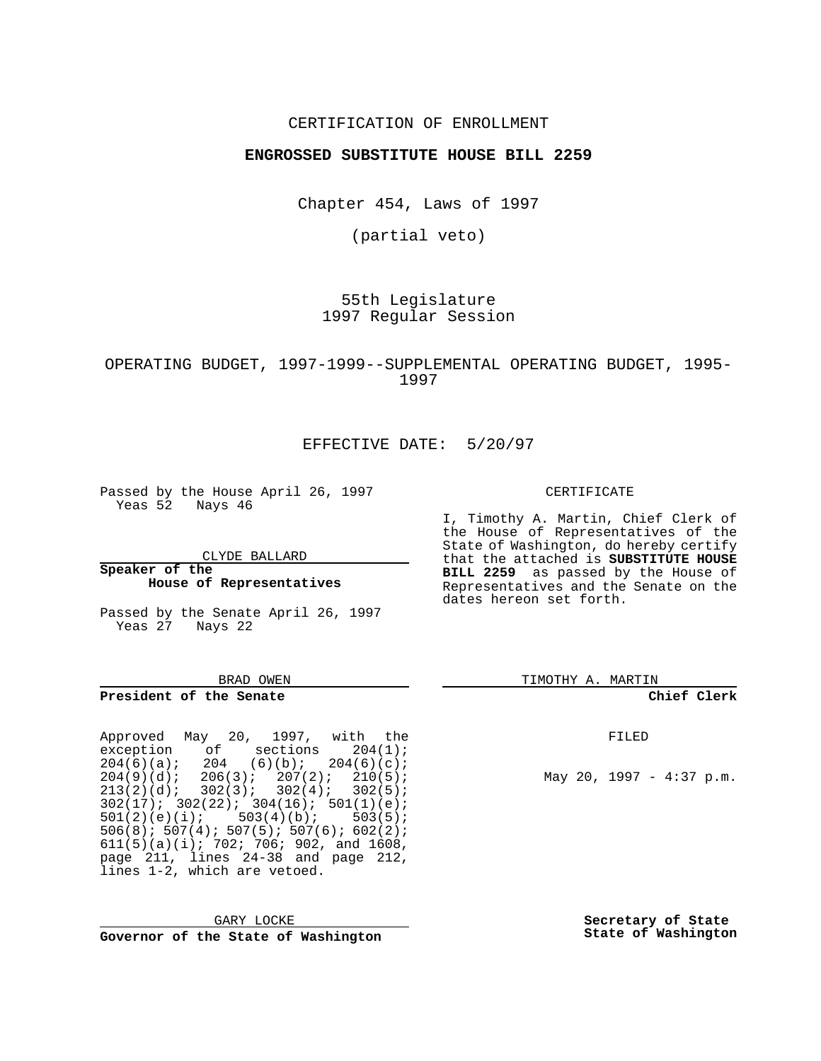## CERTIFICATION OF ENROLLMENT

## **ENGROSSED SUBSTITUTE HOUSE BILL 2259**

Chapter 454, Laws of 1997

(partial veto)

55th Legislature 1997 Regular Session

OPERATING BUDGET, 1997-1999--SUPPLEMENTAL OPERATING BUDGET, 1995- 1997

## EFFECTIVE DATE: 5/20/97

Passed by the House April 26, 1997 Yeas 52 Nays 46

CLYDE BALLARD

**Speaker of the House of Representatives**

Passed by the Senate April 26, 1997 Yeas 27 Nays 22

### BRAD OWEN

### **President of the Senate**

Approved May 20, 1997, with the exception of sections 204(1);  $204(6)(a);$  204  $(6)(b);$  204 $(6)(c);$  $204(9)(d); 206(3); 207(2); 210(5);$  $213(2)(d); 302(3); 302(4); 302(5);$  $302(17)$ ;  $302(22)$ ;  $304(16)$ ;  $501(1)(e)$ ;<br> $501(2)(e)(i)$ ;  $503(4)(b)$ ;  $503(5)$ ;  $501(2)(e)(i);$ 506(8); 507(4); 507(5); 507(6); 602(2);  $611(5)(a)(i)$ ; 702; 706; 902, and 1608, page 211, lines 24-38 and page 212, lines 1-2, which are vetoed.

GARY LOCKE **Governor of the State of Washington** CERTIFICATE

I, Timothy A. Martin, Chief Clerk of the House of Representatives of the State of Washington, do hereby certify that the attached is **SUBSTITUTE HOUSE BILL 2259** as passed by the House of Representatives and the Senate on the dates hereon set forth.

TIMOTHY A. MARTIN

### **Chief Clerk**

FILED

May 20, 1997 - 4:37 p.m.

**Secretary of State State of Washington**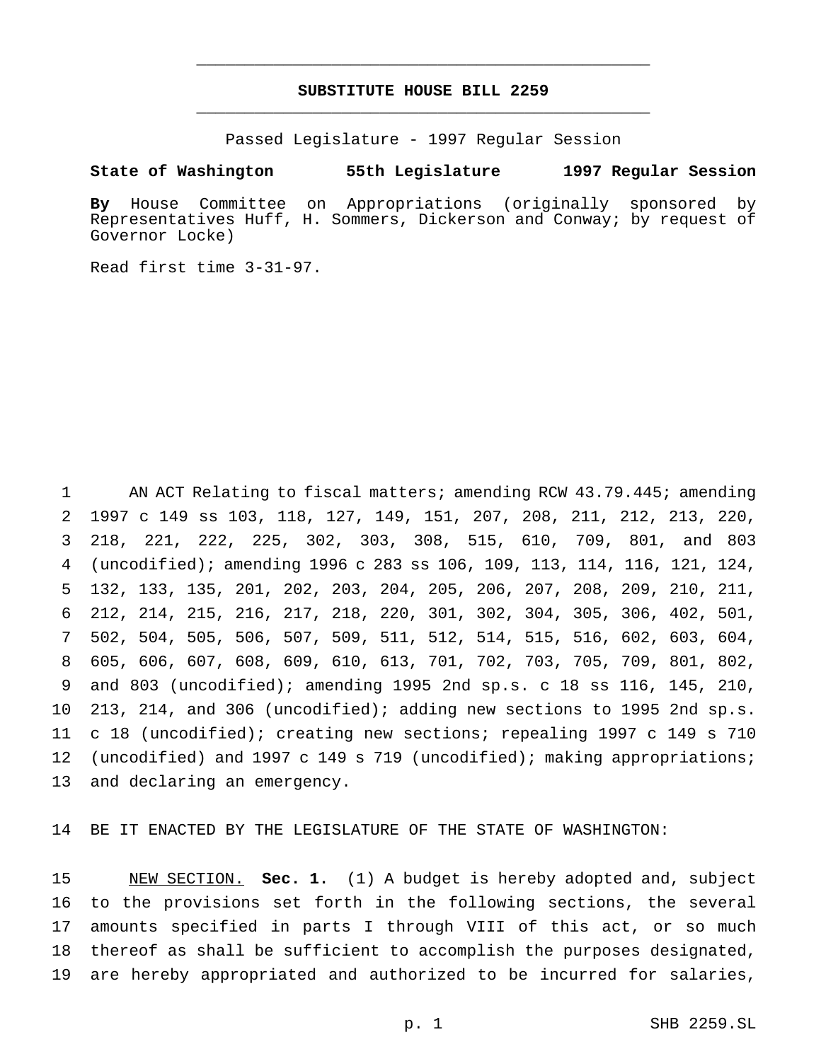## **SUBSTITUTE HOUSE BILL 2259** \_\_\_\_\_\_\_\_\_\_\_\_\_\_\_\_\_\_\_\_\_\_\_\_\_\_\_\_\_\_\_\_\_\_\_\_\_\_\_\_\_\_\_\_\_\_\_

\_\_\_\_\_\_\_\_\_\_\_\_\_\_\_\_\_\_\_\_\_\_\_\_\_\_\_\_\_\_\_\_\_\_\_\_\_\_\_\_\_\_\_\_\_\_\_

Passed Legislature - 1997 Regular Session

### **State of Washington 55th Legislature 1997 Regular Session**

**By** House Committee on Appropriations (originally sponsored by Representatives Huff, H. Sommers, Dickerson and Conway; by request of Governor Locke)

Read first time 3-31-97.

 AN ACT Relating to fiscal matters; amending RCW 43.79.445; amending 1997 c 149 ss 103, 118, 127, 149, 151, 207, 208, 211, 212, 213, 220, 218, 221, 222, 225, 302, 303, 308, 515, 610, 709, 801, and 803 (uncodified); amending 1996 c 283 ss 106, 109, 113, 114, 116, 121, 124, 132, 133, 135, 201, 202, 203, 204, 205, 206, 207, 208, 209, 210, 211, 212, 214, 215, 216, 217, 218, 220, 301, 302, 304, 305, 306, 402, 501, 502, 504, 505, 506, 507, 509, 511, 512, 514, 515, 516, 602, 603, 604, 605, 606, 607, 608, 609, 610, 613, 701, 702, 703, 705, 709, 801, 802, and 803 (uncodified); amending 1995 2nd sp.s. c 18 ss 116, 145, 210, 213, 214, and 306 (uncodified); adding new sections to 1995 2nd sp.s. c 18 (uncodified); creating new sections; repealing 1997 c 149 s 710 (uncodified) and 1997 c 149 s 719 (uncodified); making appropriations; and declaring an emergency.

BE IT ENACTED BY THE LEGISLATURE OF THE STATE OF WASHINGTON:

 NEW SECTION. **Sec. 1.** (1) A budget is hereby adopted and, subject to the provisions set forth in the following sections, the several amounts specified in parts I through VIII of this act, or so much thereof as shall be sufficient to accomplish the purposes designated, are hereby appropriated and authorized to be incurred for salaries,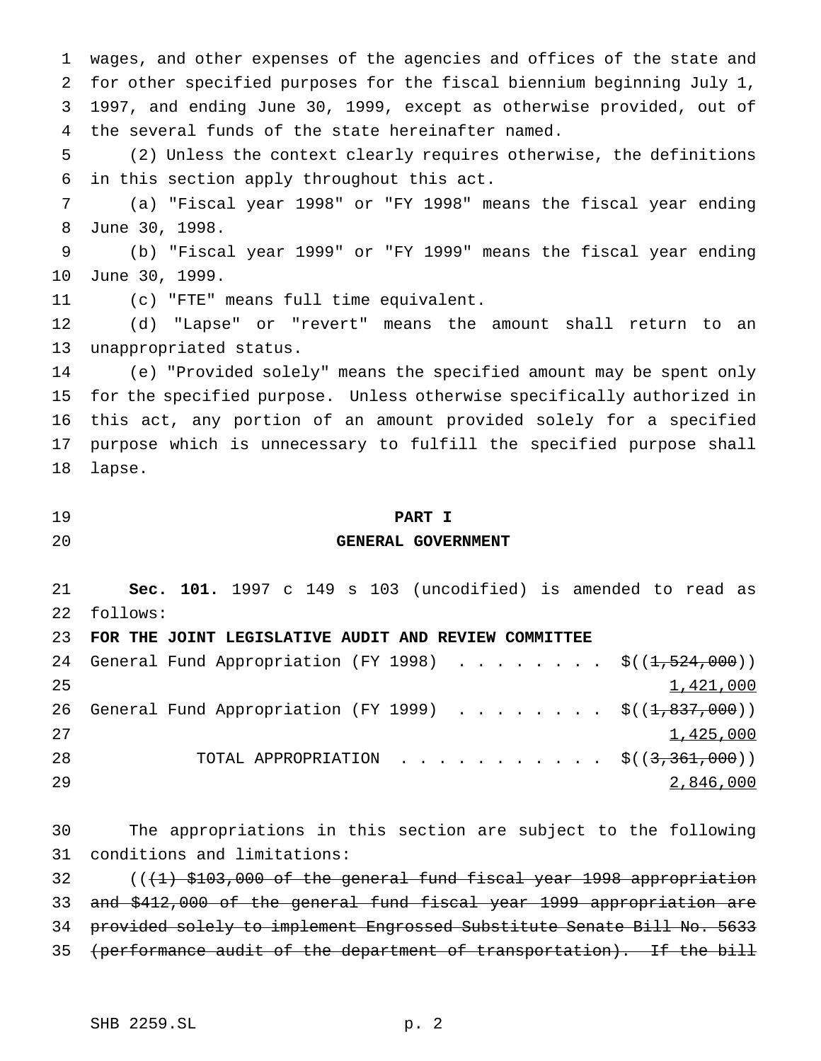wages, and other expenses of the agencies and offices of the state and for other specified purposes for the fiscal biennium beginning July 1, 1997, and ending June 30, 1999, except as otherwise provided, out of the several funds of the state hereinafter named.

 (2) Unless the context clearly requires otherwise, the definitions in this section apply throughout this act.

 (a) "Fiscal year 1998" or "FY 1998" means the fiscal year ending June 30, 1998.

 (b) "Fiscal year 1999" or "FY 1999" means the fiscal year ending June 30, 1999.

(c) "FTE" means full time equivalent.

 (d) "Lapse" or "revert" means the amount shall return to an unappropriated status.

 (e) "Provided solely" means the specified amount may be spent only for the specified purpose. Unless otherwise specifically authorized in this act, any portion of an amount provided solely for a specified purpose which is unnecessary to fulfill the specified purpose shall lapse.

## **PART I**

## **GENERAL GOVERNMENT**

 **Sec. 101.** 1997 c 149 s 103 (uncodified) is amended to read as follows:

**FOR THE JOINT LEGISLATIVE AUDIT AND REVIEW COMMITTEE**

|    |  |  |  |  |  |  |  |  | 24 General Fund Appropriation (FY 1998) $\frac{1}{5}(1,524,000)$                           |
|----|--|--|--|--|--|--|--|--|--------------------------------------------------------------------------------------------|
| 25 |  |  |  |  |  |  |  |  | 1,421,000                                                                                  |
|    |  |  |  |  |  |  |  |  | 26 General Fund Appropriation (FY 1999) $\frac{1}{5}$ ( $(\frac{1}{1}, \frac{837}{100})$ ) |
| 27 |  |  |  |  |  |  |  |  | 1,425,000                                                                                  |
| 28 |  |  |  |  |  |  |  |  | TOTAL APPROPRIATION $\frac{1}{5}$ ((3,361,000))                                            |
| 29 |  |  |  |  |  |  |  |  | 2,846,000                                                                                  |

 The appropriations in this section are subject to the following conditions and limitations:

 $($   $($   $($   $+1)$   $$$ 103,000 of the general fund fiscal year 1998 appropriation and \$412,000 of the general fund fiscal year 1999 appropriation are provided solely to implement Engrossed Substitute Senate Bill No. 5633 35 (performance audit of the department of transportation). If the bill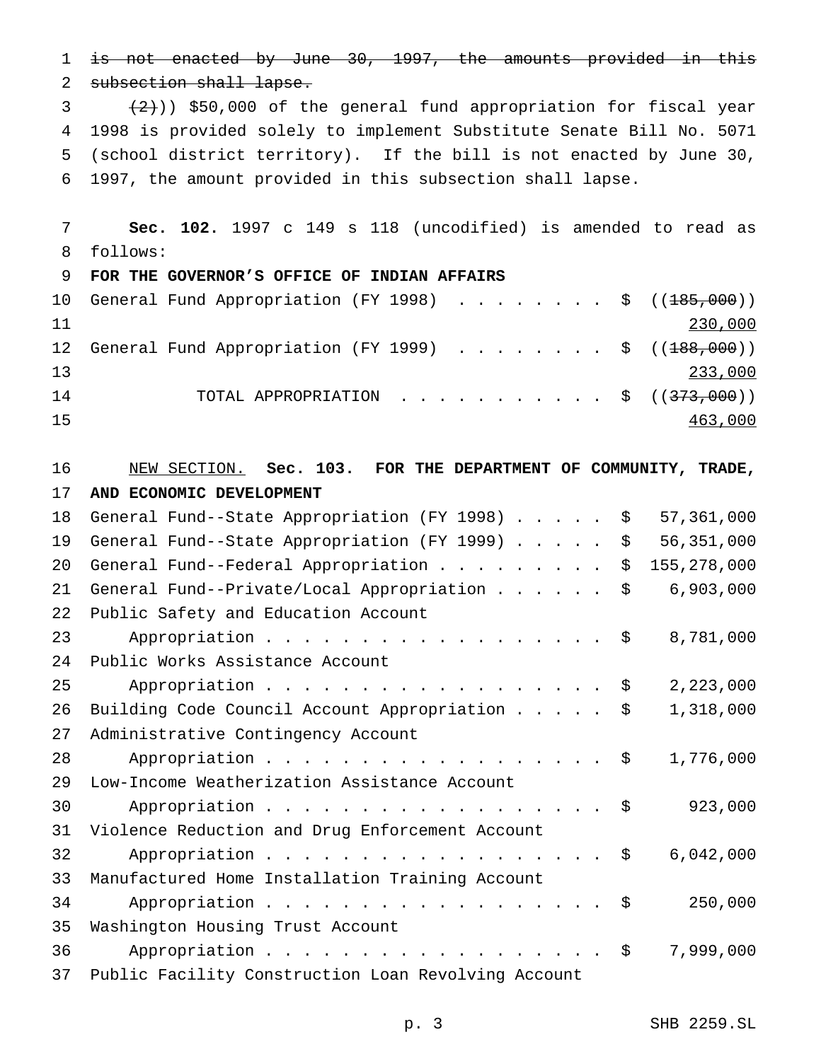1 is not enacted by June 30, 1997, the amounts provided in this 2 subsection shall lapse.  $(2)$ ) \$50,000 of the general fund appropriation for fiscal year 4 1998 is provided solely to implement Substitute Senate Bill No. 5071 5 (school district territory). If the bill is not enacted by June 30, 6 1997, the amount provided in this subsection shall lapse. 7 **Sec. 102.** 1997 c 149 s 118 (uncodified) is amended to read as 8 follows: 9 **FOR THE GOVERNOR'S OFFICE OF INDIAN AFFAIRS** 10 General Fund Appropriation (FY 1998) . . . . . . . \$ ((185,000)) 11 230,000 12 General Fund Appropriation (FY 1999)  $\ldots$ ...... \$ ( $(\pm 88,000)$ ) 13 233,000 14 TOTAL APPROPRIATION . . . . . . . . . . \$ ((373,000)) 15 463,000

16 NEW SECTION. **Sec. 103. FOR THE DEPARTMENT OF COMMUNITY, TRADE,**

17 **AND ECONOMIC DEVELOPMENT** 18 General Fund--State Appropriation (FY 1998)..... \$ 57,361,000 19 General Fund--State Appropriation (FY 1999)..... \$ 56,351,000 20 General Fund--Federal Appropriation . . . . . . . . \$ 155,278,000 21 General Fund--Private/Local Appropriation . . . . . \$ 6,903,000 22 Public Safety and Education Account 23 Appropriation . . . . . . . . . . . . . . . . \$ 8,781,000 24 Public Works Assistance Account 25 Appropriation . . . . . . . . . . . . . . . . . \$ 2,223,000 26 Building Code Council Account Appropriation..... \$ 1,318,000 27 Administrative Contingency Account 28 Appropriation . . . . . . . . . . . . . . . . \$ 1,776,000 29 Low-Income Weatherization Assistance Account 30 Appropriation . . . . . . . . . . . . . . . . \$ 923,000 31 Violence Reduction and Drug Enforcement Account 32 Appropriation . . . . . . . . . . . . . . . . \$ 6,042,000 33 Manufactured Home Installation Training Account 34 Appropriation . . . . . . . . . . . . . . . . \$ 250,000 35 Washington Housing Trust Account 36 Appropriation . . . . . . . . . . . . . . . . \$ 7,999,000 37 Public Facility Construction Loan Revolving Account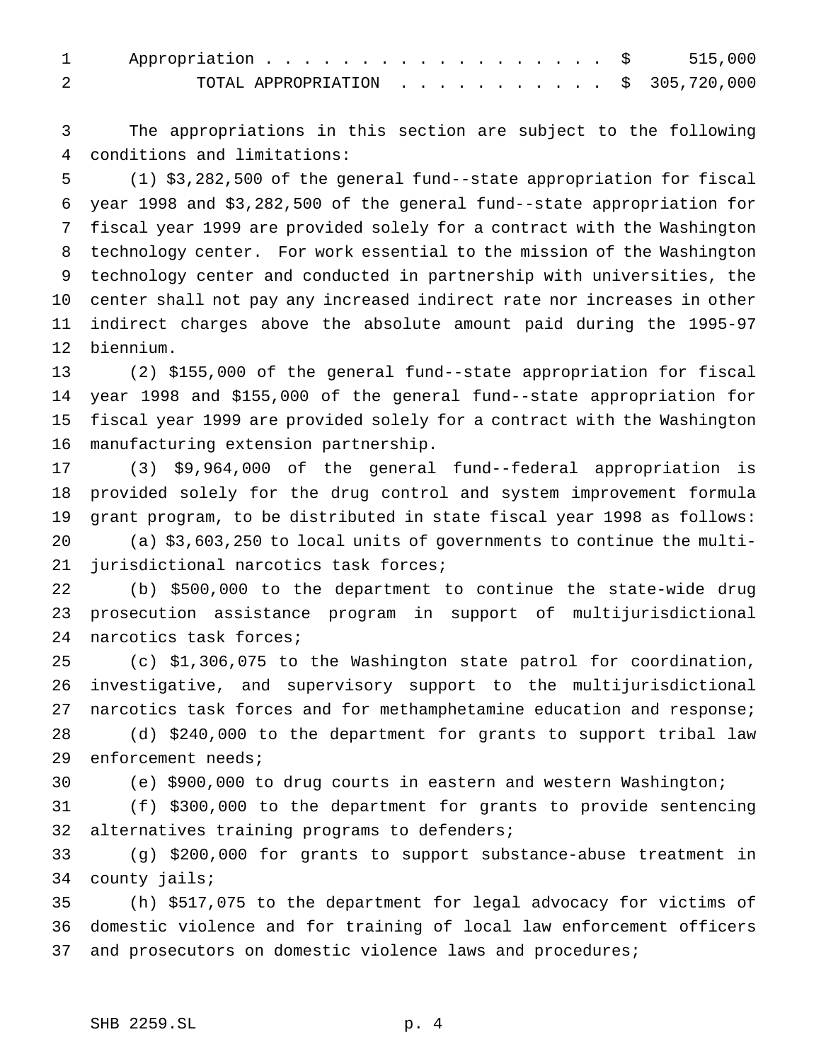| 1 Appropriation \$ 515,000                    |  |  |  |  |  |  |  |
|-----------------------------------------------|--|--|--|--|--|--|--|
| TOTAL APPROPRIATION $\ldots$ , \$ 305,720,000 |  |  |  |  |  |  |  |

 The appropriations in this section are subject to the following conditions and limitations:

 (1) \$3,282,500 of the general fund--state appropriation for fiscal year 1998 and \$3,282,500 of the general fund--state appropriation for fiscal year 1999 are provided solely for a contract with the Washington technology center. For work essential to the mission of the Washington technology center and conducted in partnership with universities, the center shall not pay any increased indirect rate nor increases in other indirect charges above the absolute amount paid during the 1995-97 biennium.

 (2) \$155,000 of the general fund--state appropriation for fiscal year 1998 and \$155,000 of the general fund--state appropriation for fiscal year 1999 are provided solely for a contract with the Washington manufacturing extension partnership.

 (3) \$9,964,000 of the general fund--federal appropriation is provided solely for the drug control and system improvement formula grant program, to be distributed in state fiscal year 1998 as follows:

 (a) \$3,603,250 to local units of governments to continue the multi-jurisdictional narcotics task forces;

 (b) \$500,000 to the department to continue the state-wide drug prosecution assistance program in support of multijurisdictional narcotics task forces;

 (c) \$1,306,075 to the Washington state patrol for coordination, investigative, and supervisory support to the multijurisdictional narcotics task forces and for methamphetamine education and response;

 (d) \$240,000 to the department for grants to support tribal law enforcement needs;

(e) \$900,000 to drug courts in eastern and western Washington;

 (f) \$300,000 to the department for grants to provide sentencing alternatives training programs to defenders;

 (g) \$200,000 for grants to support substance-abuse treatment in county jails;

 (h) \$517,075 to the department for legal advocacy for victims of domestic violence and for training of local law enforcement officers and prosecutors on domestic violence laws and procedures;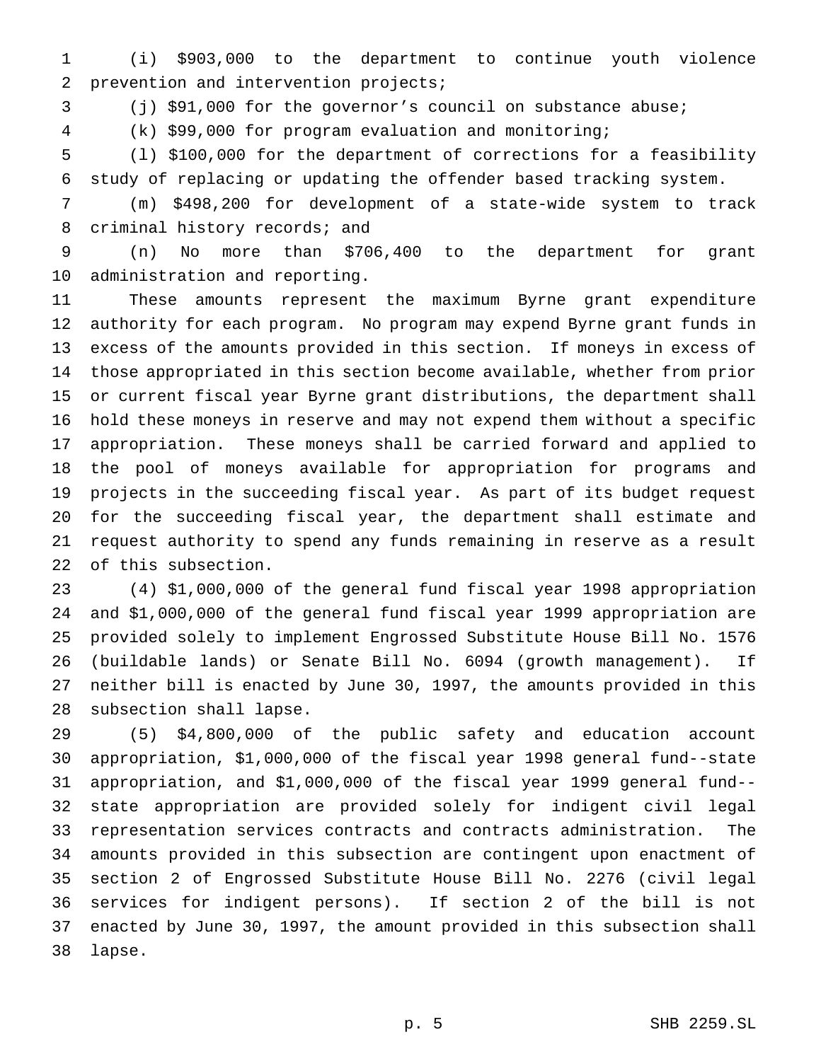(i) \$903,000 to the department to continue youth violence prevention and intervention projects;

(j) \$91,000 for the governor's council on substance abuse;

(k) \$99,000 for program evaluation and monitoring;

 (l) \$100,000 for the department of corrections for a feasibility study of replacing or updating the offender based tracking system.

 (m) \$498,200 for development of a state-wide system to track 8 criminal history records; and

 (n) No more than \$706,400 to the department for grant administration and reporting.

 These amounts represent the maximum Byrne grant expenditure authority for each program. No program may expend Byrne grant funds in excess of the amounts provided in this section. If moneys in excess of those appropriated in this section become available, whether from prior or current fiscal year Byrne grant distributions, the department shall hold these moneys in reserve and may not expend them without a specific appropriation. These moneys shall be carried forward and applied to the pool of moneys available for appropriation for programs and projects in the succeeding fiscal year. As part of its budget request for the succeeding fiscal year, the department shall estimate and request authority to spend any funds remaining in reserve as a result of this subsection.

 (4) \$1,000,000 of the general fund fiscal year 1998 appropriation and \$1,000,000 of the general fund fiscal year 1999 appropriation are provided solely to implement Engrossed Substitute House Bill No. 1576 (buildable lands) or Senate Bill No. 6094 (growth management). If neither bill is enacted by June 30, 1997, the amounts provided in this subsection shall lapse.

 (5) \$4,800,000 of the public safety and education account appropriation, \$1,000,000 of the fiscal year 1998 general fund--state appropriation, and \$1,000,000 of the fiscal year 1999 general fund-- state appropriation are provided solely for indigent civil legal representation services contracts and contracts administration. The amounts provided in this subsection are contingent upon enactment of section 2 of Engrossed Substitute House Bill No. 2276 (civil legal services for indigent persons). If section 2 of the bill is not enacted by June 30, 1997, the amount provided in this subsection shall lapse.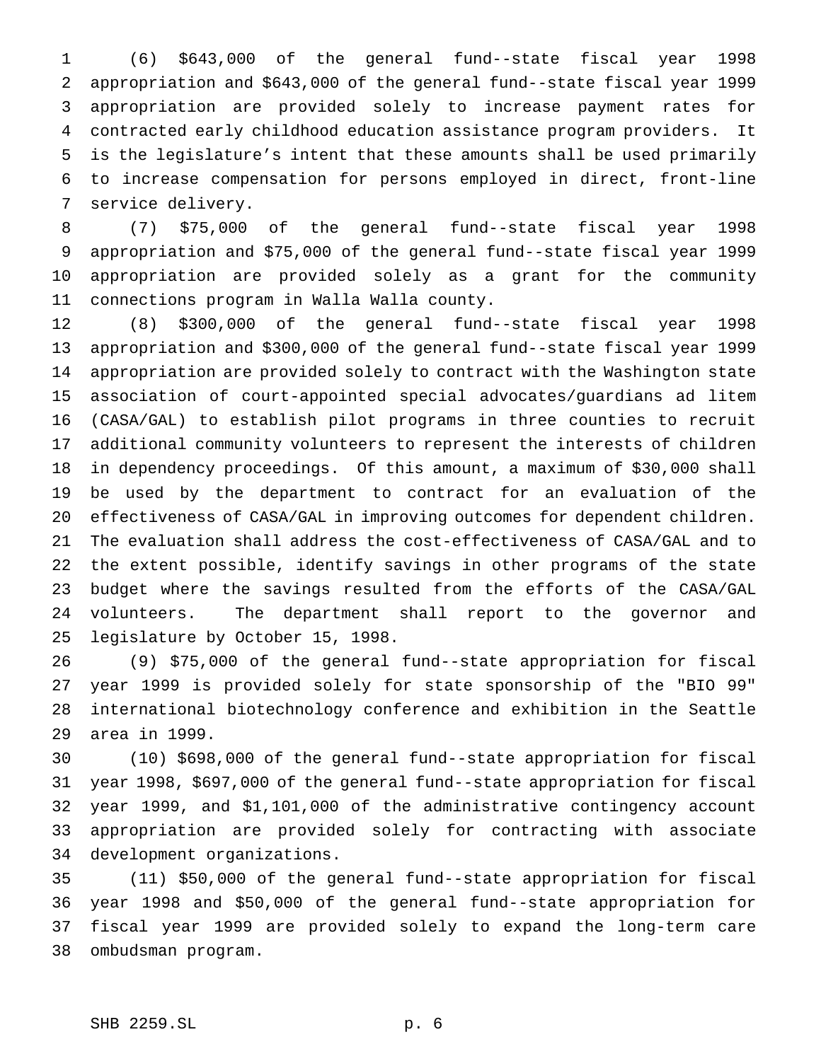(6) \$643,000 of the general fund--state fiscal year 1998 appropriation and \$643,000 of the general fund--state fiscal year 1999 appropriation are provided solely to increase payment rates for contracted early childhood education assistance program providers. It is the legislature's intent that these amounts shall be used primarily to increase compensation for persons employed in direct, front-line service delivery.

 (7) \$75,000 of the general fund--state fiscal year 1998 appropriation and \$75,000 of the general fund--state fiscal year 1999 appropriation are provided solely as a grant for the community connections program in Walla Walla county.

 (8) \$300,000 of the general fund--state fiscal year 1998 appropriation and \$300,000 of the general fund--state fiscal year 1999 appropriation are provided solely to contract with the Washington state association of court-appointed special advocates/guardians ad litem (CASA/GAL) to establish pilot programs in three counties to recruit additional community volunteers to represent the interests of children in dependency proceedings. Of this amount, a maximum of \$30,000 shall be used by the department to contract for an evaluation of the effectiveness of CASA/GAL in improving outcomes for dependent children. The evaluation shall address the cost-effectiveness of CASA/GAL and to the extent possible, identify savings in other programs of the state budget where the savings resulted from the efforts of the CASA/GAL volunteers. The department shall report to the governor and legislature by October 15, 1998.

 (9) \$75,000 of the general fund--state appropriation for fiscal year 1999 is provided solely for state sponsorship of the "BIO 99" international biotechnology conference and exhibition in the Seattle area in 1999.

 (10) \$698,000 of the general fund--state appropriation for fiscal year 1998, \$697,000 of the general fund--state appropriation for fiscal year 1999, and \$1,101,000 of the administrative contingency account appropriation are provided solely for contracting with associate development organizations.

 (11) \$50,000 of the general fund--state appropriation for fiscal year 1998 and \$50,000 of the general fund--state appropriation for fiscal year 1999 are provided solely to expand the long-term care ombudsman program.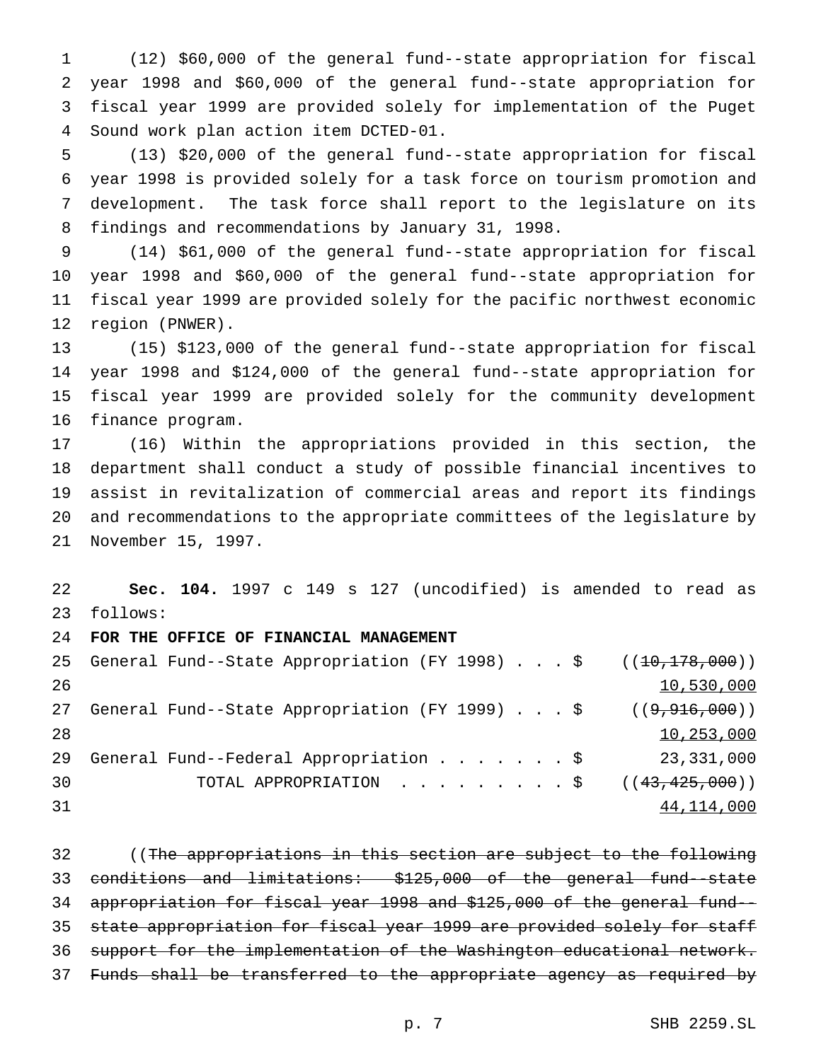(12) \$60,000 of the general fund--state appropriation for fiscal year 1998 and \$60,000 of the general fund--state appropriation for fiscal year 1999 are provided solely for implementation of the Puget Sound work plan action item DCTED-01.

 (13) \$20,000 of the general fund--state appropriation for fiscal year 1998 is provided solely for a task force on tourism promotion and development. The task force shall report to the legislature on its findings and recommendations by January 31, 1998.

 (14) \$61,000 of the general fund--state appropriation for fiscal year 1998 and \$60,000 of the general fund--state appropriation for fiscal year 1999 are provided solely for the pacific northwest economic region (PNWER).

 (15) \$123,000 of the general fund--state appropriation for fiscal year 1998 and \$124,000 of the general fund--state appropriation for fiscal year 1999 are provided solely for the community development finance program.

 (16) Within the appropriations provided in this section, the department shall conduct a study of possible financial incentives to assist in revitalization of commercial areas and report its findings and recommendations to the appropriate committees of the legislature by November 15, 1997.

 **Sec. 104.** 1997 c 149 s 127 (uncodified) is amended to read as follows:

**FOR THE OFFICE OF FINANCIAL MANAGEMENT**

|    | 25 General Fund--State Appropriation (FY 1998) \$ $((10,178,000))$ |            |
|----|--------------------------------------------------------------------|------------|
| 26 |                                                                    | 10,530,000 |
| 27 | General Fund--State Appropriation (FY 1999) \$ $((9,916,000))$     |            |
| 28 |                                                                    | 10,253,000 |
| 29 | General Fund--Federal Appropriation \$                             | 23,331,000 |
| 30 | TOTAL APPROPRIATION $\ldots$ , \$ ( $(43, 425, 000)$ )             |            |
| 31 |                                                                    | 44,114,000 |

32 ((The appropriations in this section are subject to the following conditions and limitations: \$125,000 of the general fund--state appropriation for fiscal year 1998 and \$125,000 of the general fund-- state appropriation for fiscal year 1999 are provided solely for staff 36 support for the implementation of the Washington educational network. Funds shall be transferred to the appropriate agency as required by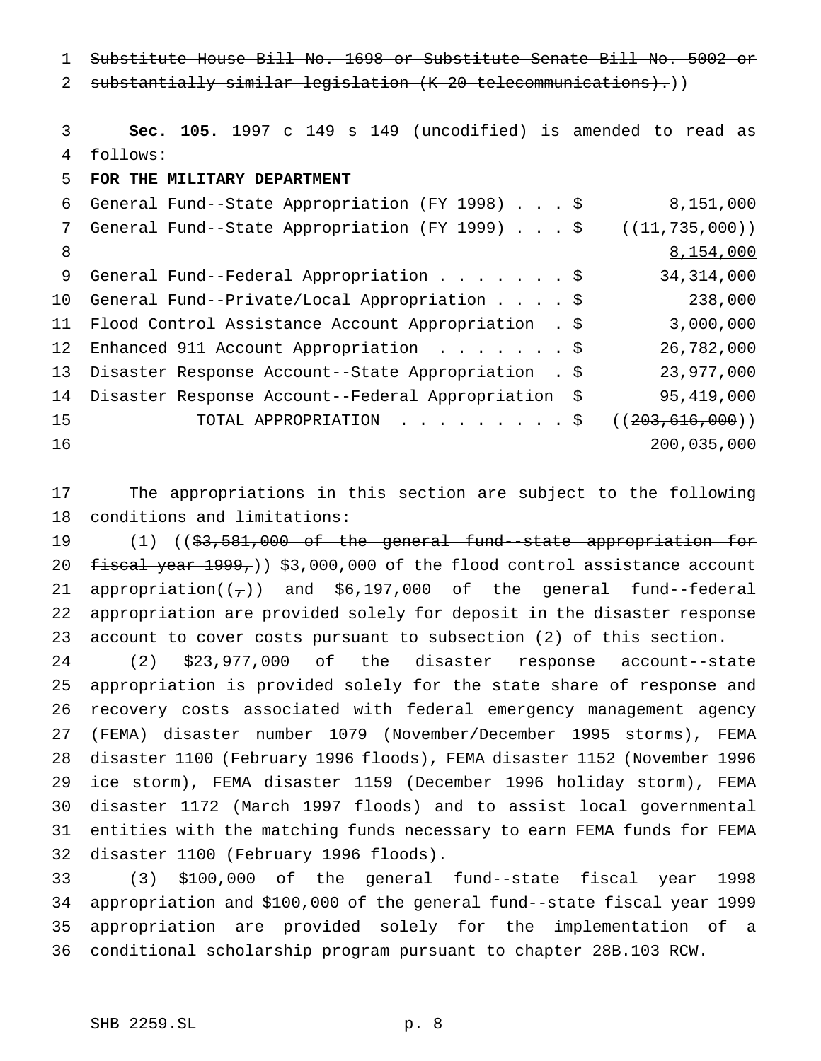Substitute House Bill No. 1698 or Substitute Senate Bill No. 5002 or

2 substantially similar legislation (K-20 telecommunications).))

 **Sec. 105.** 1997 c 149 s 149 (uncodified) is amended to read as follows:

**FOR THE MILITARY DEPARTMENT**

|    | 6 General Fund--State Appropriation (FY 1998) \$       | 8,151,000          |
|----|--------------------------------------------------------|--------------------|
| 7  | General Fund--State Appropriation (FY 1999) \$         | ((11, 735, 000))   |
| 8  |                                                        | 8,154,000          |
| 9  | General Fund--Federal Appropriation \$                 | 34, 314, 000       |
|    | 10 General Fund--Private/Local Appropriation \$        | 238,000            |
|    | 11 Flood Control Assistance Account Appropriation . \$ | 3,000,000          |
|    | 12 Enhanced 911 Account Appropriation \$               | 26,782,000         |
|    | 13 Disaster Response Account--State Appropriation . \$ | 23,977,000         |
|    | 14 Disaster Response Account--Federal Appropriation \$ | 95,419,000         |
| 15 | TOTAL APPROPRIATION \$                                 | ( (203, 616, 000)) |
| 16 |                                                        | 200,035,000        |
|    |                                                        |                    |

 The appropriations in this section are subject to the following conditions and limitations:

 (1) ((\$3,581,000 of the general fund--state appropriation for  $f$ iscal year  $1999$ ,  $3,000,000$  of the flood control assistance account 21 appropriation( $(\tau)$ ) and \$6,197,000 of the general fund--federal appropriation are provided solely for deposit in the disaster response account to cover costs pursuant to subsection (2) of this section.

 (2) \$23,977,000 of the disaster response account--state appropriation is provided solely for the state share of response and recovery costs associated with federal emergency management agency (FEMA) disaster number 1079 (November/December 1995 storms), FEMA disaster 1100 (February 1996 floods), FEMA disaster 1152 (November 1996 ice storm), FEMA disaster 1159 (December 1996 holiday storm), FEMA disaster 1172 (March 1997 floods) and to assist local governmental entities with the matching funds necessary to earn FEMA funds for FEMA disaster 1100 (February 1996 floods).

 (3) \$100,000 of the general fund--state fiscal year 1998 appropriation and \$100,000 of the general fund--state fiscal year 1999 appropriation are provided solely for the implementation of a conditional scholarship program pursuant to chapter 28B.103 RCW.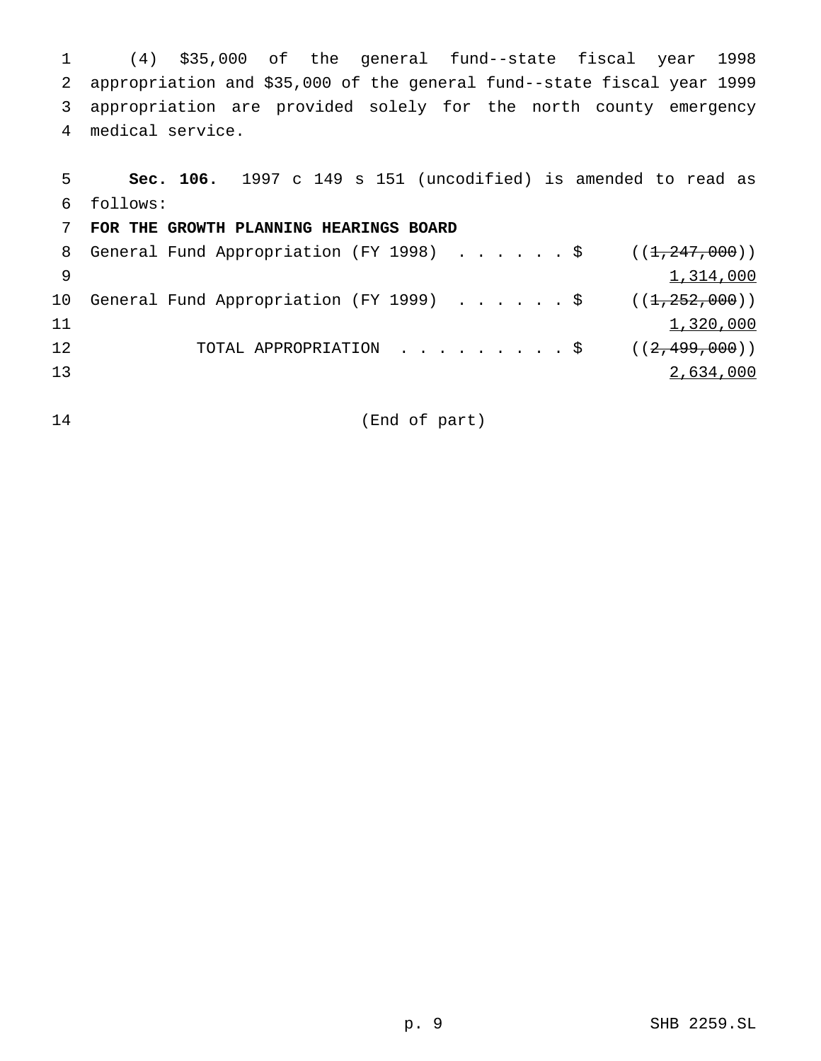(4) \$35,000 of the general fund--state fiscal year 1998 appropriation and \$35,000 of the general fund--state fiscal year 1999 appropriation are provided solely for the north county emergency medical service.

| 5            | Sec. 106. 1997 c 149 s 151 (uncodified) is amended to read as |
|--------------|---------------------------------------------------------------|
| 6            | follows:                                                      |
|              | FOR THE GROWTH PLANNING HEARINGS BOARD                        |
|              | 8 General Fund Appropriation (FY 1998) \$ $((1,247,000))$     |
| <sub>9</sub> | 1,314,000                                                     |
| 10           | General Fund Appropriation (FY 1999) \$<br>((1, 252, 000))    |
| 11           | 1,320,000                                                     |
| 12           | TOTAL APPROPRIATION \$<br>( (2, 499, 000) )                   |
| 13           | 2,634,000                                                     |
|              |                                                               |

(End of part)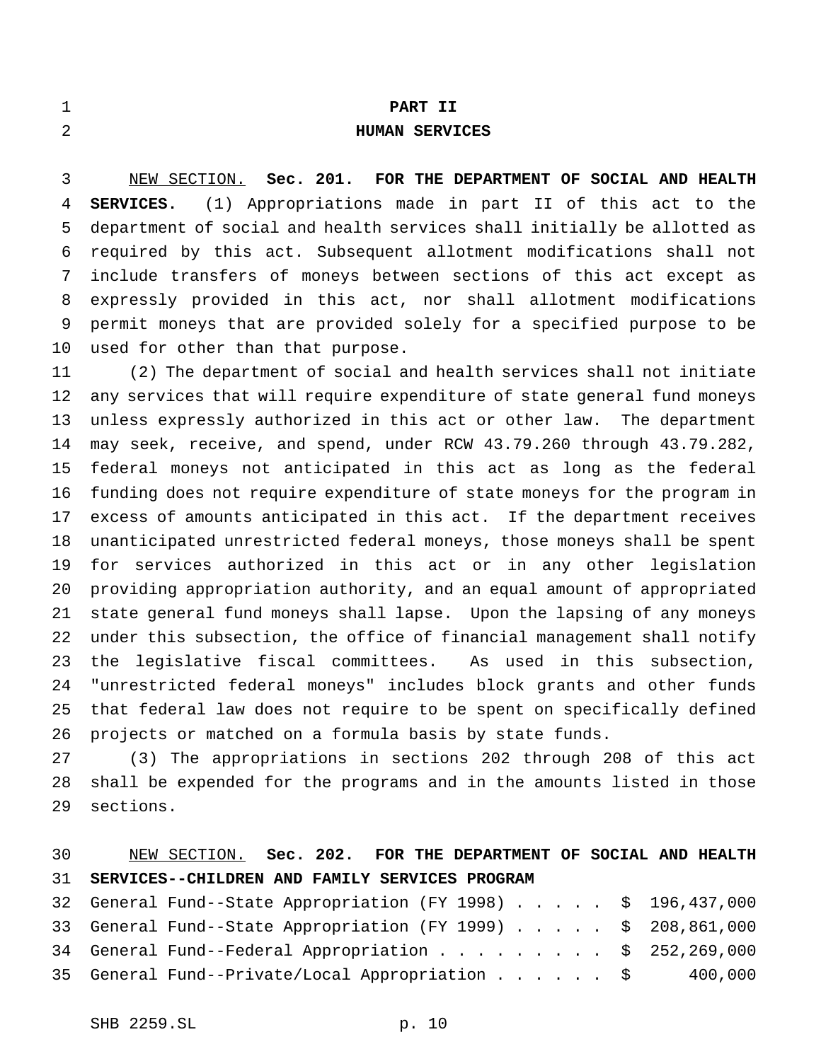|  | ٠ |  |
|--|---|--|
|  |   |  |
|  |   |  |
|  |   |  |
|  |   |  |
|  |   |  |
|  |   |  |
|  |   |  |

### **PART II**

## **HUMAN SERVICES**

 NEW SECTION. **Sec. 201. FOR THE DEPARTMENT OF SOCIAL AND HEALTH SERVICES.** (1) Appropriations made in part II of this act to the department of social and health services shall initially be allotted as required by this act. Subsequent allotment modifications shall not include transfers of moneys between sections of this act except as expressly provided in this act, nor shall allotment modifications permit moneys that are provided solely for a specified purpose to be used for other than that purpose.

 (2) The department of social and health services shall not initiate any services that will require expenditure of state general fund moneys unless expressly authorized in this act or other law. The department may seek, receive, and spend, under RCW 43.79.260 through 43.79.282, federal moneys not anticipated in this act as long as the federal funding does not require expenditure of state moneys for the program in excess of amounts anticipated in this act. If the department receives unanticipated unrestricted federal moneys, those moneys shall be spent for services authorized in this act or in any other legislation providing appropriation authority, and an equal amount of appropriated state general fund moneys shall lapse. Upon the lapsing of any moneys under this subsection, the office of financial management shall notify the legislative fiscal committees. As used in this subsection, "unrestricted federal moneys" includes block grants and other funds that federal law does not require to be spent on specifically defined projects or matched on a formula basis by state funds.

 (3) The appropriations in sections 202 through 208 of this act shall be expended for the programs and in the amounts listed in those sections.

## NEW SECTION. **Sec. 202. FOR THE DEPARTMENT OF SOCIAL AND HEALTH SERVICES--CHILDREN AND FAMILY SERVICES PROGRAM**

|  | 32 General Fund--State Appropriation (FY 1998) \$ 196,437,000  |         |
|--|----------------------------------------------------------------|---------|
|  | 33 General Fund--State Appropriation (FY 1999) \$ 208,861,000  |         |
|  | 34 General Fund--Federal Appropriation $\ldots$ \$ 252,269,000 |         |
|  | 35 General Fund--Private/Local Appropriation \$                | 400,000 |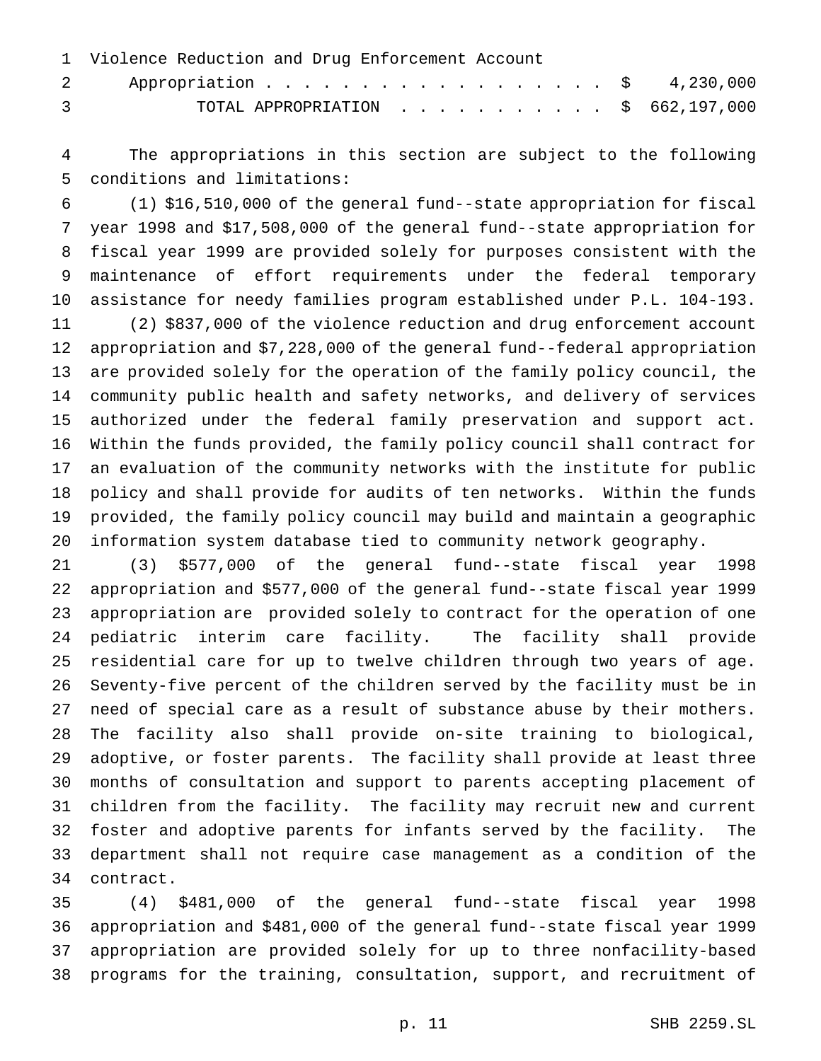| 1 Violence Reduction and Drug Enforcement Account                                                                                                                                                                                                                                                                                                                                   |  |
|-------------------------------------------------------------------------------------------------------------------------------------------------------------------------------------------------------------------------------------------------------------------------------------------------------------------------------------------------------------------------------------|--|
| 2 Appropriation \$ 4,230,000                                                                                                                                                                                                                                                                                                                                                        |  |
| TOTAL APPROPRIATION $\ldots$ , \$ 662,197,000<br>$\overline{3}$ and $\overline{3}$ and $\overline{3}$ and $\overline{3}$ and $\overline{3}$ and $\overline{3}$ and $\overline{3}$ and $\overline{3}$ and $\overline{3}$ and $\overline{3}$ and $\overline{3}$ and $\overline{3}$ and $\overline{3}$ and $\overline{3}$ and $\overline{3}$ and $\overline{3}$ and $\overline{3}$ and |  |

 The appropriations in this section are subject to the following conditions and limitations:

 (1) \$16,510,000 of the general fund--state appropriation for fiscal year 1998 and \$17,508,000 of the general fund--state appropriation for fiscal year 1999 are provided solely for purposes consistent with the maintenance of effort requirements under the federal temporary assistance for needy families program established under P.L. 104-193. (2) \$837,000 of the violence reduction and drug enforcement account appropriation and \$7,228,000 of the general fund--federal appropriation are provided solely for the operation of the family policy council, the community public health and safety networks, and delivery of services authorized under the federal family preservation and support act. Within the funds provided, the family policy council shall contract for an evaluation of the community networks with the institute for public policy and shall provide for audits of ten networks. Within the funds provided, the family policy council may build and maintain a geographic information system database tied to community network geography.

 (3) \$577,000 of the general fund--state fiscal year 1998 appropriation and \$577,000 of the general fund--state fiscal year 1999 appropriation are provided solely to contract for the operation of one pediatric interim care facility. The facility shall provide residential care for up to twelve children through two years of age. Seventy-five percent of the children served by the facility must be in need of special care as a result of substance abuse by their mothers. The facility also shall provide on-site training to biological, adoptive, or foster parents. The facility shall provide at least three months of consultation and support to parents accepting placement of children from the facility. The facility may recruit new and current foster and adoptive parents for infants served by the facility. The department shall not require case management as a condition of the contract.

 (4) \$481,000 of the general fund--state fiscal year 1998 appropriation and \$481,000 of the general fund--state fiscal year 1999 appropriation are provided solely for up to three nonfacility-based programs for the training, consultation, support, and recruitment of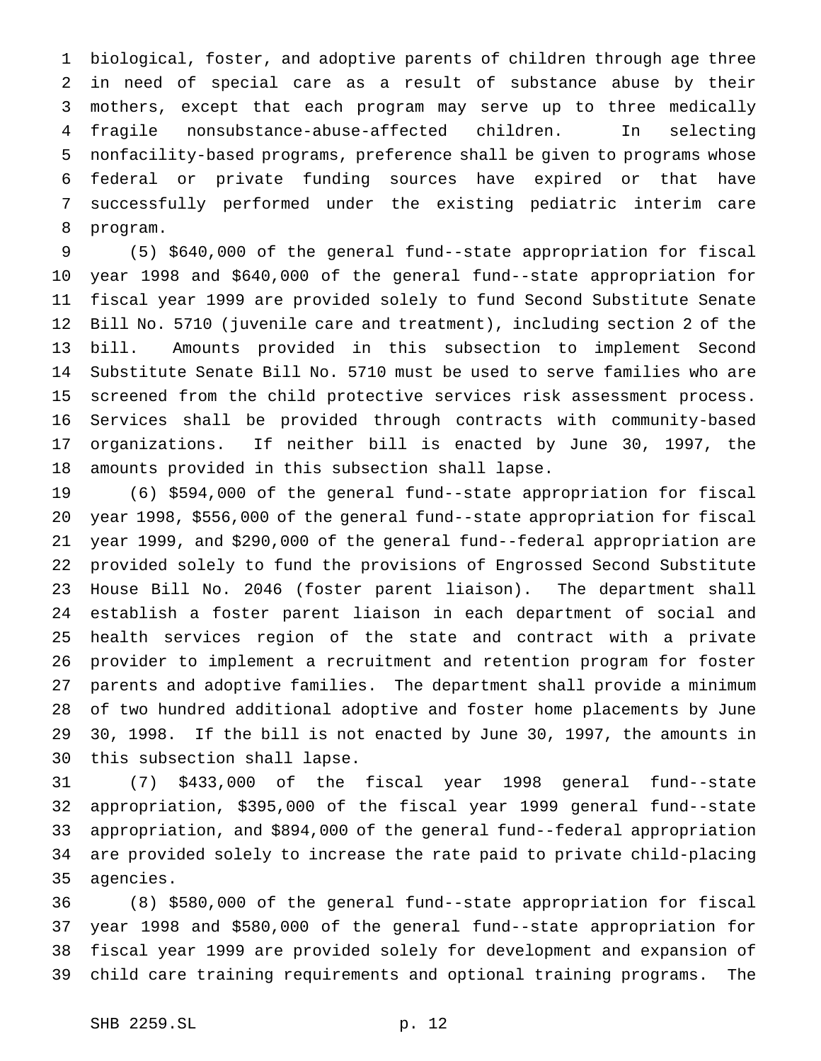biological, foster, and adoptive parents of children through age three in need of special care as a result of substance abuse by their mothers, except that each program may serve up to three medically fragile nonsubstance-abuse-affected children. In selecting nonfacility-based programs, preference shall be given to programs whose federal or private funding sources have expired or that have successfully performed under the existing pediatric interim care program.

 (5) \$640,000 of the general fund--state appropriation for fiscal year 1998 and \$640,000 of the general fund--state appropriation for fiscal year 1999 are provided solely to fund Second Substitute Senate Bill No. 5710 (juvenile care and treatment), including section 2 of the bill. Amounts provided in this subsection to implement Second Substitute Senate Bill No. 5710 must be used to serve families who are screened from the child protective services risk assessment process. Services shall be provided through contracts with community-based organizations. If neither bill is enacted by June 30, 1997, the amounts provided in this subsection shall lapse.

 (6) \$594,000 of the general fund--state appropriation for fiscal year 1998, \$556,000 of the general fund--state appropriation for fiscal year 1999, and \$290,000 of the general fund--federal appropriation are provided solely to fund the provisions of Engrossed Second Substitute House Bill No. 2046 (foster parent liaison). The department shall establish a foster parent liaison in each department of social and health services region of the state and contract with a private provider to implement a recruitment and retention program for foster parents and adoptive families. The department shall provide a minimum of two hundred additional adoptive and foster home placements by June 30, 1998. If the bill is not enacted by June 30, 1997, the amounts in this subsection shall lapse.

 (7) \$433,000 of the fiscal year 1998 general fund--state appropriation, \$395,000 of the fiscal year 1999 general fund--state appropriation, and \$894,000 of the general fund--federal appropriation are provided solely to increase the rate paid to private child-placing agencies.

 (8) \$580,000 of the general fund--state appropriation for fiscal year 1998 and \$580,000 of the general fund--state appropriation for fiscal year 1999 are provided solely for development and expansion of child care training requirements and optional training programs. The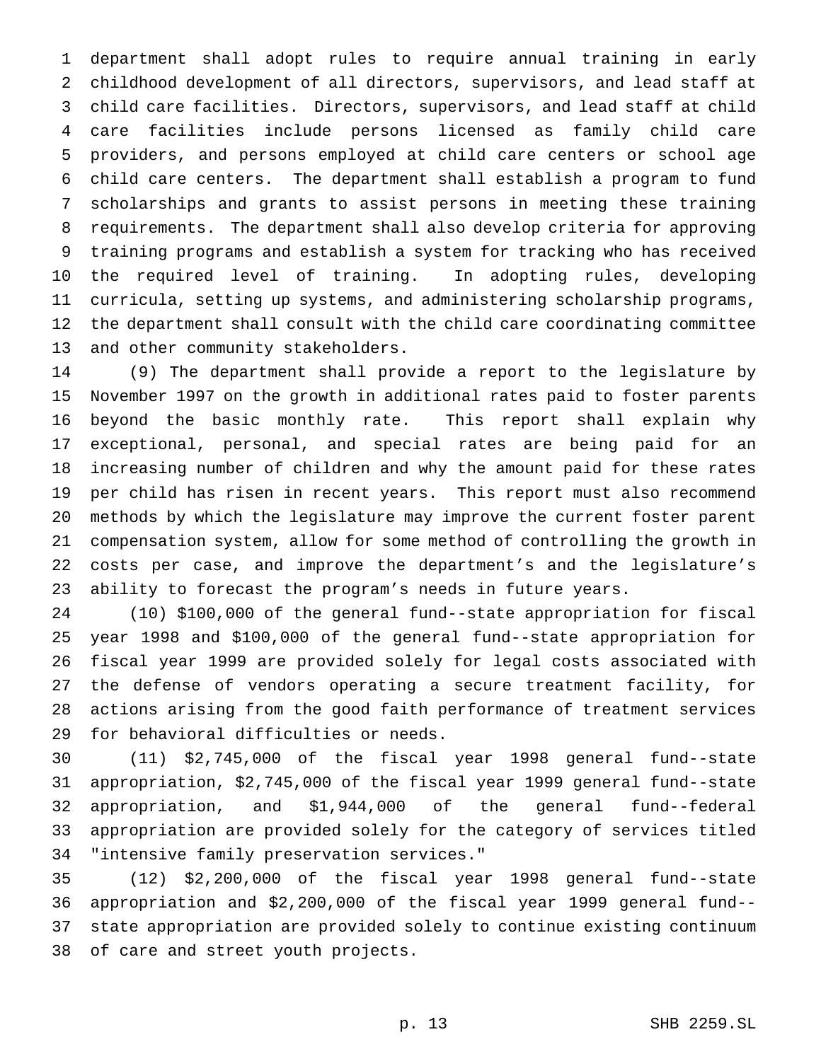department shall adopt rules to require annual training in early childhood development of all directors, supervisors, and lead staff at child care facilities. Directors, supervisors, and lead staff at child care facilities include persons licensed as family child care providers, and persons employed at child care centers or school age child care centers. The department shall establish a program to fund scholarships and grants to assist persons in meeting these training requirements. The department shall also develop criteria for approving training programs and establish a system for tracking who has received the required level of training. In adopting rules, developing curricula, setting up systems, and administering scholarship programs, the department shall consult with the child care coordinating committee and other community stakeholders.

 (9) The department shall provide a report to the legislature by November 1997 on the growth in additional rates paid to foster parents beyond the basic monthly rate. This report shall explain why exceptional, personal, and special rates are being paid for an increasing number of children and why the amount paid for these rates per child has risen in recent years. This report must also recommend methods by which the legislature may improve the current foster parent compensation system, allow for some method of controlling the growth in costs per case, and improve the department's and the legislature's ability to forecast the program's needs in future years.

 (10) \$100,000 of the general fund--state appropriation for fiscal year 1998 and \$100,000 of the general fund--state appropriation for fiscal year 1999 are provided solely for legal costs associated with the defense of vendors operating a secure treatment facility, for actions arising from the good faith performance of treatment services for behavioral difficulties or needs.

 (11) \$2,745,000 of the fiscal year 1998 general fund--state appropriation, \$2,745,000 of the fiscal year 1999 general fund--state appropriation, and \$1,944,000 of the general fund--federal appropriation are provided solely for the category of services titled "intensive family preservation services."

 (12) \$2,200,000 of the fiscal year 1998 general fund--state appropriation and \$2,200,000 of the fiscal year 1999 general fund-- state appropriation are provided solely to continue existing continuum of care and street youth projects.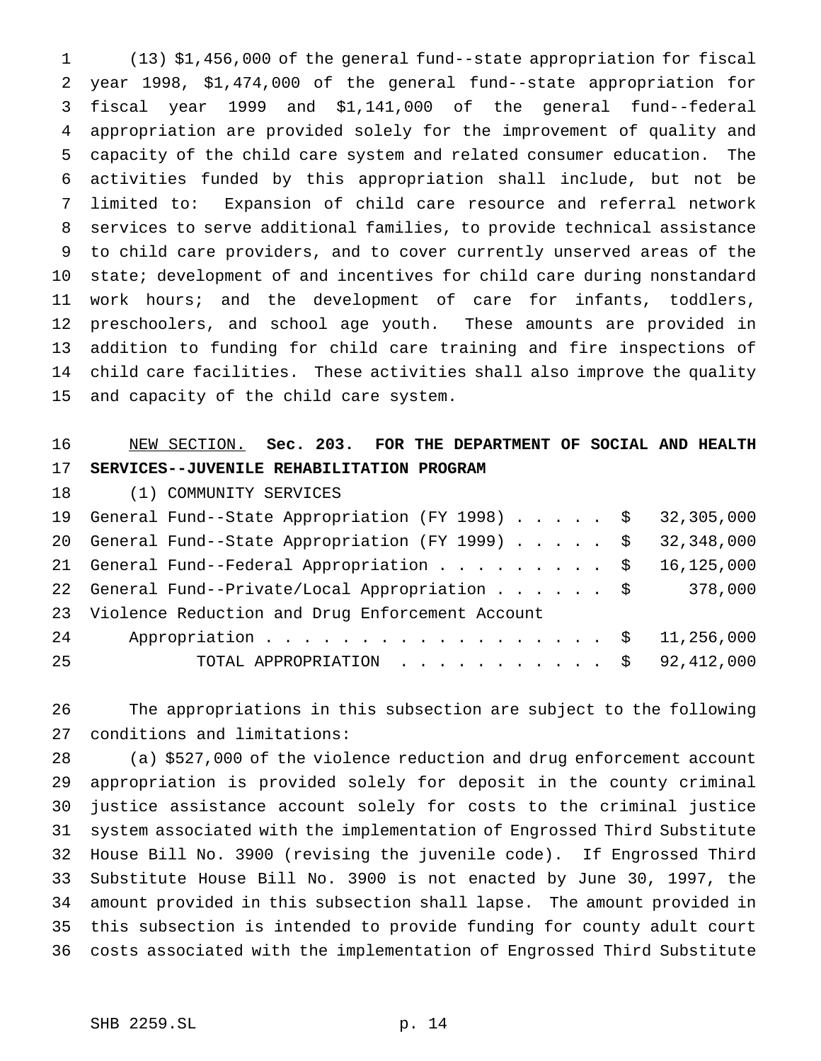(13) \$1,456,000 of the general fund--state appropriation for fiscal year 1998, \$1,474,000 of the general fund--state appropriation for fiscal year 1999 and \$1,141,000 of the general fund--federal appropriation are provided solely for the improvement of quality and capacity of the child care system and related consumer education. The activities funded by this appropriation shall include, but not be limited to: Expansion of child care resource and referral network services to serve additional families, to provide technical assistance to child care providers, and to cover currently unserved areas of the state; development of and incentives for child care during nonstandard work hours; and the development of care for infants, toddlers, preschoolers, and school age youth. These amounts are provided in addition to funding for child care training and fire inspections of child care facilities. These activities shall also improve the quality and capacity of the child care system.

# NEW SECTION. **Sec. 203. FOR THE DEPARTMENT OF SOCIAL AND HEALTH SERVICES--JUVENILE REHABILITATION PROGRAM**

(1) COMMUNITY SERVICES

|    | 19 General Fund--State Appropriation (FY 1998) \$ 32,305,000 |  |
|----|--------------------------------------------------------------|--|
|    | 20 General Fund--State Appropriation (FY 1999) \$ 32,348,000 |  |
|    | 21 General Fund--Federal Appropriation \$ 16,125,000         |  |
|    | 22 General Fund--Private/Local Appropriation \$ 378,000      |  |
|    | 23 Violence Reduction and Drug Enforcement Account           |  |
| 24 | Appropriation \$ 11,256,000                                  |  |
| 25 | TOTAL APPROPRIATION $\ldots$ , \$ 92,412,000                 |  |

 The appropriations in this subsection are subject to the following conditions and limitations:

 (a) \$527,000 of the violence reduction and drug enforcement account appropriation is provided solely for deposit in the county criminal justice assistance account solely for costs to the criminal justice system associated with the implementation of Engrossed Third Substitute House Bill No. 3900 (revising the juvenile code). If Engrossed Third Substitute House Bill No. 3900 is not enacted by June 30, 1997, the amount provided in this subsection shall lapse. The amount provided in this subsection is intended to provide funding for county adult court costs associated with the implementation of Engrossed Third Substitute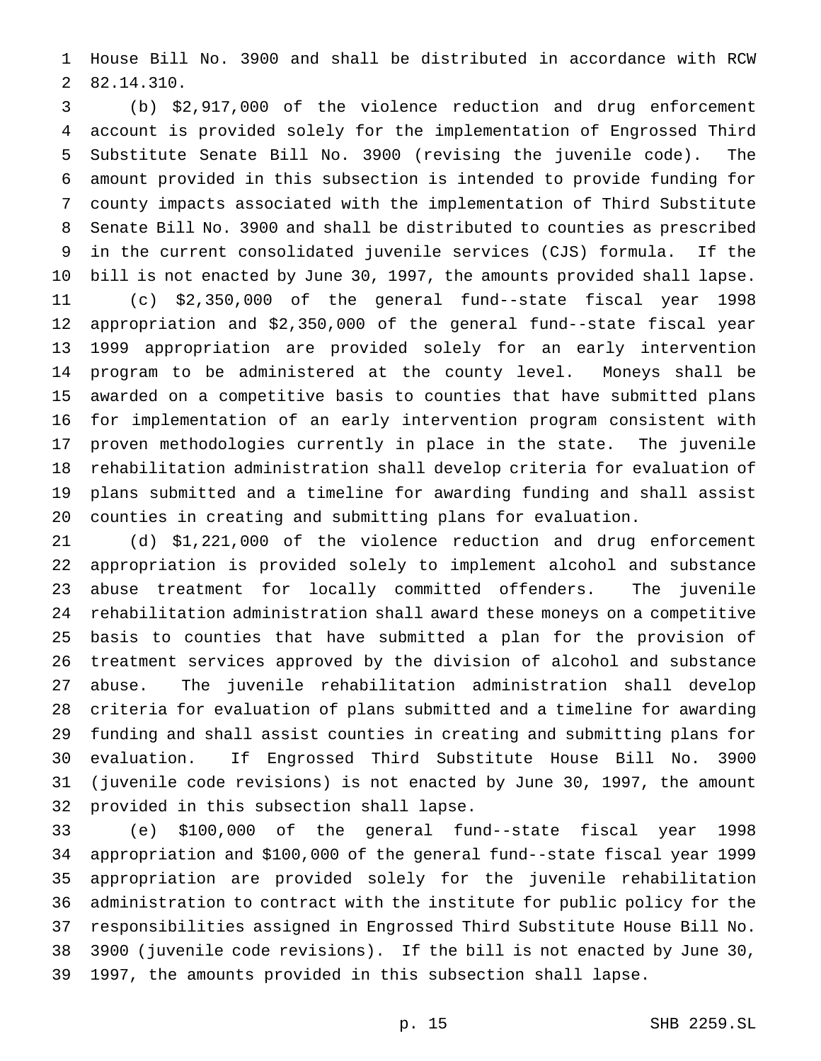House Bill No. 3900 and shall be distributed in accordance with RCW 82.14.310.

 (b) \$2,917,000 of the violence reduction and drug enforcement account is provided solely for the implementation of Engrossed Third Substitute Senate Bill No. 3900 (revising the juvenile code). The amount provided in this subsection is intended to provide funding for county impacts associated with the implementation of Third Substitute Senate Bill No. 3900 and shall be distributed to counties as prescribed in the current consolidated juvenile services (CJS) formula. If the bill is not enacted by June 30, 1997, the amounts provided shall lapse. (c) \$2,350,000 of the general fund--state fiscal year 1998 appropriation and \$2,350,000 of the general fund--state fiscal year 1999 appropriation are provided solely for an early intervention program to be administered at the county level. Moneys shall be awarded on a competitive basis to counties that have submitted plans for implementation of an early intervention program consistent with proven methodologies currently in place in the state. The juvenile rehabilitation administration shall develop criteria for evaluation of plans submitted and a timeline for awarding funding and shall assist counties in creating and submitting plans for evaluation.

 (d) \$1,221,000 of the violence reduction and drug enforcement appropriation is provided solely to implement alcohol and substance abuse treatment for locally committed offenders. The juvenile rehabilitation administration shall award these moneys on a competitive basis to counties that have submitted a plan for the provision of treatment services approved by the division of alcohol and substance abuse. The juvenile rehabilitation administration shall develop criteria for evaluation of plans submitted and a timeline for awarding funding and shall assist counties in creating and submitting plans for evaluation. If Engrossed Third Substitute House Bill No. 3900 (juvenile code revisions) is not enacted by June 30, 1997, the amount provided in this subsection shall lapse.

 (e) \$100,000 of the general fund--state fiscal year 1998 appropriation and \$100,000 of the general fund--state fiscal year 1999 appropriation are provided solely for the juvenile rehabilitation administration to contract with the institute for public policy for the responsibilities assigned in Engrossed Third Substitute House Bill No. 3900 (juvenile code revisions). If the bill is not enacted by June 30, 1997, the amounts provided in this subsection shall lapse.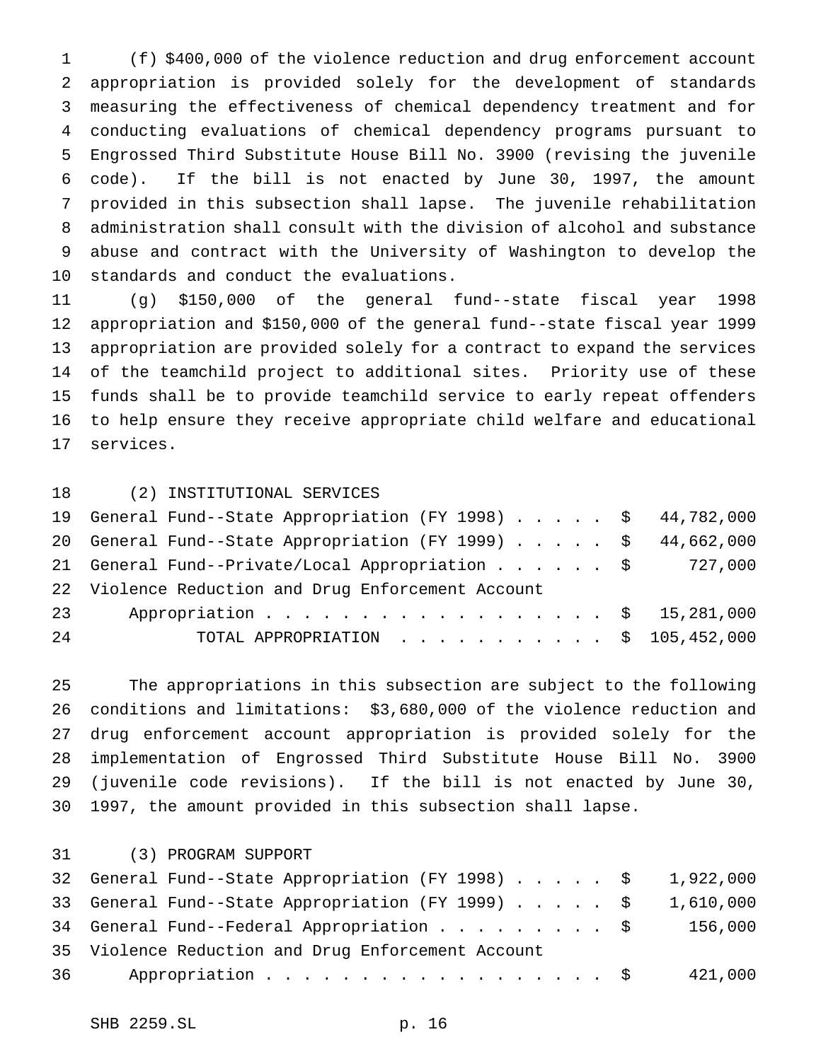(f) \$400,000 of the violence reduction and drug enforcement account appropriation is provided solely for the development of standards measuring the effectiveness of chemical dependency treatment and for conducting evaluations of chemical dependency programs pursuant to Engrossed Third Substitute House Bill No. 3900 (revising the juvenile code). If the bill is not enacted by June 30, 1997, the amount provided in this subsection shall lapse. The juvenile rehabilitation administration shall consult with the division of alcohol and substance abuse and contract with the University of Washington to develop the standards and conduct the evaluations.

 (g) \$150,000 of the general fund--state fiscal year 1998 appropriation and \$150,000 of the general fund--state fiscal year 1999 appropriation are provided solely for a contract to expand the services of the teamchild project to additional sites. Priority use of these funds shall be to provide teamchild service to early repeat offenders to help ensure they receive appropriate child welfare and educational services.

(2) INSTITUTIONAL SERVICES

|    | 19 General Fund--State Appropriation (FY 1998) \$ 44,782,000 |  |
|----|--------------------------------------------------------------|--|
|    | 20 General Fund--State Appropriation (FY 1999) \$ 44,662,000 |  |
|    | 21 General Fund--Private/Local Appropriation \$ 727,000      |  |
|    | 22 Violence Reduction and Drug Enforcement Account           |  |
| 23 | Appropriation \$ 15,281,000                                  |  |
| 24 | TOTAL APPROPRIATION $\ldots$ , \$ 105,452,000                |  |

 The appropriations in this subsection are subject to the following conditions and limitations: \$3,680,000 of the violence reduction and drug enforcement account appropriation is provided solely for the implementation of Engrossed Third Substitute House Bill No. 3900 (juvenile code revisions). If the bill is not enacted by June 30, 1997, the amount provided in this subsection shall lapse.

(3) PROGRAM SUPPORT

| 32 General Fund--State Appropriation (FY 1998) \$ 1,922,000 |         |
|-------------------------------------------------------------|---------|
| 33 General Fund--State Appropriation (FY 1999) \$ 1,610,000 |         |
| 34 General Fund--Federal Appropriation $\ldots$ \$ 156,000  |         |
| 35 Violence Reduction and Drug Enforcement Account          |         |
| Appropriation $\frac{1}{2}$<br>36 —                         | 421,000 |
|                                                             |         |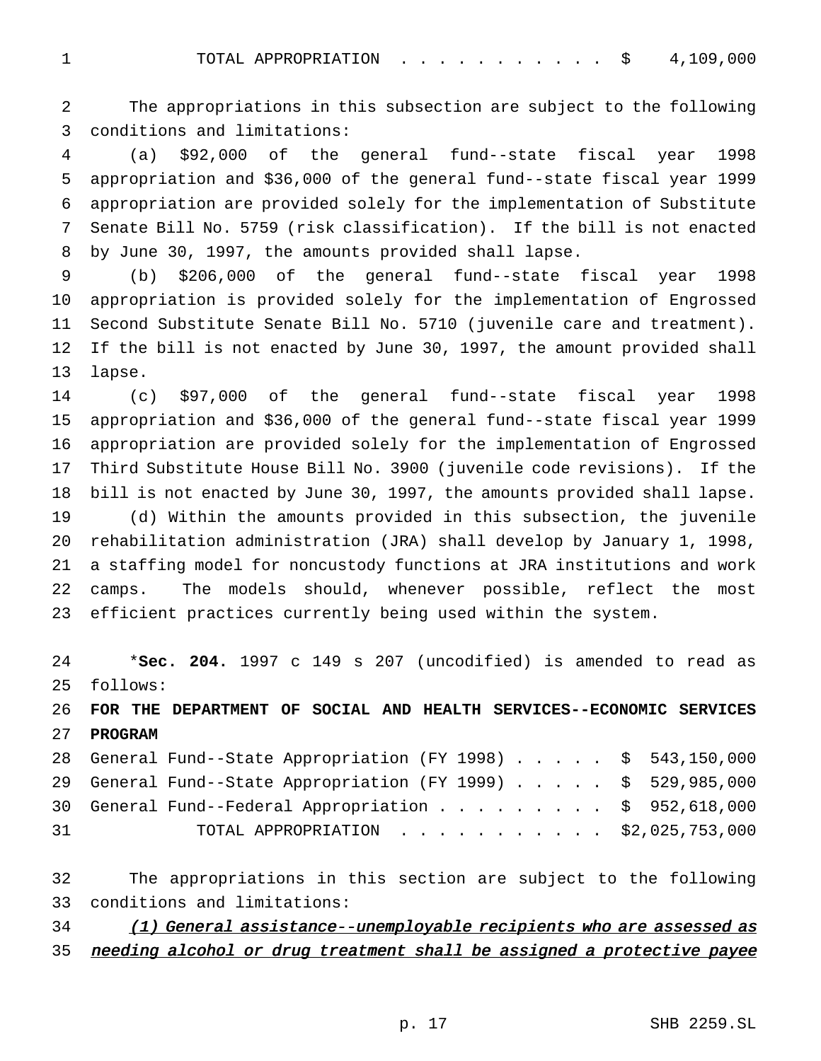1 TOTAL APPROPRIATION . . . . . . . . . . \$ 4,109,000

 The appropriations in this subsection are subject to the following conditions and limitations:

 (a) \$92,000 of the general fund--state fiscal year 1998 appropriation and \$36,000 of the general fund--state fiscal year 1999 appropriation are provided solely for the implementation of Substitute Senate Bill No. 5759 (risk classification). If the bill is not enacted by June 30, 1997, the amounts provided shall lapse.

 (b) \$206,000 of the general fund--state fiscal year 1998 appropriation is provided solely for the implementation of Engrossed Second Substitute Senate Bill No. 5710 (juvenile care and treatment). If the bill is not enacted by June 30, 1997, the amount provided shall lapse.

 (c) \$97,000 of the general fund--state fiscal year 1998 appropriation and \$36,000 of the general fund--state fiscal year 1999 appropriation are provided solely for the implementation of Engrossed Third Substitute House Bill No. 3900 (juvenile code revisions). If the bill is not enacted by June 30, 1997, the amounts provided shall lapse. (d) Within the amounts provided in this subsection, the juvenile rehabilitation administration (JRA) shall develop by January 1, 1998, a staffing model for noncustody functions at JRA institutions and work camps. The models should, whenever possible, reflect the most efficient practices currently being used within the system.

 \***Sec. 204.** 1997 c 149 s 207 (uncodified) is amended to read as follows:

 **FOR THE DEPARTMENT OF SOCIAL AND HEALTH SERVICES--ECONOMIC SERVICES PROGRAM**

 General Fund--State Appropriation (FY 1998)..... \$ 543,150,000 General Fund--State Appropriation (FY 1999)..... \$ 529,985,000 General Fund--Federal Appropriation......... \$ 952,618,000 TOTAL APPROPRIATION ........... \$2,025,753,000

 The appropriations in this section are subject to the following conditions and limitations:

34 (1) General assistance--unemployable recipients who are assessed as

35 needing alcohol or drug treatment shall be assigned a protective payee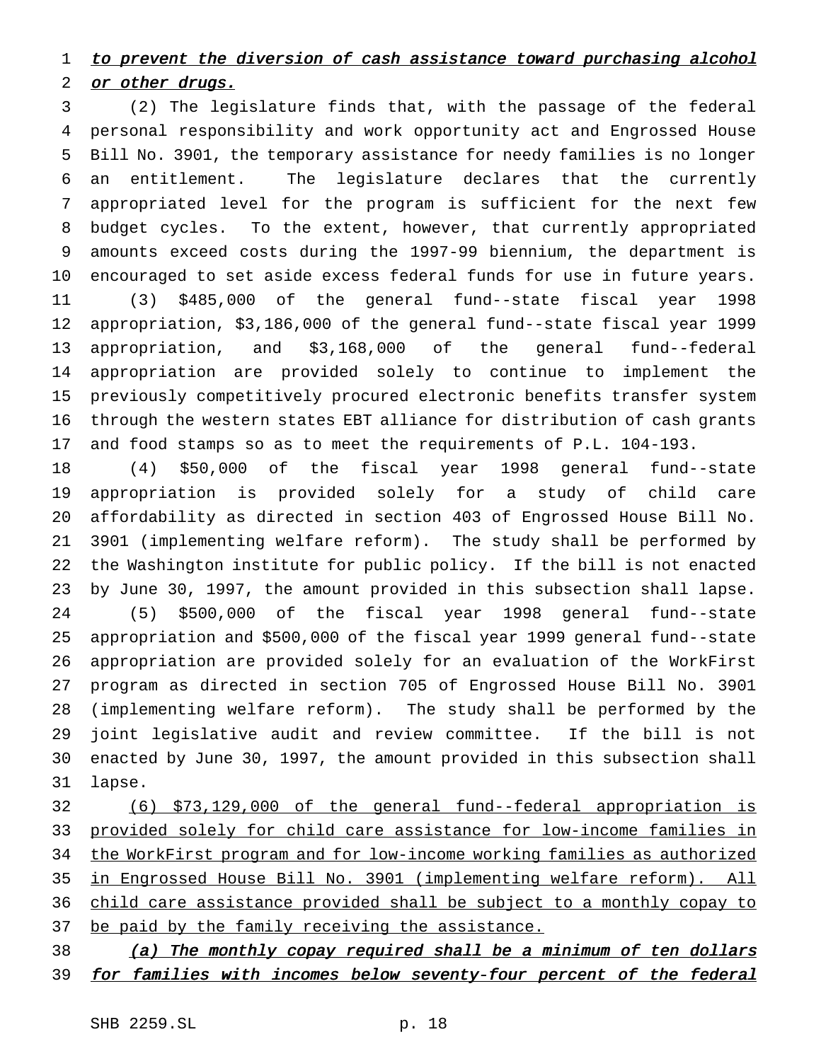# 1 to prevent the diversion of cash assistance toward purchasing alcohol 2 or other drugs.

 (2) The legislature finds that, with the passage of the federal personal responsibility and work opportunity act and Engrossed House Bill No. 3901, the temporary assistance for needy families is no longer an entitlement. The legislature declares that the currently appropriated level for the program is sufficient for the next few budget cycles. To the extent, however, that currently appropriated amounts exceed costs during the 1997-99 biennium, the department is encouraged to set aside excess federal funds for use in future years. (3) \$485,000 of the general fund--state fiscal year 1998 appropriation, \$3,186,000 of the general fund--state fiscal year 1999 appropriation, and \$3,168,000 of the general fund--federal appropriation are provided solely to continue to implement the previously competitively procured electronic benefits transfer system through the western states EBT alliance for distribution of cash grants and food stamps so as to meet the requirements of P.L. 104-193.

 (4) \$50,000 of the fiscal year 1998 general fund--state appropriation is provided solely for a study of child care affordability as directed in section 403 of Engrossed House Bill No. 3901 (implementing welfare reform). The study shall be performed by the Washington institute for public policy. If the bill is not enacted by June 30, 1997, the amount provided in this subsection shall lapse. (5) \$500,000 of the fiscal year 1998 general fund--state appropriation and \$500,000 of the fiscal year 1999 general fund--state appropriation are provided solely for an evaluation of the WorkFirst program as directed in section 705 of Engrossed House Bill No. 3901 (implementing welfare reform). The study shall be performed by the joint legislative audit and review committee. If the bill is not enacted by June 30, 1997, the amount provided in this subsection shall lapse.

 (6) \$73,129,000 of the general fund--federal appropriation is provided solely for child care assistance for low-income families in the WorkFirst program and for low-income working families as authorized in Engrossed House Bill No. 3901 (implementing welfare reform). All child care assistance provided shall be subject to a monthly copay to 37 be paid by the family receiving the assistance.

38 (a) The monthly copay required shall be a minimum of ten dollars 39 for families with incomes below seventy-four percent of the federal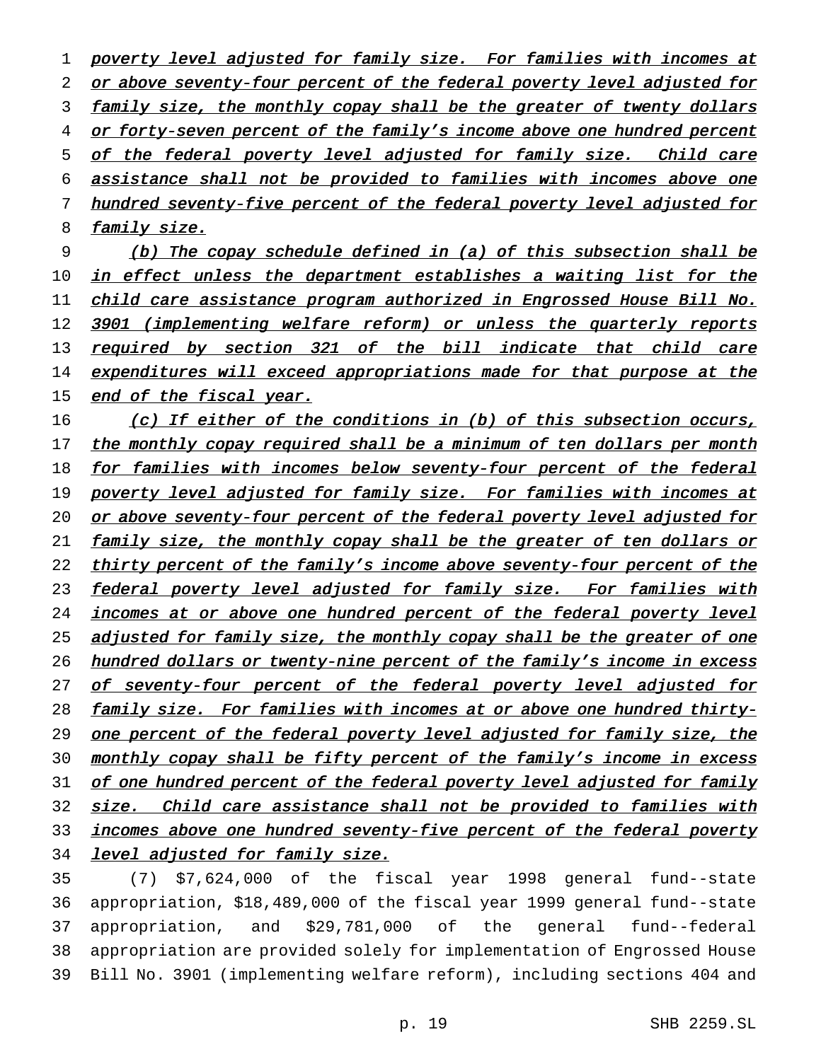1 poverty level adjusted for family size. For families with incomes at 2 or above seventy-four percent of the federal poverty level adjusted for 3 family size, the monthly copay shall be the greater of twenty dollars 4 or forty-seven percent of the family's income above one hundred percent 5 of the federal poverty level adjusted for family size. Child care 6 assistance shall not be provided to families with incomes above one 7 hundred seventy-five percent of the federal poverty level adjusted for 8 family size.

9 (b) The copay schedule defined in (a) of this subsection shall be 10 in effect unless the department establishes a waiting list for the 11 child care assistance program authorized in Engrossed House Bill No. 12 3901 (implementing welfare reform) or unless the quarterly reports 13 required by section 321 of the bill indicate that child care 14 expenditures will exceed appropriations made for that purpose at the 15 end of the fiscal year.

16 (c) If either of the conditions in (b) of this subsection occurs, 17 the monthly copay required shall be a minimum of ten dollars per month 18 for families with incomes below seventy-four percent of the federal 19 poverty level adjusted for family size. For families with incomes at 20 or above seventy-four percent of the federal poverty level adjusted for 21 family size, the monthly copay shall be the greater of ten dollars or 22 thirty percent of the family's income above seventy-four percent of the 23 federal poverty level adjusted for family size. For families with 24 incomes at or above one hundred percent of the federal poverty level 25 adjusted for family size, the monthly copay shall be the greater of one 26 hundred dollars or twenty-nine percent of the family's income in excess 27 of seventy-four percent of the federal poverty level adjusted for 28 family size. For families with incomes at or above one hundred thirty-29 one percent of the federal poverty level adjusted for family size, the 30 monthly copay shall be fifty percent of the family's income in excess 31 of one hundred percent of the federal poverty level adjusted for family 32 size. Child care assistance shall not be provided to families with 33 incomes above one hundred seventy-five percent of the federal poverty 34 level adjusted for family size.

 (7) \$7,624,000 of the fiscal year 1998 general fund--state appropriation, \$18,489,000 of the fiscal year 1999 general fund--state appropriation, and \$29,781,000 of the general fund--federal appropriation are provided solely for implementation of Engrossed House Bill No. 3901 (implementing welfare reform), including sections 404 and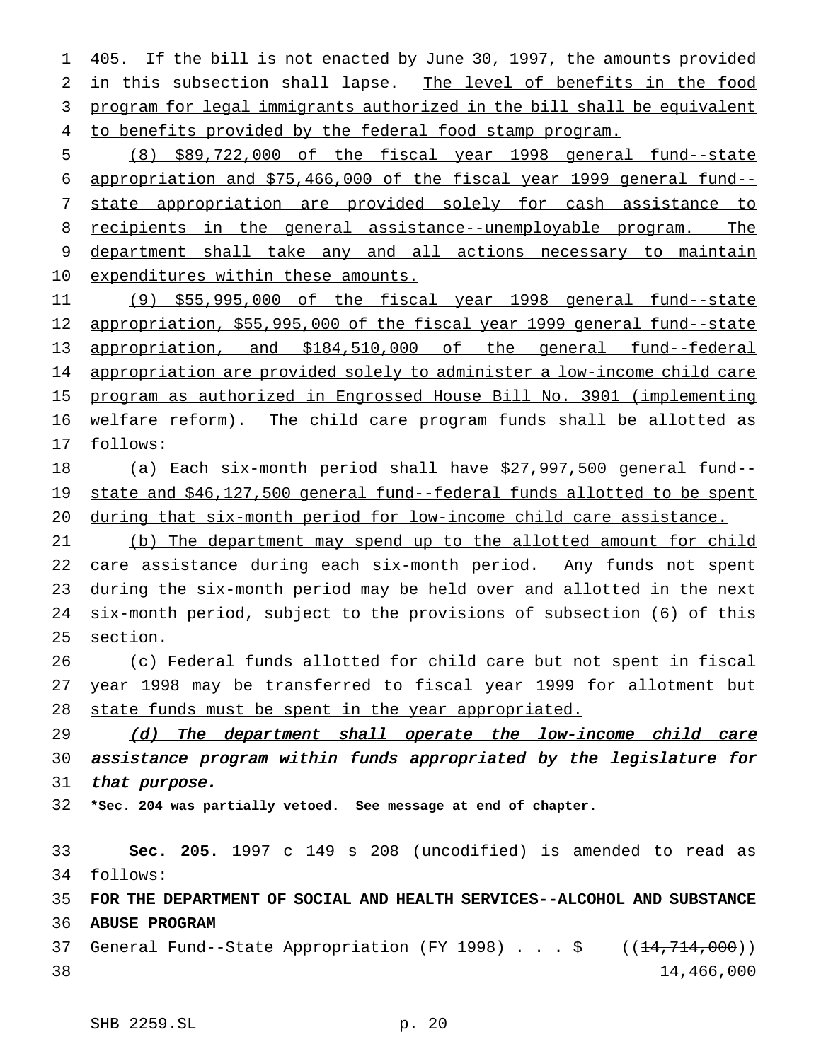405. If the bill is not enacted by June 30, 1997, the amounts provided in this subsection shall lapse. The level of benefits in the food program for legal immigrants authorized in the bill shall be equivalent 4 to benefits provided by the federal food stamp program.

 (8) \$89,722,000 of the fiscal year 1998 general fund--state appropriation and \$75,466,000 of the fiscal year 1999 general fund-- state appropriation are provided solely for cash assistance to recipients in the general assistance--unemployable program. The 9 department shall take any and all actions necessary to maintain 10 expenditures within these amounts.

 (9) \$55,995,000 of the fiscal year 1998 general fund--state appropriation, \$55,995,000 of the fiscal year 1999 general fund--state appropriation, and \$184,510,000 of the general fund--federal 14 appropriation are provided solely to administer a low-income child care program as authorized in Engrossed House Bill No. 3901 (implementing welfare reform). The child care program funds shall be allotted as follows:

 (a) Each six-month period shall have \$27,997,500 general fund-- 19 state and \$46,127,500 general fund--federal funds allotted to be spent during that six-month period for low-income child care assistance.

 (b) The department may spend up to the allotted amount for child 22 care assistance during each six-month period. Any funds not spent during the six-month period may be held over and allotted in the next six-month period, subject to the provisions of subsection (6) of this section.

 (c) Federal funds allotted for child care but not spent in fiscal year 1998 may be transferred to fiscal year 1999 for allotment but state funds must be spent in the year appropriated.

29 (d) The department shall operate the low-income child care 30 assistance program within funds appropriated by the legislature for 31 that purpose.

**\*Sec. 204 was partially vetoed. See message at end of chapter.**

 **Sec. 205.** 1997 c 149 s 208 (uncodified) is amended to read as follows: **FOR THE DEPARTMENT OF SOCIAL AND HEALTH SERVICES--ALCOHOL AND SUBSTANCE ABUSE PROGRAM** 37 General Fund--State Appropriation (FY 1998)  $\ldots$  ;  $\frac{1}{5}$  ( $(\frac{14}{714}, \frac{1000}{10})$ ) 14,466,000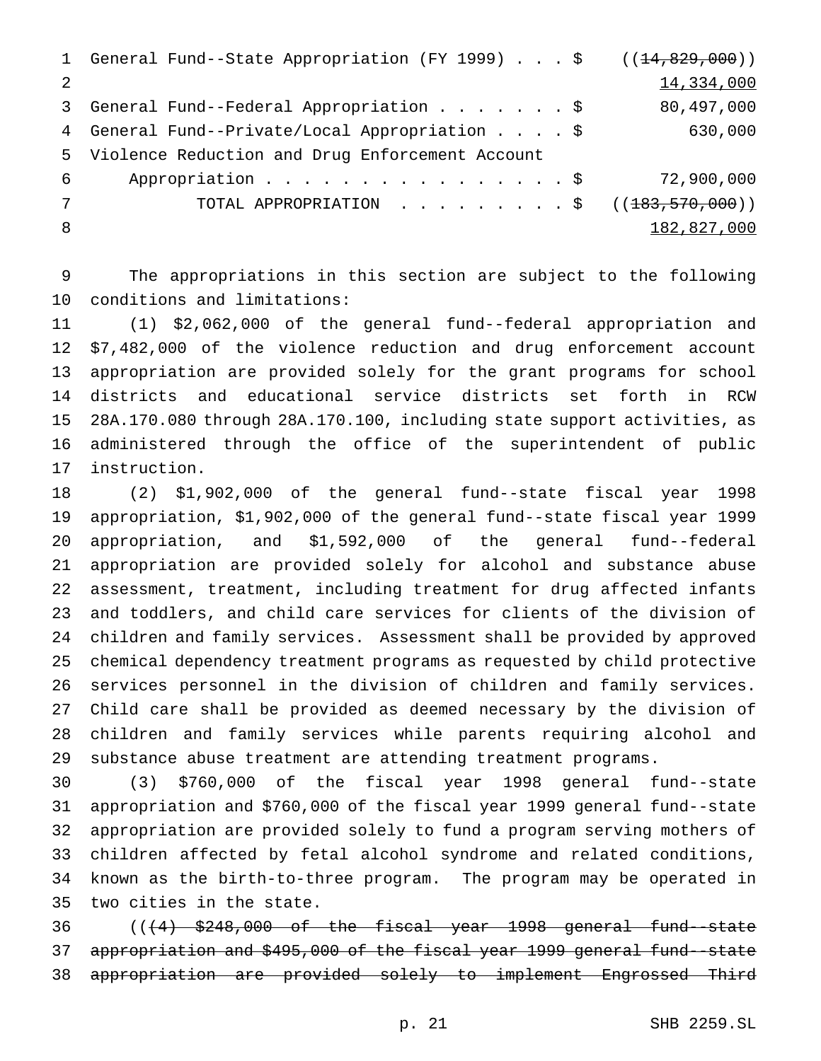|    | 1 General Fund--State Appropriation (FY 1999) \$ ((14,829,000)) |             |
|----|-----------------------------------------------------------------|-------------|
| 2  |                                                                 | 14,334,000  |
| 3  | General Fund--Federal Appropriation \$                          | 80,497,000  |
|    | 4 General Fund--Private/Local Appropriation \$                  | 630,000     |
|    | 5 Violence Reduction and Drug Enforcement Account               |             |
| 6  | Appropriation \$                                                | 72,900,000  |
|    | TOTAL APPROPRIATION \$ $((183, 570, 000))$                      |             |
| -8 |                                                                 | 182,827,000 |
|    |                                                                 |             |

 The appropriations in this section are subject to the following conditions and limitations:

 (1) \$2,062,000 of the general fund--federal appropriation and \$7,482,000 of the violence reduction and drug enforcement account appropriation are provided solely for the grant programs for school districts and educational service districts set forth in RCW 28A.170.080 through 28A.170.100, including state support activities, as administered through the office of the superintendent of public instruction.

 (2) \$1,902,000 of the general fund--state fiscal year 1998 appropriation, \$1,902,000 of the general fund--state fiscal year 1999 appropriation, and \$1,592,000 of the general fund--federal appropriation are provided solely for alcohol and substance abuse assessment, treatment, including treatment for drug affected infants and toddlers, and child care services for clients of the division of children and family services. Assessment shall be provided by approved chemical dependency treatment programs as requested by child protective services personnel in the division of children and family services. Child care shall be provided as deemed necessary by the division of children and family services while parents requiring alcohol and substance abuse treatment are attending treatment programs.

 (3) \$760,000 of the fiscal year 1998 general fund--state appropriation and \$760,000 of the fiscal year 1999 general fund--state appropriation are provided solely to fund a program serving mothers of children affected by fetal alcohol syndrome and related conditions, known as the birth-to-three program. The program may be operated in two cities in the state.

 $((+4)$  \$248,000 of the fiscal year 1998 general fund-state appropriation and \$495,000 of the fiscal year 1999 general fund--state appropriation are provided solely to implement Engrossed Third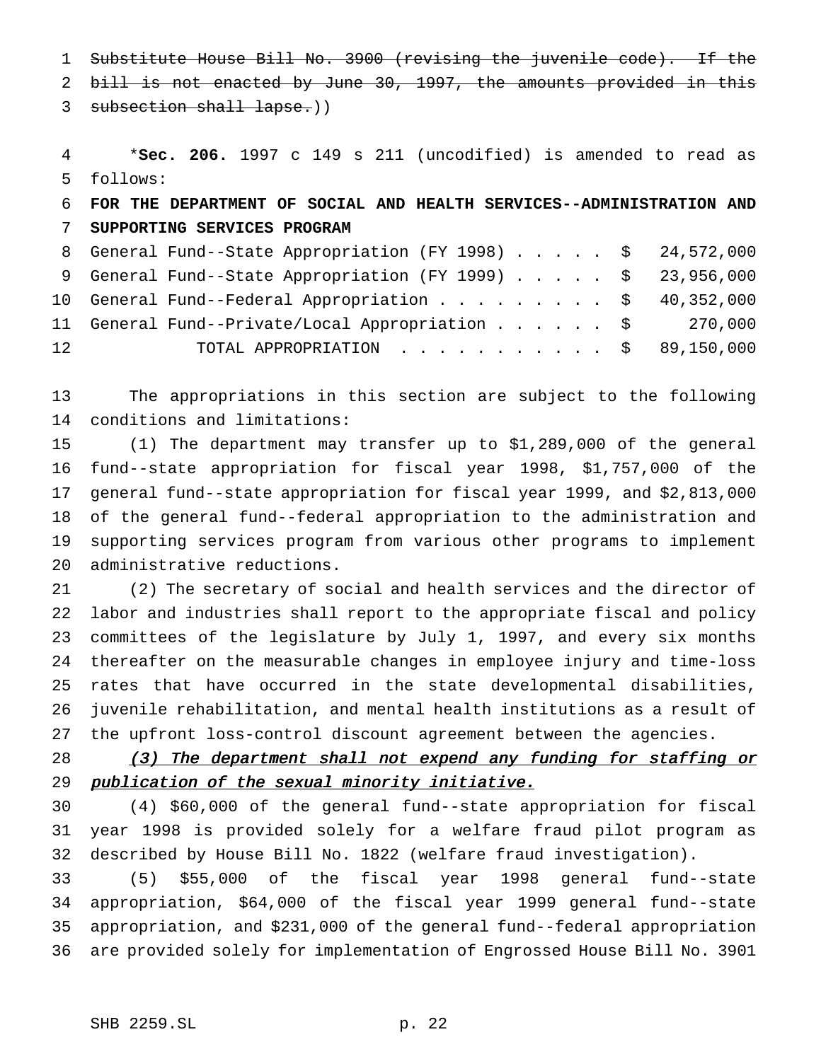Substitute House Bill No. 3900 (revising the juvenile code). If the

bill is not enacted by June 30, 1997, the amounts provided in this

3 subsection shall lapse.))

 \***Sec. 206.** 1997 c 149 s 211 (uncodified) is amended to read as follows:

# **FOR THE DEPARTMENT OF SOCIAL AND HEALTH SERVICES--ADMINISTRATION AND SUPPORTING SERVICES PROGRAM**

|    | 8 General Fund--State Appropriation (FY 1998) \$ 24,572,000 |  |
|----|-------------------------------------------------------------|--|
|    | 9 General Fund--State Appropriation (FY 1999) \$ 23,956,000 |  |
|    | 10 General Fund--Federal Appropriation \$ 40,352,000        |  |
|    | 11 General Fund--Private/Local Appropriation \$ 270,000     |  |
| 12 | TOTAL APPROPRIATION $\ldots$ , \$ 89,150,000                |  |

 The appropriations in this section are subject to the following conditions and limitations:

 (1) The department may transfer up to \$1,289,000 of the general fund--state appropriation for fiscal year 1998, \$1,757,000 of the general fund--state appropriation for fiscal year 1999, and \$2,813,000 of the general fund--federal appropriation to the administration and supporting services program from various other programs to implement administrative reductions.

 (2) The secretary of social and health services and the director of labor and industries shall report to the appropriate fiscal and policy committees of the legislature by July 1, 1997, and every six months thereafter on the measurable changes in employee injury and time-loss rates that have occurred in the state developmental disabilities, juvenile rehabilitation, and mental health institutions as a result of the upfront loss-control discount agreement between the agencies.

28 (3) The department shall not expend any funding for staffing or publication of the sexual minority initiative.

 (4) \$60,000 of the general fund--state appropriation for fiscal year 1998 is provided solely for a welfare fraud pilot program as described by House Bill No. 1822 (welfare fraud investigation).

 (5) \$55,000 of the fiscal year 1998 general fund--state appropriation, \$64,000 of the fiscal year 1999 general fund--state appropriation, and \$231,000 of the general fund--federal appropriation are provided solely for implementation of Engrossed House Bill No. 3901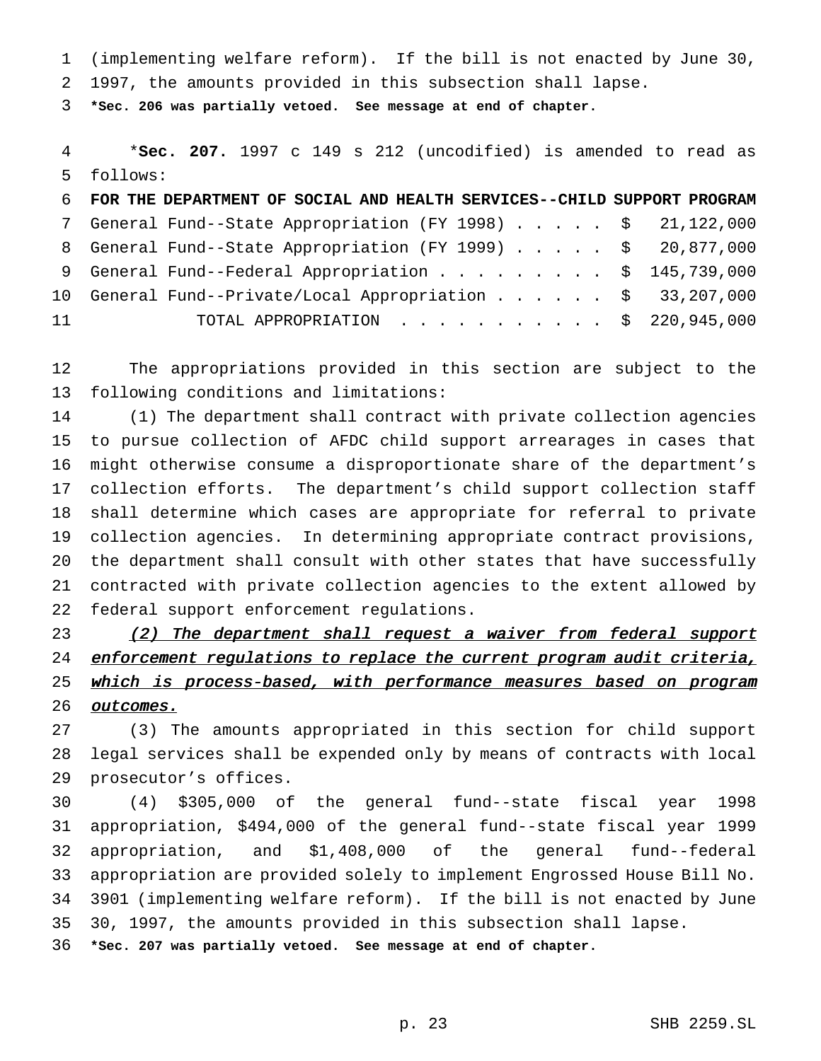(implementing welfare reform). If the bill is not enacted by June 30,

1997, the amounts provided in this subsection shall lapse.

**\*Sec. 206 was partially vetoed. See message at end of chapter.**

 \***Sec. 207.** 1997 c 149 s 212 (uncodified) is amended to read as follows:

| 7 General Fund--State Appropriation (FY 1998) \$ 21,122,000<br>8 General Fund--State Appropriation (FY 1999) \$ 20,877,000<br>9 General Fund--Federal Appropriation \$ 145,739,000<br>10 General Fund--Private/Local Appropriation \$ 33,207,000<br>11<br>TOTAL APPROPRIATION $\ldots$ \$ 220,945,000 | 6 FOR THE DEPARTMENT OF SOCIAL AND HEALTH SERVICES--CHILD SUPPORT PROGRAM |  |
|-------------------------------------------------------------------------------------------------------------------------------------------------------------------------------------------------------------------------------------------------------------------------------------------------------|---------------------------------------------------------------------------|--|
|                                                                                                                                                                                                                                                                                                       |                                                                           |  |
|                                                                                                                                                                                                                                                                                                       |                                                                           |  |
|                                                                                                                                                                                                                                                                                                       |                                                                           |  |
|                                                                                                                                                                                                                                                                                                       |                                                                           |  |
|                                                                                                                                                                                                                                                                                                       |                                                                           |  |

 The appropriations provided in this section are subject to the following conditions and limitations:

 (1) The department shall contract with private collection agencies to pursue collection of AFDC child support arrearages in cases that might otherwise consume a disproportionate share of the department's collection efforts. The department's child support collection staff shall determine which cases are appropriate for referral to private collection agencies. In determining appropriate contract provisions, the department shall consult with other states that have successfully contracted with private collection agencies to the extent allowed by federal support enforcement regulations.

23 (2) The department shall request a waiver from federal support 24 enforcement regulations to replace the current program audit criteria, 25 which is process-based, with performance measures based on program outcomes.

 (3) The amounts appropriated in this section for child support legal services shall be expended only by means of contracts with local prosecutor's offices.

 (4) \$305,000 of the general fund--state fiscal year 1998 appropriation, \$494,000 of the general fund--state fiscal year 1999 appropriation, and \$1,408,000 of the general fund--federal appropriation are provided solely to implement Engrossed House Bill No. 3901 (implementing welfare reform). If the bill is not enacted by June 30, 1997, the amounts provided in this subsection shall lapse. **\*Sec. 207 was partially vetoed. See message at end of chapter.**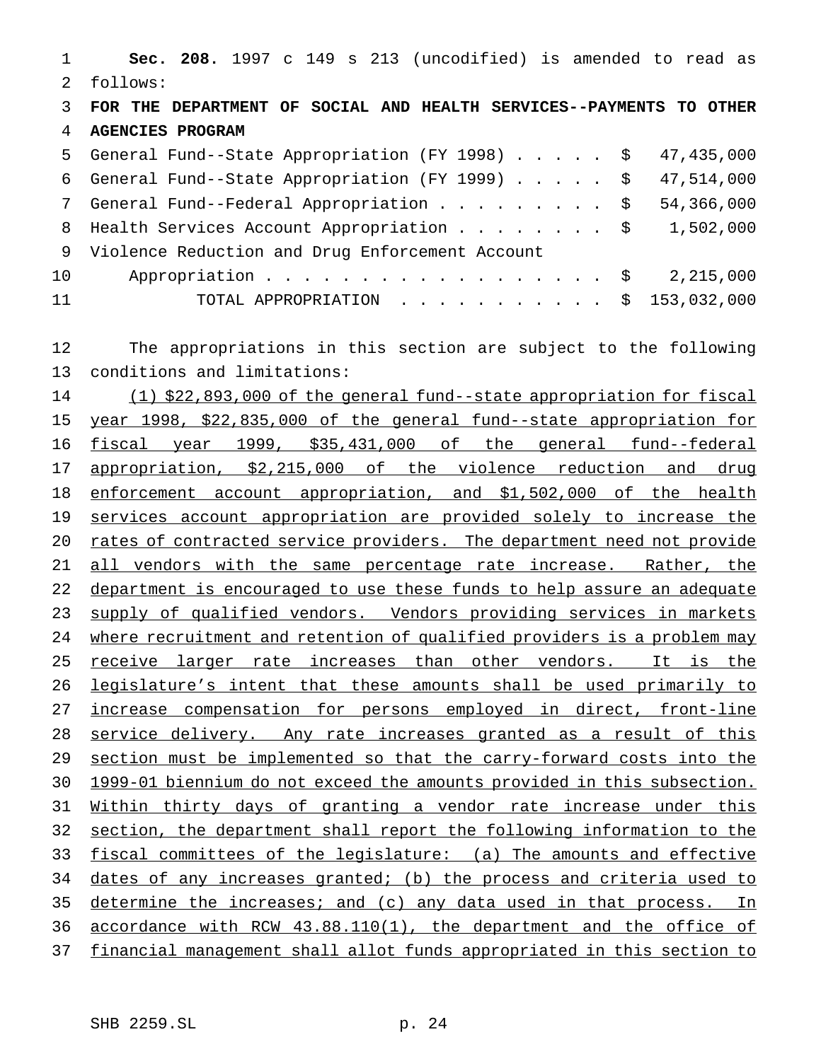**Sec. 208.** 1997 c 149 s 213 (uncodified) is amended to read as follows: **FOR THE DEPARTMENT OF SOCIAL AND HEALTH SERVICES--PAYMENTS TO OTHER AGENCIES PROGRAM** General Fund--State Appropriation (FY 1998)..... \$ 47,435,000 General Fund--State Appropriation (FY 1999)..... \$ 47,514,000 7 General Fund--Federal Appropriation . . . . . . . . \$ 54,366,000 8 Health Services Account Appropriation . . . . . . . \$ 1,502,000 Violence Reduction and Drug Enforcement Account 10 Appropriation . . . . . . . . . . . . . . . . \$ 2,215,000 TOTAL APPROPRIATION ........... \$ 153,032,000 The appropriations in this section are subject to the following conditions and limitations: (1) \$22,893,000 of the general fund--state appropriation for fiscal year 1998, \$22,835,000 of the general fund--state appropriation for fiscal year 1999, \$35,431,000 of the general fund--federal appropriation, \$2,215,000 of the violence reduction and drug 18 enforcement account appropriation, and \$1,502,000 of the health services account appropriation are provided solely to increase the 20 rates of contracted service providers. The department need not provide 21 all vendors with the same percentage rate increase. Rather, the department is encouraged to use these funds to help assure an adequate 23 supply of qualified vendors. Vendors providing services in markets 24 where recruitment and retention of qualified providers is a problem may 25 receive larger rate increases than other vendors. It is the legislature's intent that these amounts shall be used primarily to increase compensation for persons employed in direct, front-line 28 service delivery. Any rate increases granted as a result of this section must be implemented so that the carry-forward costs into the 1999-01 biennium do not exceed the amounts provided in this subsection. Within thirty days of granting a vendor rate increase under this section, the department shall report the following information to the fiscal committees of the legislature: (a) The amounts and effective dates of any increases granted; (b) the process and criteria used to 35 determine the increases; and (c) any data used in that process. In accordance with RCW 43.88.110(1), the department and the office of financial management shall allot funds appropriated in this section to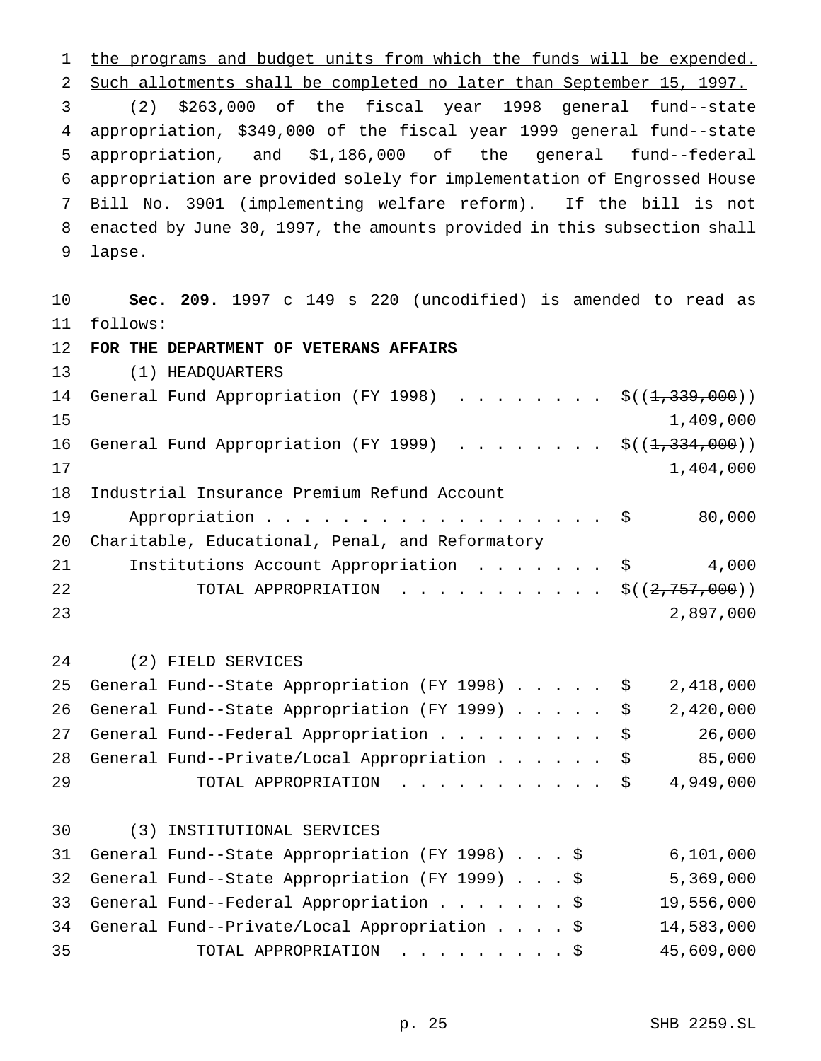1 the programs and budget units from which the funds will be expended. Such allotments shall be completed no later than September 15, 1997. (2) \$263,000 of the fiscal year 1998 general fund--state appropriation, \$349,000 of the fiscal year 1999 general fund--state appropriation, and \$1,186,000 of the general fund--federal appropriation are provided solely for implementation of Engrossed House Bill No. 3901 (implementing welfare reform). If the bill is not enacted by June 30, 1997, the amounts provided in this subsection shall lapse.

 **Sec. 209.** 1997 c 149 s 220 (uncodified) is amended to read as follows:

**FOR THE DEPARTMENT OF VETERANS AFFAIRS**

(1) HEADQUARTERS

|    | 14 General Fund Appropriation (FY 1998) \$((1,339,000))                               |           |
|----|---------------------------------------------------------------------------------------|-----------|
| 15 |                                                                                       | 1,409,000 |
|    | 16 General Fund Appropriation (FY 1999) $\frac{1}{5}((\frac{1}{2}, \frac{334}{100}))$ |           |
| 17 |                                                                                       | 1,404,000 |
|    | 18 Industrial Insurance Premium Refund Account                                        |           |
| 19 | Appropriation $\frac{1}{2}$                                                           | 80,000    |
| 20 | Charitable, Educational, Penal, and Reformatory                                       |           |
| 21 | Institutions Account Appropriation \$                                                 | 4,000     |
| 22 | TOTAL APPROPRIATION \$ $((2, 757, 000))$                                              |           |
| 23 |                                                                                       | 2,897,000 |

(2) FIELD SERVICES

|    | 25 General Fund--State Appropriation (FY 1998) \$ 2,418,000 |        |
|----|-------------------------------------------------------------|--------|
|    | 26 General Fund--State Appropriation (FY 1999) \$ 2,420,000 |        |
|    | 27 General Fund--Federal Appropriation \$                   | 26,000 |
|    | 28 General Fund--Private/Local Appropriation \$             | 85,000 |
| 29 | TOTAL APPROPRIATION $\ldots$ , \$ 4,949,000                 |        |

(3) INSTITUTIONAL SERVICES

|    | 31 General Fund--State Appropriation (FY 1998) \$ | 6,101,000  |
|----|---------------------------------------------------|------------|
|    | 32 General Fund--State Appropriation (FY 1999) \$ | 5,369,000  |
|    | 33 General Fund--Federal Appropriation \$         | 19,556,000 |
|    | 34 General Fund--Private/Local Appropriation \$   | 14,583,000 |
| 35 | TOTAL APPROPRIATION \$                            | 45,609,000 |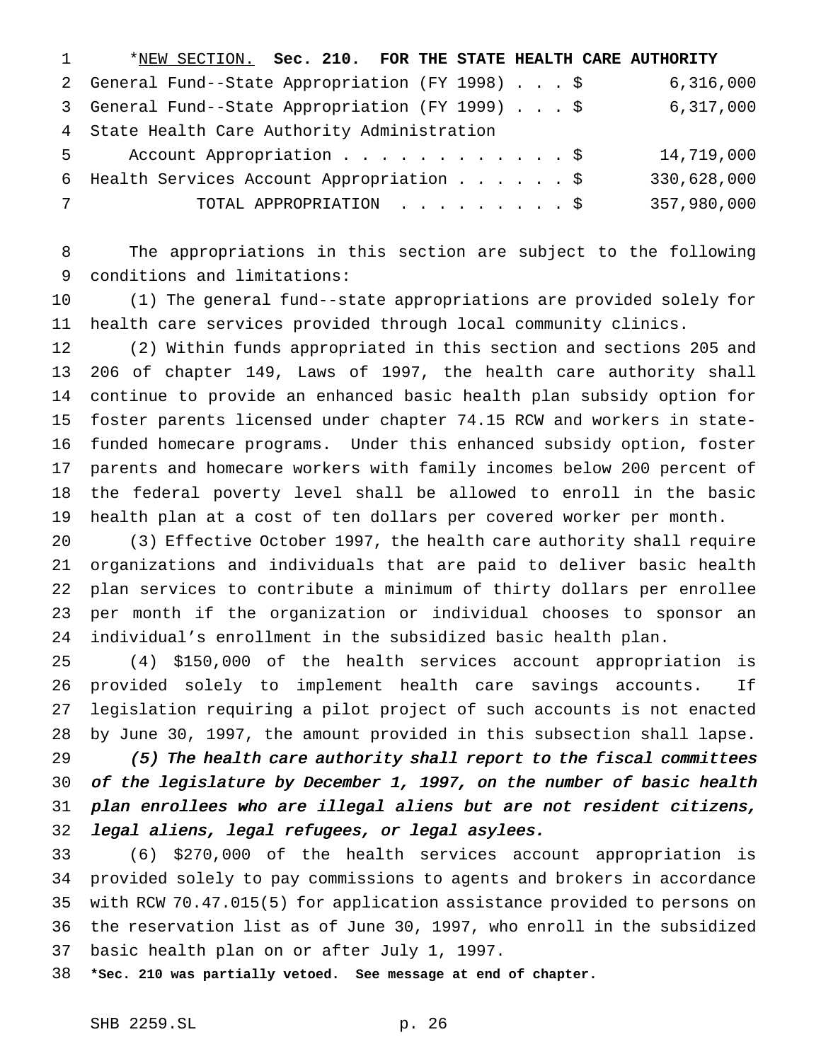| 1          | *NEW SECTION. Sec. 210. FOR THE STATE HEALTH CARE AUTHORITY |             |
|------------|-------------------------------------------------------------|-------------|
|            | 2 General Fund--State Appropriation (FY 1998) \$            | 6,316,000   |
|            | 3 General Fund--State Appropriation (FY 1999) \$            | 6,317,000   |
|            | 4 State Health Care Authority Administration                |             |
|            | 5 Account Appropriation \$                                  | 14,719,000  |
|            | 6 Health Services Account Appropriation \$                  | 330,628,000 |
| $7\degree$ | TOTAL APPROPRIATION \$                                      | 357,980,000 |

 The appropriations in this section are subject to the following conditions and limitations:

 (1) The general fund--state appropriations are provided solely for health care services provided through local community clinics.

 (2) Within funds appropriated in this section and sections 205 and 206 of chapter 149, Laws of 1997, the health care authority shall continue to provide an enhanced basic health plan subsidy option for foster parents licensed under chapter 74.15 RCW and workers in state- funded homecare programs. Under this enhanced subsidy option, foster parents and homecare workers with family incomes below 200 percent of the federal poverty level shall be allowed to enroll in the basic health plan at a cost of ten dollars per covered worker per month.

 (3) Effective October 1997, the health care authority shall require organizations and individuals that are paid to deliver basic health plan services to contribute a minimum of thirty dollars per enrollee per month if the organization or individual chooses to sponsor an individual's enrollment in the subsidized basic health plan.

 (4) \$150,000 of the health services account appropriation is provided solely to implement health care savings accounts. If legislation requiring a pilot project of such accounts is not enacted by June 30, 1997, the amount provided in this subsection shall lapse.

 (5) The health care authority shall report to the fiscal committees of the legislature by December 1, 1997, on the number of basic health plan enrollees who are illegal aliens but are not resident citizens, legal aliens, legal refugees, or legal asylees.

 (6) \$270,000 of the health services account appropriation is provided solely to pay commissions to agents and brokers in accordance with RCW 70.47.015(5) for application assistance provided to persons on the reservation list as of June 30, 1997, who enroll in the subsidized basic health plan on or after July 1, 1997.

**\*Sec. 210 was partially vetoed. See message at end of chapter.**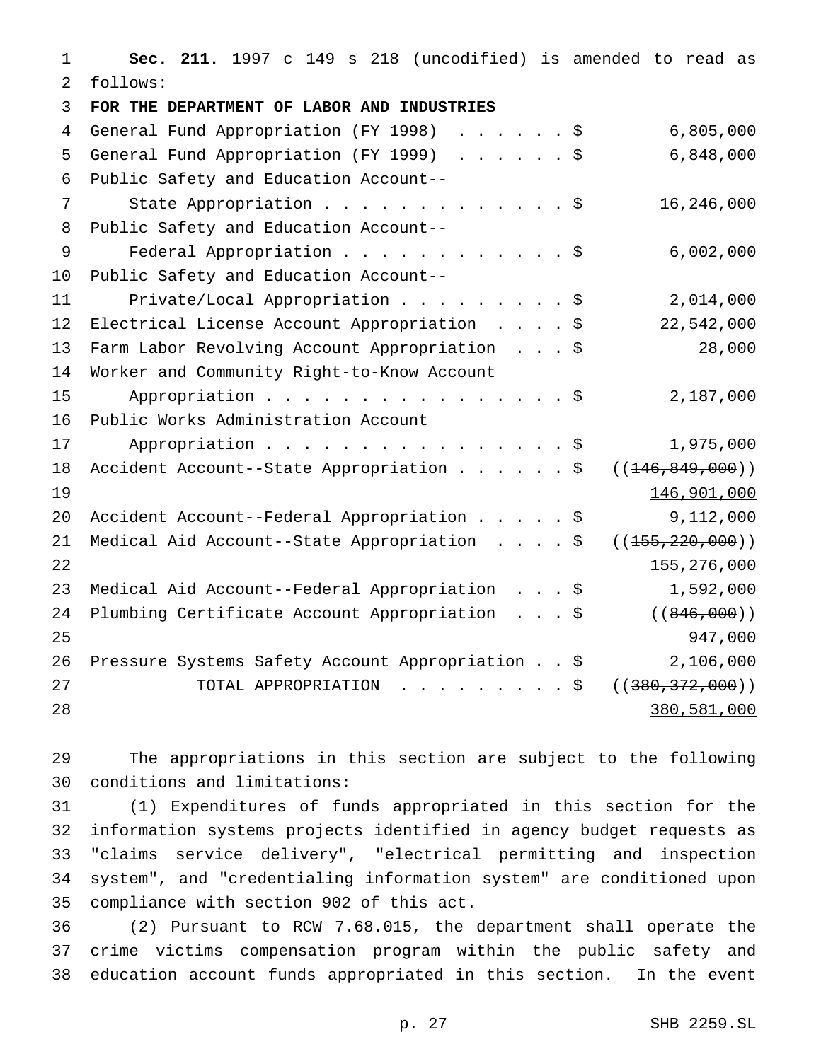**Sec. 211.** 1997 c 149 s 218 (uncodified) is amended to read as follows: **FOR THE DEPARTMENT OF LABOR AND INDUSTRIES** General Fund Appropriation (FY 1998) ......\$ 6,805,000 General Fund Appropriation (FY 1999) ......\$ 6,848,000 Public Safety and Education Account-- 7 State Appropriation . . . . . . . . . . . . \$ 16,246,000 Public Safety and Education Account-- 9 Federal Appropriation . . . . . . . . . . . \$ 6,002,000 Public Safety and Education Account-- 11 Private/Local Appropriation . . . . . . . . \$ 2,014,000 Electrical License Account Appropriation ....\$ 22,542,000 Farm Labor Revolving Account Appropriation ...\$ 28,000 Worker and Community Right-to-Know Account 15 Appropriation . . . . . . . . . . . . . . . \$ 2,187,000 Public Works Administration Account 17 Appropriation . . . . . . . . . . . . . . . \$ 1,975,000 18 Accident Account--State Appropriation . . . . . \$ ((<del>146,849,000</del>)) 146,901,000 Accident Account--Federal Appropriation.....\$ 9,112,000 21 Medical Aid Account--State Appropriation . . . . \$ ((<del>155,220,000</del>)) 22  $\frac{155,276,000}{2}$  Medical Aid Account--Federal Appropriation ...\$ 1,592,000 24 Plumbing Certificate Account Appropriation . . . \$ ((846,000)) 25 947,000 Pressure Systems Safety Account Appropriation..\$ 2,106,000 27 TOTAL APPROPRIATION . . . . . . . . \$ ((<del>380,372,000</del>)) 380,581,000

 The appropriations in this section are subject to the following conditions and limitations:

 (1) Expenditures of funds appropriated in this section for the information systems projects identified in agency budget requests as "claims service delivery", "electrical permitting and inspection system", and "credentialing information system" are conditioned upon compliance with section 902 of this act.

 (2) Pursuant to RCW 7.68.015, the department shall operate the crime victims compensation program within the public safety and education account funds appropriated in this section. In the event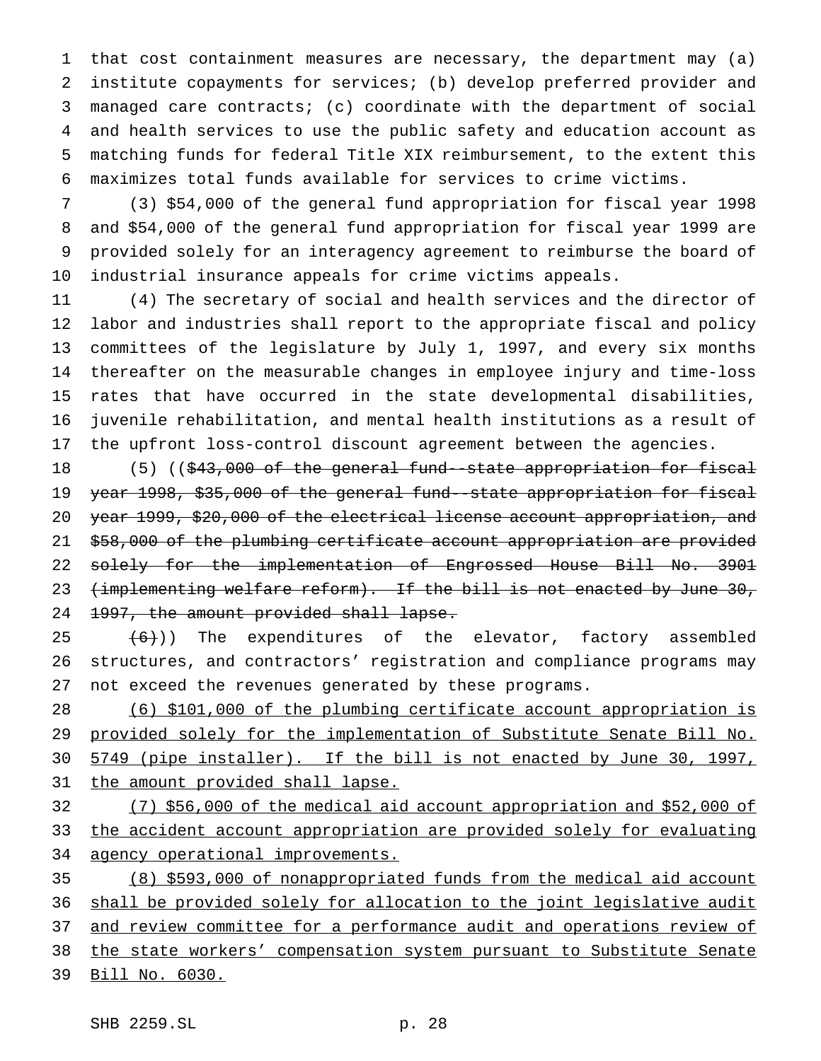that cost containment measures are necessary, the department may (a) institute copayments for services; (b) develop preferred provider and managed care contracts; (c) coordinate with the department of social and health services to use the public safety and education account as matching funds for federal Title XIX reimbursement, to the extent this maximizes total funds available for services to crime victims.

 (3) \$54,000 of the general fund appropriation for fiscal year 1998 and \$54,000 of the general fund appropriation for fiscal year 1999 are provided solely for an interagency agreement to reimburse the board of industrial insurance appeals for crime victims appeals.

 (4) The secretary of social and health services and the director of labor and industries shall report to the appropriate fiscal and policy committees of the legislature by July 1, 1997, and every six months thereafter on the measurable changes in employee injury and time-loss rates that have occurred in the state developmental disabilities, juvenile rehabilitation, and mental health institutions as a result of the upfront loss-control discount agreement between the agencies.

18 (5) ((\$43,000 of the general fund--state appropriation for fiscal year 1998, \$35,000 of the general fund--state appropriation for fiscal year 1999, \$20,000 of the electrical license account appropriation, and \$58,000 of the plumbing certificate account appropriation are provided solely for the implementation of Engrossed House Bill No. 3901 23 (implementing welfare reform). If the bill is not enacted by June 30, 24 1997, the amount provided shall lapse.

 $(6)$ ) The expenditures of the elevator, factory assembled structures, and contractors' registration and compliance programs may not exceed the revenues generated by these programs.

 (6) \$101,000 of the plumbing certificate account appropriation is provided solely for the implementation of Substitute Senate Bill No. 5749 (pipe installer). If the bill is not enacted by June 30, 1997, 31 the amount provided shall lapse.

 (7) \$56,000 of the medical aid account appropriation and \$52,000 of the accident account appropriation are provided solely for evaluating 34 agency operational improvements.

 (8) \$593,000 of nonappropriated funds from the medical aid account shall be provided solely for allocation to the joint legislative audit 37 and review committee for a performance audit and operations review of the state workers' compensation system pursuant to Substitute Senate Bill No. 6030.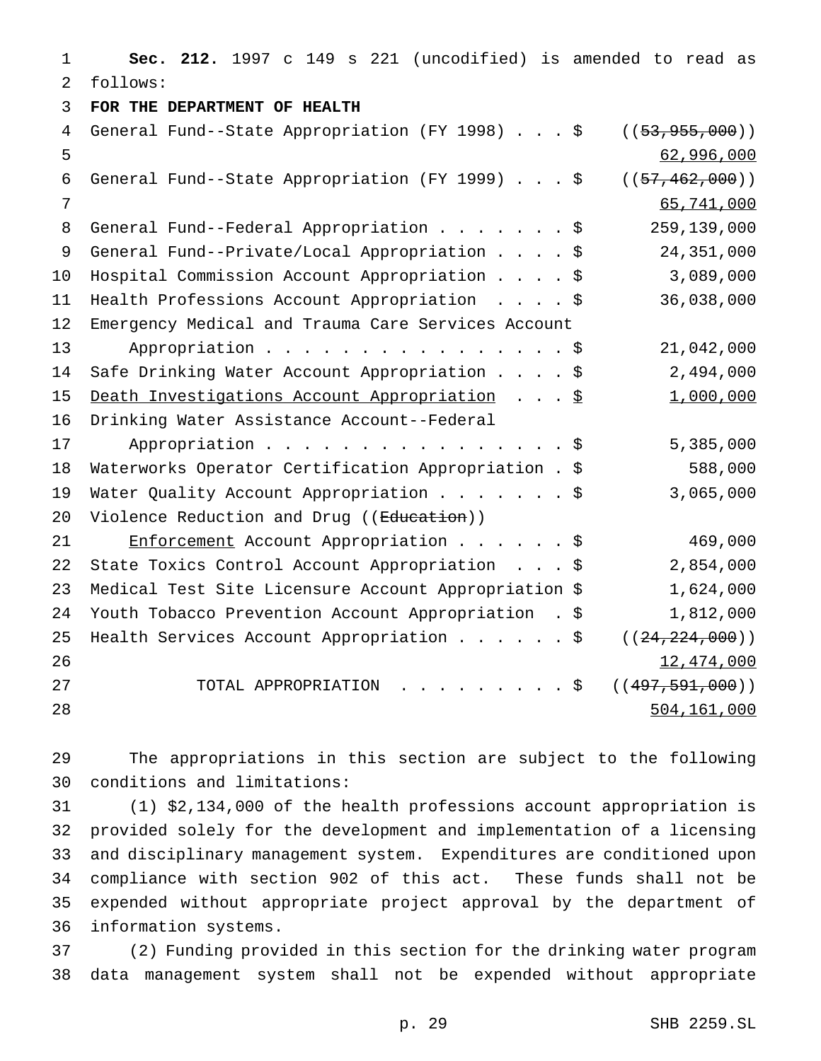**Sec. 212.** 1997 c 149 s 221 (uncodified) is amended to read as follows: **FOR THE DEPARTMENT OF HEALTH** 4 General Fund--State Appropriation (FY 1998) . . . \$ ((53,955,000)) 62,996,000 General Fund--State Appropriation (FY 1999)...\$ ((57,462,000)) 65,741,000 8 General Fund--Federal Appropriation . . . . . . \$ 259,139,000 General Fund--Private/Local Appropriation....\$ 24,351,000 Hospital Commission Account Appropriation....\$ 3,089,000 Health Professions Account Appropriation ....\$ 36,038,000 Emergency Medical and Trauma Care Services Account 13 Appropriation . . . . . . . . . . . . . . \$ 21,042,000 Safe Drinking Water Account Appropriation....\$ 2,494,000 15 Death Investigations Account Appropriation . . . \$ 1,000,000 Drinking Water Assistance Account--Federal 17 Appropriation . . . . . . . . . . . . . . . \$ 5,385,000 Waterworks Operator Certification Appropriation . \$ 588,000 19 Water Quality Account Appropriation . . . . . . \$ 3,065,000 20 Violence Reduction and Drug ((Education)) 21 Enforcement Account Appropriation . . . . . \$ 469,000 State Toxics Control Account Appropriation ...\$ 2,854,000 Medical Test Site Licensure Account Appropriation \$ 1,624,000 Youth Tobacco Prevention Account Appropriation . \$ 1,812,000 25 Health Services Account Appropriation . . . . . \$ ((24,224,000)) 26 12,474,000 27 TOTAL APPROPRIATION . . . . . . . . \$ ((497,591,000)) 504,161,000

 The appropriations in this section are subject to the following conditions and limitations:

 (1) \$2,134,000 of the health professions account appropriation is provided solely for the development and implementation of a licensing and disciplinary management system. Expenditures are conditioned upon compliance with section 902 of this act. These funds shall not be expended without appropriate project approval by the department of information systems.

 (2) Funding provided in this section for the drinking water program data management system shall not be expended without appropriate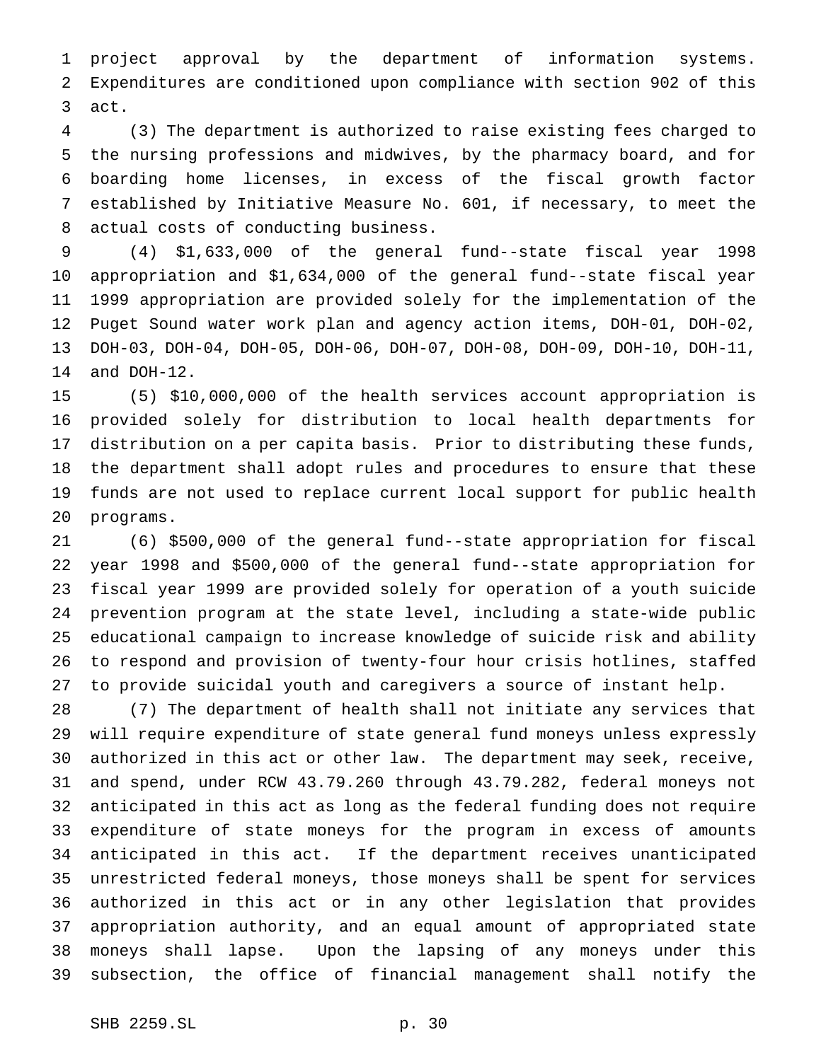project approval by the department of information systems. Expenditures are conditioned upon compliance with section 902 of this act.

 (3) The department is authorized to raise existing fees charged to the nursing professions and midwives, by the pharmacy board, and for boarding home licenses, in excess of the fiscal growth factor established by Initiative Measure No. 601, if necessary, to meet the actual costs of conducting business.

 (4) \$1,633,000 of the general fund--state fiscal year 1998 appropriation and \$1,634,000 of the general fund--state fiscal year 1999 appropriation are provided solely for the implementation of the Puget Sound water work plan and agency action items, DOH-01, DOH-02, DOH-03, DOH-04, DOH-05, DOH-06, DOH-07, DOH-08, DOH-09, DOH-10, DOH-11, and DOH-12.

 (5) \$10,000,000 of the health services account appropriation is provided solely for distribution to local health departments for distribution on a per capita basis. Prior to distributing these funds, the department shall adopt rules and procedures to ensure that these funds are not used to replace current local support for public health programs.

 (6) \$500,000 of the general fund--state appropriation for fiscal year 1998 and \$500,000 of the general fund--state appropriation for fiscal year 1999 are provided solely for operation of a youth suicide prevention program at the state level, including a state-wide public educational campaign to increase knowledge of suicide risk and ability to respond and provision of twenty-four hour crisis hotlines, staffed to provide suicidal youth and caregivers a source of instant help.

 (7) The department of health shall not initiate any services that will require expenditure of state general fund moneys unless expressly authorized in this act or other law. The department may seek, receive, and spend, under RCW 43.79.260 through 43.79.282, federal moneys not anticipated in this act as long as the federal funding does not require expenditure of state moneys for the program in excess of amounts anticipated in this act. If the department receives unanticipated unrestricted federal moneys, those moneys shall be spent for services authorized in this act or in any other legislation that provides appropriation authority, and an equal amount of appropriated state moneys shall lapse. Upon the lapsing of any moneys under this subsection, the office of financial management shall notify the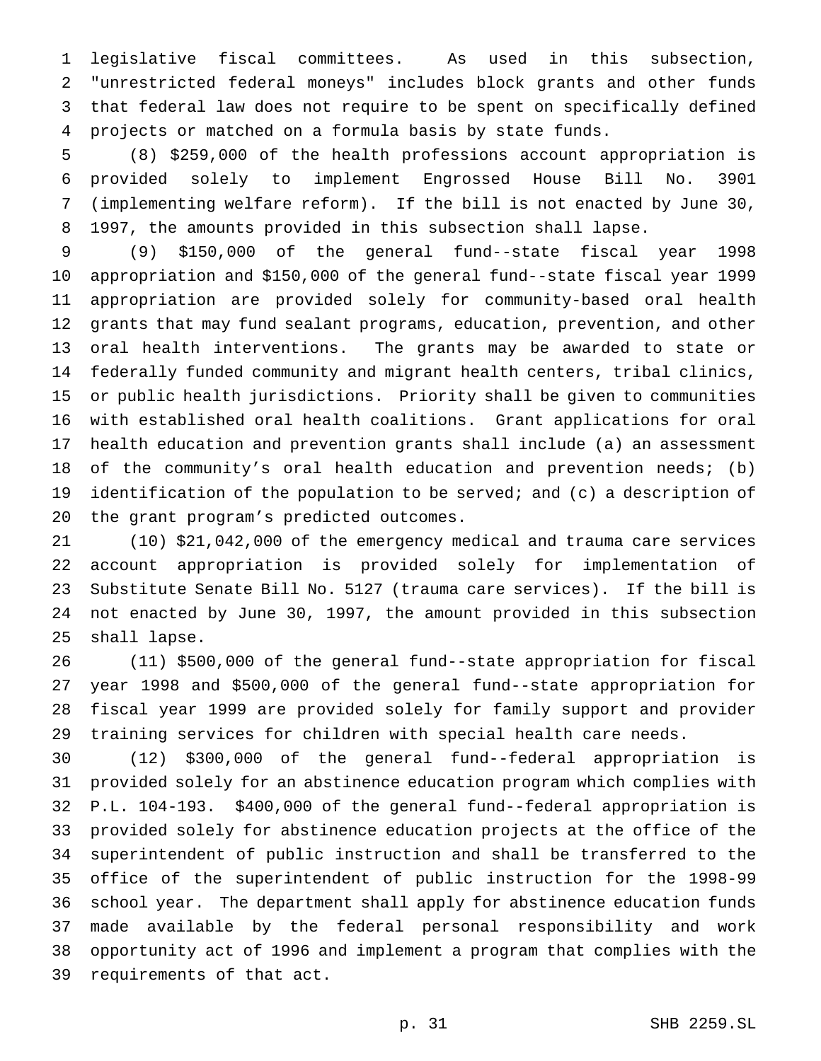legislative fiscal committees. As used in this subsection, "unrestricted federal moneys" includes block grants and other funds that federal law does not require to be spent on specifically defined projects or matched on a formula basis by state funds.

 (8) \$259,000 of the health professions account appropriation is provided solely to implement Engrossed House Bill No. 3901 (implementing welfare reform). If the bill is not enacted by June 30, 1997, the amounts provided in this subsection shall lapse.

 (9) \$150,000 of the general fund--state fiscal year 1998 appropriation and \$150,000 of the general fund--state fiscal year 1999 appropriation are provided solely for community-based oral health grants that may fund sealant programs, education, prevention, and other oral health interventions. The grants may be awarded to state or federally funded community and migrant health centers, tribal clinics, or public health jurisdictions. Priority shall be given to communities with established oral health coalitions. Grant applications for oral health education and prevention grants shall include (a) an assessment of the community's oral health education and prevention needs; (b) identification of the population to be served; and (c) a description of the grant program's predicted outcomes.

 (10) \$21,042,000 of the emergency medical and trauma care services account appropriation is provided solely for implementation of Substitute Senate Bill No. 5127 (trauma care services). If the bill is not enacted by June 30, 1997, the amount provided in this subsection shall lapse.

 (11) \$500,000 of the general fund--state appropriation for fiscal year 1998 and \$500,000 of the general fund--state appropriation for fiscal year 1999 are provided solely for family support and provider training services for children with special health care needs.

 (12) \$300,000 of the general fund--federal appropriation is provided solely for an abstinence education program which complies with P.L. 104-193. \$400,000 of the general fund--federal appropriation is provided solely for abstinence education projects at the office of the superintendent of public instruction and shall be transferred to the office of the superintendent of public instruction for the 1998-99 school year. The department shall apply for abstinence education funds made available by the federal personal responsibility and work opportunity act of 1996 and implement a program that complies with the requirements of that act.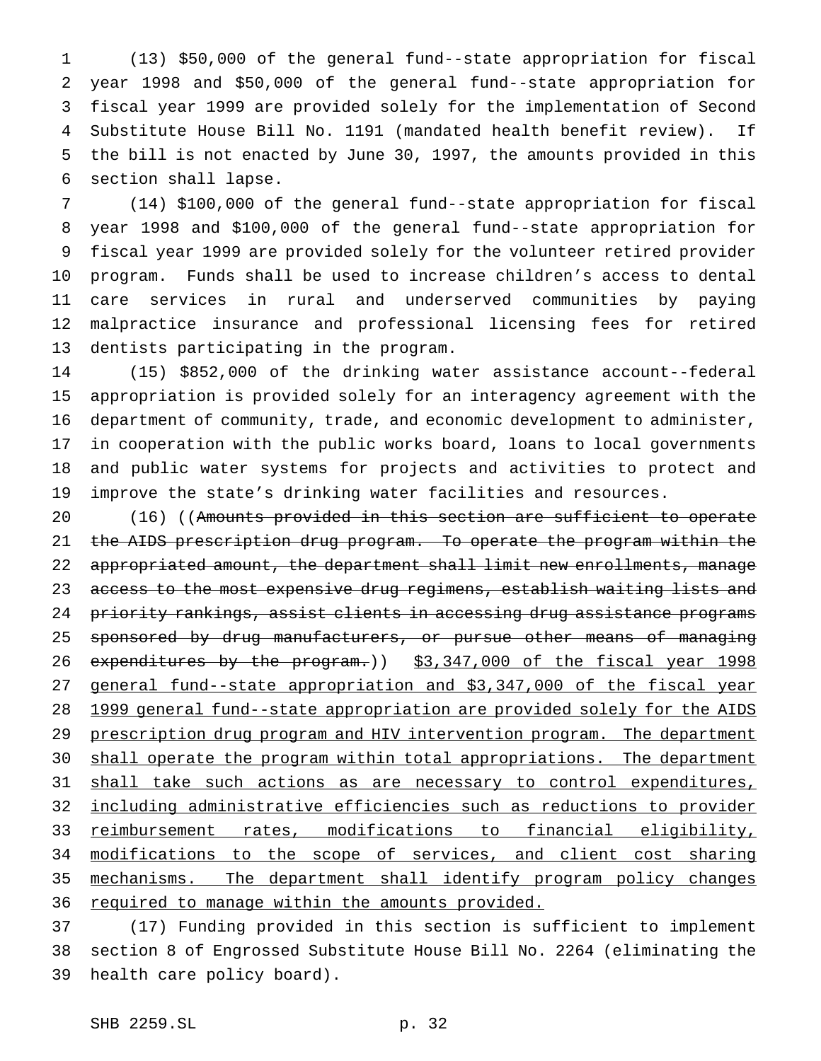(13) \$50,000 of the general fund--state appropriation for fiscal year 1998 and \$50,000 of the general fund--state appropriation for fiscal year 1999 are provided solely for the implementation of Second Substitute House Bill No. 1191 (mandated health benefit review). If the bill is not enacted by June 30, 1997, the amounts provided in this section shall lapse.

 (14) \$100,000 of the general fund--state appropriation for fiscal year 1998 and \$100,000 of the general fund--state appropriation for fiscal year 1999 are provided solely for the volunteer retired provider program. Funds shall be used to increase children's access to dental care services in rural and underserved communities by paying malpractice insurance and professional licensing fees for retired dentists participating in the program.

 (15) \$852,000 of the drinking water assistance account--federal appropriation is provided solely for an interagency agreement with the department of community, trade, and economic development to administer, in cooperation with the public works board, loans to local governments and public water systems for projects and activities to protect and improve the state's drinking water facilities and resources.

 (16) ((Amounts provided in this section are sufficient to operate the AIDS prescription drug program. To operate the program within the 22 appropriated amount, the department shall limit new enrollments, manage access to the most expensive drug regimens, establish waiting lists and 24 priority rankings, assist clients in accessing drug assistance programs 25 sponsored by drug manufacturers, or pursue other means of managing 26 expenditures by the program.)) \$3,347,000 of the fiscal year 1998 general fund--state appropriation and \$3,347,000 of the fiscal year 1999 general fund--state appropriation are provided solely for the AIDS 29 prescription drug program and HIV intervention program. The department 30 shall operate the program within total appropriations. The department 31 shall take such actions as are necessary to control expenditures, including administrative efficiencies such as reductions to provider reimbursement rates, modifications to financial eligibility, 34 modifications to the scope of services, and client cost sharing mechanisms. The department shall identify program policy changes 36 required to manage within the amounts provided.

 (17) Funding provided in this section is sufficient to implement section 8 of Engrossed Substitute House Bill No. 2264 (eliminating the health care policy board).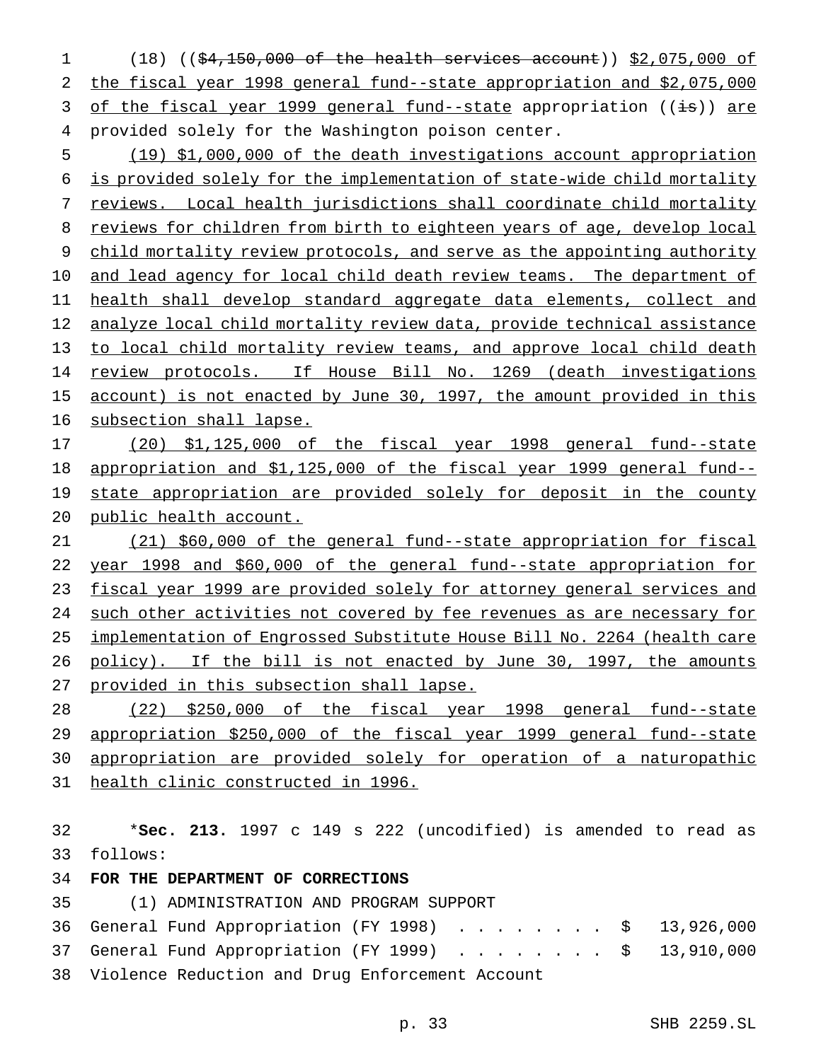(18) ((\$4,150,000 of the health services account)) \$2,075,000 of the fiscal year 1998 general fund--state appropriation and \$2,075,000 3 of the fiscal year 1999 general fund--state appropriation ((is)) are provided solely for the Washington poison center.

 (19) \$1,000,000 of the death investigations account appropriation is provided solely for the implementation of state-wide child mortality reviews. Local health jurisdictions shall coordinate child mortality 8 reviews for children from birth to eighteen years of age, develop local child mortality review protocols, and serve as the appointing authority 10 and lead agency for local child death review teams. The department of health shall develop standard aggregate data elements, collect and 12 analyze local child mortality review data, provide technical assistance 13 to local child mortality review teams, and approve local child death 14 review protocols. If House Bill No. 1269 (death investigations 15 account) is not enacted by June 30, 1997, the amount provided in this subsection shall lapse.

 (20) \$1,125,000 of the fiscal year 1998 general fund--state appropriation and \$1,125,000 of the fiscal year 1999 general fund-- 19 state appropriation are provided solely for deposit in the county public health account.

 (21) \$60,000 of the general fund--state appropriation for fiscal year 1998 and \$60,000 of the general fund--state appropriation for 23 fiscal year 1999 are provided solely for attorney general services and such other activities not covered by fee revenues as are necessary for implementation of Engrossed Substitute House Bill No. 2264 (health care 26 policy). If the bill is not enacted by June 30, 1997, the amounts 27 provided in this subsection shall lapse.

 (22) \$250,000 of the fiscal year 1998 general fund--state appropriation \$250,000 of the fiscal year 1999 general fund--state appropriation are provided solely for operation of a naturopathic health clinic constructed in 1996.

 \***Sec. 213.** 1997 c 149 s 222 (uncodified) is amended to read as follows:

## **FOR THE DEPARTMENT OF CORRECTIONS**

(1) ADMINISTRATION AND PROGRAM SUPPORT

|                                                    | 36 General Fund Appropriation (FY 1998) \$ 13,926,000 |
|----------------------------------------------------|-------------------------------------------------------|
|                                                    | 37 General Fund Appropriation (FY 1999) \$ 13,910,000 |
| 38 Violence Reduction and Drug Enforcement Account |                                                       |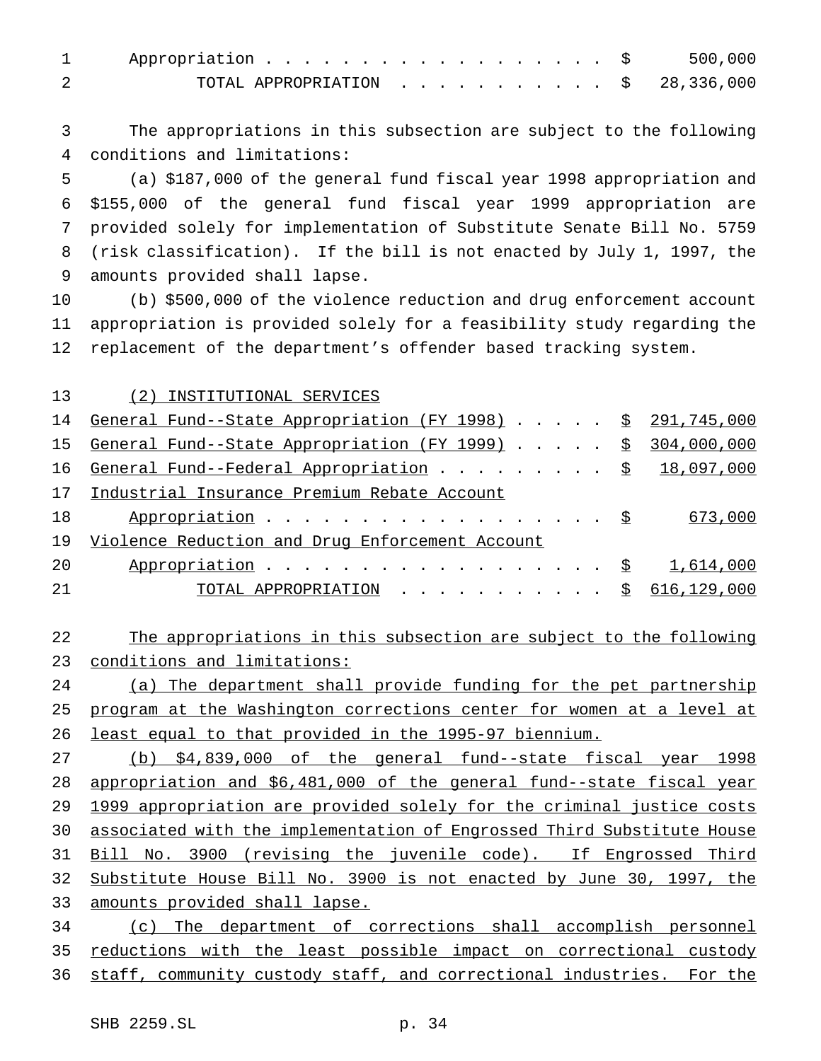| 1 Appropriation \$ 500,000                   |  |  |  |  |  |  |  |
|----------------------------------------------|--|--|--|--|--|--|--|
| TOTAL APPROPRIATION $\ldots$ , \$ 28,336,000 |  |  |  |  |  |  |  |

 The appropriations in this subsection are subject to the following conditions and limitations:

 (a) \$187,000 of the general fund fiscal year 1998 appropriation and \$155,000 of the general fund fiscal year 1999 appropriation are provided solely for implementation of Substitute Senate Bill No. 5759 (risk classification). If the bill is not enacted by July 1, 1997, the amounts provided shall lapse.

 (b) \$500,000 of the violence reduction and drug enforcement account appropriation is provided solely for a feasibility study regarding the replacement of the department's offender based tracking system.

(2) INSTITUTIONAL SERVICES

| 14 General Fund--State Appropriation (FY 1998) \$ 291,745,000       |  |
|---------------------------------------------------------------------|--|
| 15 General Fund--State Appropriation (FY 1999) \$ 304,000,000       |  |
| General Fund--Federal Appropriation $\frac{18,097,000}{18,090,000}$ |  |
| Industrial Insurance Premium Rebate Account<br>17                   |  |
| Appropriation $\frac{1}{2}$ 673,000                                 |  |
| Violence Reduction and Drug Enforcement Account                     |  |
| Appropriation $\frac{1}{5}$ 1,614,000                               |  |
| TOTAL APPROPRIATION $\ldots$ , $\S$ 616,129,000                     |  |
|                                                                     |  |

## The appropriations in this subsection are subject to the following conditions and limitations:

 (a) The department shall provide funding for the pet partnership program at the Washington corrections center for women at a level at least equal to that provided in the 1995-97 biennium.

 (b) \$4,839,000 of the general fund--state fiscal year 1998 appropriation and \$6,481,000 of the general fund--state fiscal year 1999 appropriation are provided solely for the criminal justice costs associated with the implementation of Engrossed Third Substitute House Bill No. 3900 (revising the juvenile code). If Engrossed Third Substitute House Bill No. 3900 is not enacted by June 30, 1997, the amounts provided shall lapse.

 (c) The department of corrections shall accomplish personnel 35 reductions with the least possible impact on correctional custody staff, community custody staff, and correctional industries. For the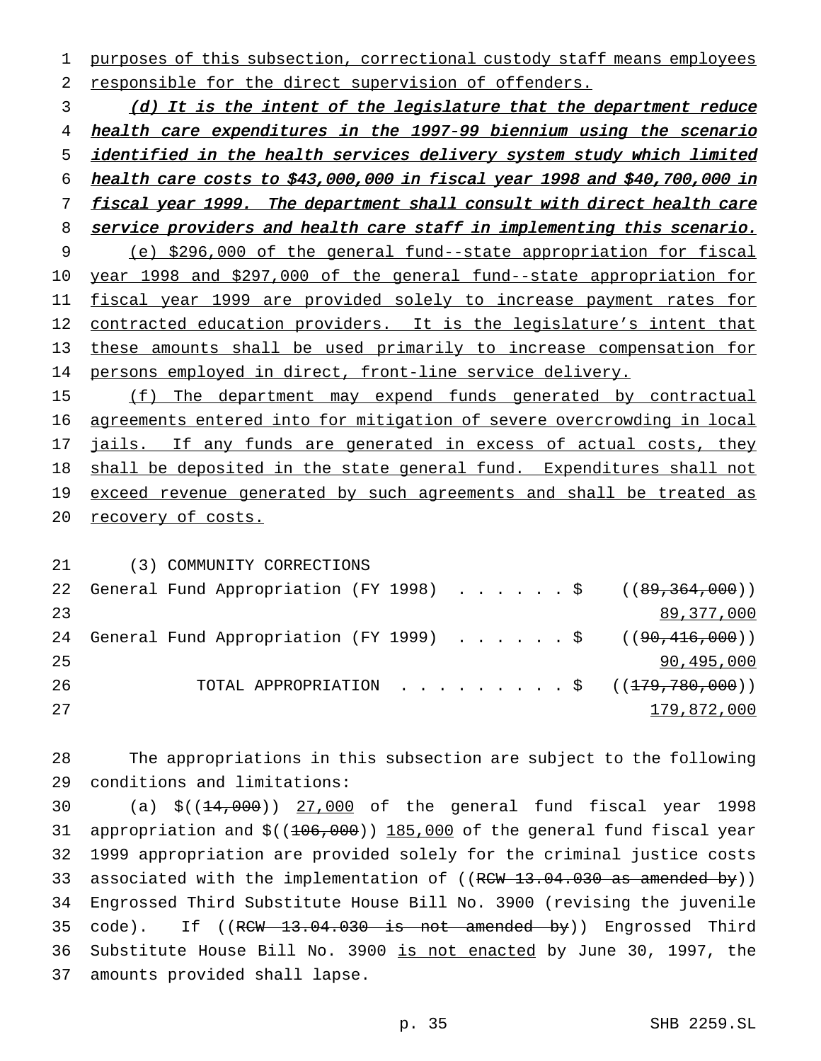purposes of this subsection, correctional custody staff means employees responsible for the direct supervision of offenders.

3 (d) It is the intent of the legislature that the department reduce health care expenditures in the 1997-99 biennium using the scenario identified in the health services delivery system study which limited health care costs to \$43,000,000 in fiscal year <sup>1998</sup> and \$40,700,000 in 7 fiscal year 1999. The department shall consult with direct health care 8 service providers and health care staff in implementing this scenario. (e) \$296,000 of the general fund--state appropriation for fiscal year 1998 and \$297,000 of the general fund--state appropriation for fiscal year 1999 are provided solely to increase payment rates for 12 contracted education providers. It is the legislature's intent that these amounts shall be used primarily to increase compensation for persons employed in direct, front-line service delivery.

15 (f) The department may expend funds generated by contractual agreements entered into for mitigation of severe overcrowding in local 17 jails. If any funds are generated in excess of actual costs, they shall be deposited in the state general fund. Expenditures shall not 19 exceed revenue generated by such agreements and shall be treated as recovery of costs.

 (3) COMMUNITY CORRECTIONS 22 General Fund Appropriation (FY 1998) . . . . . \$ ((89,364,000)) 89,377,000 24 General Fund Appropriation (FY 1999) . . . . . . \$ ((90,416,000)) 90,495,000 26 TOTAL APPROPRIATION . . . . . . . . \$ ((<del>179,780,000</del>)) 179,872,000

 The appropriations in this subsection are subject to the following conditions and limitations:

30 (a) \$((<del>14,000</del>)) 27,000 of the general fund fiscal year 1998 31 appropriation and  $$((106,000))$  185,000 of the general fund fiscal year 1999 appropriation are provided solely for the criminal justice costs 33 associated with the implementation of  $((R<sub>CW</sub> 13.04.030 as amended by))$  Engrossed Third Substitute House Bill No. 3900 (revising the juvenile 35 code). If ((RCW 13.04.030 is not amended by)) Engrossed Third Substitute House Bill No. 3900 is not enacted by June 30, 1997, the amounts provided shall lapse.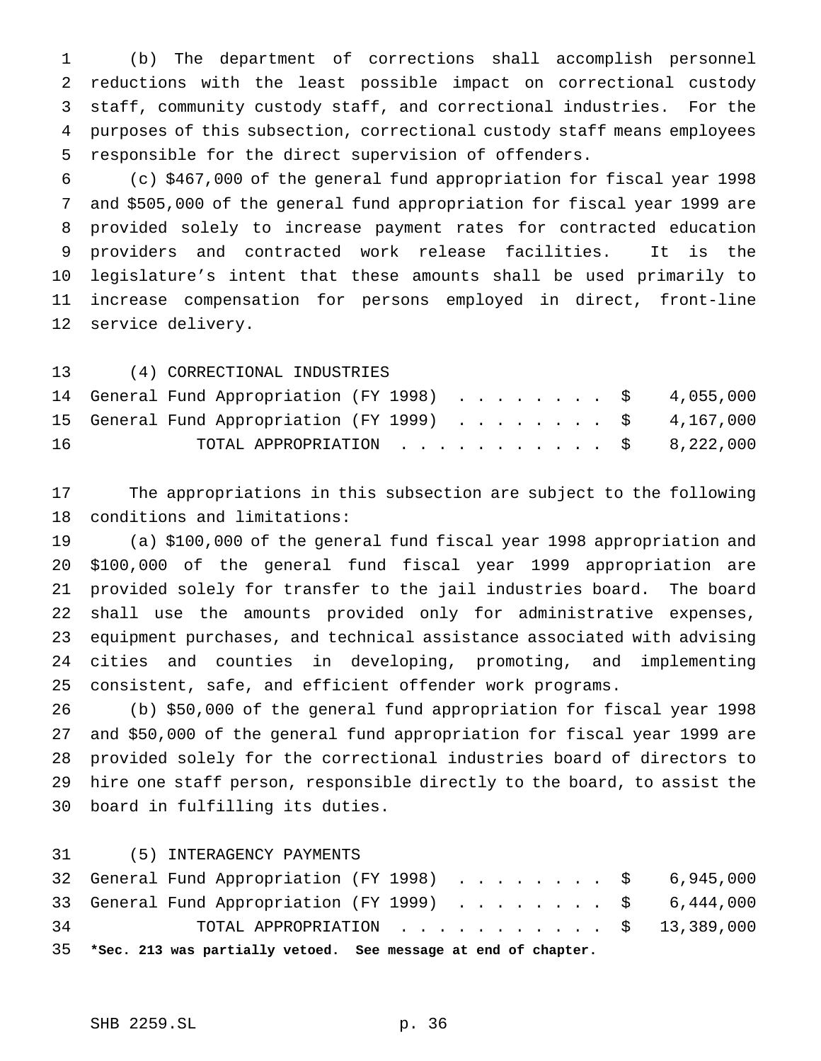(b) The department of corrections shall accomplish personnel reductions with the least possible impact on correctional custody staff, community custody staff, and correctional industries. For the purposes of this subsection, correctional custody staff means employees responsible for the direct supervision of offenders.

 (c) \$467,000 of the general fund appropriation for fiscal year 1998 and \$505,000 of the general fund appropriation for fiscal year 1999 are provided solely to increase payment rates for contracted education providers and contracted work release facilities. It is the legislature's intent that these amounts shall be used primarily to increase compensation for persons employed in direct, front-line service delivery.

|    | 13 (4) CORRECTIONAL INDUSTRIES                       |  |
|----|------------------------------------------------------|--|
|    | 14 General Fund Appropriation (FY 1998) \$ 4,055,000 |  |
|    | 15 General Fund Appropriation (FY 1999) \$ 4,167,000 |  |
| 16 | TOTAL APPROPRIATION $\ldots$ , \$ 8,222,000          |  |

 The appropriations in this subsection are subject to the following conditions and limitations:

 (a) \$100,000 of the general fund fiscal year 1998 appropriation and \$100,000 of the general fund fiscal year 1999 appropriation are provided solely for transfer to the jail industries board. The board shall use the amounts provided only for administrative expenses, equipment purchases, and technical assistance associated with advising cities and counties in developing, promoting, and implementing consistent, safe, and efficient offender work programs.

 (b) \$50,000 of the general fund appropriation for fiscal year 1998 and \$50,000 of the general fund appropriation for fiscal year 1999 are provided solely for the correctional industries board of directors to hire one staff person, responsible directly to the board, to assist the board in fulfilling its duties.

(5) INTERAGENCY PAYMENTS

|    |  | 35 *Sec. 213 was partially vetoed. See message at end of chapter. |  |  |  |  |  |  |
|----|--|-------------------------------------------------------------------|--|--|--|--|--|--|
| 34 |  | TOTAL APPROPRIATION $\ldots$ , \$ 13,389,000                      |  |  |  |  |  |  |
|    |  | 33 General Fund Appropriation (FY 1999) \$ 6,444,000              |  |  |  |  |  |  |
|    |  | 32 General Fund Appropriation (FY 1998) \$ 6,945,000              |  |  |  |  |  |  |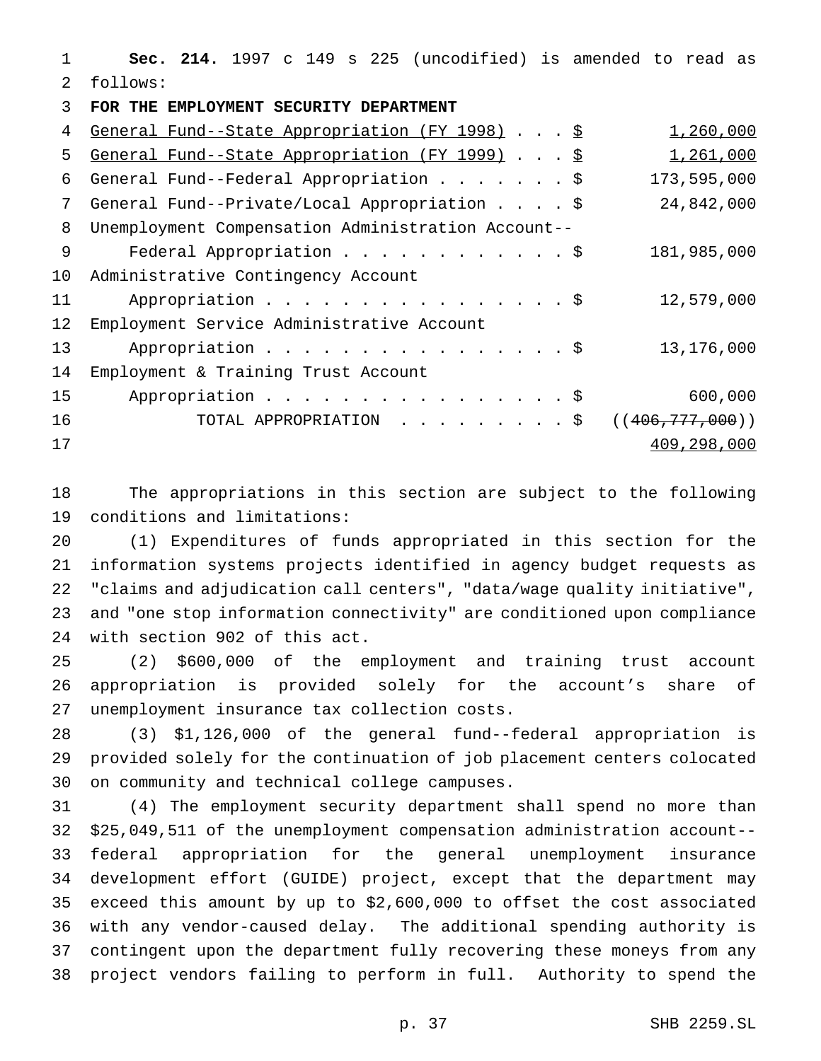**Sec. 214.** 1997 c 149 s 225 (uncodified) is amended to read as follows:

**FOR THE EMPLOYMENT SECURITY DEPARTMENT**

| 4  | General Fund--State Appropriation (FY 1998) \$     | 1,260,000         |
|----|----------------------------------------------------|-------------------|
| 5  | General Fund--State Appropriation (FY 1999) \$     | 1,261,000         |
| 6  | General Fund--Federal Appropriation \$             | 173,595,000       |
| 7  | General Fund--Private/Local Appropriation \$       | 24,842,000        |
| 8  | Unemployment Compensation Administration Account-- |                   |
| 9  | Federal Appropriation \$                           | 181,985,000       |
| 10 | Administrative Contingency Account                 |                   |
| 11 | Appropriation \$                                   | 12,579,000        |
| 12 | Employment Service Administrative Account          |                   |
| 13 | Appropriation \$                                   | 13,176,000        |
| 14 | Employment & Training Trust Account                |                   |
| 15 | Appropriation \$                                   | 600,000           |
| 16 | TOTAL APPROPRIATION \$                             | ((406, 777, 000)) |
| 17 |                                                    | 409,298,000       |
|    |                                                    |                   |

 The appropriations in this section are subject to the following conditions and limitations:

 (1) Expenditures of funds appropriated in this section for the information systems projects identified in agency budget requests as "claims and adjudication call centers", "data/wage quality initiative", and "one stop information connectivity" are conditioned upon compliance with section 902 of this act.

 (2) \$600,000 of the employment and training trust account appropriation is provided solely for the account's share of unemployment insurance tax collection costs.

 (3) \$1,126,000 of the general fund--federal appropriation is provided solely for the continuation of job placement centers colocated on community and technical college campuses.

 (4) The employment security department shall spend no more than \$25,049,511 of the unemployment compensation administration account-- federal appropriation for the general unemployment insurance development effort (GUIDE) project, except that the department may exceed this amount by up to \$2,600,000 to offset the cost associated with any vendor-caused delay. The additional spending authority is contingent upon the department fully recovering these moneys from any project vendors failing to perform in full. Authority to spend the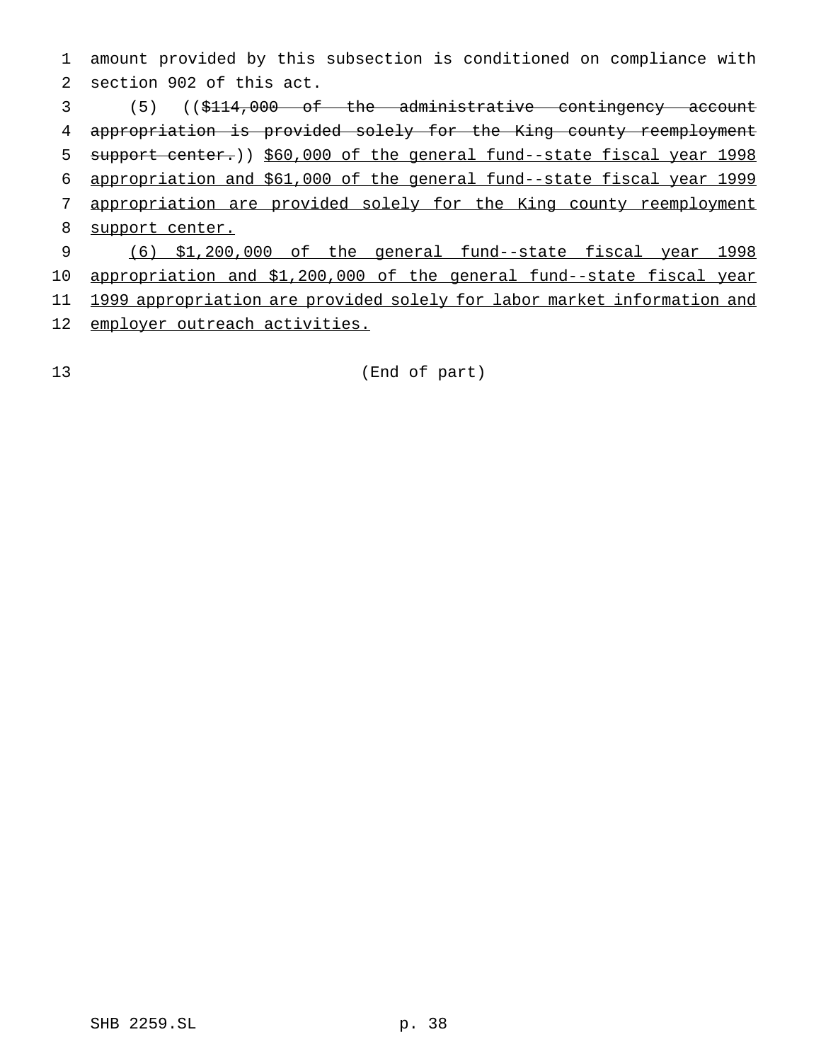amount provided by this subsection is conditioned on compliance with section 902 of this act.

 (5) ((\$114,000 of the administrative contingency account appropriation is provided solely for the King county reemployment 5 support center.)) \$60,000 of the general fund--state fiscal year 1998 appropriation and \$61,000 of the general fund--state fiscal year 1999 appropriation are provided solely for the King county reemployment 8 support center. (6) \$1,200,000 of the general fund--state fiscal year 1998 appropriation and \$1,200,000 of the general fund--state fiscal year 1999 appropriation are provided solely for labor market information and

12 employer outreach activities.

(End of part)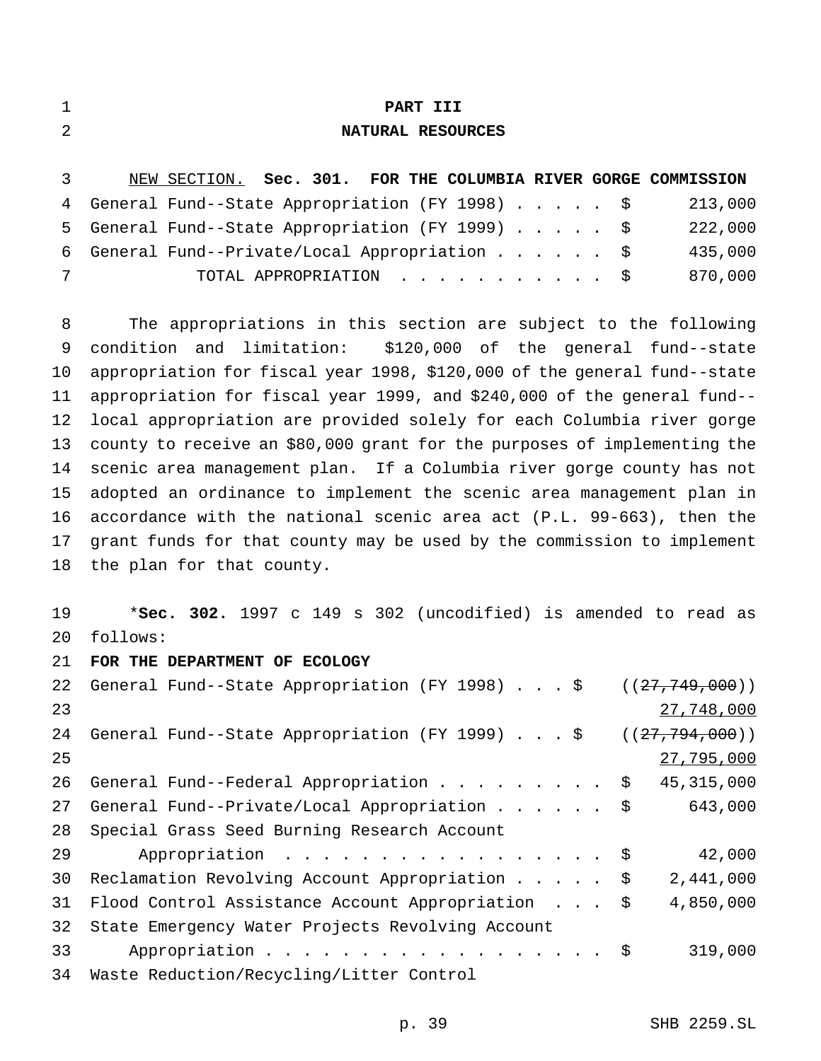| ٠ | PART III |  |
|---|----------|--|
|   |          |  |

## **NATURAL RESOURCES**

| $\overline{3}$ | NEW SECTION. Sec. 301. FOR THE COLUMBIA RIVER GORGE COMMISSION |         |
|----------------|----------------------------------------------------------------|---------|
|                | 4 General Fund--State Appropriation (FY 1998) \$               | 213,000 |
|                | 5 General Fund--State Appropriation (FY 1999) \$               | 222,000 |
|                | 6 General Fund--Private/Local Appropriation \$                 | 435,000 |
| 7              | TOTAL APPROPRIATION \$                                         | 870,000 |

 The appropriations in this section are subject to the following condition and limitation: \$120,000 of the general fund--state appropriation for fiscal year 1998, \$120,000 of the general fund--state appropriation for fiscal year 1999, and \$240,000 of the general fund-- local appropriation are provided solely for each Columbia river gorge county to receive an \$80,000 grant for the purposes of implementing the scenic area management plan. If a Columbia river gorge county has not adopted an ordinance to implement the scenic area management plan in accordance with the national scenic area act (P.L. 99-663), then the grant funds for that county may be used by the commission to implement the plan for that county.

 \***Sec. 302.** 1997 c 149 s 302 (uncodified) is amended to read as follows:

**FOR THE DEPARTMENT OF ECOLOGY**

| 22 | General Fund--State Appropriation (FY 1998) \$    | ((27, 749, 000)) |
|----|---------------------------------------------------|------------------|
| 23 |                                                   | 27,748,000       |
| 24 | General Fund--State Appropriation (FY 1999) \$    | ((27, 794, 000)) |
| 25 |                                                   | 27,795,000       |
| 26 | General Fund--Federal Appropriation $\frac{1}{5}$ | 45, 315, 000     |
| 27 | General Fund--Private/Local Appropriation \$      | 643,000          |
| 28 | Special Grass Seed Burning Research Account       |                  |
| 29 | Appropriation \$                                  | 42,000           |
| 30 | Reclamation Revolving Account Appropriation \$    | 2,441,000        |
| 31 | Flood Control Assistance Account Appropriation \$ | 4,850,000        |
| 32 | State Emergency Water Projects Revolving Account  |                  |
| 33 | Appropriation $\frac{1}{9}$                       | 319,000          |
| 34 | Waste Reduction/Recycling/Litter Control          |                  |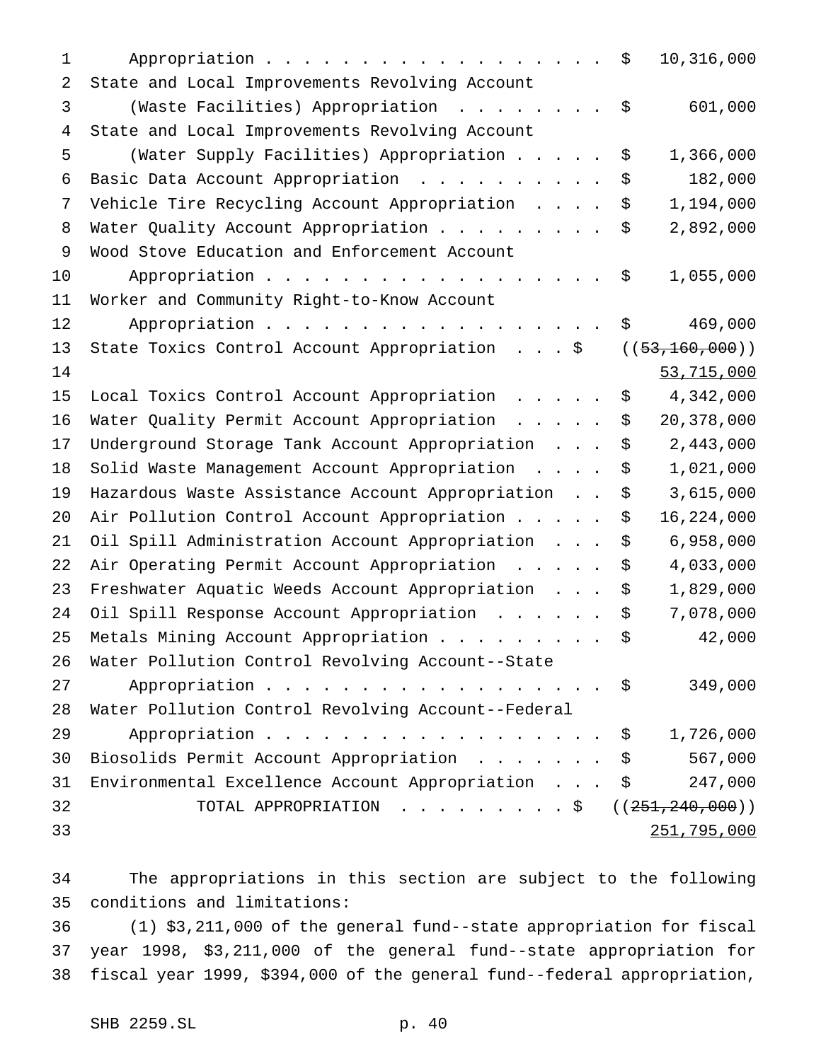| 1  | 10,316,000<br>\$<br>Appropriation                                                                                  |
|----|--------------------------------------------------------------------------------------------------------------------|
| 2  | State and Local Improvements Revolving Account                                                                     |
| 3  | 601,000<br>(Waste Facilities) Appropriation<br>\$                                                                  |
| 4  | State and Local Improvements Revolving Account                                                                     |
| 5  | (Water Supply Facilities) Appropriation<br>1,366,000<br>\$                                                         |
| 6  | \$<br>182,000<br>Basic Data Account Appropriation                                                                  |
| 7  | Vehicle Tire Recycling Account Appropriation<br>1,194,000<br>\$                                                    |
| 8  | 2,892,000<br>Water Quality Account Appropriation<br>\$                                                             |
| 9  | Wood Stove Education and Enforcement Account                                                                       |
| 10 | 1,055,000<br>Appropriation<br>\$                                                                                   |
| 11 | Worker and Community Right-to-Know Account                                                                         |
| 12 | 469,000<br>Appropriation<br>\$                                                                                     |
| 13 | ((53, 160, 000))<br>State Toxics Control Account Appropriation \$                                                  |
| 14 | 53,715,000                                                                                                         |
| 15 | 4,342,000<br>Local Toxics Control Account Appropriation<br>\$                                                      |
| 16 | 20,378,000<br>Water Quality Permit Account Appropriation<br>\$                                                     |
| 17 | \$<br>2,443,000<br>Underground Storage Tank Account Appropriation                                                  |
| 18 | \$<br>1,021,000<br>Solid Waste Management Account Appropriation                                                    |
| 19 | 3,615,000<br>Hazardous Waste Assistance Account Appropriation<br>\$                                                |
| 20 | 16,224,000<br>Air Pollution Control Account Appropriation<br>\$                                                    |
| 21 | Oil Spill Administration Account Appropriation<br>6,958,000<br>\$                                                  |
| 22 | \$<br>4,033,000<br>Air Operating Permit Account Appropriation<br>$\mathbf{r}$ . The set of the set of $\mathbf{r}$ |
| 23 | Freshwater Aquatic Weeds Account Appropriation<br>1,829,000<br>\$                                                  |
| 24 | Oil Spill Response Account Appropriation<br>7,078,000<br>\$                                                        |
| 25 | 42,000<br>Metals Mining Account Appropriation<br>\$                                                                |
| 26 | Water Pollution Control Revolving Account--State                                                                   |
| 27 | Appropriation $\$\,$<br>349,000                                                                                    |
| 28 | Water Pollution Control Revolving Account--Federal                                                                 |
| 29 | Appropriation<br>1,726,000<br>$\ddot{\mathsf{S}}$                                                                  |
| 30 | \$<br>567,000<br>Biosolids Permit Account Appropriation                                                            |
| 31 | \$<br>247,000<br>Environmental Excellence Account Appropriation                                                    |
| 32 | TOTAL APPROPRIATION $\frac{1}{5}$ ((251, 240, 000))                                                                |
| 33 | 251,795,000                                                                                                        |

 The appropriations in this section are subject to the following conditions and limitations:

 (1) \$3,211,000 of the general fund--state appropriation for fiscal year 1998, \$3,211,000 of the general fund--state appropriation for fiscal year 1999, \$394,000 of the general fund--federal appropriation,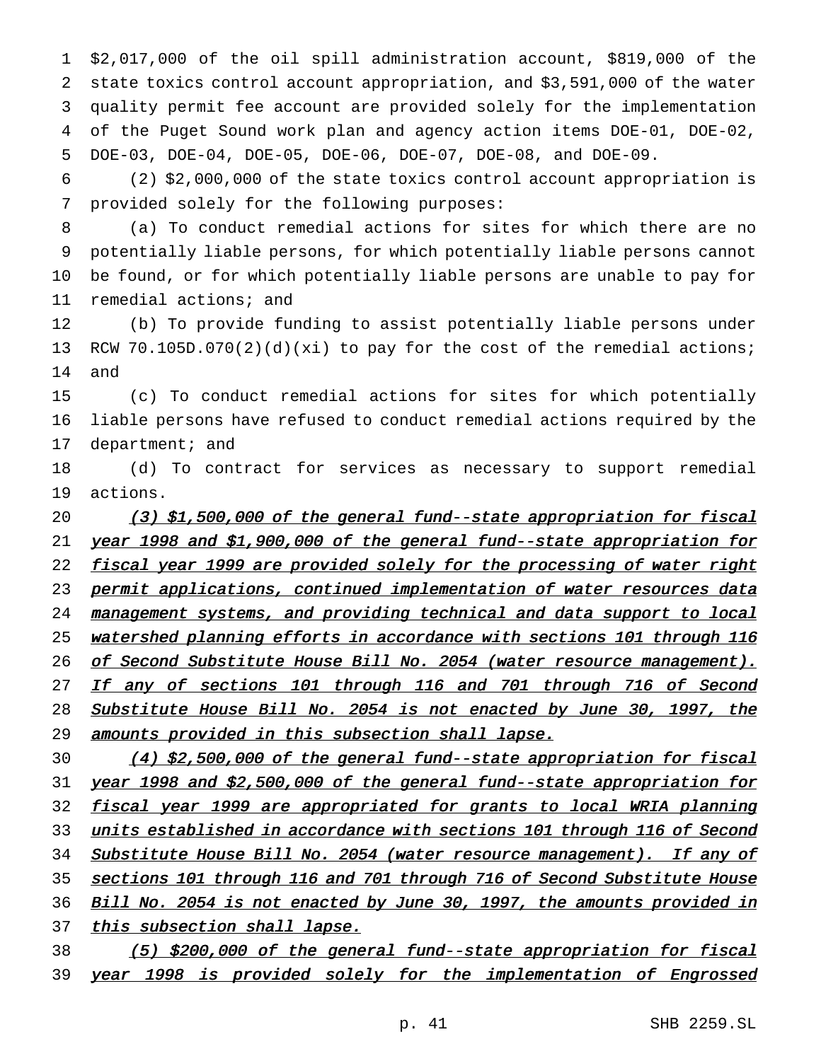\$2,017,000 of the oil spill administration account, \$819,000 of the state toxics control account appropriation, and \$3,591,000 of the water quality permit fee account are provided solely for the implementation of the Puget Sound work plan and agency action items DOE-01, DOE-02, DOE-03, DOE-04, DOE-05, DOE-06, DOE-07, DOE-08, and DOE-09.

6 (2) \$2,000,000 of the state toxics control account appropriation is 7 provided solely for the following purposes:

 (a) To conduct remedial actions for sites for which there are no potentially liable persons, for which potentially liable persons cannot be found, or for which potentially liable persons are unable to pay for remedial actions; and

12 (b) To provide funding to assist potentially liable persons under 13 RCW 70.105D.070(2)(d)(xi) to pay for the cost of the remedial actions; 14 and

15 (c) To conduct remedial actions for sites for which potentially 16 liable persons have refused to conduct remedial actions required by the 17 department; and

18 (d) To contract for services as necessary to support remedial 19 actions.

20 (3) \$1,500,000 of the general fund--state appropriation for fiscal 21 year 1998 and \$1,900,000 of the general fund--state appropriation for 22 fiscal year 1999 are provided solely for the processing of water right 23 permit applications, continued implementation of water resources data 24 management systems, and providing technical and data support to local 25 watershed planning efforts in accordance with sections 101 through 116 26 of Second Substitute House Bill No. 2054 (water resource management). 27 If any of sections 101 through 116 and 701 through 716 of Second 28 Substitute House Bill No. 2054 is not enacted by June 30, 1997, the 29 amounts provided in this subsection shall lapse.

30 (4) \$2,500,000 of the general fund--state appropriation for fiscal 31 year 1998 and \$2,500,000 of the general fund--state appropriation for 32 fiscal year 1999 are appropriated for grants to local WRIA planning 33 units established in accordance with sections 101 through 116 of Second 34 Substitute House Bill No. 2054 (water resource management). If any of 35 sections 101 through 116 and 701 through 716 of Second Substitute House 36 Bill No. 2054 is not enacted by June 30, 1997, the amounts provided in 37 this subsection shall lapse.

38 (5) \$200,000 of the general fund--state appropriation for fiscal 39 year 1998 is provided solely for the implementation of Engrossed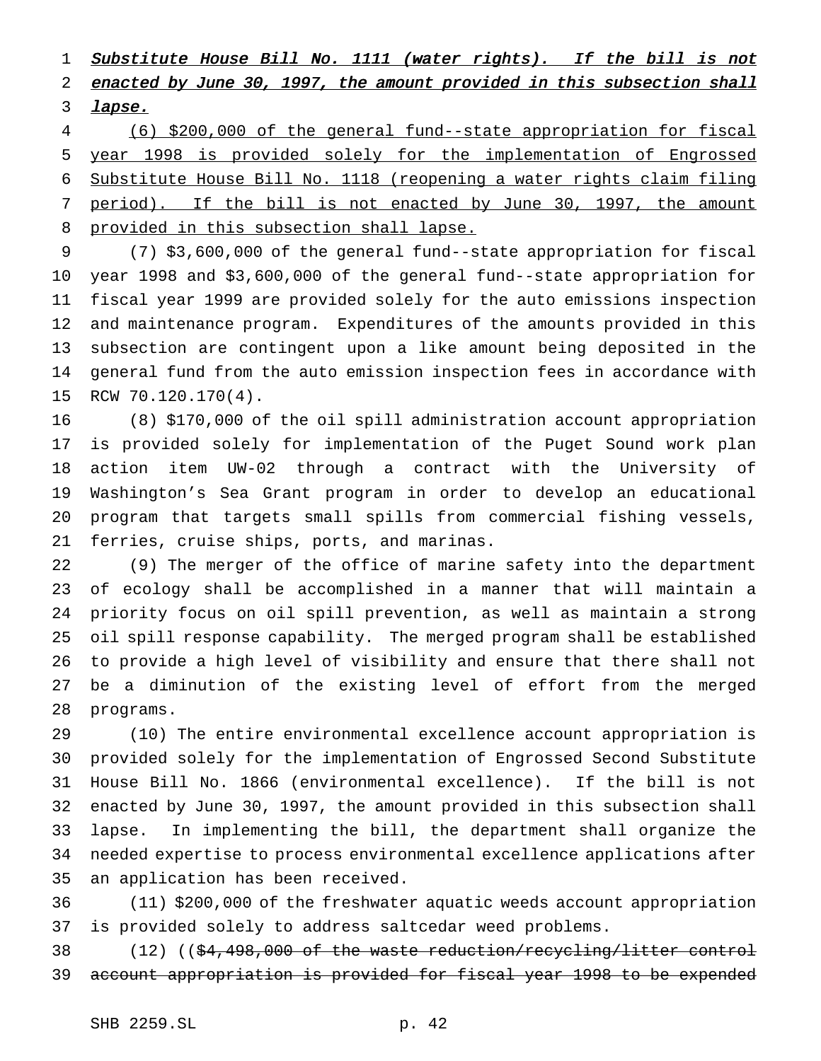1 Substitute House Bill No. 1111 (water rights). If the bill is not 2 enacted by June 30, 1997, the amount provided in this subsection shall **lapse.** 

 (6) \$200,000 of the general fund--state appropriation for fiscal year 1998 is provided solely for the implementation of Engrossed Substitute House Bill No. 1118 (reopening a water rights claim filing period). If the bill is not enacted by June 30, 1997, the amount 8 provided in this subsection shall lapse.

 (7) \$3,600,000 of the general fund--state appropriation for fiscal year 1998 and \$3,600,000 of the general fund--state appropriation for fiscal year 1999 are provided solely for the auto emissions inspection and maintenance program. Expenditures of the amounts provided in this subsection are contingent upon a like amount being deposited in the general fund from the auto emission inspection fees in accordance with RCW 70.120.170(4).

 (8) \$170,000 of the oil spill administration account appropriation is provided solely for implementation of the Puget Sound work plan action item UW-02 through a contract with the University of Washington's Sea Grant program in order to develop an educational program that targets small spills from commercial fishing vessels, ferries, cruise ships, ports, and marinas.

 (9) The merger of the office of marine safety into the department of ecology shall be accomplished in a manner that will maintain a priority focus on oil spill prevention, as well as maintain a strong oil spill response capability. The merged program shall be established to provide a high level of visibility and ensure that there shall not be a diminution of the existing level of effort from the merged programs.

 (10) The entire environmental excellence account appropriation is provided solely for the implementation of Engrossed Second Substitute House Bill No. 1866 (environmental excellence). If the bill is not enacted by June 30, 1997, the amount provided in this subsection shall lapse. In implementing the bill, the department shall organize the needed expertise to process environmental excellence applications after an application has been received.

 (11) \$200,000 of the freshwater aquatic weeds account appropriation is provided solely to address saltcedar weed problems.

38 (12) ((\$4,498,000 of the waste reduction/recycling/litter control account appropriation is provided for fiscal year 1998 to be expended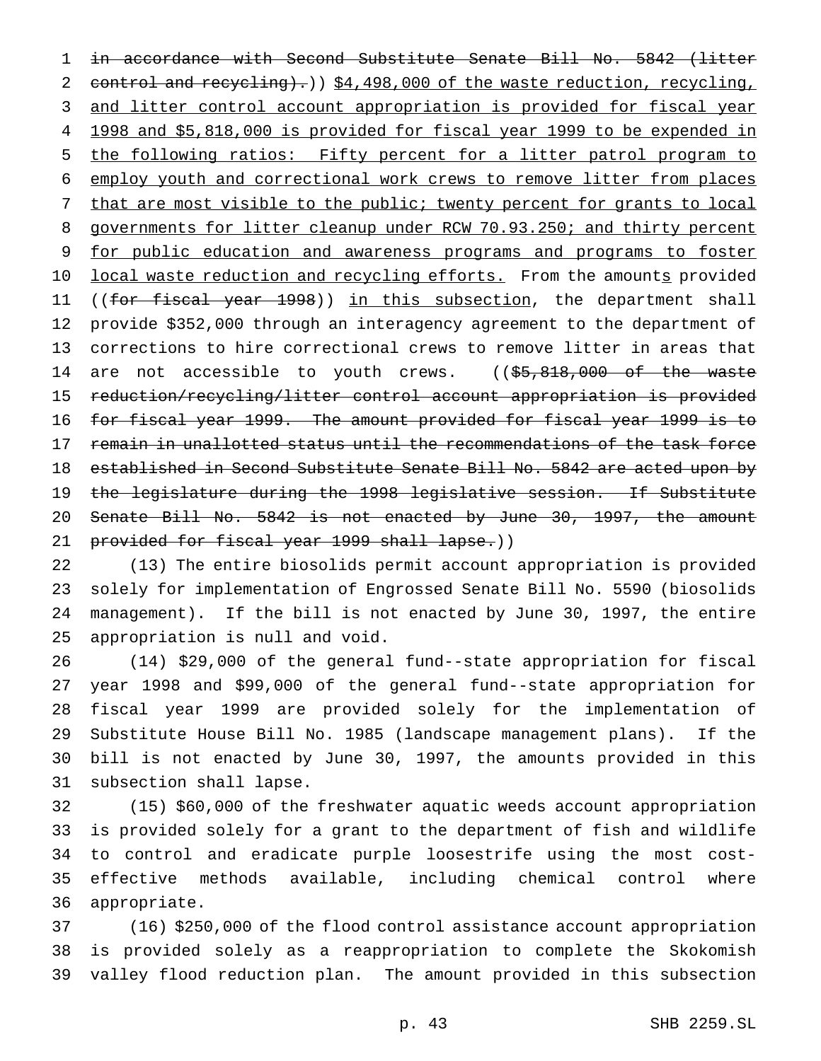in accordance with Second Substitute Senate Bill No. 5842 (litter 2 control and recycling).) \$4,498,000 of the waste reduction, recycling, and litter control account appropriation is provided for fiscal year 1998 and \$5,818,000 is provided for fiscal year 1999 to be expended in the following ratios: Fifty percent for a litter patrol program to employ youth and correctional work crews to remove litter from places 7 that are most visible to the public; twenty percent for grants to local 8 governments for litter cleanup under RCW 70.93.250; and thirty percent for public education and awareness programs and programs to foster 10 local waste reduction and recycling efforts. From the amounts provided 11 ((for fiscal year 1998)) in this subsection, the department shall provide \$352,000 through an interagency agreement to the department of corrections to hire correctional crews to remove litter in areas that 14 are not accessible to youth crews. ((\$5,818,000 of the waste reduction/recycling/litter control account appropriation is provided for fiscal year 1999. The amount provided for fiscal year 1999 is to 17 remain in unallotted status until the recommendations of the task force established in Second Substitute Senate Bill No. 5842 are acted upon by 19 the legislature during the 1998 legislative session. If Substitute Senate Bill No. 5842 is not enacted by June 30, 1997, the amount 21 provided for fiscal year 1999 shall lapse.))

 (13) The entire biosolids permit account appropriation is provided solely for implementation of Engrossed Senate Bill No. 5590 (biosolids management). If the bill is not enacted by June 30, 1997, the entire appropriation is null and void.

 (14) \$29,000 of the general fund--state appropriation for fiscal year 1998 and \$99,000 of the general fund--state appropriation for fiscal year 1999 are provided solely for the implementation of Substitute House Bill No. 1985 (landscape management plans). If the bill is not enacted by June 30, 1997, the amounts provided in this subsection shall lapse.

 (15) \$60,000 of the freshwater aquatic weeds account appropriation is provided solely for a grant to the department of fish and wildlife to control and eradicate purple loosestrife using the most cost- effective methods available, including chemical control where appropriate.

 (16) \$250,000 of the flood control assistance account appropriation is provided solely as a reappropriation to complete the Skokomish valley flood reduction plan. The amount provided in this subsection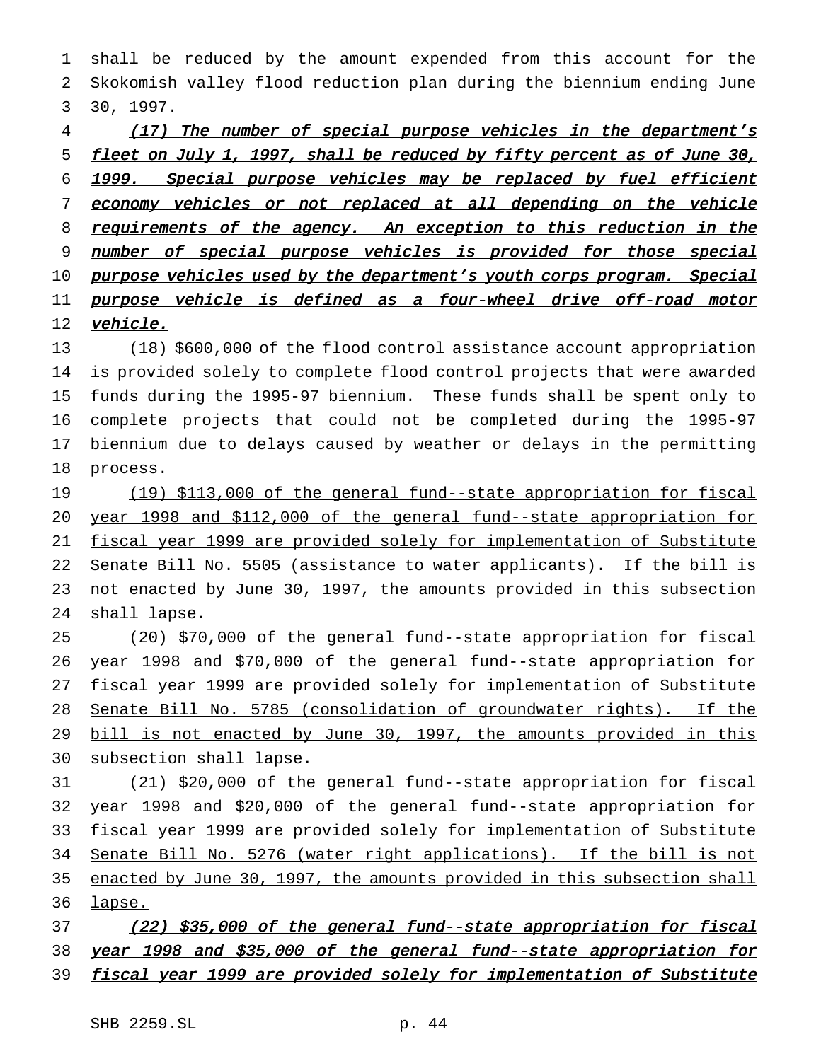1 shall be reduced by the amount expended from this account for the 2 Skokomish valley flood reduction plan during the biennium ending June 3 30, 1997.

# 4 (17) The number of special purpose vehicles in the department's 5 fleet on July 1, 1997, shall be reduced by fifty percent as of June 30, 6 1999. Special purpose vehicles may be replaced by fuel efficient 7 economy vehicles or not replaced at all depending on the vehicle 8 requirements of the agency. An exception to this reduction in the 9 number of special purpose vehicles is provided for those special 10 purpose vehicles used by the department's youth corps program. Special 11 purpose vehicle is defined as a four-wheel drive off-road motor 12 vehicle.

 (18) \$600,000 of the flood control assistance account appropriation is provided solely to complete flood control projects that were awarded funds during the 1995-97 biennium. These funds shall be spent only to complete projects that could not be completed during the 1995-97 biennium due to delays caused by weather or delays in the permitting 18 process.

19 (19) \$113,000 of the general fund--state appropriation for fiscal year 1998 and \$112,000 of the general fund--state appropriation for fiscal year 1999 are provided solely for implementation of Substitute Senate Bill No. 5505 (assistance to water applicants). If the bill is 23 not enacted by June 30, 1997, the amounts provided in this subsection shall lapse.

 (20) \$70,000 of the general fund--state appropriation for fiscal year 1998 and \$70,000 of the general fund--state appropriation for fiscal year 1999 are provided solely for implementation of Substitute Senate Bill No. 5785 (consolidation of groundwater rights). If the 29 bill is not enacted by June 30, 1997, the amounts provided in this 30 subsection shall lapse.

 (21) \$20,000 of the general fund--state appropriation for fiscal year 1998 and \$20,000 of the general fund--state appropriation for fiscal year 1999 are provided solely for implementation of Substitute Senate Bill No. 5276 (water right applications). If the bill is not enacted by June 30, 1997, the amounts provided in this subsection shall 36 lapse.

37 (22) \$35,000 of the general fund--state appropriation for fiscal 38 year 1998 and \$35,000 of the general fund--state appropriation for 39 fiscal year 1999 are provided solely for implementation of Substitute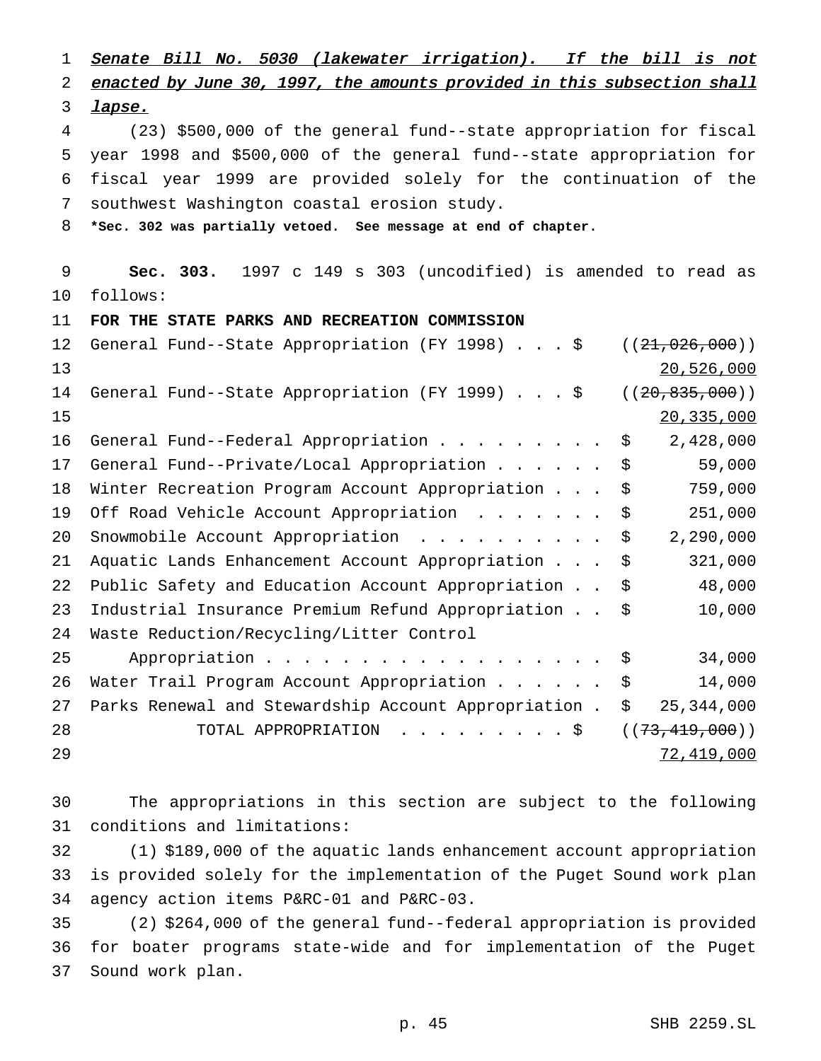Senate Bill No. <sup>5030</sup> (lakewater irrigation). If the bill is not enacted by June 30, 1997, the amounts provided in this subsection shall *lapse.*  (23) \$500,000 of the general fund--state appropriation for fiscal year 1998 and \$500,000 of the general fund--state appropriation for fiscal year 1999 are provided solely for the continuation of the southwest Washington coastal erosion study. **\*Sec. 302 was partially vetoed. See message at end of chapter. Sec. 303.** 1997 c 149 s 303 (uncodified) is amended to read as follows: **FOR THE STATE PARKS AND RECREATION COMMISSION** 12 General Fund--State Appropriation (FY 1998) . . . \$ ((21,026,000)) 20,526,000 14 General Fund--State Appropriation (FY 1999).... \$ ((20,835,000)) 20,335,000 16 General Fund--Federal Appropriation . . . . . . . . \$ 2,428,000 General Fund--Private/Local Appropriation...... \$ 59,000 Winter Recreation Program Account Appropriation... \$ 759,000 19 Off Road Vehicle Account Appropriation . . . . . . \$ 251,000 20 Snowmobile Account Appropriation . . . . . . . . . \$ 2,290,000 Aquatic Lands Enhancement Account Appropriation... \$ 321,000 Public Safety and Education Account Appropriation . . \$ 48,000 Industrial Insurance Premium Refund Appropriation . . \$ 10,000 Waste Reduction/Recycling/Litter Control 25 Appropriation . . . . . . . . . . . . . . . . \$ 34,000 26 Water Trail Program Account Appropriation . . . . . \$ 14,000 Parks Renewal and Stewardship Account Appropriation . \$ 25,344,000 28 TOTAL APPROPRIATION . . . . . . . . \$ ((73, 419, 000)) 72,419,000

 The appropriations in this section are subject to the following conditions and limitations:

 (1) \$189,000 of the aquatic lands enhancement account appropriation is provided solely for the implementation of the Puget Sound work plan agency action items P&RC-01 and P&RC-03.

 (2) \$264,000 of the general fund--federal appropriation is provided for boater programs state-wide and for implementation of the Puget Sound work plan.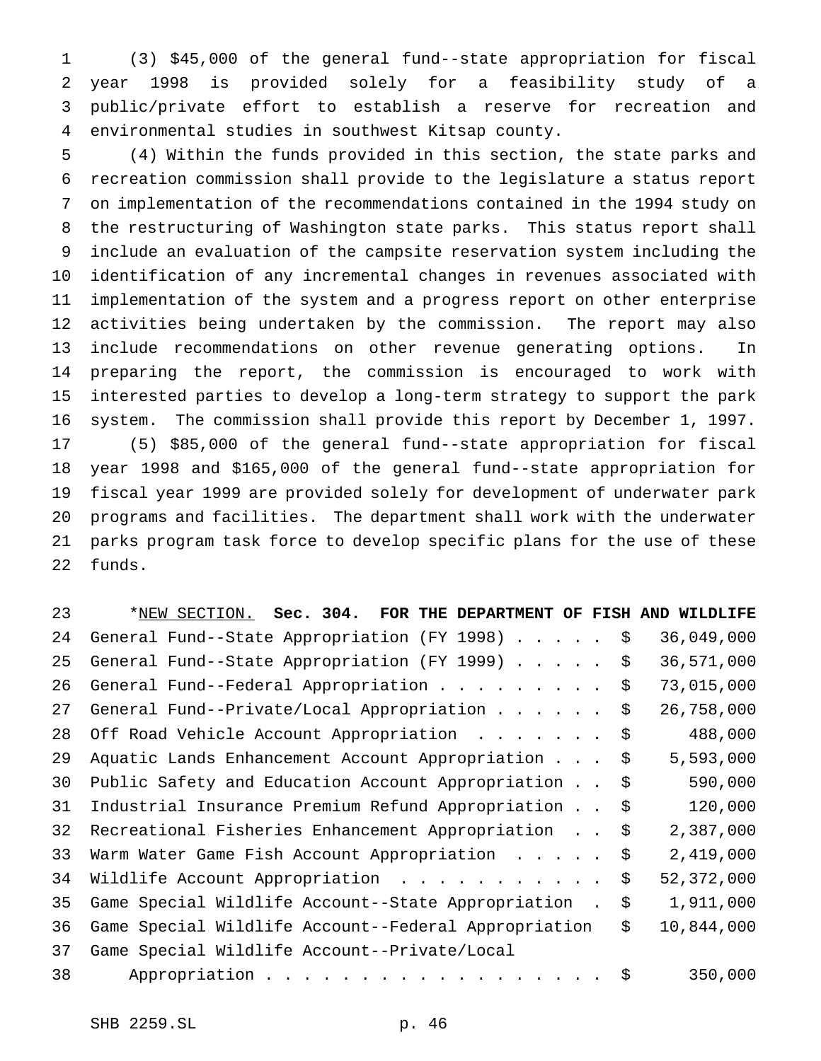(3) \$45,000 of the general fund--state appropriation for fiscal year 1998 is provided solely for a feasibility study of a public/private effort to establish a reserve for recreation and environmental studies in southwest Kitsap county.

 (4) Within the funds provided in this section, the state parks and recreation commission shall provide to the legislature a status report on implementation of the recommendations contained in the 1994 study on the restructuring of Washington state parks. This status report shall include an evaluation of the campsite reservation system including the identification of any incremental changes in revenues associated with implementation of the system and a progress report on other enterprise activities being undertaken by the commission. The report may also include recommendations on other revenue generating options. In preparing the report, the commission is encouraged to work with interested parties to develop a long-term strategy to support the park system. The commission shall provide this report by December 1, 1997. (5) \$85,000 of the general fund--state appropriation for fiscal year 1998 and \$165,000 of the general fund--state appropriation for fiscal year 1999 are provided solely for development of underwater park programs and facilities. The department shall work with the underwater parks program task force to develop specific plans for the use of these funds.

| 23 | *NEW SECTION. Sec. 304. FOR THE DEPARTMENT OF FISH AND WILDLIFE |                  |
|----|-----------------------------------------------------------------|------------------|
| 24 | General Fund--State Appropriation (FY 1998) \$                  | 36,049,000       |
| 25 | General Fund--State Appropriation (FY 1999) \$                  | 36,571,000       |
| 26 | General Fund--Federal Appropriation \$                          | 73,015,000       |
| 27 | General Fund--Private/Local Appropriation                       | \$<br>26,758,000 |
| 28 | Off Road Vehicle Account Appropriation                          | \$<br>488,000    |
| 29 | Aquatic Lands Enhancement Account Appropriation                 | \$<br>5,593,000  |
| 30 | Public Safety and Education Account Appropriation               | \$<br>590,000    |
| 31 | Industrial Insurance Premium Refund Appropriation               | \$<br>120,000    |
| 32 | Recreational Fisheries Enhancement Appropriation                | \$<br>2,387,000  |
| 33 | Warm Water Game Fish Account Appropriation                      | \$<br>2,419,000  |
| 34 | Wildlife Account Appropriation                                  | \$<br>52,372,000 |
| 35 | Game Special Wildlife Account--State Appropriation.             | \$<br>1,911,000  |
| 36 | Game Special Wildlife Account--Federal Appropriation            | \$<br>10,844,000 |
| 37 | Game Special Wildlife Account--Private/Local                    |                  |
| 38 | Appropriation \$                                                | 350,000          |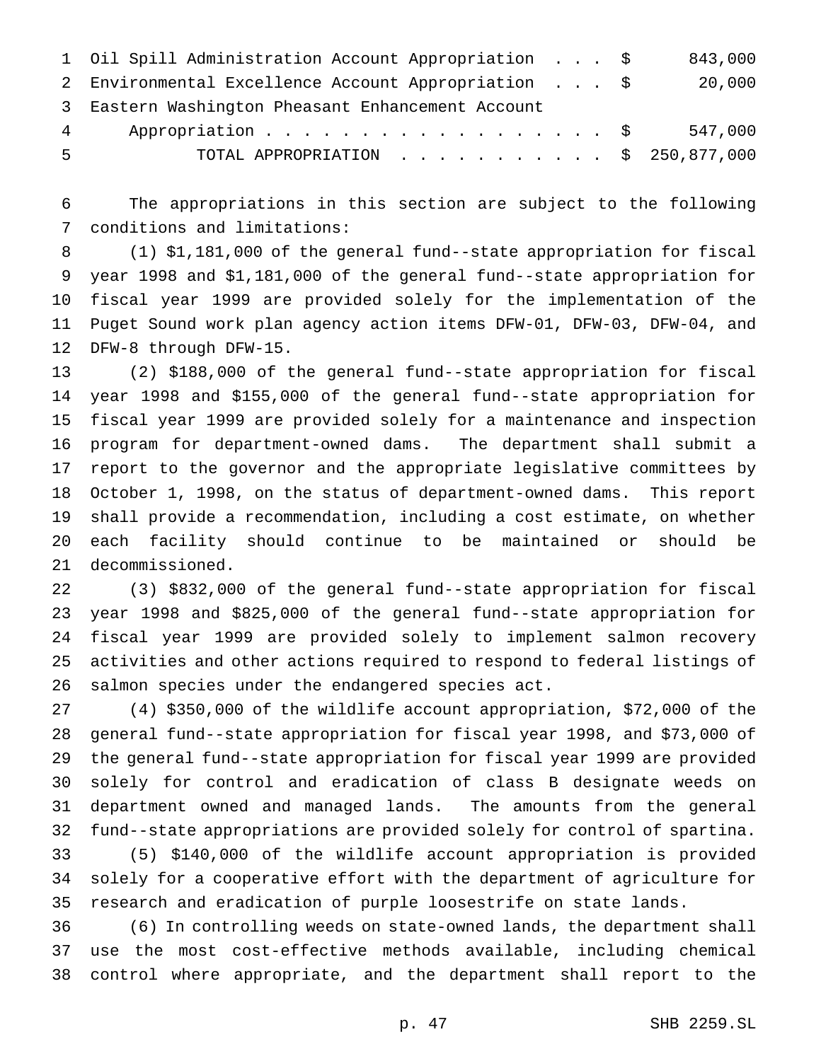|            | 1 Oil Spill Administration Account Appropriation \$ |  |  | 843,000 |
|------------|-----------------------------------------------------|--|--|---------|
|            | 2 Environmental Excellence Account Appropriation \$ |  |  | 20,000  |
|            | 3 Eastern Washington Pheasant Enhancement Account   |  |  |         |
| $4\degree$ | Appropriation \$                                    |  |  | 547,000 |
| -5         | TOTAL APPROPRIATION $\ldots$ , \$ 250,877,000       |  |  |         |

 The appropriations in this section are subject to the following conditions and limitations:

 (1) \$1,181,000 of the general fund--state appropriation for fiscal year 1998 and \$1,181,000 of the general fund--state appropriation for fiscal year 1999 are provided solely for the implementation of the Puget Sound work plan agency action items DFW-01, DFW-03, DFW-04, and DFW-8 through DFW-15.

 (2) \$188,000 of the general fund--state appropriation for fiscal year 1998 and \$155,000 of the general fund--state appropriation for fiscal year 1999 are provided solely for a maintenance and inspection program for department-owned dams. The department shall submit a report to the governor and the appropriate legislative committees by October 1, 1998, on the status of department-owned dams. This report shall provide a recommendation, including a cost estimate, on whether each facility should continue to be maintained or should be decommissioned.

 (3) \$832,000 of the general fund--state appropriation for fiscal year 1998 and \$825,000 of the general fund--state appropriation for fiscal year 1999 are provided solely to implement salmon recovery activities and other actions required to respond to federal listings of salmon species under the endangered species act.

 (4) \$350,000 of the wildlife account appropriation, \$72,000 of the general fund--state appropriation for fiscal year 1998, and \$73,000 of the general fund--state appropriation for fiscal year 1999 are provided solely for control and eradication of class B designate weeds on department owned and managed lands. The amounts from the general fund--state appropriations are provided solely for control of spartina. (5) \$140,000 of the wildlife account appropriation is provided solely for a cooperative effort with the department of agriculture for

research and eradication of purple loosestrife on state lands.

 (6) In controlling weeds on state-owned lands, the department shall use the most cost-effective methods available, including chemical control where appropriate, and the department shall report to the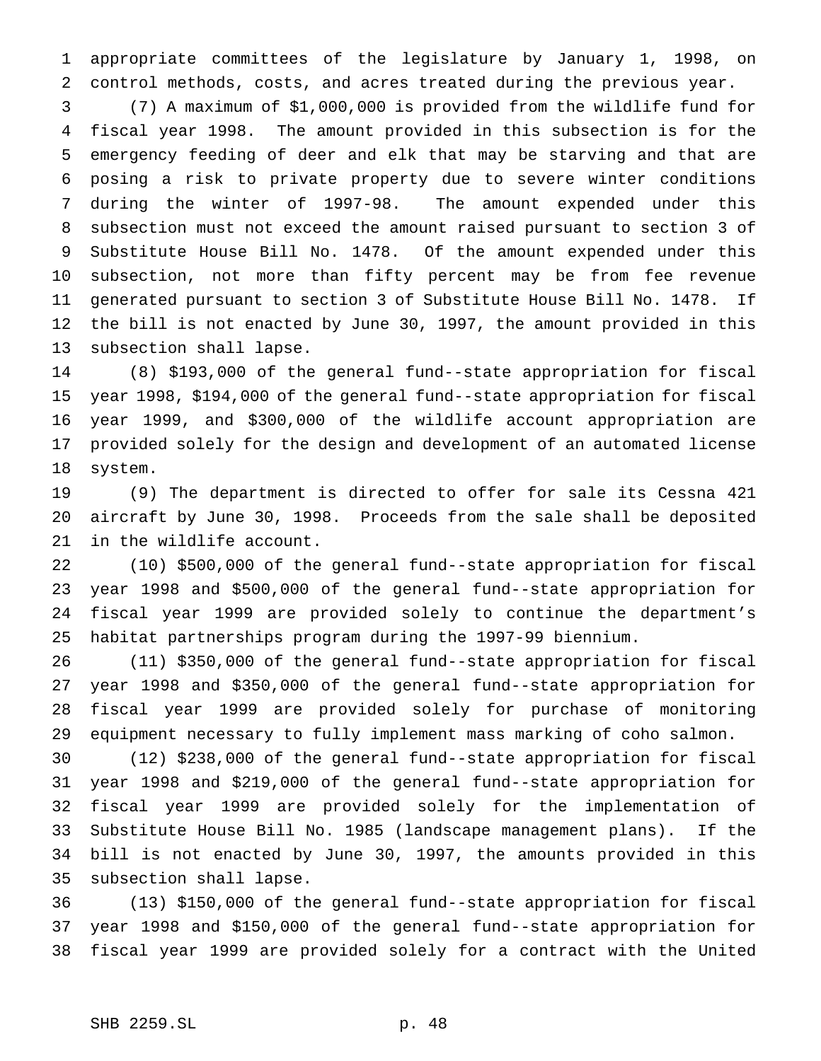appropriate committees of the legislature by January 1, 1998, on control methods, costs, and acres treated during the previous year.

 (7) A maximum of \$1,000,000 is provided from the wildlife fund for fiscal year 1998. The amount provided in this subsection is for the emergency feeding of deer and elk that may be starving and that are posing a risk to private property due to severe winter conditions during the winter of 1997-98. The amount expended under this subsection must not exceed the amount raised pursuant to section 3 of Substitute House Bill No. 1478. Of the amount expended under this subsection, not more than fifty percent may be from fee revenue generated pursuant to section 3 of Substitute House Bill No. 1478. If the bill is not enacted by June 30, 1997, the amount provided in this subsection shall lapse.

 (8) \$193,000 of the general fund--state appropriation for fiscal year 1998, \$194,000 of the general fund--state appropriation for fiscal year 1999, and \$300,000 of the wildlife account appropriation are provided solely for the design and development of an automated license system.

 (9) The department is directed to offer for sale its Cessna 421 aircraft by June 30, 1998. Proceeds from the sale shall be deposited in the wildlife account.

 (10) \$500,000 of the general fund--state appropriation for fiscal year 1998 and \$500,000 of the general fund--state appropriation for fiscal year 1999 are provided solely to continue the department's habitat partnerships program during the 1997-99 biennium.

 (11) \$350,000 of the general fund--state appropriation for fiscal year 1998 and \$350,000 of the general fund--state appropriation for fiscal year 1999 are provided solely for purchase of monitoring equipment necessary to fully implement mass marking of coho salmon.

 (12) \$238,000 of the general fund--state appropriation for fiscal year 1998 and \$219,000 of the general fund--state appropriation for fiscal year 1999 are provided solely for the implementation of Substitute House Bill No. 1985 (landscape management plans). If the bill is not enacted by June 30, 1997, the amounts provided in this subsection shall lapse.

 (13) \$150,000 of the general fund--state appropriation for fiscal year 1998 and \$150,000 of the general fund--state appropriation for fiscal year 1999 are provided solely for a contract with the United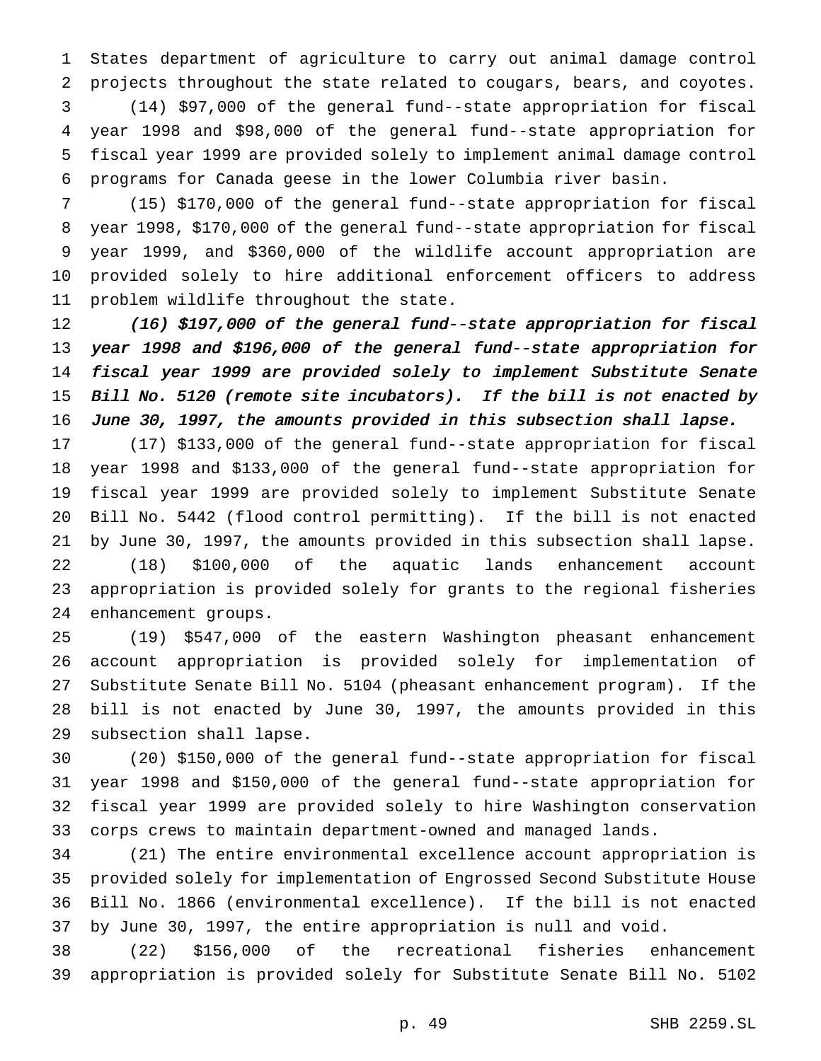States department of agriculture to carry out animal damage control projects throughout the state related to cougars, bears, and coyotes. (14) \$97,000 of the general fund--state appropriation for fiscal year 1998 and \$98,000 of the general fund--state appropriation for fiscal year 1999 are provided solely to implement animal damage control programs for Canada geese in the lower Columbia river basin.

 (15) \$170,000 of the general fund--state appropriation for fiscal year 1998, \$170,000 of the general fund--state appropriation for fiscal year 1999, and \$360,000 of the wildlife account appropriation are provided solely to hire additional enforcement officers to address problem wildlife throughout the state.

 (16) \$197,000 of the general fund--state appropriation for fiscal year <sup>1998</sup> and \$196,000 of the general fund--state appropriation for fiscal year <sup>1999</sup> are provided solely to implement Substitute Senate Bill No. <sup>5120</sup> (remote site incubators). If the bill is not enacted by June 30, 1997, the amounts provided in this subsection shall lapse.

 (17) \$133,000 of the general fund--state appropriation for fiscal year 1998 and \$133,000 of the general fund--state appropriation for fiscal year 1999 are provided solely to implement Substitute Senate Bill No. 5442 (flood control permitting). If the bill is not enacted by June 30, 1997, the amounts provided in this subsection shall lapse. (18) \$100,000 of the aquatic lands enhancement account appropriation is provided solely for grants to the regional fisheries enhancement groups.

 (19) \$547,000 of the eastern Washington pheasant enhancement account appropriation is provided solely for implementation of Substitute Senate Bill No. 5104 (pheasant enhancement program). If the bill is not enacted by June 30, 1997, the amounts provided in this subsection shall lapse.

 (20) \$150,000 of the general fund--state appropriation for fiscal year 1998 and \$150,000 of the general fund--state appropriation for fiscal year 1999 are provided solely to hire Washington conservation corps crews to maintain department-owned and managed lands.

 (21) The entire environmental excellence account appropriation is provided solely for implementation of Engrossed Second Substitute House Bill No. 1866 (environmental excellence). If the bill is not enacted by June 30, 1997, the entire appropriation is null and void.

 (22) \$156,000 of the recreational fisheries enhancement appropriation is provided solely for Substitute Senate Bill No. 5102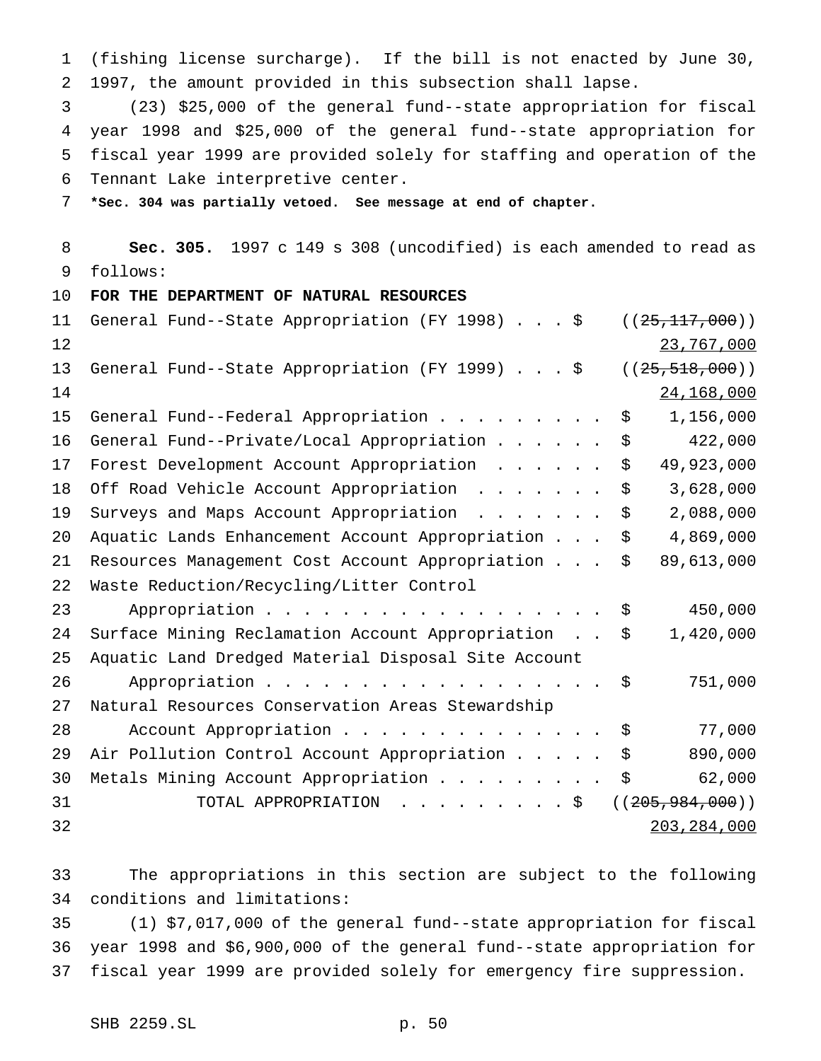(fishing license surcharge). If the bill is not enacted by June 30, 1997, the amount provided in this subsection shall lapse.

 (23) \$25,000 of the general fund--state appropriation for fiscal year 1998 and \$25,000 of the general fund--state appropriation for fiscal year 1999 are provided solely for staffing and operation of the Tennant Lake interpretive center.

**\*Sec. 304 was partially vetoed. See message at end of chapter.**

 **Sec. 305.** 1997 c 149 s 308 (uncodified) is each amended to read as follows:

**FOR THE DEPARTMENT OF NATURAL RESOURCES**

| 11 | General Fund--State Appropriation (FY 1998) \$      | ((25, 117, 000))   |
|----|-----------------------------------------------------|--------------------|
| 12 |                                                     | 23,767,000         |
| 13 | General Fund--State Appropriation (FY 1999) \$      | ((25, 518, 000))   |
| 14 |                                                     | 24,168,000         |
| 15 | General Fund--Federal Appropriation                 | 1,156,000<br>\$    |
| 16 | General Fund--Private/Local Appropriation           | 422,000<br>\$      |
| 17 | Forest Development Account Appropriation            | 49,923,000<br>\$   |
| 18 | Off Road Vehicle Account Appropriation              | 3,628,000<br>\$    |
| 19 | Surveys and Maps Account Appropriation              | 2,088,000<br>\$    |
| 20 | Aquatic Lands Enhancement Account Appropriation     | 4,869,000<br>\$    |
| 21 | Resources Management Cost Account Appropriation     | 89,613,000<br>\$   |
| 22 | Waste Reduction/Recycling/Litter Control            |                    |
| 23 | Appropriation                                       | 450,000<br>\$      |
| 24 | Surface Mining Reclamation Account Appropriation    | 1,420,000<br>\$    |
| 25 | Aquatic Land Dredged Material Disposal Site Account |                    |
| 26 | Appropriation                                       | 751,000<br>\$      |
| 27 | Natural Resources Conservation Areas Stewardship    |                    |
| 28 | Account Appropriation                               | 77,000<br>\$       |
| 29 | Air Pollution Control Account Appropriation         | 890,000<br>\$      |
| 30 | Metals Mining Account Appropriation                 | \$<br>62,000       |
| 31 | TOTAL APPROPRIATION \$                              | ( (205, 984, 000)) |
| 32 |                                                     | 203, 284, 000      |

 The appropriations in this section are subject to the following conditions and limitations:

 (1) \$7,017,000 of the general fund--state appropriation for fiscal year 1998 and \$6,900,000 of the general fund--state appropriation for fiscal year 1999 are provided solely for emergency fire suppression.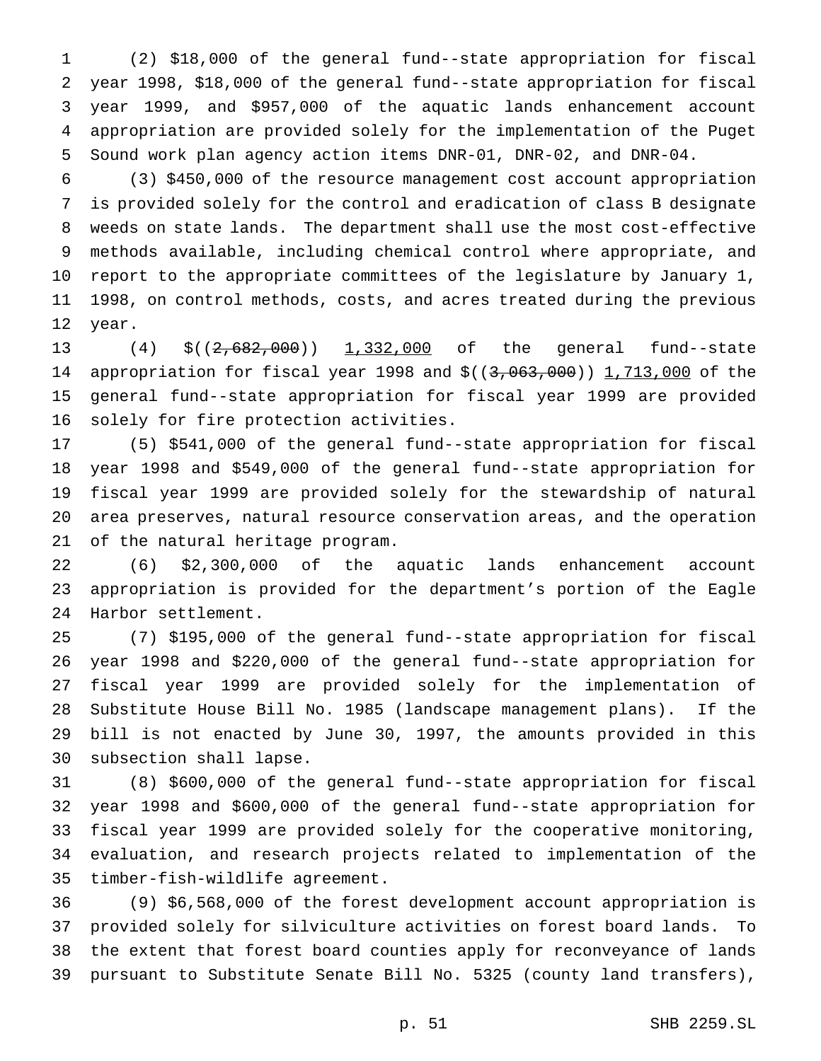(2) \$18,000 of the general fund--state appropriation for fiscal year 1998, \$18,000 of the general fund--state appropriation for fiscal year 1999, and \$957,000 of the aquatic lands enhancement account appropriation are provided solely for the implementation of the Puget Sound work plan agency action items DNR-01, DNR-02, and DNR-04.

 (3) \$450,000 of the resource management cost account appropriation is provided solely for the control and eradication of class B designate weeds on state lands. The department shall use the most cost-effective methods available, including chemical control where appropriate, and report to the appropriate committees of the legislature by January 1, 1998, on control methods, costs, and acres treated during the previous year.

13 (4) \$((2,682,000)) 1,332,000 of the general fund--state 14 appropriation for fiscal year 1998 and \$((3,063,000)) 1,713,000 of the general fund--state appropriation for fiscal year 1999 are provided solely for fire protection activities.

 (5) \$541,000 of the general fund--state appropriation for fiscal year 1998 and \$549,000 of the general fund--state appropriation for fiscal year 1999 are provided solely for the stewardship of natural area preserves, natural resource conservation areas, and the operation of the natural heritage program.

 (6) \$2,300,000 of the aquatic lands enhancement account appropriation is provided for the department's portion of the Eagle Harbor settlement.

 (7) \$195,000 of the general fund--state appropriation for fiscal year 1998 and \$220,000 of the general fund--state appropriation for fiscal year 1999 are provided solely for the implementation of Substitute House Bill No. 1985 (landscape management plans). If the bill is not enacted by June 30, 1997, the amounts provided in this subsection shall lapse.

 (8) \$600,000 of the general fund--state appropriation for fiscal year 1998 and \$600,000 of the general fund--state appropriation for fiscal year 1999 are provided solely for the cooperative monitoring, evaluation, and research projects related to implementation of the timber-fish-wildlife agreement.

 (9) \$6,568,000 of the forest development account appropriation is provided solely for silviculture activities on forest board lands. To the extent that forest board counties apply for reconveyance of lands pursuant to Substitute Senate Bill No. 5325 (county land transfers),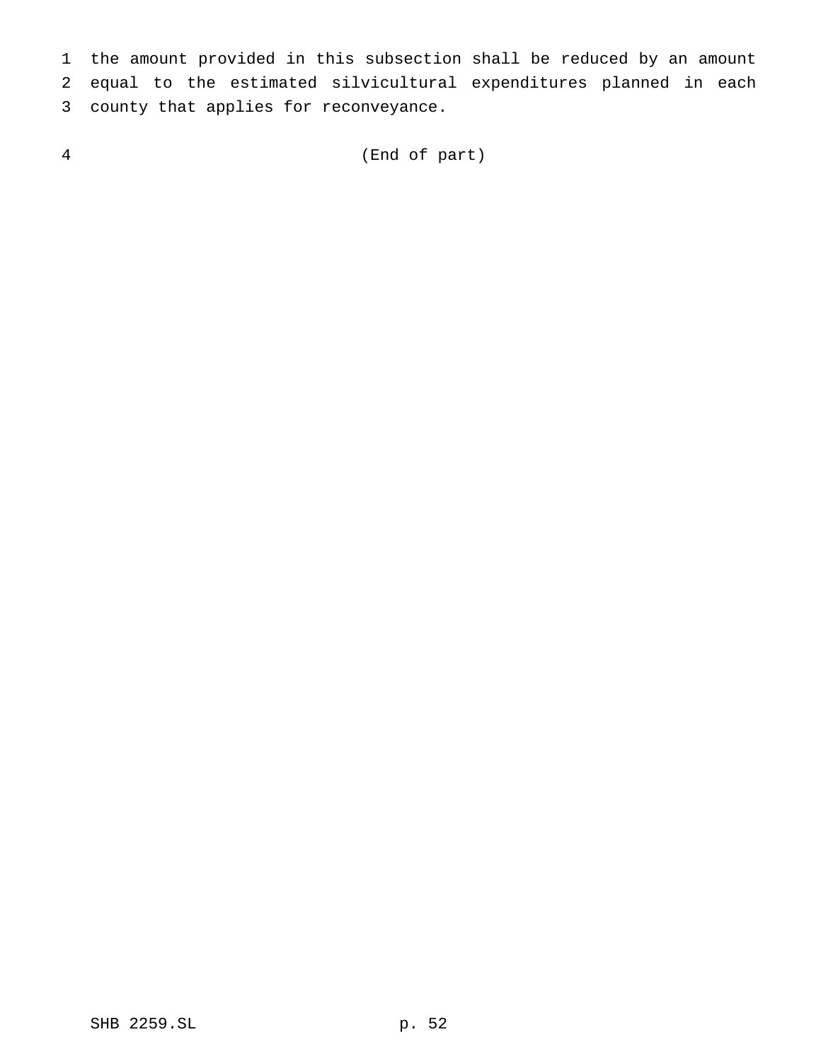the amount provided in this subsection shall be reduced by an amount equal to the estimated silvicultural expenditures planned in each county that applies for reconveyance.

(End of part)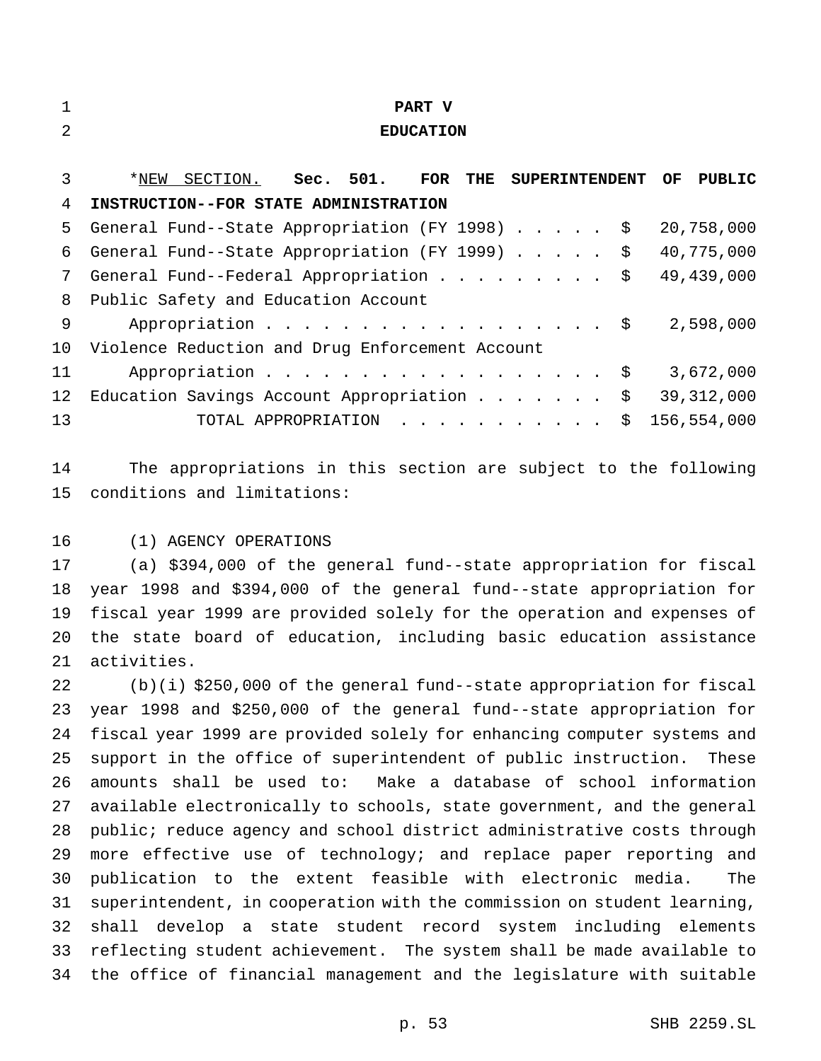| 1              | <b>PART V</b>                                                                         |
|----------------|---------------------------------------------------------------------------------------|
| $\mathfrak{D}$ | <b>EDUCATION</b>                                                                      |
|                |                                                                                       |
| 3              | SECTION. Sec. 501. FOR<br>*NEW<br><b>THE</b><br><b>SUPERINTENDENT</b><br>OF<br>PUBLIC |
| 4              | INSTRUCTION--FOR STATE ADMINISTRATION                                                 |
| 5              | General Fund--State Appropriation (FY 1998) \$<br>20,758,000                          |
| 6              | General Fund--State Appropriation (FY 1999)<br>40,775,000<br>$\ddot{\mathcal{S}}$     |
| 7              | 49,439,000<br>General Fund--Federal Appropriation $\ldots$ \$                         |
| 8              | Public Safety and Education Account                                                   |
| 9              | Appropriation $\frac{1}{5}$<br>2,598,000                                              |
| 10             | Violence Reduction and Drug Enforcement Account                                       |
| 11             | Appropriation $\frac{1}{5}$<br>3,672,000                                              |
| 12             | Education Savings Account Appropriation<br>\$<br>39, 312, 000                         |
| 13             | TOTAL APPROPRIATION<br>156,554,000<br>\$                                              |
|                |                                                                                       |
| 14             | The appropriations in this section are subject to the following                       |

conditions and limitations:

(1) AGENCY OPERATIONS

 (a) \$394,000 of the general fund--state appropriation for fiscal year 1998 and \$394,000 of the general fund--state appropriation for fiscal year 1999 are provided solely for the operation and expenses of the state board of education, including basic education assistance activities.

 (b)(i) \$250,000 of the general fund--state appropriation for fiscal year 1998 and \$250,000 of the general fund--state appropriation for fiscal year 1999 are provided solely for enhancing computer systems and support in the office of superintendent of public instruction. These amounts shall be used to: Make a database of school information available electronically to schools, state government, and the general public; reduce agency and school district administrative costs through 29 more effective use of technology; and replace paper reporting and publication to the extent feasible with electronic media. The superintendent, in cooperation with the commission on student learning, shall develop a state student record system including elements reflecting student achievement. The system shall be made available to the office of financial management and the legislature with suitable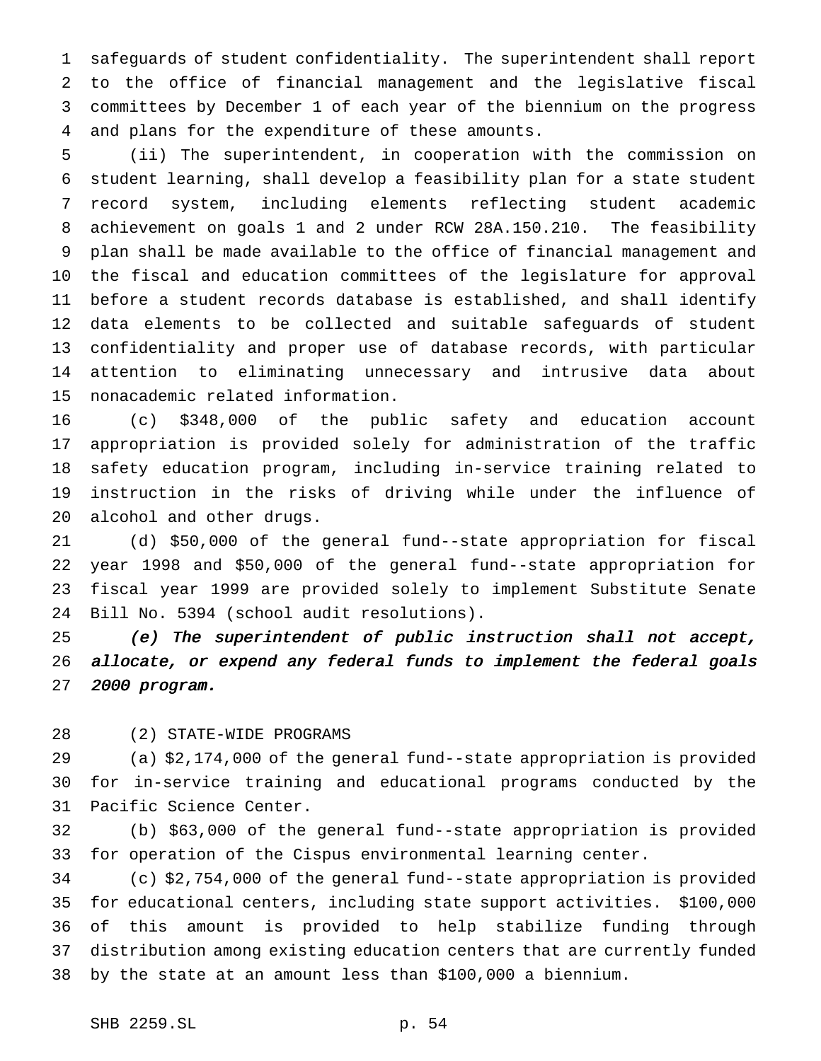safeguards of student confidentiality. The superintendent shall report to the office of financial management and the legislative fiscal committees by December 1 of each year of the biennium on the progress and plans for the expenditure of these amounts.

 (ii) The superintendent, in cooperation with the commission on student learning, shall develop a feasibility plan for a state student record system, including elements reflecting student academic achievement on goals 1 and 2 under RCW 28A.150.210. The feasibility plan shall be made available to the office of financial management and the fiscal and education committees of the legislature for approval before a student records database is established, and shall identify data elements to be collected and suitable safeguards of student confidentiality and proper use of database records, with particular attention to eliminating unnecessary and intrusive data about nonacademic related information.

 (c) \$348,000 of the public safety and education account appropriation is provided solely for administration of the traffic safety education program, including in-service training related to instruction in the risks of driving while under the influence of alcohol and other drugs.

 (d) \$50,000 of the general fund--state appropriation for fiscal year 1998 and \$50,000 of the general fund--state appropriation for fiscal year 1999 are provided solely to implement Substitute Senate Bill No. 5394 (school audit resolutions).

 (e) The superintendent of public instruction shall not accept, allocate, or expend any federal funds to implement the federal goals <sup>2000</sup> program.

(2) STATE-WIDE PROGRAMS

 (a) \$2,174,000 of the general fund--state appropriation is provided for in-service training and educational programs conducted by the Pacific Science Center.

 (b) \$63,000 of the general fund--state appropriation is provided for operation of the Cispus environmental learning center.

 (c) \$2,754,000 of the general fund--state appropriation is provided for educational centers, including state support activities. \$100,000 of this amount is provided to help stabilize funding through distribution among existing education centers that are currently funded by the state at an amount less than \$100,000 a biennium.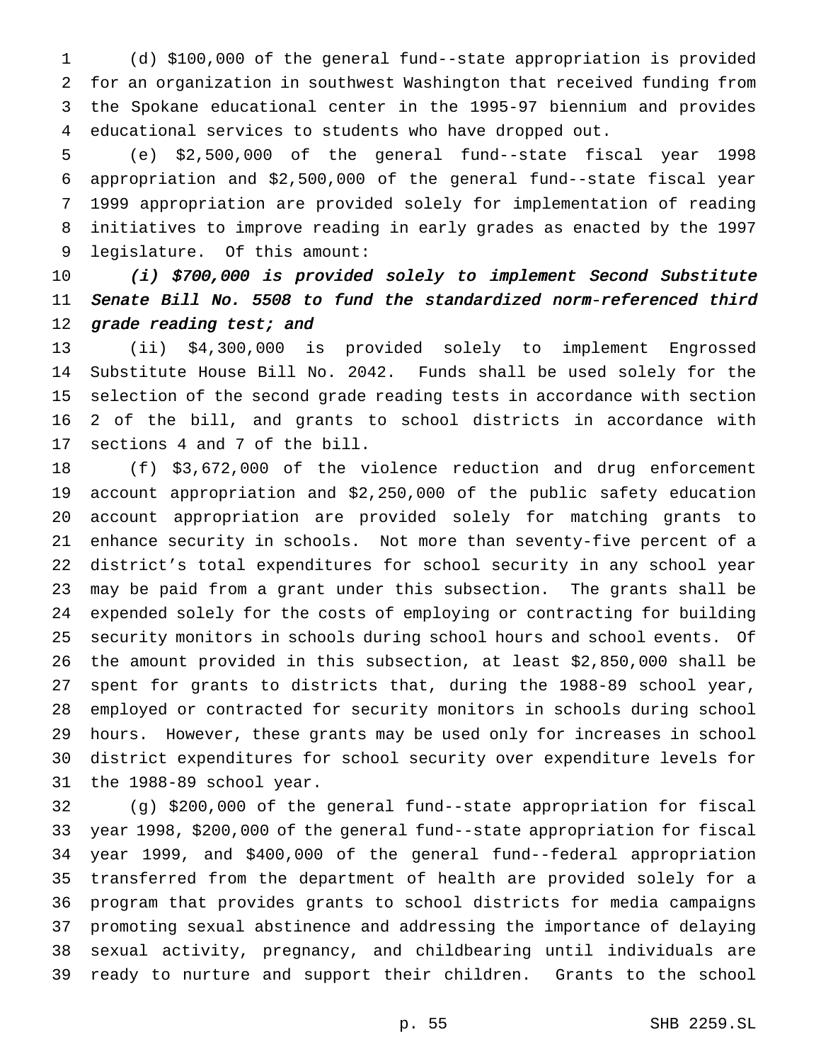(d) \$100,000 of the general fund--state appropriation is provided for an organization in southwest Washington that received funding from the Spokane educational center in the 1995-97 biennium and provides educational services to students who have dropped out.

 (e) \$2,500,000 of the general fund--state fiscal year 1998 appropriation and \$2,500,000 of the general fund--state fiscal year 1999 appropriation are provided solely for implementation of reading initiatives to improve reading in early grades as enacted by the 1997 legislature. Of this amount:

 (i) \$700,000 is provided solely to implement Second Substitute Senate Bill No. <sup>5508</sup> to fund the standardized norm-referenced third 12 grade reading test; and

 (ii) \$4,300,000 is provided solely to implement Engrossed Substitute House Bill No. 2042. Funds shall be used solely for the selection of the second grade reading tests in accordance with section 2 of the bill, and grants to school districts in accordance with sections 4 and 7 of the bill.

 (f) \$3,672,000 of the violence reduction and drug enforcement account appropriation and \$2,250,000 of the public safety education account appropriation are provided solely for matching grants to enhance security in schools. Not more than seventy-five percent of a district's total expenditures for school security in any school year may be paid from a grant under this subsection. The grants shall be expended solely for the costs of employing or contracting for building security monitors in schools during school hours and school events. Of the amount provided in this subsection, at least \$2,850,000 shall be spent for grants to districts that, during the 1988-89 school year, employed or contracted for security monitors in schools during school hours. However, these grants may be used only for increases in school district expenditures for school security over expenditure levels for the 1988-89 school year.

 (g) \$200,000 of the general fund--state appropriation for fiscal year 1998, \$200,000 of the general fund--state appropriation for fiscal year 1999, and \$400,000 of the general fund--federal appropriation transferred from the department of health are provided solely for a program that provides grants to school districts for media campaigns promoting sexual abstinence and addressing the importance of delaying sexual activity, pregnancy, and childbearing until individuals are ready to nurture and support their children. Grants to the school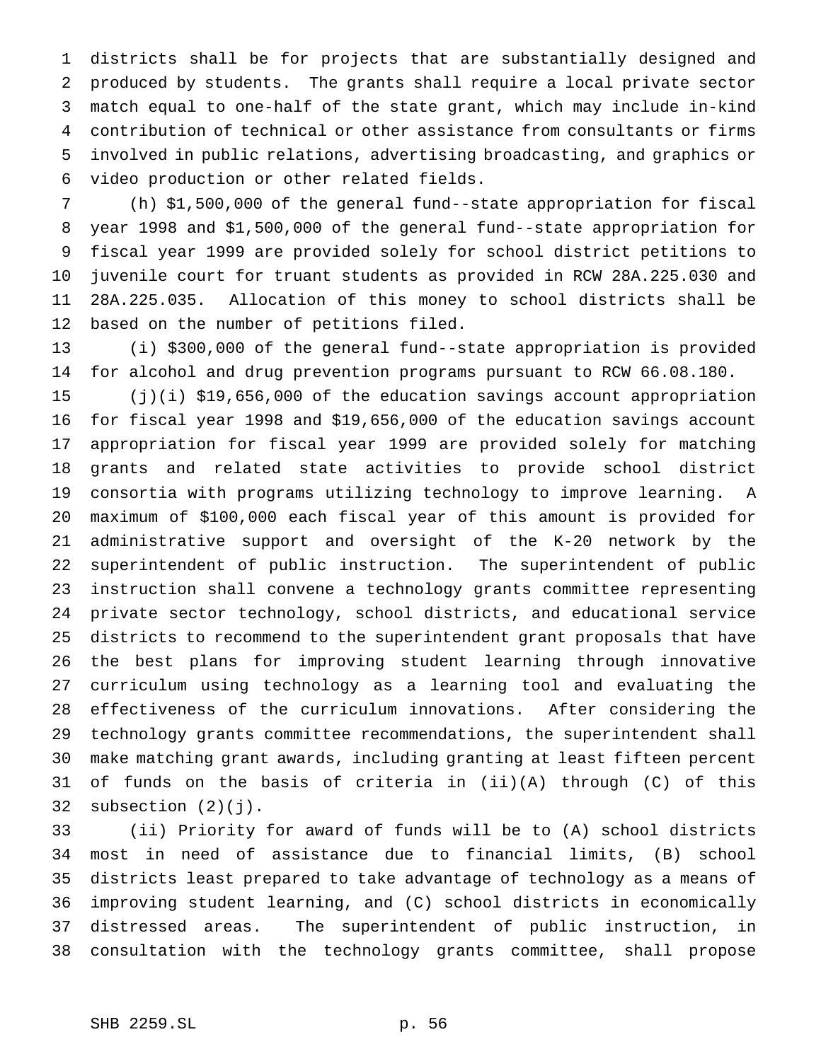districts shall be for projects that are substantially designed and produced by students. The grants shall require a local private sector match equal to one-half of the state grant, which may include in-kind contribution of technical or other assistance from consultants or firms involved in public relations, advertising broadcasting, and graphics or video production or other related fields.

 (h) \$1,500,000 of the general fund--state appropriation for fiscal year 1998 and \$1,500,000 of the general fund--state appropriation for fiscal year 1999 are provided solely for school district petitions to juvenile court for truant students as provided in RCW 28A.225.030 and 28A.225.035. Allocation of this money to school districts shall be based on the number of petitions filed.

 (i) \$300,000 of the general fund--state appropriation is provided for alcohol and drug prevention programs pursuant to RCW 66.08.180.

 (j)(i) \$19,656,000 of the education savings account appropriation for fiscal year 1998 and \$19,656,000 of the education savings account appropriation for fiscal year 1999 are provided solely for matching grants and related state activities to provide school district consortia with programs utilizing technology to improve learning. A maximum of \$100,000 each fiscal year of this amount is provided for administrative support and oversight of the K-20 network by the superintendent of public instruction. The superintendent of public instruction shall convene a technology grants committee representing private sector technology, school districts, and educational service districts to recommend to the superintendent grant proposals that have the best plans for improving student learning through innovative curriculum using technology as a learning tool and evaluating the effectiveness of the curriculum innovations. After considering the technology grants committee recommendations, the superintendent shall make matching grant awards, including granting at least fifteen percent of funds on the basis of criteria in (ii)(A) through (C) of this 32 subsection  $(2)(j)$ .

 (ii) Priority for award of funds will be to (A) school districts most in need of assistance due to financial limits, (B) school districts least prepared to take advantage of technology as a means of improving student learning, and (C) school districts in economically distressed areas. The superintendent of public instruction, in consultation with the technology grants committee, shall propose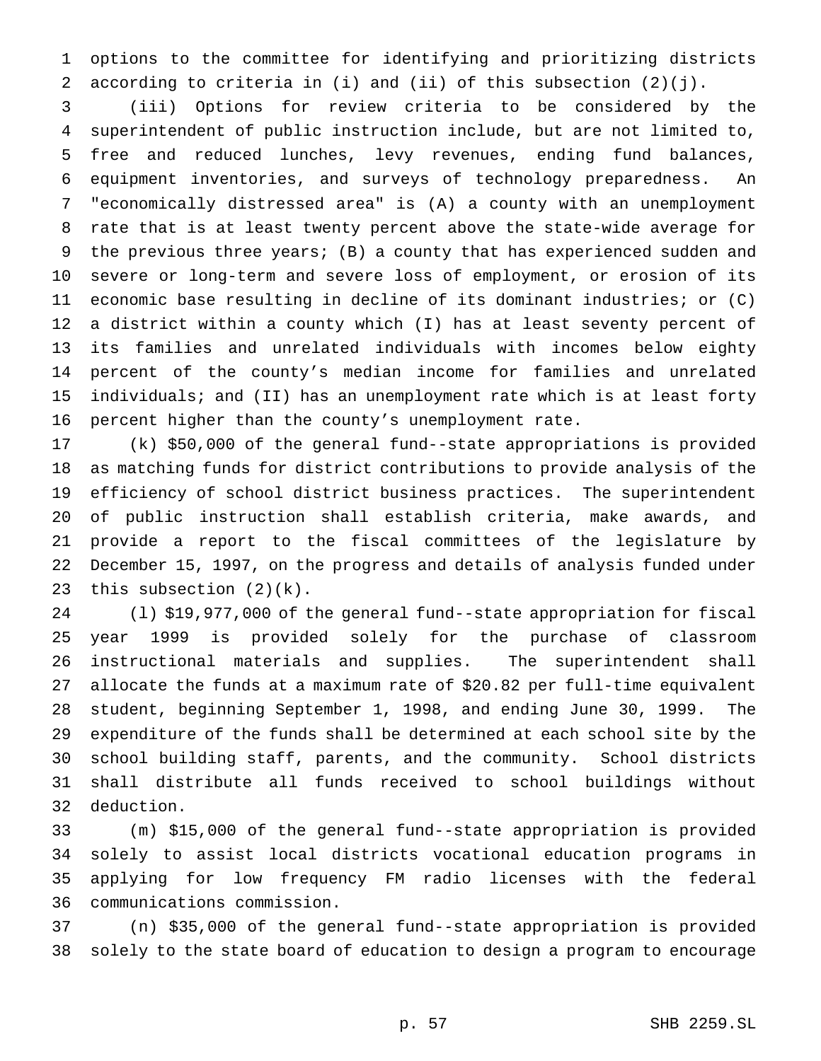options to the committee for identifying and prioritizing districts according to criteria in (i) and (ii) of this subsection (2)(j).

 (iii) Options for review criteria to be considered by the superintendent of public instruction include, but are not limited to, free and reduced lunches, levy revenues, ending fund balances, equipment inventories, and surveys of technology preparedness. An "economically distressed area" is (A) a county with an unemployment rate that is at least twenty percent above the state-wide average for the previous three years; (B) a county that has experienced sudden and severe or long-term and severe loss of employment, or erosion of its economic base resulting in decline of its dominant industries; or (C) a district within a county which (I) has at least seventy percent of its families and unrelated individuals with incomes below eighty percent of the county's median income for families and unrelated individuals; and (II) has an unemployment rate which is at least forty percent higher than the county's unemployment rate.

 (k) \$50,000 of the general fund--state appropriations is provided as matching funds for district contributions to provide analysis of the efficiency of school district business practices. The superintendent of public instruction shall establish criteria, make awards, and provide a report to the fiscal committees of the legislature by December 15, 1997, on the progress and details of analysis funded under this subsection (2)(k).

 (l) \$19,977,000 of the general fund--state appropriation for fiscal year 1999 is provided solely for the purchase of classroom instructional materials and supplies. The superintendent shall allocate the funds at a maximum rate of \$20.82 per full-time equivalent student, beginning September 1, 1998, and ending June 30, 1999. The expenditure of the funds shall be determined at each school site by the school building staff, parents, and the community. School districts shall distribute all funds received to school buildings without deduction.

 (m) \$15,000 of the general fund--state appropriation is provided solely to assist local districts vocational education programs in applying for low frequency FM radio licenses with the federal communications commission.

 (n) \$35,000 of the general fund--state appropriation is provided solely to the state board of education to design a program to encourage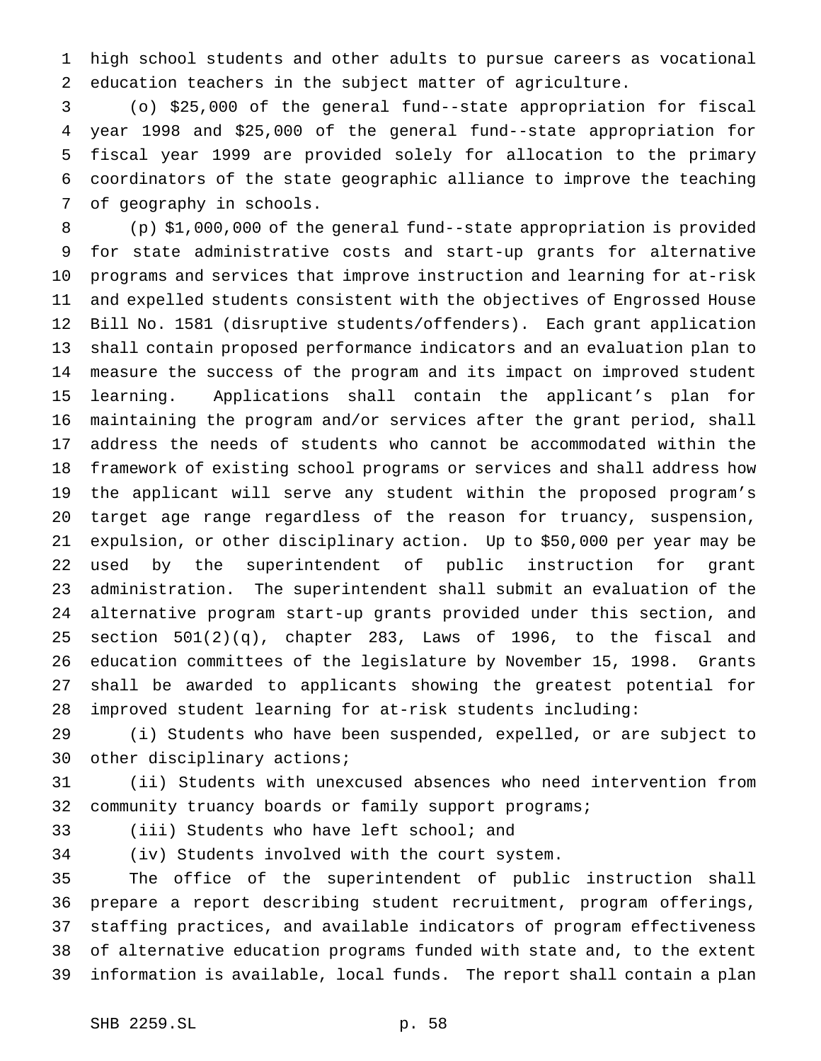high school students and other adults to pursue careers as vocational education teachers in the subject matter of agriculture.

 (o) \$25,000 of the general fund--state appropriation for fiscal year 1998 and \$25,000 of the general fund--state appropriation for fiscal year 1999 are provided solely for allocation to the primary coordinators of the state geographic alliance to improve the teaching of geography in schools.

 (p) \$1,000,000 of the general fund--state appropriation is provided for state administrative costs and start-up grants for alternative programs and services that improve instruction and learning for at-risk and expelled students consistent with the objectives of Engrossed House Bill No. 1581 (disruptive students/offenders). Each grant application shall contain proposed performance indicators and an evaluation plan to measure the success of the program and its impact on improved student learning. Applications shall contain the applicant's plan for maintaining the program and/or services after the grant period, shall address the needs of students who cannot be accommodated within the framework of existing school programs or services and shall address how the applicant will serve any student within the proposed program's target age range regardless of the reason for truancy, suspension, expulsion, or other disciplinary action. Up to \$50,000 per year may be used by the superintendent of public instruction for grant administration. The superintendent shall submit an evaluation of the alternative program start-up grants provided under this section, and section 501(2)(q), chapter 283, Laws of 1996, to the fiscal and education committees of the legislature by November 15, 1998. Grants shall be awarded to applicants showing the greatest potential for improved student learning for at-risk students including:

 (i) Students who have been suspended, expelled, or are subject to other disciplinary actions;

 (ii) Students with unexcused absences who need intervention from community truancy boards or family support programs;

(iii) Students who have left school; and

(iv) Students involved with the court system.

 The office of the superintendent of public instruction shall prepare a report describing student recruitment, program offerings, staffing practices, and available indicators of program effectiveness of alternative education programs funded with state and, to the extent information is available, local funds. The report shall contain a plan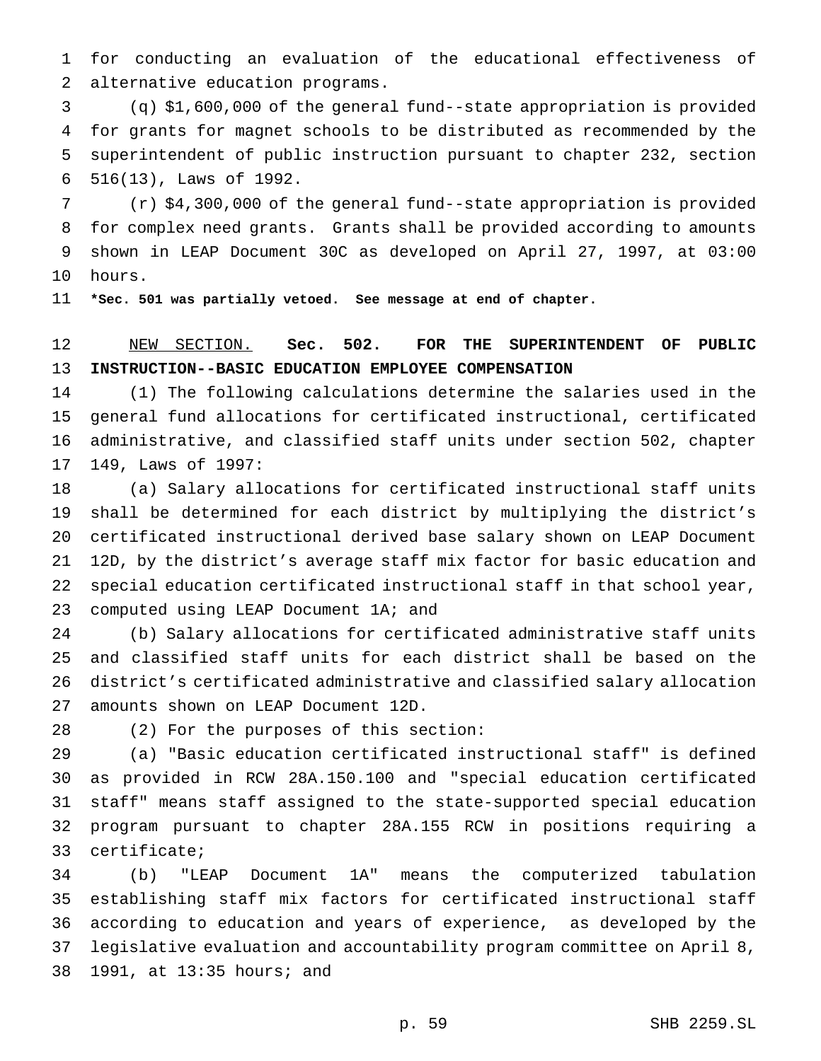for conducting an evaluation of the educational effectiveness of alternative education programs.

 (q) \$1,600,000 of the general fund--state appropriation is provided for grants for magnet schools to be distributed as recommended by the superintendent of public instruction pursuant to chapter 232, section 516(13), Laws of 1992.

 (r) \$4,300,000 of the general fund--state appropriation is provided for complex need grants. Grants shall be provided according to amounts shown in LEAP Document 30C as developed on April 27, 1997, at 03:00 hours.

**\*Sec. 501 was partially vetoed. See message at end of chapter.**

## NEW SECTION. **Sec. 502. FOR THE SUPERINTENDENT OF PUBLIC INSTRUCTION--BASIC EDUCATION EMPLOYEE COMPENSATION**

 (1) The following calculations determine the salaries used in the general fund allocations for certificated instructional, certificated administrative, and classified staff units under section 502, chapter 149, Laws of 1997:

 (a) Salary allocations for certificated instructional staff units shall be determined for each district by multiplying the district's certificated instructional derived base salary shown on LEAP Document 12D, by the district's average staff mix factor for basic education and special education certificated instructional staff in that school year, 23 computed using LEAP Document 1A; and

 (b) Salary allocations for certificated administrative staff units and classified staff units for each district shall be based on the district's certificated administrative and classified salary allocation amounts shown on LEAP Document 12D.

(2) For the purposes of this section:

 (a) "Basic education certificated instructional staff" is defined as provided in RCW 28A.150.100 and "special education certificated staff" means staff assigned to the state-supported special education program pursuant to chapter 28A.155 RCW in positions requiring a certificate;

 (b) "LEAP Document 1A" means the computerized tabulation establishing staff mix factors for certificated instructional staff according to education and years of experience, as developed by the legislative evaluation and accountability program committee on April 8, 1991, at 13:35 hours; and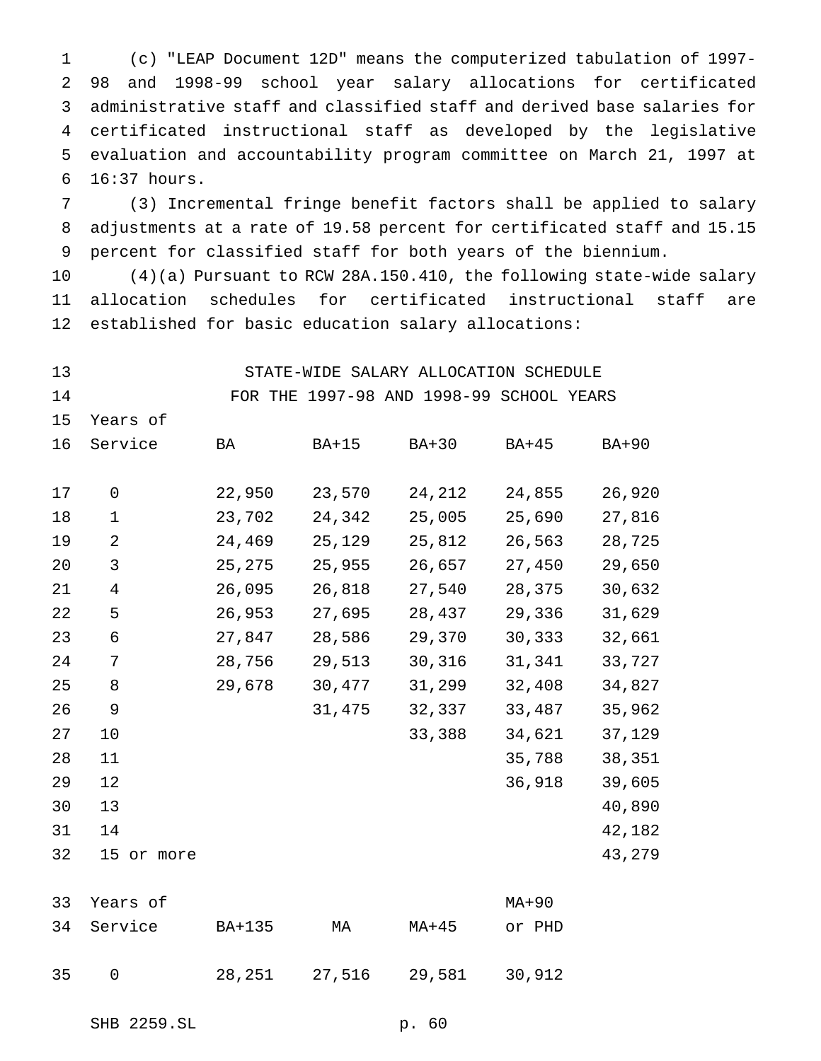(c) "LEAP Document 12D" means the computerized tabulation of 1997- 98 and 1998-99 school year salary allocations for certificated administrative staff and classified staff and derived base salaries for certificated instructional staff as developed by the legislative evaluation and accountability program committee on March 21, 1997 at 16:37 hours.

 (3) Incremental fringe benefit factors shall be applied to salary adjustments at a rate of 19.58 percent for certificated staff and 15.15 percent for classified staff for both years of the biennium.

 (4)(a) Pursuant to RCW 28A.150.410, the following state-wide salary allocation schedules for certificated instructional staff are established for basic education salary allocations:

- 
- STATE-WIDE SALARY ALLOCATION SCHEDULE
- 

FOR THE 1997-98 AND 1998-99 SCHOOL YEARS

Years of

| 16 | Service       | BA     | $BA+15$ | $BA+30$ | <b>BA+45</b> | BA+90  |
|----|---------------|--------|---------|---------|--------------|--------|
| 17 | 0             | 22,950 | 23,570  | 24,212  | 24,855       | 26,920 |
| 18 | $\mathbf 1$   | 23,702 | 24,342  | 25,005  | 25,690       | 27,816 |
| 19 | 2             | 24,469 | 25,129  | 25,812  | 26,563       | 28,725 |
| 20 | 3             | 25,275 | 25,955  | 26,657  | 27,450       | 29,650 |
| 21 | 4             | 26,095 | 26,818  | 27,540  | 28,375       | 30,632 |
| 22 | 5             | 26,953 | 27,695  | 28,437  | 29,336       | 31,629 |
| 23 | 6             | 27,847 | 28,586  | 29,370  | 30,333       | 32,661 |
| 24 | 7             | 28,756 | 29,513  | 30,316  | 31,341       | 33,727 |
| 25 | 8             | 29,678 | 30,477  | 31,299  | 32,408       | 34,827 |
| 26 | 9             |        | 31,475  | 32,337  | 33,487       | 35,962 |
| 27 | 10            |        |         | 33,388  | 34,621       | 37,129 |
| 28 | 11            |        |         |         | 35,788       | 38,351 |
| 29 | 12            |        |         |         | 36,918       | 39,605 |
| 30 | 13            |        |         |         |              | 40,890 |
| 31 | 14            |        |         |         |              | 42,182 |
| 32 | 15<br>or more |        |         |         |              | 43,279 |

|    | 33 Years of |        |                         |       | MA+90  |
|----|-------------|--------|-------------------------|-------|--------|
|    | 34 Service  | BA+135 | MA                      | MA+45 | or PHD |
| 35 | $\bigcap$   |        | 28, 251 27, 516 29, 581 |       | 30,912 |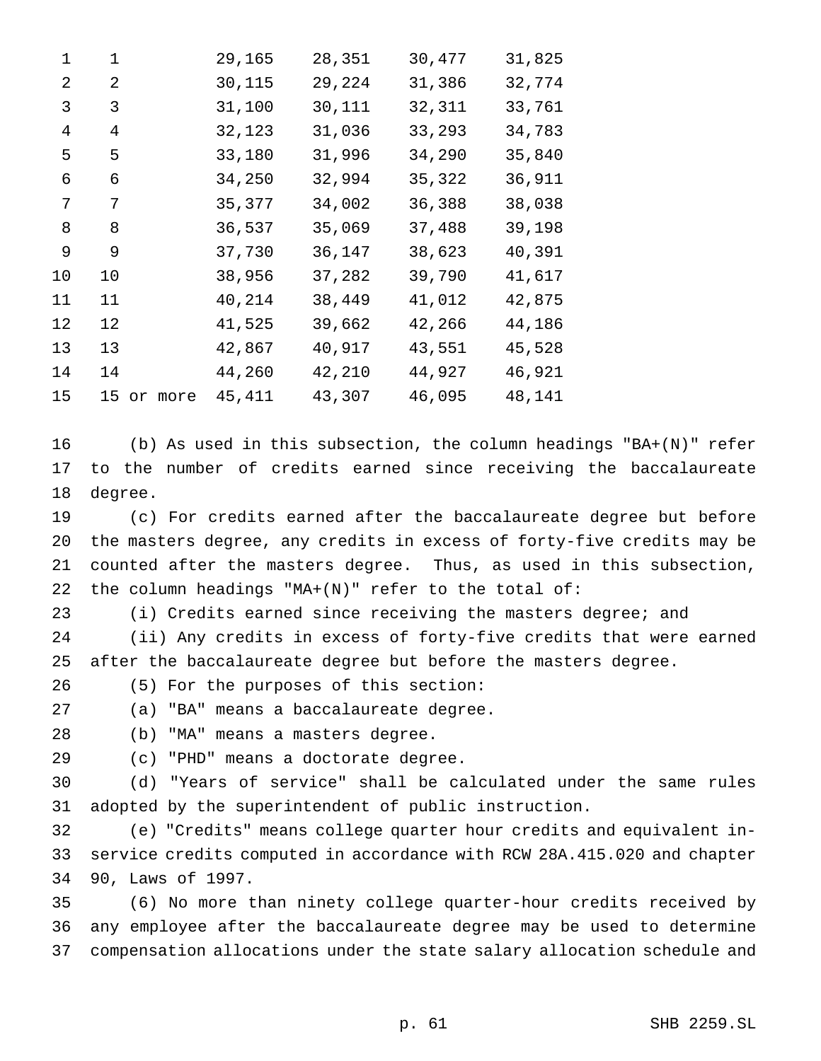| 1              | $\mathbf 1$ | 29,165  | 28,351 | 30,477 | 31,825 |
|----------------|-------------|---------|--------|--------|--------|
| 2              | 2           | 30,115  | 29,224 | 31,386 | 32,774 |
| 3              | 3           | 31,100  | 30,111 | 32,311 | 33,761 |
| $\overline{4}$ | 4           | 32,123  | 31,036 | 33,293 | 34,783 |
| 5              | 5           | 33,180  | 31,996 | 34,290 | 35,840 |
| 6              | 6           | 34,250  | 32,994 | 35,322 | 36,911 |
| 7              | 7           | 35,377  | 34,002 | 36,388 | 38,038 |
| 8              | 8           | 36,537  | 35,069 | 37,488 | 39,198 |
| 9              | 9           | 37,730  | 36,147 | 38,623 | 40,391 |
| 10             | 10          | 38,956  | 37,282 | 39,790 | 41,617 |
| 11             | 11          | 40,214  | 38,449 | 41,012 | 42,875 |
| 12             | 12          | 41,525  | 39,662 | 42,266 | 44,186 |
| 13             | 13          | 42,867  | 40,917 | 43,551 | 45,528 |
| 14             | 14          | 44,260  | 42,210 | 44,927 | 46,921 |
| 15             | 15 or more  | 45, 411 | 43,307 | 46,095 | 48,141 |
|                |             |         |        |        |        |

 (b) As used in this subsection, the column headings "BA+(N)" refer to the number of credits earned since receiving the baccalaureate degree.

 (c) For credits earned after the baccalaureate degree but before the masters degree, any credits in excess of forty-five credits may be counted after the masters degree. Thus, as used in this subsection, the column headings "MA+(N)" refer to the total of:

(i) Credits earned since receiving the masters degree; and

 (ii) Any credits in excess of forty-five credits that were earned after the baccalaureate degree but before the masters degree.

(5) For the purposes of this section:

(a) "BA" means a baccalaureate degree.

(b) "MA" means a masters degree.

(c) "PHD" means a doctorate degree.

 (d) "Years of service" shall be calculated under the same rules adopted by the superintendent of public instruction.

 (e) "Credits" means college quarter hour credits and equivalent in- service credits computed in accordance with RCW 28A.415.020 and chapter 90, Laws of 1997.

 (6) No more than ninety college quarter-hour credits received by any employee after the baccalaureate degree may be used to determine compensation allocations under the state salary allocation schedule and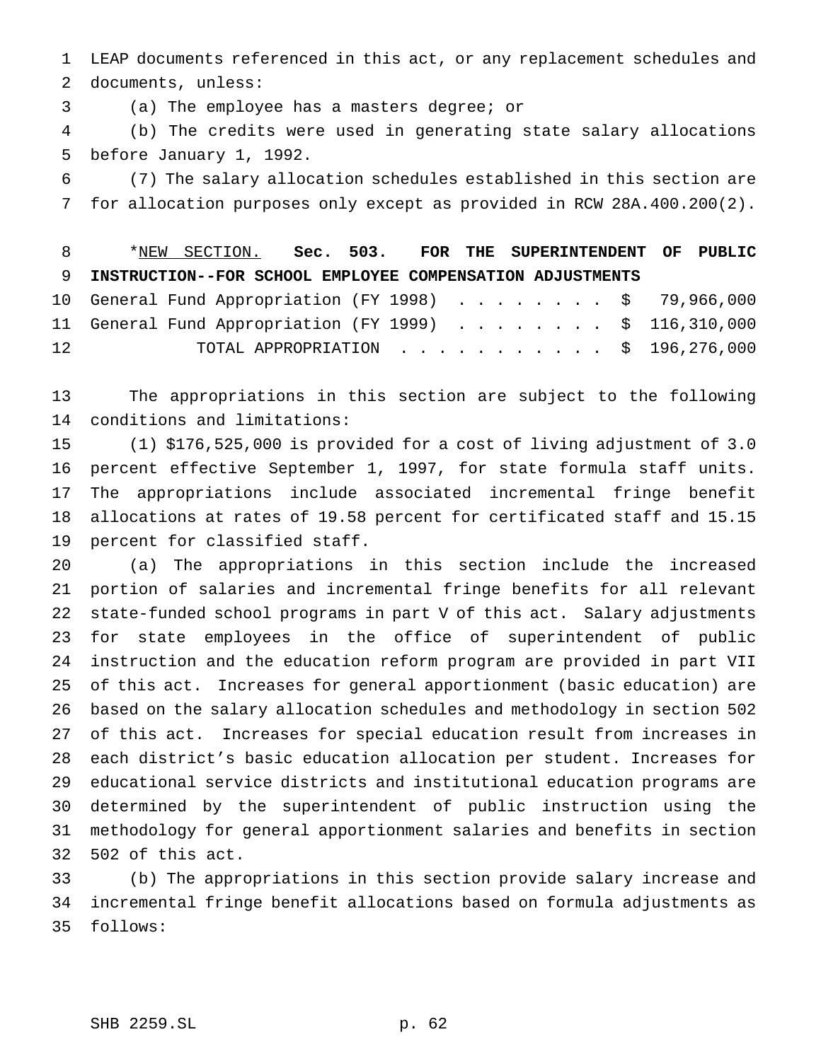LEAP documents referenced in this act, or any replacement schedules and documents, unless:

(a) The employee has a masters degree; or

 (b) The credits were used in generating state salary allocations before January 1, 1992.

 (7) The salary allocation schedules established in this section are for allocation purposes only except as provided in RCW 28A.400.200(2).

 \*NEW SECTION. **Sec. 503. FOR THE SUPERINTENDENT OF PUBLIC INSTRUCTION--FOR SCHOOL EMPLOYEE COMPENSATION ADJUSTMENTS** 10 General Fund Appropriation (FY 1998) . . . . . . . \$ 79,966,000 11 General Fund Appropriation (FY 1999) . . . . . . . . \$ 116,310,000

TOTAL APPROPRIATION ........... \$ 196,276,000

 The appropriations in this section are subject to the following conditions and limitations:

 (1) \$176,525,000 is provided for a cost of living adjustment of 3.0 percent effective September 1, 1997, for state formula staff units. The appropriations include associated incremental fringe benefit allocations at rates of 19.58 percent for certificated staff and 15.15 percent for classified staff.

 (a) The appropriations in this section include the increased portion of salaries and incremental fringe benefits for all relevant state-funded school programs in part V of this act. Salary adjustments for state employees in the office of superintendent of public instruction and the education reform program are provided in part VII of this act. Increases for general apportionment (basic education) are based on the salary allocation schedules and methodology in section 502 of this act. Increases for special education result from increases in each district's basic education allocation per student. Increases for educational service districts and institutional education programs are determined by the superintendent of public instruction using the methodology for general apportionment salaries and benefits in section 502 of this act.

 (b) The appropriations in this section provide salary increase and incremental fringe benefit allocations based on formula adjustments as follows: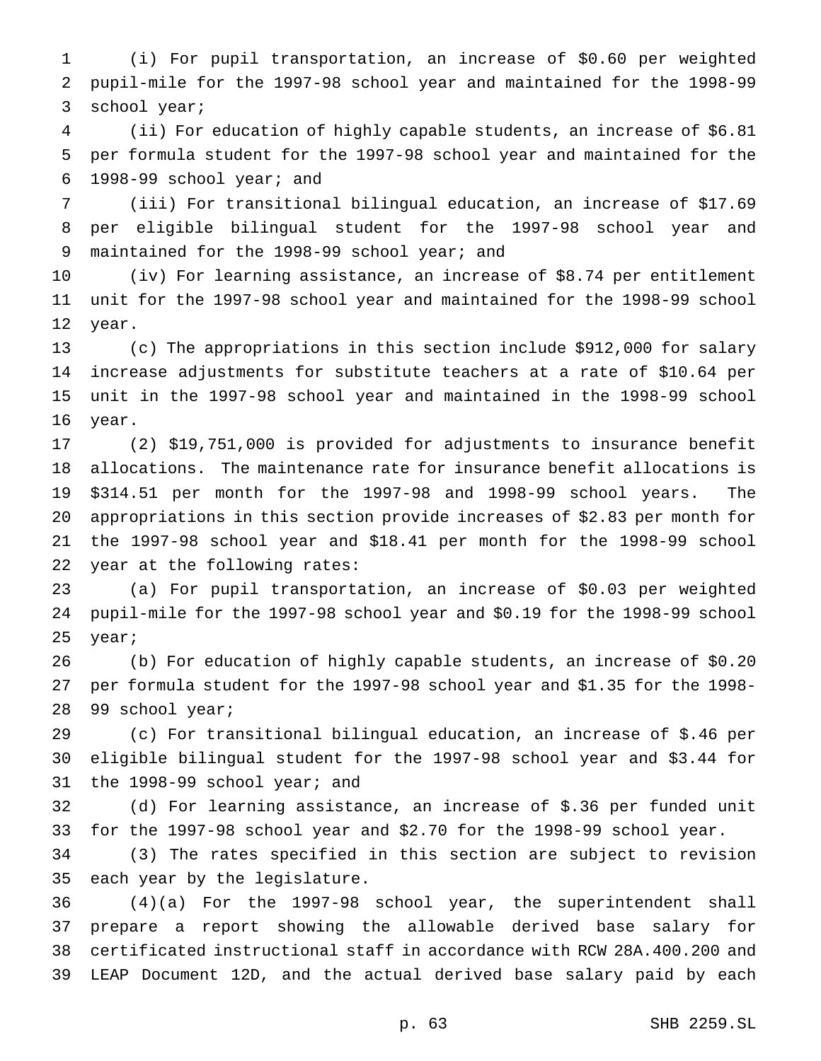(i) For pupil transportation, an increase of \$0.60 per weighted pupil-mile for the 1997-98 school year and maintained for the 1998-99 school year;

 (ii) For education of highly capable students, an increase of \$6.81 per formula student for the 1997-98 school year and maintained for the 1998-99 school year; and

 (iii) For transitional bilingual education, an increase of \$17.69 per eligible bilingual student for the 1997-98 school year and maintained for the 1998-99 school year; and

 (iv) For learning assistance, an increase of \$8.74 per entitlement unit for the 1997-98 school year and maintained for the 1998-99 school year.

 (c) The appropriations in this section include \$912,000 for salary increase adjustments for substitute teachers at a rate of \$10.64 per unit in the 1997-98 school year and maintained in the 1998-99 school year.

 (2) \$19,751,000 is provided for adjustments to insurance benefit allocations. The maintenance rate for insurance benefit allocations is \$314.51 per month for the 1997-98 and 1998-99 school years. The appropriations in this section provide increases of \$2.83 per month for the 1997-98 school year and \$18.41 per month for the 1998-99 school year at the following rates:

 (a) For pupil transportation, an increase of \$0.03 per weighted pupil-mile for the 1997-98 school year and \$0.19 for the 1998-99 school year;

 (b) For education of highly capable students, an increase of \$0.20 per formula student for the 1997-98 school year and \$1.35 for the 1998- 99 school year;

 (c) For transitional bilingual education, an increase of \$.46 per eligible bilingual student for the 1997-98 school year and \$3.44 for the 1998-99 school year; and

 (d) For learning assistance, an increase of \$.36 per funded unit for the 1997-98 school year and \$2.70 for the 1998-99 school year.

 (3) The rates specified in this section are subject to revision each year by the legislature.

 (4)(a) For the 1997-98 school year, the superintendent shall prepare a report showing the allowable derived base salary for certificated instructional staff in accordance with RCW 28A.400.200 and LEAP Document 12D, and the actual derived base salary paid by each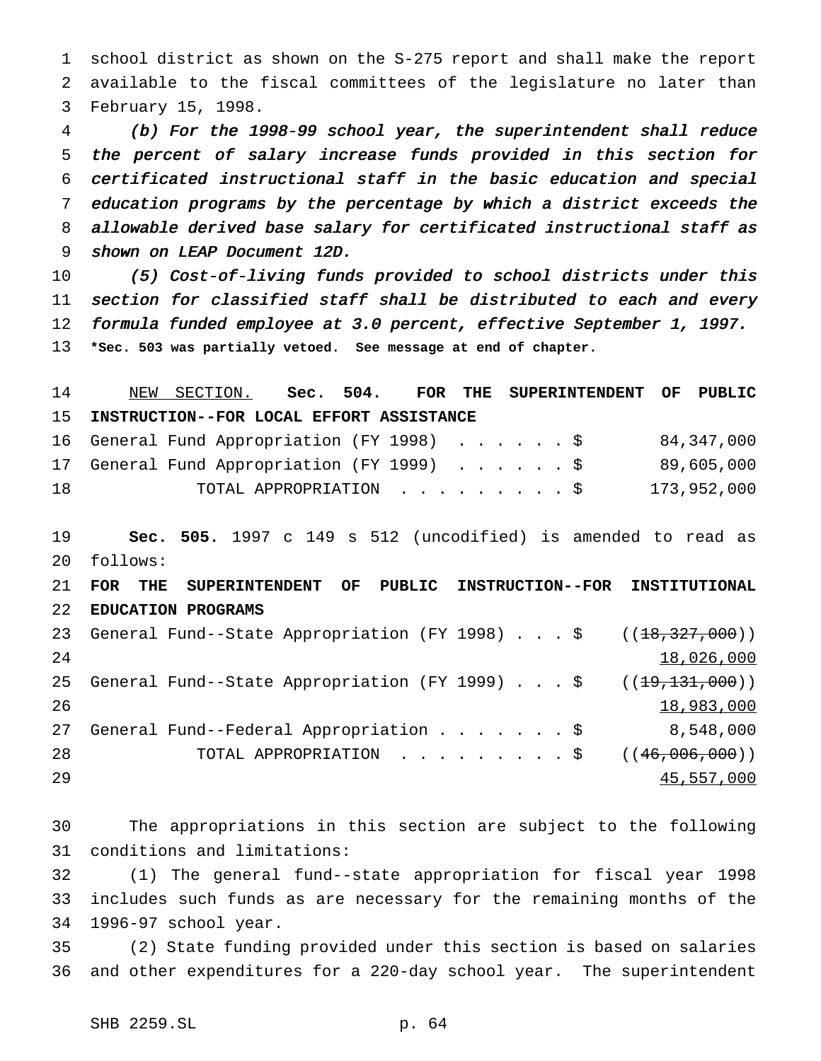school district as shown on the S-275 report and shall make the report available to the fiscal committees of the legislature no later than February 15, 1998.

 (b) For the 1998-99 school year, the superintendent shall reduce the percent of salary increase funds provided in this section for certificated instructional staff in the basic education and special education programs by the percentage by which <sup>a</sup> district exceeds the allowable derived base salary for certificated instructional staff as shown on LEAP Document 12D.

 (5) Cost-of-living funds provided to school districts under this section for classified staff shall be distributed to each and every formula funded employee at 3.0 percent, effective September 1, 1997. **\*Sec. 503 was partially vetoed. See message at end of chapter.**

 NEW SECTION. **Sec. 504. FOR THE SUPERINTENDENT OF PUBLIC INSTRUCTION--FOR LOCAL EFFORT ASSISTANCE** General Fund Appropriation (FY 1998) ......\$ 84,347,000 General Fund Appropriation (FY 1999) ......\$ 89,605,000 TOTAL APPROPRIATION .........\$ 173,952,000

 **Sec. 505.** 1997 c 149 s 512 (uncodified) is amended to read as follows:

 **FOR THE SUPERINTENDENT OF PUBLIC INSTRUCTION--FOR INSTITUTIONAL EDUCATION PROGRAMS** 23 General Fund--State Appropriation (FY 1998)...\$ ((18,327,000)) 18,026,000 25 General Fund--State Appropriation (FY 1999)  $\ldots$  \$ ( $(\pm 9, 131, 000)$ ) 18,983,000 General Fund--Federal Appropriation.......\$ 8,548,000 28 TOTAL APPROPRIATION . . . . . . . . \$ ((46,006,000)) 45,557,000

 The appropriations in this section are subject to the following conditions and limitations:

 (1) The general fund--state appropriation for fiscal year 1998 includes such funds as are necessary for the remaining months of the 1996-97 school year.

 (2) State funding provided under this section is based on salaries and other expenditures for a 220-day school year. The superintendent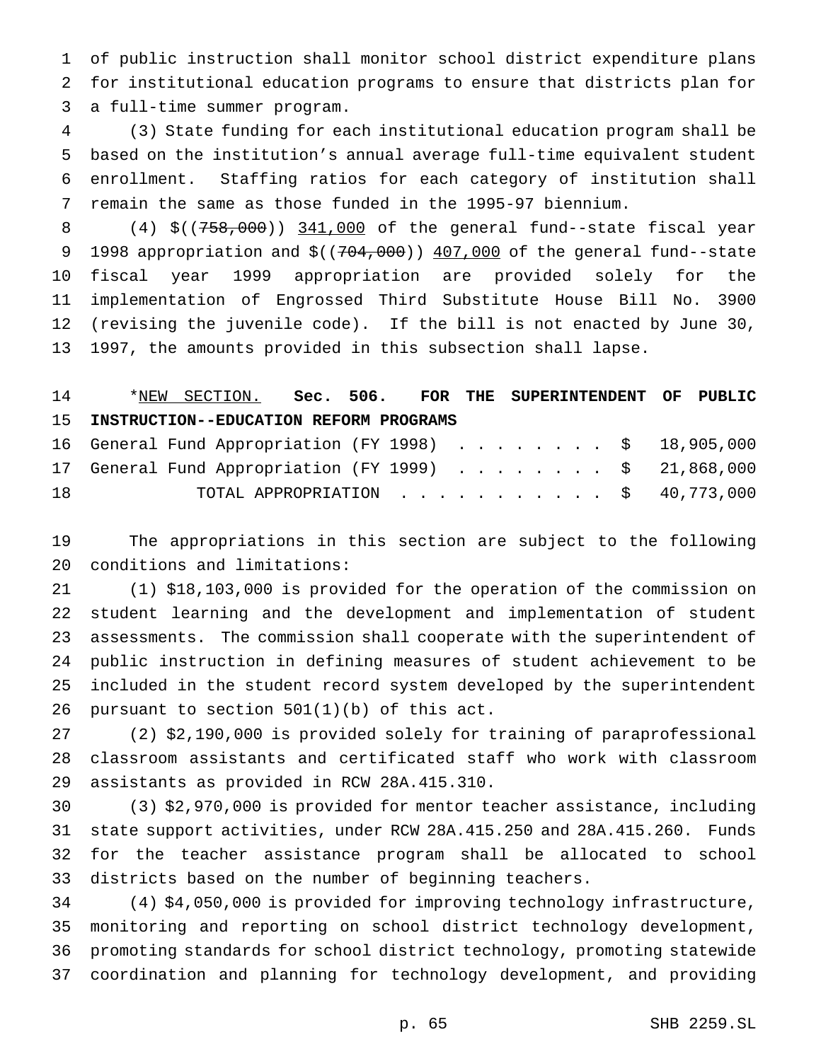of public instruction shall monitor school district expenditure plans for institutional education programs to ensure that districts plan for a full-time summer program.

 (3) State funding for each institutional education program shall be based on the institution's annual average full-time equivalent student enrollment. Staffing ratios for each category of institution shall remain the same as those funded in the 1995-97 biennium.

8 (4) \$((758,000)) 341,000 of the general fund--state fiscal year 9 1998 appropriation and  $$((704,000))$  407,000 of the general fund--state fiscal year 1999 appropriation are provided solely for the implementation of Engrossed Third Substitute House Bill No. 3900 (revising the juvenile code). If the bill is not enacted by June 30, 1997, the amounts provided in this subsection shall lapse.

 \*NEW SECTION. **Sec. 506. FOR THE SUPERINTENDENT OF PUBLIC INSTRUCTION--EDUCATION REFORM PROGRAMS**

|    |  | 16 General Fund Appropriation (FY 1998) \$ 18,905,000 |  |  |  |  |  |  |  |
|----|--|-------------------------------------------------------|--|--|--|--|--|--|--|
|    |  | 17 General Fund Appropriation (FY 1999) \$ 21,868,000 |  |  |  |  |  |  |  |
| 18 |  | TOTAL APPROPRIATION $\ldots$ , \$ 40,773,000          |  |  |  |  |  |  |  |

 The appropriations in this section are subject to the following conditions and limitations:

 (1) \$18,103,000 is provided for the operation of the commission on student learning and the development and implementation of student assessments. The commission shall cooperate with the superintendent of public instruction in defining measures of student achievement to be included in the student record system developed by the superintendent pursuant to section 501(1)(b) of this act.

 (2) \$2,190,000 is provided solely for training of paraprofessional classroom assistants and certificated staff who work with classroom assistants as provided in RCW 28A.415.310.

 (3) \$2,970,000 is provided for mentor teacher assistance, including state support activities, under RCW 28A.415.250 and 28A.415.260. Funds for the teacher assistance program shall be allocated to school districts based on the number of beginning teachers.

 (4) \$4,050,000 is provided for improving technology infrastructure, monitoring and reporting on school district technology development, promoting standards for school district technology, promoting statewide coordination and planning for technology development, and providing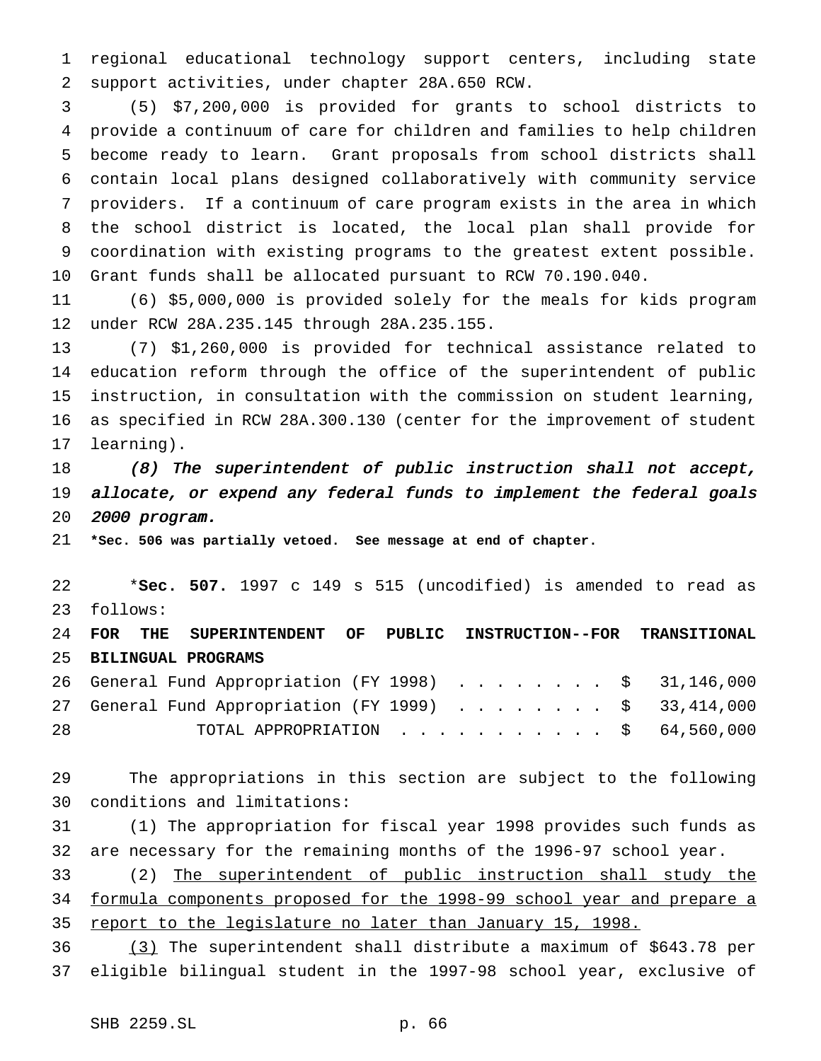regional educational technology support centers, including state support activities, under chapter 28A.650 RCW.

 (5) \$7,200,000 is provided for grants to school districts to provide a continuum of care for children and families to help children become ready to learn. Grant proposals from school districts shall contain local plans designed collaboratively with community service providers. If a continuum of care program exists in the area in which the school district is located, the local plan shall provide for coordination with existing programs to the greatest extent possible. Grant funds shall be allocated pursuant to RCW 70.190.040.

 (6) \$5,000,000 is provided solely for the meals for kids program under RCW 28A.235.145 through 28A.235.155.

 (7) \$1,260,000 is provided for technical assistance related to education reform through the office of the superintendent of public instruction, in consultation with the commission on student learning, as specified in RCW 28A.300.130 (center for the improvement of student learning).

18 (8) The superintendent of public instruction shall not accept, allocate, or expend any federal funds to implement the federal goals <sup>2000</sup> program.

**\*Sec. 506 was partially vetoed. See message at end of chapter.**

 \***Sec. 507.** 1997 c 149 s 515 (uncodified) is amended to read as follows:

 **FOR THE SUPERINTENDENT OF PUBLIC INSTRUCTION--FOR TRANSITIONAL BILINGUAL PROGRAMS**

|    |  | 26 General Fund Appropriation (FY 1998) \$ 31,146,000 |  |  |  |  |  |  |  |
|----|--|-------------------------------------------------------|--|--|--|--|--|--|--|
|    |  | 27 General Fund Appropriation (FY 1999) \$ 33,414,000 |  |  |  |  |  |  |  |
| 28 |  | TOTAL APPROPRIATION $\ldots$ , \$ 64,560,000          |  |  |  |  |  |  |  |

 The appropriations in this section are subject to the following conditions and limitations:

 (1) The appropriation for fiscal year 1998 provides such funds as are necessary for the remaining months of the 1996-97 school year.

 (2) The superintendent of public instruction shall study the formula components proposed for the 1998-99 school year and prepare a 35 report to the legislature no later than January 15, 1998.

 (3) The superintendent shall distribute a maximum of \$643.78 per eligible bilingual student in the 1997-98 school year, exclusive of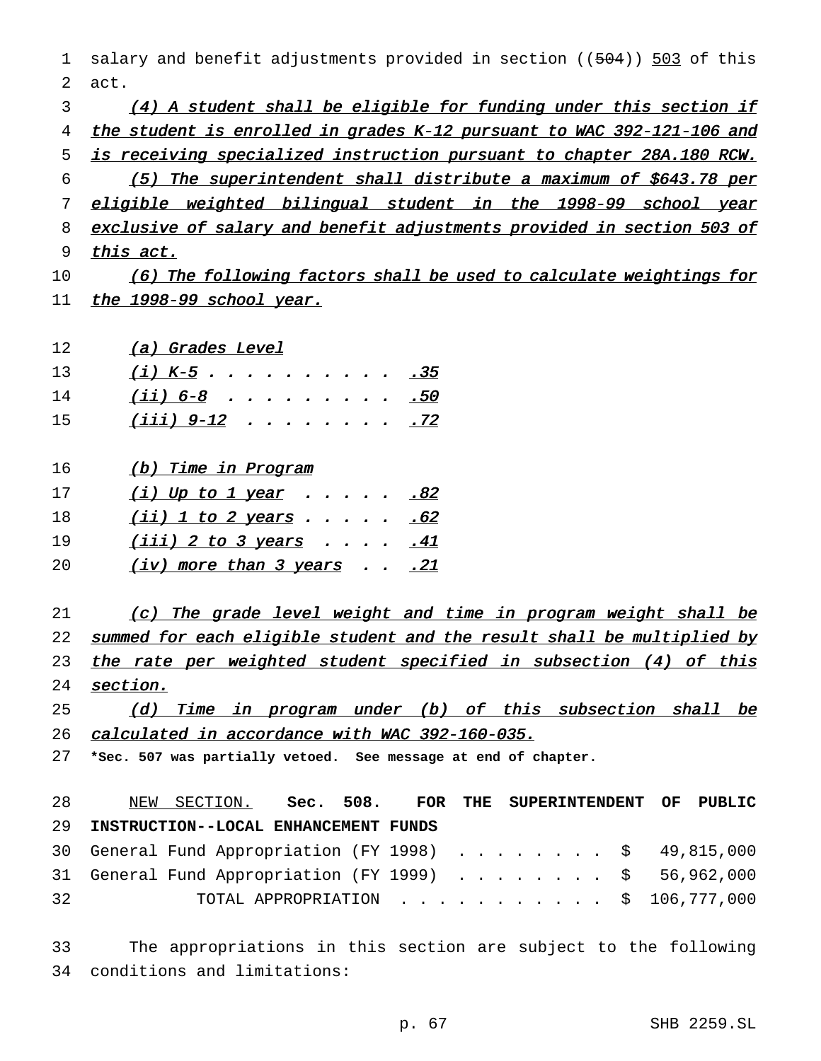1 salary and benefit adjustments provided in section ((504)) 503 of this 2 act. 3 (4) <sup>A</sup> student shall be eligible for funding under this section if 4 the student is enrolled in grades K-12 pursuant to WAC 392-121-106 and 5 is receiving specialized instruction pursuant to chapter 28A.180 RCW. 6 (5) The superintendent shall distribute <sup>a</sup> maximum of \$643.78 per 7 eligible weighted bilingual student in the 1998-99 school year 8 exclusive of salary and benefit adjustments provided in section 503 of 9 this act. 10 (6) The following factors shall be used to calculate weightings for 11 the 1998-99 school year. 12 (a) Grades Level 13 (*i*) K-5 . . . . . . . . . . 35 14 (*ii*) 6-8 . . . . . . . . . 50 15 (<u>iii) 9-12</u> . . . . . . . . <u>.72</u> 16 (b) Time in Program

17 (*i*) Up to 1 year . . . . . 82 18 (ii) 1 to 2 years  $\ldots$  . . . . . 62 19 (*iii*) 2 to 3 years . . . . <u>. 41</u> 20 (iv) more than 3 years . . . 21

21 (c) The grade level weight and time in program weight shall be 22 summed for each eligible student and the result shall be multiplied by 23 the rate per weighted student specified in subsection (4) of this 24 section.

25 (d) Time in program under (b) of this subsection shall be 26 calculated in accordance with WAC 392-160-035.

27 **\*Sec. 507 was partially vetoed. See message at end of chapter.**

 NEW SECTION. **Sec. 508. FOR THE SUPERINTENDENT OF PUBLIC INSTRUCTION--LOCAL ENHANCEMENT FUNDS** General Fund Appropriation (FY 1998) ........ \$ 49,815,000 31 General Fund Appropriation (FY 1999) . . . . . . . . \$ 56,962,000 TOTAL APPROPRIATION ........... \$ 106,777,000

33 The appropriations in this section are subject to the following 34 conditions and limitations: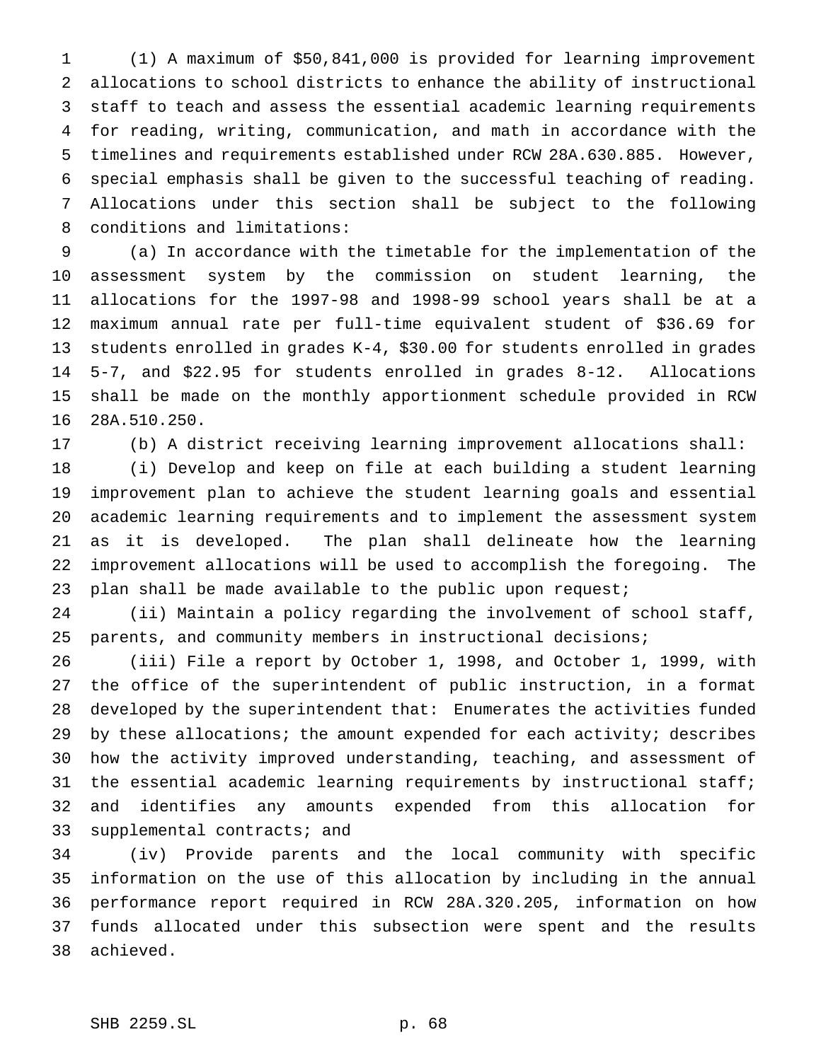(1) A maximum of \$50,841,000 is provided for learning improvement allocations to school districts to enhance the ability of instructional staff to teach and assess the essential academic learning requirements for reading, writing, communication, and math in accordance with the timelines and requirements established under RCW 28A.630.885. However, special emphasis shall be given to the successful teaching of reading. Allocations under this section shall be subject to the following conditions and limitations:

 (a) In accordance with the timetable for the implementation of the assessment system by the commission on student learning, the allocations for the 1997-98 and 1998-99 school years shall be at a maximum annual rate per full-time equivalent student of \$36.69 for students enrolled in grades K-4, \$30.00 for students enrolled in grades 5-7, and \$22.95 for students enrolled in grades 8-12. Allocations shall be made on the monthly apportionment schedule provided in RCW 28A.510.250.

(b) A district receiving learning improvement allocations shall:

 (i) Develop and keep on file at each building a student learning improvement plan to achieve the student learning goals and essential academic learning requirements and to implement the assessment system as it is developed. The plan shall delineate how the learning improvement allocations will be used to accomplish the foregoing. The 23 plan shall be made available to the public upon request;

 (ii) Maintain a policy regarding the involvement of school staff, parents, and community members in instructional decisions;

 (iii) File a report by October 1, 1998, and October 1, 1999, with the office of the superintendent of public instruction, in a format developed by the superintendent that: Enumerates the activities funded 29 by these allocations; the amount expended for each activity; describes how the activity improved understanding, teaching, and assessment of the essential academic learning requirements by instructional staff; and identifies any amounts expended from this allocation for supplemental contracts; and

 (iv) Provide parents and the local community with specific information on the use of this allocation by including in the annual performance report required in RCW 28A.320.205, information on how funds allocated under this subsection were spent and the results achieved.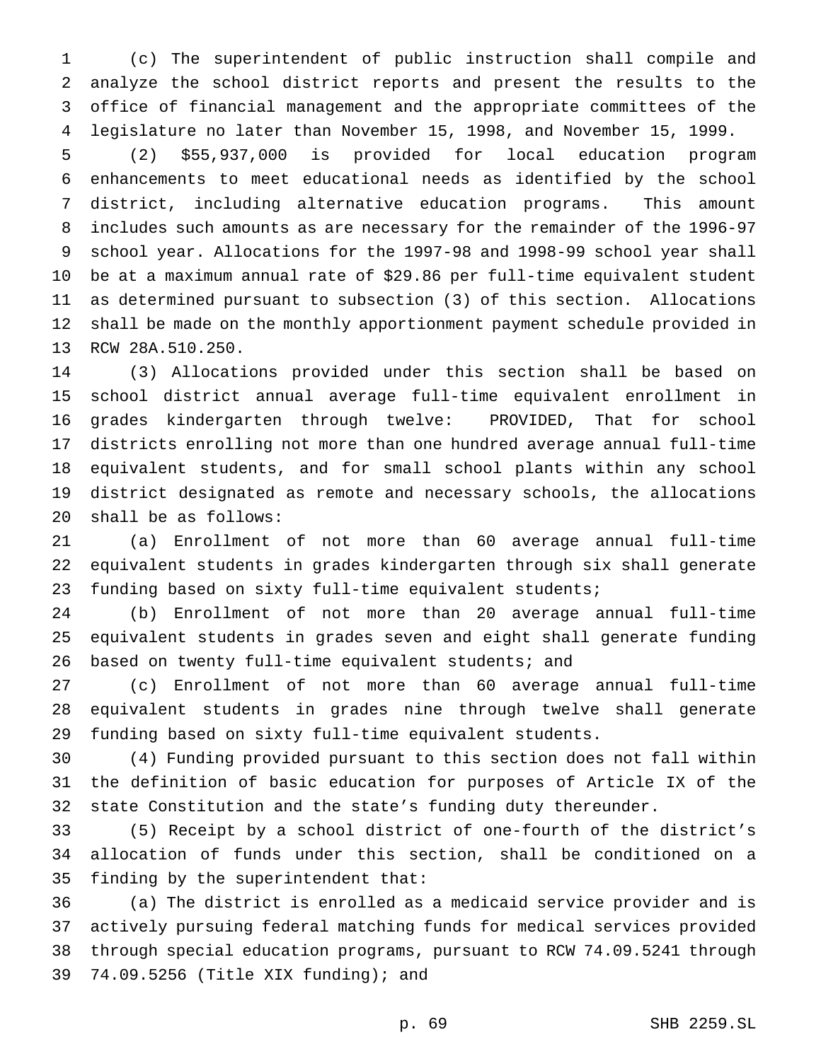(c) The superintendent of public instruction shall compile and analyze the school district reports and present the results to the office of financial management and the appropriate committees of the legislature no later than November 15, 1998, and November 15, 1999.

 (2) \$55,937,000 is provided for local education program enhancements to meet educational needs as identified by the school district, including alternative education programs. This amount includes such amounts as are necessary for the remainder of the 1996-97 school year. Allocations for the 1997-98 and 1998-99 school year shall be at a maximum annual rate of \$29.86 per full-time equivalent student as determined pursuant to subsection (3) of this section. Allocations shall be made on the monthly apportionment payment schedule provided in RCW 28A.510.250.

 (3) Allocations provided under this section shall be based on school district annual average full-time equivalent enrollment in grades kindergarten through twelve: PROVIDED, That for school districts enrolling not more than one hundred average annual full-time equivalent students, and for small school plants within any school district designated as remote and necessary schools, the allocations shall be as follows:

 (a) Enrollment of not more than 60 average annual full-time equivalent students in grades kindergarten through six shall generate funding based on sixty full-time equivalent students;

 (b) Enrollment of not more than 20 average annual full-time equivalent students in grades seven and eight shall generate funding based on twenty full-time equivalent students; and

 (c) Enrollment of not more than 60 average annual full-time equivalent students in grades nine through twelve shall generate funding based on sixty full-time equivalent students.

 (4) Funding provided pursuant to this section does not fall within the definition of basic education for purposes of Article IX of the state Constitution and the state's funding duty thereunder.

 (5) Receipt by a school district of one-fourth of the district's allocation of funds under this section, shall be conditioned on a finding by the superintendent that:

 (a) The district is enrolled as a medicaid service provider and is actively pursuing federal matching funds for medical services provided through special education programs, pursuant to RCW 74.09.5241 through 74.09.5256 (Title XIX funding); and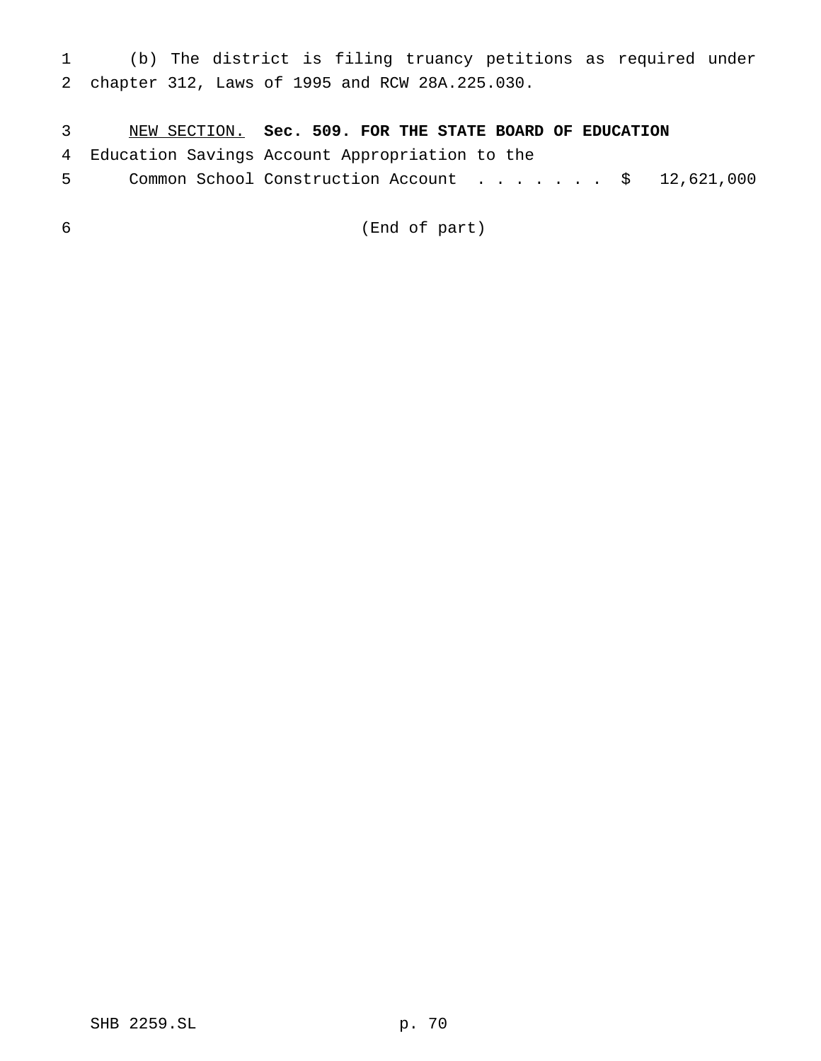(b) The district is filing truancy petitions as required under chapter 312, Laws of 1995 and RCW 28A.225.030.

NEW SECTION. **Sec. 509. FOR THE STATE BOARD OF EDUCATION**

Education Savings Account Appropriation to the

5 Common School Construction Account . . . . . . \$ 12,621,000

(End of part)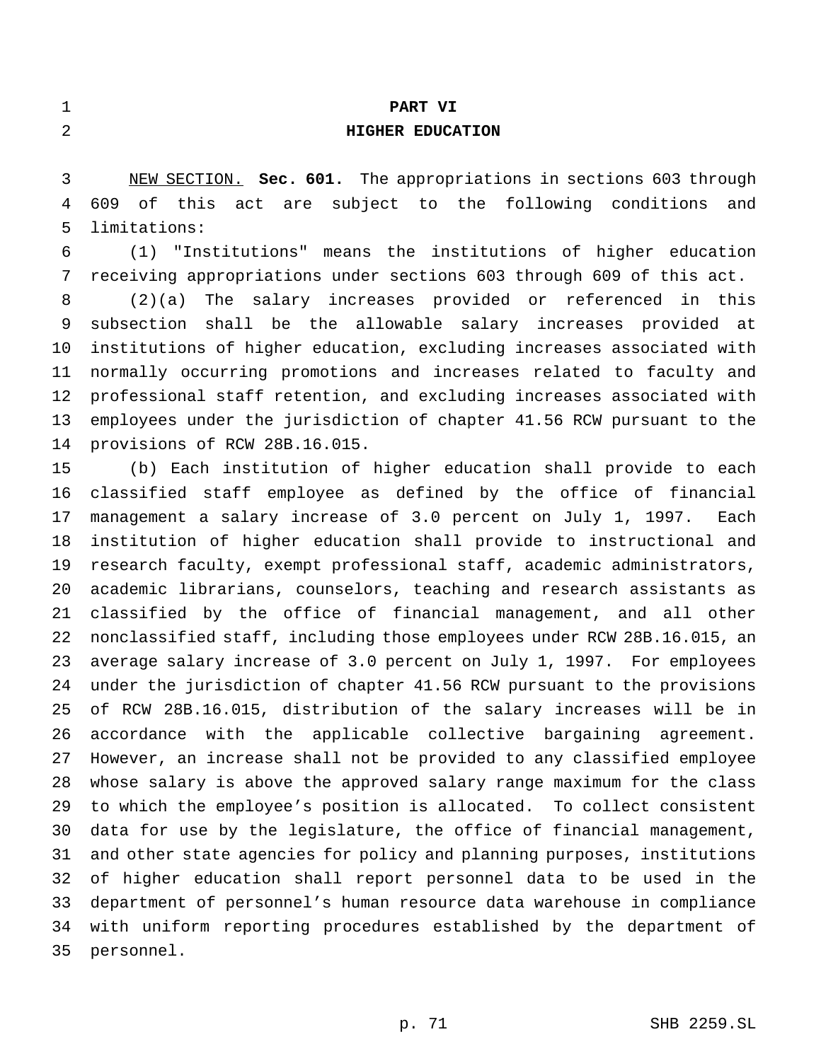### **PART VI**

## **HIGHER EDUCATION**

 NEW SECTION. **Sec. 601.** The appropriations in sections 603 through 609 of this act are subject to the following conditions and limitations:

 (1) "Institutions" means the institutions of higher education receiving appropriations under sections 603 through 609 of this act.

 (2)(a) The salary increases provided or referenced in this subsection shall be the allowable salary increases provided at institutions of higher education, excluding increases associated with normally occurring promotions and increases related to faculty and professional staff retention, and excluding increases associated with employees under the jurisdiction of chapter 41.56 RCW pursuant to the provisions of RCW 28B.16.015.

 (b) Each institution of higher education shall provide to each classified staff employee as defined by the office of financial management a salary increase of 3.0 percent on July 1, 1997. Each institution of higher education shall provide to instructional and research faculty, exempt professional staff, academic administrators, academic librarians, counselors, teaching and research assistants as classified by the office of financial management, and all other nonclassified staff, including those employees under RCW 28B.16.015, an average salary increase of 3.0 percent on July 1, 1997. For employees under the jurisdiction of chapter 41.56 RCW pursuant to the provisions of RCW 28B.16.015, distribution of the salary increases will be in accordance with the applicable collective bargaining agreement. However, an increase shall not be provided to any classified employee whose salary is above the approved salary range maximum for the class to which the employee's position is allocated. To collect consistent data for use by the legislature, the office of financial management, and other state agencies for policy and planning purposes, institutions of higher education shall report personnel data to be used in the department of personnel's human resource data warehouse in compliance with uniform reporting procedures established by the department of personnel.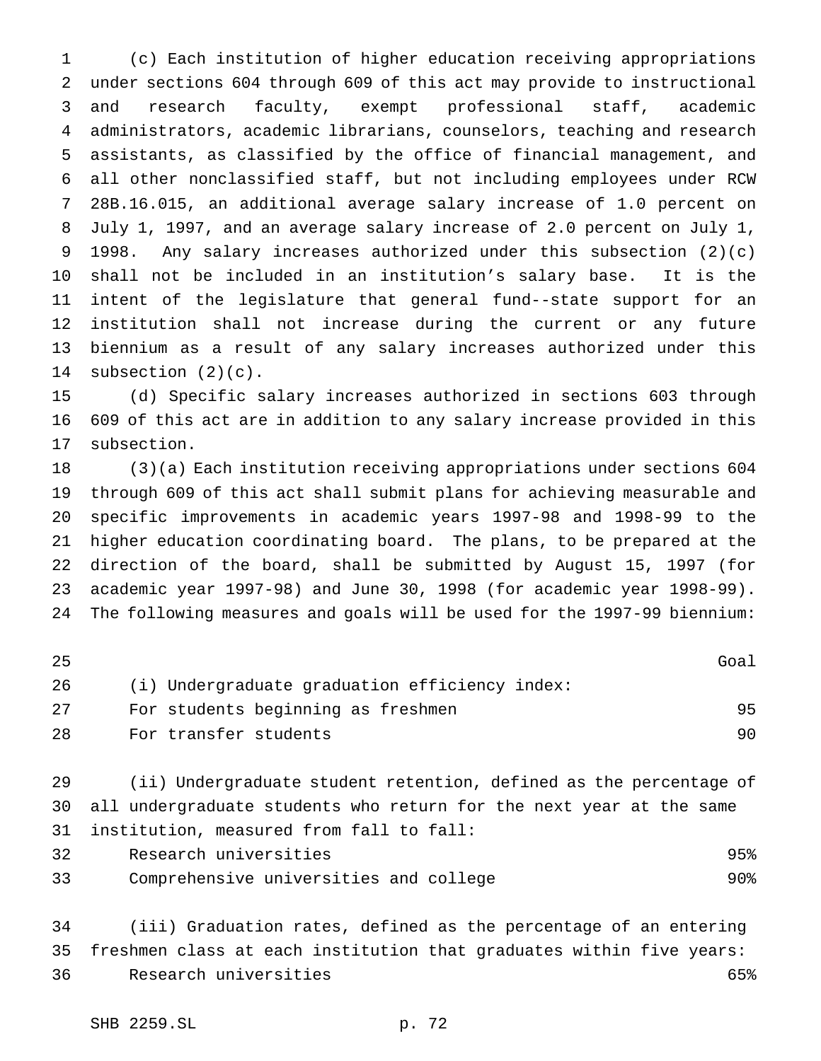(c) Each institution of higher education receiving appropriations under sections 604 through 609 of this act may provide to instructional and research faculty, exempt professional staff, academic administrators, academic librarians, counselors, teaching and research assistants, as classified by the office of financial management, and all other nonclassified staff, but not including employees under RCW 28B.16.015, an additional average salary increase of 1.0 percent on July 1, 1997, and an average salary increase of 2.0 percent on July 1, 1998. Any salary increases authorized under this subsection (2)(c) shall not be included in an institution's salary base. It is the intent of the legislature that general fund--state support for an institution shall not increase during the current or any future biennium as a result of any salary increases authorized under this subsection (2)(c).

 (d) Specific salary increases authorized in sections 603 through 609 of this act are in addition to any salary increase provided in this subsection.

 (3)(a) Each institution receiving appropriations under sections 604 through 609 of this act shall submit plans for achieving measurable and specific improvements in academic years 1997-98 and 1998-99 to the higher education coordinating board. The plans, to be prepared at the direction of the board, shall be submitted by August 15, 1997 (for academic year 1997-98) and June 30, 1998 (for academic year 1998-99). The following measures and goals will be used for the 1997-99 biennium:

| 25 |                                                | Goal |
|----|------------------------------------------------|------|
| 26 | (i) Undergraduate graduation efficiency index: |      |
| 27 | For students beginning as freshmen             | 95   |
| 28 | For transfer students                          | 90.  |

 (ii) Undergraduate student retention, defined as the percentage of all undergraduate students who return for the next year at the same institution, measured from fall to fall:

 Research universities 95% Comprehensive universities and college 90%

 (iii) Graduation rates, defined as the percentage of an entering freshmen class at each institution that graduates within five years: Research universities 65%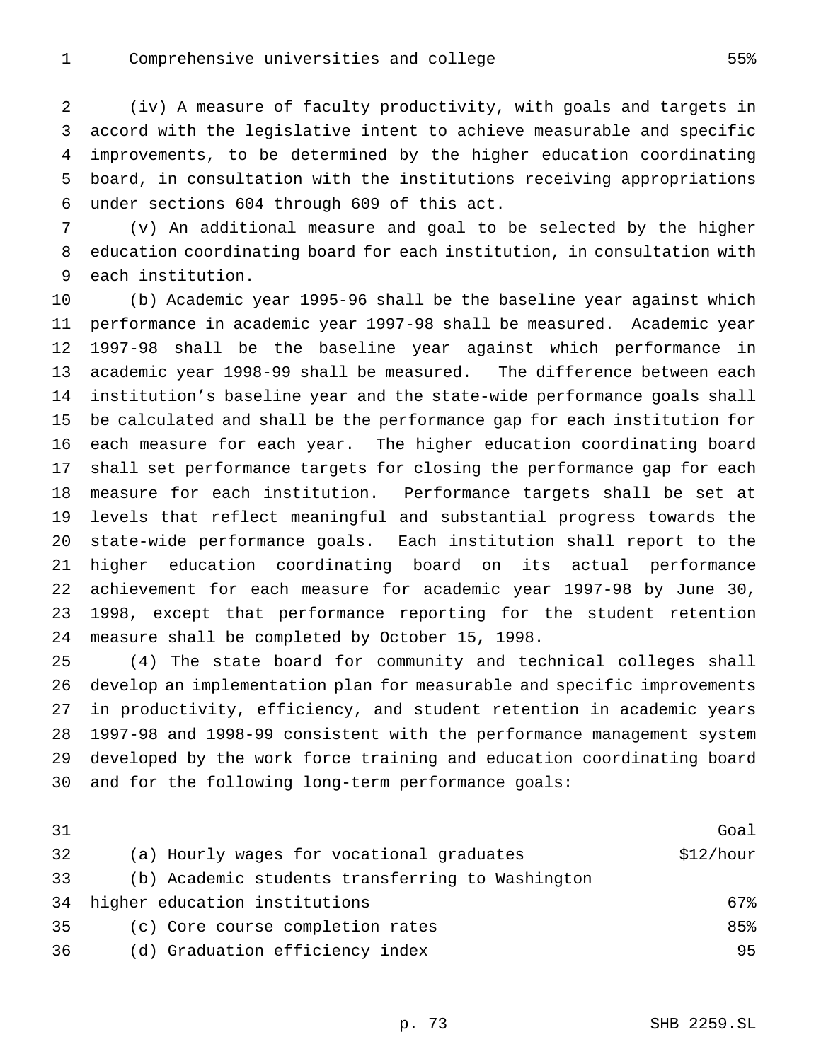(iv) A measure of faculty productivity, with goals and targets in accord with the legislative intent to achieve measurable and specific improvements, to be determined by the higher education coordinating board, in consultation with the institutions receiving appropriations under sections 604 through 609 of this act.

 (v) An additional measure and goal to be selected by the higher education coordinating board for each institution, in consultation with each institution.

 (b) Academic year 1995-96 shall be the baseline year against which performance in academic year 1997-98 shall be measured. Academic year 1997-98 shall be the baseline year against which performance in academic year 1998-99 shall be measured. The difference between each institution's baseline year and the state-wide performance goals shall be calculated and shall be the performance gap for each institution for each measure for each year. The higher education coordinating board shall set performance targets for closing the performance gap for each measure for each institution. Performance targets shall be set at levels that reflect meaningful and substantial progress towards the state-wide performance goals. Each institution shall report to the higher education coordinating board on its actual performance achievement for each measure for academic year 1997-98 by June 30, 1998, except that performance reporting for the student retention measure shall be completed by October 15, 1998.

 (4) The state board for community and technical colleges shall develop an implementation plan for measurable and specific improvements in productivity, efficiency, and student retention in academic years 1997-98 and 1998-99 consistent with the performance management system developed by the work force training and education coordinating board and for the following long-term performance goals:

| 31 |                                                  | Goal      |
|----|--------------------------------------------------|-----------|
| 32 | (a) Hourly wages for vocational graduates        | \$12/hour |
| 33 | (b) Academic students transferring to Washington |           |
| 34 | higher education institutions                    | 67%       |
| 35 | (c) Core course completion rates                 | 85%       |
| 36 | (d) Graduation efficiency index                  | 95        |
|    |                                                  |           |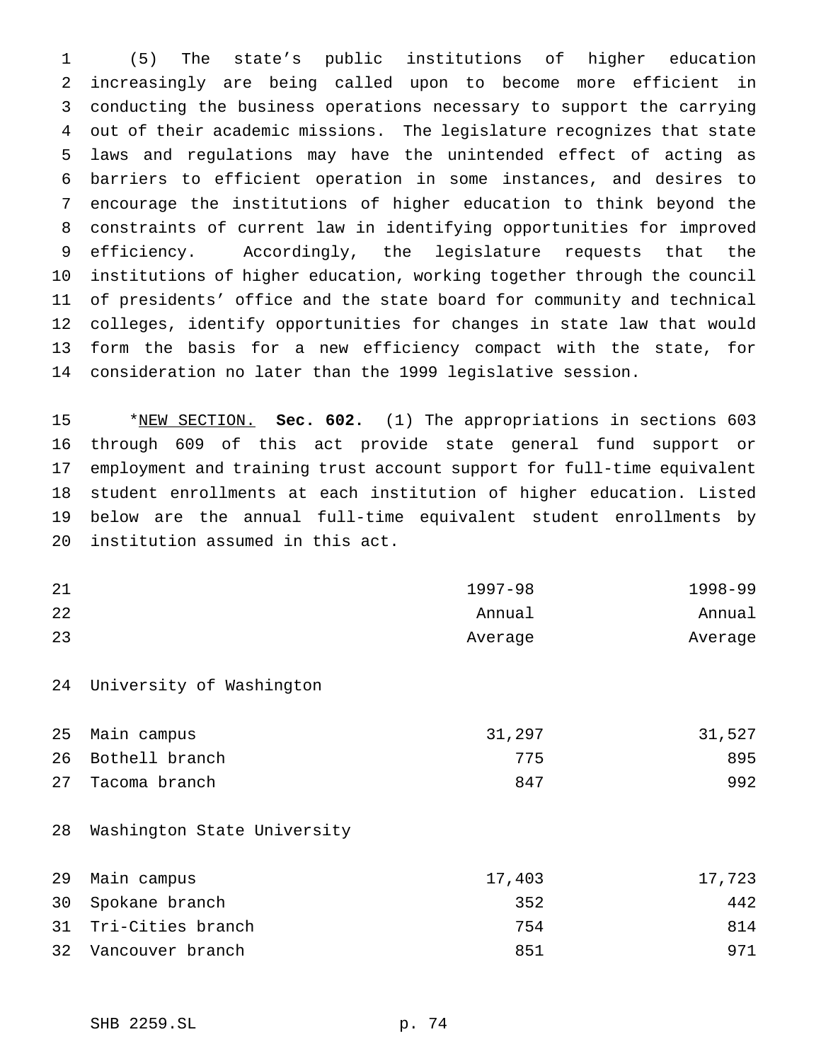(5) The state's public institutions of higher education increasingly are being called upon to become more efficient in conducting the business operations necessary to support the carrying out of their academic missions. The legislature recognizes that state laws and regulations may have the unintended effect of acting as barriers to efficient operation in some instances, and desires to encourage the institutions of higher education to think beyond the constraints of current law in identifying opportunities for improved efficiency. Accordingly, the legislature requests that the institutions of higher education, working together through the council of presidents' office and the state board for community and technical colleges, identify opportunities for changes in state law that would form the basis for a new efficiency compact with the state, for consideration no later than the 1999 legislative session.

 \*NEW SECTION. **Sec. 602.** (1) The appropriations in sections 603 through 609 of this act provide state general fund support or employment and training trust account support for full-time equivalent student enrollments at each institution of higher education. Listed below are the annual full-time equivalent student enrollments by institution assumed in this act.

| 21 | $1997 - 98$ | 1998-99 |
|----|-------------|---------|
| 22 | Annual      | Annual  |
| 23 | Average     | Average |

University of Washington

| 25 Main campus    | 31,297 | 31,527 |
|-------------------|--------|--------|
| 26 Bothell branch | 775    | 895    |
| 27 Tacoma branch  | 847    | 992    |

Washington State University

| 29 Main campus       | 17,403 | 17,723 |
|----------------------|--------|--------|
| 30 Spokane branch    | 352    | 442    |
| 31 Tri-Cities branch | 754    | 814    |
| 32 Vancouver branch  | 851    | 971    |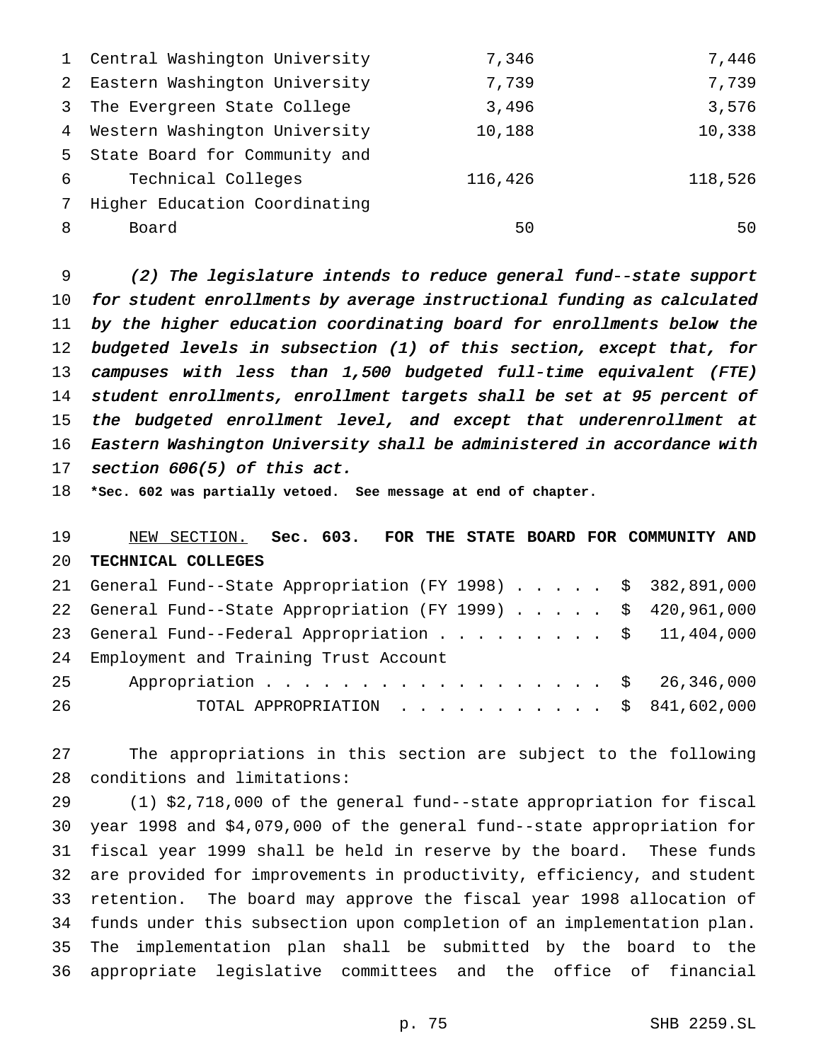|                 | 1 Central Washington University | 7,346   | 7,446   |
|-----------------|---------------------------------|---------|---------|
| 2               | Eastern Washington University   | 7,739   | 7,739   |
| 3               | The Evergreen State College     | 3,496   | 3,576   |
|                 | 4 Western Washington University | 10,188  | 10,338  |
|                 | 5 State Board for Community and |         |         |
| 6 —             | Technical Colleges              | 116,426 | 118,526 |
| $7\overline{ }$ | Higher Education Coordinating   |         |         |
| 8               | Board                           | 50      | 50      |

 (2) The legislature intends to reduce general fund--state support for student enrollments by average instructional funding as calculated by the higher education coordinating board for enrollments below the budgeted levels in subsection (1) of this section, except that, for campuses with less than 1,500 budgeted full-time equivalent (FTE) student enrollments, enrollment targets shall be set at <sup>95</sup> percent of 15 the budgeted enrollment level, and except that underenrollment at Eastern Washington University shall be administered in accordance with section 606(5) of this act.

**\*Sec. 602 was partially vetoed. See message at end of chapter.**

 NEW SECTION. **Sec. 603. FOR THE STATE BOARD FOR COMMUNITY AND TECHNICAL COLLEGES**

|    | 21 General Fund--State Appropriation (FY 1998) \$ 382,891,000 |
|----|---------------------------------------------------------------|
|    | 22 General Fund--State Appropriation (FY 1999) \$ 420,961,000 |
|    | 23 General Fund--Federal Appropriation \$ 11,404,000          |
|    | 24 Employment and Training Trust Account                      |
| 25 | Appropriation \$ 26,346,000                                   |
| 26 | TOTAL APPROPRIATION $\ldots$ , \$ 841,602,000                 |

 The appropriations in this section are subject to the following conditions and limitations:

 (1) \$2,718,000 of the general fund--state appropriation for fiscal year 1998 and \$4,079,000 of the general fund--state appropriation for fiscal year 1999 shall be held in reserve by the board. These funds are provided for improvements in productivity, efficiency, and student retention. The board may approve the fiscal year 1998 allocation of funds under this subsection upon completion of an implementation plan. The implementation plan shall be submitted by the board to the appropriate legislative committees and the office of financial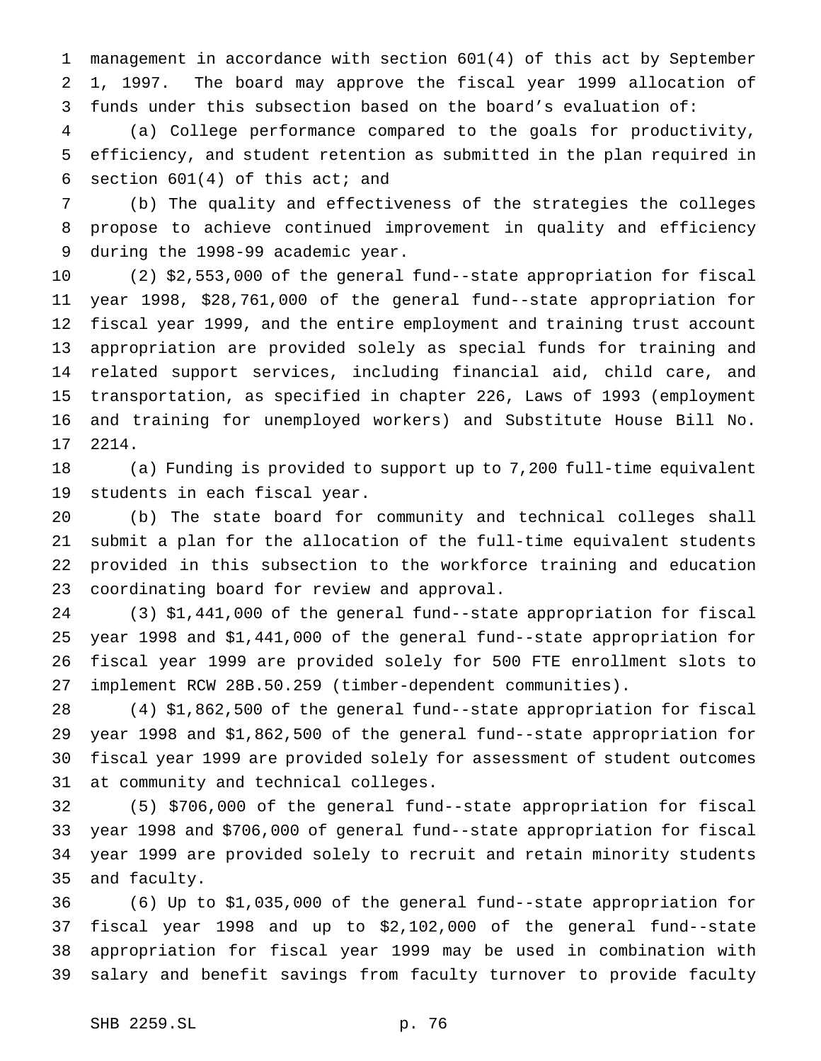management in accordance with section 601(4) of this act by September 1, 1997. The board may approve the fiscal year 1999 allocation of funds under this subsection based on the board's evaluation of:

 (a) College performance compared to the goals for productivity, efficiency, and student retention as submitted in the plan required in section 601(4) of this act; and

 (b) The quality and effectiveness of the strategies the colleges propose to achieve continued improvement in quality and efficiency during the 1998-99 academic year.

 (2) \$2,553,000 of the general fund--state appropriation for fiscal year 1998, \$28,761,000 of the general fund--state appropriation for fiscal year 1999, and the entire employment and training trust account appropriation are provided solely as special funds for training and related support services, including financial aid, child care, and transportation, as specified in chapter 226, Laws of 1993 (employment and training for unemployed workers) and Substitute House Bill No. 2214.

 (a) Funding is provided to support up to 7,200 full-time equivalent students in each fiscal year.

 (b) The state board for community and technical colleges shall submit a plan for the allocation of the full-time equivalent students provided in this subsection to the workforce training and education coordinating board for review and approval.

 (3) \$1,441,000 of the general fund--state appropriation for fiscal year 1998 and \$1,441,000 of the general fund--state appropriation for fiscal year 1999 are provided solely for 500 FTE enrollment slots to implement RCW 28B.50.259 (timber-dependent communities).

 (4) \$1,862,500 of the general fund--state appropriation for fiscal year 1998 and \$1,862,500 of the general fund--state appropriation for fiscal year 1999 are provided solely for assessment of student outcomes at community and technical colleges.

 (5) \$706,000 of the general fund--state appropriation for fiscal year 1998 and \$706,000 of general fund--state appropriation for fiscal year 1999 are provided solely to recruit and retain minority students and faculty.

 (6) Up to \$1,035,000 of the general fund--state appropriation for fiscal year 1998 and up to \$2,102,000 of the general fund--state appropriation for fiscal year 1999 may be used in combination with salary and benefit savings from faculty turnover to provide faculty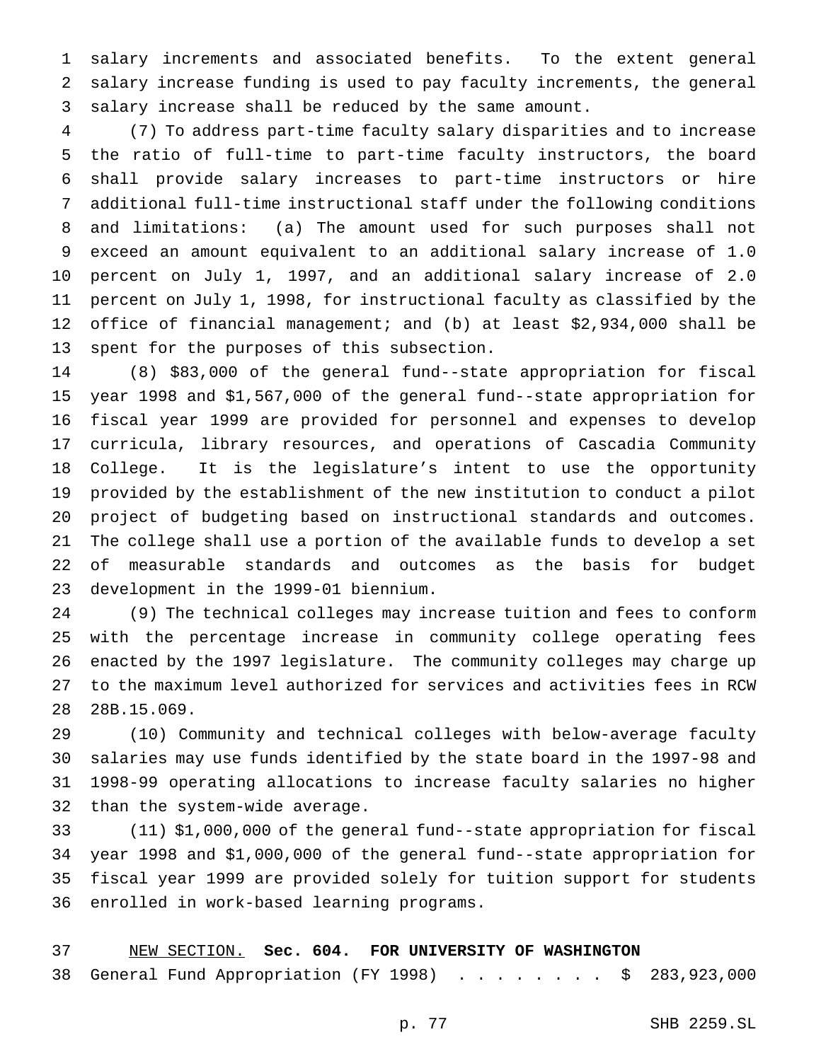salary increments and associated benefits. To the extent general salary increase funding is used to pay faculty increments, the general salary increase shall be reduced by the same amount.

 (7) To address part-time faculty salary disparities and to increase the ratio of full-time to part-time faculty instructors, the board shall provide salary increases to part-time instructors or hire additional full-time instructional staff under the following conditions and limitations: (a) The amount used for such purposes shall not exceed an amount equivalent to an additional salary increase of 1.0 percent on July 1, 1997, and an additional salary increase of 2.0 percent on July 1, 1998, for instructional faculty as classified by the office of financial management; and (b) at least \$2,934,000 shall be spent for the purposes of this subsection.

 (8) \$83,000 of the general fund--state appropriation for fiscal year 1998 and \$1,567,000 of the general fund--state appropriation for fiscal year 1999 are provided for personnel and expenses to develop curricula, library resources, and operations of Cascadia Community College. It is the legislature's intent to use the opportunity provided by the establishment of the new institution to conduct a pilot project of budgeting based on instructional standards and outcomes. The college shall use a portion of the available funds to develop a set of measurable standards and outcomes as the basis for budget development in the 1999-01 biennium.

 (9) The technical colleges may increase tuition and fees to conform with the percentage increase in community college operating fees enacted by the 1997 legislature. The community colleges may charge up to the maximum level authorized for services and activities fees in RCW 28B.15.069.

 (10) Community and technical colleges with below-average faculty salaries may use funds identified by the state board in the 1997-98 and 1998-99 operating allocations to increase faculty salaries no higher than the system-wide average.

 (11) \$1,000,000 of the general fund--state appropriation for fiscal year 1998 and \$1,000,000 of the general fund--state appropriation for fiscal year 1999 are provided solely for tuition support for students enrolled in work-based learning programs.

 NEW SECTION. **Sec. 604. FOR UNIVERSITY OF WASHINGTON** 38 General Fund Appropriation (FY 1998) . . . . . . . . \$ 283,923,000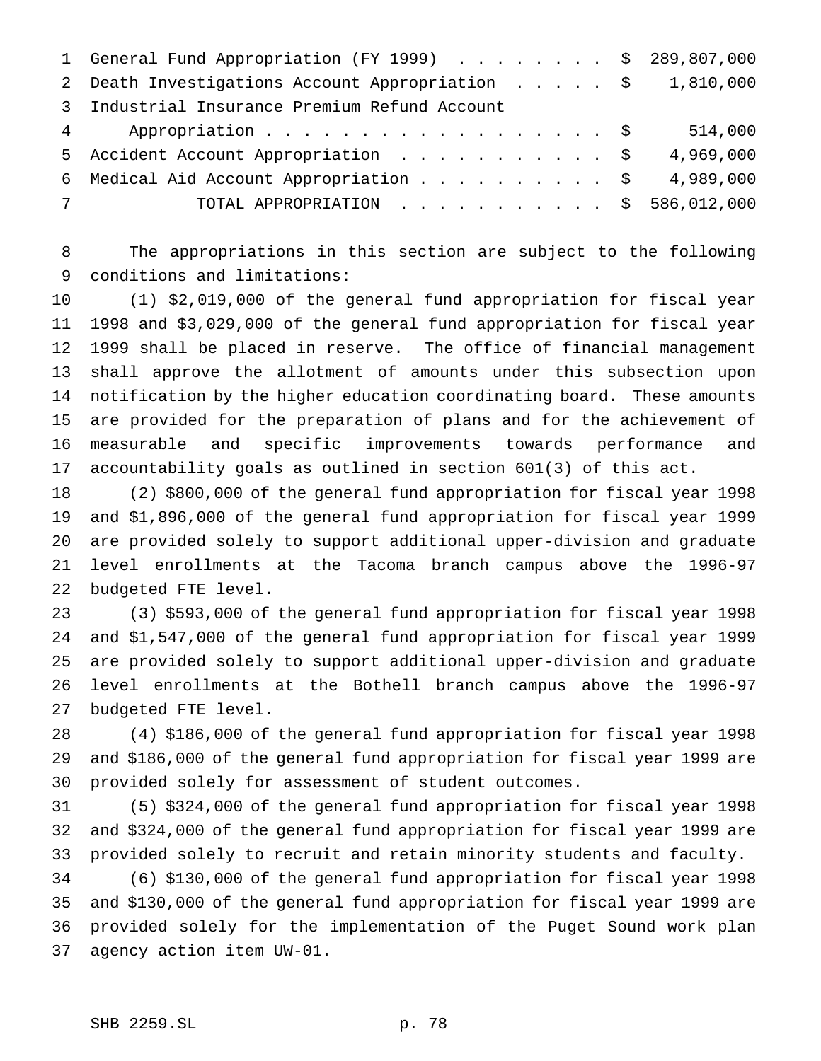| 2 Death Investigations Account Appropriation \$ 1,810,000<br>3 Industrial Insurance Premium Refund Account<br>$\overline{4}$<br>5 Accident Account Appropriation \$<br>6 Medical Aid Account Appropriation \$ |                  |  |  |  |  |  |                                               |
|---------------------------------------------------------------------------------------------------------------------------------------------------------------------------------------------------------------|------------------|--|--|--|--|--|-----------------------------------------------|
|                                                                                                                                                                                                               |                  |  |  |  |  |  |                                               |
|                                                                                                                                                                                                               |                  |  |  |  |  |  |                                               |
|                                                                                                                                                                                                               | Appropriation \$ |  |  |  |  |  | 514,000                                       |
|                                                                                                                                                                                                               |                  |  |  |  |  |  | 4,969,000                                     |
|                                                                                                                                                                                                               |                  |  |  |  |  |  | 4,989,000                                     |
| $7\overline{ }$                                                                                                                                                                                               |                  |  |  |  |  |  | TOTAL APPROPRIATION $\ldots$ , \$ 586,012,000 |

 The appropriations in this section are subject to the following conditions and limitations:

 (1) \$2,019,000 of the general fund appropriation for fiscal year 1998 and \$3,029,000 of the general fund appropriation for fiscal year 1999 shall be placed in reserve. The office of financial management shall approve the allotment of amounts under this subsection upon notification by the higher education coordinating board. These amounts are provided for the preparation of plans and for the achievement of measurable and specific improvements towards performance and accountability goals as outlined in section 601(3) of this act.

 (2) \$800,000 of the general fund appropriation for fiscal year 1998 and \$1,896,000 of the general fund appropriation for fiscal year 1999 are provided solely to support additional upper-division and graduate level enrollments at the Tacoma branch campus above the 1996-97 budgeted FTE level.

 (3) \$593,000 of the general fund appropriation for fiscal year 1998 and \$1,547,000 of the general fund appropriation for fiscal year 1999 are provided solely to support additional upper-division and graduate level enrollments at the Bothell branch campus above the 1996-97 budgeted FTE level.

 (4) \$186,000 of the general fund appropriation for fiscal year 1998 and \$186,000 of the general fund appropriation for fiscal year 1999 are provided solely for assessment of student outcomes.

 (5) \$324,000 of the general fund appropriation for fiscal year 1998 and \$324,000 of the general fund appropriation for fiscal year 1999 are provided solely to recruit and retain minority students and faculty.

 (6) \$130,000 of the general fund appropriation for fiscal year 1998 and \$130,000 of the general fund appropriation for fiscal year 1999 are provided solely for the implementation of the Puget Sound work plan agency action item UW-01.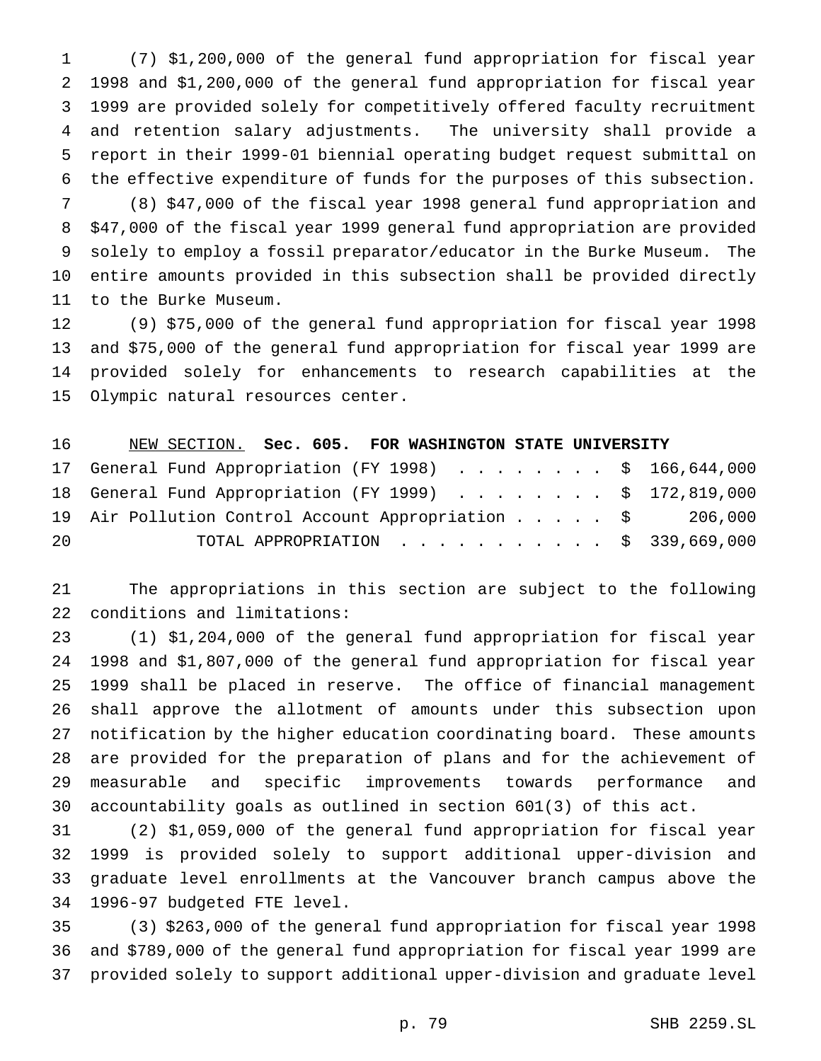(7) \$1,200,000 of the general fund appropriation for fiscal year 1998 and \$1,200,000 of the general fund appropriation for fiscal year 1999 are provided solely for competitively offered faculty recruitment and retention salary adjustments. The university shall provide a report in their 1999-01 biennial operating budget request submittal on the effective expenditure of funds for the purposes of this subsection.

 (8) \$47,000 of the fiscal year 1998 general fund appropriation and \$47,000 of the fiscal year 1999 general fund appropriation are provided solely to employ a fossil preparator/educator in the Burke Museum. The entire amounts provided in this subsection shall be provided directly to the Burke Museum.

 (9) \$75,000 of the general fund appropriation for fiscal year 1998 and \$75,000 of the general fund appropriation for fiscal year 1999 are provided solely for enhancements to research capabilities at the Olympic natural resources center.

| 16 | NEW SECTION. Sec. 605. FOR WASHINGTON STATE UNIVERSITY    |                                    |  |  |  |  |  |
|----|-----------------------------------------------------------|------------------------------------|--|--|--|--|--|
|    | 17 General Fund Appropriation (FY 1998) \$ 166,644,000    |                                    |  |  |  |  |  |
|    | 18 General Fund Appropriation (FY 1999) \$ 172,819,000    |                                    |  |  |  |  |  |
|    | 19 Air Pollution Control Account Appropriation \$ 206,000 |                                    |  |  |  |  |  |
| 20 |                                                           | TOTAL APPROPRIATION \$ 339,669,000 |  |  |  |  |  |

 The appropriations in this section are subject to the following conditions and limitations:

 (1) \$1,204,000 of the general fund appropriation for fiscal year 1998 and \$1,807,000 of the general fund appropriation for fiscal year 1999 shall be placed in reserve. The office of financial management shall approve the allotment of amounts under this subsection upon notification by the higher education coordinating board. These amounts are provided for the preparation of plans and for the achievement of measurable and specific improvements towards performance and accountability goals as outlined in section 601(3) of this act.

 (2) \$1,059,000 of the general fund appropriation for fiscal year 1999 is provided solely to support additional upper-division and graduate level enrollments at the Vancouver branch campus above the 1996-97 budgeted FTE level.

 (3) \$263,000 of the general fund appropriation for fiscal year 1998 and \$789,000 of the general fund appropriation for fiscal year 1999 are provided solely to support additional upper-division and graduate level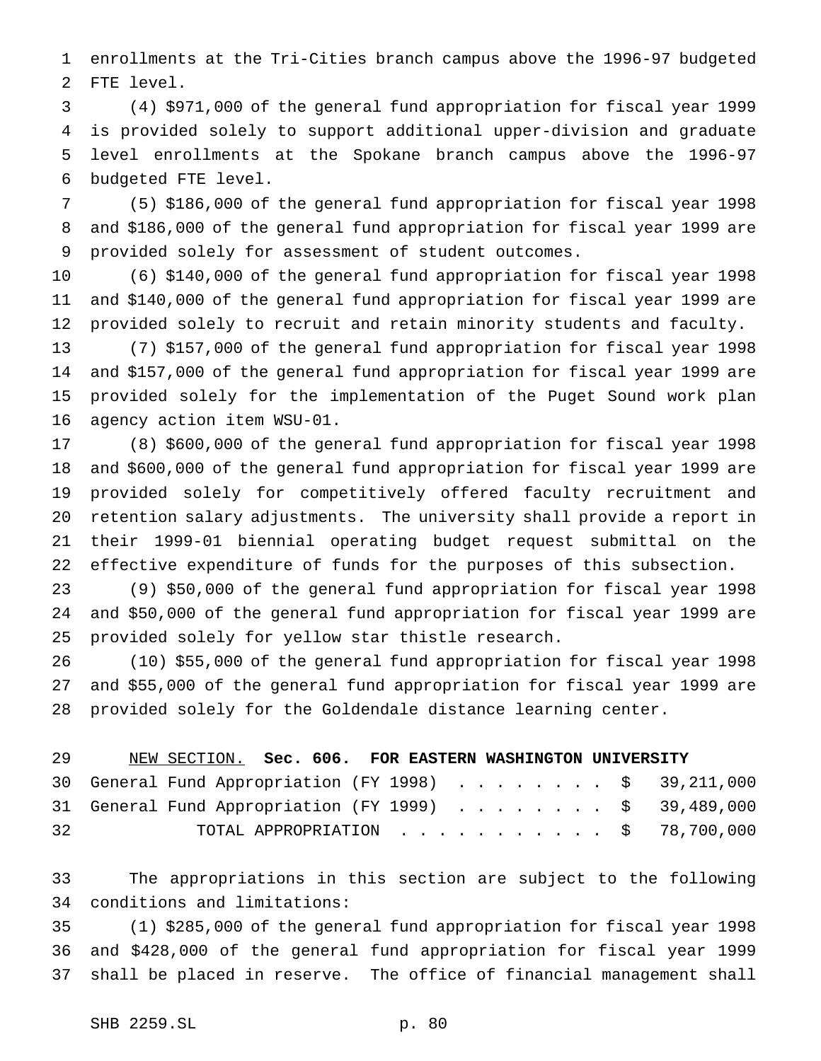enrollments at the Tri-Cities branch campus above the 1996-97 budgeted FTE level.

 (4) \$971,000 of the general fund appropriation for fiscal year 1999 is provided solely to support additional upper-division and graduate level enrollments at the Spokane branch campus above the 1996-97 budgeted FTE level.

 (5) \$186,000 of the general fund appropriation for fiscal year 1998 and \$186,000 of the general fund appropriation for fiscal year 1999 are provided solely for assessment of student outcomes.

 (6) \$140,000 of the general fund appropriation for fiscal year 1998 and \$140,000 of the general fund appropriation for fiscal year 1999 are provided solely to recruit and retain minority students and faculty.

 (7) \$157,000 of the general fund appropriation for fiscal year 1998 and \$157,000 of the general fund appropriation for fiscal year 1999 are provided solely for the implementation of the Puget Sound work plan agency action item WSU-01.

 (8) \$600,000 of the general fund appropriation for fiscal year 1998 and \$600,000 of the general fund appropriation for fiscal year 1999 are provided solely for competitively offered faculty recruitment and retention salary adjustments. The university shall provide a report in their 1999-01 biennial operating budget request submittal on the effective expenditure of funds for the purposes of this subsection.

 (9) \$50,000 of the general fund appropriation for fiscal year 1998 and \$50,000 of the general fund appropriation for fiscal year 1999 are provided solely for yellow star thistle research.

 (10) \$55,000 of the general fund appropriation for fiscal year 1998 and \$55,000 of the general fund appropriation for fiscal year 1999 are provided solely for the Goldendale distance learning center.

| 29 | NEW SECTION. Sec. 606. FOR EASTERN WASHINGTON UNIVERSITY |  |  |  |  |  |  |                                                       |
|----|----------------------------------------------------------|--|--|--|--|--|--|-------------------------------------------------------|
|    |                                                          |  |  |  |  |  |  | 30 General Fund Appropriation (FY 1998) \$ 39,211,000 |
|    |                                                          |  |  |  |  |  |  | 31 General Fund Appropriation (FY 1999) \$ 39,489,000 |
| 32 |                                                          |  |  |  |  |  |  | TOTAL APPROPRIATION $\ldots$ , \$ 78,700,000          |

 The appropriations in this section are subject to the following conditions and limitations:

 (1) \$285,000 of the general fund appropriation for fiscal year 1998 and \$428,000 of the general fund appropriation for fiscal year 1999 shall be placed in reserve. The office of financial management shall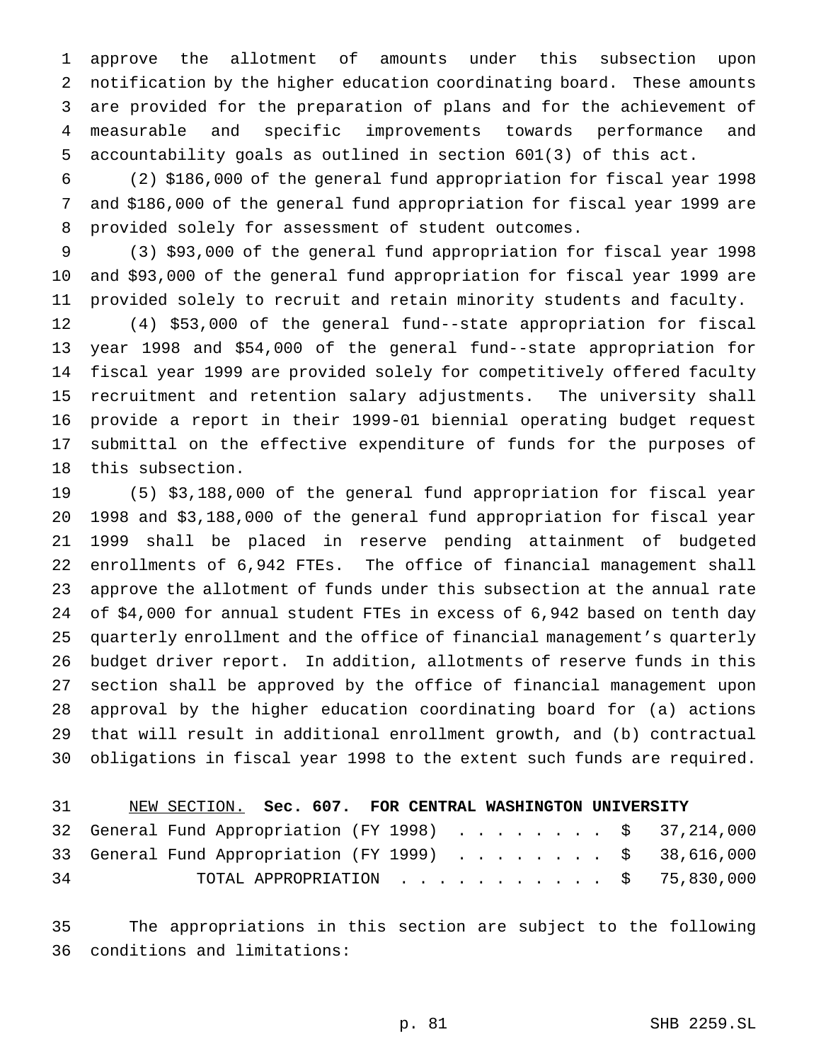approve the allotment of amounts under this subsection upon notification by the higher education coordinating board. These amounts are provided for the preparation of plans and for the achievement of measurable and specific improvements towards performance and accountability goals as outlined in section 601(3) of this act.

 (2) \$186,000 of the general fund appropriation for fiscal year 1998 and \$186,000 of the general fund appropriation for fiscal year 1999 are provided solely for assessment of student outcomes.

 (3) \$93,000 of the general fund appropriation for fiscal year 1998 and \$93,000 of the general fund appropriation for fiscal year 1999 are provided solely to recruit and retain minority students and faculty.

 (4) \$53,000 of the general fund--state appropriation for fiscal year 1998 and \$54,000 of the general fund--state appropriation for fiscal year 1999 are provided solely for competitively offered faculty recruitment and retention salary adjustments. The university shall provide a report in their 1999-01 biennial operating budget request submittal on the effective expenditure of funds for the purposes of this subsection.

 (5) \$3,188,000 of the general fund appropriation for fiscal year 1998 and \$3,188,000 of the general fund appropriation for fiscal year 1999 shall be placed in reserve pending attainment of budgeted enrollments of 6,942 FTEs. The office of financial management shall approve the allotment of funds under this subsection at the annual rate of \$4,000 for annual student FTEs in excess of 6,942 based on tenth day quarterly enrollment and the office of financial management's quarterly budget driver report. In addition, allotments of reserve funds in this section shall be approved by the office of financial management upon approval by the higher education coordinating board for (a) actions that will result in additional enrollment growth, and (b) contractual obligations in fiscal year 1998 to the extent such funds are required.

| 31 | NEW SECTION. Sec. 607. FOR CENTRAL WASHINGTON UNIVERSITY |  |  |  |  |  |  |                                                       |
|----|----------------------------------------------------------|--|--|--|--|--|--|-------------------------------------------------------|
|    |                                                          |  |  |  |  |  |  | 32 General Fund Appropriation (FY 1998) \$ 37,214,000 |
|    |                                                          |  |  |  |  |  |  | 33 General Fund Appropriation (FY 1999) \$ 38,616,000 |
| 34 |                                                          |  |  |  |  |  |  | TOTAL APPROPRIATION $\ldots$ , \$ 75,830,000          |

 The appropriations in this section are subject to the following conditions and limitations: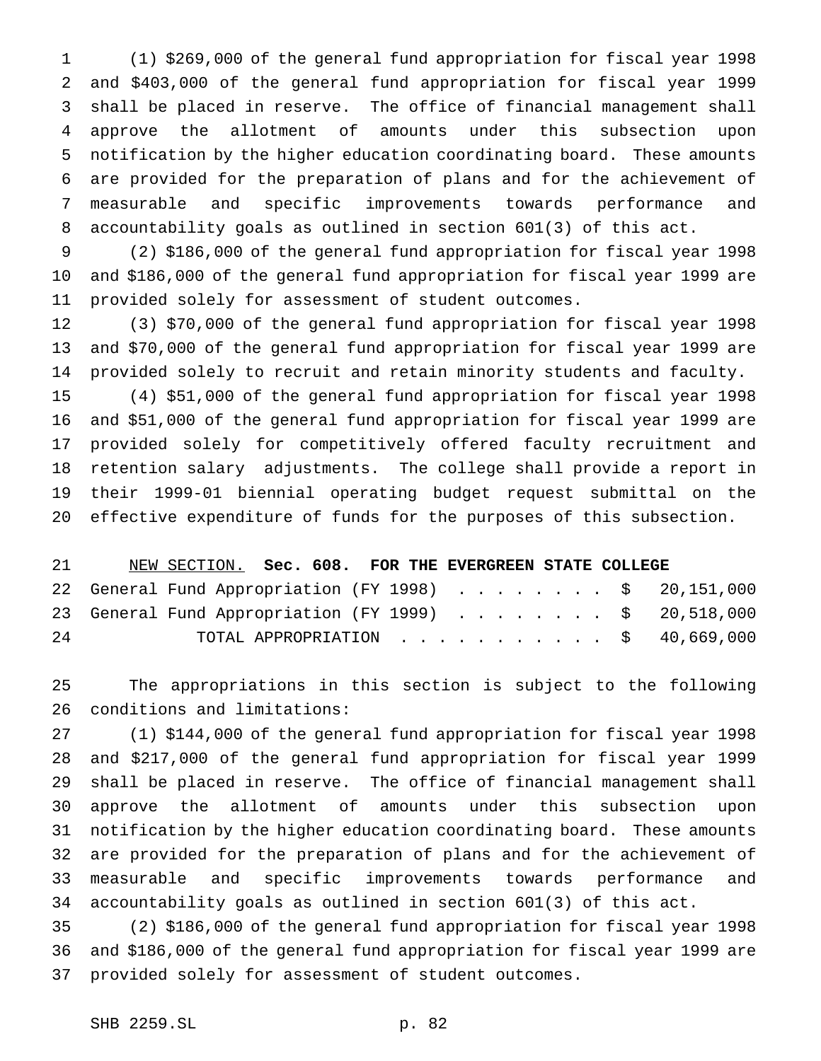(1) \$269,000 of the general fund appropriation for fiscal year 1998 and \$403,000 of the general fund appropriation for fiscal year 1999 shall be placed in reserve. The office of financial management shall approve the allotment of amounts under this subsection upon notification by the higher education coordinating board. These amounts are provided for the preparation of plans and for the achievement of measurable and specific improvements towards performance and accountability goals as outlined in section 601(3) of this act.

 (2) \$186,000 of the general fund appropriation for fiscal year 1998 and \$186,000 of the general fund appropriation for fiscal year 1999 are provided solely for assessment of student outcomes.

 (3) \$70,000 of the general fund appropriation for fiscal year 1998 and \$70,000 of the general fund appropriation for fiscal year 1999 are provided solely to recruit and retain minority students and faculty.

 (4) \$51,000 of the general fund appropriation for fiscal year 1998 and \$51,000 of the general fund appropriation for fiscal year 1999 are provided solely for competitively offered faculty recruitment and retention salary adjustments. The college shall provide a report in their 1999-01 biennial operating budget request submittal on the effective expenditure of funds for the purposes of this subsection.

|    | NEW SECTION. Sec. 608. FOR THE EVERGREEN STATE COLLEGE |  |  |  |  |  |  |  |  |
|----|--------------------------------------------------------|--|--|--|--|--|--|--|--|
|    | 22 General Fund Appropriation (FY 1998) \$ 20,151,000  |  |  |  |  |  |  |  |  |
|    | 23 General Fund Appropriation (FY 1999) \$ 20,518,000  |  |  |  |  |  |  |  |  |
| 24 | TOTAL APPROPRIATION $\ldots$ , \$ 40,669,000           |  |  |  |  |  |  |  |  |

 The appropriations in this section is subject to the following conditions and limitations:

 (1) \$144,000 of the general fund appropriation for fiscal year 1998 and \$217,000 of the general fund appropriation for fiscal year 1999 shall be placed in reserve. The office of financial management shall approve the allotment of amounts under this subsection upon notification by the higher education coordinating board. These amounts are provided for the preparation of plans and for the achievement of measurable and specific improvements towards performance and accountability goals as outlined in section 601(3) of this act.

 (2) \$186,000 of the general fund appropriation for fiscal year 1998 and \$186,000 of the general fund appropriation for fiscal year 1999 are provided solely for assessment of student outcomes.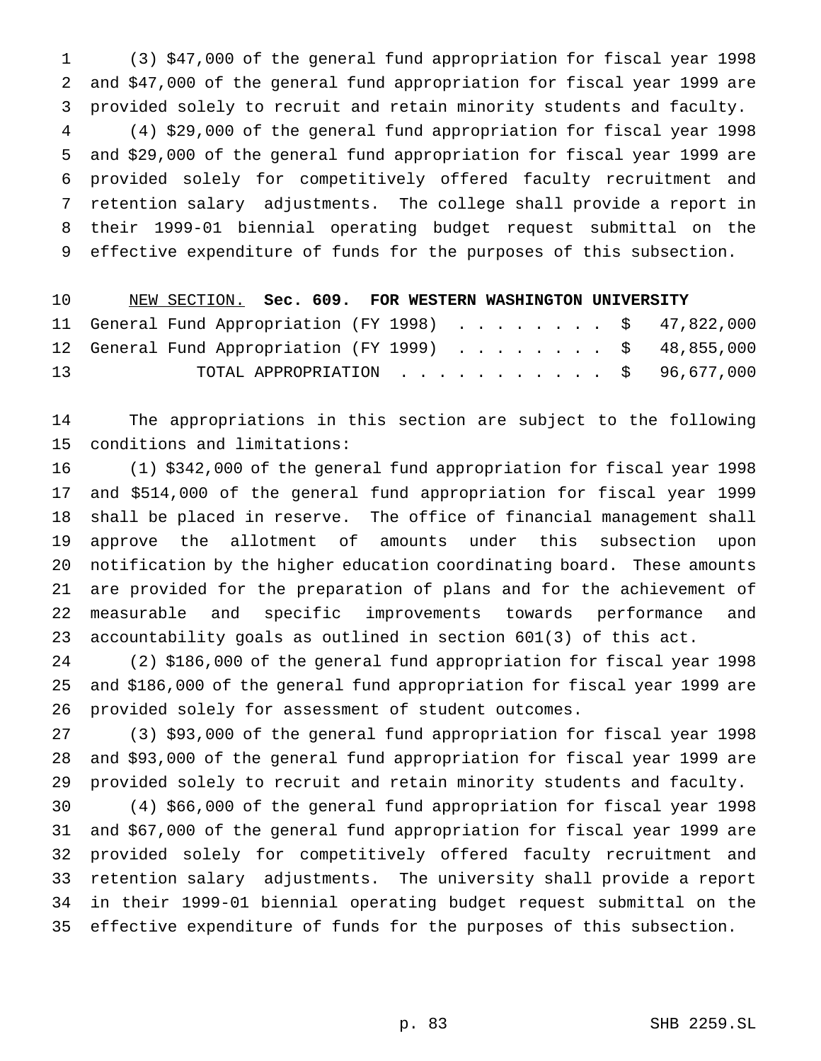(3) \$47,000 of the general fund appropriation for fiscal year 1998 and \$47,000 of the general fund appropriation for fiscal year 1999 are provided solely to recruit and retain minority students and faculty. (4) \$29,000 of the general fund appropriation for fiscal year 1998 and \$29,000 of the general fund appropriation for fiscal year 1999 are provided solely for competitively offered faculty recruitment and retention salary adjustments. The college shall provide a report in their 1999-01 biennial operating budget request submittal on the effective expenditure of funds for the purposes of this subsection.

 NEW SECTION. **Sec. 609. FOR WESTERN WASHINGTON UNIVERSITY** 11 General Fund Appropriation (FY 1998) . . . . . . . . \$ 47,822,000 12 General Fund Appropriation (FY 1999) . . . . . . . . \$ 48,855,000 TOTAL APPROPRIATION ........... \$ 96,677,000

 The appropriations in this section are subject to the following conditions and limitations:

 (1) \$342,000 of the general fund appropriation for fiscal year 1998 and \$514,000 of the general fund appropriation for fiscal year 1999 shall be placed in reserve. The office of financial management shall approve the allotment of amounts under this subsection upon notification by the higher education coordinating board. These amounts are provided for the preparation of plans and for the achievement of measurable and specific improvements towards performance and accountability goals as outlined in section 601(3) of this act.

 (2) \$186,000 of the general fund appropriation for fiscal year 1998 and \$186,000 of the general fund appropriation for fiscal year 1999 are provided solely for assessment of student outcomes.

 (3) \$93,000 of the general fund appropriation for fiscal year 1998 and \$93,000 of the general fund appropriation for fiscal year 1999 are provided solely to recruit and retain minority students and faculty.

 (4) \$66,000 of the general fund appropriation for fiscal year 1998 and \$67,000 of the general fund appropriation for fiscal year 1999 are provided solely for competitively offered faculty recruitment and retention salary adjustments. The university shall provide a report in their 1999-01 biennial operating budget request submittal on the effective expenditure of funds for the purposes of this subsection.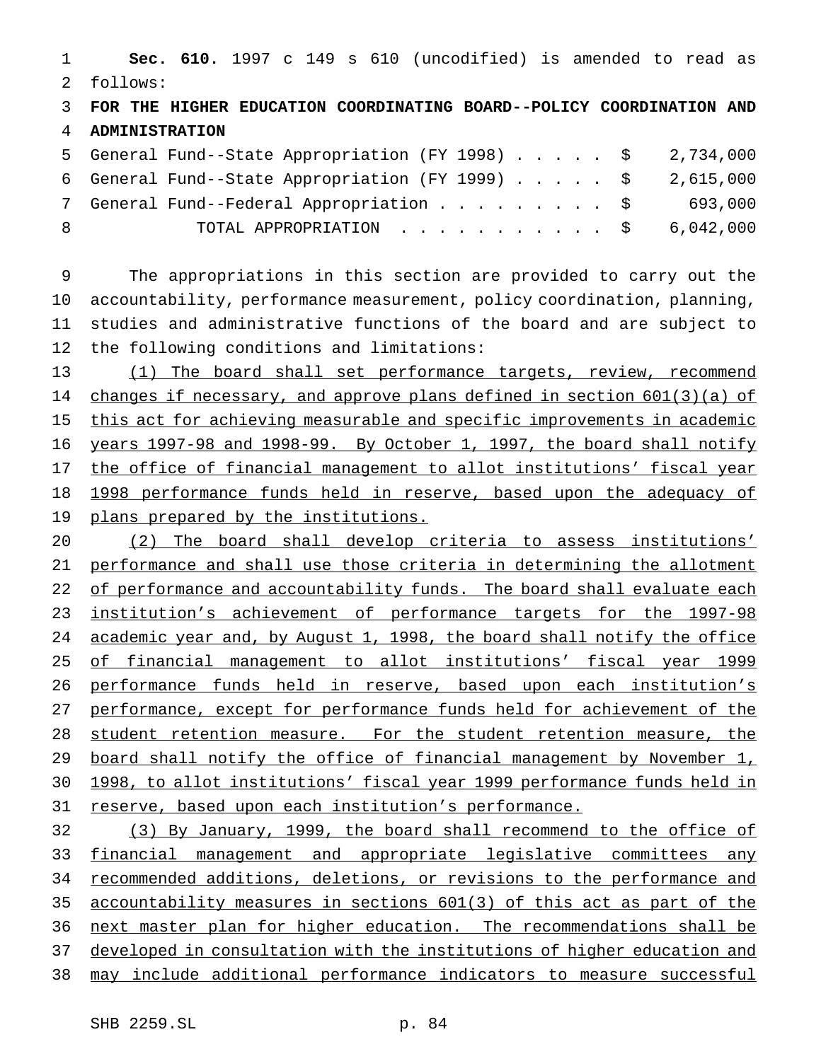**Sec. 610.** 1997 c 149 s 610 (uncodified) is amended to read as follows:

 **FOR THE HIGHER EDUCATION COORDINATING BOARD--POLICY COORDINATION AND ADMINISTRATION**

|    | 5 General Fund--State Appropriation (FY 1998) \$ 2,734,000 |         |
|----|------------------------------------------------------------|---------|
|    | 6 General Fund--State Appropriation (FY 1999) \$ 2,615,000 |         |
|    | 7 General Fund--Federal Appropriation \$                   | 693,000 |
| -8 | TOTAL APPROPRIATION $\ldots$ , \$ 6,042,000                |         |

 The appropriations in this section are provided to carry out the accountability, performance measurement, policy coordination, planning, studies and administrative functions of the board and are subject to the following conditions and limitations:

13 (1) The board shall set performance targets, review, recommend 14 changes if necessary, and approve plans defined in section 601(3)(a) of this act for achieving measurable and specific improvements in academic years 1997-98 and 1998-99. By October 1, 1997, the board shall notify 17 the office of financial management to allot institutions' fiscal year 18 1998 performance funds held in reserve, based upon the adequacy of plans prepared by the institutions.

 (2) The board shall develop criteria to assess institutions' performance and shall use those criteria in determining the allotment 22 of performance and accountability funds. The board shall evaluate each 23 institution's achievement of performance targets for the 1997-98 academic year and, by August 1, 1998, the board shall notify the office of financial management to allot institutions' fiscal year 1999 performance funds held in reserve, based upon each institution's performance, except for performance funds held for achievement of the 28 student retention measure. For the student retention measure, the board shall notify the office of financial management by November 1, 1998, to allot institutions' fiscal year 1999 performance funds held in reserve, based upon each institution's performance.

 (3) By January, 1999, the board shall recommend to the office of financial management and appropriate legislative committees any recommended additions, deletions, or revisions to the performance and accountability measures in sections 601(3) of this act as part of the next master plan for higher education. The recommendations shall be developed in consultation with the institutions of higher education and may include additional performance indicators to measure successful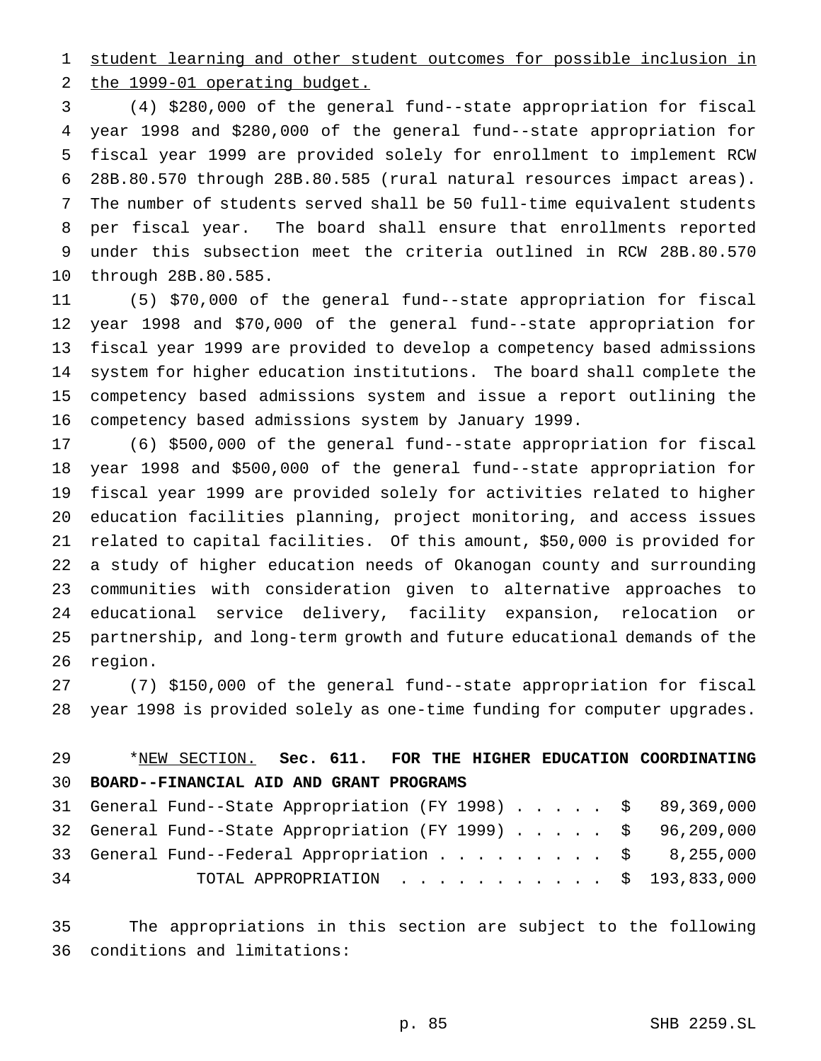student learning and other student outcomes for possible inclusion in

the 1999-01 operating budget.

 (4) \$280,000 of the general fund--state appropriation for fiscal year 1998 and \$280,000 of the general fund--state appropriation for fiscal year 1999 are provided solely for enrollment to implement RCW 28B.80.570 through 28B.80.585 (rural natural resources impact areas). The number of students served shall be 50 full-time equivalent students per fiscal year. The board shall ensure that enrollments reported under this subsection meet the criteria outlined in RCW 28B.80.570 through 28B.80.585.

 (5) \$70,000 of the general fund--state appropriation for fiscal year 1998 and \$70,000 of the general fund--state appropriation for fiscal year 1999 are provided to develop a competency based admissions system for higher education institutions. The board shall complete the competency based admissions system and issue a report outlining the competency based admissions system by January 1999.

 (6) \$500,000 of the general fund--state appropriation for fiscal year 1998 and \$500,000 of the general fund--state appropriation for fiscal year 1999 are provided solely for activities related to higher education facilities planning, project monitoring, and access issues related to capital facilities. Of this amount, \$50,000 is provided for a study of higher education needs of Okanogan county and surrounding communities with consideration given to alternative approaches to educational service delivery, facility expansion, relocation or partnership, and long-term growth and future educational demands of the region.

 (7) \$150,000 of the general fund--state appropriation for fiscal year 1998 is provided solely as one-time funding for computer upgrades.

## \*NEW SECTION. **Sec. 611. FOR THE HIGHER EDUCATION COORDINATING BOARD--FINANCIAL AID AND GRANT PROGRAMS**

|    | 31 General Fund--State Appropriation (FY 1998) \$ 89,369,000 |  |
|----|--------------------------------------------------------------|--|
|    | 32 General Fund--State Appropriation (FY 1999) \$ 96,209,000 |  |
|    | 33 General Fund--Federal Appropriation $\ldots$ \$ 8,255,000 |  |
| 34 | TOTAL APPROPRIATION \$ 193,833,000                           |  |

 The appropriations in this section are subject to the following conditions and limitations: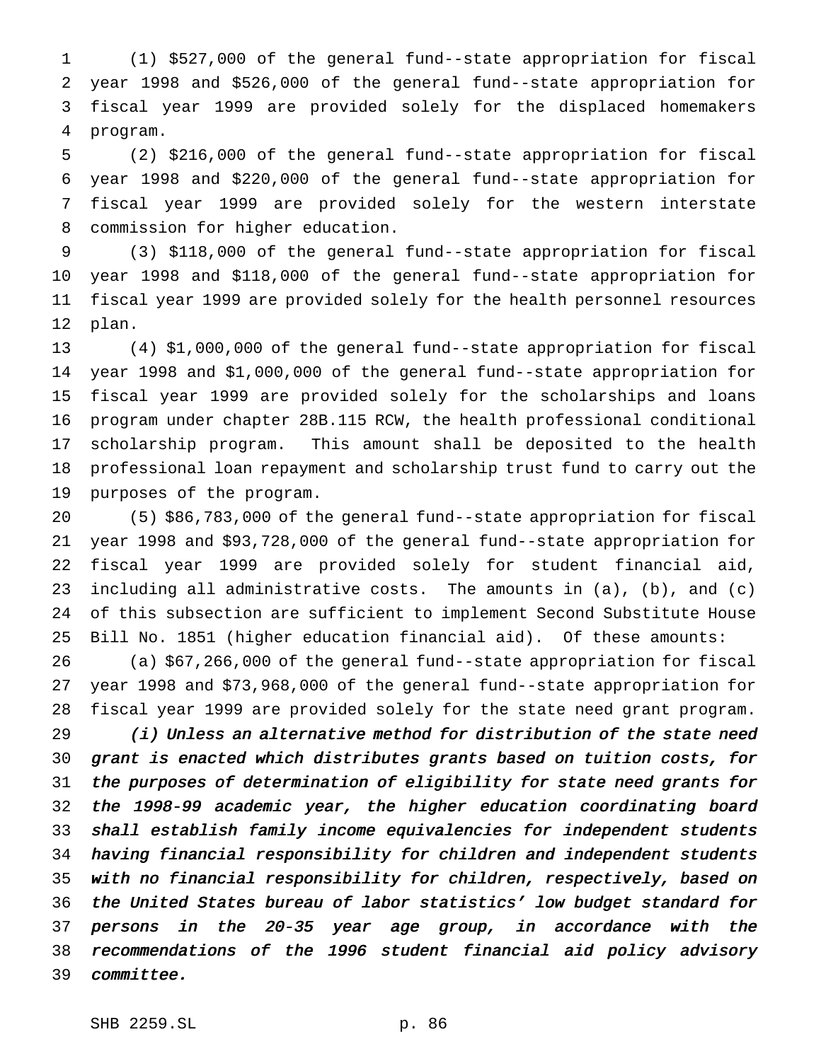(1) \$527,000 of the general fund--state appropriation for fiscal year 1998 and \$526,000 of the general fund--state appropriation for fiscal year 1999 are provided solely for the displaced homemakers program.

 (2) \$216,000 of the general fund--state appropriation for fiscal year 1998 and \$220,000 of the general fund--state appropriation for fiscal year 1999 are provided solely for the western interstate commission for higher education.

 (3) \$118,000 of the general fund--state appropriation for fiscal year 1998 and \$118,000 of the general fund--state appropriation for fiscal year 1999 are provided solely for the health personnel resources plan.

 (4) \$1,000,000 of the general fund--state appropriation for fiscal year 1998 and \$1,000,000 of the general fund--state appropriation for fiscal year 1999 are provided solely for the scholarships and loans program under chapter 28B.115 RCW, the health professional conditional scholarship program. This amount shall be deposited to the health professional loan repayment and scholarship trust fund to carry out the purposes of the program.

 (5) \$86,783,000 of the general fund--state appropriation for fiscal year 1998 and \$93,728,000 of the general fund--state appropriation for fiscal year 1999 are provided solely for student financial aid, 23 including all administrative costs. The amounts in  $(a)$ ,  $(b)$ , and  $(c)$  of this subsection are sufficient to implement Second Substitute House Bill No. 1851 (higher education financial aid). Of these amounts:

 (a) \$67,266,000 of the general fund--state appropriation for fiscal year 1998 and \$73,968,000 of the general fund--state appropriation for fiscal year 1999 are provided solely for the state need grant program.

 (i) Unless an alternative method for distribution of the state need grant is enacted which distributes grants based on tuition costs, for the purposes of determination of eligibility for state need grants for the 1998-99 academic year, the higher education coordinating board shall establish family income equivalencies for independent students having financial responsibility for children and independent students with no financial responsibility for children, respectively, based on the United States bureau of labor statistics' low budget standard for persons in the 20-35 year age group, in accordance with the recommendations of the <sup>1996</sup> student financial aid policy advisory committee.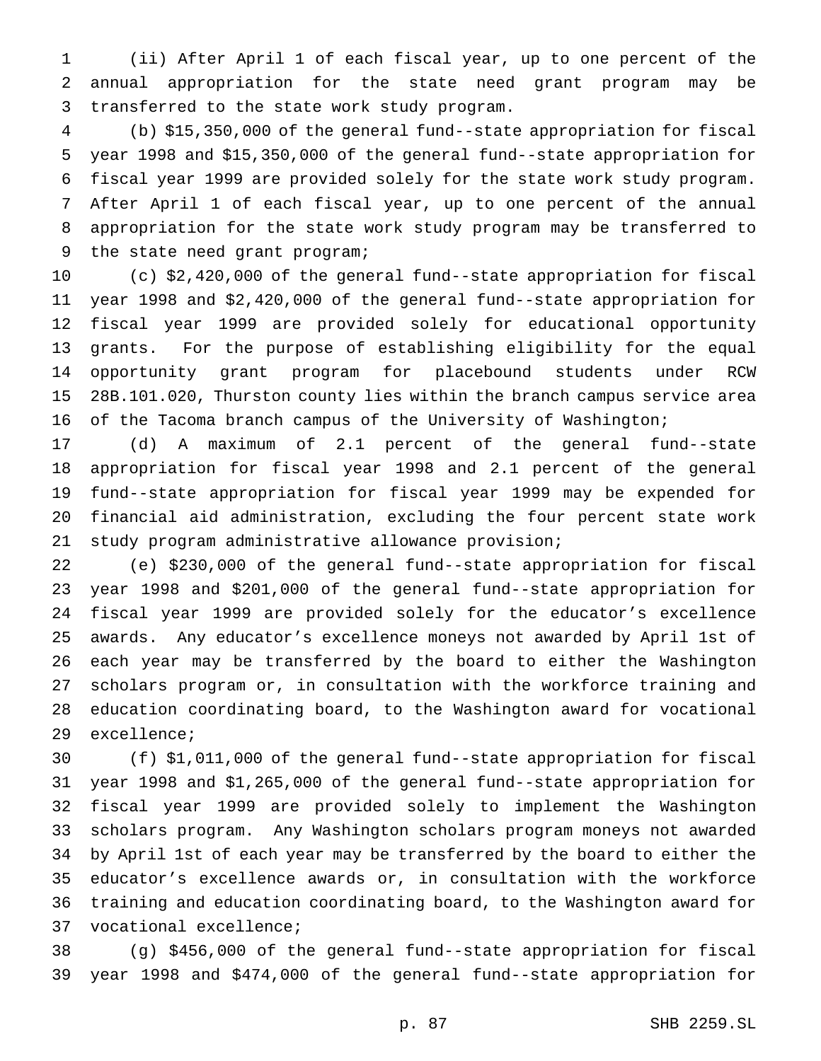(ii) After April 1 of each fiscal year, up to one percent of the annual appropriation for the state need grant program may be transferred to the state work study program.

 (b) \$15,350,000 of the general fund--state appropriation for fiscal year 1998 and \$15,350,000 of the general fund--state appropriation for fiscal year 1999 are provided solely for the state work study program. After April 1 of each fiscal year, up to one percent of the annual appropriation for the state work study program may be transferred to the state need grant program;

 (c) \$2,420,000 of the general fund--state appropriation for fiscal year 1998 and \$2,420,000 of the general fund--state appropriation for fiscal year 1999 are provided solely for educational opportunity grants. For the purpose of establishing eligibility for the equal opportunity grant program for placebound students under RCW 28B.101.020, Thurston county lies within the branch campus service area of the Tacoma branch campus of the University of Washington;

 (d) A maximum of 2.1 percent of the general fund--state appropriation for fiscal year 1998 and 2.1 percent of the general fund--state appropriation for fiscal year 1999 may be expended for financial aid administration, excluding the four percent state work study program administrative allowance provision;

 (e) \$230,000 of the general fund--state appropriation for fiscal year 1998 and \$201,000 of the general fund--state appropriation for fiscal year 1999 are provided solely for the educator's excellence awards. Any educator's excellence moneys not awarded by April 1st of each year may be transferred by the board to either the Washington scholars program or, in consultation with the workforce training and education coordinating board, to the Washington award for vocational excellence;

 (f) \$1,011,000 of the general fund--state appropriation for fiscal year 1998 and \$1,265,000 of the general fund--state appropriation for fiscal year 1999 are provided solely to implement the Washington scholars program. Any Washington scholars program moneys not awarded by April 1st of each year may be transferred by the board to either the educator's excellence awards or, in consultation with the workforce training and education coordinating board, to the Washington award for vocational excellence;

 (g) \$456,000 of the general fund--state appropriation for fiscal year 1998 and \$474,000 of the general fund--state appropriation for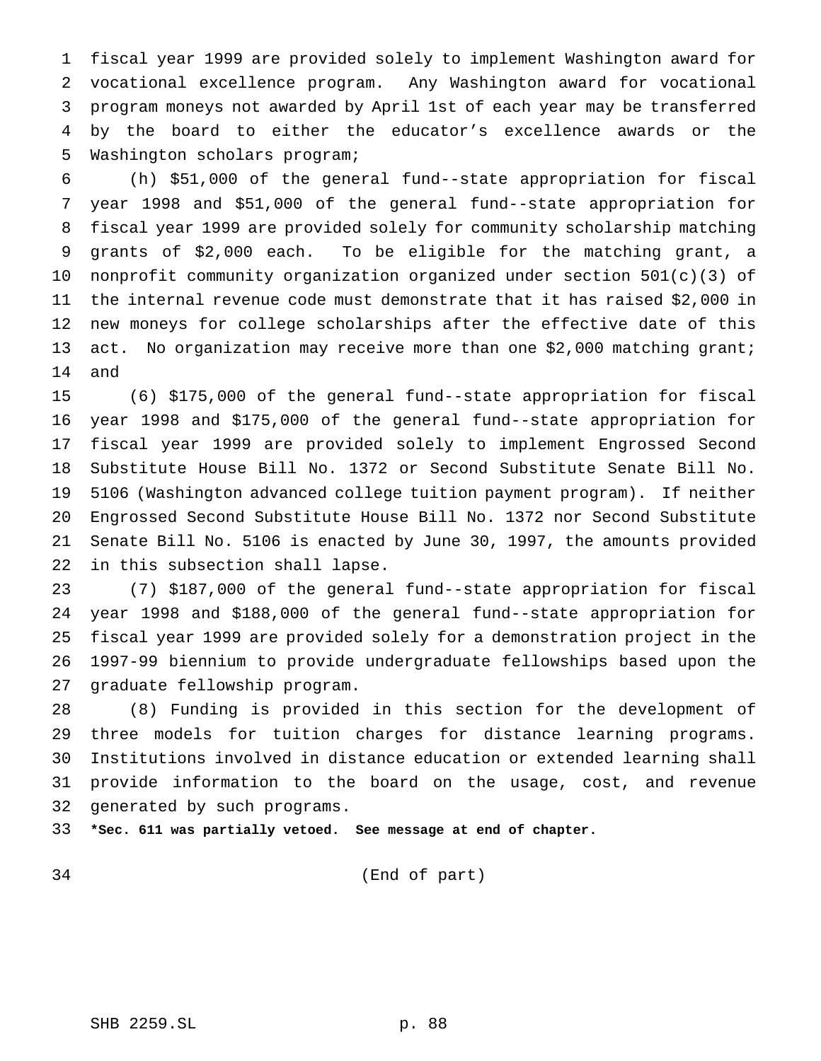fiscal year 1999 are provided solely to implement Washington award for vocational excellence program. Any Washington award for vocational program moneys not awarded by April 1st of each year may be transferred by the board to either the educator's excellence awards or the Washington scholars program;

 (h) \$51,000 of the general fund--state appropriation for fiscal year 1998 and \$51,000 of the general fund--state appropriation for fiscal year 1999 are provided solely for community scholarship matching grants of \$2,000 each. To be eligible for the matching grant, a nonprofit community organization organized under section 501(c)(3) of the internal revenue code must demonstrate that it has raised \$2,000 in new moneys for college scholarships after the effective date of this act. No organization may receive more than one \$2,000 matching grant; and

 (6) \$175,000 of the general fund--state appropriation for fiscal year 1998 and \$175,000 of the general fund--state appropriation for fiscal year 1999 are provided solely to implement Engrossed Second Substitute House Bill No. 1372 or Second Substitute Senate Bill No. 5106 (Washington advanced college tuition payment program). If neither Engrossed Second Substitute House Bill No. 1372 nor Second Substitute Senate Bill No. 5106 is enacted by June 30, 1997, the amounts provided in this subsection shall lapse.

 (7) \$187,000 of the general fund--state appropriation for fiscal year 1998 and \$188,000 of the general fund--state appropriation for fiscal year 1999 are provided solely for a demonstration project in the 1997-99 biennium to provide undergraduate fellowships based upon the graduate fellowship program.

 (8) Funding is provided in this section for the development of three models for tuition charges for distance learning programs. Institutions involved in distance education or extended learning shall provide information to the board on the usage, cost, and revenue generated by such programs.

**\*Sec. 611 was partially vetoed. See message at end of chapter.**

(End of part)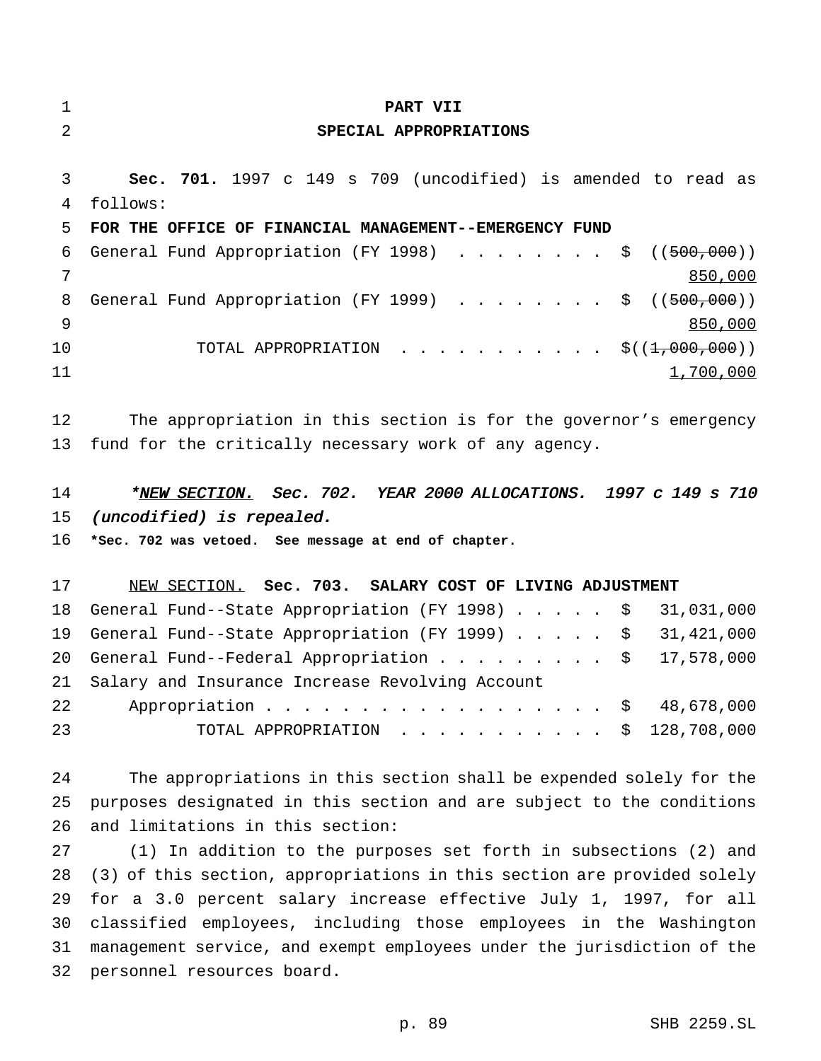| $\mathbf 1$    | PART VII                                                                                                                                           |
|----------------|----------------------------------------------------------------------------------------------------------------------------------------------------|
| $\overline{a}$ | SPECIAL APPROPRIATIONS                                                                                                                             |
|                |                                                                                                                                                    |
| 3              | Sec. 701. 1997 c 149 s 709 (uncodified) is amended to read as                                                                                      |
| 4              | follows:                                                                                                                                           |
| 5              | FOR THE OFFICE OF FINANCIAL MANAGEMENT--EMERGENCY FUND                                                                                             |
| 6              | General Fund Appropriation (FY 1998) \$ $((500,000))$                                                                                              |
| 7              | 850,000                                                                                                                                            |
| 8              | General Fund Appropriation (FY 1999) \$ $((500,000))$                                                                                              |
| 9              | 850,000                                                                                                                                            |
| 10             | TOTAL APPROPRIATION $\frac{1}{5}((1,000,000))$                                                                                                     |
| 11             | 1,700,000                                                                                                                                          |
|                |                                                                                                                                                    |
| 12             | The appropriation in this section is for the governor's emergency                                                                                  |
| 13             | fund for the critically necessary work of any agency.                                                                                              |
|                |                                                                                                                                                    |
| 14             | *NEW SECTION. Sec. 702. YEAR 2000 ALLOCATIONS. 1997 c 149 s 710                                                                                    |
| 15             | (uncodified) is repealed.                                                                                                                          |
| 16             | *Sec. 702 was vetoed. See message at end of chapter.                                                                                               |
|                |                                                                                                                                                    |
| 17             | NEW SECTION. Sec. 703. SALARY COST OF LIVING ADJUSTMENT                                                                                            |
| 18             | General Fund--State Appropriation (FY 1998) \$<br>31,031,000                                                                                       |
| 19             | General Fund--State Appropriation (FY 1999)<br>31,421,000<br>\$                                                                                    |
| 20             | General Fund--Federal Appropriation<br>17,578,000<br>\$                                                                                            |
| 21             | Salary and Insurance Increase Revolving Account                                                                                                    |
| 22             | 48,678,000<br>Appropriation<br>Ş.                                                                                                                  |
| 23             | 128,708,000<br>TOTAL APPROPRIATION<br>Ş.<br>$\mathbf{r}$ , $\mathbf{r}$ , $\mathbf{r}$ , $\mathbf{r}$ , $\mathbf{r}$ , $\mathbf{r}$ , $\mathbf{r}$ |
|                |                                                                                                                                                    |
| 24             | The appropriations in this section shall be expended solely for the                                                                                |
| 25             | purposes designated in this section and are subject to the conditions                                                                              |
| 26             | and limitations in this section:                                                                                                                   |
| 27             | (1) In addition to the purposes set forth in subsections (2) and                                                                                   |
| 28             | (3) of this section, appropriations in this section are provided solely                                                                            |
| 29             | for a 3.0 percent salary increase effective July 1, 1997, for all                                                                                  |
| 30             | classified employees, including those employees in the Washington                                                                                  |
| 31             | management service, and exempt employees under the jurisdiction of the                                                                             |
| 32             | personnel resources board.                                                                                                                         |
|                |                                                                                                                                                    |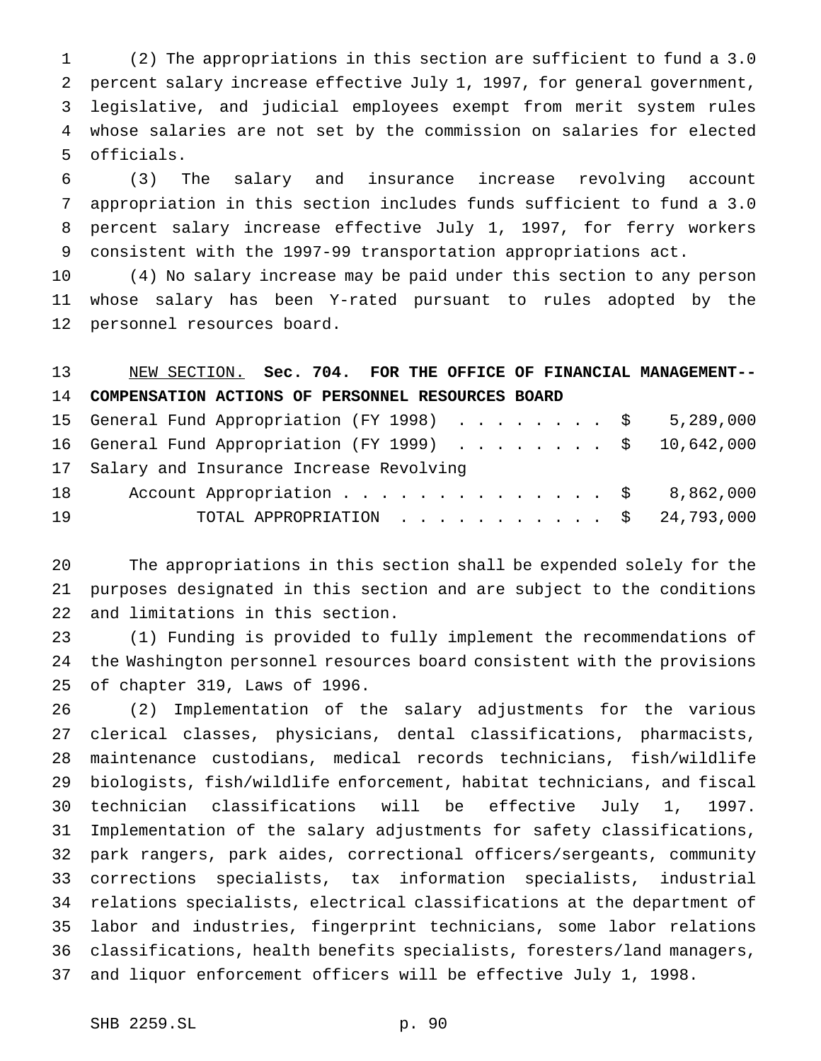(2) The appropriations in this section are sufficient to fund a 3.0 percent salary increase effective July 1, 1997, for general government, legislative, and judicial employees exempt from merit system rules whose salaries are not set by the commission on salaries for elected officials.

 (3) The salary and insurance increase revolving account appropriation in this section includes funds sufficient to fund a 3.0 percent salary increase effective July 1, 1997, for ferry workers consistent with the 1997-99 transportation appropriations act.

 (4) No salary increase may be paid under this section to any person whose salary has been Y-rated pursuant to rules adopted by the personnel resources board.

 NEW SECTION. **Sec. 704. FOR THE OFFICE OF FINANCIAL MANAGEMENT-- COMPENSATION ACTIONS OF PERSONNEL RESOURCES BOARD** 15 General Fund Appropriation (FY 1998) . . . . . . . . \$ 5,289,000 16 General Fund Appropriation (FY 1999) . . . . . . . \$ 10,642,000 Salary and Insurance Increase Revolving 18 Account Appropriation . . . . . . . . . . . . . \$ 8,862,000 TOTAL APPROPRIATION ........... \$ 24,793,000

 The appropriations in this section shall be expended solely for the purposes designated in this section and are subject to the conditions and limitations in this section.

 (1) Funding is provided to fully implement the recommendations of the Washington personnel resources board consistent with the provisions of chapter 319, Laws of 1996.

 (2) Implementation of the salary adjustments for the various clerical classes, physicians, dental classifications, pharmacists, maintenance custodians, medical records technicians, fish/wildlife biologists, fish/wildlife enforcement, habitat technicians, and fiscal technician classifications will be effective July 1, 1997. Implementation of the salary adjustments for safety classifications, park rangers, park aides, correctional officers/sergeants, community corrections specialists, tax information specialists, industrial relations specialists, electrical classifications at the department of labor and industries, fingerprint technicians, some labor relations classifications, health benefits specialists, foresters/land managers, and liquor enforcement officers will be effective July 1, 1998.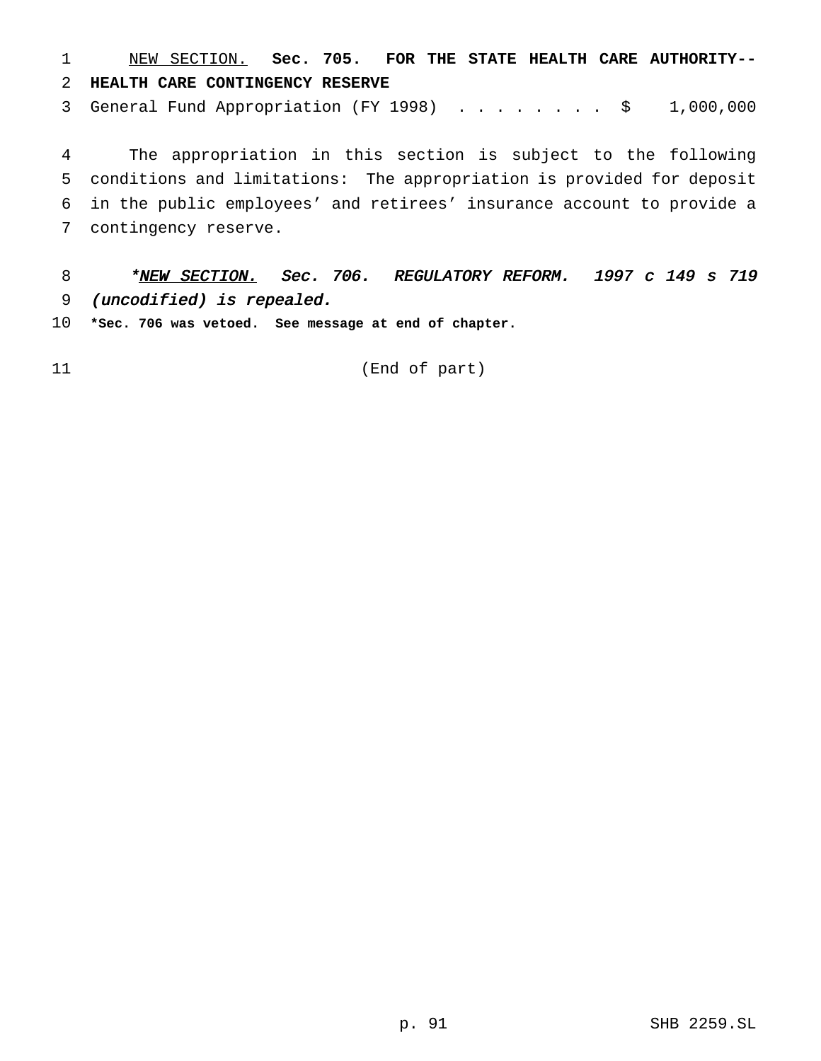NEW SECTION. **Sec. 705. FOR THE STATE HEALTH CARE AUTHORITY-- HEALTH CARE CONTINGENCY RESERVE**

3 General Fund Appropriation (FY 1998) . . . . . . . \$ 1,000,000

 The appropriation in this section is subject to the following conditions and limitations: The appropriation is provided for deposit in the public employees' and retirees' insurance account to provide a contingency reserve.

8 \* NEW SECTION. Sec. 706. REGULATORY REFORM. 1997 c 149 s 719 (uncodified) is repealed.

**\*Sec. 706 was vetoed. See message at end of chapter.**

(End of part)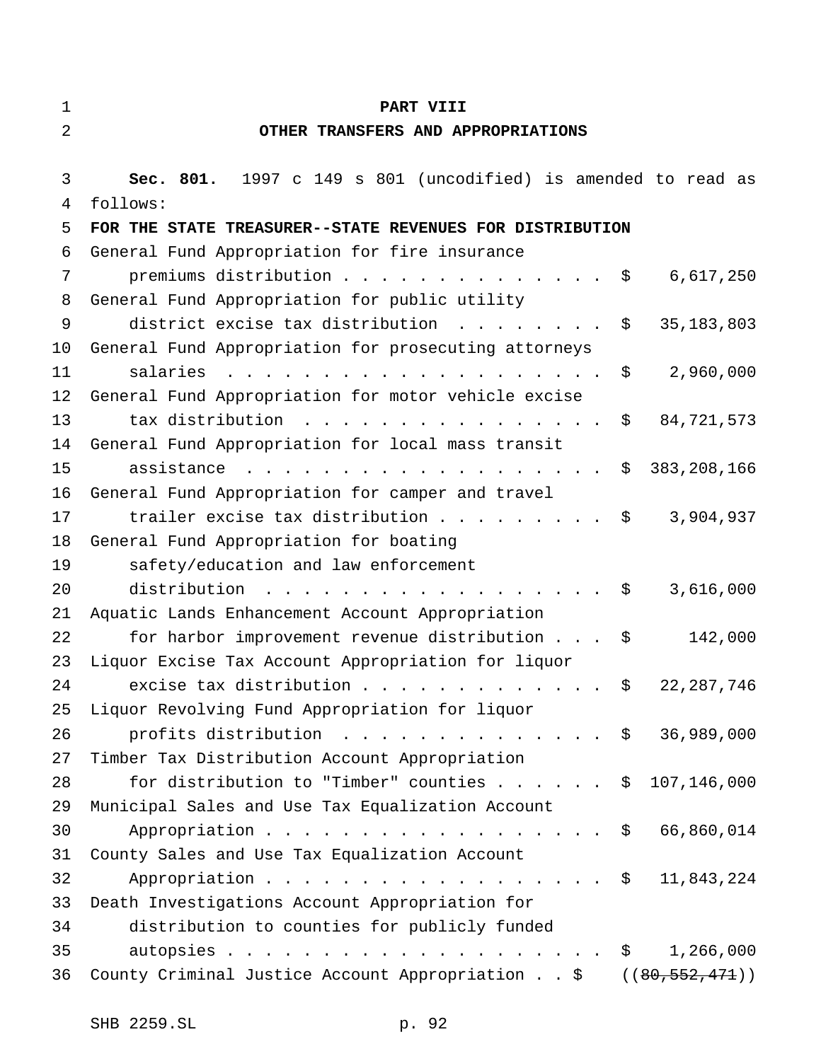| $\mathbf 1$ | PART VIII                                                                                                                                                        |
|-------------|------------------------------------------------------------------------------------------------------------------------------------------------------------------|
| 2           | OTHER TRANSFERS AND APPROPRIATIONS                                                                                                                               |
|             |                                                                                                                                                                  |
| 3           | Sec. 801. 1997 c 149 s 801 (uncodified) is amended to read as                                                                                                    |
| 4           | follows:                                                                                                                                                         |
| 5           | FOR THE STATE TREASURER--STATE REVENUES FOR DISTRIBUTION                                                                                                         |
| 6           | General Fund Appropriation for fire insurance                                                                                                                    |
| 7           | premiums distribution<br>6,617,250<br>Ş.                                                                                                                         |
| 8           | General Fund Appropriation for public utility                                                                                                                    |
| 9           | district excise tax distribution<br>35, 183, 803<br>$\mathbf{r}$ , $\mathbf{r}$ , $\mathbf{r}$ , $\mathbf{r}$ , $\mathbf{r}$ , $\mathbf{r}$ , $\mathbf{r}$<br>\$ |
| 10          | General Fund Appropriation for prosecuting attorneys                                                                                                             |
| 11          | salaries<br>2,960,000<br>\$                                                                                                                                      |
| 12          | General Fund Appropriation for motor vehicle excise                                                                                                              |
| 13          | tax distribution<br>84,721,573<br>\$                                                                                                                             |
| 14          | General Fund Appropriation for local mass transit                                                                                                                |
| 15          | 383, 208, 166<br>assistance<br>\$                                                                                                                                |
| 16          | General Fund Appropriation for camper and travel                                                                                                                 |
| 17          | 3,904,937<br>trailer excise tax distribution<br>\$                                                                                                               |
| 18          | General Fund Appropriation for boating                                                                                                                           |
| 19          | safety/education and law enforcement                                                                                                                             |
| 20          | distribution<br>3,616,000<br>\$                                                                                                                                  |
| 21          | Aquatic Lands Enhancement Account Appropriation                                                                                                                  |
| 22          | 142,000<br>for harbor improvement revenue distribution \$                                                                                                        |
| 23          | Liquor Excise Tax Account Appropriation for liquor                                                                                                               |
| 24          | excise tax distribution<br>22, 287, 746<br>S                                                                                                                     |
| 25          | Liquor Revolving Fund Appropriation for liquor                                                                                                                   |
| 26          | profits distribution $\ldots$ \$ 36,989,000                                                                                                                      |
| 27          | Timber Tax Distribution Account Appropriation                                                                                                                    |
| 28          | for distribution to "Timber" counties \$ 107,146,000                                                                                                             |
| 29          | Municipal Sales and Use Tax Equalization Account                                                                                                                 |
| 30          | 66,860,014<br>Appropriation<br>$\mathsf{S}$                                                                                                                      |
| 31          | County Sales and Use Tax Equalization Account                                                                                                                    |
| 32          | Appropriation $\frac{1}{2}$<br>11,843,224                                                                                                                        |
| 33          | Death Investigations Account Appropriation for                                                                                                                   |
| 34          | distribution to counties for publicly funded                                                                                                                     |
| 35          | 1,266,000<br>$\ddot{\mathsf{S}}$                                                                                                                                 |
| 36          | County Criminal Justice Account Appropriation $\frac{2}{3}$ ((80,552,471))                                                                                       |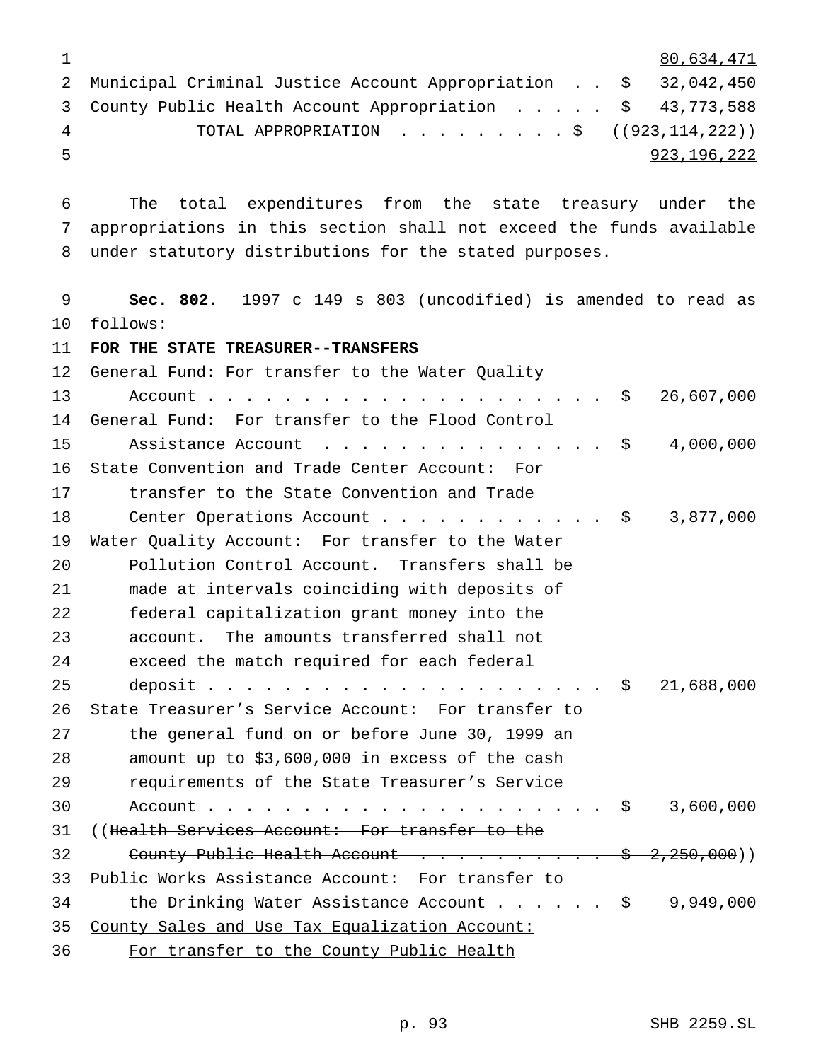|     |                                                                  |  | 80,634,471  |
|-----|------------------------------------------------------------------|--|-------------|
|     | 2 Municipal Criminal Justice Account Appropriation \$ 32,042,450 |  |             |
|     | 3 County Public Health Account Appropriation \$ 43,773,588       |  |             |
| 4   |                                                                  |  |             |
| -5. |                                                                  |  | 923,196,222 |

 The total expenditures from the state treasury under the appropriations in this section shall not exceed the funds available under statutory distributions for the stated purposes.

 **Sec. 802.** 1997 c 149 s 803 (uncodified) is amended to read as follows:

**FOR THE STATE TREASURER--TRANSFERS**

 General Fund: For transfer to the Water Quality 13 Account.................................\$ 26,607,000 General Fund: For transfer to the Flood Control 15 Assistance Account . . . . . . . . . . . . . . \$ 4,000,000 State Convention and Trade Center Account: For transfer to the State Convention and Trade 18 Center Operations Account . . . . . . . . . . . \$ 3,877,000 Water Quality Account: For transfer to the Water Pollution Control Account. Transfers shall be made at intervals coinciding with deposits of federal capitalization grant money into the account. The amounts transferred shall not exceed the match required for each federal deposit..................... \$ 21,688,000 State Treasurer's Service Account: For transfer to the general fund on or before June 30, 1999 an amount up to \$3,600,000 in excess of the cash requirements of the State Treasurer's Service Account..................... \$ 3,600,000 ((Health Services Account: For transfer to the 32 County Public Health Account . . . . . . . . . \$ 2,250,000)) Public Works Assistance Account: For transfer to 34 the Drinking Water Assistance Account . . . . . \$ 9,949,000 County Sales and Use Tax Equalization Account: For transfer to the County Public Health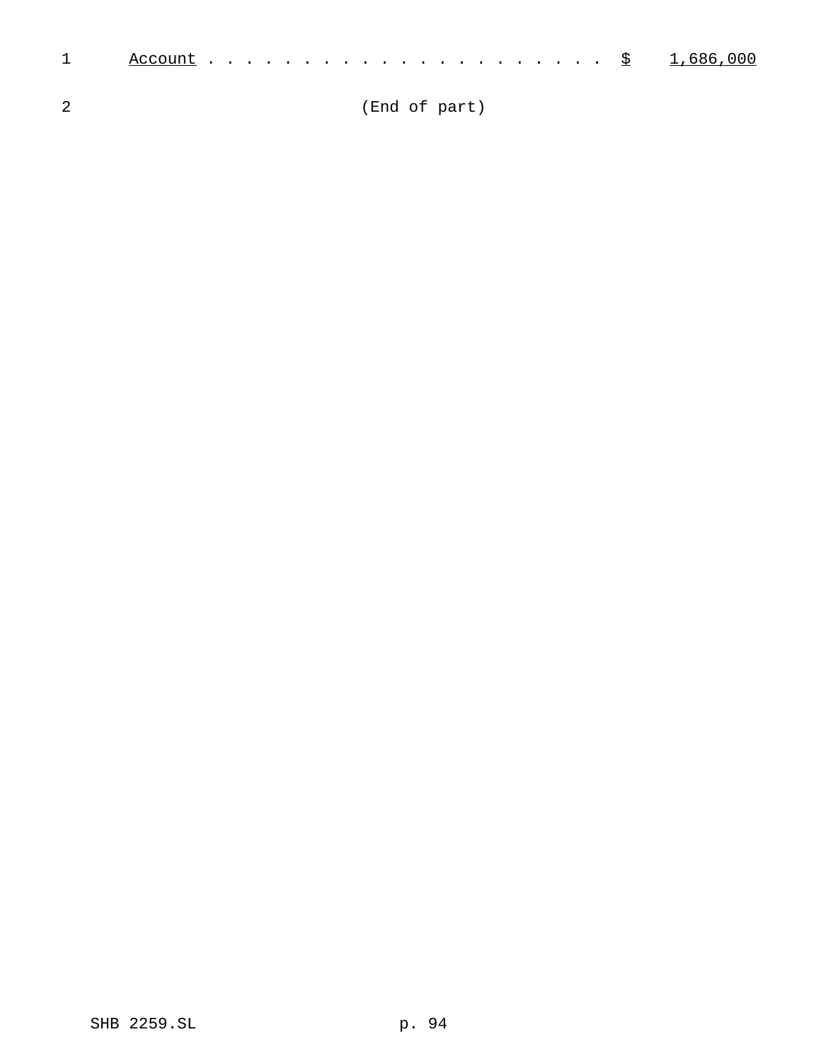| 1 |  |  |  |  |  |  |  |  |  |  |  |  |  |  |
|---|--|--|--|--|--|--|--|--|--|--|--|--|--|--|
|   |  |  |  |  |  |  |  |  |  |  |  |  |  |  |

(End of part)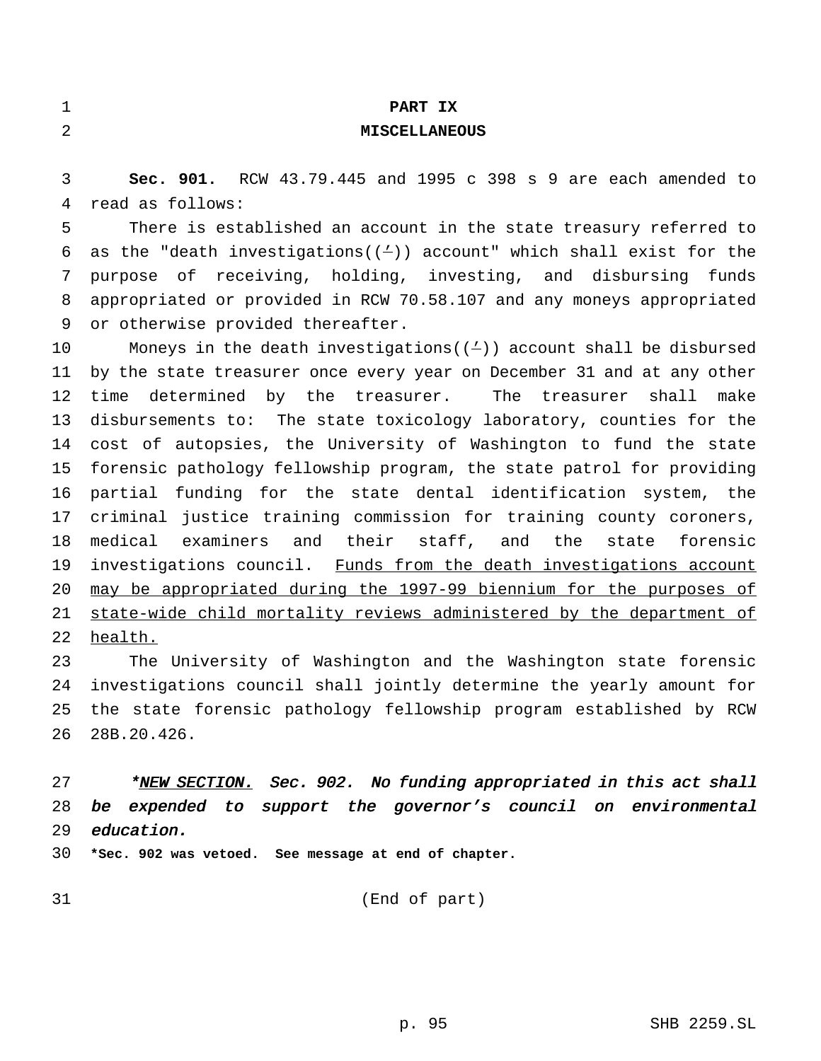| $\mathbf 1$ | PART IX                                                                  |
|-------------|--------------------------------------------------------------------------|
| 2           | <b>MISCELLANEOUS</b>                                                     |
|             |                                                                          |
| 3           | Sec. 901. RCW 43.79.445 and 1995 c 398 s 9 are each amended to           |
| 4           | read as follows:                                                         |
| 5           | There is established an account in the state treasury referred to        |
| 6           | as the "death investigations( $(4)$ ) account" which shall exist for the |
| 7           | purpose of receiving, holding, investing, and disbursing funds           |
| 8           | appropriated or provided in RCW 70.58.107 and any moneys appropriated    |
| 9           | or otherwise provided thereafter.                                        |
| 10          | Moneys in the death investigations $(2)$ account shall be disbursed      |
| 11          | by the state treasurer once every year on December 31 and at any other   |
| 12          | time determined by the treasurer.<br>The treasurer shall<br>make         |
| 13          | disbursements to: The state toxicology laboratory, counties for the      |
| 14          | cost of autopsies, the University of Washington to fund the state        |
| 15          | forensic pathology fellowship program, the state patrol for providing    |
| 16          | partial funding for the state dental identification system, the          |
| 17          | criminal justice training commission for training county coroners,       |
| 18          | medical examiners<br>and their staff, and the<br>state<br>forensic       |
| 19          | investigations council. Funds from the death investigations account      |
| 20          | may be appropriated during the 1997-99 biennium for the purposes of      |
| 21          | state-wide child mortality reviews administered by the department of     |
| 22          | health.                                                                  |
| 23          | The University of Washington and the Washington state forensic           |
| 24          | investigations council shall jointly determine the yearly amount for     |
| 25          | the state forensic pathology fellowship program established by RCW       |
| 26          | 28B.20.426.                                                              |

27 \*NEW SECTION. Sec. 902. No funding appropriated in this act shall be expended to support the governor's council on environmental education.

**\*Sec. 902 was vetoed. See message at end of chapter.**

(End of part)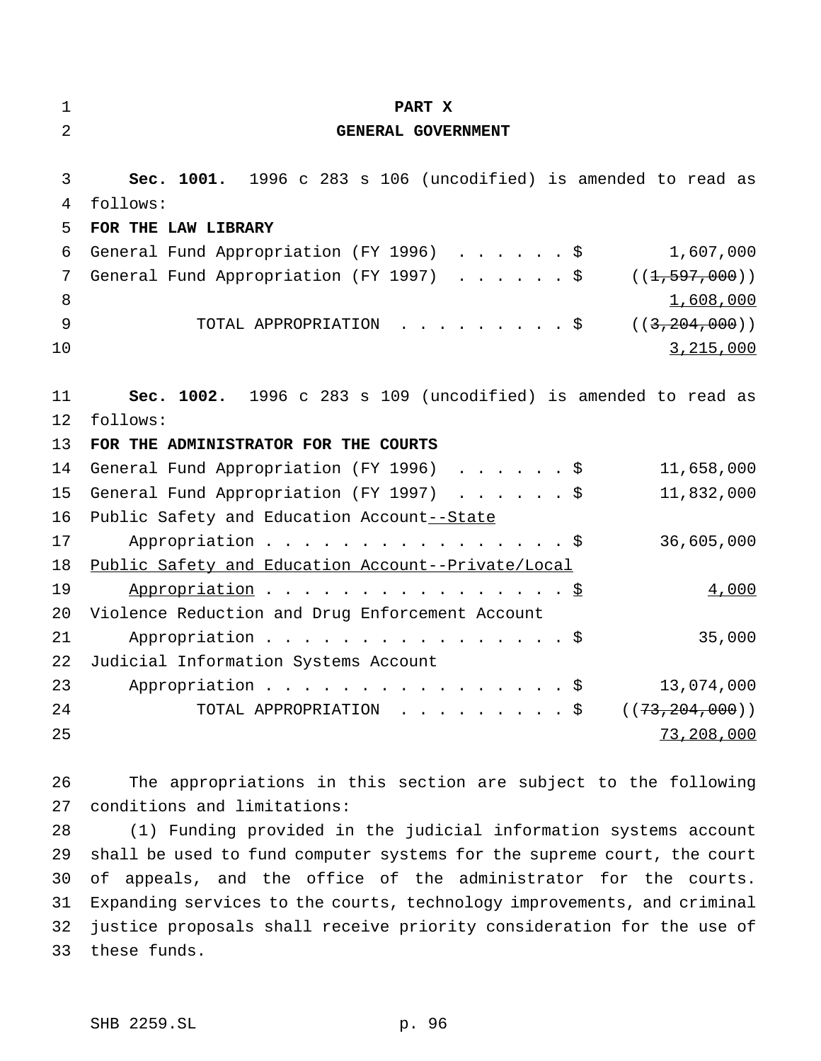| $\mathbf 1$ | PART X                                                           |
|-------------|------------------------------------------------------------------|
| 2           | GENERAL GOVERNMENT                                               |
| 3           | Sec. 1001. 1996 c 283 s 106 (uncodified) is amended to read as   |
| 4           | follows:                                                         |
| 5           | FOR THE LAW LIBRARY                                              |
| 6           | General Fund Appropriation (FY 1996) \$<br>1,607,000             |
| 7           | General Fund Appropriation (FY 1997) \$<br>((1, 597, 000))       |
| 8           | 1,608,000                                                        |
| 9           | TOTAL APPROPRIATION \$<br>((3, 204, 000))                        |
| 10          | 3,215,000                                                        |
|             |                                                                  |
| 11          | Sec. 1002. 1996 c 283 s 109 (uncodified) is amended to read as   |
| 12          | follows:                                                         |
| 13          | FOR THE ADMINISTRATOR FOR THE COURTS                             |
| 14          | General Fund Appropriation (FY 1996) \$<br>11,658,000            |
| 15          | General Fund Appropriation (FY 1997) \$<br>11,832,000            |
| 16          | Public Safety and Education Account--State                       |
| 17          | Appropriation \$<br>36,605,000                                   |
| 18          | Public Safety and Education Account--Private/Local               |
| 19          | Appropriation \$<br>4,000                                        |
| 20          | Violence Reduction and Drug Enforcement Account                  |
| 21          | Appropriation \$<br>35,000                                       |
| 22          | Judicial Information Systems Account                             |
| 23          | 13,074,000<br>Appropriation $\frac{1}{5}$                        |
| 24          | TOTAL APPROPRIATION \$ $((73, 204, 000))$                        |
| 25          | 73,208,000                                                       |
|             |                                                                  |
| 26          | The appropriations in this section are subject to the following  |
| 27          | conditions and limitations:                                      |
| 28          | (1) Funding provided in the judicial information systems account |

 shall be used to fund computer systems for the supreme court, the court of appeals, and the office of the administrator for the courts. Expanding services to the courts, technology improvements, and criminal justice proposals shall receive priority consideration for the use of these funds.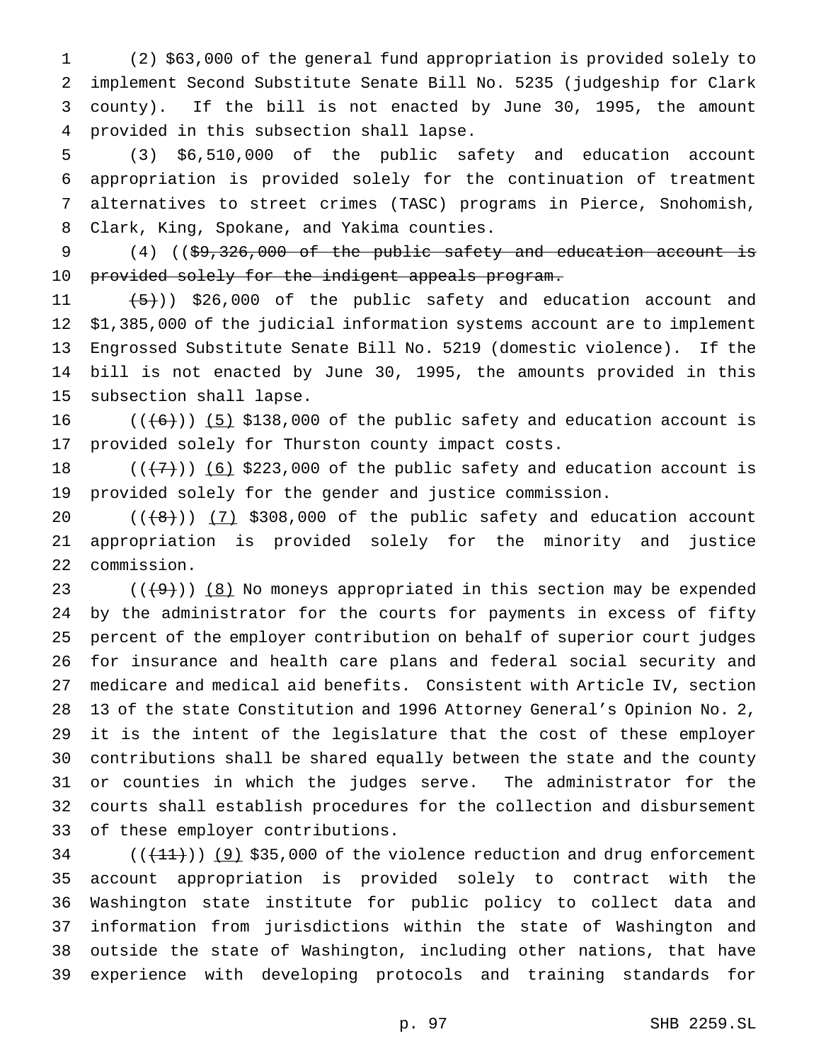(2) \$63,000 of the general fund appropriation is provided solely to implement Second Substitute Senate Bill No. 5235 (judgeship for Clark county). If the bill is not enacted by June 30, 1995, the amount provided in this subsection shall lapse.

 (3) \$6,510,000 of the public safety and education account appropriation is provided solely for the continuation of treatment alternatives to street crimes (TASC) programs in Pierce, Snohomish, Clark, King, Spokane, and Yakima counties.

9  $(4)$  ((\$9,326,000 of the public safety and education account is 10 provided solely for the indigent appeals program.

 $(5+)$ ) \$26,000 of the public safety and education account and \$1,385,000 of the judicial information systems account are to implement Engrossed Substitute Senate Bill No. 5219 (domestic violence). If the bill is not enacted by June 30, 1995, the amounts provided in this subsection shall lapse.

 $((\lbrace 6 \rbrace) \rbrace$  (5) \$138,000 of the public safety and education account is provided solely for Thurston county impact costs.

18  $((+7))$  (6) \$223,000 of the public safety and education account is provided solely for the gender and justice commission.

 $((\{8\})$   $(7)$  \$308,000 of the public safety and education account appropriation is provided solely for the minority and justice commission.

 $((\Theta)^{8})$  (8) No moneys appropriated in this section may be expended by the administrator for the courts for payments in excess of fifty percent of the employer contribution on behalf of superior court judges for insurance and health care plans and federal social security and medicare and medical aid benefits. Consistent with Article IV, section 13 of the state Constitution and 1996 Attorney General's Opinion No. 2, it is the intent of the legislature that the cost of these employer contributions shall be shared equally between the state and the county or counties in which the judges serve. The administrator for the courts shall establish procedures for the collection and disbursement of these employer contributions.

 (( $(11)$ )) (9) \$35,000 of the violence reduction and drug enforcement account appropriation is provided solely to contract with the Washington state institute for public policy to collect data and information from jurisdictions within the state of Washington and outside the state of Washington, including other nations, that have experience with developing protocols and training standards for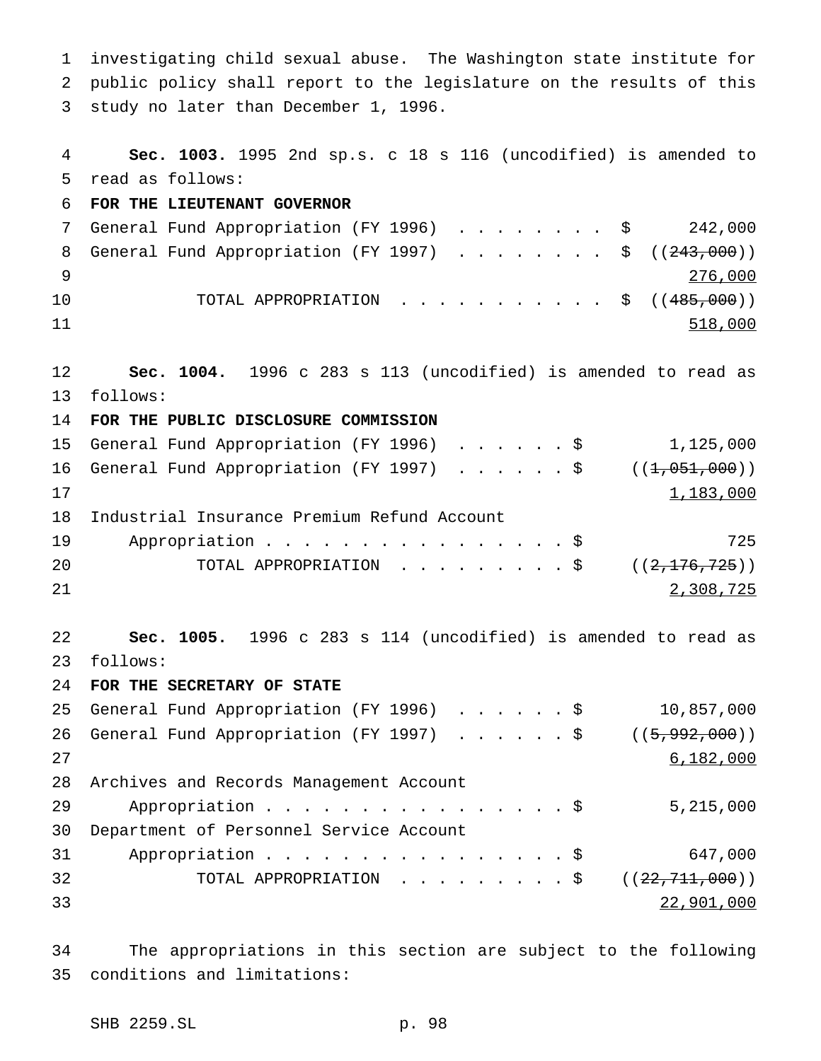investigating child sexual abuse. The Washington state institute for public policy shall report to the legislature on the results of this study no later than December 1, 1996. **Sec. 1003.** 1995 2nd sp.s. c 18 s 116 (uncodified) is amended to read as follows: **FOR THE LIEUTENANT GOVERNOR** 7 General Fund Appropriation (FY 1996) . . . . . . . \$ 242,000 8 General Fund Appropriation (FY 1997) . . . . . . . \$ ((243,000)) 276,000 10 TOTAL APPROPRIATION . . . . . . . . . . \$ ((<del>485,000</del>)) 11 518,000 **Sec. 1004.** 1996 c 283 s 113 (uncodified) is amended to read as follows: **FOR THE PUBLIC DISCLOSURE COMMISSION** General Fund Appropriation (FY 1996) ......\$ 1,125,000 16 General Fund Appropriation (FY 1997) . . . . . \$ ((<del>1,051,000</del>)) 17 183,000 Industrial Insurance Premium Refund Account 19 Appropriation . . . . . . . . . . . . . . . \$ 725 20 TOTAL APPROPRIATION . . . . . . . . \$ ((<del>2,176,725</del>)) 21 2008,725 **Sec. 1005.** 1996 c 283 s 114 (uncodified) is amended to read as follows: **FOR THE SECRETARY OF STATE** General Fund Appropriation (FY 1996) ......\$ 10,857,000 26 General Fund Appropriation (FY 1997) . . . . . \$ ((5,992,000)) 27 6,182,000 Archives and Records Management Account Appropriation................\$ 5,215,000 Department of Personnel Service Account 31 Appropriation . . . . . . . . . . . . . . . \$ 647,000 32 TOTAL APPROPRIATION .........\$ ((<del>22,711,000</del>)) 22,901,000

 The appropriations in this section are subject to the following conditions and limitations: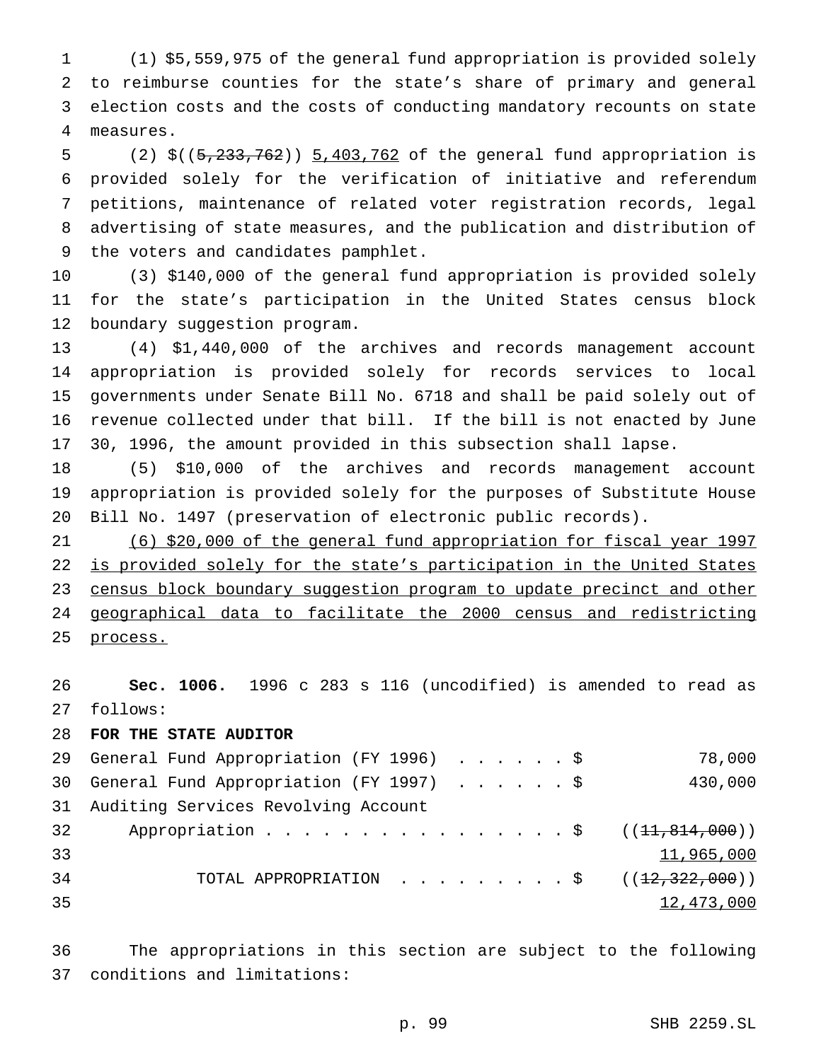(1) \$5,559,975 of the general fund appropriation is provided solely to reimburse counties for the state's share of primary and general election costs and the costs of conducting mandatory recounts on state measures.

 (2) \$((5,233,762)) 5,403,762 of the general fund appropriation is provided solely for the verification of initiative and referendum petitions, maintenance of related voter registration records, legal advertising of state measures, and the publication and distribution of the voters and candidates pamphlet.

 (3) \$140,000 of the general fund appropriation is provided solely for the state's participation in the United States census block boundary suggestion program.

 (4) \$1,440,000 of the archives and records management account appropriation is provided solely for records services to local governments under Senate Bill No. 6718 and shall be paid solely out of revenue collected under that bill. If the bill is not enacted by June 30, 1996, the amount provided in this subsection shall lapse.

 (5) \$10,000 of the archives and records management account appropriation is provided solely for the purposes of Substitute House Bill No. 1497 (preservation of electronic public records).

 (6) \$20,000 of the general fund appropriation for fiscal year 1997 22 is provided solely for the state's participation in the United States 23 census block boundary suggestion program to update precinct and other geographical data to facilitate the 2000 census and redistricting 25 process.

 **Sec. 1006.** 1996 c 283 s 116 (uncodified) is amended to read as follows:

## **FOR THE STATE AUDITOR**

|    | 29 General Fund Appropriation (FY 1996) \$        | 78,000     |
|----|---------------------------------------------------|------------|
|    | 30 General Fund Appropriation (FY 1997) \$        | 430,000    |
|    | 31 Auditing Services Revolving Account            |            |
| 32 | Appropriation \$ $((11,814,000))$                 |            |
| 33 |                                                   | 11,965,000 |
| 34 | TOTAL APPROPRIATION ( $\left(12,322,000\right)$ ) |            |
| 35 |                                                   | 12,473,000 |

 The appropriations in this section are subject to the following conditions and limitations:

p. 99 SHB 2259.SL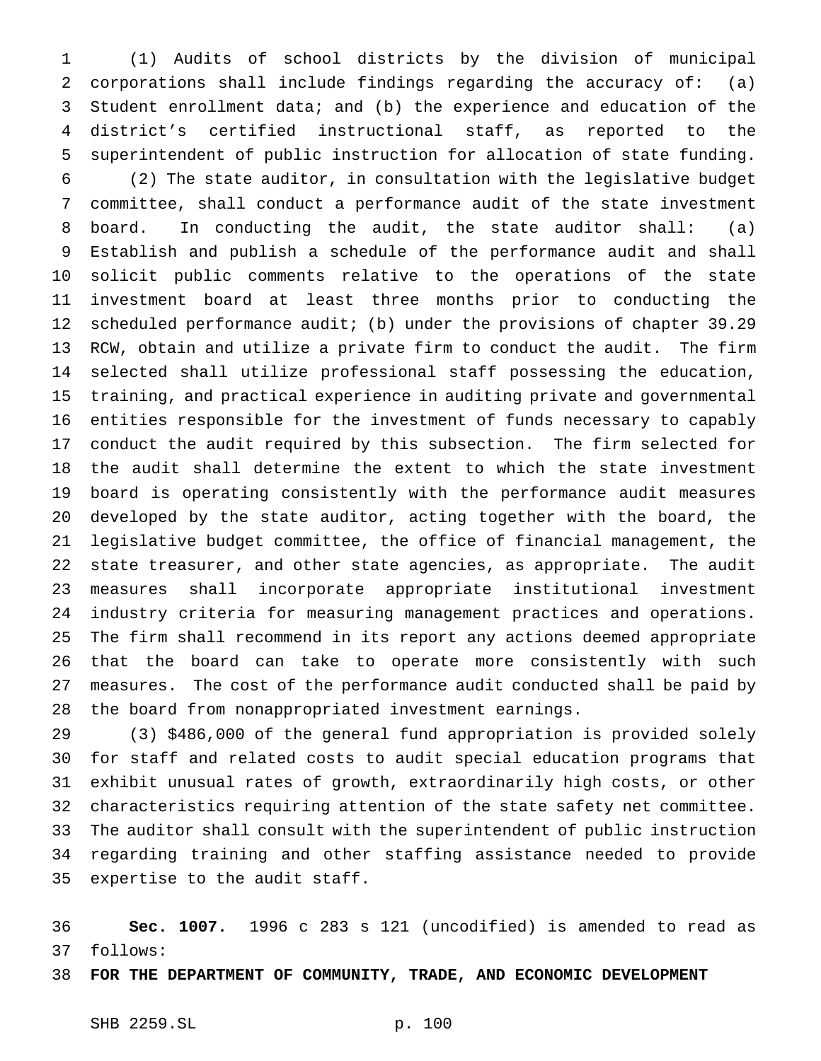(1) Audits of school districts by the division of municipal corporations shall include findings regarding the accuracy of: (a) Student enrollment data; and (b) the experience and education of the district's certified instructional staff, as reported to the superintendent of public instruction for allocation of state funding.

 (2) The state auditor, in consultation with the legislative budget committee, shall conduct a performance audit of the state investment board. In conducting the audit, the state auditor shall: (a) Establish and publish a schedule of the performance audit and shall solicit public comments relative to the operations of the state investment board at least three months prior to conducting the scheduled performance audit; (b) under the provisions of chapter 39.29 RCW, obtain and utilize a private firm to conduct the audit. The firm selected shall utilize professional staff possessing the education, training, and practical experience in auditing private and governmental entities responsible for the investment of funds necessary to capably conduct the audit required by this subsection. The firm selected for the audit shall determine the extent to which the state investment board is operating consistently with the performance audit measures developed by the state auditor, acting together with the board, the legislative budget committee, the office of financial management, the state treasurer, and other state agencies, as appropriate. The audit measures shall incorporate appropriate institutional investment industry criteria for measuring management practices and operations. The firm shall recommend in its report any actions deemed appropriate that the board can take to operate more consistently with such measures. The cost of the performance audit conducted shall be paid by the board from nonappropriated investment earnings.

 (3) \$486,000 of the general fund appropriation is provided solely for staff and related costs to audit special education programs that exhibit unusual rates of growth, extraordinarily high costs, or other characteristics requiring attention of the state safety net committee. The auditor shall consult with the superintendent of public instruction regarding training and other staffing assistance needed to provide expertise to the audit staff.

 **Sec. 1007.** 1996 c 283 s 121 (uncodified) is amended to read as follows:

**FOR THE DEPARTMENT OF COMMUNITY, TRADE, AND ECONOMIC DEVELOPMENT**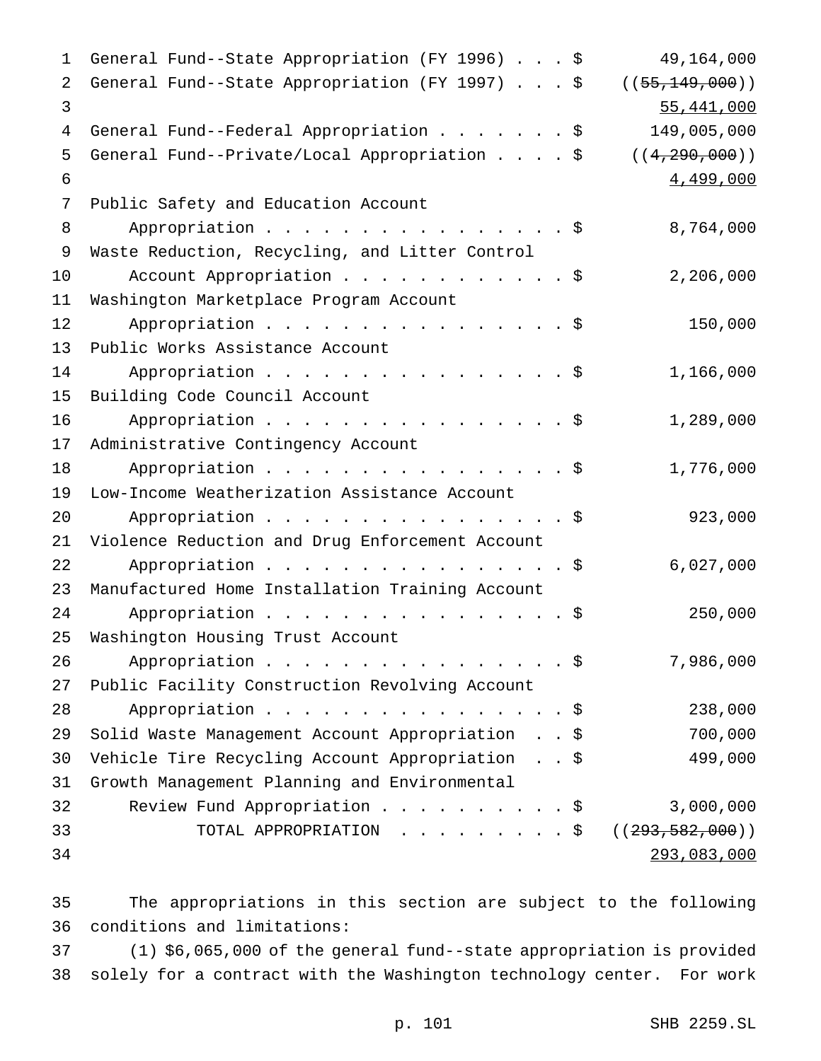General Fund--State Appropriation (FY 1996)...\$ 49,164,000 2 General Fund--State Appropriation (FY 1997) . . . \$ ((55,149,000)) 55,441,000 4 General Fund--Federal Appropriation . . . . . . \$ 149,005,000 General Fund--Private/Local Appropriation....\$ ((4,290,000))  $\frac{4,499,000}{2}$  Public Safety and Education Account 8 Appropriation . . . . . . . . . . . . . . . \$ 8,764,000 Waste Reduction, Recycling, and Litter Control 10 Account Appropriation . . . . . . . . . . \$ 2,206,000 Washington Marketplace Program Account 12 Appropriation . . . . . . . . . . . . . . . \$ 150,000 Public Works Assistance Account 14 Appropriation . . . . . . . . . . . . . . \$ 1,166,000 Building Code Council Account 16 Appropriation . . . . . . . . . . . . . . \$ 1,289,000 Administrative Contingency Account 18 Appropriation . . . . . . . . . . . . . . \$ 1,776,000 Low-Income Weatherization Assistance Account Appropriation................\$ 923,000 Violence Reduction and Drug Enforcement Account 22 Appropriation . . . . . . . . . . . . . . \$ 6,027,000 Manufactured Home Installation Training Account 24 Appropriation . . . . . . . . . . . . . . \$ 250,000 Washington Housing Trust Account 26 Appropriation . . . . . . . . . . . . . . \$ 7,986,000 Public Facility Construction Revolving Account 28 Appropriation . . . . . . . . . . . . . . \$ 238,000 Solid Waste Management Account Appropriation . . \$ 700,000 Vehicle Tire Recycling Account Appropriation . . \$ 499,000 Growth Management Planning and Environmental Review Fund Appropriation..........\$ 3,000,000 33 TOTAL APPROPRIATION . . . . . . . . \$ ((<del>293,582,000</del>)) 293,083,000

 The appropriations in this section are subject to the following conditions and limitations:

 (1) \$6,065,000 of the general fund--state appropriation is provided solely for a contract with the Washington technology center. For work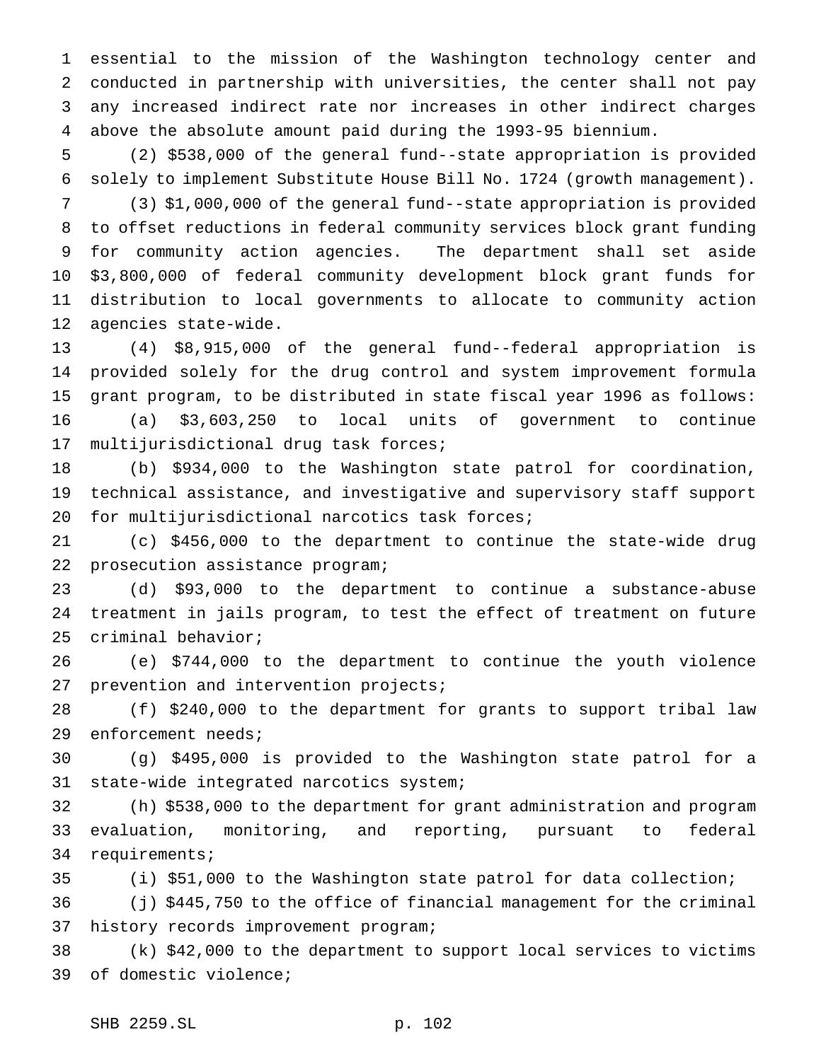essential to the mission of the Washington technology center and conducted in partnership with universities, the center shall not pay any increased indirect rate nor increases in other indirect charges above the absolute amount paid during the 1993-95 biennium.

 (2) \$538,000 of the general fund--state appropriation is provided solely to implement Substitute House Bill No. 1724 (growth management).

 (3) \$1,000,000 of the general fund--state appropriation is provided to offset reductions in federal community services block grant funding for community action agencies. The department shall set aside \$3,800,000 of federal community development block grant funds for distribution to local governments to allocate to community action agencies state-wide.

 (4) \$8,915,000 of the general fund--federal appropriation is provided solely for the drug control and system improvement formula grant program, to be distributed in state fiscal year 1996 as follows: (a) \$3,603,250 to local units of government to continue

multijurisdictional drug task forces;

 (b) \$934,000 to the Washington state patrol for coordination, technical assistance, and investigative and supervisory staff support 20 for multijurisdictional narcotics task forces;

 (c) \$456,000 to the department to continue the state-wide drug prosecution assistance program;

 (d) \$93,000 to the department to continue a substance-abuse treatment in jails program, to test the effect of treatment on future criminal behavior;

 (e) \$744,000 to the department to continue the youth violence 27 prevention and intervention projects;

 (f) \$240,000 to the department for grants to support tribal law enforcement needs;

 (g) \$495,000 is provided to the Washington state patrol for a state-wide integrated narcotics system;

 (h) \$538,000 to the department for grant administration and program evaluation, monitoring, and reporting, pursuant to federal requirements;

(i) \$51,000 to the Washington state patrol for data collection;

 (j) \$445,750 to the office of financial management for the criminal history records improvement program;

 (k) \$42,000 to the department to support local services to victims of domestic violence;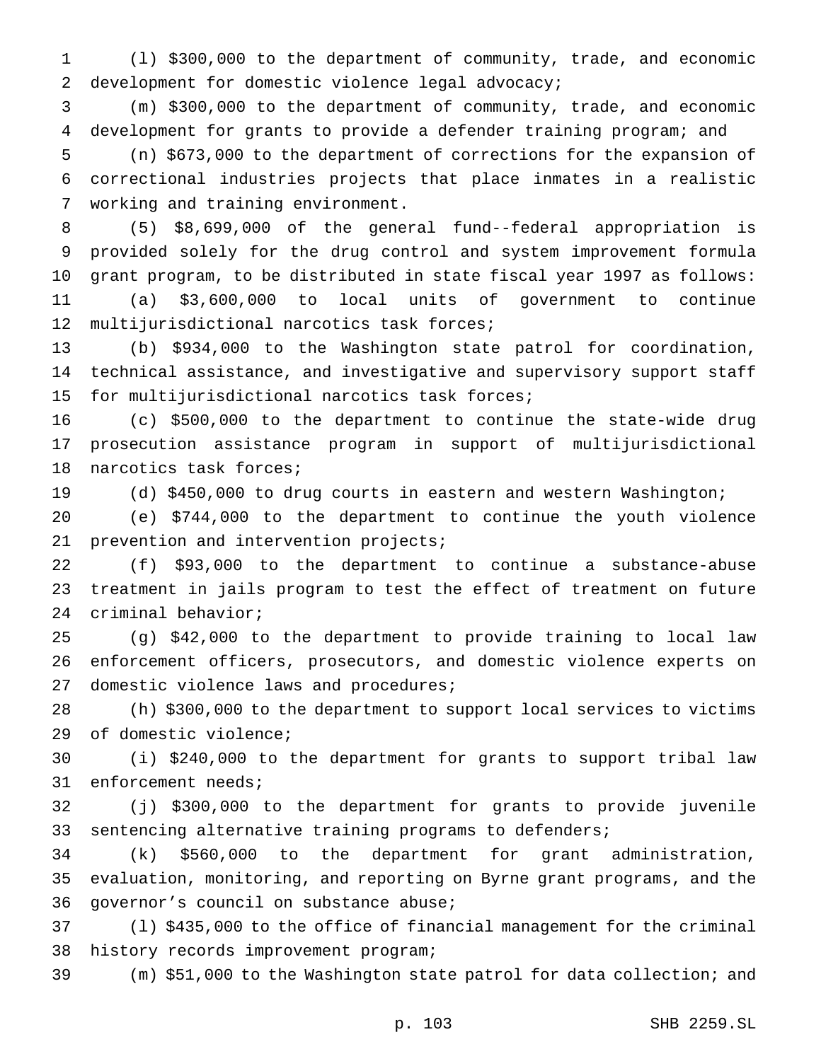(l) \$300,000 to the department of community, trade, and economic development for domestic violence legal advocacy;

 (m) \$300,000 to the department of community, trade, and economic development for grants to provide a defender training program; and

 (n) \$673,000 to the department of corrections for the expansion of correctional industries projects that place inmates in a realistic working and training environment.

 (5) \$8,699,000 of the general fund--federal appropriation is provided solely for the drug control and system improvement formula grant program, to be distributed in state fiscal year 1997 as follows: (a) \$3,600,000 to local units of government to continue

multijurisdictional narcotics task forces;

 (b) \$934,000 to the Washington state patrol for coordination, technical assistance, and investigative and supervisory support staff for multijurisdictional narcotics task forces;

 (c) \$500,000 to the department to continue the state-wide drug prosecution assistance program in support of multijurisdictional narcotics task forces;

(d) \$450,000 to drug courts in eastern and western Washington;

 (e) \$744,000 to the department to continue the youth violence prevention and intervention projects;

 (f) \$93,000 to the department to continue a substance-abuse treatment in jails program to test the effect of treatment on future criminal behavior;

 (g) \$42,000 to the department to provide training to local law enforcement officers, prosecutors, and domestic violence experts on domestic violence laws and procedures;

 (h) \$300,000 to the department to support local services to victims of domestic violence;

 (i) \$240,000 to the department for grants to support tribal law enforcement needs;

 (j) \$300,000 to the department for grants to provide juvenile sentencing alternative training programs to defenders;

 (k) \$560,000 to the department for grant administration, evaluation, monitoring, and reporting on Byrne grant programs, and the governor's council on substance abuse;

 (l) \$435,000 to the office of financial management for the criminal history records improvement program;

(m) \$51,000 to the Washington state patrol for data collection; and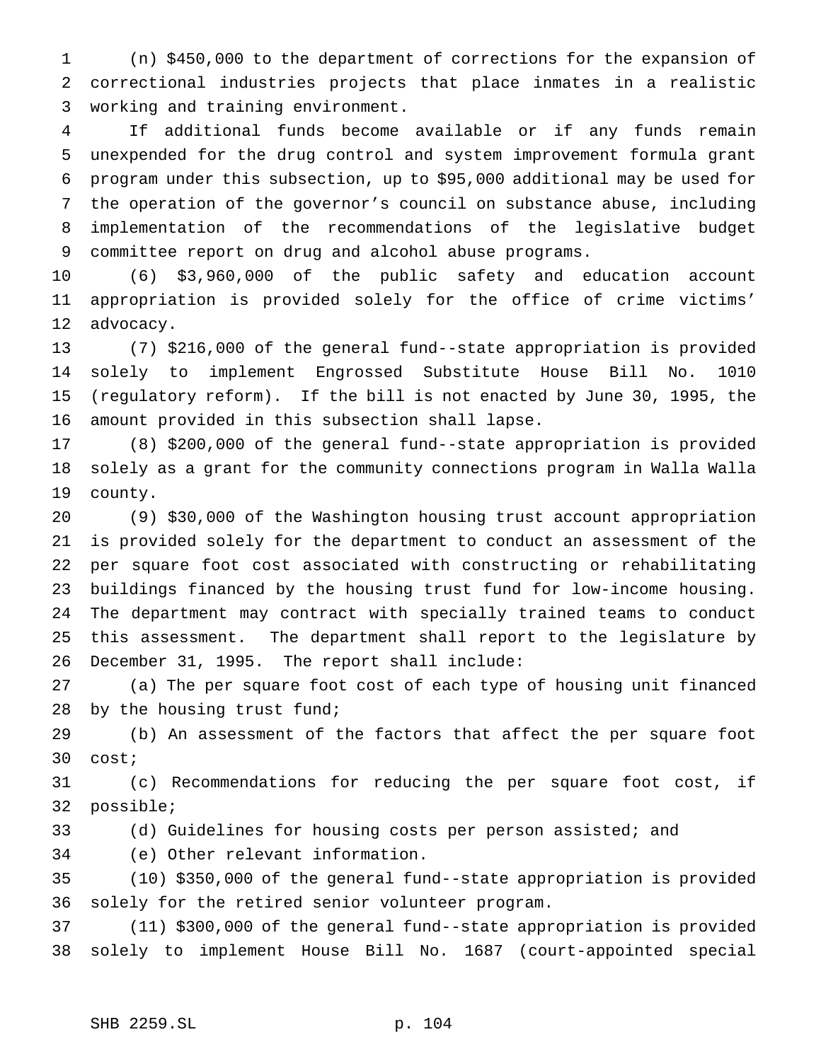(n) \$450,000 to the department of corrections for the expansion of correctional industries projects that place inmates in a realistic working and training environment.

 If additional funds become available or if any funds remain unexpended for the drug control and system improvement formula grant program under this subsection, up to \$95,000 additional may be used for the operation of the governor's council on substance abuse, including implementation of the recommendations of the legislative budget committee report on drug and alcohol abuse programs.

 (6) \$3,960,000 of the public safety and education account appropriation is provided solely for the office of crime victims' advocacy.

 (7) \$216,000 of the general fund--state appropriation is provided solely to implement Engrossed Substitute House Bill No. 1010 (regulatory reform). If the bill is not enacted by June 30, 1995, the amount provided in this subsection shall lapse.

 (8) \$200,000 of the general fund--state appropriation is provided solely as a grant for the community connections program in Walla Walla county.

 (9) \$30,000 of the Washington housing trust account appropriation is provided solely for the department to conduct an assessment of the per square foot cost associated with constructing or rehabilitating buildings financed by the housing trust fund for low-income housing. The department may contract with specially trained teams to conduct this assessment. The department shall report to the legislature by December 31, 1995. The report shall include:

 (a) The per square foot cost of each type of housing unit financed by the housing trust fund;

 (b) An assessment of the factors that affect the per square foot cost;

 (c) Recommendations for reducing the per square foot cost, if possible;

(d) Guidelines for housing costs per person assisted; and

(e) Other relevant information.

 (10) \$350,000 of the general fund--state appropriation is provided solely for the retired senior volunteer program.

 (11) \$300,000 of the general fund--state appropriation is provided solely to implement House Bill No. 1687 (court-appointed special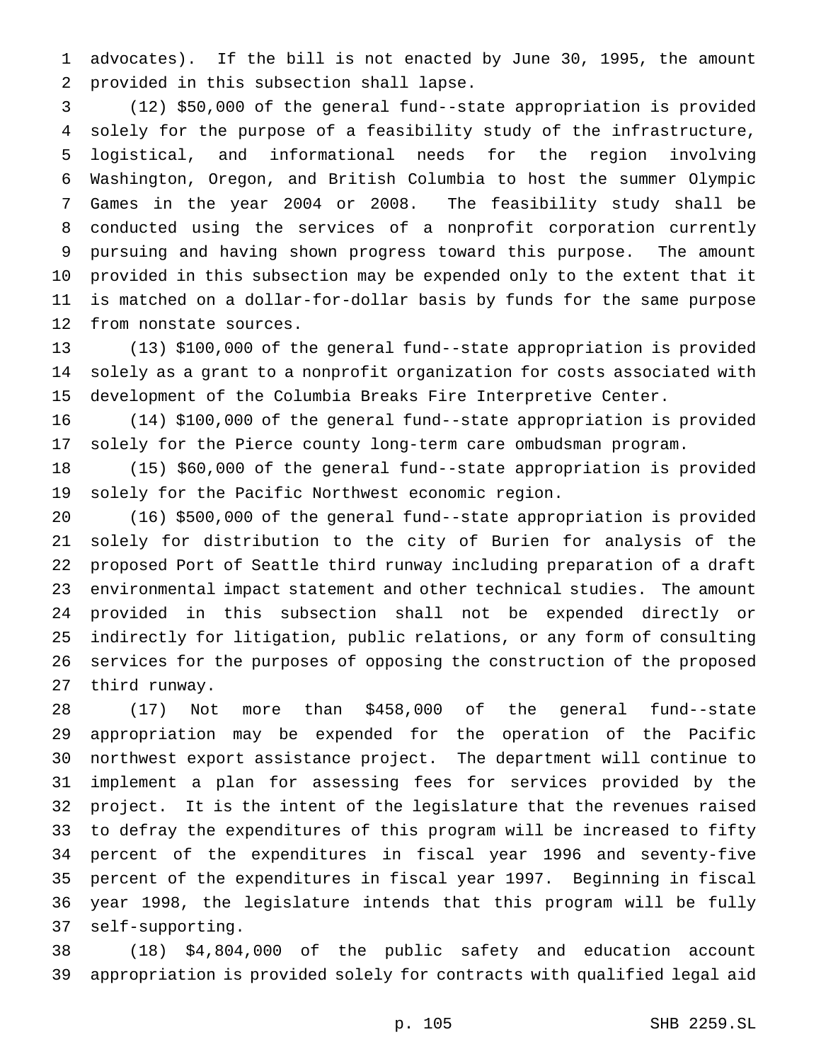advocates). If the bill is not enacted by June 30, 1995, the amount provided in this subsection shall lapse.

 (12) \$50,000 of the general fund--state appropriation is provided solely for the purpose of a feasibility study of the infrastructure, logistical, and informational needs for the region involving Washington, Oregon, and British Columbia to host the summer Olympic Games in the year 2004 or 2008. The feasibility study shall be conducted using the services of a nonprofit corporation currently pursuing and having shown progress toward this purpose. The amount provided in this subsection may be expended only to the extent that it is matched on a dollar-for-dollar basis by funds for the same purpose from nonstate sources.

 (13) \$100,000 of the general fund--state appropriation is provided solely as a grant to a nonprofit organization for costs associated with development of the Columbia Breaks Fire Interpretive Center.

 (14) \$100,000 of the general fund--state appropriation is provided solely for the Pierce county long-term care ombudsman program.

 (15) \$60,000 of the general fund--state appropriation is provided solely for the Pacific Northwest economic region.

 (16) \$500,000 of the general fund--state appropriation is provided solely for distribution to the city of Burien for analysis of the proposed Port of Seattle third runway including preparation of a draft environmental impact statement and other technical studies. The amount provided in this subsection shall not be expended directly or indirectly for litigation, public relations, or any form of consulting services for the purposes of opposing the construction of the proposed third runway.

 (17) Not more than \$458,000 of the general fund--state appropriation may be expended for the operation of the Pacific northwest export assistance project. The department will continue to implement a plan for assessing fees for services provided by the project. It is the intent of the legislature that the revenues raised to defray the expenditures of this program will be increased to fifty percent of the expenditures in fiscal year 1996 and seventy-five percent of the expenditures in fiscal year 1997. Beginning in fiscal year 1998, the legislature intends that this program will be fully self-supporting.

 (18) \$4,804,000 of the public safety and education account appropriation is provided solely for contracts with qualified legal aid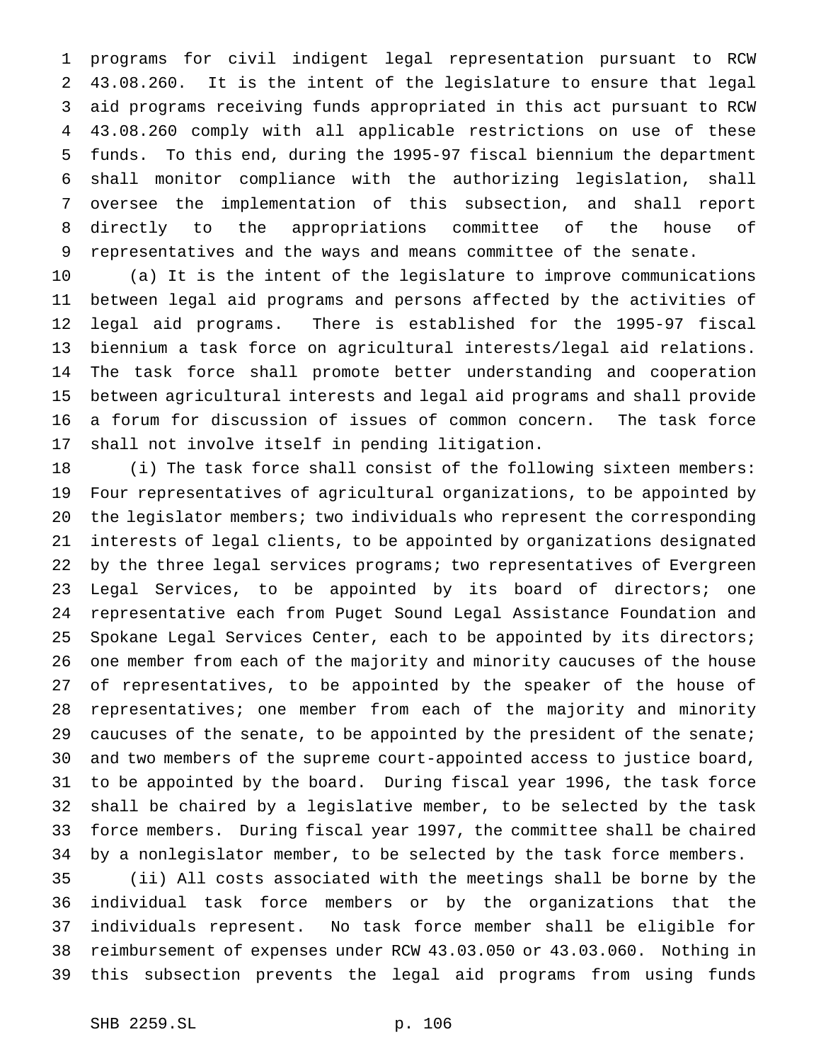programs for civil indigent legal representation pursuant to RCW 43.08.260. It is the intent of the legislature to ensure that legal aid programs receiving funds appropriated in this act pursuant to RCW 43.08.260 comply with all applicable restrictions on use of these funds. To this end, during the 1995-97 fiscal biennium the department shall monitor compliance with the authorizing legislation, shall oversee the implementation of this subsection, and shall report directly to the appropriations committee of the house of representatives and the ways and means committee of the senate.

 (a) It is the intent of the legislature to improve communications between legal aid programs and persons affected by the activities of legal aid programs. There is established for the 1995-97 fiscal biennium a task force on agricultural interests/legal aid relations. The task force shall promote better understanding and cooperation between agricultural interests and legal aid programs and shall provide a forum for discussion of issues of common concern. The task force shall not involve itself in pending litigation.

 (i) The task force shall consist of the following sixteen members: Four representatives of agricultural organizations, to be appointed by the legislator members; two individuals who represent the corresponding interests of legal clients, to be appointed by organizations designated by the three legal services programs; two representatives of Evergreen Legal Services, to be appointed by its board of directors; one representative each from Puget Sound Legal Assistance Foundation and Spokane Legal Services Center, each to be appointed by its directors; one member from each of the majority and minority caucuses of the house of representatives, to be appointed by the speaker of the house of representatives; one member from each of the majority and minority 29 caucuses of the senate, to be appointed by the president of the senate; and two members of the supreme court-appointed access to justice board, to be appointed by the board. During fiscal year 1996, the task force shall be chaired by a legislative member, to be selected by the task force members. During fiscal year 1997, the committee shall be chaired by a nonlegislator member, to be selected by the task force members.

 (ii) All costs associated with the meetings shall be borne by the individual task force members or by the organizations that the individuals represent. No task force member shall be eligible for reimbursement of expenses under RCW 43.03.050 or 43.03.060. Nothing in this subsection prevents the legal aid programs from using funds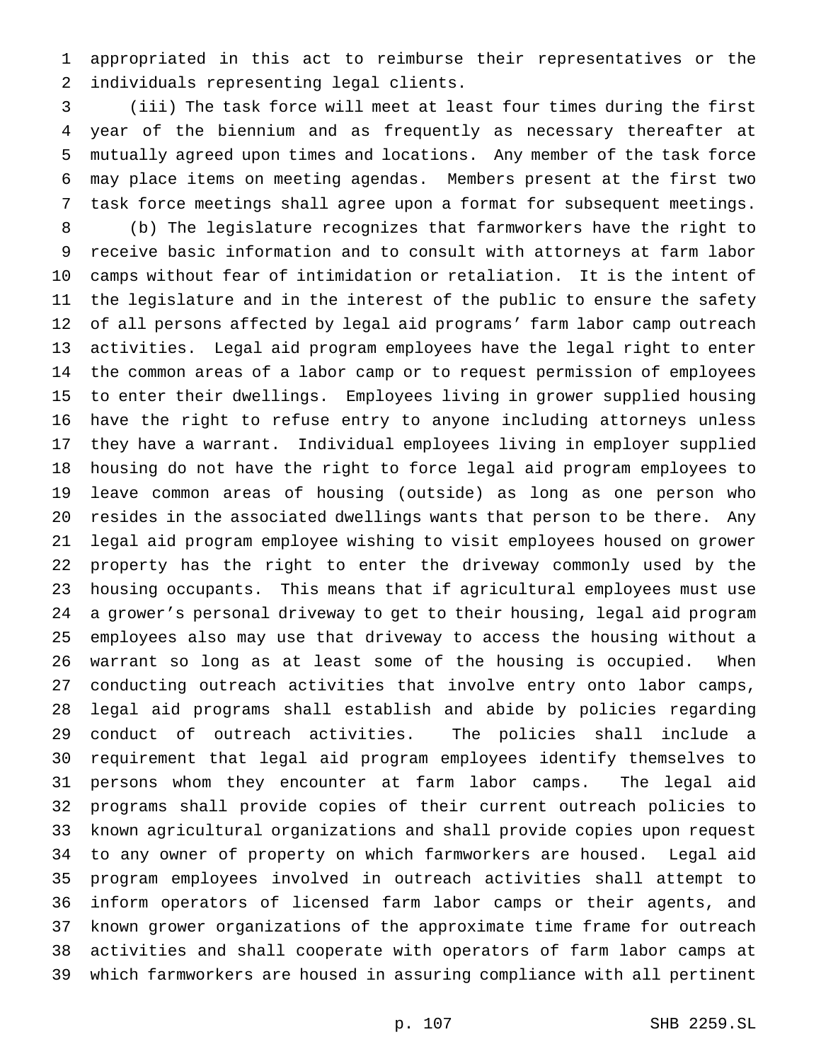appropriated in this act to reimburse their representatives or the individuals representing legal clients.

 (iii) The task force will meet at least four times during the first year of the biennium and as frequently as necessary thereafter at mutually agreed upon times and locations. Any member of the task force may place items on meeting agendas. Members present at the first two task force meetings shall agree upon a format for subsequent meetings.

 (b) The legislature recognizes that farmworkers have the right to receive basic information and to consult with attorneys at farm labor camps without fear of intimidation or retaliation. It is the intent of the legislature and in the interest of the public to ensure the safety of all persons affected by legal aid programs' farm labor camp outreach activities. Legal aid program employees have the legal right to enter the common areas of a labor camp or to request permission of employees to enter their dwellings. Employees living in grower supplied housing have the right to refuse entry to anyone including attorneys unless they have a warrant. Individual employees living in employer supplied housing do not have the right to force legal aid program employees to leave common areas of housing (outside) as long as one person who resides in the associated dwellings wants that person to be there. Any legal aid program employee wishing to visit employees housed on grower property has the right to enter the driveway commonly used by the housing occupants. This means that if agricultural employees must use a grower's personal driveway to get to their housing, legal aid program employees also may use that driveway to access the housing without a warrant so long as at least some of the housing is occupied. When conducting outreach activities that involve entry onto labor camps, legal aid programs shall establish and abide by policies regarding conduct of outreach activities. The policies shall include a requirement that legal aid program employees identify themselves to persons whom they encounter at farm labor camps. The legal aid programs shall provide copies of their current outreach policies to known agricultural organizations and shall provide copies upon request to any owner of property on which farmworkers are housed. Legal aid program employees involved in outreach activities shall attempt to inform operators of licensed farm labor camps or their agents, and known grower organizations of the approximate time frame for outreach activities and shall cooperate with operators of farm labor camps at which farmworkers are housed in assuring compliance with all pertinent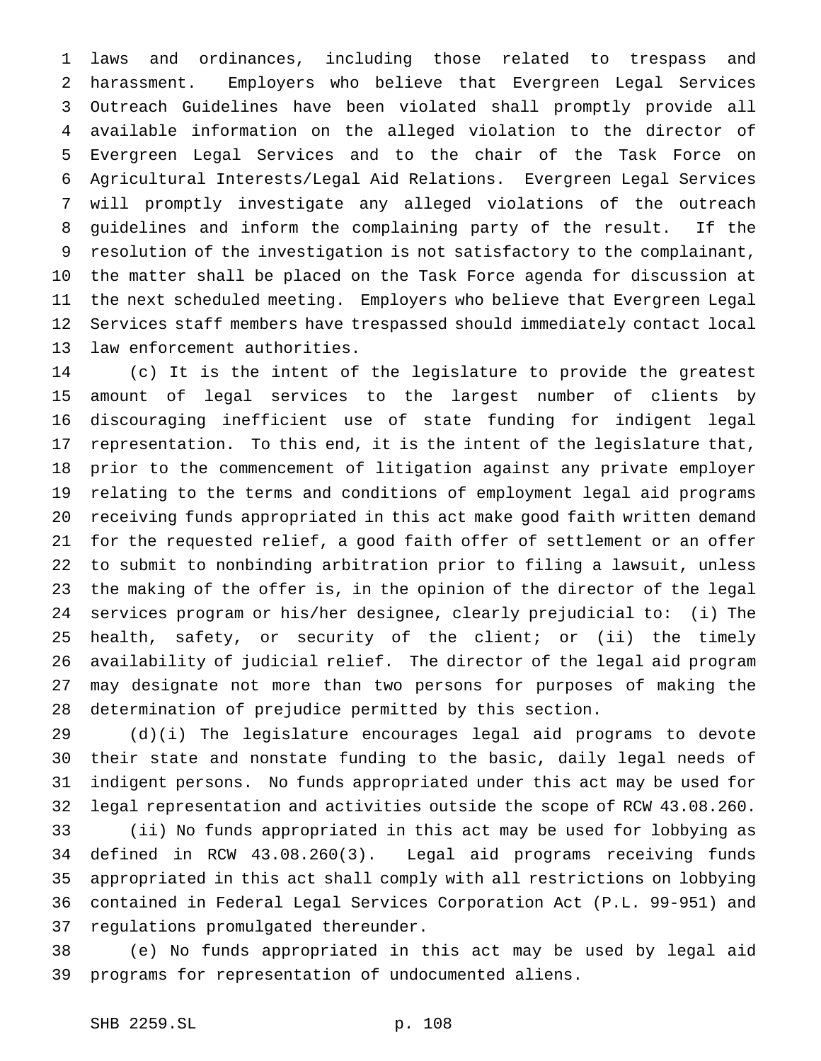laws and ordinances, including those related to trespass and harassment. Employers who believe that Evergreen Legal Services Outreach Guidelines have been violated shall promptly provide all available information on the alleged violation to the director of Evergreen Legal Services and to the chair of the Task Force on Agricultural Interests/Legal Aid Relations. Evergreen Legal Services will promptly investigate any alleged violations of the outreach guidelines and inform the complaining party of the result. If the resolution of the investigation is not satisfactory to the complainant, the matter shall be placed on the Task Force agenda for discussion at the next scheduled meeting. Employers who believe that Evergreen Legal Services staff members have trespassed should immediately contact local law enforcement authorities.

 (c) It is the intent of the legislature to provide the greatest amount of legal services to the largest number of clients by discouraging inefficient use of state funding for indigent legal representation. To this end, it is the intent of the legislature that, prior to the commencement of litigation against any private employer relating to the terms and conditions of employment legal aid programs receiving funds appropriated in this act make good faith written demand for the requested relief, a good faith offer of settlement or an offer to submit to nonbinding arbitration prior to filing a lawsuit, unless the making of the offer is, in the opinion of the director of the legal services program or his/her designee, clearly prejudicial to: (i) The health, safety, or security of the client; or (ii) the timely availability of judicial relief. The director of the legal aid program may designate not more than two persons for purposes of making the determination of prejudice permitted by this section.

 (d)(i) The legislature encourages legal aid programs to devote their state and nonstate funding to the basic, daily legal needs of indigent persons. No funds appropriated under this act may be used for legal representation and activities outside the scope of RCW 43.08.260.

 (ii) No funds appropriated in this act may be used for lobbying as defined in RCW 43.08.260(3). Legal aid programs receiving funds appropriated in this act shall comply with all restrictions on lobbying contained in Federal Legal Services Corporation Act (P.L. 99-951) and regulations promulgated thereunder.

 (e) No funds appropriated in this act may be used by legal aid programs for representation of undocumented aliens.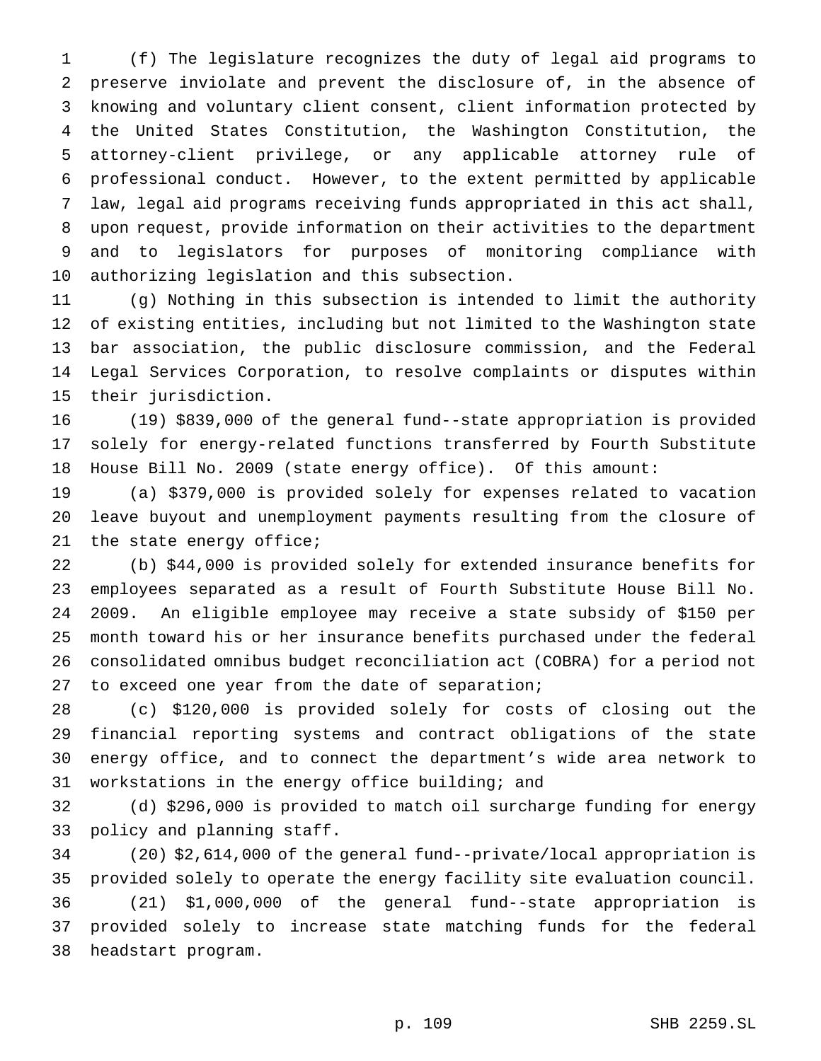(f) The legislature recognizes the duty of legal aid programs to preserve inviolate and prevent the disclosure of, in the absence of knowing and voluntary client consent, client information protected by the United States Constitution, the Washington Constitution, the attorney-client privilege, or any applicable attorney rule of professional conduct. However, to the extent permitted by applicable law, legal aid programs receiving funds appropriated in this act shall, upon request, provide information on their activities to the department and to legislators for purposes of monitoring compliance with authorizing legislation and this subsection.

 (g) Nothing in this subsection is intended to limit the authority of existing entities, including but not limited to the Washington state bar association, the public disclosure commission, and the Federal Legal Services Corporation, to resolve complaints or disputes within their jurisdiction.

 (19) \$839,000 of the general fund--state appropriation is provided solely for energy-related functions transferred by Fourth Substitute House Bill No. 2009 (state energy office). Of this amount:

 (a) \$379,000 is provided solely for expenses related to vacation leave buyout and unemployment payments resulting from the closure of the state energy office;

 (b) \$44,000 is provided solely for extended insurance benefits for employees separated as a result of Fourth Substitute House Bill No. 2009. An eligible employee may receive a state subsidy of \$150 per month toward his or her insurance benefits purchased under the federal consolidated omnibus budget reconciliation act (COBRA) for a period not 27 to exceed one year from the date of separation;

 (c) \$120,000 is provided solely for costs of closing out the financial reporting systems and contract obligations of the state energy office, and to connect the department's wide area network to workstations in the energy office building; and

 (d) \$296,000 is provided to match oil surcharge funding for energy policy and planning staff.

 (20) \$2,614,000 of the general fund--private/local appropriation is provided solely to operate the energy facility site evaluation council. (21) \$1,000,000 of the general fund--state appropriation is provided solely to increase state matching funds for the federal headstart program.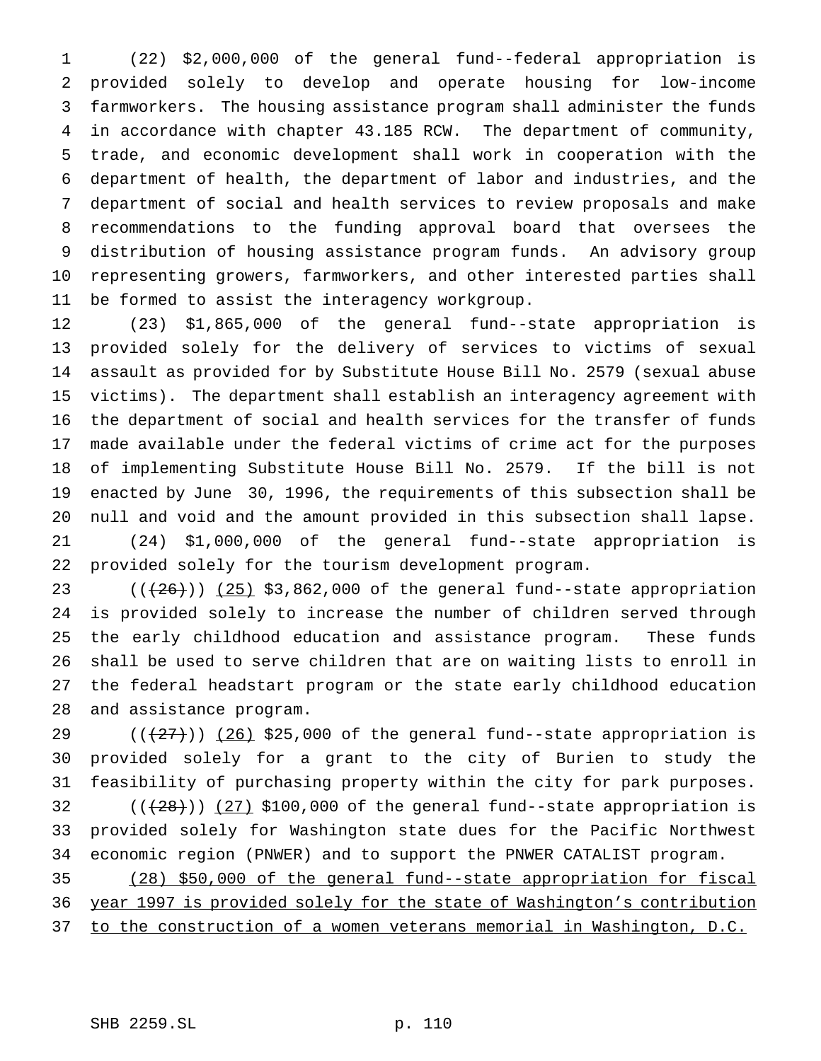(22) \$2,000,000 of the general fund--federal appropriation is provided solely to develop and operate housing for low-income farmworkers. The housing assistance program shall administer the funds in accordance with chapter 43.185 RCW. The department of community, trade, and economic development shall work in cooperation with the department of health, the department of labor and industries, and the department of social and health services to review proposals and make recommendations to the funding approval board that oversees the distribution of housing assistance program funds. An advisory group representing growers, farmworkers, and other interested parties shall be formed to assist the interagency workgroup.

 (23) \$1,865,000 of the general fund--state appropriation is provided solely for the delivery of services to victims of sexual assault as provided for by Substitute House Bill No. 2579 (sexual abuse victims). The department shall establish an interagency agreement with the department of social and health services for the transfer of funds made available under the federal victims of crime act for the purposes of implementing Substitute House Bill No. 2579. If the bill is not enacted by June 30, 1996, the requirements of this subsection shall be null and void and the amount provided in this subsection shall lapse. (24) \$1,000,000 of the general fund--state appropriation is provided solely for the tourism development program.

 $((+26))$   $(25)$  \$3,862,000 of the general fund--state appropriation is provided solely to increase the number of children served through the early childhood education and assistance program. These funds shall be used to serve children that are on waiting lists to enroll in the federal headstart program or the state early childhood education and assistance program.

 $((+27))$   $(26)$  \$25,000 of the general fund--state appropriation is provided solely for a grant to the city of Burien to study the feasibility of purchasing property within the city for park purposes.

32  $((+28))$   $(27)$  \$100,000 of the general fund--state appropriation is provided solely for Washington state dues for the Pacific Northwest economic region (PNWER) and to support the PNWER CATALIST program.

 (28) \$50,000 of the general fund--state appropriation for fiscal year 1997 is provided solely for the state of Washington's contribution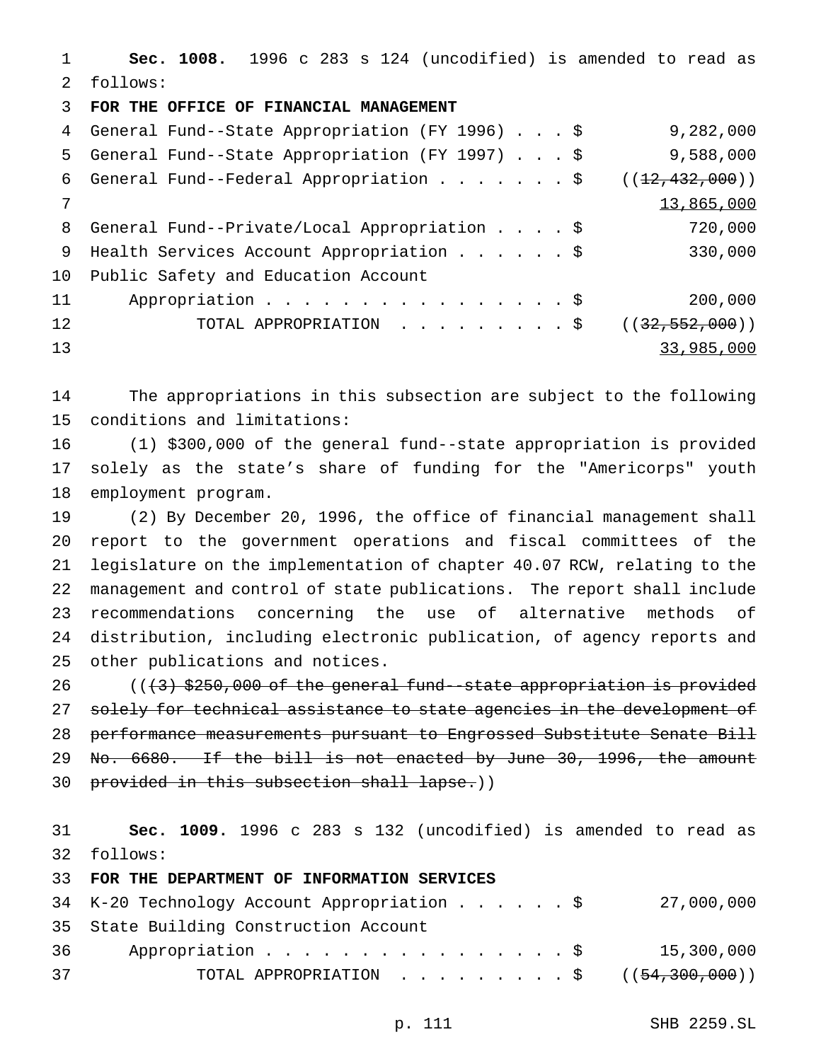**Sec. 1008.** 1996 c 283 s 124 (uncodified) is amended to read as follows: **FOR THE OFFICE OF FINANCIAL MANAGEMENT**

|    | 4 General Fund--State Appropriation (FY 1996) \$ | 9,282,000        |
|----|--------------------------------------------------|------------------|
| 5  | General Fund--State Appropriation (FY 1997) \$   | 9,588,000        |
|    | 6 General Fund--Federal Appropriation \$         | ((12, 432, 000)) |
| 7  |                                                  | 13,865,000       |
|    | 8 General Fund--Private/Local Appropriation \$   | 720,000          |
| 9  | Health Services Account Appropriation \$         | 330,000          |
| 10 | Public Safety and Education Account              |                  |
| 11 | Appropriation \$                                 | 200,000          |
| 12 | TOTAL APPROPRIATION \$                           | ((32, 552, 000)) |
| 13 |                                                  | 33,985,000       |

 The appropriations in this subsection are subject to the following conditions and limitations:

 (1) \$300,000 of the general fund--state appropriation is provided solely as the state's share of funding for the "Americorps" youth employment program.

 (2) By December 20, 1996, the office of financial management shall report to the government operations and fiscal committees of the legislature on the implementation of chapter 40.07 RCW, relating to the management and control of state publications. The report shall include recommendations concerning the use of alternative methods of distribution, including electronic publication, of agency reports and other publications and notices.

 $((+3)$  \$250,000 of the general fund--state appropriation is provided 27 solely for technical assistance to state agencies in the development of performance measurements pursuant to Engrossed Substitute Senate Bill 29 No. 6680. If the bill is not enacted by June 30, 1996, the amount 30 provided in this subsection shall lapse.))

 **Sec. 1009.** 1996 c 283 s 132 (uncodified) is amended to read as follows:

**FOR THE DEPARTMENT OF INFORMATION SERVICES**

|                                        |  |  |  | 27,000,000                                                                                                          |
|----------------------------------------|--|--|--|---------------------------------------------------------------------------------------------------------------------|
| 35 State Building Construction Account |  |  |  |                                                                                                                     |
| 36 —                                   |  |  |  | 15,300,000                                                                                                          |
|                                        |  |  |  |                                                                                                                     |
|                                        |  |  |  | 34 K-20 Technology Account Appropriation \$<br>Appropriation \$<br>TOTAL APPROPRIATION $\ldots$ , \$ ((54,300,000)) |

p. 111 SHB 2259.SL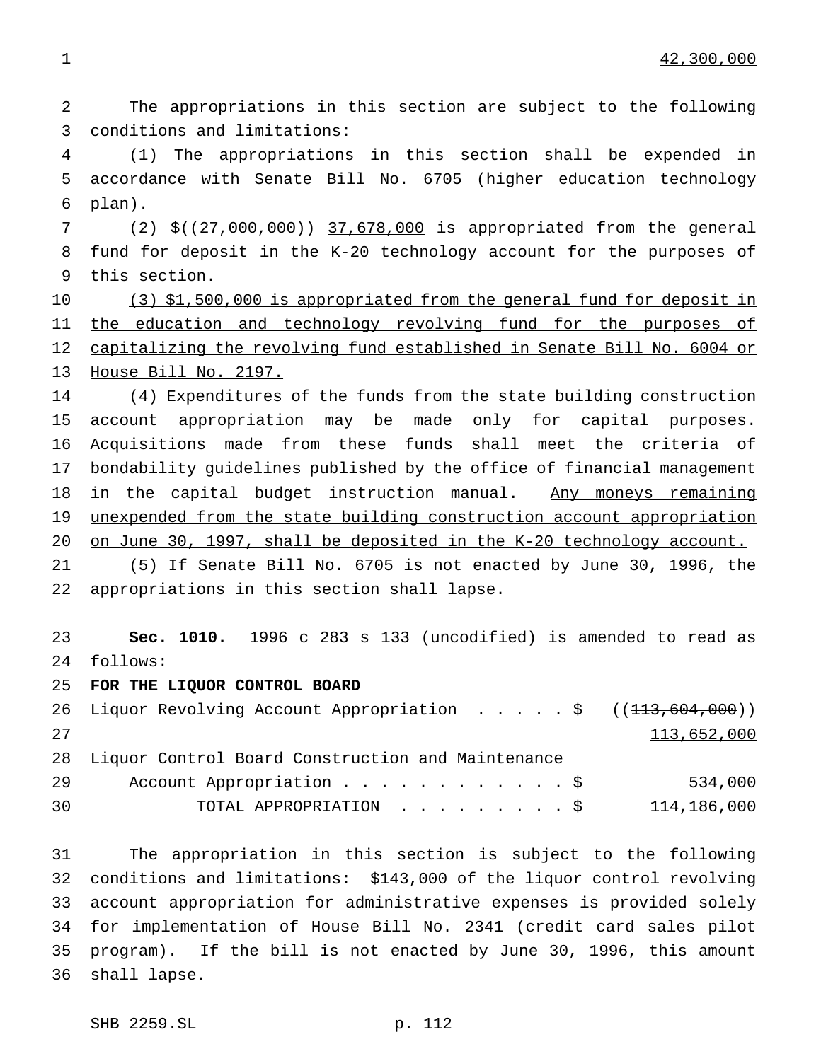The appropriations in this section are subject to the following conditions and limitations:

 (1) The appropriations in this section shall be expended in accordance with Senate Bill No. 6705 (higher education technology plan).

 (2) \$((27,000,000)) 37,678,000 is appropriated from the general fund for deposit in the K-20 technology account for the purposes of this section.

10 (3) \$1,500,000 is appropriated from the general fund for deposit in 11 the education and technology revolving fund for the purposes of capitalizing the revolving fund established in Senate Bill No. 6004 or House Bill No. 2197.

 (4) Expenditures of the funds from the state building construction account appropriation may be made only for capital purposes. Acquisitions made from these funds shall meet the criteria of bondability guidelines published by the office of financial management 18 in the capital budget instruction manual. Any moneys remaining unexpended from the state building construction account appropriation on June 30, 1997, shall be deposited in the K-20 technology account.

 (5) If Senate Bill No. 6705 is not enacted by June 30, 1996, the appropriations in this section shall lapse.

 **Sec. 1010.** 1996 c 283 s 133 (uncodified) is amended to read as follows:

**FOR THE LIQUOR CONTROL BOARD**

26 Liquor Revolving Account Appropriation . . . . \$ ((<del>113,604,000</del>)) 113,652,000 Liquor Control Board Construction and Maintenance 29 Account Appropriation . . . . . . . . . . . \$ 534,000 30 TOTAL APPROPRIATION . . . . . . . . . <u>\$</u> 114,186,000

 The appropriation in this section is subject to the following conditions and limitations: \$143,000 of the liquor control revolving account appropriation for administrative expenses is provided solely for implementation of House Bill No. 2341 (credit card sales pilot program). If the bill is not enacted by June 30, 1996, this amount shall lapse.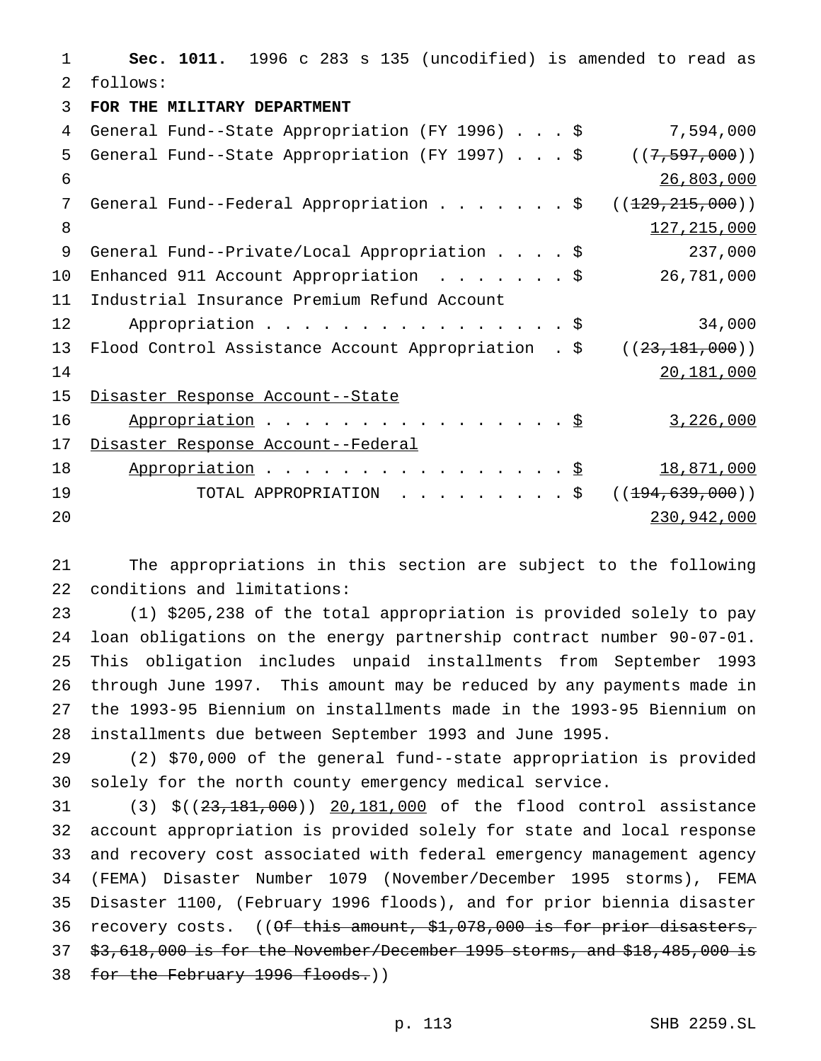**Sec. 1011.** 1996 c 283 s 135 (uncodified) is amended to read as follows: **FOR THE MILITARY DEPARTMENT** General Fund--State Appropriation (FY 1996)...\$ 7,594,000 General Fund--State Appropriation (FY 1997)...\$ ((7,597,000)) 26,803,000 7 General Fund--Federal Appropriation . . . . . . \$ ((129,215,000)) 8 127, 215, 000 General Fund--Private/Local Appropriation....\$ 237,000 Enhanced 911 Account Appropriation .......\$ 26,781,000 Industrial Insurance Premium Refund Account 12 Appropriation . . . . . . . . . . . . . . . \$ 34,000 13 Flood Control Assistance Account Appropriation . \$ ((23,181,000)) 20,181,000 Disaster Response Account--State 16 Appropriation . . . . . . . . . . . . . . . <u>\$</u> 3,226,000 Disaster Response Account--Federal 18 Appropriation . . . . . . . . . . . . . . . <u>\$ 18,871,000</u> 19 TOTAL APPROPRIATION . . . . . . . . \$ ((<del>194,639,000</del>)) 230,942,000

 The appropriations in this section are subject to the following conditions and limitations:

 (1) \$205,238 of the total appropriation is provided solely to pay loan obligations on the energy partnership contract number 90-07-01. This obligation includes unpaid installments from September 1993 through June 1997. This amount may be reduced by any payments made in the 1993-95 Biennium on installments made in the 1993-95 Biennium on installments due between September 1993 and June 1995.

 (2) \$70,000 of the general fund--state appropriation is provided solely for the north county emergency medical service.

31 (3) \$((23,181,000)) 20,181,000 of the flood control assistance account appropriation is provided solely for state and local response and recovery cost associated with federal emergency management agency (FEMA) Disaster Number 1079 (November/December 1995 storms), FEMA Disaster 1100, (February 1996 floods), and for prior biennia disaster 36 recovery costs. ((Of this amount, \$1,078,000 is for prior disasters, \$3,618,000 is for the November/December 1995 storms, and \$18,485,000 is 38 for the February 1996 floods.))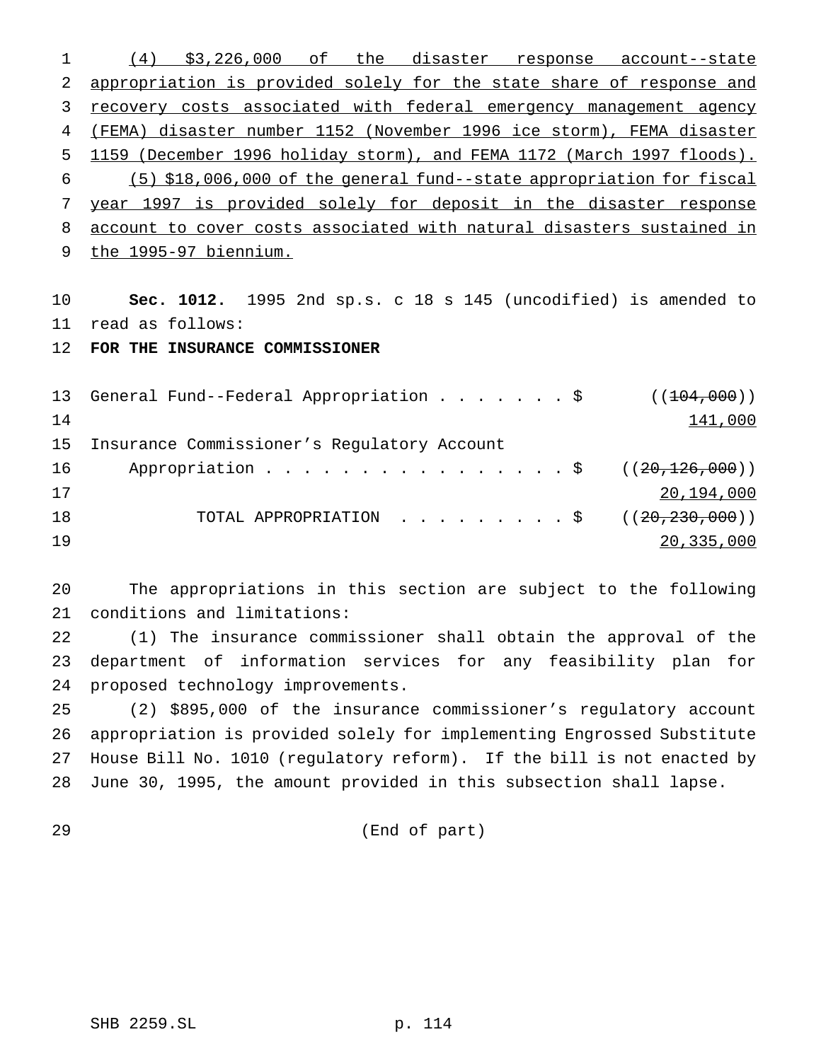(4) \$3,226,000 of the disaster response account--state appropriation is provided solely for the state share of response and 3 recovery costs associated with federal emergency management agency (FEMA) disaster number 1152 (November 1996 ice storm), FEMA disaster 1159 (December 1996 holiday storm), and FEMA 1172 (March 1997 floods). (5) \$18,006,000 of the general fund--state appropriation for fiscal year 1997 is provided solely for deposit in the disaster response account to cover costs associated with natural disasters sustained in the 1995-97 biennium.

 **Sec. 1012.** 1995 2nd sp.s. c 18 s 145 (uncodified) is amended to read as follows:

**FOR THE INSURANCE COMMISSIONER**

13 General Fund--Federal Appropriation . . . . . . \$ ((104,000)) 141,000 Insurance Commissioner's Regulatory Account 16 Appropriation . . . . . . . . . . . . . . \$ ((20, 126, 000)) 20,194,000 18 TOTAL APPROPRIATION . . . . . . . . \$ ((20,230,000)) 20,335,000

 The appropriations in this section are subject to the following conditions and limitations:

 (1) The insurance commissioner shall obtain the approval of the department of information services for any feasibility plan for proposed technology improvements.

 (2) \$895,000 of the insurance commissioner's regulatory account appropriation is provided solely for implementing Engrossed Substitute House Bill No. 1010 (regulatory reform). If the bill is not enacted by June 30, 1995, the amount provided in this subsection shall lapse.

(End of part)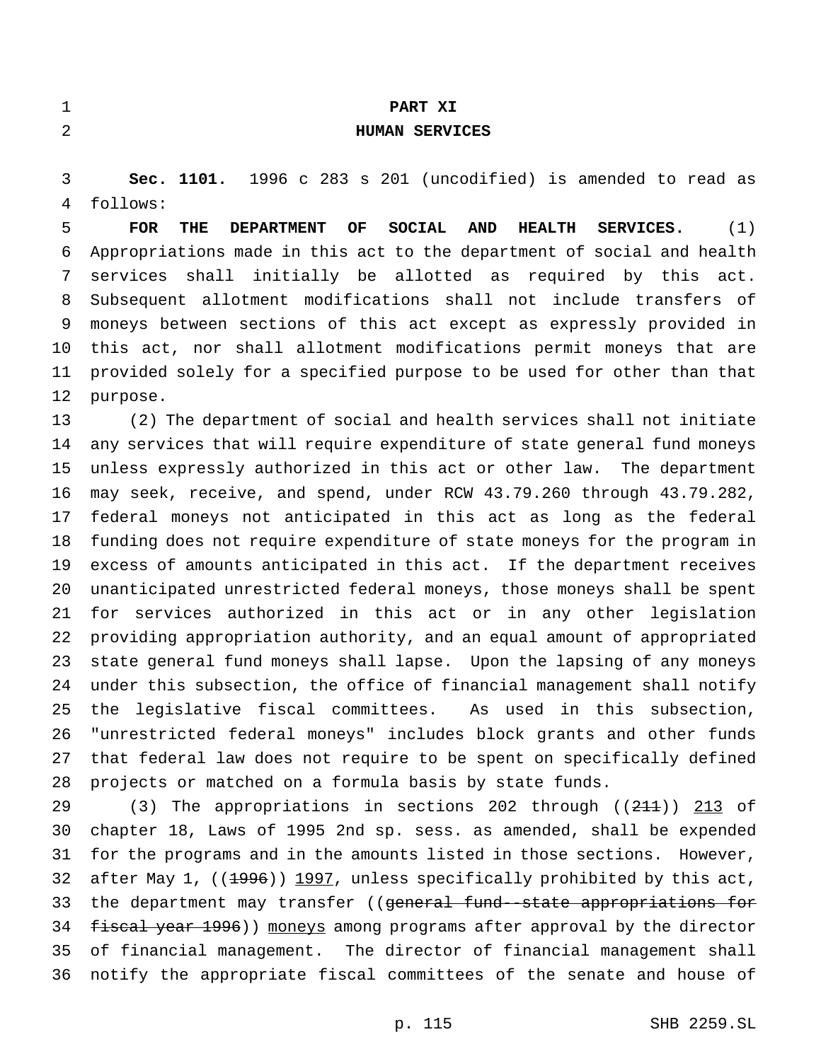| $\mathbf 1$ | PART XI                                                                                                          |
|-------------|------------------------------------------------------------------------------------------------------------------|
| 2           | <b>HUMAN SERVICES</b>                                                                                            |
|             |                                                                                                                  |
| 3           | Sec. 1101. 1996 c 283 s 201 (uncodified) is amended to read as                                                   |
| 4           | follows:                                                                                                         |
| 5           | <b>SOCIAL</b><br><b>FOR</b><br>OF<br><b>AND</b><br>(1)<br>THE<br><b>DEPARTMENT</b><br><b>HEALTH</b><br>SERVICES. |
| 6           | Appropriations made in this act to the department of social and health                                           |
| 7           | services shall initially be allotted as required by this act.                                                    |
| 8           | Subsequent allotment modifications shall not include transfers of                                                |
| 9           | moneys between sections of this act except as expressly provided in                                              |
| $10 \,$     | this act, nor shall allotment modifications permit moneys that are                                               |
| 11          | provided solely for a specified purpose to be used for other than that                                           |
| 12          | purpose.                                                                                                         |
| 13          | (2) The department of social and health services shall not initiate                                              |
| 14          | any services that will require expenditure of state general fund moneys                                          |
| 15          | unless expressly authorized in this act or other law. The department                                             |
| 16          | may seek, receive, and spend, under RCW 43.79.260 through 43.79.282,                                             |
| 17          | federal moneys not anticipated in this act as long as the federal                                                |
| 18          | funding does not require expenditure of state moneys for the program in                                          |
| 19          | excess of amounts anticipated in this act. If the department receives                                            |
| 20          | unanticipated unrestricted federal moneys, those moneys shall be spent                                           |
| 21          | for services authorized in this act or in any other legislation                                                  |
| 22          | providing appropriation authority, and an equal amount of appropriated                                           |
| 23          | state general fund moneys shall lapse. Upon the lapsing of any moneys                                            |
| 24          | under this subsection, the office of financial management shall notify                                           |
| 25          | the legislative fiscal committees. As used in this subsection,                                                   |
| 26          | "unrestricted federal moneys" includes block grants and other funds                                              |
| 27          | that federal law does not require to be spent on specifically defined                                            |
| 28          | projects or matched on a formula basis by state funds.                                                           |
| 29          | (3) The appropriations in sections 202 through $((211))$ 213 of                                                  |
| 30          | chapter 18, Laws of 1995 2nd sp. sess. as amended, shall be expended                                             |
| 31          | for the programs and in the amounts listed in those sections. However,                                           |
| 32          | after May 1, $((1996)) 1997$ , unless specifically prohibited by this act,                                       |
| 33          | the department may transfer ((general fund-state appropriations for                                              |
| 34          | fiscal year 1996)) moneys among programs after approval by the director                                          |
| 35          | of financial management. The director of financial management shall                                              |
| 36          | notify the appropriate fiscal committees of the senate and house of                                              |
|             |                                                                                                                  |
|             | SHB 2259.SL<br>p. 115                                                                                            |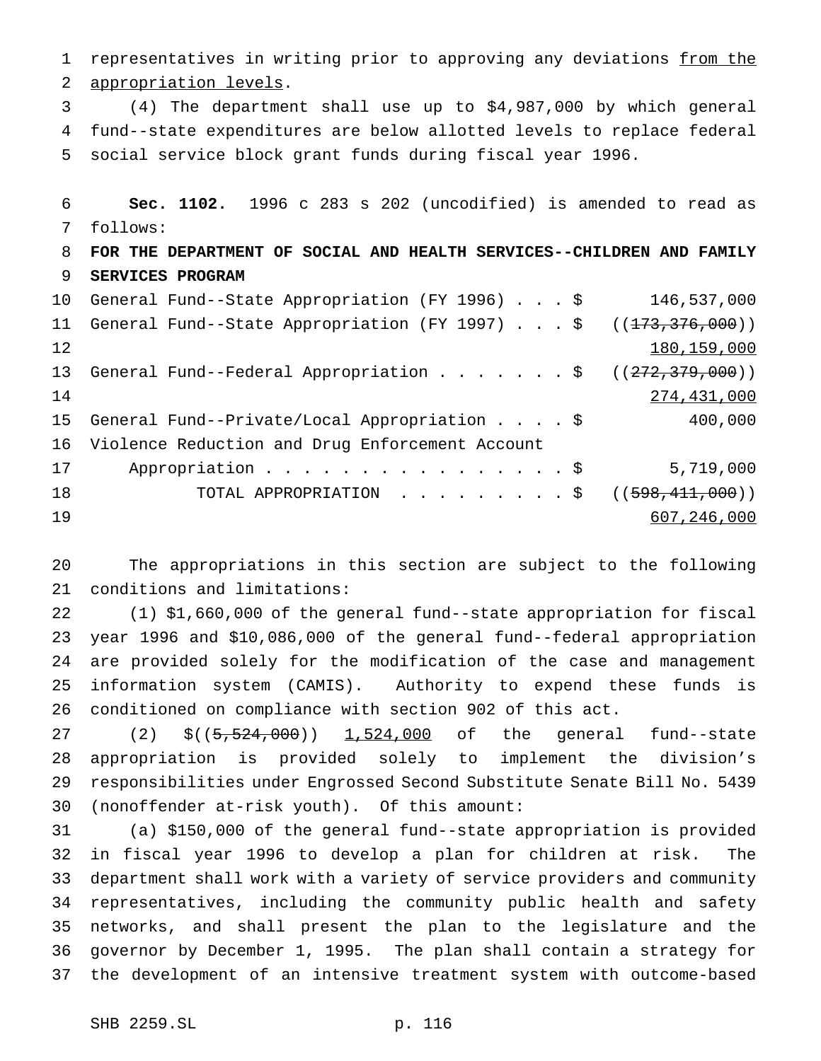1 representatives in writing prior to approving any deviations from the appropriation levels. (4) The department shall use up to \$4,987,000 by which general fund--state expenditures are below allotted levels to replace federal social service block grant funds during fiscal year 1996. **Sec. 1102.** 1996 c 283 s 202 (uncodified) is amended to read as follows: **FOR THE DEPARTMENT OF SOCIAL AND HEALTH SERVICES--CHILDREN AND FAMILY SERVICES PROGRAM** General Fund--State Appropriation (FY 1996)...\$ 146,537,000 11 General Fund--State Appropriation (FY 1997)...\$ ((<del>173,376,000</del>)) 180,159,000 13 General Fund--Federal Appropriation . . . . . . \$ ((272,379,000)) 274,431,000 General Fund--Private/Local Appropriation....\$ 400,000 Violence Reduction and Drug Enforcement Account 17 Appropriation . . . . . . . . . . . . . . \$ 5,719,000 18 TOTAL APPROPRIATION . . . . . . . . \$ ((598,411,000)) 607,246,000

 The appropriations in this section are subject to the following conditions and limitations:

 (1) \$1,660,000 of the general fund--state appropriation for fiscal year 1996 and \$10,086,000 of the general fund--federal appropriation are provided solely for the modification of the case and management information system (CAMIS). Authority to expend these funds is conditioned on compliance with section 902 of this act.

27 (2) \$((5,524,000)) 1,524,000 of the general fund--state appropriation is provided solely to implement the division's responsibilities under Engrossed Second Substitute Senate Bill No. 5439 (nonoffender at-risk youth). Of this amount:

 (a) \$150,000 of the general fund--state appropriation is provided in fiscal year 1996 to develop a plan for children at risk. The department shall work with a variety of service providers and community representatives, including the community public health and safety networks, and shall present the plan to the legislature and the governor by December 1, 1995. The plan shall contain a strategy for the development of an intensive treatment system with outcome-based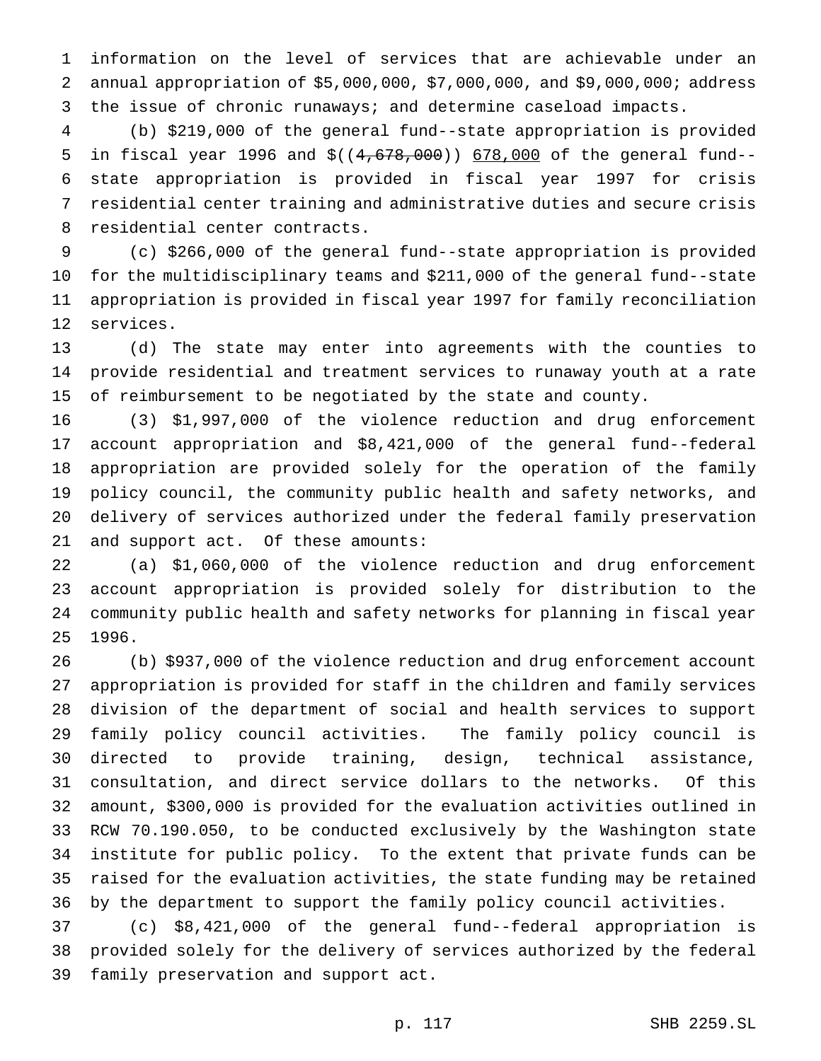information on the level of services that are achievable under an annual appropriation of \$5,000,000, \$7,000,000, and \$9,000,000; address the issue of chronic runaways; and determine caseload impacts.

 (b) \$219,000 of the general fund--state appropriation is provided 5 in fiscal year 1996 and  $$((4,678,000))$  678,000 of the general fund-- state appropriation is provided in fiscal year 1997 for crisis residential center training and administrative duties and secure crisis residential center contracts.

 (c) \$266,000 of the general fund--state appropriation is provided for the multidisciplinary teams and \$211,000 of the general fund--state appropriation is provided in fiscal year 1997 for family reconciliation services.

 (d) The state may enter into agreements with the counties to provide residential and treatment services to runaway youth at a rate of reimbursement to be negotiated by the state and county.

 (3) \$1,997,000 of the violence reduction and drug enforcement account appropriation and \$8,421,000 of the general fund--federal appropriation are provided solely for the operation of the family policy council, the community public health and safety networks, and delivery of services authorized under the federal family preservation and support act. Of these amounts:

 (a) \$1,060,000 of the violence reduction and drug enforcement account appropriation is provided solely for distribution to the community public health and safety networks for planning in fiscal year 1996.

 (b) \$937,000 of the violence reduction and drug enforcement account appropriation is provided for staff in the children and family services division of the department of social and health services to support family policy council activities. The family policy council is directed to provide training, design, technical assistance, consultation, and direct service dollars to the networks. Of this amount, \$300,000 is provided for the evaluation activities outlined in RCW 70.190.050, to be conducted exclusively by the Washington state institute for public policy. To the extent that private funds can be raised for the evaluation activities, the state funding may be retained by the department to support the family policy council activities.

 (c) \$8,421,000 of the general fund--federal appropriation is provided solely for the delivery of services authorized by the federal family preservation and support act.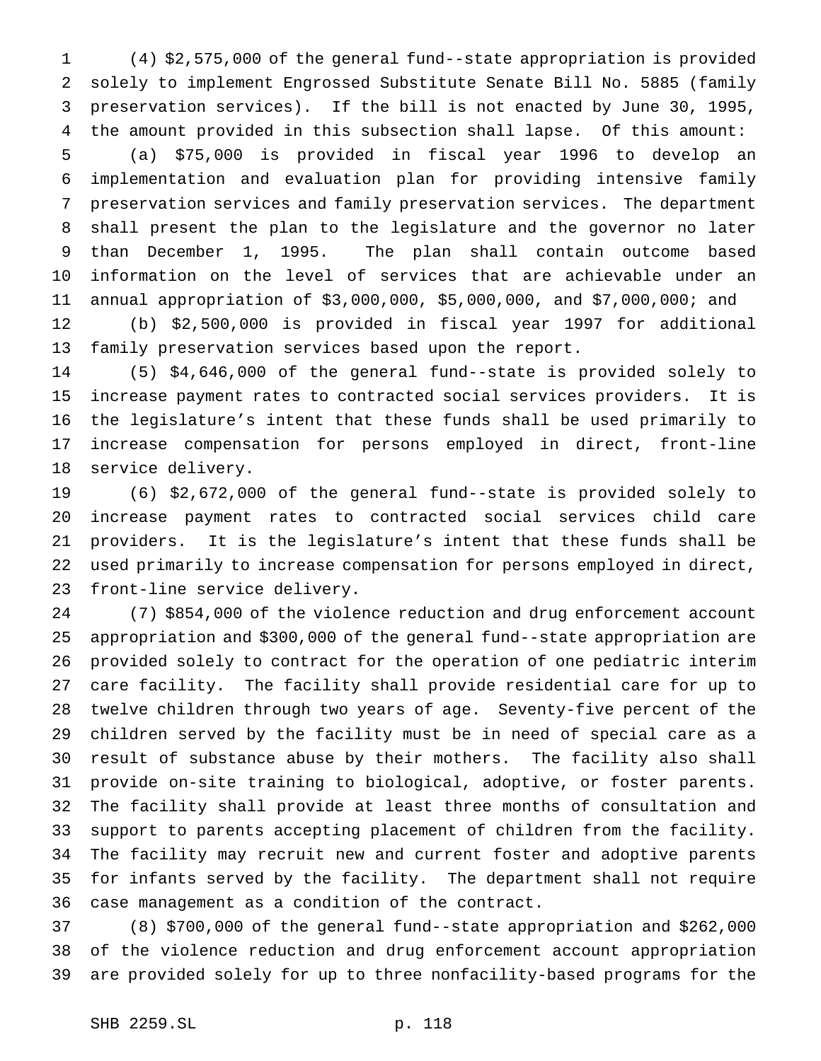(4) \$2,575,000 of the general fund--state appropriation is provided solely to implement Engrossed Substitute Senate Bill No. 5885 (family preservation services). If the bill is not enacted by June 30, 1995, the amount provided in this subsection shall lapse. Of this amount: (a) \$75,000 is provided in fiscal year 1996 to develop an implementation and evaluation plan for providing intensive family preservation services and family preservation services. The department shall present the plan to the legislature and the governor no later than December 1, 1995. The plan shall contain outcome based information on the level of services that are achievable under an annual appropriation of \$3,000,000, \$5,000,000, and \$7,000,000; and

 (b) \$2,500,000 is provided in fiscal year 1997 for additional family preservation services based upon the report.

 (5) \$4,646,000 of the general fund--state is provided solely to increase payment rates to contracted social services providers. It is the legislature's intent that these funds shall be used primarily to increase compensation for persons employed in direct, front-line service delivery.

 (6) \$2,672,000 of the general fund--state is provided solely to increase payment rates to contracted social services child care providers. It is the legislature's intent that these funds shall be used primarily to increase compensation for persons employed in direct, front-line service delivery.

 (7) \$854,000 of the violence reduction and drug enforcement account appropriation and \$300,000 of the general fund--state appropriation are provided solely to contract for the operation of one pediatric interim care facility. The facility shall provide residential care for up to twelve children through two years of age. Seventy-five percent of the children served by the facility must be in need of special care as a result of substance abuse by their mothers. The facility also shall provide on-site training to biological, adoptive, or foster parents. The facility shall provide at least three months of consultation and support to parents accepting placement of children from the facility. The facility may recruit new and current foster and adoptive parents for infants served by the facility. The department shall not require case management as a condition of the contract.

 (8) \$700,000 of the general fund--state appropriation and \$262,000 of the violence reduction and drug enforcement account appropriation are provided solely for up to three nonfacility-based programs for the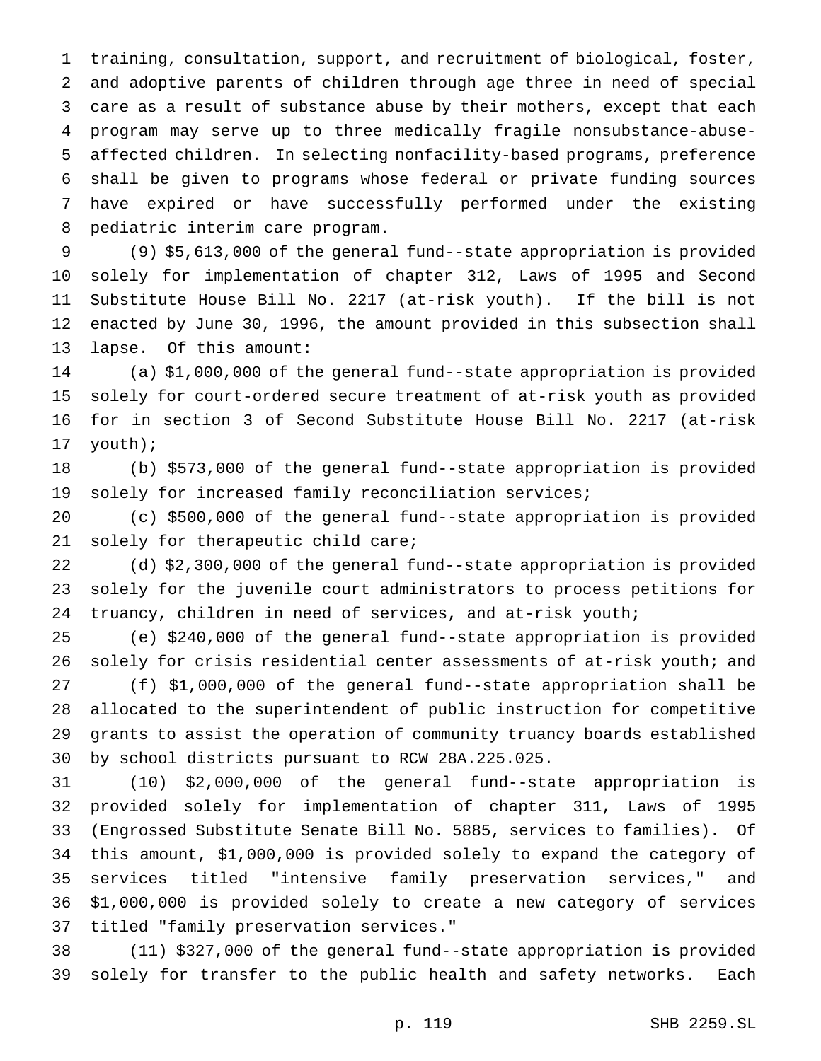training, consultation, support, and recruitment of biological, foster, and adoptive parents of children through age three in need of special care as a result of substance abuse by their mothers, except that each program may serve up to three medically fragile nonsubstance-abuse- affected children. In selecting nonfacility-based programs, preference shall be given to programs whose federal or private funding sources have expired or have successfully performed under the existing pediatric interim care program.

 (9) \$5,613,000 of the general fund--state appropriation is provided solely for implementation of chapter 312, Laws of 1995 and Second Substitute House Bill No. 2217 (at-risk youth). If the bill is not enacted by June 30, 1996, the amount provided in this subsection shall lapse. Of this amount:

 (a) \$1,000,000 of the general fund--state appropriation is provided solely for court-ordered secure treatment of at-risk youth as provided for in section 3 of Second Substitute House Bill No. 2217 (at-risk youth);

 (b) \$573,000 of the general fund--state appropriation is provided solely for increased family reconciliation services;

 (c) \$500,000 of the general fund--state appropriation is provided solely for therapeutic child care;

 (d) \$2,300,000 of the general fund--state appropriation is provided solely for the juvenile court administrators to process petitions for truancy, children in need of services, and at-risk youth;

 (e) \$240,000 of the general fund--state appropriation is provided solely for crisis residential center assessments of at-risk youth; and (f) \$1,000,000 of the general fund--state appropriation shall be allocated to the superintendent of public instruction for competitive grants to assist the operation of community truancy boards established by school districts pursuant to RCW 28A.225.025.

 (10) \$2,000,000 of the general fund--state appropriation is provided solely for implementation of chapter 311, Laws of 1995 (Engrossed Substitute Senate Bill No. 5885, services to families). Of this amount, \$1,000,000 is provided solely to expand the category of services titled "intensive family preservation services," and \$1,000,000 is provided solely to create a new category of services titled "family preservation services."

 (11) \$327,000 of the general fund--state appropriation is provided solely for transfer to the public health and safety networks. Each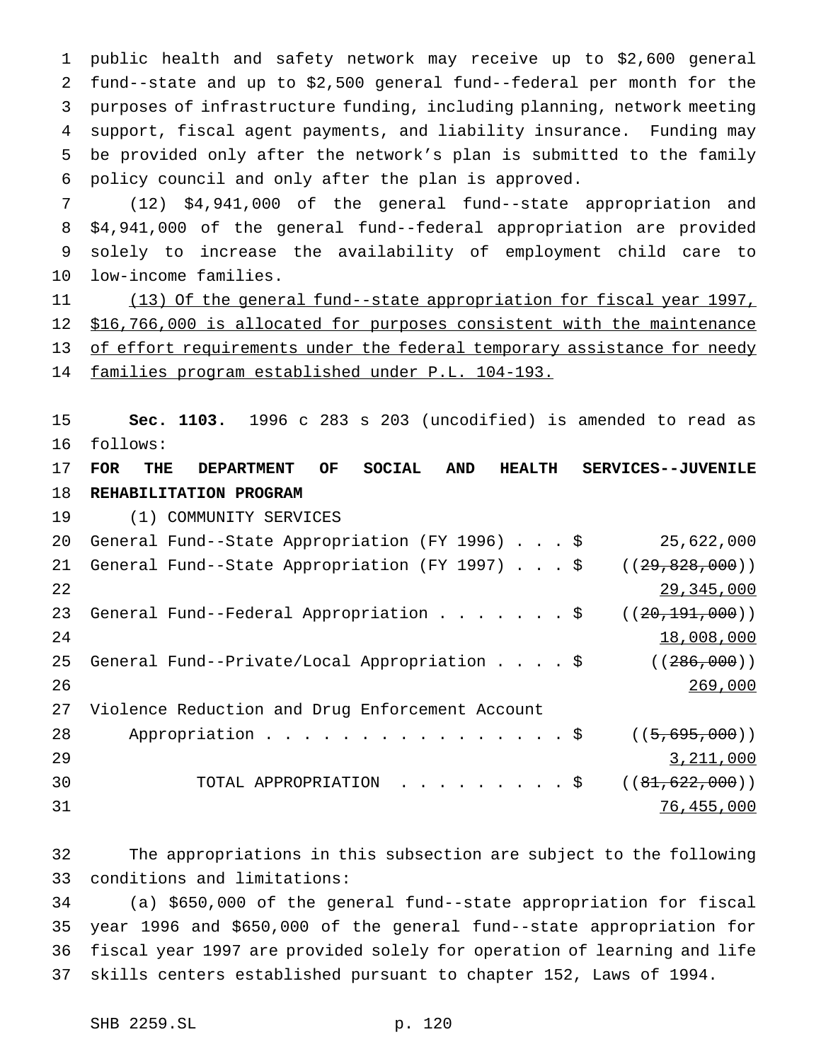public health and safety network may receive up to \$2,600 general fund--state and up to \$2,500 general fund--federal per month for the purposes of infrastructure funding, including planning, network meeting support, fiscal agent payments, and liability insurance. Funding may be provided only after the network's plan is submitted to the family policy council and only after the plan is approved.

 (12) \$4,941,000 of the general fund--state appropriation and \$4,941,000 of the general fund--federal appropriation are provided solely to increase the availability of employment child care to low-income families.

 (13) Of the general fund--state appropriation for fiscal year 1997, \$16,766,000 is allocated for purposes consistent with the maintenance 13 of effort requirements under the federal temporary assistance for needy families program established under P.L. 104-193.

 **Sec. 1103.** 1996 c 283 s 203 (uncodified) is amended to read as follows:

 **FOR THE DEPARTMENT OF SOCIAL AND HEALTH SERVICES--JUVENILE REHABILITATION PROGRAM**

(1) COMMUNITY SERVICES

| 20 | General Fund--State Appropriation (FY 1996) \$  | 25,622,000       |
|----|-------------------------------------------------|------------------|
| 21 | General Fund--State Appropriation (FY 1997) \$  | ((29, 828, 000)) |
| 22 |                                                 | 29,345,000       |
| 23 | General Fund--Federal Appropriation \$          | ((20, 191, 000)) |
| 24 |                                                 | 18,008,000       |
| 25 | General Fund--Private/Local Appropriation \$    | ( (286,000))     |
| 26 |                                                 | 269,000          |
| 27 | Violence Reduction and Drug Enforcement Account |                  |
| 28 | Appropriation \$                                | ((5, 695, 000))  |
| 29 |                                                 | 3,211,000        |
| 30 | TOTAL APPROPRIATION \$                          | ((81, 622, 000)) |
| 31 |                                                 | 76,455,000       |

 The appropriations in this subsection are subject to the following conditions and limitations:

 (a) \$650,000 of the general fund--state appropriation for fiscal year 1996 and \$650,000 of the general fund--state appropriation for fiscal year 1997 are provided solely for operation of learning and life skills centers established pursuant to chapter 152, Laws of 1994.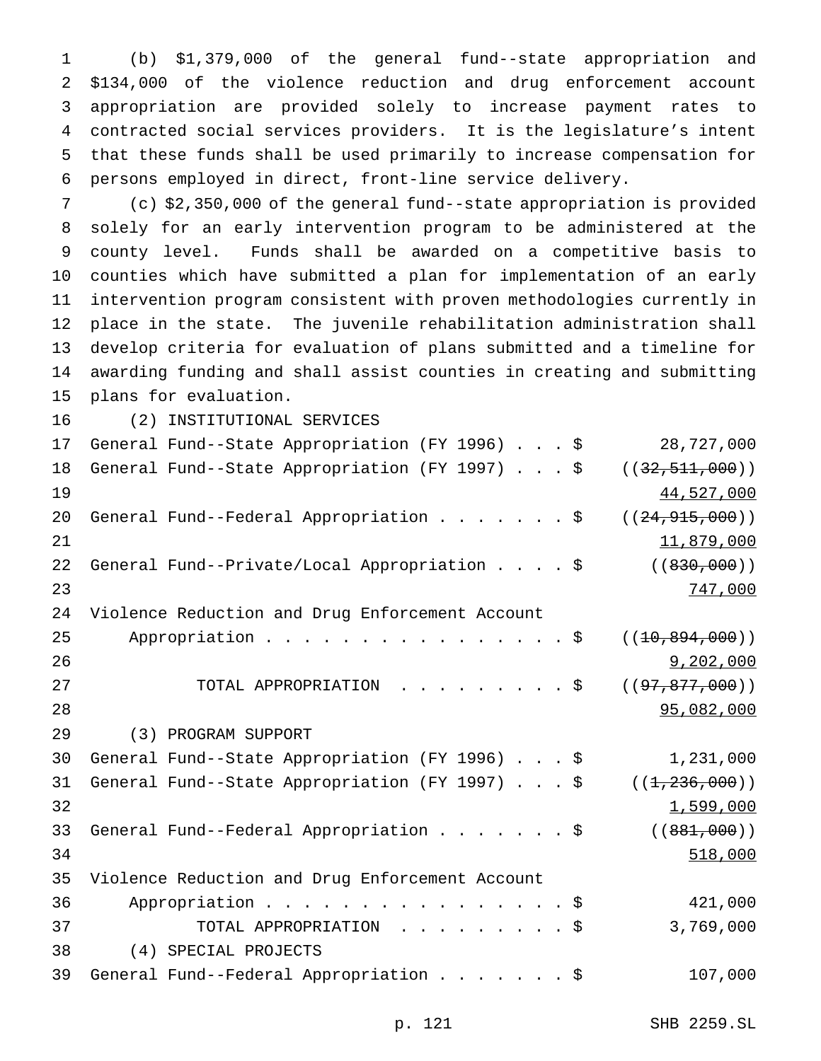(b) \$1,379,000 of the general fund--state appropriation and \$134,000 of the violence reduction and drug enforcement account appropriation are provided solely to increase payment rates to contracted social services providers. It is the legislature's intent that these funds shall be used primarily to increase compensation for persons employed in direct, front-line service delivery.

 (c) \$2,350,000 of the general fund--state appropriation is provided solely for an early intervention program to be administered at the county level. Funds shall be awarded on a competitive basis to counties which have submitted a plan for implementation of an early intervention program consistent with proven methodologies currently in place in the state. The juvenile rehabilitation administration shall develop criteria for evaluation of plans submitted and a timeline for awarding funding and shall assist counties in creating and submitting plans for evaluation.

(2) INSTITUTIONAL SERVICES

| 17 | General Fund--State Appropriation (FY 1996) \$  | 28,727,000         |
|----|-------------------------------------------------|--------------------|
| 18 | General Fund--State Appropriation (FY 1997) \$  | ((32, 511, 000))   |
| 19 |                                                 | 44,527,000         |
| 20 | General Fund--Federal Appropriation \$          | ((24, 915, 000))   |
| 21 |                                                 | 11,879,000         |
| 22 | General Fund--Private/Local Appropriation \$    | ( (830, 000) )     |
| 23 |                                                 | 747,000            |
| 24 | Violence Reduction and Drug Enforcement Account |                    |
| 25 | Appropriation $\frac{1}{5}$                     | ((10, 894, 000))   |
| 26 |                                                 | 9,202,000          |
| 27 | TOTAL APPROPRIATION \$                          | ( (97, 877, 000) ) |
| 28 |                                                 | 95,082,000         |
| 29 | (3) PROGRAM SUPPORT                             |                    |
| 30 | General Fund--State Appropriation (FY 1996) \$  | 1,231,000          |
| 31 | General Fund--State Appropriation (FY 1997) \$  | ((1, 236, 000))    |
| 32 |                                                 | 1,599,000          |
| 33 | General Fund--Federal Appropriation \$          | ( (881,000) )      |
| 34 |                                                 | 518,000            |
| 35 | Violence Reduction and Drug Enforcement Account |                    |
| 36 | Appropriation \$                                | 421,000            |
| 37 | TOTAL APPROPRIATION \$                          | 3,769,000          |
| 38 | (4) SPECIAL PROJECTS                            |                    |
| 39 | General Fund--Federal Appropriation \$          | 107,000            |
|    |                                                 |                    |

p. 121 SHB 2259.SL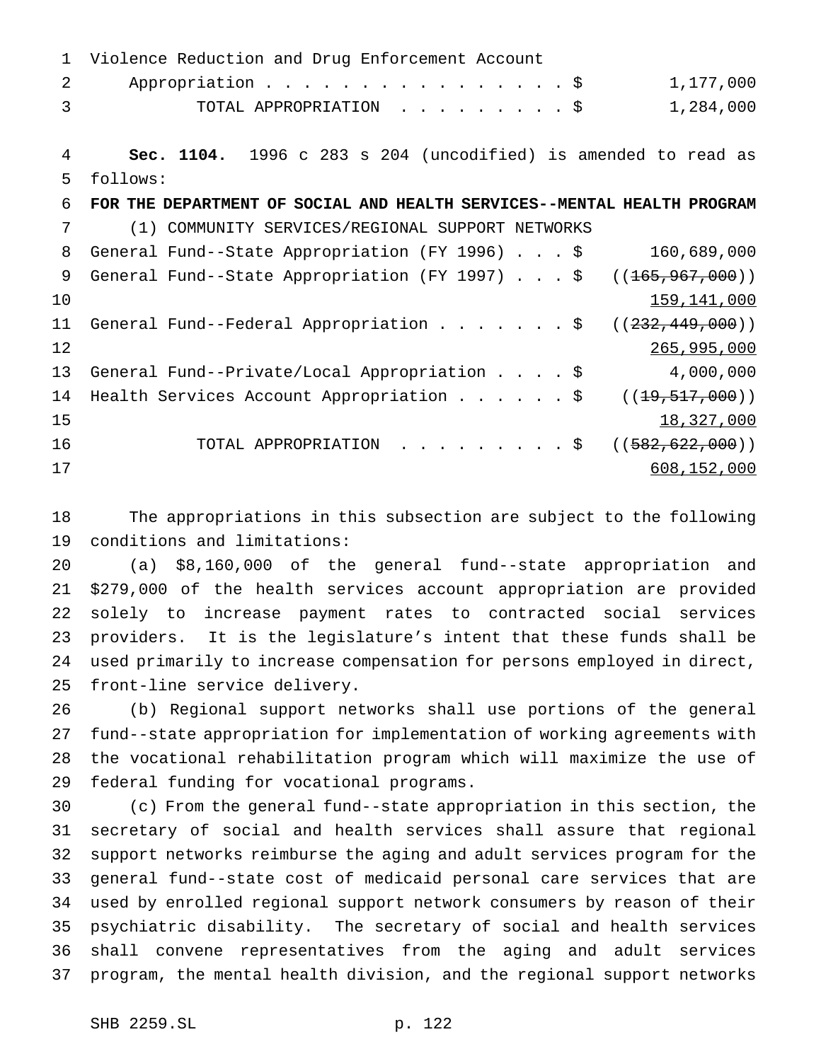| $\mathbf{1}$  | Violence Reduction and Drug Enforcement Account                         |
|---------------|-------------------------------------------------------------------------|
| $\mathcal{L}$ | Appropriation \$<br>1,177,000                                           |
| 3             | TOTAL APPROPRIATION \$<br>1,284,000                                     |
|               |                                                                         |
| 4             | Sec. 1104. 1996 c 283 s 204 (uncodified) is amended to read as          |
| 5             | follows:                                                                |
| 6             | FOR THE DEPARTMENT OF SOCIAL AND HEALTH SERVICES--MENTAL HEALTH PROGRAM |
| 7             | (1) COMMUNITY SERVICES/REGIONAL SUPPORT NETWORKS                        |
| 8             | General Fund--State Appropriation (FY 1996) \$<br>160,689,000           |
| 9             | General Fund--State Appropriation (FY 1997) \$<br>((165, 967, 000))     |
| 10            | 159, 141, 000                                                           |
| 11            | General Fund--Federal Appropriation \$<br>( (232, 449, 000) )           |
| 12            | 265,995,000                                                             |
| 13            | 4,000,000<br>General Fund--Private/Local Appropriation \$               |
| 14            | Health Services Account Appropriation $\frac{1}{5}$<br>((19, 517, 000)) |
| 15            | 18,327,000                                                              |
| 16            | TOTAL APPROPRIATION \$<br>((582, 622, 000))                             |
| 17            | 608,152,000                                                             |

 The appropriations in this subsection are subject to the following conditions and limitations:

 (a) \$8,160,000 of the general fund--state appropriation and \$279,000 of the health services account appropriation are provided solely to increase payment rates to contracted social services providers. It is the legislature's intent that these funds shall be used primarily to increase compensation for persons employed in direct, front-line service delivery.

 (b) Regional support networks shall use portions of the general fund--state appropriation for implementation of working agreements with the vocational rehabilitation program which will maximize the use of federal funding for vocational programs.

 (c) From the general fund--state appropriation in this section, the secretary of social and health services shall assure that regional support networks reimburse the aging and adult services program for the general fund--state cost of medicaid personal care services that are used by enrolled regional support network consumers by reason of their psychiatric disability. The secretary of social and health services shall convene representatives from the aging and adult services program, the mental health division, and the regional support networks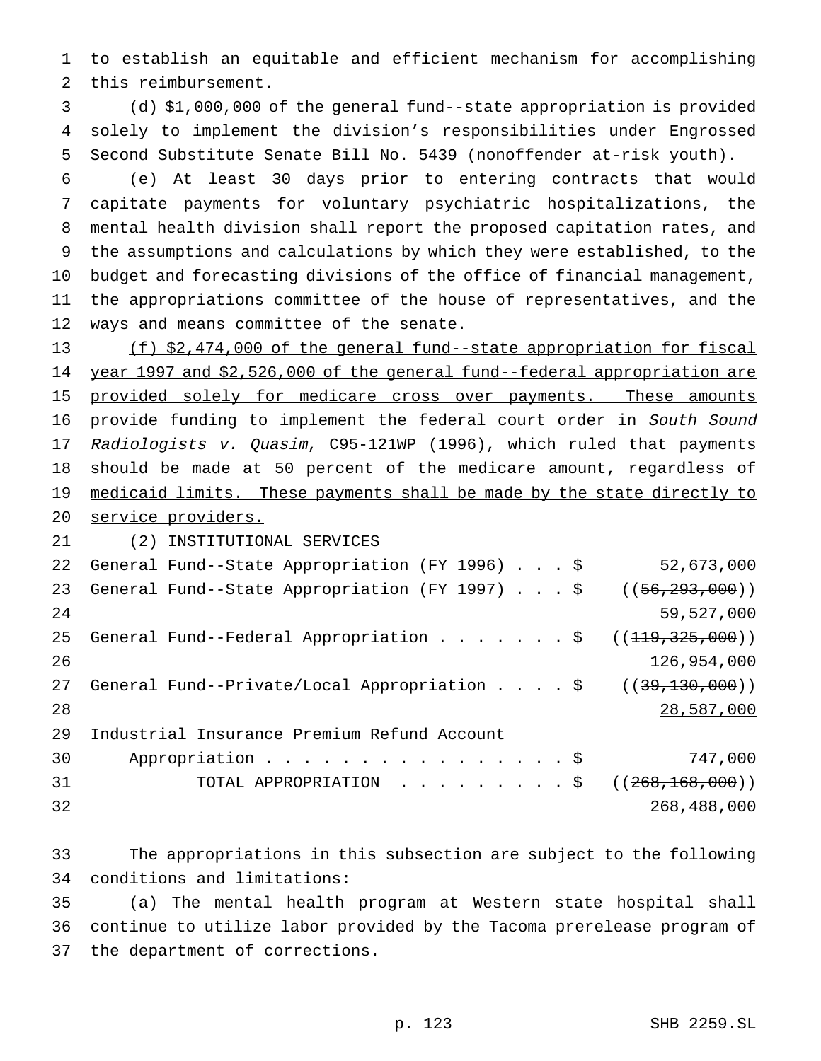to establish an equitable and efficient mechanism for accomplishing this reimbursement.

 (d) \$1,000,000 of the general fund--state appropriation is provided solely to implement the division's responsibilities under Engrossed Second Substitute Senate Bill No. 5439 (nonoffender at-risk youth).

 (e) At least 30 days prior to entering contracts that would capitate payments for voluntary psychiatric hospitalizations, the mental health division shall report the proposed capitation rates, and the assumptions and calculations by which they were established, to the budget and forecasting divisions of the office of financial management, the appropriations committee of the house of representatives, and the ways and means committee of the senate.

 (f) \$2,474,000 of the general fund--state appropriation for fiscal year 1997 and \$2,526,000 of the general fund--federal appropriation are 15 provided solely for medicare cross over payments. These amounts 16 provide funding to implement the federal court order in South Sound 17 Radiologists v. Quasim, C95-121WP (1996), which ruled that payments 18 should be made at 50 percent of the medicare amount, regardless of 19 medicaid limits. These payments shall be made by the state directly to service providers.

(2) INSTITUTIONAL SERVICES

| 22  | General Fund--State Appropriation (FY 1996) \$          | 52,673,000          |
|-----|---------------------------------------------------------|---------------------|
| 23  | General Fund--State Appropriation (FY 1997) \$          | ( (56, 293, 000) )  |
| 2.4 |                                                         | 59,527,000          |
| 25  | General Fund--Federal Appropriation $\frac{1}{5}$       | ( (119, 325, 000))  |
| 26  |                                                         | 126,954,000         |
| 27  | General Fund--Private/Local Appropriation $\frac{1}{5}$ | (39, 130, 000)      |
| 28  |                                                         | 28,587,000          |
| 29  | Industrial Insurance Premium Refund Account             |                     |
| 30  | Appropriation \$                                        | 747,000             |
| 31  | TOTAL APPROPRIATION \$                                  | ( (268, 168, 000) ) |
| 32  |                                                         | 268,488,000         |

 The appropriations in this subsection are subject to the following conditions and limitations:

 (a) The mental health program at Western state hospital shall continue to utilize labor provided by the Tacoma prerelease program of the department of corrections.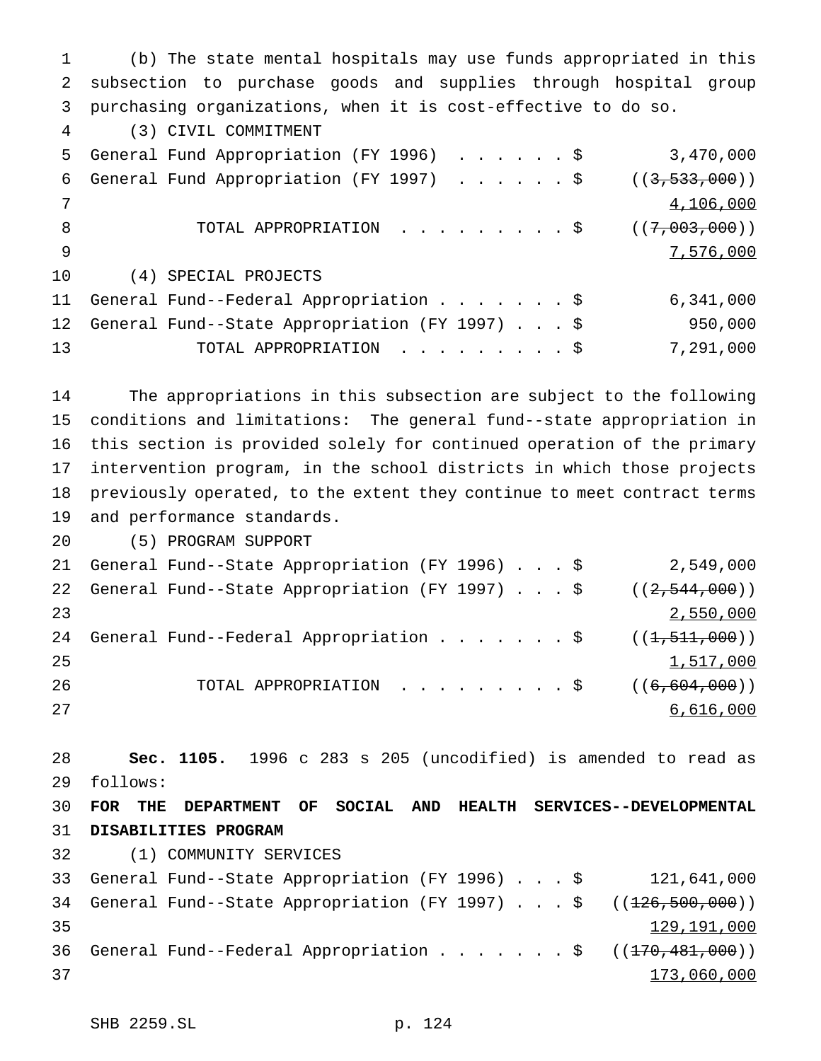(b) The state mental hospitals may use funds appropriated in this subsection to purchase goods and supplies through hospital group purchasing organizations, when it is cost-effective to do so. (3) CIVIL COMMITMENT General Fund Appropriation (FY 1996) ......\$ 3,470,000 6 General Fund Appropriation (FY 1997) . . . . . \$ ((3,533,000)) 7 and  $\frac{4,106,000}{2}$ 8 TOTAL APPROPRIATION . . . . . . . . \$ ((7,003,000)) 7,576,000 (4) SPECIAL PROJECTS General Fund--Federal Appropriation.......\$ 6,341,000 General Fund--State Appropriation (FY 1997)...\$ 950,000 13 TOTAL APPROPRIATION . . . . . . . . \$ 7,291,000 The appropriations in this subsection are subject to the following conditions and limitations: The general fund--state appropriation in this section is provided solely for continued operation of the primary intervention program, in the school districts in which those projects previously operated, to the extent they continue to meet contract terms and performance standards. (5) PROGRAM SUPPORT General Fund--State Appropriation (FY 1996)...\$ 2,549,000 22 General Fund--State Appropriation (FY 1997)...\$ ((2,544,000)) 2,550,000 24 General Fund--Federal Appropriation . . . . . . \$ ((<del>1,511,000</del>)) 25 1,517,000 26 TOTAL APPROPRIATION . . . . . . . . \$ ((<del>6,604,000</del>)) 6,616,000 **Sec. 1105.** 1996 c 283 s 205 (uncodified) is amended to read as follows: **FOR THE DEPARTMENT OF SOCIAL AND HEALTH SERVICES--DEVELOPMENTAL DISABILITIES PROGRAM** (1) COMMUNITY SERVICES General Fund--State Appropriation (FY 1996)...\$ 121,641,000 34 General Fund--State Appropriation (FY 1997)...\$ ((<del>126,500,000</del>)) 35 129,191,000 36 General Fund--Federal Appropriation . . . . . . \$ ((170,481,000)) 173,060,000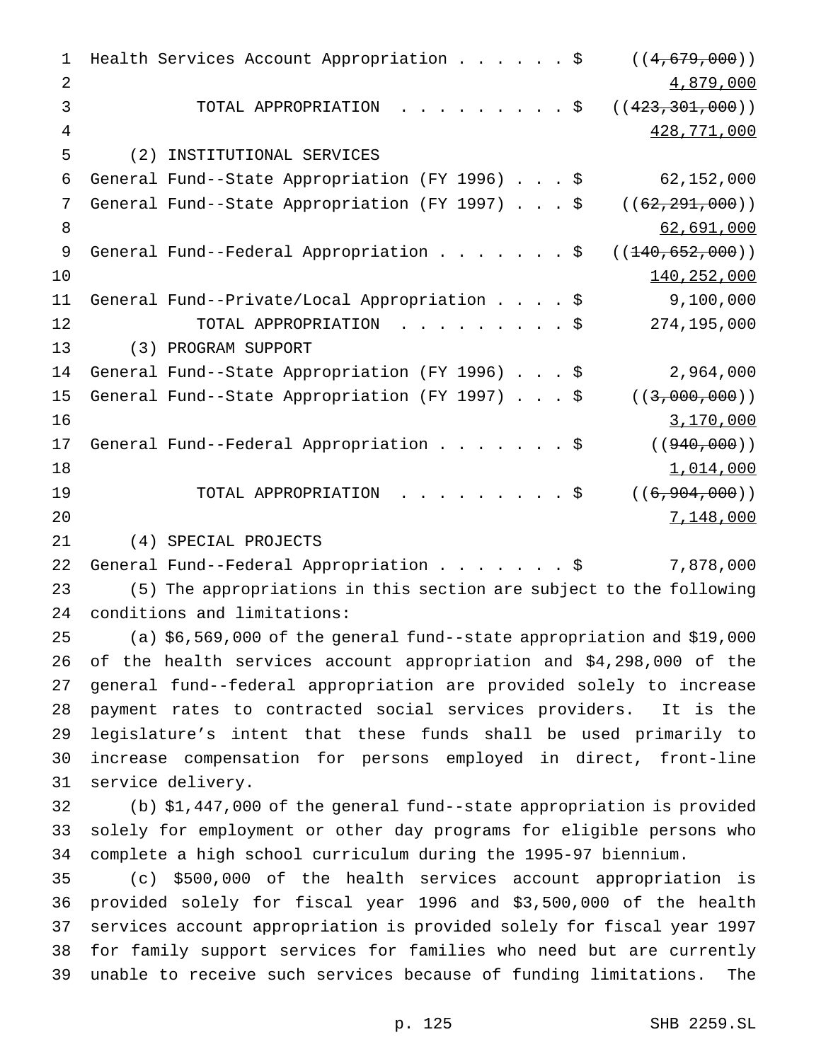1 Health Services Account Appropriation . . . . . \$ ((4,679,000)) 2 4,879,000 3 TOTAL APPROPRIATION . . . . . . . . \$ ((423,301,000)) 428,771,000 (2) INSTITUTIONAL SERVICES General Fund--State Appropriation (FY 1996)...\$ 62,152,000 7 General Fund--State Appropriation (FY 1997) . . . \$ ((<del>62,291,000</del>)) 8 62,691,000 9 General Fund--Federal Appropriation . . . . . . \$ ((<del>140,652,000</del>))  $140,252,000$  General Fund--Private/Local Appropriation....\$ 9,100,000 12 TOTAL APPROPRIATION . . . . . . . . \$ 274,195,000 (3) PROGRAM SUPPORT General Fund--State Appropriation (FY 1996)...\$ 2,964,000 15 General Fund--State Appropriation (FY 1997)...\$ ((3,000,000)) 3,170,000 17 General Fund--Federal Appropriation . . . . . . \$ ((940,000)) 1,014,000 19 TOTAL APPROPRIATION . . . . . . . . \$ ((<del>6,904,000</del>)) 7,148,000 (4) SPECIAL PROJECTS General Fund--Federal Appropriation.......\$ 7,878,000 (5) The appropriations in this section are subject to the following conditions and limitations: (a) \$6,569,000 of the general fund--state appropriation and \$19,000 of the health services account appropriation and \$4,298,000 of the general fund--federal appropriation are provided solely to increase payment rates to contracted social services providers. It is the legislature's intent that these funds shall be used primarily to increase compensation for persons employed in direct, front-line service delivery. (b) \$1,447,000 of the general fund--state appropriation is provided solely for employment or other day programs for eligible persons who complete a high school curriculum during the 1995-97 biennium. (c) \$500,000 of the health services account appropriation is provided solely for fiscal year 1996 and \$3,500,000 of the health services account appropriation is provided solely for fiscal year 1997 for family support services for families who need but are currently unable to receive such services because of funding limitations. The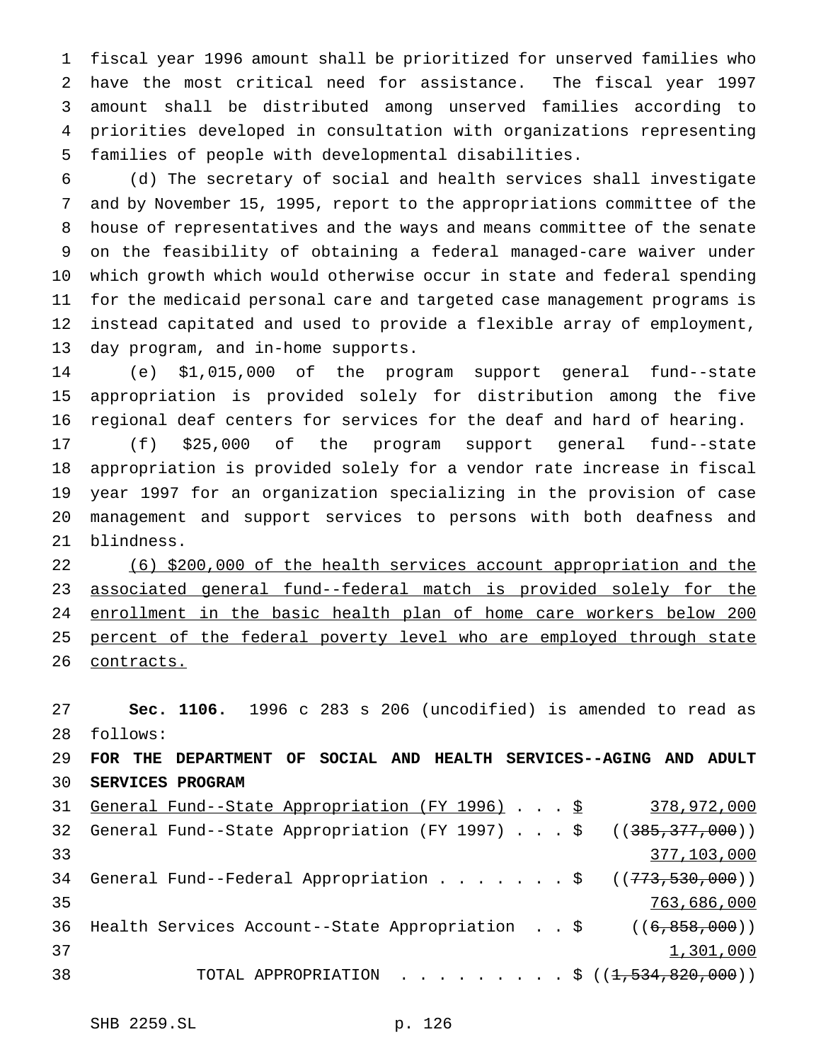fiscal year 1996 amount shall be prioritized for unserved families who have the most critical need for assistance. The fiscal year 1997 amount shall be distributed among unserved families according to priorities developed in consultation with organizations representing families of people with developmental disabilities.

 (d) The secretary of social and health services shall investigate and by November 15, 1995, report to the appropriations committee of the house of representatives and the ways and means committee of the senate on the feasibility of obtaining a federal managed-care waiver under which growth which would otherwise occur in state and federal spending for the medicaid personal care and targeted case management programs is instead capitated and used to provide a flexible array of employment, day program, and in-home supports.

 (e) \$1,015,000 of the program support general fund--state appropriation is provided solely for distribution among the five regional deaf centers for services for the deaf and hard of hearing.

 (f) \$25,000 of the program support general fund--state appropriation is provided solely for a vendor rate increase in fiscal year 1997 for an organization specializing in the provision of case management and support services to persons with both deafness and blindness.

 (6) \$200,000 of the health services account appropriation and the associated general fund--federal match is provided solely for the enrollment in the basic health plan of home care workers below 200 25 percent of the federal poverty level who are employed through state 26 contracts.

 **Sec. 1106.** 1996 c 283 s 206 (uncodified) is amended to read as follows: **FOR THE DEPARTMENT OF SOCIAL AND HEALTH SERVICES--AGING AND ADULT SERVICES PROGRAM** 31 General Fund--State Appropriation (FY 1996) . . . \$ 378,972,000 32 General Fund--State Appropriation (FY 1997) . . . \$ ((<del>385,377,000</del>)) 377,103,000

34 General Fund--Federal Appropriation . . . . . . \$ ((<del>773,530,000</del>)) 763,686,000 36 Health Services Account--State Appropriation . . \$ ((6,858,000))  $1,301,000$ 38 TOTAL APPROPRIATION . . . . . . . . \$ ((<del>1,534,820,000</del>))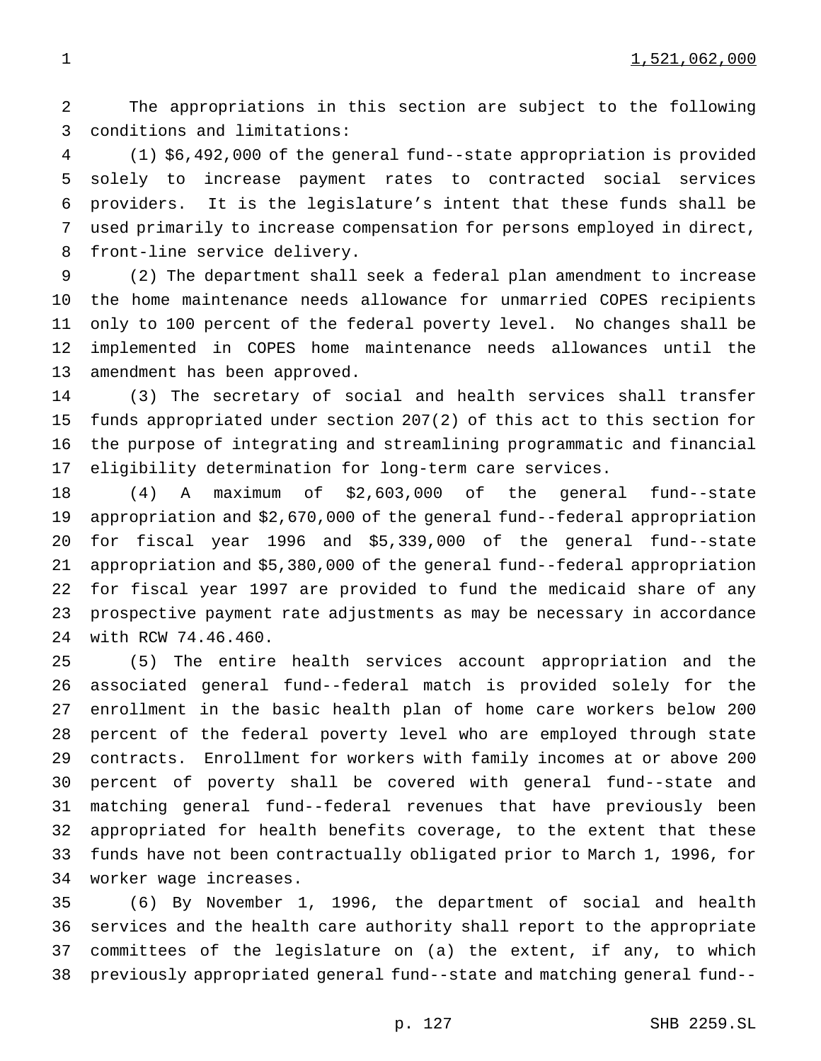The appropriations in this section are subject to the following conditions and limitations:

 (1) \$6,492,000 of the general fund--state appropriation is provided solely to increase payment rates to contracted social services providers. It is the legislature's intent that these funds shall be used primarily to increase compensation for persons employed in direct, front-line service delivery.

 (2) The department shall seek a federal plan amendment to increase the home maintenance needs allowance for unmarried COPES recipients only to 100 percent of the federal poverty level. No changes shall be implemented in COPES home maintenance needs allowances until the amendment has been approved.

 (3) The secretary of social and health services shall transfer funds appropriated under section 207(2) of this act to this section for the purpose of integrating and streamlining programmatic and financial eligibility determination for long-term care services.

 (4) A maximum of \$2,603,000 of the general fund--state appropriation and \$2,670,000 of the general fund--federal appropriation for fiscal year 1996 and \$5,339,000 of the general fund--state appropriation and \$5,380,000 of the general fund--federal appropriation for fiscal year 1997 are provided to fund the medicaid share of any prospective payment rate adjustments as may be necessary in accordance with RCW 74.46.460.

 (5) The entire health services account appropriation and the associated general fund--federal match is provided solely for the enrollment in the basic health plan of home care workers below 200 percent of the federal poverty level who are employed through state contracts. Enrollment for workers with family incomes at or above 200 percent of poverty shall be covered with general fund--state and matching general fund--federal revenues that have previously been appropriated for health benefits coverage, to the extent that these funds have not been contractually obligated prior to March 1, 1996, for worker wage increases.

 (6) By November 1, 1996, the department of social and health services and the health care authority shall report to the appropriate committees of the legislature on (a) the extent, if any, to which previously appropriated general fund--state and matching general fund--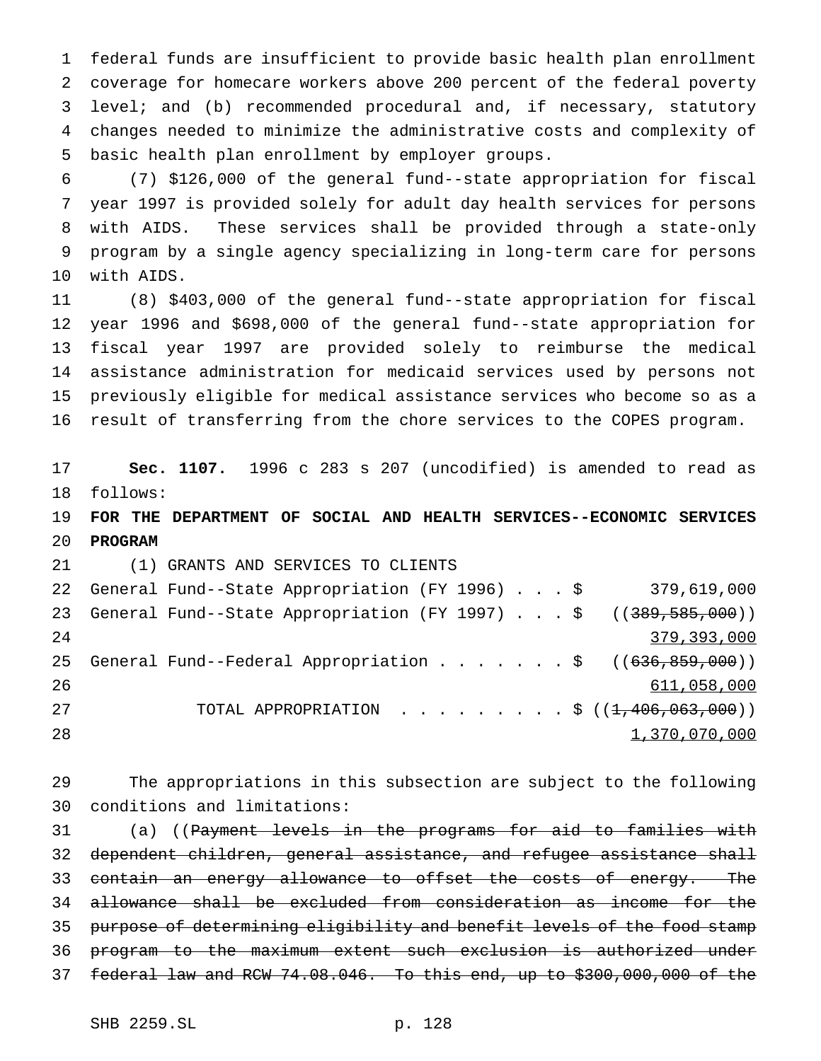federal funds are insufficient to provide basic health plan enrollment coverage for homecare workers above 200 percent of the federal poverty level; and (b) recommended procedural and, if necessary, statutory changes needed to minimize the administrative costs and complexity of basic health plan enrollment by employer groups.

 (7) \$126,000 of the general fund--state appropriation for fiscal year 1997 is provided solely for adult day health services for persons with AIDS. These services shall be provided through a state-only program by a single agency specializing in long-term care for persons with AIDS.

 (8) \$403,000 of the general fund--state appropriation for fiscal year 1996 and \$698,000 of the general fund--state appropriation for fiscal year 1997 are provided solely to reimburse the medical assistance administration for medicaid services used by persons not previously eligible for medical assistance services who become so as a result of transferring from the chore services to the COPES program.

 **Sec. 1107.** 1996 c 283 s 207 (uncodified) is amended to read as follows:

 **FOR THE DEPARTMENT OF SOCIAL AND HEALTH SERVICES--ECONOMIC SERVICES PROGRAM**

 (1) GRANTS AND SERVICES TO CLIENTS General Fund--State Appropriation (FY 1996)...\$ 379,619,000 23 General Fund--State Appropriation (FY 1997) . . . \$ ((389,585,000)) 24 379,393,000 25 General Fund--Federal Appropriation . . . . . . \$ ((636,859,000)) 611,058,000 TOTAL APPROPRIATION .........\$ ((1,406,063,000)) 28 1,370,070,000 1,370,070,000 1,370,070,000 1,370,070,000 1,370,000 1,370,000 1,370,000 1,000 1,000 1,000 1,0

 The appropriations in this subsection are subject to the following conditions and limitations:

31 (a) ((Payment levels in the programs for aid to families with 32 dependent children, general assistance, and refugee assistance shall 33 <del>contain an energy allowance to offset the costs of energy. The</del> allowance shall be excluded from consideration as income for the purpose of determining eligibility and benefit levels of the food stamp program to the maximum extent such exclusion is authorized under federal law and RCW 74.08.046. To this end, up to \$300,000,000 of the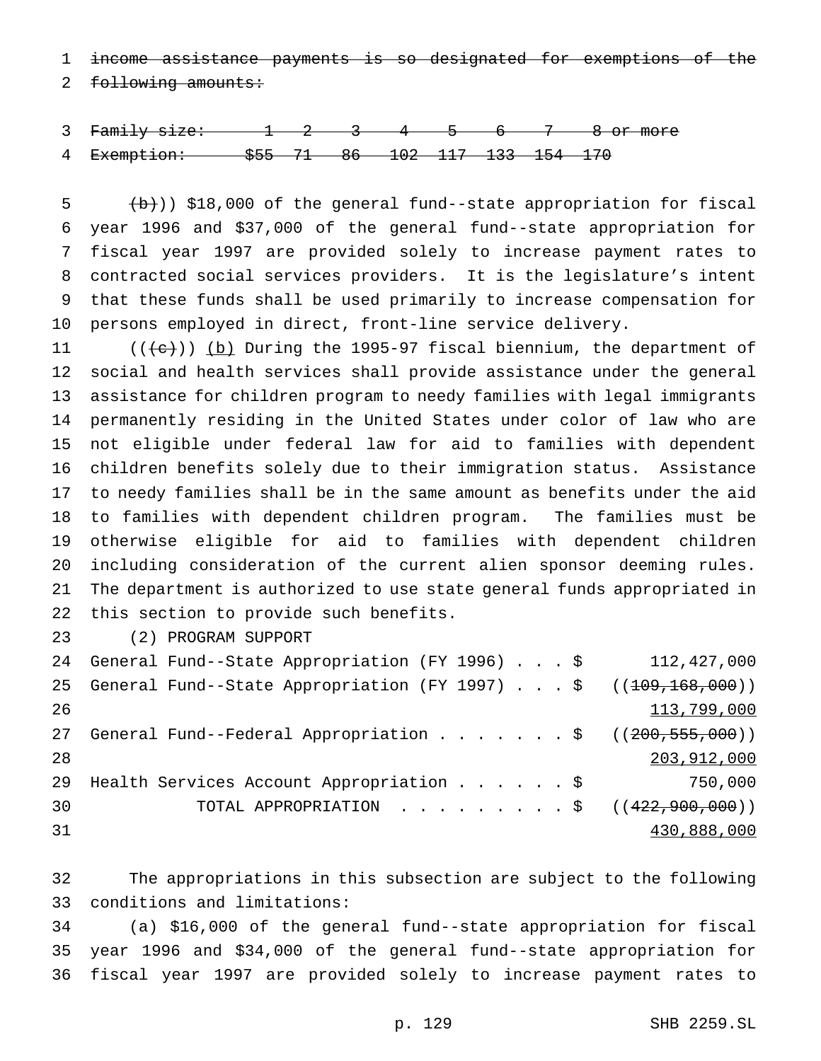income assistance payments is so designated for exemptions of the

2 following amounts:

 Family size: 1 2 3 4 5 6 7 8 or more Exemption: \$55 71 86 102 117 133 154 170

 (b)) \$18,000 of the general fund--state appropriation for fiscal year 1996 and \$37,000 of the general fund--state appropriation for fiscal year 1997 are provided solely to increase payment rates to contracted social services providers. It is the legislature's intent that these funds shall be used primarily to increase compensation for persons employed in direct, front-line service delivery.

 $((e))$  (b) During the 1995-97 fiscal biennium, the department of social and health services shall provide assistance under the general assistance for children program to needy families with legal immigrants permanently residing in the United States under color of law who are not eligible under federal law for aid to families with dependent children benefits solely due to their immigration status. Assistance to needy families shall be in the same amount as benefits under the aid to families with dependent children program. The families must be otherwise eligible for aid to families with dependent children including consideration of the current alien sponsor deeming rules. The department is authorized to use state general funds appropriated in this section to provide such benefits.

(2) PROGRAM SUPPORT

|    | 24 General Fund--State Appropriation (FY 1996) \$                  | 112,427,000   |
|----|--------------------------------------------------------------------|---------------|
| 25 | General Fund--State Appropriation (FY 1997) \$ $((109, 168, 000))$ |               |
| 26 |                                                                    | 113,799,000   |
| 27 | General Fund--Federal Appropriation ( $(200, 555, 000)$ )          |               |
| 28 |                                                                    | 203, 912, 000 |
|    | 29 Health Services Account Appropriation \$                        | 750,000       |
| 30 | TOTAL APPROPRIATION ( $(422,900,000)$ )                            |               |
| 31 |                                                                    | 430,888,000   |

 The appropriations in this subsection are subject to the following conditions and limitations:

 (a) \$16,000 of the general fund--state appropriation for fiscal year 1996 and \$34,000 of the general fund--state appropriation for fiscal year 1997 are provided solely to increase payment rates to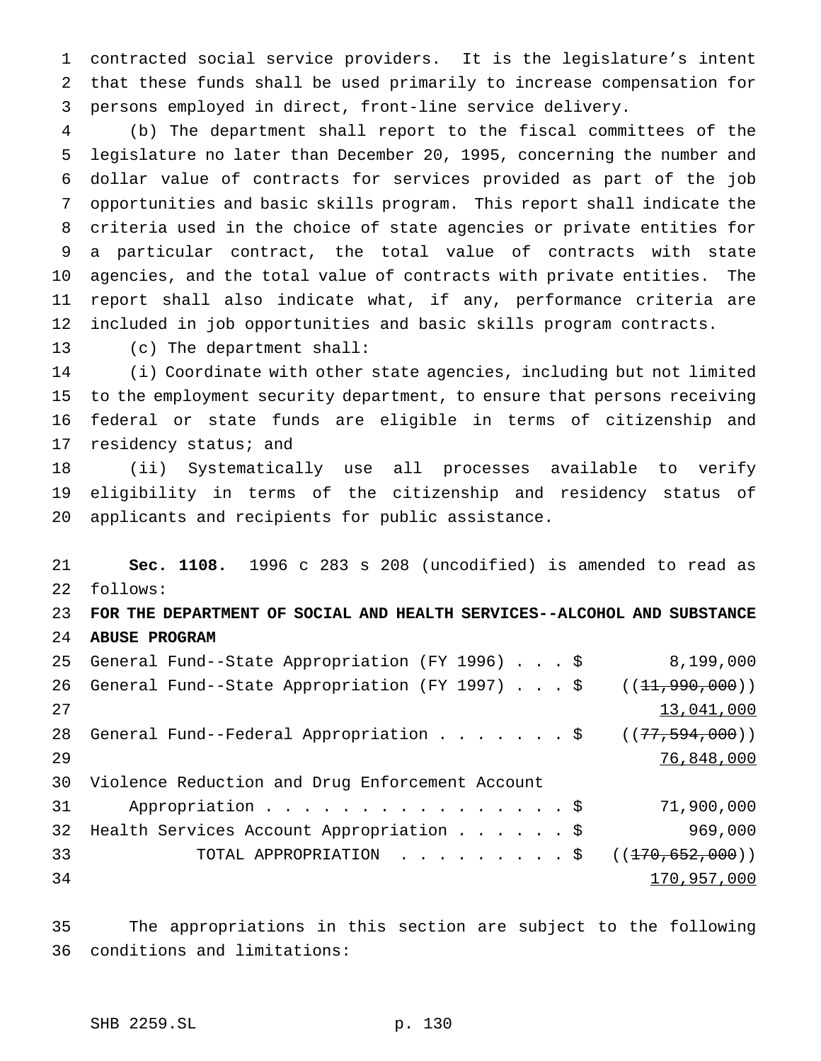contracted social service providers. It is the legislature's intent that these funds shall be used primarily to increase compensation for persons employed in direct, front-line service delivery.

 (b) The department shall report to the fiscal committees of the legislature no later than December 20, 1995, concerning the number and dollar value of contracts for services provided as part of the job opportunities and basic skills program. This report shall indicate the criteria used in the choice of state agencies or private entities for a particular contract, the total value of contracts with state agencies, and the total value of contracts with private entities. The report shall also indicate what, if any, performance criteria are included in job opportunities and basic skills program contracts.

(c) The department shall:

 (i) Coordinate with other state agencies, including but not limited to the employment security department, to ensure that persons receiving federal or state funds are eligible in terms of citizenship and 17 residency status; and

 (ii) Systematically use all processes available to verify eligibility in terms of the citizenship and residency status of applicants and recipients for public assistance.

 **Sec. 1108.** 1996 c 283 s 208 (uncodified) is amended to read as follows:

 **FOR THE DEPARTMENT OF SOCIAL AND HEALTH SERVICES--ALCOHOL AND SUBSTANCE ABUSE PROGRAM**

|    | 25 General Fund--State Appropriation (FY 1996) \$               | 8,199,000        |
|----|-----------------------------------------------------------------|------------------|
| 26 | General Fund--State Appropriation (FY 1997) \$ $((11,990,000))$ |                  |
| 27 |                                                                 | 13,041,000       |
| 28 | General Fund--Federal Appropriation \$                          | ((77, 594, 000)) |
| 29 |                                                                 | 76,848,000       |
| 30 | Violence Reduction and Drug Enforcement Account                 |                  |
| 31 | Appropriation \$                                                | 71,900,000       |
| 32 | Health Services Account Appropriation \$                        | 969,000          |
| 33 | TOTAL APPROPRIATION ( $(170,652,000)$ )                         |                  |
| 34 |                                                                 | 170,957,000      |

 The appropriations in this section are subject to the following conditions and limitations: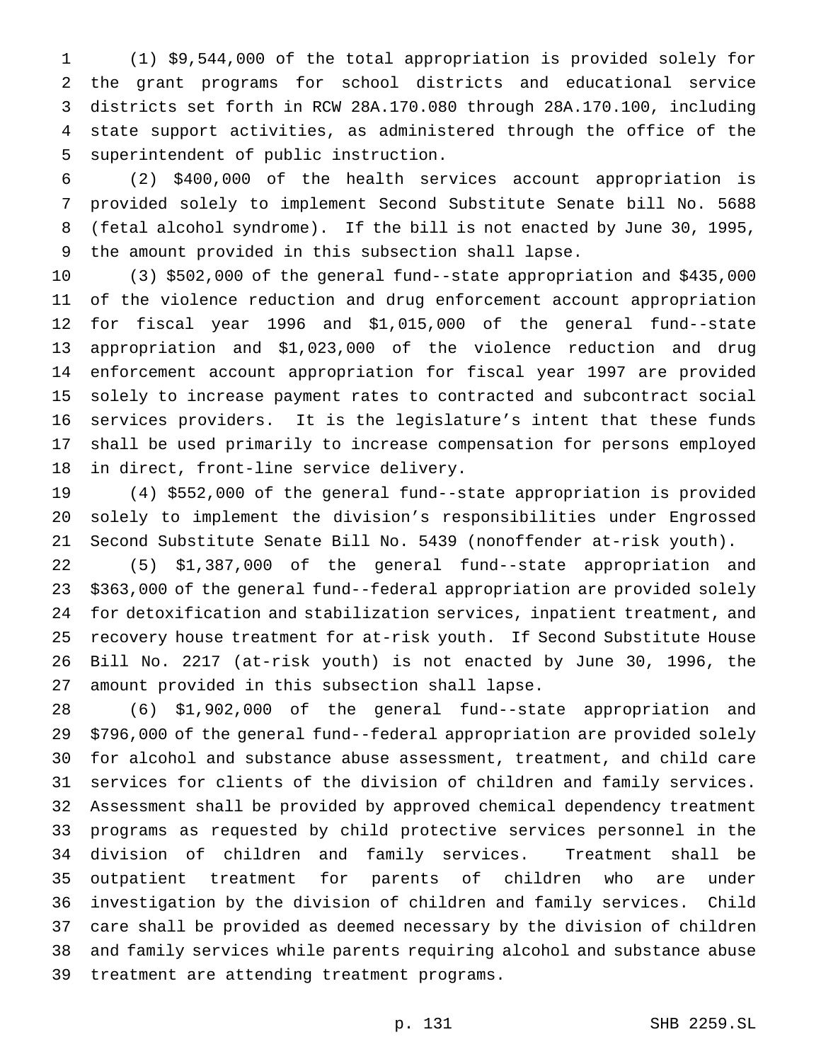(1) \$9,544,000 of the total appropriation is provided solely for the grant programs for school districts and educational service districts set forth in RCW 28A.170.080 through 28A.170.100, including state support activities, as administered through the office of the superintendent of public instruction.

 (2) \$400,000 of the health services account appropriation is provided solely to implement Second Substitute Senate bill No. 5688 (fetal alcohol syndrome). If the bill is not enacted by June 30, 1995, the amount provided in this subsection shall lapse.

 (3) \$502,000 of the general fund--state appropriation and \$435,000 of the violence reduction and drug enforcement account appropriation for fiscal year 1996 and \$1,015,000 of the general fund--state appropriation and \$1,023,000 of the violence reduction and drug enforcement account appropriation for fiscal year 1997 are provided solely to increase payment rates to contracted and subcontract social services providers. It is the legislature's intent that these funds shall be used primarily to increase compensation for persons employed in direct, front-line service delivery.

 (4) \$552,000 of the general fund--state appropriation is provided solely to implement the division's responsibilities under Engrossed Second Substitute Senate Bill No. 5439 (nonoffender at-risk youth).

 (5) \$1,387,000 of the general fund--state appropriation and \$363,000 of the general fund--federal appropriation are provided solely for detoxification and stabilization services, inpatient treatment, and recovery house treatment for at-risk youth. If Second Substitute House Bill No. 2217 (at-risk youth) is not enacted by June 30, 1996, the amount provided in this subsection shall lapse.

 (6) \$1,902,000 of the general fund--state appropriation and \$796,000 of the general fund--federal appropriation are provided solely for alcohol and substance abuse assessment, treatment, and child care services for clients of the division of children and family services. Assessment shall be provided by approved chemical dependency treatment programs as requested by child protective services personnel in the division of children and family services. Treatment shall be outpatient treatment for parents of children who are under investigation by the division of children and family services. Child care shall be provided as deemed necessary by the division of children and family services while parents requiring alcohol and substance abuse treatment are attending treatment programs.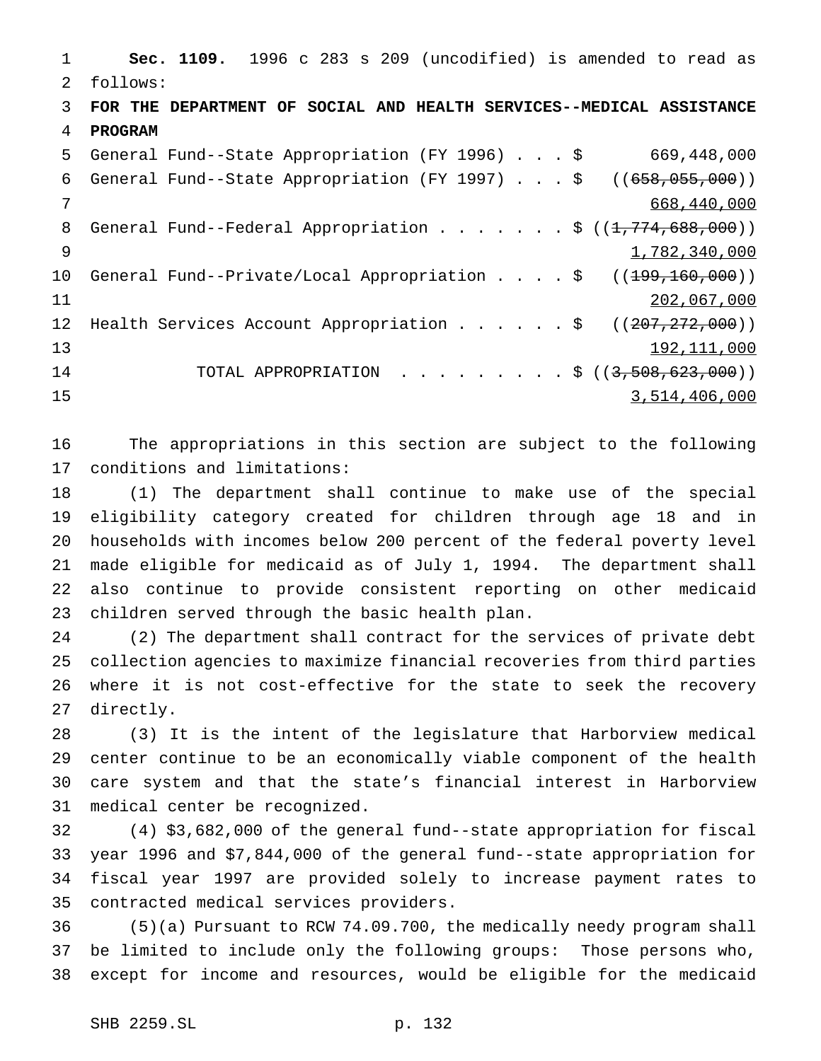**Sec. 1109.** 1996 c 283 s 209 (uncodified) is amended to read as follows: **FOR THE DEPARTMENT OF SOCIAL AND HEALTH SERVICES--MEDICAL ASSISTANCE PROGRAM** General Fund--State Appropriation (FY 1996)...\$ 669,448,000 General Fund--State Appropriation (FY 1997)...\$ ((658,055,000)) 668,440,000 8 General Fund--Federal Appropriation . . . . . . \$ ((1,774,688,000)) 9 1,782,340,000 10 General Fund--Private/Local Appropriation . . . \$ ((<del>199,160,000</del>)) 11 202,067,000 202,067,000 12 Health Services Account Appropriation . . . . . \$ ((207,272,000)) 192,111,000 14 TOTAL APPROPRIATION . . . . . . . . \$ ((3,508,623,000)) 3,514,406,000

 The appropriations in this section are subject to the following conditions and limitations:

 (1) The department shall continue to make use of the special eligibility category created for children through age 18 and in households with incomes below 200 percent of the federal poverty level made eligible for medicaid as of July 1, 1994. The department shall also continue to provide consistent reporting on other medicaid children served through the basic health plan.

 (2) The department shall contract for the services of private debt collection agencies to maximize financial recoveries from third parties where it is not cost-effective for the state to seek the recovery directly.

 (3) It is the intent of the legislature that Harborview medical center continue to be an economically viable component of the health care system and that the state's financial interest in Harborview medical center be recognized.

 (4) \$3,682,000 of the general fund--state appropriation for fiscal year 1996 and \$7,844,000 of the general fund--state appropriation for fiscal year 1997 are provided solely to increase payment rates to contracted medical services providers.

 (5)(a) Pursuant to RCW 74.09.700, the medically needy program shall be limited to include only the following groups: Those persons who, except for income and resources, would be eligible for the medicaid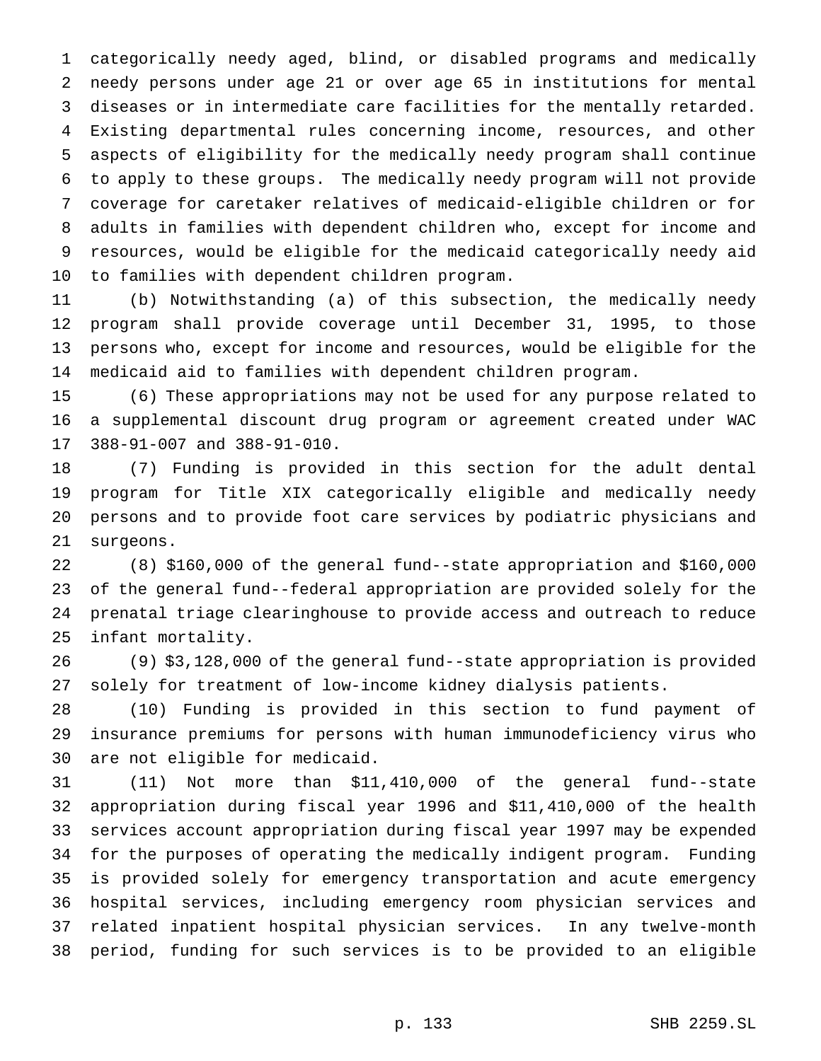categorically needy aged, blind, or disabled programs and medically needy persons under age 21 or over age 65 in institutions for mental diseases or in intermediate care facilities for the mentally retarded. Existing departmental rules concerning income, resources, and other aspects of eligibility for the medically needy program shall continue to apply to these groups. The medically needy program will not provide coverage for caretaker relatives of medicaid-eligible children or for adults in families with dependent children who, except for income and resources, would be eligible for the medicaid categorically needy aid to families with dependent children program.

 (b) Notwithstanding (a) of this subsection, the medically needy program shall provide coverage until December 31, 1995, to those persons who, except for income and resources, would be eligible for the medicaid aid to families with dependent children program.

 (6) These appropriations may not be used for any purpose related to a supplemental discount drug program or agreement created under WAC 388-91-007 and 388-91-010.

 (7) Funding is provided in this section for the adult dental program for Title XIX categorically eligible and medically needy persons and to provide foot care services by podiatric physicians and surgeons.

 (8) \$160,000 of the general fund--state appropriation and \$160,000 of the general fund--federal appropriation are provided solely for the prenatal triage clearinghouse to provide access and outreach to reduce infant mortality.

 (9) \$3,128,000 of the general fund--state appropriation is provided solely for treatment of low-income kidney dialysis patients.

 (10) Funding is provided in this section to fund payment of insurance premiums for persons with human immunodeficiency virus who are not eligible for medicaid.

 (11) Not more than \$11,410,000 of the general fund--state appropriation during fiscal year 1996 and \$11,410,000 of the health services account appropriation during fiscal year 1997 may be expended for the purposes of operating the medically indigent program. Funding is provided solely for emergency transportation and acute emergency hospital services, including emergency room physician services and related inpatient hospital physician services. In any twelve-month period, funding for such services is to be provided to an eligible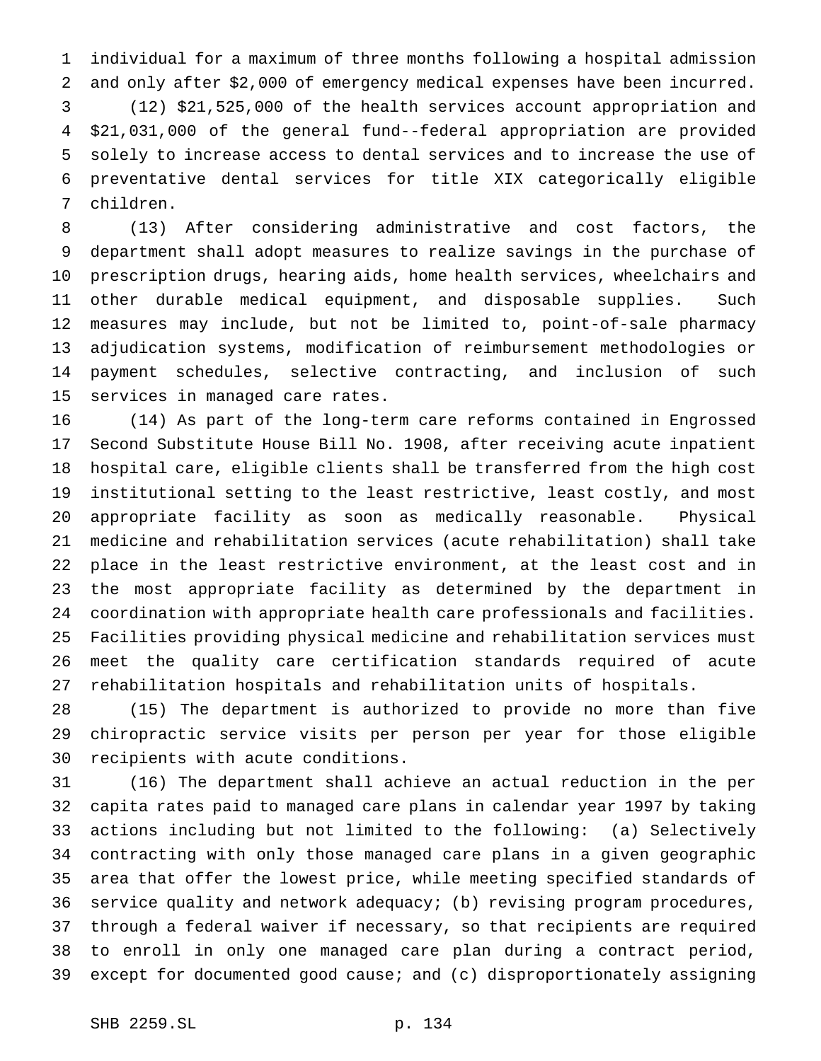individual for a maximum of three months following a hospital admission and only after \$2,000 of emergency medical expenses have been incurred.

 (12) \$21,525,000 of the health services account appropriation and \$21,031,000 of the general fund--federal appropriation are provided solely to increase access to dental services and to increase the use of preventative dental services for title XIX categorically eligible children.

 (13) After considering administrative and cost factors, the department shall adopt measures to realize savings in the purchase of prescription drugs, hearing aids, home health services, wheelchairs and other durable medical equipment, and disposable supplies. Such measures may include, but not be limited to, point-of-sale pharmacy adjudication systems, modification of reimbursement methodologies or payment schedules, selective contracting, and inclusion of such services in managed care rates.

 (14) As part of the long-term care reforms contained in Engrossed Second Substitute House Bill No. 1908, after receiving acute inpatient hospital care, eligible clients shall be transferred from the high cost institutional setting to the least restrictive, least costly, and most appropriate facility as soon as medically reasonable. Physical medicine and rehabilitation services (acute rehabilitation) shall take place in the least restrictive environment, at the least cost and in the most appropriate facility as determined by the department in coordination with appropriate health care professionals and facilities. Facilities providing physical medicine and rehabilitation services must meet the quality care certification standards required of acute rehabilitation hospitals and rehabilitation units of hospitals.

 (15) The department is authorized to provide no more than five chiropractic service visits per person per year for those eligible recipients with acute conditions.

 (16) The department shall achieve an actual reduction in the per capita rates paid to managed care plans in calendar year 1997 by taking actions including but not limited to the following: (a) Selectively contracting with only those managed care plans in a given geographic area that offer the lowest price, while meeting specified standards of service quality and network adequacy; (b) revising program procedures, through a federal waiver if necessary, so that recipients are required to enroll in only one managed care plan during a contract period, except for documented good cause; and (c) disproportionately assigning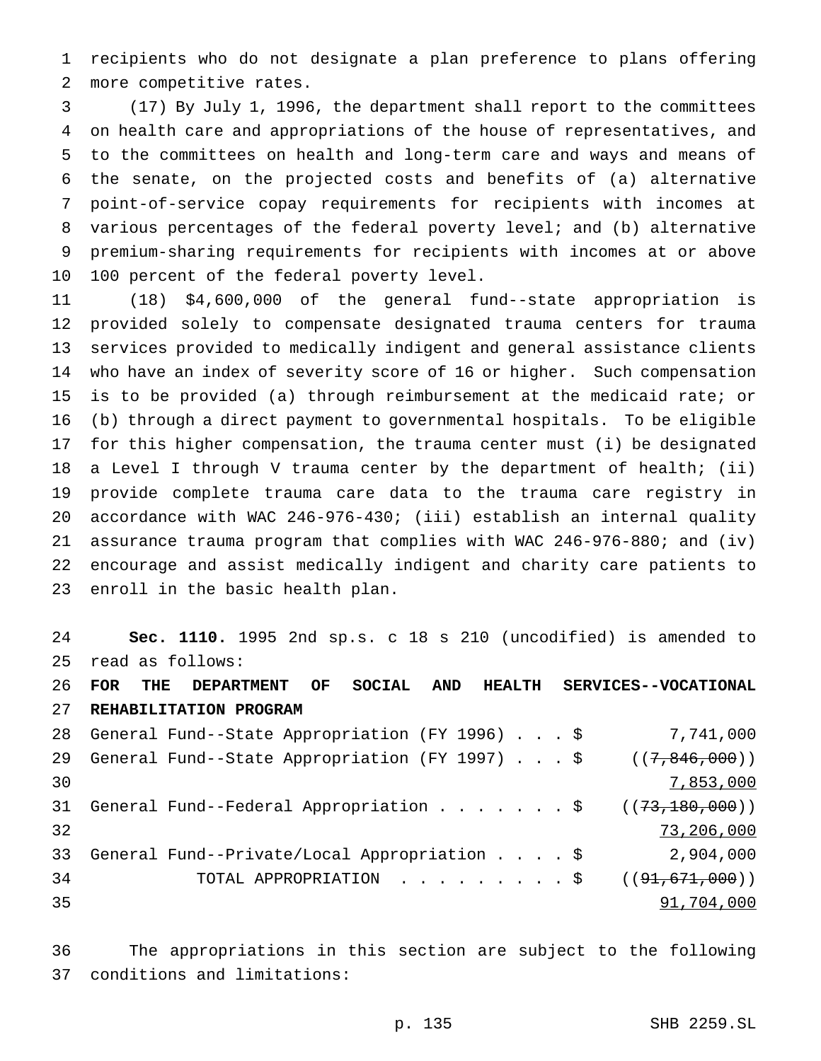recipients who do not designate a plan preference to plans offering more competitive rates.

 (17) By July 1, 1996, the department shall report to the committees on health care and appropriations of the house of representatives, and to the committees on health and long-term care and ways and means of the senate, on the projected costs and benefits of (a) alternative point-of-service copay requirements for recipients with incomes at various percentages of the federal poverty level; and (b) alternative premium-sharing requirements for recipients with incomes at or above 100 percent of the federal poverty level.

 (18) \$4,600,000 of the general fund--state appropriation is provided solely to compensate designated trauma centers for trauma services provided to medically indigent and general assistance clients who have an index of severity score of 16 or higher. Such compensation is to be provided (a) through reimbursement at the medicaid rate; or (b) through a direct payment to governmental hospitals. To be eligible for this higher compensation, the trauma center must (i) be designated a Level I through V trauma center by the department of health; (ii) provide complete trauma care data to the trauma care registry in accordance with WAC 246-976-430; (iii) establish an internal quality assurance trauma program that complies with WAC 246-976-880; and (iv) encourage and assist medically indigent and charity care patients to enroll in the basic health plan.

 **Sec. 1110.** 1995 2nd sp.s. c 18 s 210 (uncodified) is amended to read as follows:

 **FOR THE DEPARTMENT OF SOCIAL AND HEALTH SERVICES--VOCATIONAL REHABILITATION PROGRAM**

|    | 28 General Fund--State Appropriation (FY 1996) \$           | 7,741,000       |
|----|-------------------------------------------------------------|-----------------|
| 29 | General Fund--State Appropriation (FY 1997) \$              | ((7, 846, 000)) |
| 30 |                                                             | 7,853,000       |
| 31 | General Fund--Federal Appropriation $\frac{2}{3,180,000}$ ) |                 |
| 32 |                                                             | 73,206,000      |
| 33 | General Fund--Private/Local Appropriation \$                | 2,904,000       |
| 34 | TOTAL APPROPRIATION \$                                      | ((91,671,000))  |
| 35 |                                                             | 91,704,000      |
|    |                                                             |                 |

 The appropriations in this section are subject to the following conditions and limitations: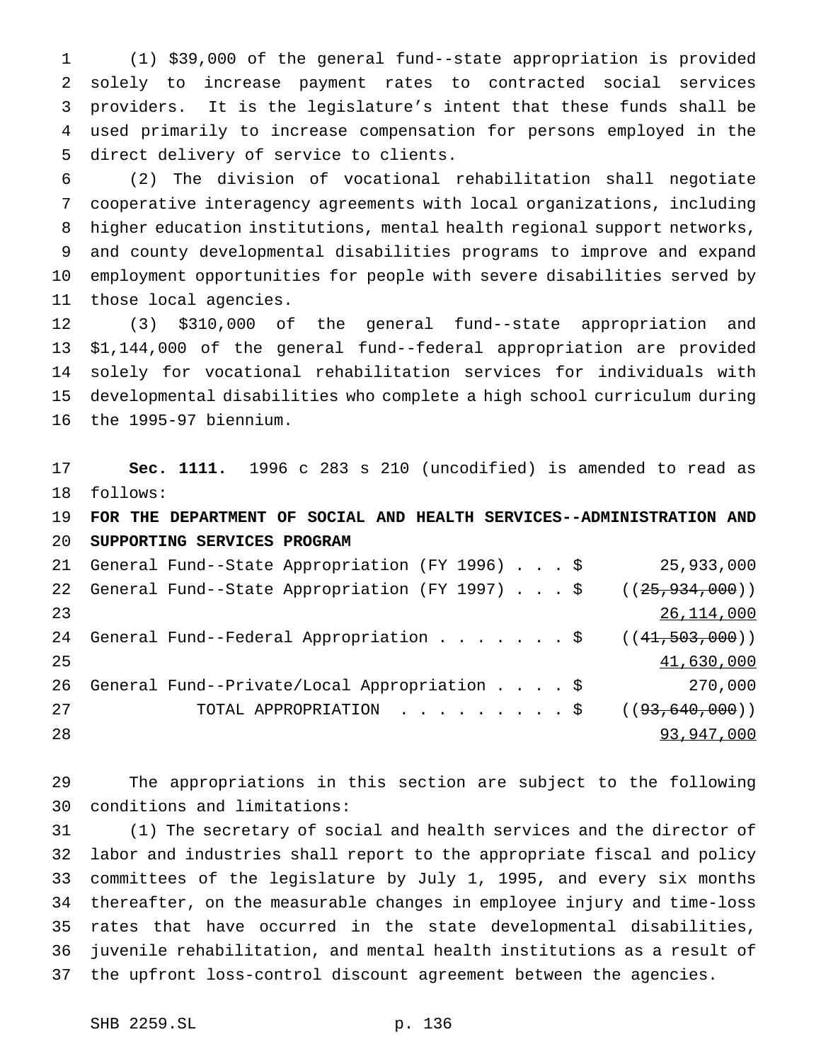(1) \$39,000 of the general fund--state appropriation is provided solely to increase payment rates to contracted social services providers. It is the legislature's intent that these funds shall be used primarily to increase compensation for persons employed in the direct delivery of service to clients.

 (2) The division of vocational rehabilitation shall negotiate cooperative interagency agreements with local organizations, including higher education institutions, mental health regional support networks, and county developmental disabilities programs to improve and expand employment opportunities for people with severe disabilities served by those local agencies.

 (3) \$310,000 of the general fund--state appropriation and \$1,144,000 of the general fund--federal appropriation are provided solely for vocational rehabilitation services for individuals with developmental disabilities who complete a high school curriculum during the 1995-97 biennium.

 **Sec. 1111.** 1996 c 283 s 210 (uncodified) is amended to read as follows:

 **FOR THE DEPARTMENT OF SOCIAL AND HEALTH SERVICES--ADMINISTRATION AND SUPPORTING SERVICES PROGRAM**

|    | 21 General Fund--State Appropriation (FY 1996) \$                | 25,933,000 |
|----|------------------------------------------------------------------|------------|
| 22 | General Fund--State Appropriation (FY 1997) \$ $((25,934,000))$  |            |
| 23 |                                                                  | 26,114,000 |
| 24 | General Fund--Federal Appropriation $\frac{1}{5}$ ((41,503,000)) |            |
| 25 |                                                                  | 41,630,000 |
| 26 | General Fund--Private/Local Appropriation \$                     | 270,000    |
| 27 | TOTAL APPROPRIATION $\ldots$ , \$ ( $(93, 640, 000)$ )           |            |
| 28 |                                                                  | 93,947,000 |

 The appropriations in this section are subject to the following conditions and limitations:

 (1) The secretary of social and health services and the director of labor and industries shall report to the appropriate fiscal and policy committees of the legislature by July 1, 1995, and every six months thereafter, on the measurable changes in employee injury and time-loss rates that have occurred in the state developmental disabilities, juvenile rehabilitation, and mental health institutions as a result of the upfront loss-control discount agreement between the agencies.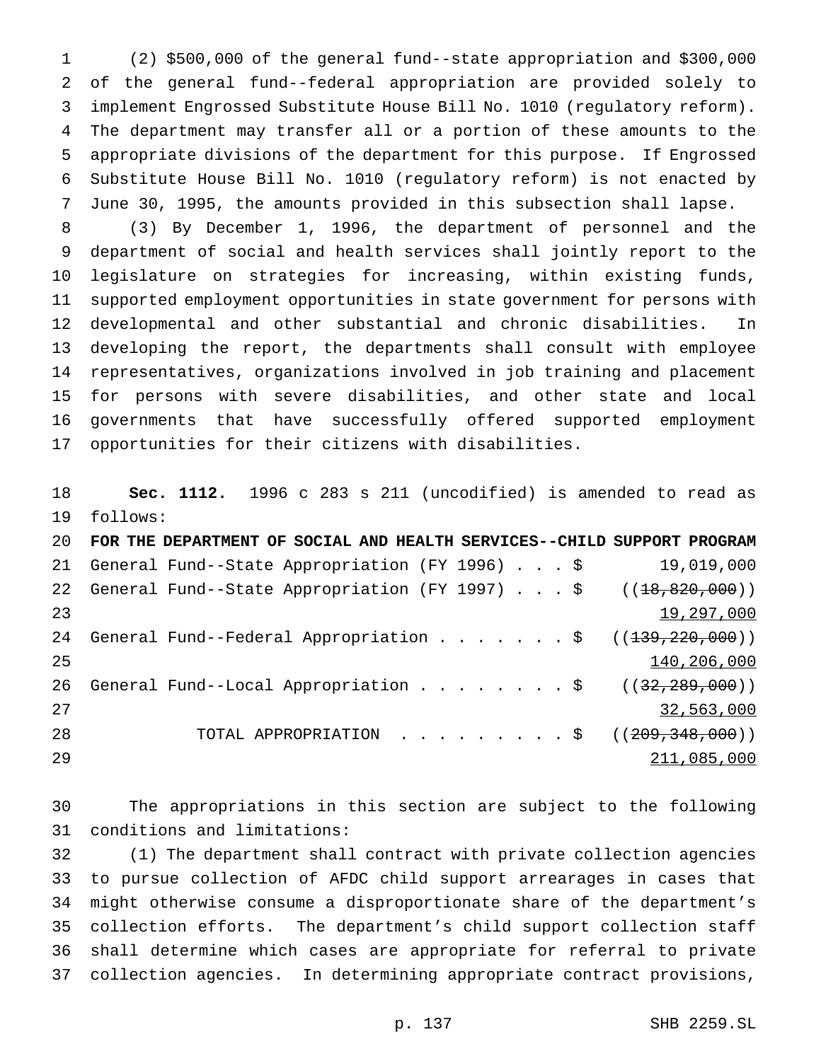(2) \$500,000 of the general fund--state appropriation and \$300,000 of the general fund--federal appropriation are provided solely to implement Engrossed Substitute House Bill No. 1010 (regulatory reform). The department may transfer all or a portion of these amounts to the appropriate divisions of the department for this purpose. If Engrossed Substitute House Bill No. 1010 (regulatory reform) is not enacted by June 30, 1995, the amounts provided in this subsection shall lapse.

 (3) By December 1, 1996, the department of personnel and the department of social and health services shall jointly report to the legislature on strategies for increasing, within existing funds, supported employment opportunities in state government for persons with developmental and other substantial and chronic disabilities. In developing the report, the departments shall consult with employee representatives, organizations involved in job training and placement for persons with severe disabilities, and other state and local governments that have successfully offered supported employment opportunities for their citizens with disabilities.

 **Sec. 1112.** 1996 c 283 s 211 (uncodified) is amended to read as follows:

| 20 | FOR THE DEPARTMENT OF SOCIAL AND HEALTH SERVICES--CHILD SUPPORT PROGRAM                    |  |  |             |
|----|--------------------------------------------------------------------------------------------|--|--|-------------|
| 21 | General Fund--State Appropriation (FY 1996) \$                                             |  |  | 19,019,000  |
| 22 | General Fund--State Appropriation (FY 1997) \$ $((18,820,000))$                            |  |  |             |
| 23 |                                                                                            |  |  | 19,297,000  |
| 24 | General Fund--Federal Appropriation $\frac{1}{5}$ ( $(\frac{139}{220}, \frac{220}{000})$ ) |  |  |             |
| 25 |                                                                                            |  |  | 140,206,000 |
| 26 | General Fund--Local Appropriation \$ $((32,289,000))$                                      |  |  |             |
| 27 |                                                                                            |  |  | 32,563,000  |
| 28 | TOTAL APPROPRIATION \$ $((209,348,000))$                                                   |  |  |             |
| 29 |                                                                                            |  |  | 211,085,000 |

 The appropriations in this section are subject to the following conditions and limitations:

 (1) The department shall contract with private collection agencies to pursue collection of AFDC child support arrearages in cases that might otherwise consume a disproportionate share of the department's collection efforts. The department's child support collection staff shall determine which cases are appropriate for referral to private collection agencies. In determining appropriate contract provisions,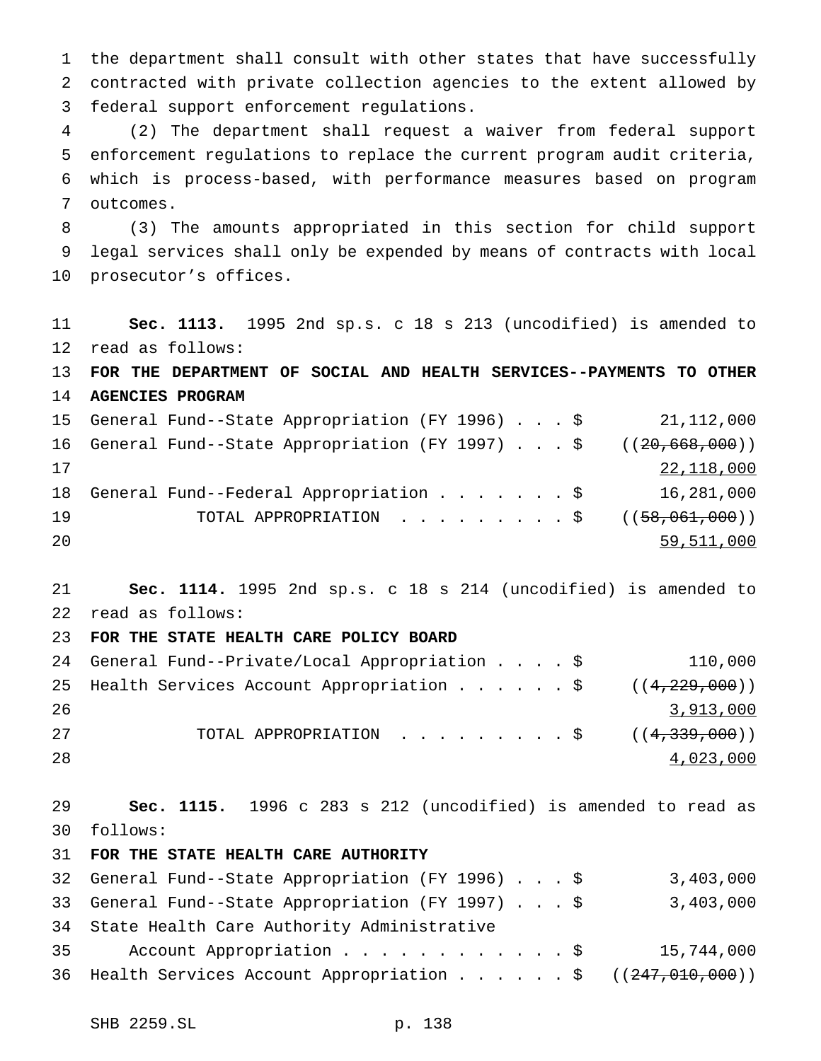the department shall consult with other states that have successfully contracted with private collection agencies to the extent allowed by federal support enforcement regulations.

 (2) The department shall request a waiver from federal support enforcement regulations to replace the current program audit criteria, which is process-based, with performance measures based on program outcomes.

 (3) The amounts appropriated in this section for child support legal services shall only be expended by means of contracts with local prosecutor's offices.

 **Sec. 1113.** 1995 2nd sp.s. c 18 s 213 (uncodified) is amended to read as follows: **FOR THE DEPARTMENT OF SOCIAL AND HEALTH SERVICES--PAYMENTS TO OTHER AGENCIES PROGRAM** General Fund--State Appropriation (FY 1996)...\$ 21,112,000 16 General Fund--State Appropriation (FY 1997)...\$ ((20,668,000)) 22,118,000 18 General Fund--Federal Appropriation . . . . . . \$ 16,281,000 19 TOTAL APPROPRIATION . . . . . . . . \$ ((58,061,000)) 59,511,000

 **Sec. 1114.** 1995 2nd sp.s. c 18 s 214 (uncodified) is amended to read as follows:

## **FOR THE STATE HEALTH CARE POLICY BOARD**

|    | 24 General Fund--Private/Local Appropriation \$               |  |  | 110,000   |
|----|---------------------------------------------------------------|--|--|-----------|
|    | 25 Health Services Account Appropriation $\frac{29}{129,000}$ |  |  |           |
| 26 |                                                               |  |  | 3,913,000 |
| 27 | TOTAL APPROPRIATION \$ $((4,339,000))$                        |  |  |           |
| 28 |                                                               |  |  | 4,023,000 |

 **Sec. 1115.** 1996 c 283 s 212 (uncodified) is amended to read as follows:

## **FOR THE STATE HEALTH CARE AUTHORITY**

|    | 32 General Fund--State Appropriation (FY 1996) \$           | 3,403,000  |
|----|-------------------------------------------------------------|------------|
|    | 33 General Fund--State Appropriation (FY 1997) \$           | 3,403,000  |
|    | 34 State Health Care Authority Administrative               |            |
| 35 | Account Appropriation \$                                    | 15,744,000 |
|    | 36 Health Services Account Appropriation \$ ((247,010,000)) |            |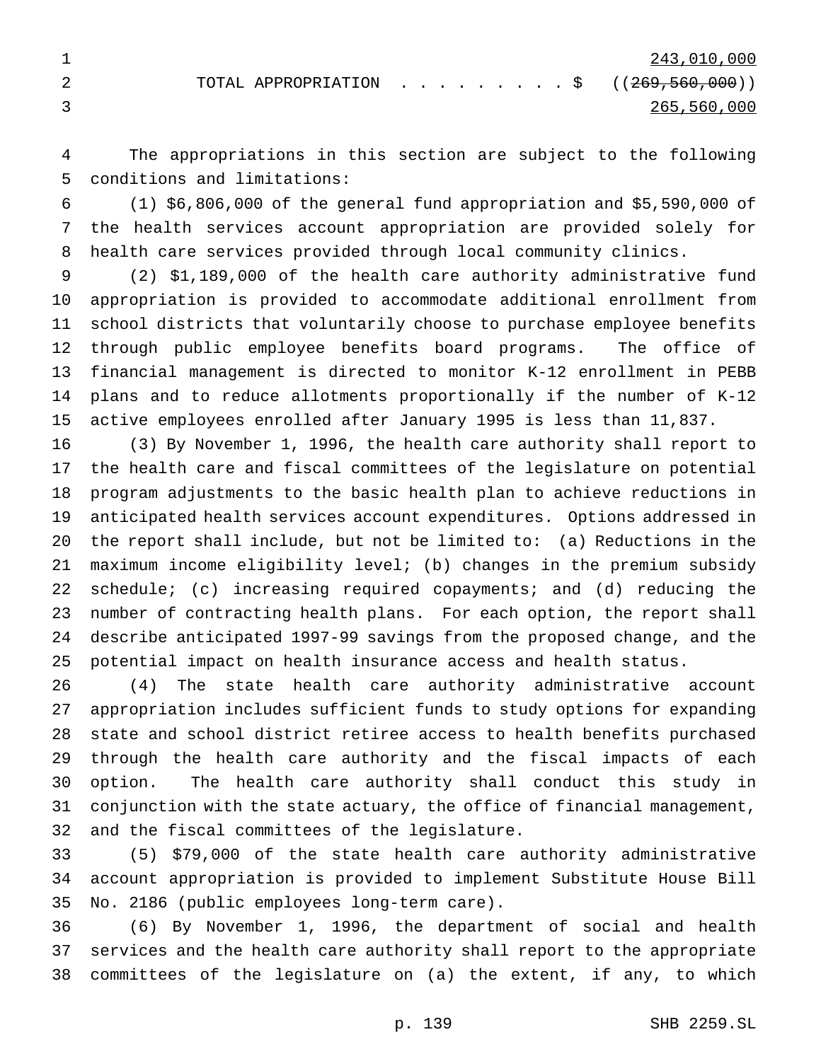The appropriations in this section are subject to the following conditions and limitations:

 (1) \$6,806,000 of the general fund appropriation and \$5,590,000 of the health services account appropriation are provided solely for health care services provided through local community clinics.

 (2) \$1,189,000 of the health care authority administrative fund appropriation is provided to accommodate additional enrollment from school districts that voluntarily choose to purchase employee benefits through public employee benefits board programs. The office of financial management is directed to monitor K-12 enrollment in PEBB plans and to reduce allotments proportionally if the number of K-12 active employees enrolled after January 1995 is less than 11,837.

 (3) By November 1, 1996, the health care authority shall report to the health care and fiscal committees of the legislature on potential program adjustments to the basic health plan to achieve reductions in anticipated health services account expenditures. Options addressed in the report shall include, but not be limited to: (a) Reductions in the maximum income eligibility level; (b) changes in the premium subsidy schedule; (c) increasing required copayments; and (d) reducing the number of contracting health plans. For each option, the report shall describe anticipated 1997-99 savings from the proposed change, and the potential impact on health insurance access and health status.

 (4) The state health care authority administrative account appropriation includes sufficient funds to study options for expanding state and school district retiree access to health benefits purchased through the health care authority and the fiscal impacts of each option. The health care authority shall conduct this study in conjunction with the state actuary, the office of financial management, and the fiscal committees of the legislature.

 (5) \$79,000 of the state health care authority administrative account appropriation is provided to implement Substitute House Bill No. 2186 (public employees long-term care).

 (6) By November 1, 1996, the department of social and health services and the health care authority shall report to the appropriate committees of the legislature on (a) the extent, if any, to which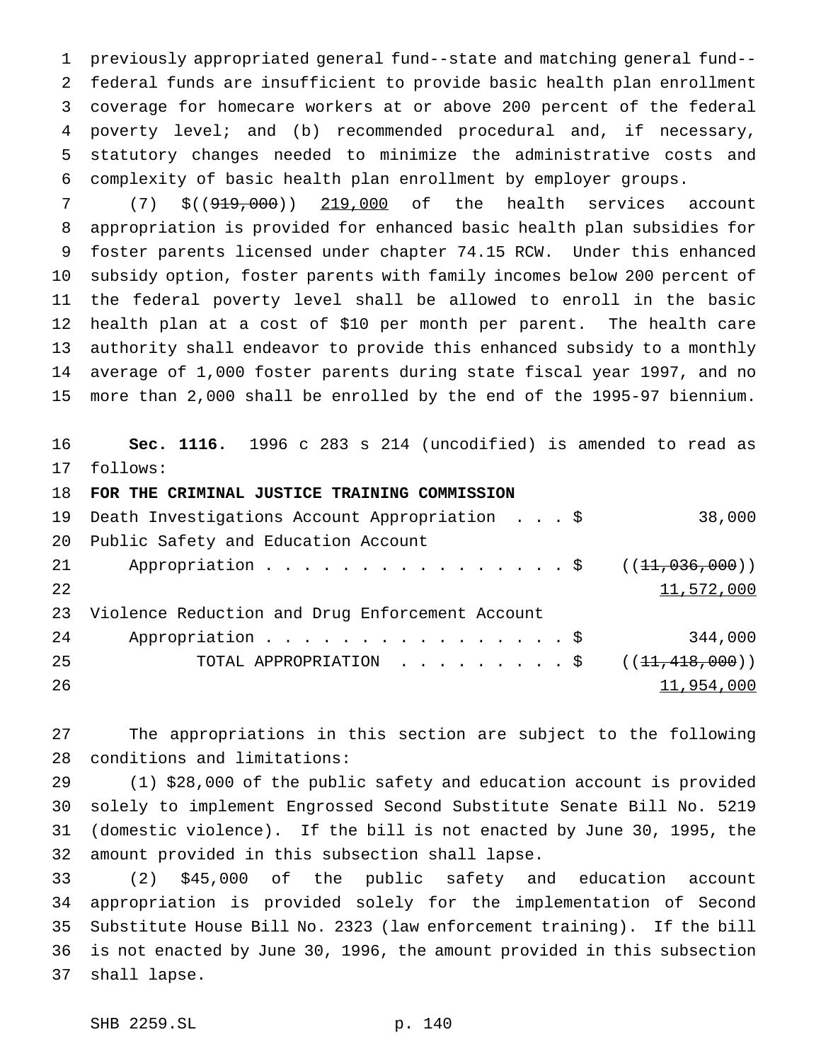previously appropriated general fund--state and matching general fund-- federal funds are insufficient to provide basic health plan enrollment coverage for homecare workers at or above 200 percent of the federal poverty level; and (b) recommended procedural and, if necessary, statutory changes needed to minimize the administrative costs and complexity of basic health plan enrollment by employer groups.

 (7) \$((919,000)) 219,000 of the health services account appropriation is provided for enhanced basic health plan subsidies for foster parents licensed under chapter 74.15 RCW. Under this enhanced subsidy option, foster parents with family incomes below 200 percent of the federal poverty level shall be allowed to enroll in the basic health plan at a cost of \$10 per month per parent. The health care authority shall endeavor to provide this enhanced subsidy to a monthly average of 1,000 foster parents during state fiscal year 1997, and no more than 2,000 shall be enrolled by the end of the 1995-97 biennium.

 **Sec. 1116.** 1996 c 283 s 214 (uncodified) is amended to read as follows:

**FOR THE CRIMINAL JUSTICE TRAINING COMMISSION**

|    | 19 Death Investigations Account Appropriation \$ | 38,000     |
|----|--------------------------------------------------|------------|
| 20 | Public Safety and Education Account              |            |
| 21 |                                                  |            |
| 22 |                                                  | 11,572,000 |
| 23 | Violence Reduction and Drug Enforcement Account  |            |
| 24 | Appropriation $\frac{1}{9}$                      | 344,000    |
|    |                                                  |            |
| 25 |                                                  |            |

 The appropriations in this section are subject to the following conditions and limitations:

 (1) \$28,000 of the public safety and education account is provided solely to implement Engrossed Second Substitute Senate Bill No. 5219 (domestic violence). If the bill is not enacted by June 30, 1995, the amount provided in this subsection shall lapse.

 (2) \$45,000 of the public safety and education account appropriation is provided solely for the implementation of Second Substitute House Bill No. 2323 (law enforcement training). If the bill is not enacted by June 30, 1996, the amount provided in this subsection shall lapse.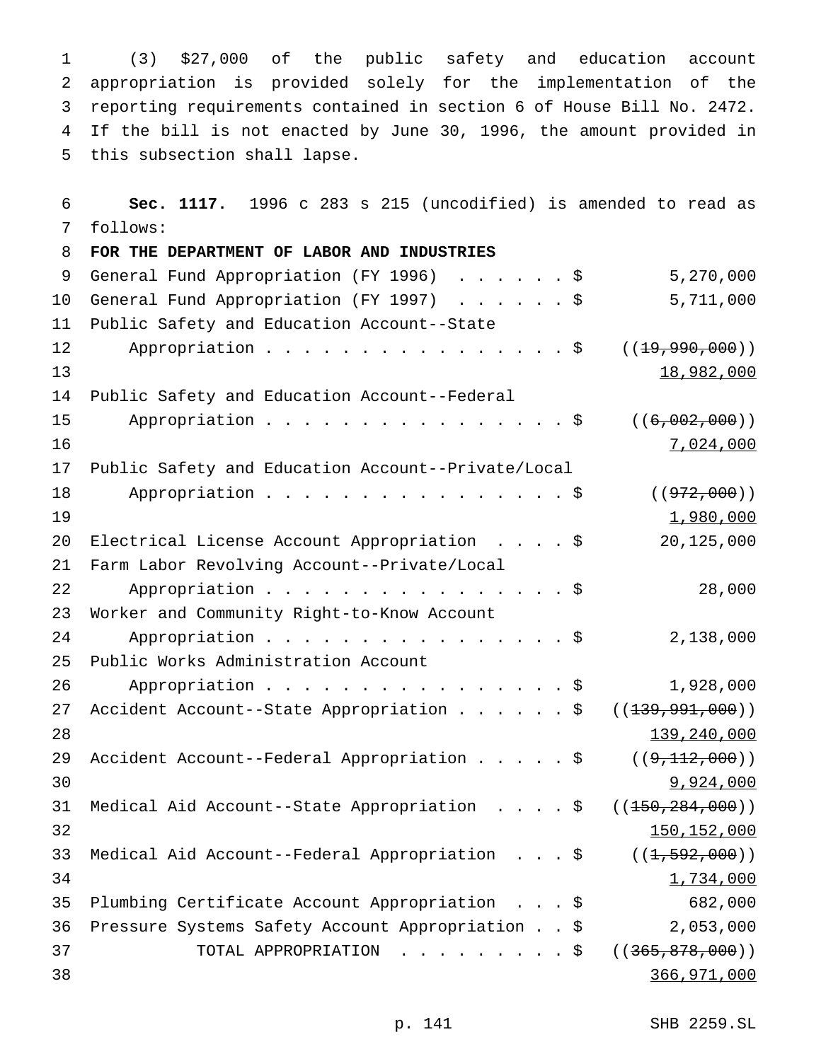(3) \$27,000 of the public safety and education account appropriation is provided solely for the implementation of the reporting requirements contained in section 6 of House Bill No. 2472. If the bill is not enacted by June 30, 1996, the amount provided in this subsection shall lapse.

 **Sec. 1117.** 1996 c 283 s 215 (uncodified) is amended to read as follows:

 **FOR THE DEPARTMENT OF LABOR AND INDUSTRIES** General Fund Appropriation (FY 1996) ......\$ 5,270,000 General Fund Appropriation (FY 1997) ......\$ 5,711,000 Public Safety and Education Account--State 12 Appropriation . . . . . . . . . . . . . . \$ ((<del>19,990,000</del>)) 13 Public Safety and Education Account--Federal 15 Appropriation . . . . . . . . . . . . . . \$ ((6,002,000)) 16 7,024,000 Public Safety and Education Account--Private/Local 18 Appropriation . . . . . . . . . . . . . . \$ ((972,000))  $1,980,000$  Electrical License Account Appropriation ....\$ 20,125,000 Farm Labor Revolving Account--Private/Local 22 Appropriation . . . . . . . . . . . . . . . \$ 28,000 Worker and Community Right-to-Know Account 24 Appropriation . . . . . . . . . . . . . . \$ 2,138,000 Public Works Administration Account Appropriation................\$ 1,928,000 27 Accident Account--State Appropriation . . . . . \$ ((<del>139,991,000</del>)) 28 139,240,000 29 Accident Account--Federal Appropriation . . . . \$ ((9,112,000)) 9,924,000 31 Medical Aid Account--State Appropriation . . . . \$ ((<del>150,284,000</del>))  $150,152,000$ 33 Medical Aid Account--Federal Appropriation . . . \$ ((1,592,000)) 1,734,000 Plumbing Certificate Account Appropriation ...\$ 682,000 Pressure Systems Safety Account Appropriation..\$ 2,053,000 TOTAL APPROPRIATION .........\$ ((365,878,000)) 366,971,000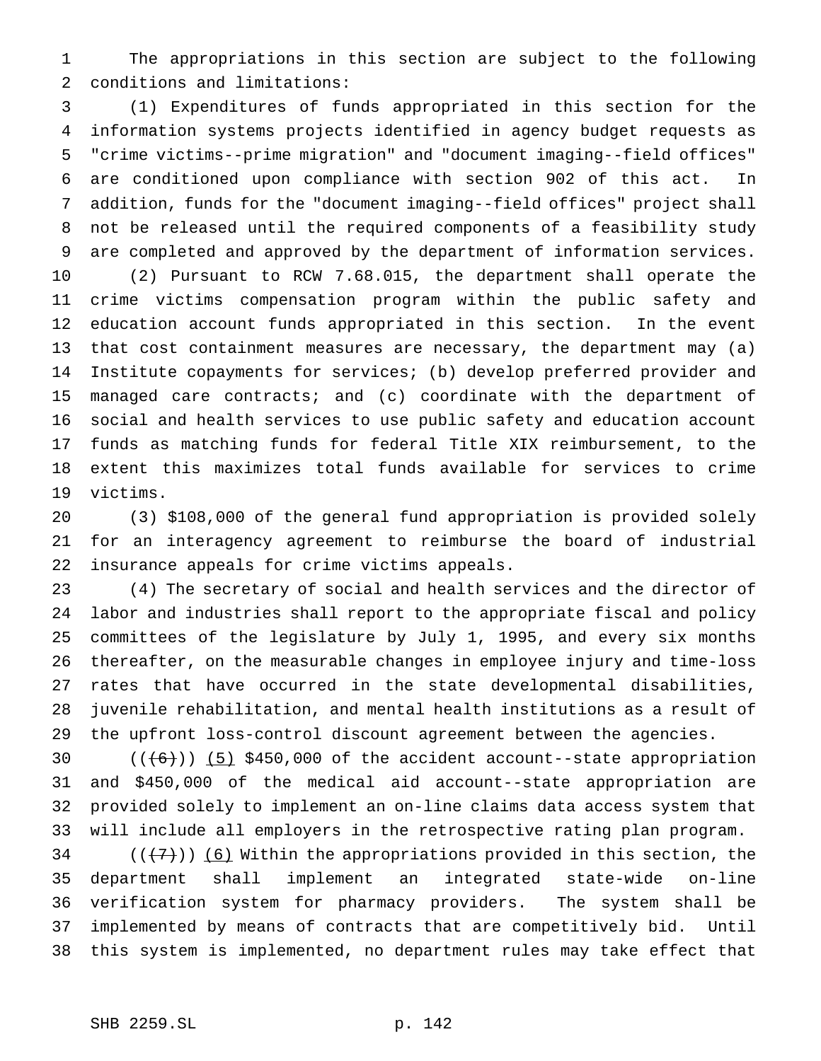The appropriations in this section are subject to the following conditions and limitations:

 (1) Expenditures of funds appropriated in this section for the information systems projects identified in agency budget requests as "crime victims--prime migration" and "document imaging--field offices" are conditioned upon compliance with section 902 of this act. In addition, funds for the "document imaging--field offices" project shall not be released until the required components of a feasibility study are completed and approved by the department of information services. (2) Pursuant to RCW 7.68.015, the department shall operate the crime victims compensation program within the public safety and education account funds appropriated in this section. In the event that cost containment measures are necessary, the department may (a) Institute copayments for services; (b) develop preferred provider and managed care contracts; and (c) coordinate with the department of social and health services to use public safety and education account funds as matching funds for federal Title XIX reimbursement, to the extent this maximizes total funds available for services to crime victims.

 (3) \$108,000 of the general fund appropriation is provided solely for an interagency agreement to reimburse the board of industrial insurance appeals for crime victims appeals.

 (4) The secretary of social and health services and the director of labor and industries shall report to the appropriate fiscal and policy committees of the legislature by July 1, 1995, and every six months thereafter, on the measurable changes in employee injury and time-loss rates that have occurred in the state developmental disabilities, juvenile rehabilitation, and mental health institutions as a result of the upfront loss-control discount agreement between the agencies.

 $((+6))$   $(5)$  \$450,000 of the accident account--state appropriation and \$450,000 of the medical aid account--state appropriation are provided solely to implement an on-line claims data access system that will include all employers in the retrospective rating plan program.

34 ( $(\overline{+7})$ ) (6) Within the appropriations provided in this section, the department shall implement an integrated state-wide on-line verification system for pharmacy providers. The system shall be implemented by means of contracts that are competitively bid. Until this system is implemented, no department rules may take effect that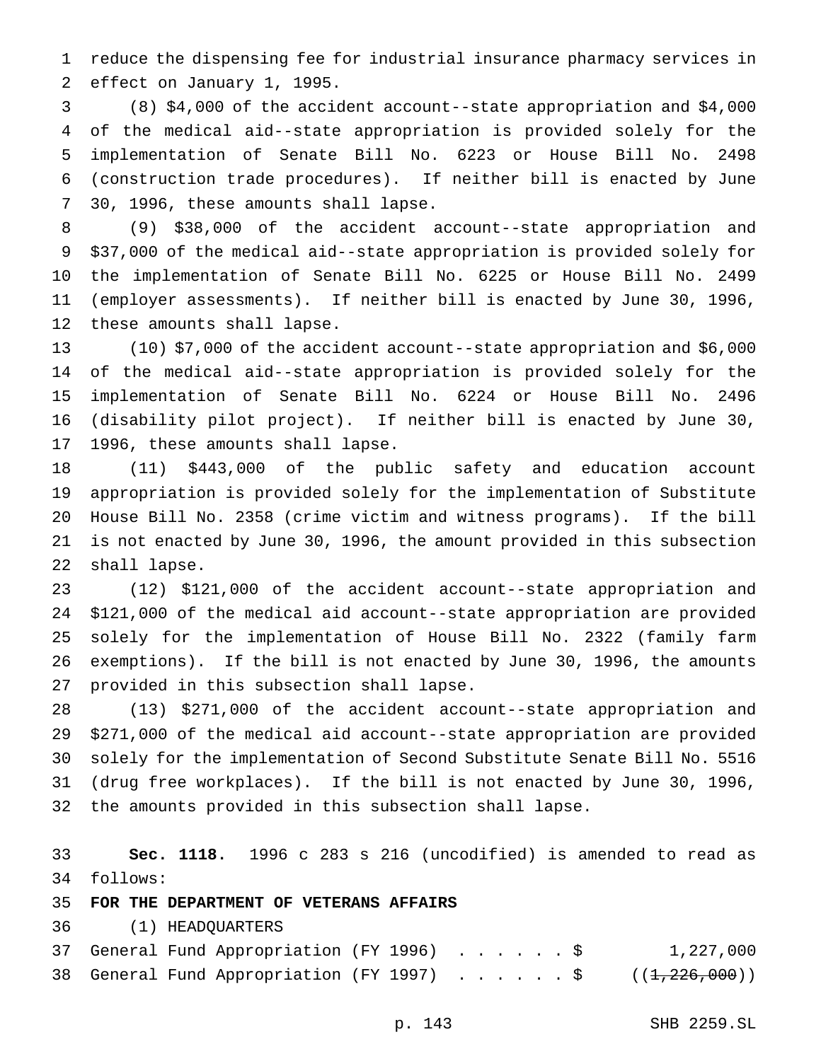reduce the dispensing fee for industrial insurance pharmacy services in effect on January 1, 1995.

 (8) \$4,000 of the accident account--state appropriation and \$4,000 of the medical aid--state appropriation is provided solely for the implementation of Senate Bill No. 6223 or House Bill No. 2498 (construction trade procedures). If neither bill is enacted by June 30, 1996, these amounts shall lapse.

 (9) \$38,000 of the accident account--state appropriation and \$37,000 of the medical aid--state appropriation is provided solely for the implementation of Senate Bill No. 6225 or House Bill No. 2499 (employer assessments). If neither bill is enacted by June 30, 1996, these amounts shall lapse.

 (10) \$7,000 of the accident account--state appropriation and \$6,000 of the medical aid--state appropriation is provided solely for the implementation of Senate Bill No. 6224 or House Bill No. 2496 (disability pilot project). If neither bill is enacted by June 30, 1996, these amounts shall lapse.

 (11) \$443,000 of the public safety and education account appropriation is provided solely for the implementation of Substitute House Bill No. 2358 (crime victim and witness programs). If the bill is not enacted by June 30, 1996, the amount provided in this subsection shall lapse.

 (12) \$121,000 of the accident account--state appropriation and \$121,000 of the medical aid account--state appropriation are provided solely for the implementation of House Bill No. 2322 (family farm exemptions). If the bill is not enacted by June 30, 1996, the amounts provided in this subsection shall lapse.

 (13) \$271,000 of the accident account--state appropriation and \$271,000 of the medical aid account--state appropriation are provided solely for the implementation of Second Substitute Senate Bill No. 5516 (drug free workplaces). If the bill is not enacted by June 30, 1996, the amounts provided in this subsection shall lapse.

 **Sec. 1118.** 1996 c 283 s 216 (uncodified) is amended to read as follows:

## **FOR THE DEPARTMENT OF VETERANS AFFAIRS**

(1) HEADQUARTERS

|  | 37 General Fund Appropriation (FY 1996) \$ |  |  |  |  | 1,227,000                                                  |
|--|--------------------------------------------|--|--|--|--|------------------------------------------------------------|
|  |                                            |  |  |  |  | 38 General Fund Appropriation (FY 1997) \$ $((1,226,000))$ |

p. 143 SHB 2259.SL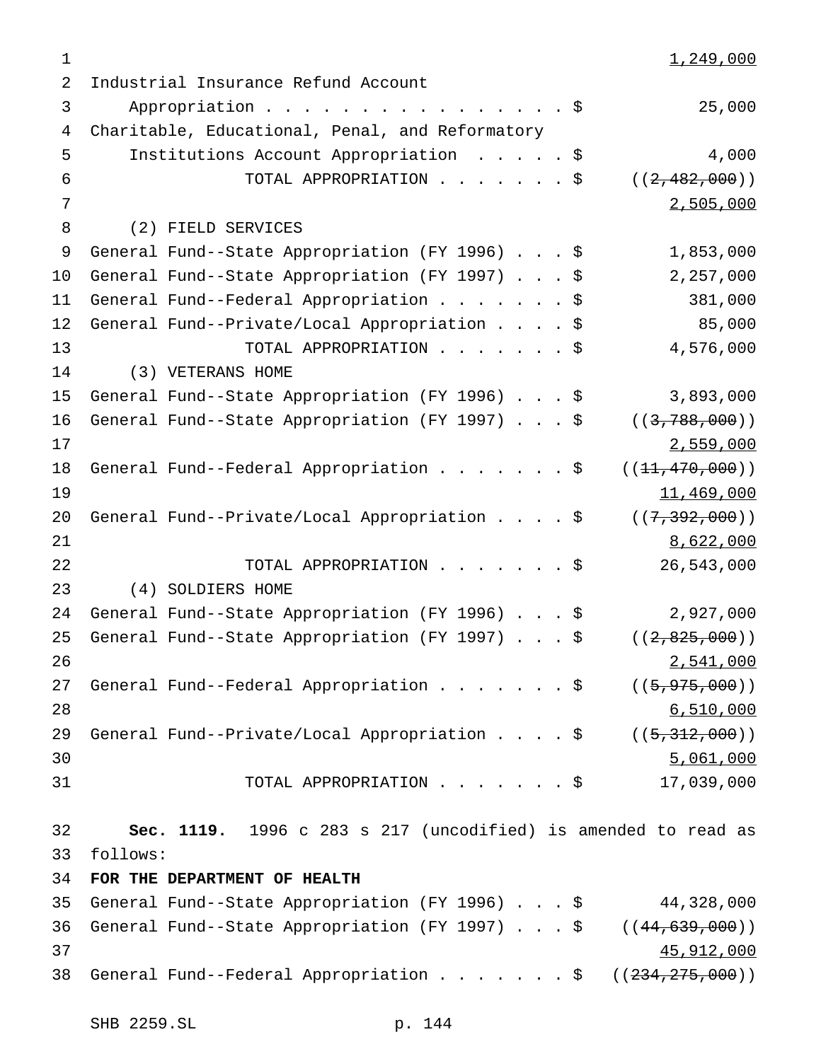$1,249,000$  Industrial Insurance Refund Account 3 Appropriation . . . . . . . . . . . . . . . \$ 25,000 Charitable, Educational, Penal, and Reformatory Institutions Account Appropriation .....\$ 4,000 6 TOTAL APPROPRIATION  $\ldots$ .....\$ ((2,482,000)) 2,505,000 (2) FIELD SERVICES General Fund--State Appropriation (FY 1996)...\$ 1,853,000 General Fund--State Appropriation (FY 1997)...\$ 2,257,000 11 General Fund--Federal Appropriation . . . . . . \$ 381,000 General Fund--Private/Local Appropriation....\$ 85,000 TOTAL APPROPRIATION.......\$ 4,576,000 (3) VETERANS HOME General Fund--State Appropriation (FY 1996)...\$ 3,893,000 16 General Fund--State Appropriation (FY 1997) . . . \$ ((3,788,000)) 2,559,000 18 General Fund--Federal Appropriation . . . . . . \$ ((<del>11,470,000</del>)) 11,469,000 20 General Fund--Private/Local Appropriation . . . \$ ((7,392,000)) 21 8,622,000 TOTAL APPROPRIATION.......\$ 26,543,000 (4) SOLDIERS HOME General Fund--State Appropriation (FY 1996)...\$ 2,927,000 25 General Fund--State Appropriation (FY 1997) . . . \$ ((2,825,000)) 2,541,000 27 General Fund--Federal Appropriation . . . . . . \$ ((5,975,000)) 6,510,000 29 General Fund--Private/Local Appropriation . . . \$ ((5,312,000)) 30 5,061,000 5,061,000 5,061,000 5,061,000 5,061,000 5,061,000 5,061,000 5,061,000 5,061,000 5,061,000 5,000 5,000 5,000 5,000 5,000 5,000 5,000 5,000 5,000 5,000 5,000 5,000 5,000 5,000 5,000 5,000 5,000 5,000 5,000 5,000 TOTAL APPROPRIATION.......\$ 17,039,000 **Sec. 1119.** 1996 c 283 s 217 (uncodified) is amended to read as follows: **FOR THE DEPARTMENT OF HEALTH** General Fund--State Appropriation (FY 1996)...\$ 44,328,000 36 General Fund--State Appropriation (FY 1997) . . . \$ ((44,639,000)) and  $45,912,000$ 38 General Fund--Federal Appropriation . . . . . . \$ ((234,275,000))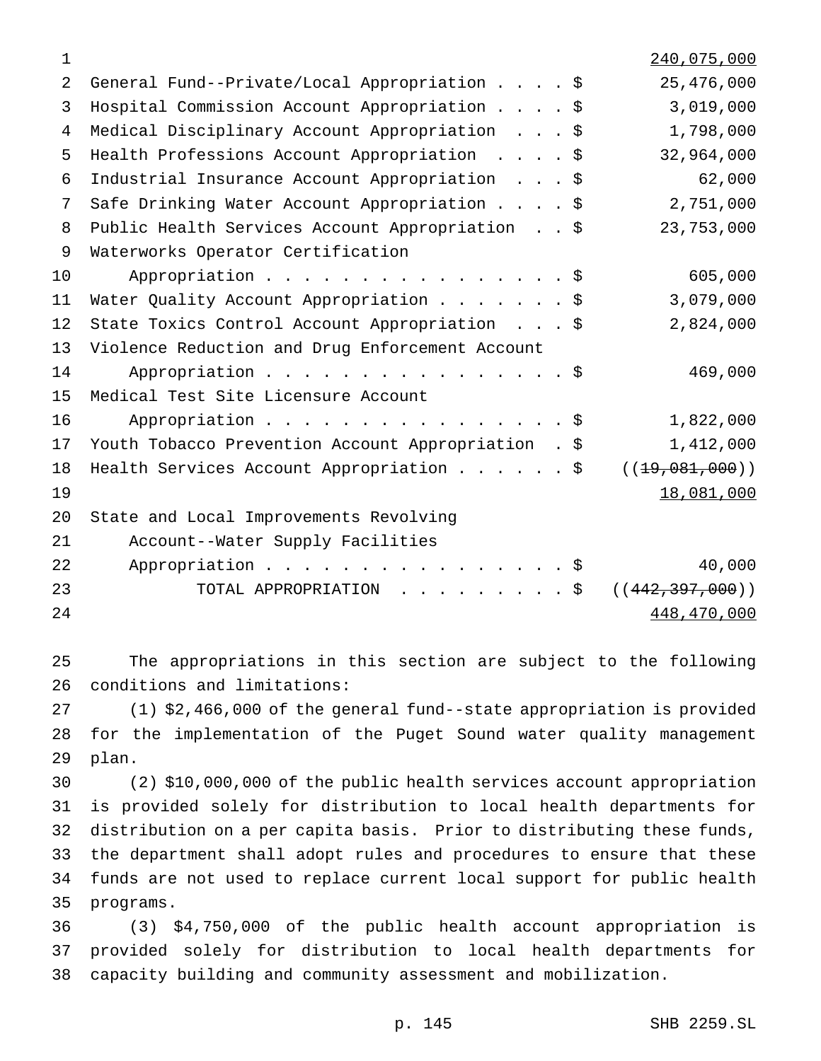| 1  |                                                     |  | 240,075,000       |
|----|-----------------------------------------------------|--|-------------------|
| 2  | General Fund--Private/Local Appropriation \$        |  | 25,476,000        |
| 3  | Hospital Commission Account Appropriation \$        |  | 3,019,000         |
| 4  | Medical Disciplinary Account Appropriation \$       |  | 1,798,000         |
| 5  | Health Professions Account Appropriation \$         |  | 32,964,000        |
| 6  | Industrial Insurance Account Appropriation \$       |  | 62,000            |
| 7  | Safe Drinking Water Account Appropriation \$        |  | 2,751,000         |
| 8  | Public Health Services Account Appropriation \$     |  | 23,753,000        |
| 9  | Waterworks Operator Certification                   |  |                   |
| 10 | Appropriation \$                                    |  | 605,000           |
| 11 | Water Quality Account Appropriation \$              |  | 3,079,000         |
| 12 | State Toxics Control Account Appropriation \$       |  | 2,824,000         |
| 13 | Violence Reduction and Drug Enforcement Account     |  |                   |
| 14 | Appropriation \$                                    |  | 469,000           |
| 15 | Medical Test Site Licensure Account                 |  |                   |
| 16 | Appropriation $\frac{1}{5}$                         |  | 1,822,000         |
| 17 | Youth Tobacco Prevention Account Appropriation . \$ |  | 1,412,000         |
| 18 | Health Services Account Appropriation \$            |  | ((19, 081, 000))  |
| 19 |                                                     |  | 18,081,000        |
| 20 | State and Local Improvements Revolving              |  |                   |
| 21 | Account--Water Supply Facilities                    |  |                   |
| 22 | Appropriation \$                                    |  | 40,000            |
| 23 | TOTAL APPROPRIATION \$                              |  | ((442, 397, 000)) |
| 24 |                                                     |  | 448,470,000       |

 The appropriations in this section are subject to the following conditions and limitations:

 (1) \$2,466,000 of the general fund--state appropriation is provided for the implementation of the Puget Sound water quality management plan.

 (2) \$10,000,000 of the public health services account appropriation is provided solely for distribution to local health departments for distribution on a per capita basis. Prior to distributing these funds, the department shall adopt rules and procedures to ensure that these funds are not used to replace current local support for public health programs.

 (3) \$4,750,000 of the public health account appropriation is provided solely for distribution to local health departments for capacity building and community assessment and mobilization.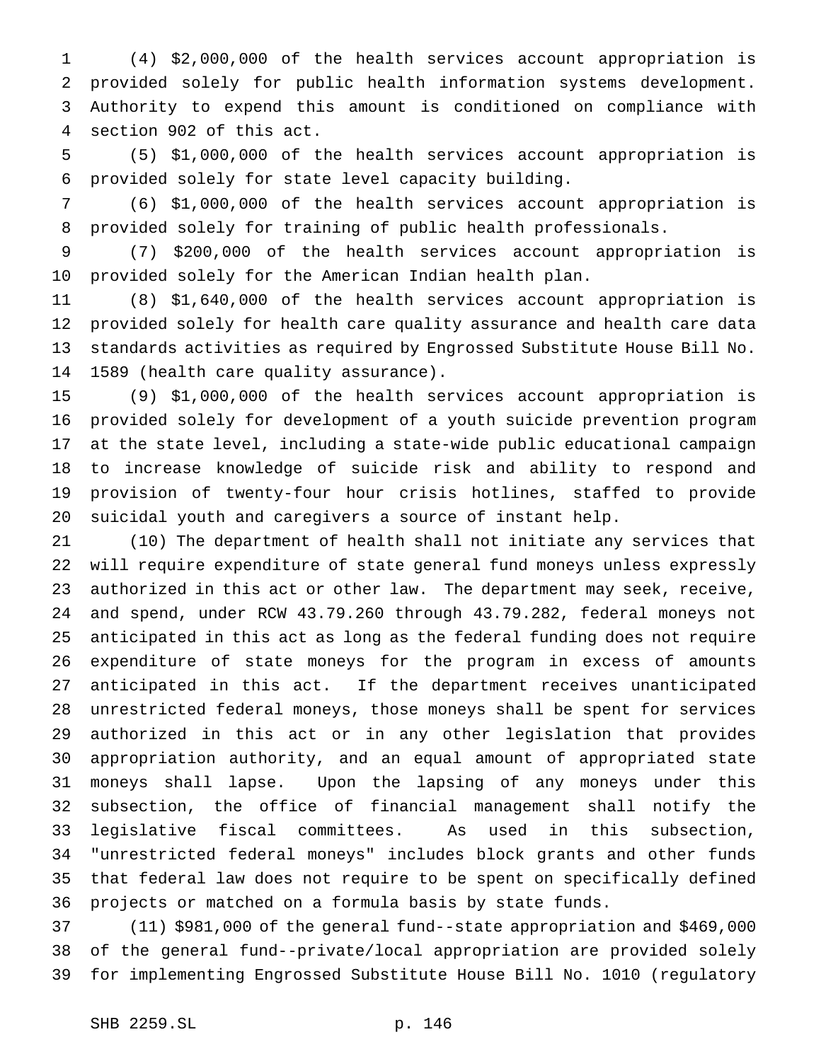(4) \$2,000,000 of the health services account appropriation is provided solely for public health information systems development. Authority to expend this amount is conditioned on compliance with section 902 of this act.

 (5) \$1,000,000 of the health services account appropriation is provided solely for state level capacity building.

 (6) \$1,000,000 of the health services account appropriation is provided solely for training of public health professionals.

 (7) \$200,000 of the health services account appropriation is provided solely for the American Indian health plan.

 (8) \$1,640,000 of the health services account appropriation is provided solely for health care quality assurance and health care data standards activities as required by Engrossed Substitute House Bill No. 1589 (health care quality assurance).

 (9) \$1,000,000 of the health services account appropriation is provided solely for development of a youth suicide prevention program at the state level, including a state-wide public educational campaign to increase knowledge of suicide risk and ability to respond and provision of twenty-four hour crisis hotlines, staffed to provide suicidal youth and caregivers a source of instant help.

 (10) The department of health shall not initiate any services that will require expenditure of state general fund moneys unless expressly authorized in this act or other law. The department may seek, receive, and spend, under RCW 43.79.260 through 43.79.282, federal moneys not anticipated in this act as long as the federal funding does not require expenditure of state moneys for the program in excess of amounts anticipated in this act. If the department receives unanticipated unrestricted federal moneys, those moneys shall be spent for services authorized in this act or in any other legislation that provides appropriation authority, and an equal amount of appropriated state moneys shall lapse. Upon the lapsing of any moneys under this subsection, the office of financial management shall notify the legislative fiscal committees. As used in this subsection, "unrestricted federal moneys" includes block grants and other funds that federal law does not require to be spent on specifically defined projects or matched on a formula basis by state funds.

 (11) \$981,000 of the general fund--state appropriation and \$469,000 of the general fund--private/local appropriation are provided solely for implementing Engrossed Substitute House Bill No. 1010 (regulatory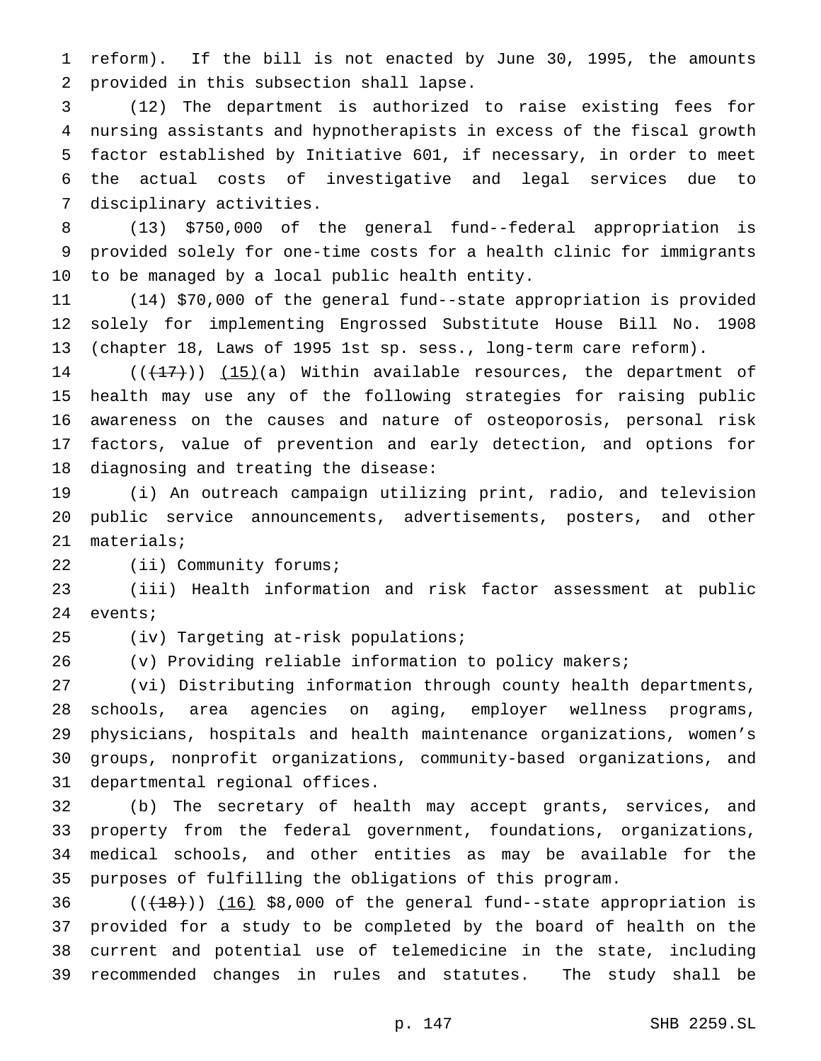reform). If the bill is not enacted by June 30, 1995, the amounts provided in this subsection shall lapse.

 (12) The department is authorized to raise existing fees for nursing assistants and hypnotherapists in excess of the fiscal growth factor established by Initiative 601, if necessary, in order to meet the actual costs of investigative and legal services due to disciplinary activities.

 (13) \$750,000 of the general fund--federal appropriation is provided solely for one-time costs for a health clinic for immigrants to be managed by a local public health entity.

 (14) \$70,000 of the general fund--state appropriation is provided solely for implementing Engrossed Substitute House Bill No. 1908 (chapter 18, Laws of 1995 1st sp. sess., long-term care reform).

 $((+17))$   $(15)(a)$  Within available resources, the department of health may use any of the following strategies for raising public awareness on the causes and nature of osteoporosis, personal risk factors, value of prevention and early detection, and options for diagnosing and treating the disease:

 (i) An outreach campaign utilizing print, radio, and television public service announcements, advertisements, posters, and other materials;

(ii) Community forums;

 (iii) Health information and risk factor assessment at public events;

(iv) Targeting at-risk populations;

(v) Providing reliable information to policy makers;

 (vi) Distributing information through county health departments, schools, area agencies on aging, employer wellness programs, physicians, hospitals and health maintenance organizations, women's groups, nonprofit organizations, community-based organizations, and departmental regional offices.

 (b) The secretary of health may accept grants, services, and property from the federal government, foundations, organizations, medical schools, and other entities as may be available for the purposes of fulfilling the obligations of this program.

 ( $(\overline{+18})$ )  $(16)$  \$8,000 of the general fund--state appropriation is provided for a study to be completed by the board of health on the current and potential use of telemedicine in the state, including recommended changes in rules and statutes. The study shall be

p. 147 SHB 2259.SL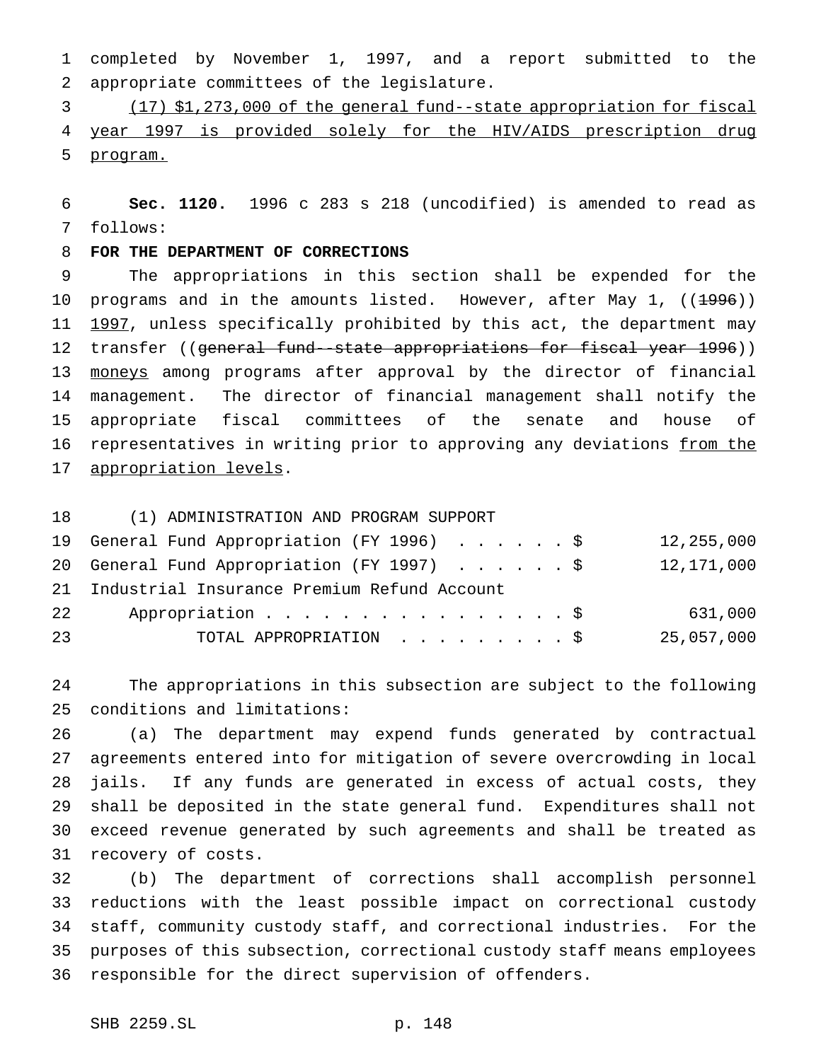completed by November 1, 1997, and a report submitted to the appropriate committees of the legislature.

 (17) \$1,273,000 of the general fund--state appropriation for fiscal year 1997 is provided solely for the HIV/AIDS prescription drug program.

 **Sec. 1120.** 1996 c 283 s 218 (uncodified) is amended to read as follows:

# **FOR THE DEPARTMENT OF CORRECTIONS**

 The appropriations in this section shall be expended for the 10 programs and in the amounts listed. However, after May 1, ((<del>1996</del>)) 11 1997, unless specifically prohibited by this act, the department may 12 transfer ((general fund-state appropriations for fiscal year 1996)) 13 moneys among programs after approval by the director of financial management. The director of financial management shall notify the appropriate fiscal committees of the senate and house of 16 representatives in writing prior to approving any deviations from the 17 appropriation levels.

(1) ADMINISTRATION AND PROGRAM SUPPORT

|    | 19 General Fund Appropriation (FY 1996) \$     | 12,255,000 |
|----|------------------------------------------------|------------|
|    | 20 General Fund Appropriation (FY 1997) \$     | 12,171,000 |
|    | 21 Industrial Insurance Premium Refund Account |            |
| 22 | Appropriation $\frac{1}{5}$                    | 631,000    |
| 23 | TOTAL APPROPRIATION \$                         | 25,057,000 |

 The appropriations in this subsection are subject to the following conditions and limitations:

 (a) The department may expend funds generated by contractual agreements entered into for mitigation of severe overcrowding in local jails. If any funds are generated in excess of actual costs, they shall be deposited in the state general fund. Expenditures shall not exceed revenue generated by such agreements and shall be treated as recovery of costs.

 (b) The department of corrections shall accomplish personnel reductions with the least possible impact on correctional custody staff, community custody staff, and correctional industries. For the purposes of this subsection, correctional custody staff means employees responsible for the direct supervision of offenders.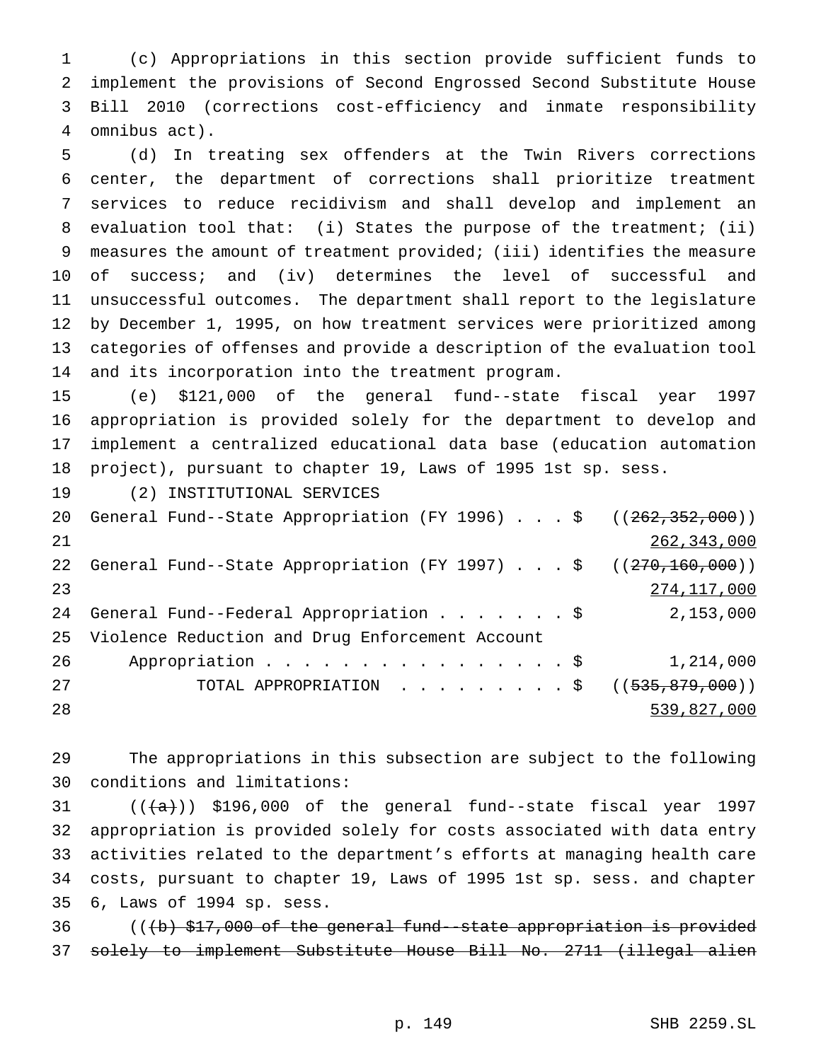(c) Appropriations in this section provide sufficient funds to implement the provisions of Second Engrossed Second Substitute House Bill 2010 (corrections cost-efficiency and inmate responsibility omnibus act).

 (d) In treating sex offenders at the Twin Rivers corrections center, the department of corrections shall prioritize treatment services to reduce recidivism and shall develop and implement an evaluation tool that: (i) States the purpose of the treatment; (ii) measures the amount of treatment provided; (iii) identifies the measure of success; and (iv) determines the level of successful and unsuccessful outcomes. The department shall report to the legislature by December 1, 1995, on how treatment services were prioritized among categories of offenses and provide a description of the evaluation tool and its incorporation into the treatment program.

 (e) \$121,000 of the general fund--state fiscal year 1997 appropriation is provided solely for the department to develop and implement a centralized educational data base (education automation project), pursuant to chapter 19, Laws of 1995 1st sp. sess.

(2) INSTITUTIONAL SERVICES

|    | 20 General Fund--State Appropriation (FY 1996) \$ ((262,352,000)) |               |
|----|-------------------------------------------------------------------|---------------|
| 21 |                                                                   | 262, 343, 000 |
|    | 22 General Fund--State Appropriation (FY 1997) \$ ((270,160,000)) |               |
| 23 |                                                                   | 274,117,000   |
|    |                                                                   | 2,153,000     |
|    | 25 Violence Reduction and Drug Enforcement Account                |               |
| 26 | Appropriation $\frac{1}{5}$                                       | 1,214,000     |
| 27 | TOTAL APPROPRIATION ( $(535, 879, 000)$ )                         |               |
| 28 |                                                                   | 539,827,000   |
|    |                                                                   |               |

 The appropriations in this subsection are subject to the following conditions and limitations:

 $((+a))$  \$196,000 of the general fund--state fiscal year 1997 appropriation is provided solely for costs associated with data entry activities related to the department's efforts at managing health care costs, pursuant to chapter 19, Laws of 1995 1st sp. sess. and chapter 6, Laws of 1994 sp. sess.

36 (((b) \$17,000 of the general fund--state appropriation is provided solely to implement Substitute House Bill No. 2711 (illegal alien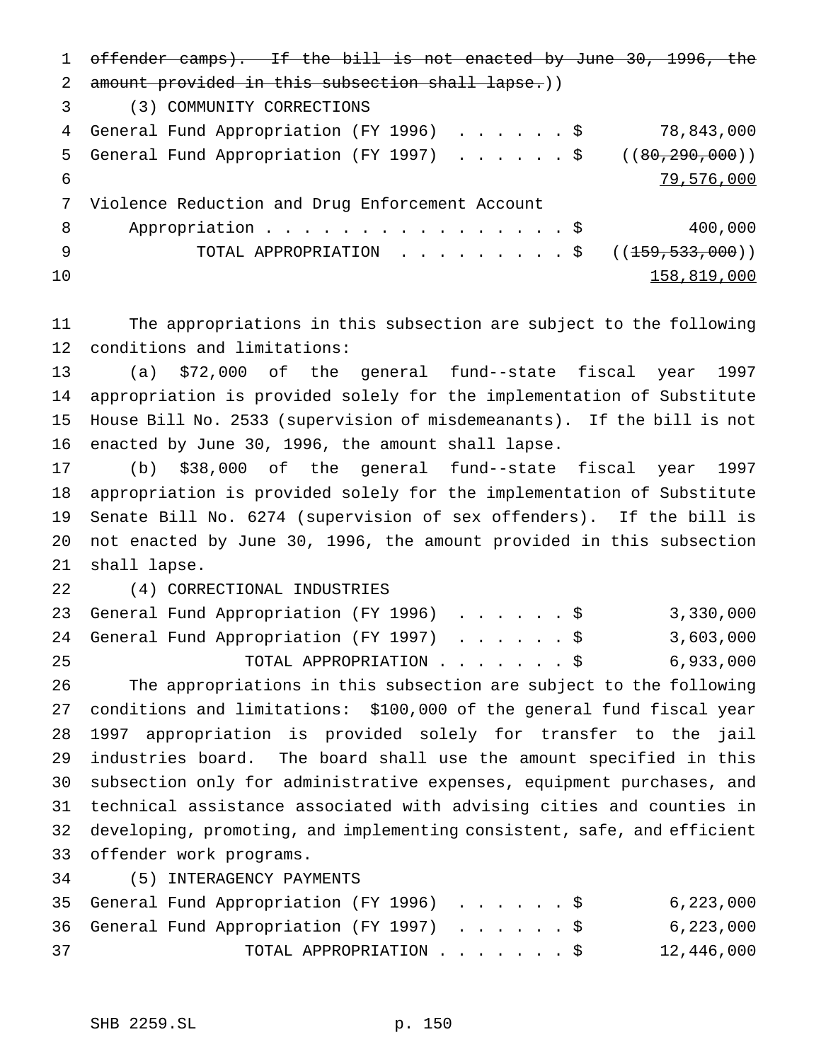offender camps). If the bill is not enacted by June 30, 1996, the 2 amount provided in this subsection shall lapse.)) (3) COMMUNITY CORRECTIONS General Fund Appropriation (FY 1996) ......\$ 78,843,000 5 General Fund Appropriation (FY 1997) . . . . . \$ ((80,290,000)) 79,576,000 Violence Reduction and Drug Enforcement Account 8 Appropriation . . . . . . . . . . . . . . . \$ 400,000 9 TOTAL APPROPRIATION . . . . . . . . \$ ((<del>159,533,000</del>))  $158,819,000$ 

 The appropriations in this subsection are subject to the following conditions and limitations:

 (a) \$72,000 of the general fund--state fiscal year 1997 appropriation is provided solely for the implementation of Substitute House Bill No. 2533 (supervision of misdemeanants). If the bill is not enacted by June 30, 1996, the amount shall lapse.

 (b) \$38,000 of the general fund--state fiscal year 1997 appropriation is provided solely for the implementation of Substitute Senate Bill No. 6274 (supervision of sex offenders). If the bill is not enacted by June 30, 1996, the amount provided in this subsection shall lapse.

(4) CORRECTIONAL INDUSTRIES

23 General Fund Appropriation (FY 1996) . . . . . . \$ 3,330,000 24 General Fund Appropriation (FY 1997) . . . . . \$ 3,603,000 TOTAL APPROPRIATION.......\$ 6,933,000 The appropriations in this subsection are subject to the following conditions and limitations: \$100,000 of the general fund fiscal year 1997 appropriation is provided solely for transfer to the jail industries board. The board shall use the amount specified in this subsection only for administrative expenses, equipment purchases, and technical assistance associated with advising cities and counties in developing, promoting, and implementing consistent, safe, and efficient offender work programs.

(5) INTERAGENCY PAYMENTS

|    |  | 35 General Fund Appropriation (FY 1996) \$ |  |  |  |  | 6,223,000  |
|----|--|--------------------------------------------|--|--|--|--|------------|
|    |  | 36 General Fund Appropriation (FY 1997) \$ |  |  |  |  | 6,223,000  |
| 37 |  | TOTAL APPROPRIATION \$                     |  |  |  |  | 12,446,000 |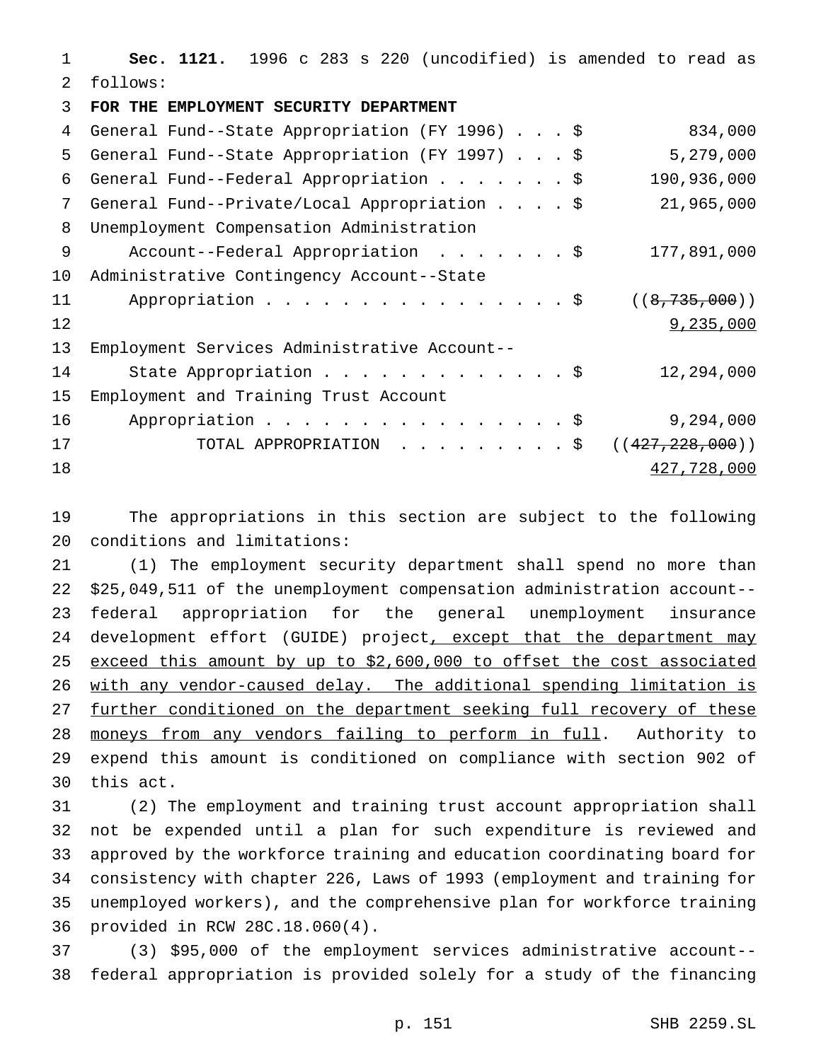**Sec. 1121.** 1996 c 283 s 220 (uncodified) is amended to read as follows:

**FOR THE EMPLOYMENT SECURITY DEPARTMENT**

| 4  | General Fund--State Appropriation (FY 1996) \$ | 834,000           |
|----|------------------------------------------------|-------------------|
| 5  | General Fund--State Appropriation (FY 1997) \$ | 5,279,000         |
| 6  | General Fund--Federal Appropriation \$         | 190,936,000       |
| 7  | General Fund--Private/Local Appropriation \$   | 21,965,000        |
| 8  | Unemployment Compensation Administration       |                   |
| 9  | Account--Federal Appropriation \$              | 177,891,000       |
| 10 | Administrative Contingency Account--State      |                   |
| 11 | Appropriation \$                               | ((8, 735, 000))   |
| 12 |                                                | 9,235,000         |
| 13 | Employment Services Administrative Account--   |                   |
| 14 | State Appropriation \$                         | 12,294,000        |
| 15 | Employment and Training Trust Account          |                   |
| 16 | Appropriation \$                               | 9,294,000         |
| 17 | TOTAL APPROPRIATION \$                         | ((427, 228, 000)) |
| 18 |                                                | 427,728,000       |

 The appropriations in this section are subject to the following conditions and limitations:

 (1) The employment security department shall spend no more than \$25,049,511 of the unemployment compensation administration account-- federal appropriation for the general unemployment insurance 24 development effort (GUIDE) project, except that the department may exceed this amount by up to \$2,600,000 to offset the cost associated with any vendor-caused delay. The additional spending limitation is further conditioned on the department seeking full recovery of these 28 moneys from any vendors failing to perform in full. Authority to expend this amount is conditioned on compliance with section 902 of this act.

 (2) The employment and training trust account appropriation shall not be expended until a plan for such expenditure is reviewed and approved by the workforce training and education coordinating board for consistency with chapter 226, Laws of 1993 (employment and training for unemployed workers), and the comprehensive plan for workforce training provided in RCW 28C.18.060(4).

 (3) \$95,000 of the employment services administrative account-- federal appropriation is provided solely for a study of the financing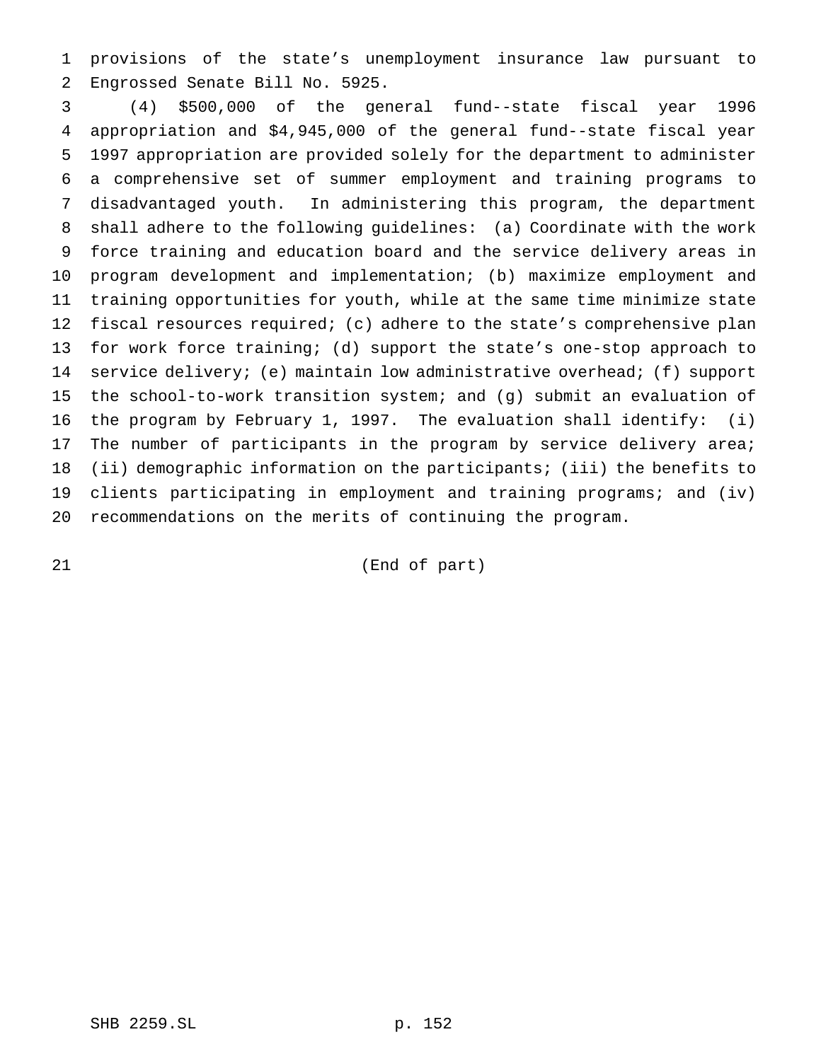provisions of the state's unemployment insurance law pursuant to Engrossed Senate Bill No. 5925.

 (4) \$500,000 of the general fund--state fiscal year 1996 appropriation and \$4,945,000 of the general fund--state fiscal year 1997 appropriation are provided solely for the department to administer a comprehensive set of summer employment and training programs to disadvantaged youth. In administering this program, the department shall adhere to the following guidelines: (a) Coordinate with the work force training and education board and the service delivery areas in program development and implementation; (b) maximize employment and training opportunities for youth, while at the same time minimize state fiscal resources required; (c) adhere to the state's comprehensive plan for work force training; (d) support the state's one-stop approach to 14 service delivery; (e) maintain low administrative overhead; (f) support the school-to-work transition system; and (g) submit an evaluation of the program by February 1, 1997. The evaluation shall identify: (i) 17 The number of participants in the program by service delivery area; (ii) demographic information on the participants; (iii) the benefits to clients participating in employment and training programs; and (iv) recommendations on the merits of continuing the program.

(End of part)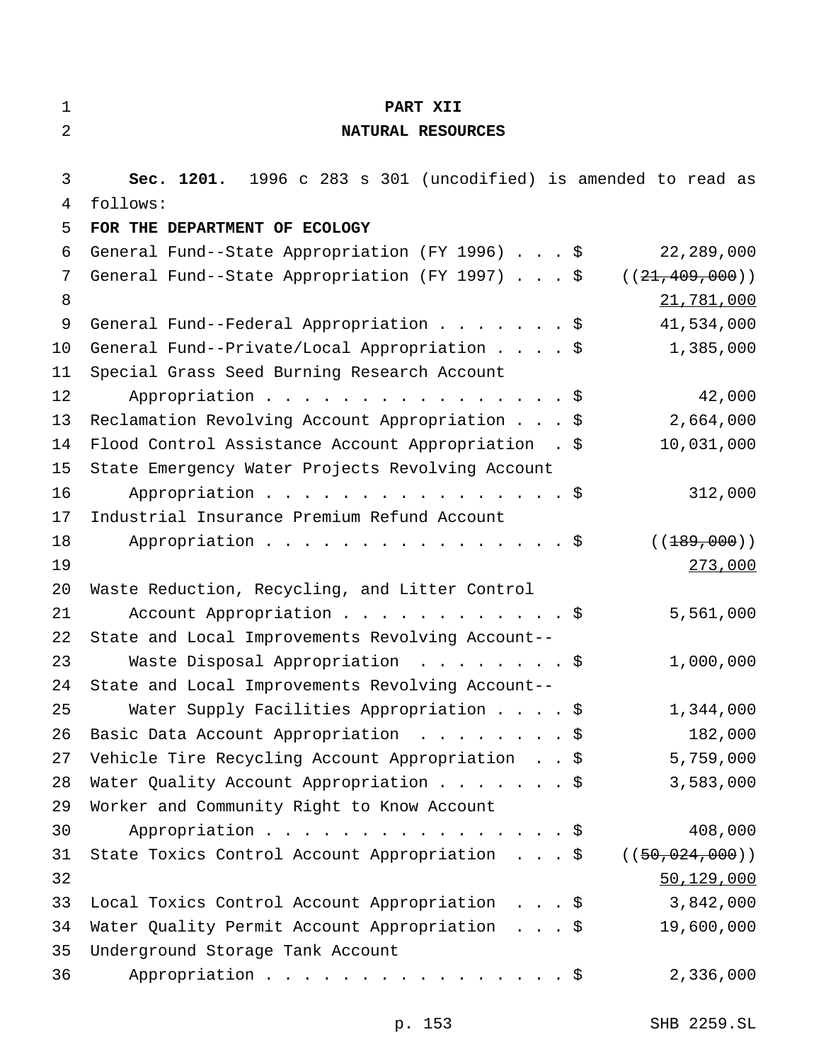| $\mathbf{1}$ | PART XII                                                           |
|--------------|--------------------------------------------------------------------|
| 2            | NATURAL RESOURCES                                                  |
|              |                                                                    |
| 3            | Sec. 1201. 1996 c 283 s 301 (uncodified) is amended to read as     |
| 4            | follows:                                                           |
| 5            | FOR THE DEPARTMENT OF ECOLOGY                                      |
| 6            | General Fund--State Appropriation (FY 1996) \$<br>22,289,000       |
| 7            | General Fund--State Appropriation (FY 1997) \$<br>((21, 409, 000)) |
| 8            | 21,781,000                                                         |
| 9            | General Fund--Federal Appropriation \$<br>41,534,000               |
| 10           | General Fund--Private/Local Appropriation \$<br>1,385,000          |
| 11           | Special Grass Seed Burning Research Account                        |
| 12           | 42,000<br>Appropriation $\frac{1}{5}$                              |
| 13           | 2,664,000<br>Reclamation Revolving Account Appropriation \$        |
| 14           | 10,031,000<br>Flood Control Assistance Account Appropriation . \$  |
| 15           | State Emergency Water Projects Revolving Account                   |
| 16           | Appropriation \$<br>312,000                                        |
| 17           | Industrial Insurance Premium Refund Account                        |
| 18           | ( (189,000))<br>Appropriation $\frac{1}{5}$                        |
| 19           | 273,000                                                            |
| 20           | Waste Reduction, Recycling, and Litter Control                     |
| 21           | Account Appropriation \$<br>5,561,000                              |
| 22           | State and Local Improvements Revolving Account--                   |
| 23           | Waste Disposal Appropriation \$<br>1,000,000                       |
| 24           | State and Local Improvements Revolving Account--                   |
| 25           | Water Supply Facilities Appropriation \$<br>1,344,000              |
| 26           | 182,000<br>Basic Data Account Appropriation \$                     |
| 27           | 5,759,000<br>Vehicle Tire Recycling Account Appropriation \$       |
| 28           | Water Quality Account Appropriation \$<br>3,583,000                |
| 29           | Worker and Community Right to Know Account                         |
| 30           | 408,000<br>Appropriation \$                                        |
| 31           | State Toxics Control Account Appropriation \$<br>((50, 024, 000))  |
| 32           | 50, 129, 000                                                       |
| 33           | 3,842,000<br>Local Toxics Control Account Appropriation \$         |
| 34           | Water Quality Permit Account Appropriation \$<br>19,600,000        |
| 35           | Underground Storage Tank Account                                   |
| 36           | Appropriation \$<br>2,336,000                                      |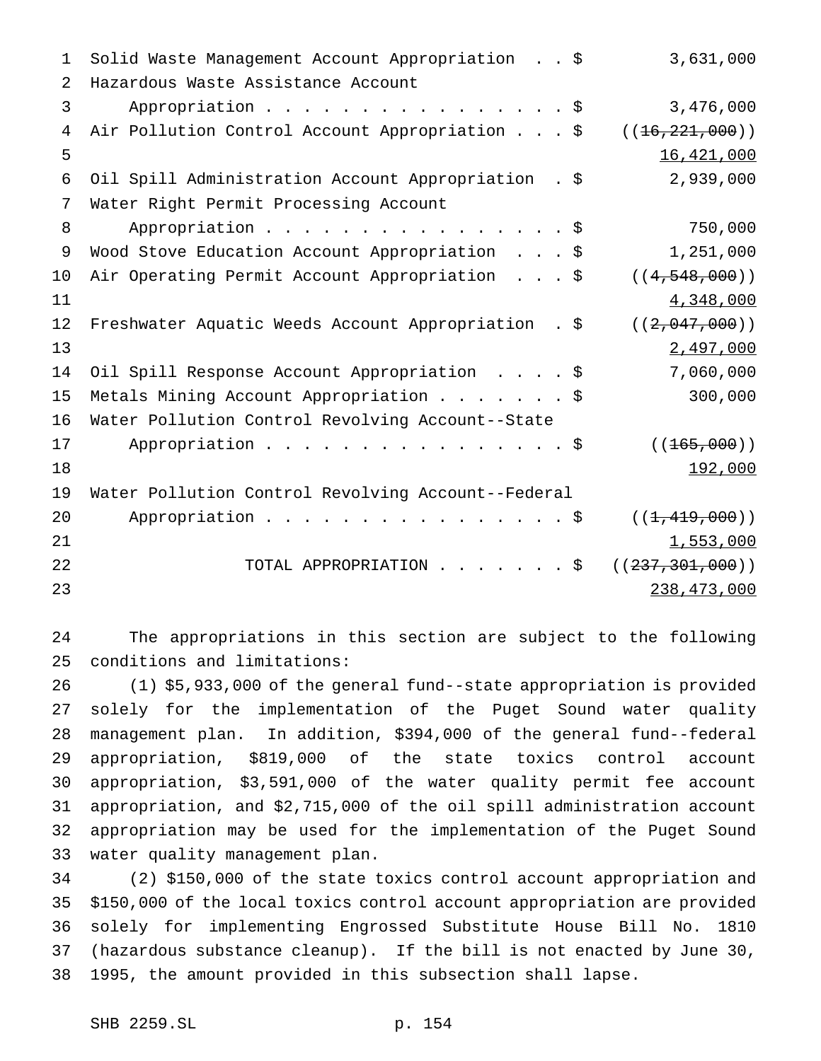1 Solid Waste Management Account Appropriation . . \$ 3,631,000 Hazardous Waste Assistance Account 3 Appropriation . . . . . . . . . . . . . . . \$ 3,476,000 4 Air Pollution Control Account Appropriation . . . \$ ((16,221,000))  $16,421,000$  Oil Spill Administration Account Appropriation . \$ 2,939,000 Water Right Permit Processing Account 8 Appropriation . . . . . . . . . . . . . . . \$ 750,000 9 Wood Stove Education Account Appropriation . . . \$ 1,251,000 10 Air Operating Permit Account Appropriation . . . \$ ((4,548,000)) 4,348,000 12 Freshwater Aquatic Weeds Account Appropriation . \$ ((2,047,000)) 2,497,000 Oil Spill Response Account Appropriation ....\$ 7,060,000 Metals Mining Account Appropriation.......\$ 300,000 Water Pollution Control Revolving Account--State 17 Appropriation . . . . . . . . . . . . . . \$ ((<del>165,000</del>)) 18 18 192,000 Water Pollution Control Revolving Account--Federal 20 Appropriation . . . . . . . . . . . . . . \$ ((<del>1,419,000</del>)) 21  $\frac{1,553,000}{1}$ 22 TOTAL APPROPRIATION . . . . . . \$ ((<del>237,301,000</del>)) 238,473,000

 The appropriations in this section are subject to the following conditions and limitations:

 (1) \$5,933,000 of the general fund--state appropriation is provided solely for the implementation of the Puget Sound water quality management plan. In addition, \$394,000 of the general fund--federal appropriation, \$819,000 of the state toxics control account appropriation, \$3,591,000 of the water quality permit fee account appropriation, and \$2,715,000 of the oil spill administration account appropriation may be used for the implementation of the Puget Sound water quality management plan.

 (2) \$150,000 of the state toxics control account appropriation and \$150,000 of the local toxics control account appropriation are provided solely for implementing Engrossed Substitute House Bill No. 1810 (hazardous substance cleanup). If the bill is not enacted by June 30, 1995, the amount provided in this subsection shall lapse.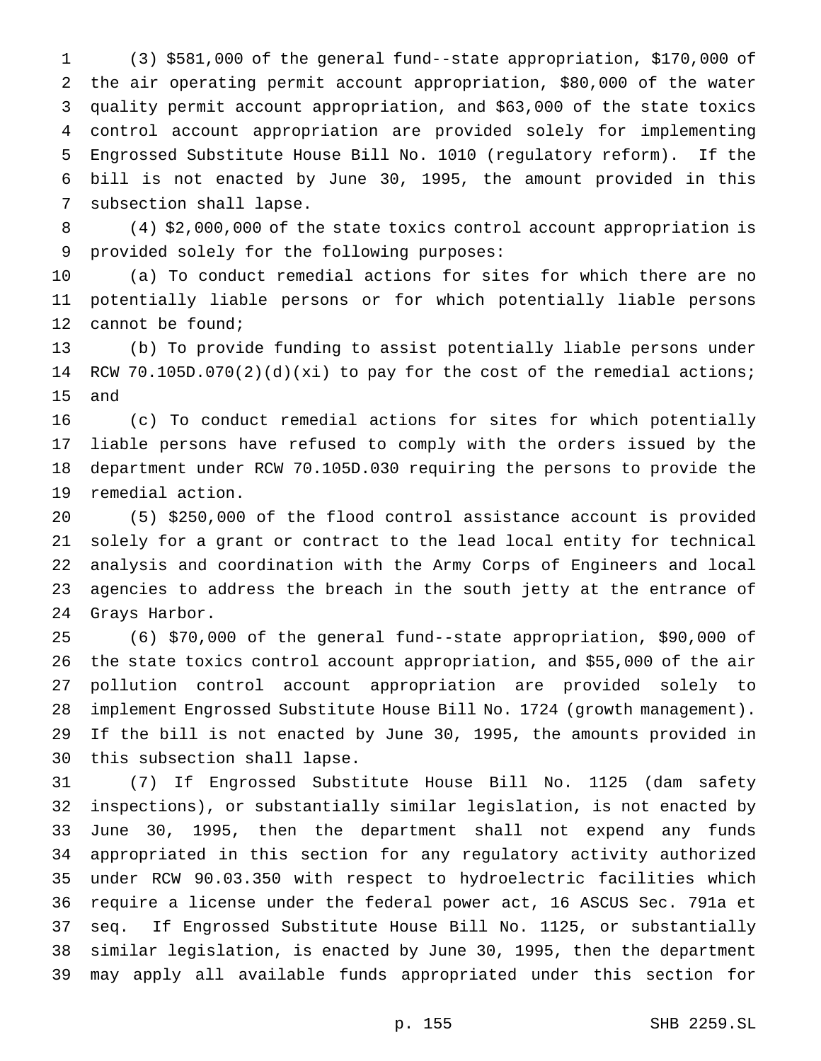(3) \$581,000 of the general fund--state appropriation, \$170,000 of the air operating permit account appropriation, \$80,000 of the water quality permit account appropriation, and \$63,000 of the state toxics control account appropriation are provided solely for implementing Engrossed Substitute House Bill No. 1010 (regulatory reform). If the bill is not enacted by June 30, 1995, the amount provided in this subsection shall lapse.

 (4) \$2,000,000 of the state toxics control account appropriation is provided solely for the following purposes:

 (a) To conduct remedial actions for sites for which there are no potentially liable persons or for which potentially liable persons cannot be found;

 (b) To provide funding to assist potentially liable persons under RCW 70.105D.070(2)(d)(xi) to pay for the cost of the remedial actions; and

 (c) To conduct remedial actions for sites for which potentially liable persons have refused to comply with the orders issued by the department under RCW 70.105D.030 requiring the persons to provide the remedial action.

 (5) \$250,000 of the flood control assistance account is provided solely for a grant or contract to the lead local entity for technical analysis and coordination with the Army Corps of Engineers and local agencies to address the breach in the south jetty at the entrance of Grays Harbor.

 (6) \$70,000 of the general fund--state appropriation, \$90,000 of the state toxics control account appropriation, and \$55,000 of the air pollution control account appropriation are provided solely to implement Engrossed Substitute House Bill No. 1724 (growth management). If the bill is not enacted by June 30, 1995, the amounts provided in this subsection shall lapse.

 (7) If Engrossed Substitute House Bill No. 1125 (dam safety inspections), or substantially similar legislation, is not enacted by June 30, 1995, then the department shall not expend any funds appropriated in this section for any regulatory activity authorized under RCW 90.03.350 with respect to hydroelectric facilities which require a license under the federal power act, 16 ASCUS Sec. 791a et seq. If Engrossed Substitute House Bill No. 1125, or substantially similar legislation, is enacted by June 30, 1995, then the department may apply all available funds appropriated under this section for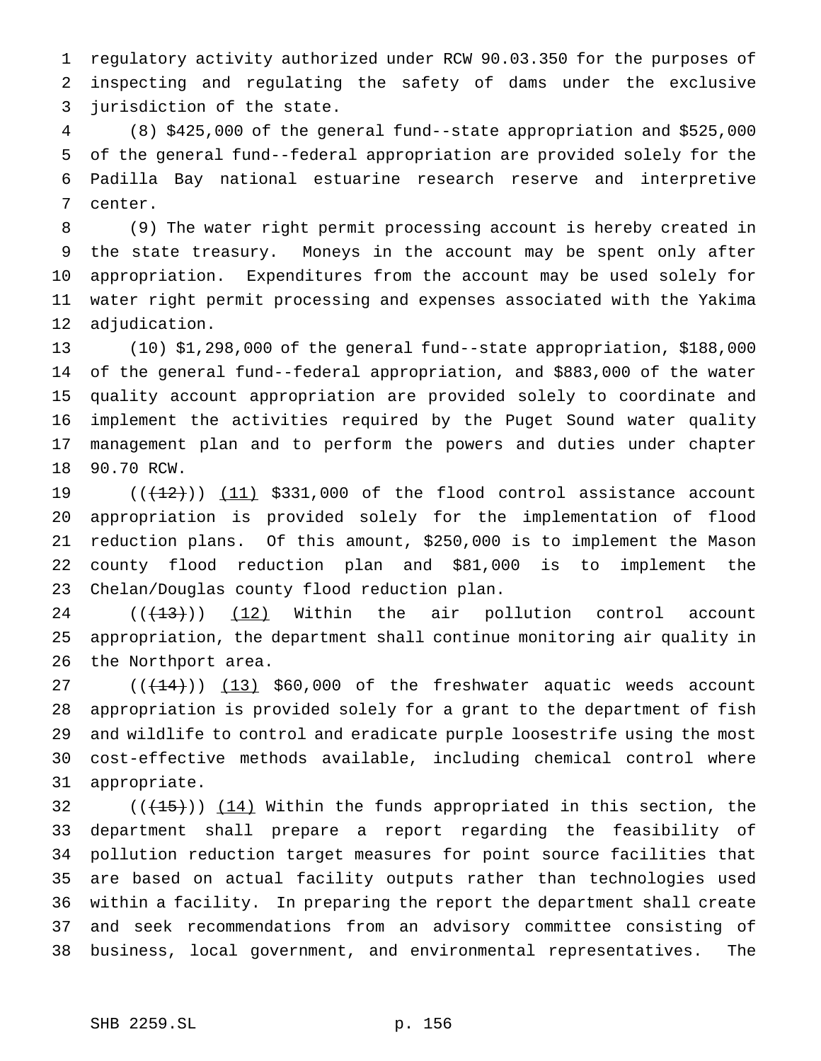regulatory activity authorized under RCW 90.03.350 for the purposes of inspecting and regulating the safety of dams under the exclusive jurisdiction of the state.

 (8) \$425,000 of the general fund--state appropriation and \$525,000 of the general fund--federal appropriation are provided solely for the Padilla Bay national estuarine research reserve and interpretive center.

 (9) The water right permit processing account is hereby created in the state treasury. Moneys in the account may be spent only after appropriation. Expenditures from the account may be used solely for water right permit processing and expenses associated with the Yakima adjudication.

 (10) \$1,298,000 of the general fund--state appropriation, \$188,000 of the general fund--federal appropriation, and \$883,000 of the water quality account appropriation are provided solely to coordinate and implement the activities required by the Puget Sound water quality management plan and to perform the powers and duties under chapter 90.70 RCW.

 $((+12))$   $(11)$  \$331,000 of the flood control assistance account appropriation is provided solely for the implementation of flood reduction plans. Of this amount, \$250,000 is to implement the Mason county flood reduction plan and \$81,000 is to implement the Chelan/Douglas county flood reduction plan.

 $((+13))$   $(12)$  Within the air pollution control account appropriation, the department shall continue monitoring air quality in the Northport area.

 ( $(\frac{14}{14})$ )  $(13)$  \$60,000 of the freshwater aquatic weeds account appropriation is provided solely for a grant to the department of fish and wildlife to control and eradicate purple loosestrife using the most cost-effective methods available, including chemical control where appropriate.

 $((+15))$   $(14)$  Within the funds appropriated in this section, the department shall prepare a report regarding the feasibility of pollution reduction target measures for point source facilities that are based on actual facility outputs rather than technologies used within a facility. In preparing the report the department shall create and seek recommendations from an advisory committee consisting of business, local government, and environmental representatives. The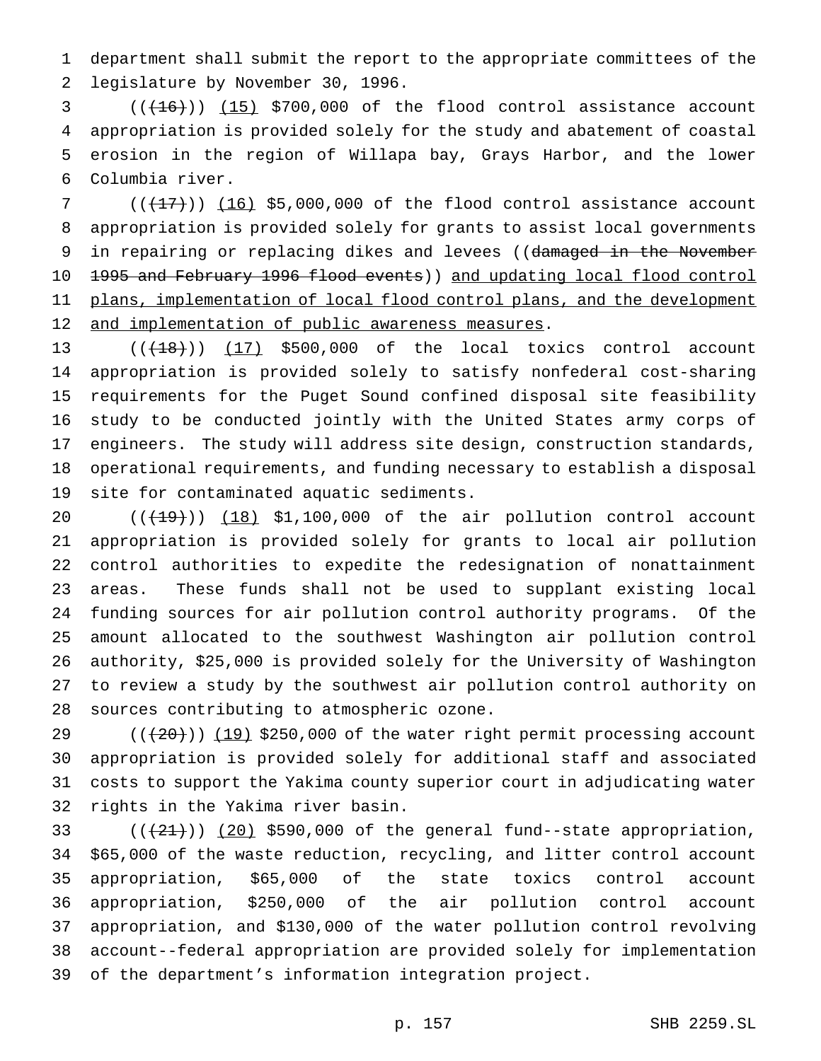department shall submit the report to the appropriate committees of the legislature by November 30, 1996.

  $((+16))$   $(15)$  \$700,000 of the flood control assistance account appropriation is provided solely for the study and abatement of coastal erosion in the region of Willapa bay, Grays Harbor, and the lower Columbia river.

7  $((+17))$   $(16)$  \$5,000,000 of the flood control assistance account appropriation is provided solely for grants to assist local governments 9 in repairing or replacing dikes and levees ((damaged in the November 1995 and February 1996 flood events)) and updating local flood control 11 plans, implementation of local flood control plans, and the development 12 and implementation of public awareness measures.

 $((+18))$   $(17)$  \$500,000 of the local toxics control account appropriation is provided solely to satisfy nonfederal cost-sharing requirements for the Puget Sound confined disposal site feasibility study to be conducted jointly with the United States army corps of engineers. The study will address site design, construction standards, operational requirements, and funding necessary to establish a disposal site for contaminated aquatic sediments.

 $((+19))$   $(18)$  \$1,100,000 of the air pollution control account appropriation is provided solely for grants to local air pollution control authorities to expedite the redesignation of nonattainment areas. These funds shall not be used to supplant existing local funding sources for air pollution control authority programs. Of the amount allocated to the southwest Washington air pollution control authority, \$25,000 is provided solely for the University of Washington to review a study by the southwest air pollution control authority on sources contributing to atmospheric ozone.

 $((+20))$   $(19)$  \$250,000 of the water right permit processing account appropriation is provided solely for additional staff and associated costs to support the Yakima county superior court in adjudicating water rights in the Yakima river basin.

 $((+21))$   $(20)$  \$590,000 of the general fund--state appropriation, \$65,000 of the waste reduction, recycling, and litter control account appropriation, \$65,000 of the state toxics control account appropriation, \$250,000 of the air pollution control account appropriation, and \$130,000 of the water pollution control revolving account--federal appropriation are provided solely for implementation of the department's information integration project.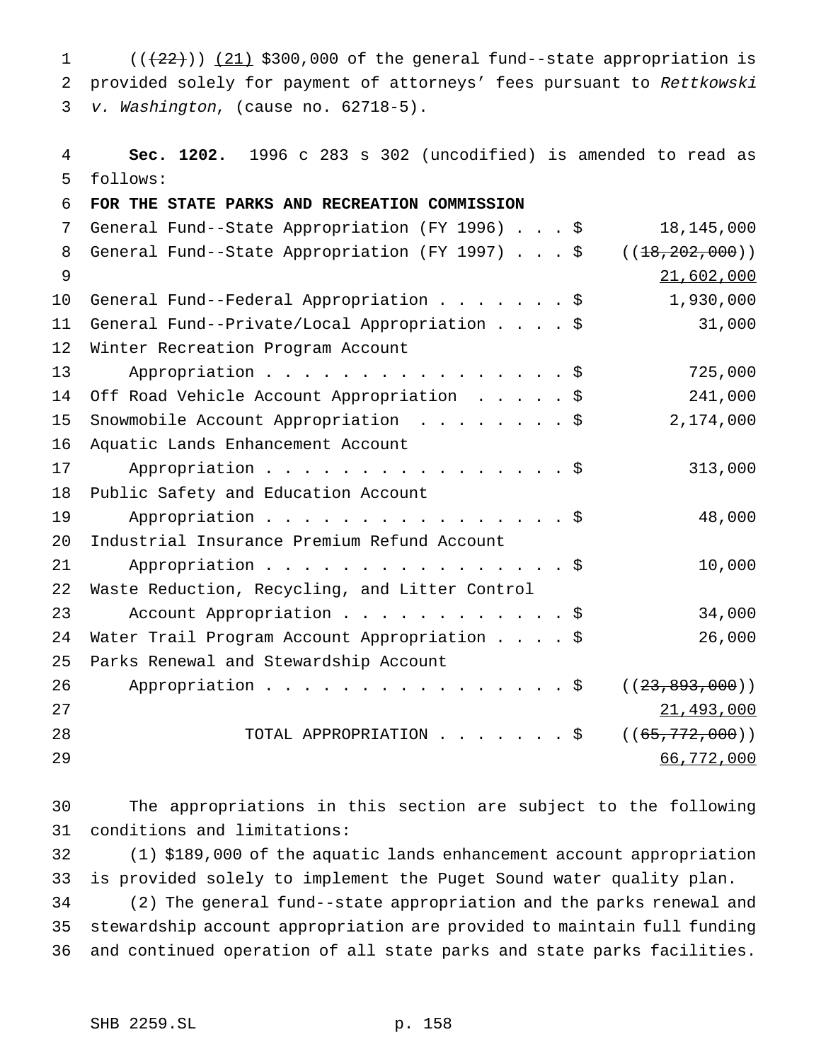1  $((+22))$   $(21)$  \$300,000 of the general fund--state appropriation is provided solely for payment of attorneys' fees pursuant to Rettkowski v. Washington, (cause no. 62718-5).

 **Sec. 1202.** 1996 c 283 s 302 (uncodified) is amended to read as follows:

 **FOR THE STATE PARKS AND RECREATION COMMISSION** General Fund--State Appropriation (FY 1996)...\$ 18,145,000 8 General Fund--State Appropriation (FY 1997) . . . \$ ((18,202,000)) 21,602,000 General Fund--Federal Appropriation.......\$ 1,930,000 General Fund--Private/Local Appropriation....\$ 31,000 Winter Recreation Program Account 13 Appropriation . . . . . . . . . . . . . . \$ 725,000 Off Road Vehicle Account Appropriation .....\$ 241,000 Snowmobile Account Appropriation ........\$ 2,174,000 Aquatic Lands Enhancement Account 17 Appropriation . . . . . . . . . . . . . . . \$ 313,000 Public Safety and Education Account Appropriation................\$ 48,000 Industrial Insurance Premium Refund Account 21 Appropriation . . . . . . . . . . . . . . . \$ 10,000 Waste Reduction, Recycling, and Litter Control 23 Account Appropriation . . . . . . . . . . . \$ 34,000 Water Trail Program Account Appropriation....\$ 26,000 Parks Renewal and Stewardship Account 26 Appropriation . . . . . . . . . . . . . . \$ ((<del>23,893,000</del>)) 27 28 TOTAL APPROPRIATION . . . . . . \$ ((<del>65,772,000</del>)) 66,772,000

 The appropriations in this section are subject to the following conditions and limitations:

 (1) \$189,000 of the aquatic lands enhancement account appropriation is provided solely to implement the Puget Sound water quality plan.

 (2) The general fund--state appropriation and the parks renewal and stewardship account appropriation are provided to maintain full funding and continued operation of all state parks and state parks facilities.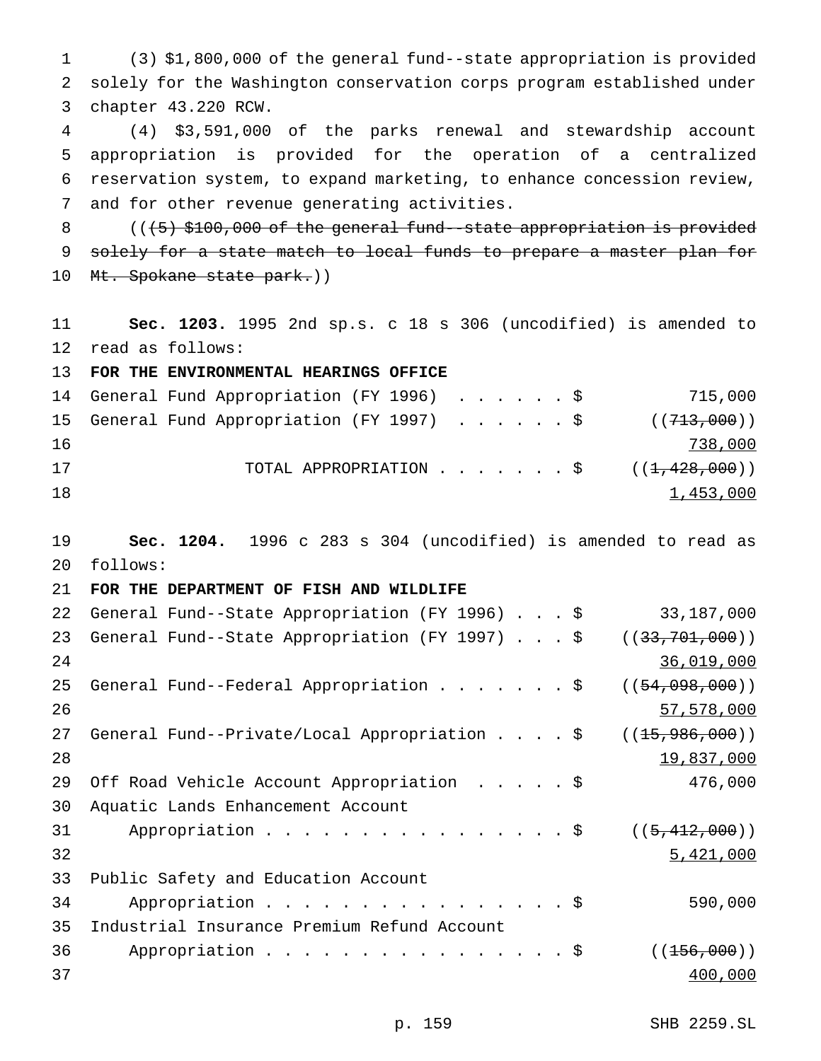(3) \$1,800,000 of the general fund--state appropriation is provided solely for the Washington conservation corps program established under chapter 43.220 RCW.

 (4) \$3,591,000 of the parks renewal and stewardship account appropriation is provided for the operation of a centralized reservation system, to expand marketing, to enhance concession review, and for other revenue generating activities.

8  $($   $($   $($   $+$   $5)$   $$$   $100$ , 000 of the general fund--state appropriation is provided 9 solely for a state match to local funds to prepare a master plan for 10 Mt. Spokane state park.))

 **Sec. 1203.** 1995 2nd sp.s. c 18 s 306 (uncodified) is amended to read as follows:

**FOR THE ENVIRONMENTAL HEARINGS OFFICE**

|    |  | 14 General Fund Appropriation (FY 1996) \$ |  |  |  |  |  | 715,000                                               |
|----|--|--------------------------------------------|--|--|--|--|--|-------------------------------------------------------|
|    |  | 15 General Fund Appropriation (FY 1997) \$ |  |  |  |  |  | ( (713, 000) )                                        |
| 16 |  |                                            |  |  |  |  |  | 738,000                                               |
| 17 |  |                                            |  |  |  |  |  | TOTAL APPROPRIATION $\ldots$ \$ ( $(\pm, 428, 000)$ ) |
| 18 |  |                                            |  |  |  |  |  | 1,453,000                                             |

 **Sec. 1204.** 1996 c 283 s 304 (uncodified) is amended to read as follows:

### **FOR THE DEPARTMENT OF FISH AND WILDLIFE**

| 22 | General Fund--State Appropriation (FY 1996) \$ | 33,187,000       |
|----|------------------------------------------------|------------------|
| 23 | General Fund--State Appropriation (FY 1997) \$ | ((33, 701, 000)) |
| 24 |                                                | 36,019,000       |
| 25 | General Fund--Federal Appropriation \$         | ((54, 098, 000)) |
| 26 |                                                | 57,578,000       |
| 27 | General Fund--Private/Local Appropriation \$   | ((15, 986, 000)) |
| 28 |                                                | 19,837,000       |
| 29 | Off Road Vehicle Account Appropriation \$      | 476,000          |
| 30 | Aquatic Lands Enhancement Account              |                  |
| 31 | Appropriation $\frac{1}{5}$                    | ((5, 412, 000))  |
| 32 |                                                | 5,421,000        |
| 33 | Public Safety and Education Account            |                  |
| 34 | Appropriation \$                               | 590,000          |
| 35 | Industrial Insurance Premium Refund Account    |                  |
| 36 | Appropriation \$                               | ((156,000))      |
| 37 |                                                | 400,000          |
|    |                                                |                  |

p. 159 SHB 2259.SL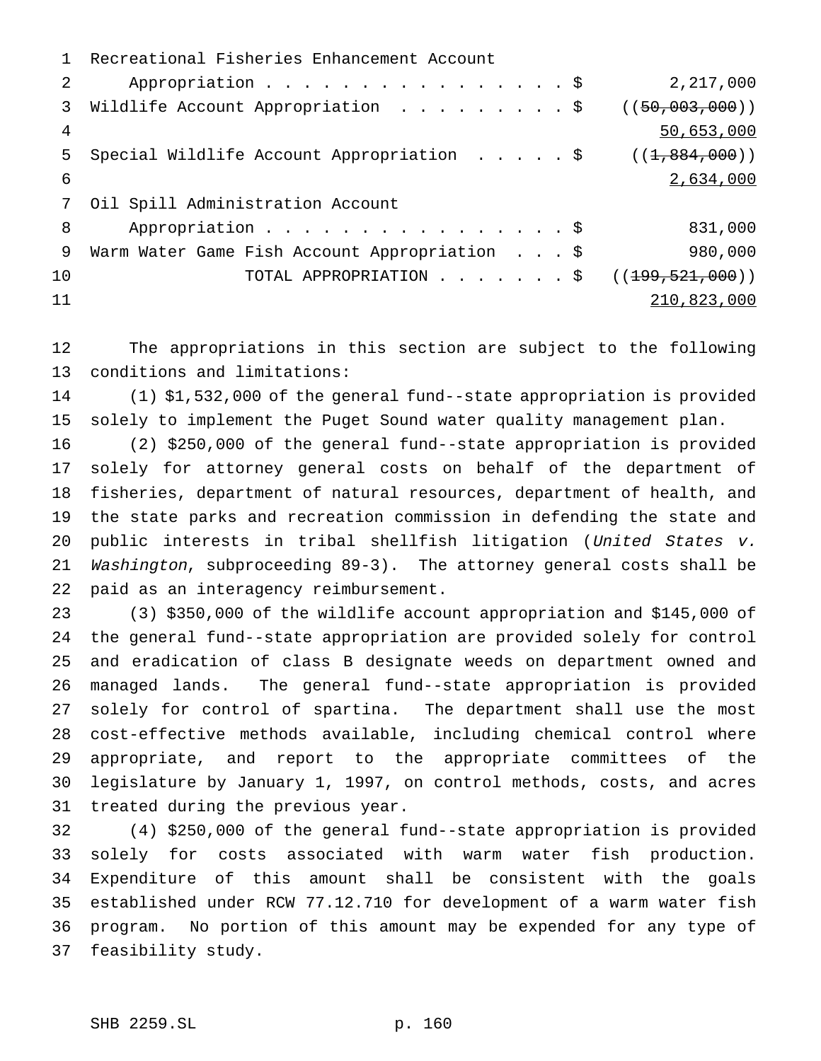Recreational Fisheries Enhancement Account 2 Appropriation . . . . . . . . . . . . . . . \$ 2,217,000 3 Wildlife Account Appropriation . . . . . . . . \$ ((50,003,000)) 50,653,000 5 Special Wildlife Account Appropriation . . . . \$ ((1,884,000)) 2,634,000 Oil Spill Administration Account 8 Appropriation . . . . . . . . . . . . . . . \$ 831,000 9 Warm Water Game Fish Account Appropriation . . . \$ 980,000 10 TOTAL APPROPRIATION . . . . . . \$ ((<del>199,521,000</del>)) 210,823,000

 The appropriations in this section are subject to the following conditions and limitations:

 (1) \$1,532,000 of the general fund--state appropriation is provided solely to implement the Puget Sound water quality management plan.

 (2) \$250,000 of the general fund--state appropriation is provided solely for attorney general costs on behalf of the department of fisheries, department of natural resources, department of health, and the state parks and recreation commission in defending the state and public interests in tribal shellfish litigation (United States v. Washington, subproceeding 89-3). The attorney general costs shall be paid as an interagency reimbursement.

 (3) \$350,000 of the wildlife account appropriation and \$145,000 of the general fund--state appropriation are provided solely for control and eradication of class B designate weeds on department owned and managed lands. The general fund--state appropriation is provided solely for control of spartina. The department shall use the most cost-effective methods available, including chemical control where appropriate, and report to the appropriate committees of the legislature by January 1, 1997, on control methods, costs, and acres treated during the previous year.

 (4) \$250,000 of the general fund--state appropriation is provided solely for costs associated with warm water fish production. Expenditure of this amount shall be consistent with the goals established under RCW 77.12.710 for development of a warm water fish program. No portion of this amount may be expended for any type of feasibility study.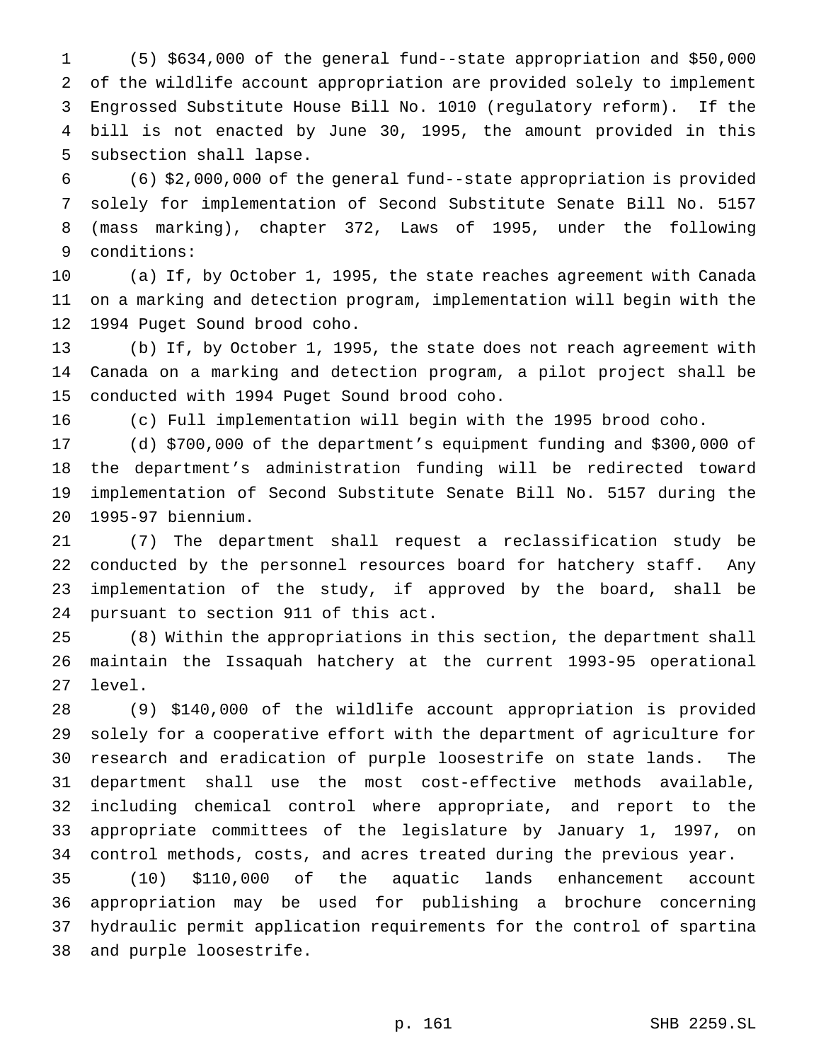(5) \$634,000 of the general fund--state appropriation and \$50,000 of the wildlife account appropriation are provided solely to implement Engrossed Substitute House Bill No. 1010 (regulatory reform). If the bill is not enacted by June 30, 1995, the amount provided in this subsection shall lapse.

 (6) \$2,000,000 of the general fund--state appropriation is provided solely for implementation of Second Substitute Senate Bill No. 5157 (mass marking), chapter 372, Laws of 1995, under the following conditions:

 (a) If, by October 1, 1995, the state reaches agreement with Canada on a marking and detection program, implementation will begin with the 1994 Puget Sound brood coho.

 (b) If, by October 1, 1995, the state does not reach agreement with Canada on a marking and detection program, a pilot project shall be conducted with 1994 Puget Sound brood coho.

(c) Full implementation will begin with the 1995 brood coho.

 (d) \$700,000 of the department's equipment funding and \$300,000 of the department's administration funding will be redirected toward implementation of Second Substitute Senate Bill No. 5157 during the 1995-97 biennium.

 (7) The department shall request a reclassification study be conducted by the personnel resources board for hatchery staff. Any implementation of the study, if approved by the board, shall be pursuant to section 911 of this act.

 (8) Within the appropriations in this section, the department shall maintain the Issaquah hatchery at the current 1993-95 operational level.

 (9) \$140,000 of the wildlife account appropriation is provided solely for a cooperative effort with the department of agriculture for research and eradication of purple loosestrife on state lands. The department shall use the most cost-effective methods available, including chemical control where appropriate, and report to the appropriate committees of the legislature by January 1, 1997, on control methods, costs, and acres treated during the previous year.

 (10) \$110,000 of the aquatic lands enhancement account appropriation may be used for publishing a brochure concerning hydraulic permit application requirements for the control of spartina and purple loosestrife.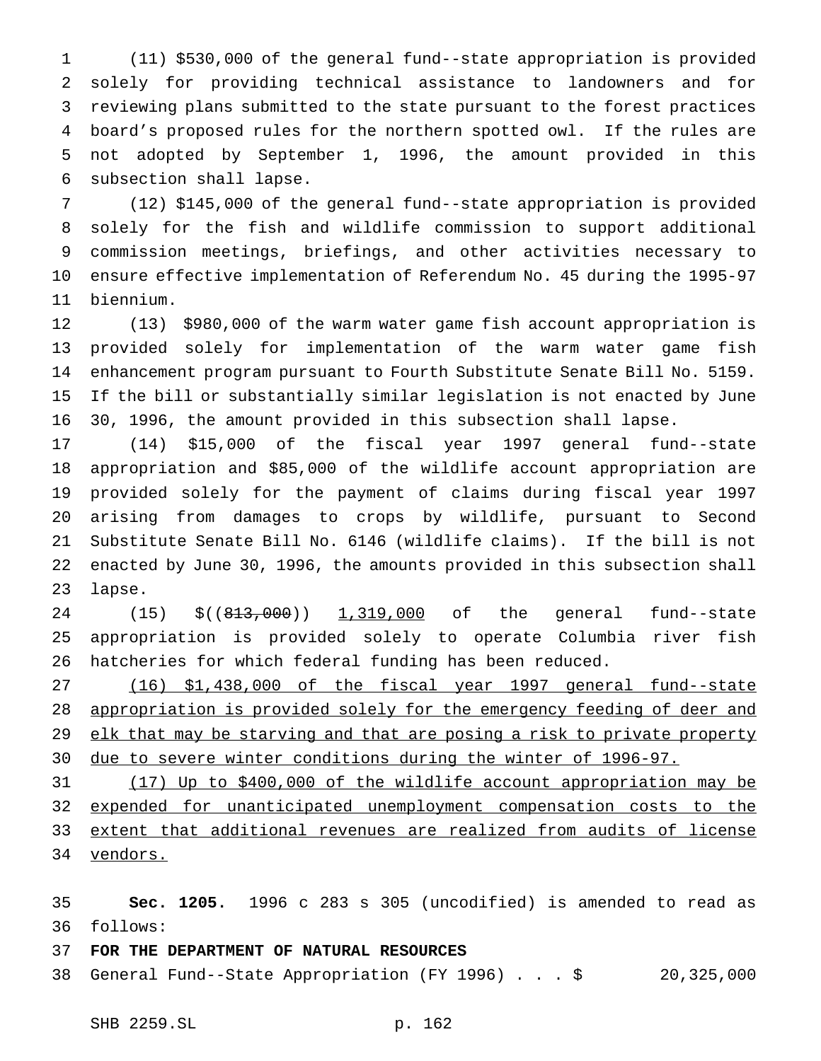(11) \$530,000 of the general fund--state appropriation is provided solely for providing technical assistance to landowners and for reviewing plans submitted to the state pursuant to the forest practices board's proposed rules for the northern spotted owl. If the rules are not adopted by September 1, 1996, the amount provided in this subsection shall lapse.

 (12) \$145,000 of the general fund--state appropriation is provided solely for the fish and wildlife commission to support additional commission meetings, briefings, and other activities necessary to ensure effective implementation of Referendum No. 45 during the 1995-97 biennium.

 (13) \$980,000 of the warm water game fish account appropriation is provided solely for implementation of the warm water game fish enhancement program pursuant to Fourth Substitute Senate Bill No. 5159. If the bill or substantially similar legislation is not enacted by June 30, 1996, the amount provided in this subsection shall lapse.

 (14) \$15,000 of the fiscal year 1997 general fund--state appropriation and \$85,000 of the wildlife account appropriation are provided solely for the payment of claims during fiscal year 1997 arising from damages to crops by wildlife, pursuant to Second Substitute Senate Bill No. 6146 (wildlife claims). If the bill is not enacted by June 30, 1996, the amounts provided in this subsection shall lapse.

24 (15) \$((813,000)) 1,319,000 of the general fund--state appropriation is provided solely to operate Columbia river fish hatcheries for which federal funding has been reduced.

 (16) \$1,438,000 of the fiscal year 1997 general fund--state 28 appropriation is provided solely for the emergency feeding of deer and 29 elk that may be starving and that are posing a risk to private property due to severe winter conditions during the winter of 1996-97.

 (17) Up to \$400,000 of the wildlife account appropriation may be expended for unanticipated unemployment compensation costs to the extent that additional revenues are realized from audits of license 34 vendors.

 **Sec. 1205.** 1996 c 283 s 305 (uncodified) is amended to read as follows:

## **FOR THE DEPARTMENT OF NATURAL RESOURCES**

General Fund--State Appropriation (FY 1996)...\$ 20,325,000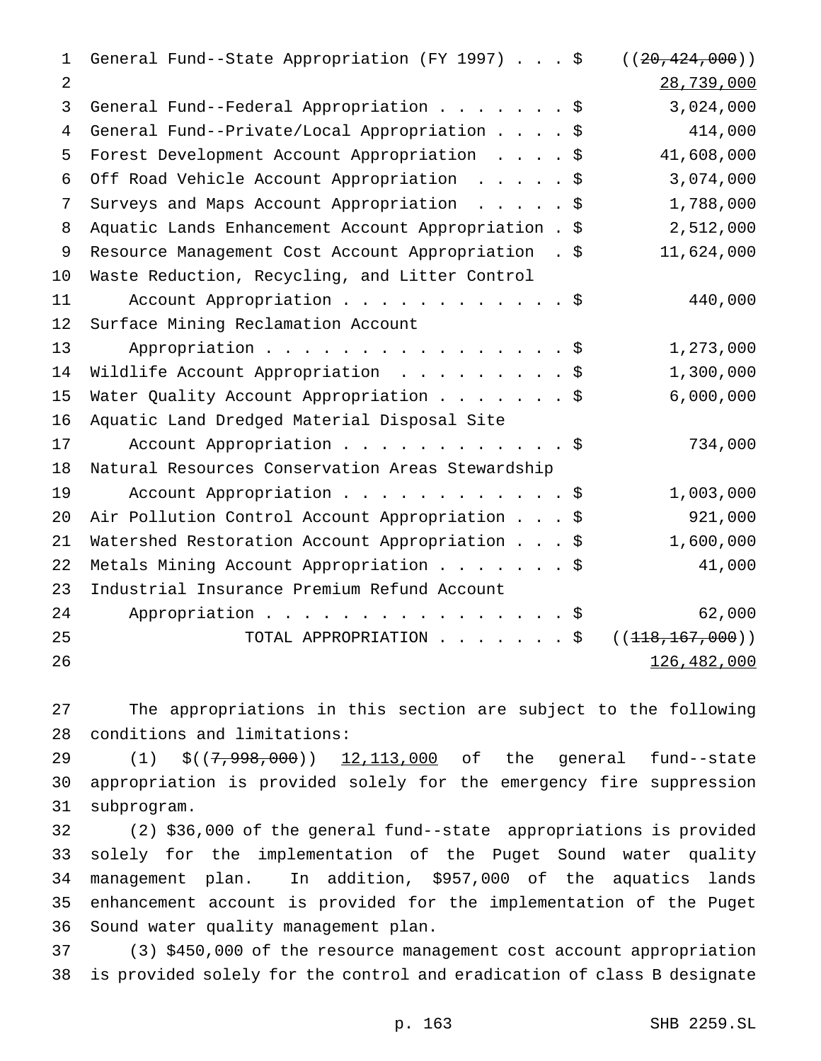| 1  | General Fund--State Appropriation (FY 1997) \$       | ( (20, 424, 000) ) |
|----|------------------------------------------------------|--------------------|
| 2  |                                                      | 28,739,000         |
| 3  | General Fund--Federal Appropriation \$               | 3,024,000          |
| 4  | General Fund--Private/Local Appropriation \$         | 414,000            |
| 5  | Forest Development Account Appropriation \$          | 41,608,000         |
| 6  | Off Road Vehicle Account Appropriation \$            | 3,074,000          |
| 7  | Surveys and Maps Account Appropriation \$            | 1,788,000          |
| 8  | Aquatic Lands Enhancement Account Appropriation . \$ | 2,512,000          |
| 9  | Resource Management Cost Account Appropriation . \$  | 11,624,000         |
| 10 | Waste Reduction, Recycling, and Litter Control       |                    |
| 11 | Account Appropriation \$                             | 440,000            |
| 12 | Surface Mining Reclamation Account                   |                    |
| 13 | Appropriation \$                                     | 1,273,000          |
| 14 | Wildlife Account Appropriation \$                    | 1,300,000          |
| 15 | Water Quality Account Appropriation \$               | 6,000,000          |
| 16 | Aquatic Land Dredged Material Disposal Site          |                    |
| 17 | Account Appropriation \$                             | 734,000            |
| 18 | Natural Resources Conservation Areas Stewardship     |                    |
| 19 | Account Appropriation \$                             | 1,003,000          |
| 20 | Air Pollution Control Account Appropriation \$       | 921,000            |
| 21 | Watershed Restoration Account Appropriation \$       | 1,600,000          |
| 22 | Metals Mining Account Appropriation \$               | 41,000             |
| 23 | Industrial Insurance Premium Refund Account          |                    |
| 24 | Appropriation $\frac{1}{5}$                          | 62,000             |
| 25 | TOTAL APPROPRIATION \$                               | ((118, 167, 000))  |
| 26 |                                                      | 126,482,000        |

 The appropriations in this section are subject to the following conditions and limitations:

29 (1)  $\zeta((7,998,000))$  12,113,000 of the general fund--state appropriation is provided solely for the emergency fire suppression subprogram.

 (2) \$36,000 of the general fund--state appropriations is provided solely for the implementation of the Puget Sound water quality management plan. In addition, \$957,000 of the aquatics lands enhancement account is provided for the implementation of the Puget Sound water quality management plan.

 (3) \$450,000 of the resource management cost account appropriation is provided solely for the control and eradication of class B designate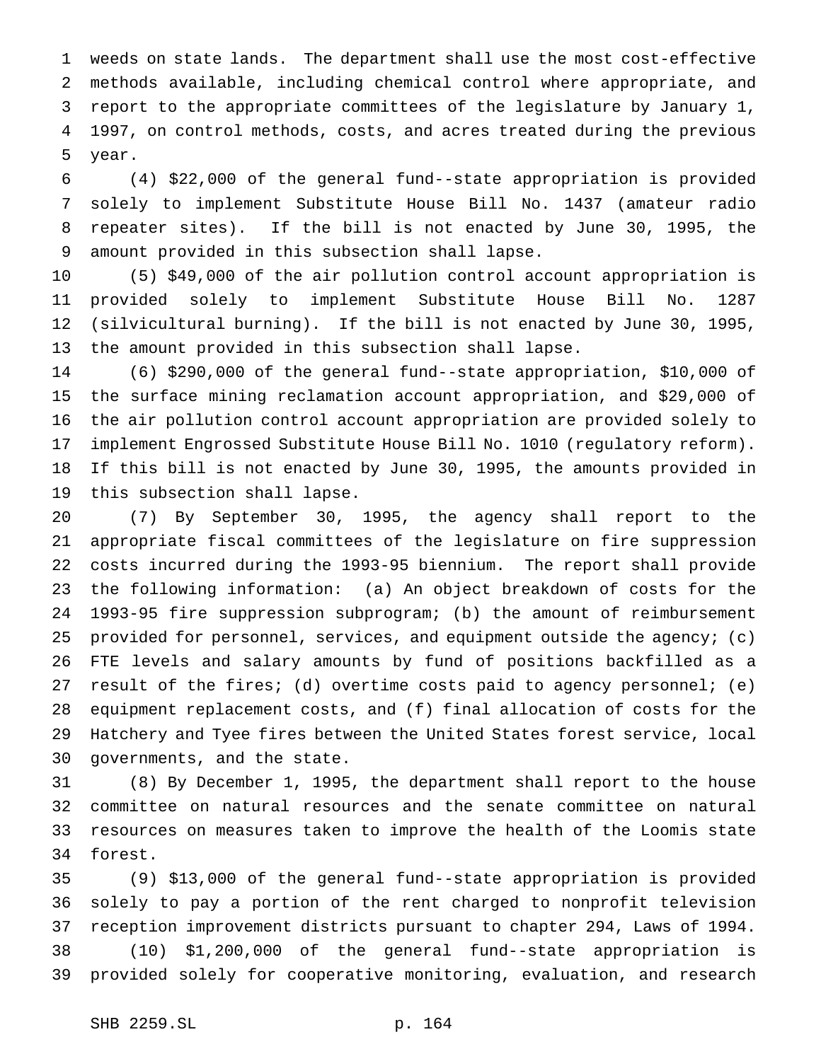weeds on state lands. The department shall use the most cost-effective methods available, including chemical control where appropriate, and report to the appropriate committees of the legislature by January 1, 1997, on control methods, costs, and acres treated during the previous year.

 (4) \$22,000 of the general fund--state appropriation is provided solely to implement Substitute House Bill No. 1437 (amateur radio repeater sites). If the bill is not enacted by June 30, 1995, the amount provided in this subsection shall lapse.

 (5) \$49,000 of the air pollution control account appropriation is provided solely to implement Substitute House Bill No. 1287 (silvicultural burning). If the bill is not enacted by June 30, 1995, the amount provided in this subsection shall lapse.

 (6) \$290,000 of the general fund--state appropriation, \$10,000 of the surface mining reclamation account appropriation, and \$29,000 of the air pollution control account appropriation are provided solely to implement Engrossed Substitute House Bill No. 1010 (regulatory reform). If this bill is not enacted by June 30, 1995, the amounts provided in this subsection shall lapse.

 (7) By September 30, 1995, the agency shall report to the appropriate fiscal committees of the legislature on fire suppression costs incurred during the 1993-95 biennium. The report shall provide the following information: (a) An object breakdown of costs for the 1993-95 fire suppression subprogram; (b) the amount of reimbursement provided for personnel, services, and equipment outside the agency; (c) FTE levels and salary amounts by fund of positions backfilled as a result of the fires; (d) overtime costs paid to agency personnel; (e) equipment replacement costs, and (f) final allocation of costs for the Hatchery and Tyee fires between the United States forest service, local governments, and the state.

 (8) By December 1, 1995, the department shall report to the house committee on natural resources and the senate committee on natural resources on measures taken to improve the health of the Loomis state forest.

 (9) \$13,000 of the general fund--state appropriation is provided solely to pay a portion of the rent charged to nonprofit television reception improvement districts pursuant to chapter 294, Laws of 1994. (10) \$1,200,000 of the general fund--state appropriation is provided solely for cooperative monitoring, evaluation, and research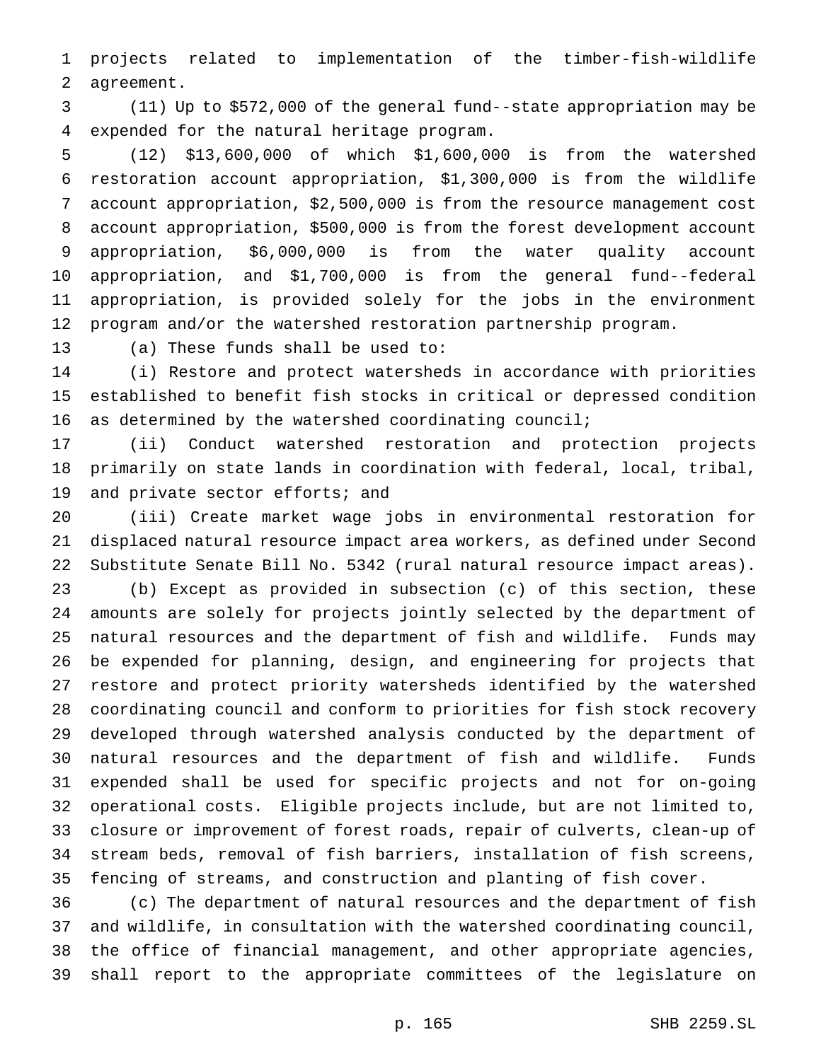projects related to implementation of the timber-fish-wildlife agreement.

 (11) Up to \$572,000 of the general fund--state appropriation may be expended for the natural heritage program.

 (12) \$13,600,000 of which \$1,600,000 is from the watershed restoration account appropriation, \$1,300,000 is from the wildlife account appropriation, \$2,500,000 is from the resource management cost account appropriation, \$500,000 is from the forest development account appropriation, \$6,000,000 is from the water quality account appropriation, and \$1,700,000 is from the general fund--federal appropriation, is provided solely for the jobs in the environment program and/or the watershed restoration partnership program.

(a) These funds shall be used to:

 (i) Restore and protect watersheds in accordance with priorities established to benefit fish stocks in critical or depressed condition as determined by the watershed coordinating council;

 (ii) Conduct watershed restoration and protection projects primarily on state lands in coordination with federal, local, tribal, and private sector efforts; and

 (iii) Create market wage jobs in environmental restoration for displaced natural resource impact area workers, as defined under Second Substitute Senate Bill No. 5342 (rural natural resource impact areas). (b) Except as provided in subsection (c) of this section, these amounts are solely for projects jointly selected by the department of natural resources and the department of fish and wildlife. Funds may be expended for planning, design, and engineering for projects that restore and protect priority watersheds identified by the watershed coordinating council and conform to priorities for fish stock recovery developed through watershed analysis conducted by the department of natural resources and the department of fish and wildlife. Funds expended shall be used for specific projects and not for on-going operational costs. Eligible projects include, but are not limited to, closure or improvement of forest roads, repair of culverts, clean-up of stream beds, removal of fish barriers, installation of fish screens, fencing of streams, and construction and planting of fish cover.

 (c) The department of natural resources and the department of fish and wildlife, in consultation with the watershed coordinating council, the office of financial management, and other appropriate agencies, shall report to the appropriate committees of the legislature on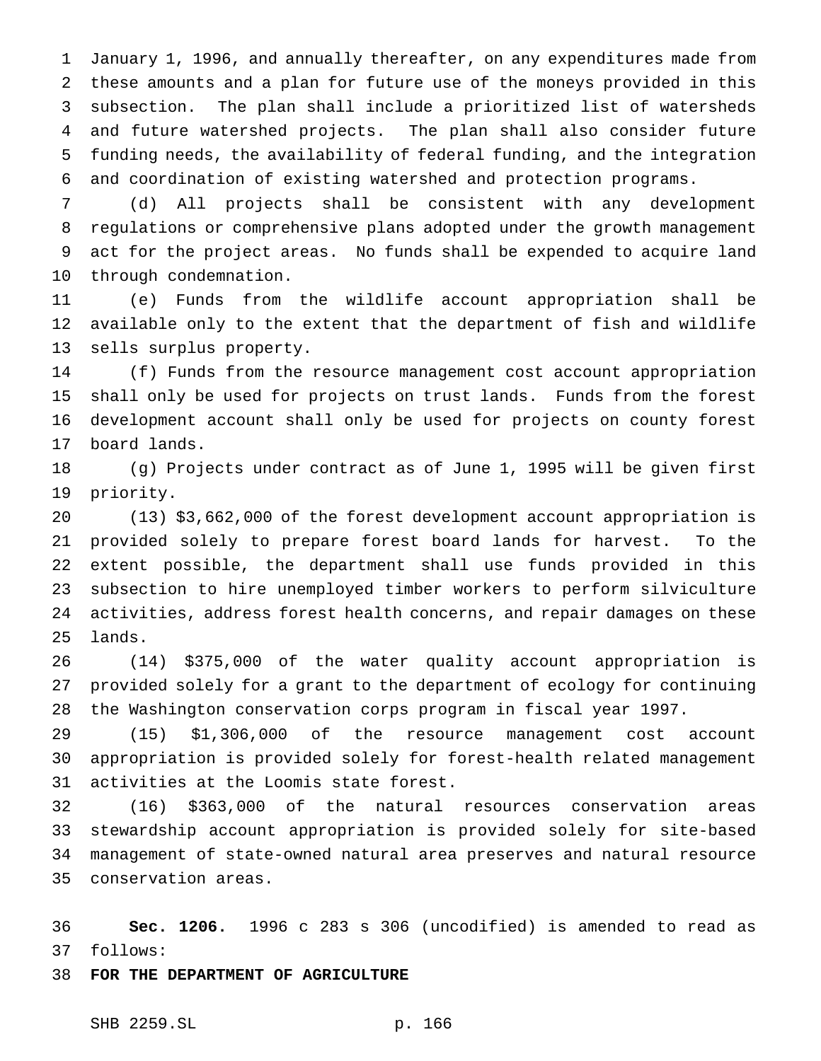January 1, 1996, and annually thereafter, on any expenditures made from these amounts and a plan for future use of the moneys provided in this subsection. The plan shall include a prioritized list of watersheds and future watershed projects. The plan shall also consider future funding needs, the availability of federal funding, and the integration and coordination of existing watershed and protection programs.

 (d) All projects shall be consistent with any development regulations or comprehensive plans adopted under the growth management act for the project areas. No funds shall be expended to acquire land through condemnation.

 (e) Funds from the wildlife account appropriation shall be available only to the extent that the department of fish and wildlife sells surplus property.

 (f) Funds from the resource management cost account appropriation shall only be used for projects on trust lands. Funds from the forest development account shall only be used for projects on county forest board lands.

 (g) Projects under contract as of June 1, 1995 will be given first priority.

 (13) \$3,662,000 of the forest development account appropriation is provided solely to prepare forest board lands for harvest. To the extent possible, the department shall use funds provided in this subsection to hire unemployed timber workers to perform silviculture activities, address forest health concerns, and repair damages on these lands.

 (14) \$375,000 of the water quality account appropriation is provided solely for a grant to the department of ecology for continuing the Washington conservation corps program in fiscal year 1997.

 (15) \$1,306,000 of the resource management cost account appropriation is provided solely for forest-health related management activities at the Loomis state forest.

 (16) \$363,000 of the natural resources conservation areas stewardship account appropriation is provided solely for site-based management of state-owned natural area preserves and natural resource conservation areas.

 **Sec. 1206.** 1996 c 283 s 306 (uncodified) is amended to read as follows:

**FOR THE DEPARTMENT OF AGRICULTURE**

SHB 2259.SL p. 166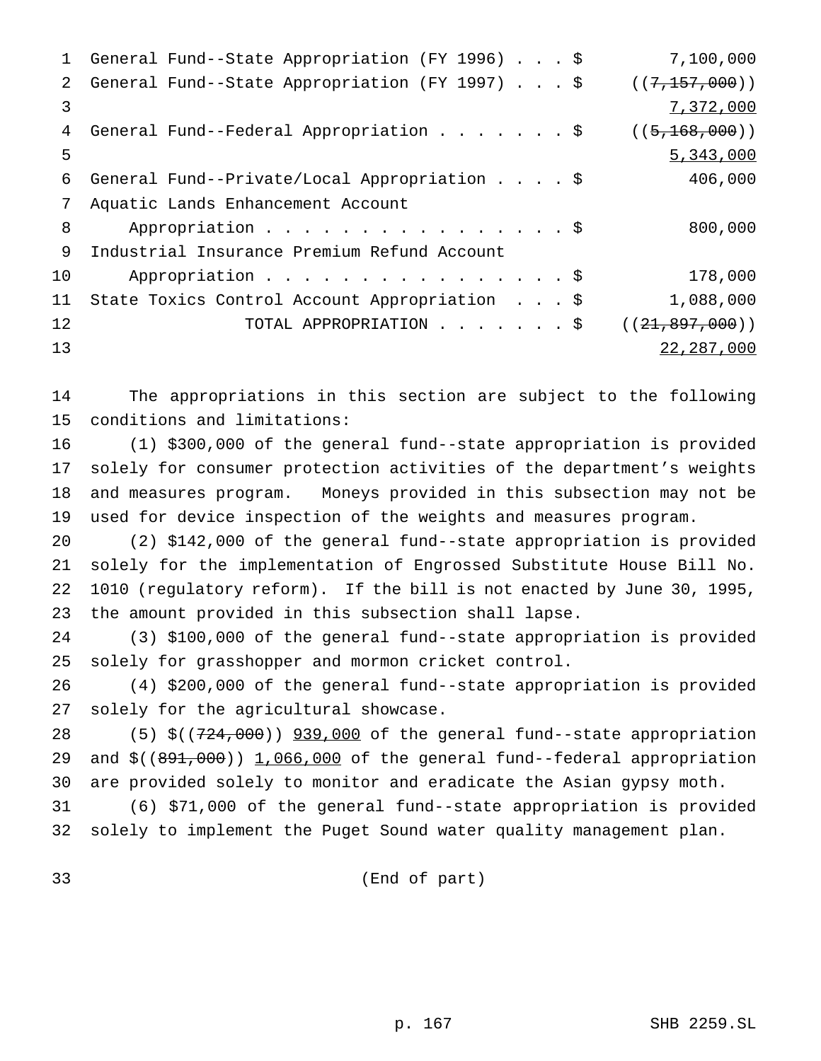| 1             | General Fund--State Appropriation (FY 1996) \$ | 7,100,000        |
|---------------|------------------------------------------------|------------------|
| $\mathcal{L}$ | General Fund--State Appropriation (FY 1997) \$ | ((7, 157, 000))  |
| 3             |                                                | 7,372,000        |
| 4             | General Fund--Federal Appropriation \$         | ((5, 168, 000))  |
| 5             |                                                | 5,343,000        |
| 6             | General Fund--Private/Local Appropriation \$   | 406,000          |
| 7             | Aquatic Lands Enhancement Account              |                  |
| 8             | Appropriation \$                               | 800,000          |
| 9             | Industrial Insurance Premium Refund Account    |                  |
| 10            | Appropriation \$                               | 178,000          |
| 11            | State Toxics Control Account Appropriation \$  | 1,088,000        |
| 12            | TOTAL APPROPRIATION \$                         | ((21, 897, 000)) |
| 13            |                                                | 22, 287, 000     |
|               |                                                |                  |

 The appropriations in this section are subject to the following conditions and limitations:

 (1) \$300,000 of the general fund--state appropriation is provided solely for consumer protection activities of the department's weights and measures program. Moneys provided in this subsection may not be used for device inspection of the weights and measures program.

 (2) \$142,000 of the general fund--state appropriation is provided solely for the implementation of Engrossed Substitute House Bill No. 1010 (regulatory reform). If the bill is not enacted by June 30, 1995, the amount provided in this subsection shall lapse.

 (3) \$100,000 of the general fund--state appropriation is provided solely for grasshopper and mormon cricket control.

 (4) \$200,000 of the general fund--state appropriation is provided solely for the agricultural showcase.

28 (5) \$((724,000)) 939,000 of the general fund--state appropriation 29 and \$((891,000)) 1,066,000 of the general fund--federal appropriation are provided solely to monitor and eradicate the Asian gypsy moth.

 (6) \$71,000 of the general fund--state appropriation is provided solely to implement the Puget Sound water quality management plan.

(End of part)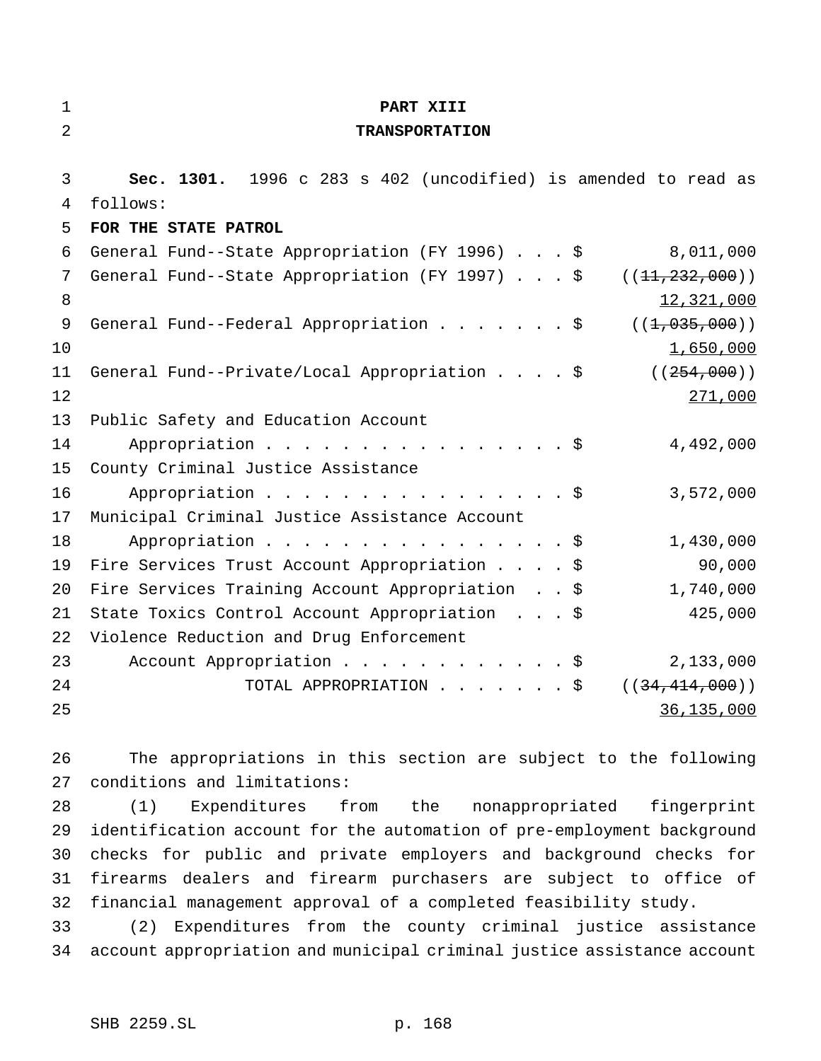| $\mathbf 1$    | PART XIII                                                          |
|----------------|--------------------------------------------------------------------|
| $\overline{2}$ | <b>TRANSPORTATION</b>                                              |
|                |                                                                    |
| 3              | Sec. 1301. 1996 c 283 s 402 (uncodified) is amended to read as     |
| 4              | follows:                                                           |
| 5              | FOR THE STATE PATROL                                               |
| 6              | General Fund--State Appropriation (FY 1996) \$<br>8,011,000        |
| 7              | General Fund--State Appropriation (FY 1997) \$<br>((11, 232, 000)) |
| 8              | 12,321,000                                                         |
| 9              | General Fund--Federal Appropriation \$<br>((1, 035, 000))          |
| 10             | 1,650,000                                                          |
| 11             | General Fund--Private/Local Appropriation \$<br>( (254, 000) )     |
| 12             | 271,000                                                            |
| 13             | Public Safety and Education Account                                |
| 14             | Appropriation \$<br>4,492,000                                      |
| 15             | County Criminal Justice Assistance                                 |
| 16             | Appropriation $\frac{1}{5}$<br>3,572,000                           |
| 17             | Municipal Criminal Justice Assistance Account                      |
| 18             | Appropriation $\frac{1}{5}$<br>1,430,000                           |
| 19             | 90,000<br>Fire Services Trust Account Appropriation \$             |
| 20             | 1,740,000<br>Fire Services Training Account Appropriation \$       |
| 21             | State Toxics Control Account Appropriation \$<br>425,000           |
| 22             | Violence Reduction and Drug Enforcement                            |
| 23             | Account Appropriation \$<br>2,133,000                              |
| 24             | TOTAL APPROPRIATION \$<br>((34, 414, 000))                         |
| 25             | 36,135,000                                                         |
|                |                                                                    |

 The appropriations in this section are subject to the following conditions and limitations:

 (1) Expenditures from the nonappropriated fingerprint identification account for the automation of pre-employment background checks for public and private employers and background checks for firearms dealers and firearm purchasers are subject to office of financial management approval of a completed feasibility study.

 (2) Expenditures from the county criminal justice assistance account appropriation and municipal criminal justice assistance account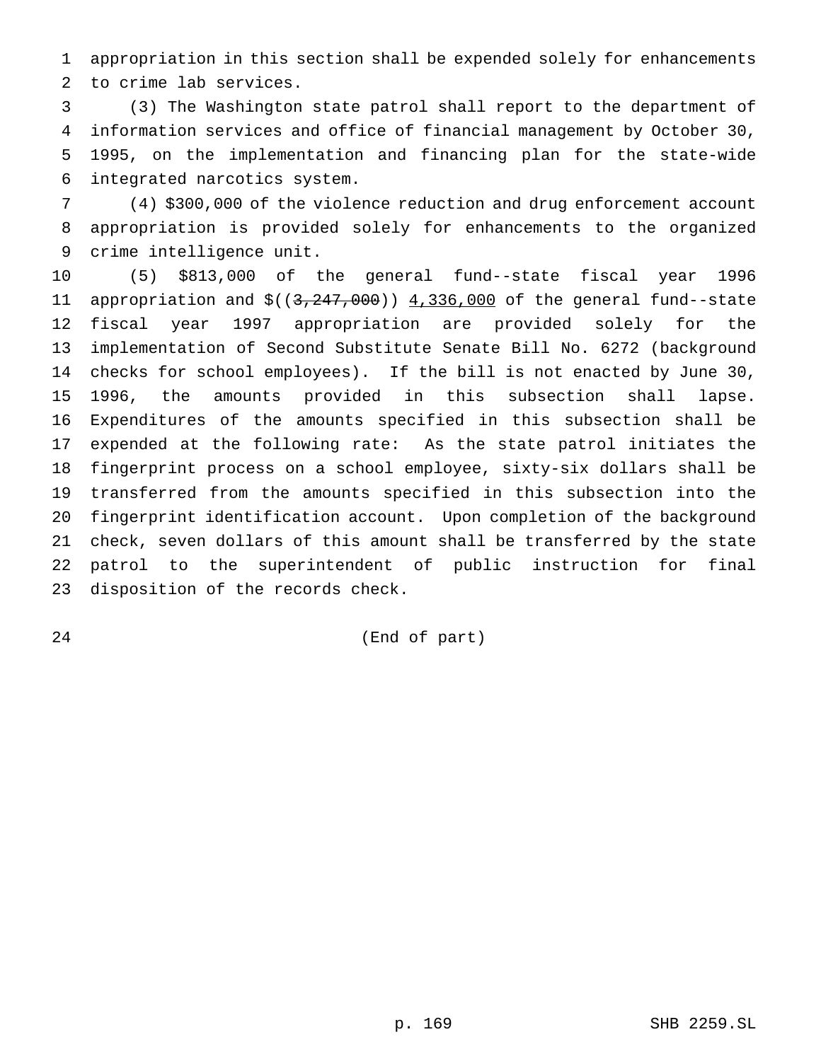appropriation in this section shall be expended solely for enhancements to crime lab services.

 (3) The Washington state patrol shall report to the department of information services and office of financial management by October 30, 1995, on the implementation and financing plan for the state-wide integrated narcotics system.

 (4) \$300,000 of the violence reduction and drug enforcement account appropriation is provided solely for enhancements to the organized crime intelligence unit.

 (5) \$813,000 of the general fund--state fiscal year 1996 11 appropriation and \$((3,247,000)) 4,336,000 of the general fund--state fiscal year 1997 appropriation are provided solely for the implementation of Second Substitute Senate Bill No. 6272 (background checks for school employees). If the bill is not enacted by June 30, 1996, the amounts provided in this subsection shall lapse. Expenditures of the amounts specified in this subsection shall be expended at the following rate: As the state patrol initiates the fingerprint process on a school employee, sixty-six dollars shall be transferred from the amounts specified in this subsection into the fingerprint identification account. Upon completion of the background check, seven dollars of this amount shall be transferred by the state patrol to the superintendent of public instruction for final disposition of the records check.

(End of part)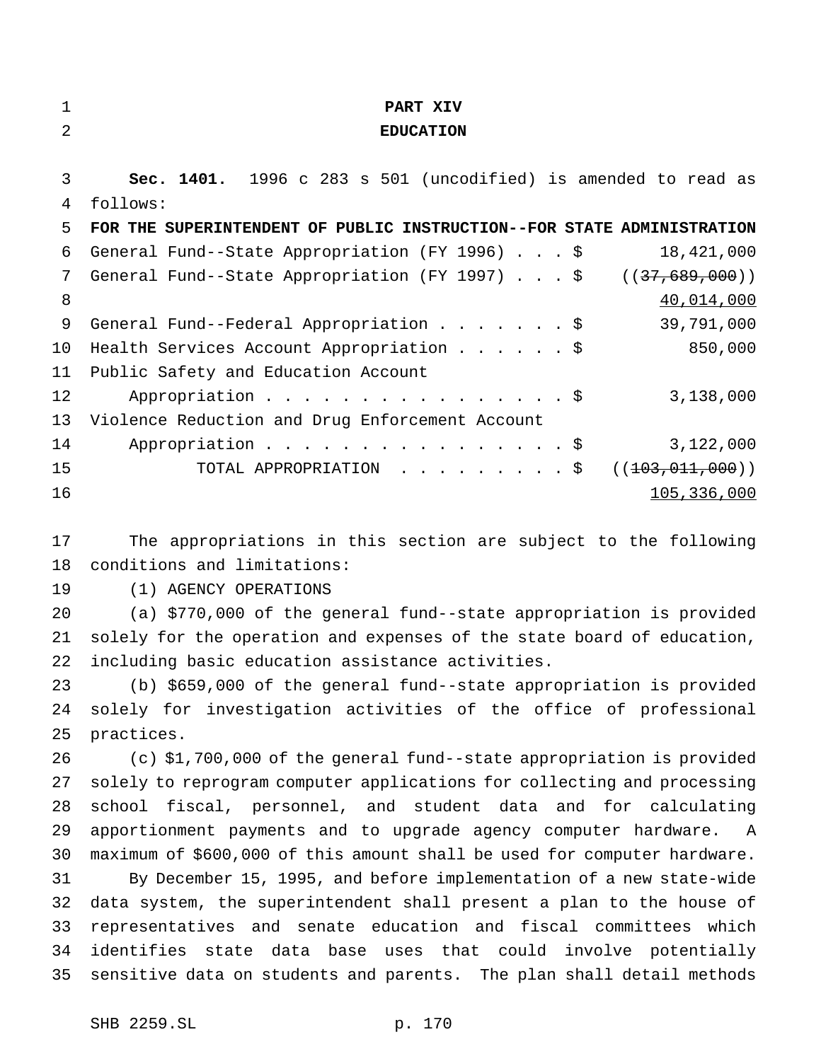| ٠ |  |  |
|---|--|--|
|   |  |  |
|   |  |  |

### **PART XIV**

## **EDUCATION**

 **Sec. 1401.** 1996 c 283 s 501 (uncodified) is amended to read as follows: **FOR THE SUPERINTENDENT OF PUBLIC INSTRUCTION--FOR STATE ADMINISTRATION** General Fund--State Appropriation (FY 1996)...\$ 18,421,000 7 General Fund--State Appropriation (FY 1997) . . . \$ ((37,689,000)) 8 40,014,000 9 General Fund--Federal Appropriation . . . . . . \$ 39,791,000 Health Services Account Appropriation......\$ 850,000 Public Safety and Education Account 12 Appropriation . . . . . . . . . . . . . . \$ 3,138,000 Violence Reduction and Drug Enforcement Account 14 Appropriation . . . . . . . . . . . . . . . \$ 3,122,000 15 TOTAL APPROPRIATION . . . . . . . . \$ ((<del>103,011,000</del>)) 105,336,000

 The appropriations in this section are subject to the following conditions and limitations:

(1) AGENCY OPERATIONS

 (a) \$770,000 of the general fund--state appropriation is provided solely for the operation and expenses of the state board of education, including basic education assistance activities.

 (b) \$659,000 of the general fund--state appropriation is provided solely for investigation activities of the office of professional practices.

 (c) \$1,700,000 of the general fund--state appropriation is provided solely to reprogram computer applications for collecting and processing school fiscal, personnel, and student data and for calculating apportionment payments and to upgrade agency computer hardware. A maximum of \$600,000 of this amount shall be used for computer hardware. By December 15, 1995, and before implementation of a new state-wide data system, the superintendent shall present a plan to the house of representatives and senate education and fiscal committees which identifies state data base uses that could involve potentially sensitive data on students and parents. The plan shall detail methods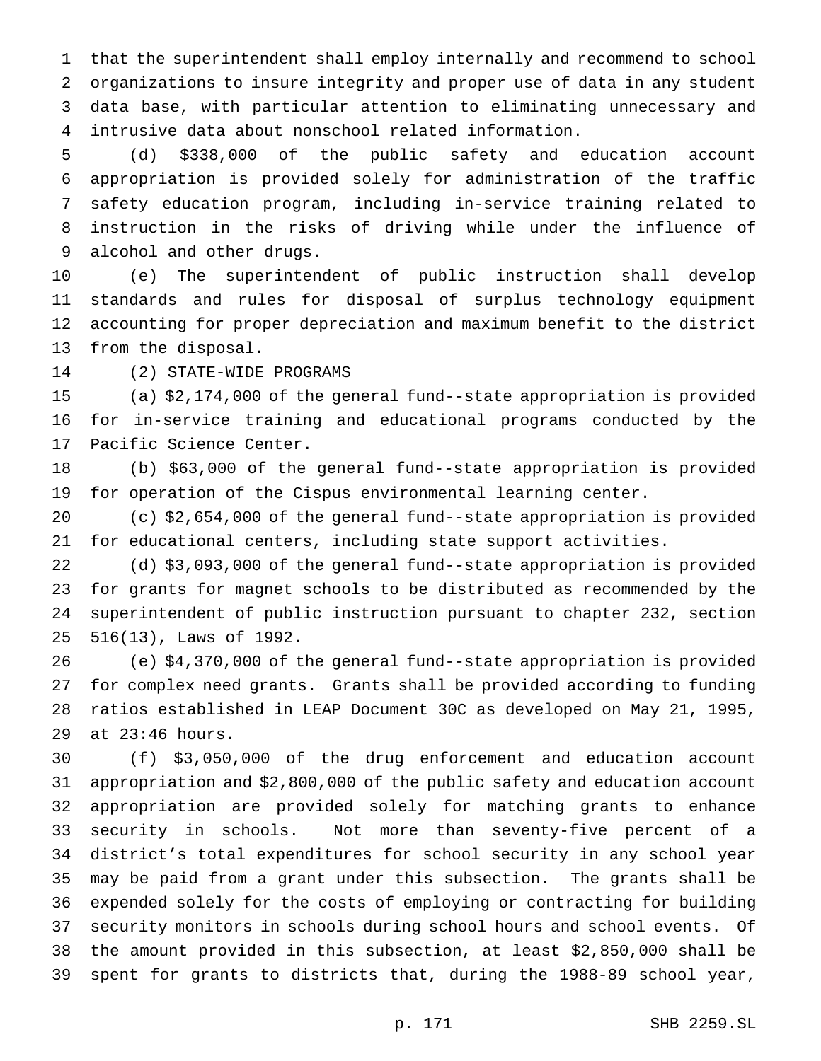that the superintendent shall employ internally and recommend to school organizations to insure integrity and proper use of data in any student data base, with particular attention to eliminating unnecessary and intrusive data about nonschool related information.

 (d) \$338,000 of the public safety and education account appropriation is provided solely for administration of the traffic safety education program, including in-service training related to instruction in the risks of driving while under the influence of alcohol and other drugs.

 (e) The superintendent of public instruction shall develop standards and rules for disposal of surplus technology equipment accounting for proper depreciation and maximum benefit to the district from the disposal.

(2) STATE-WIDE PROGRAMS

 (a) \$2,174,000 of the general fund--state appropriation is provided for in-service training and educational programs conducted by the Pacific Science Center.

 (b) \$63,000 of the general fund--state appropriation is provided for operation of the Cispus environmental learning center.

 (c) \$2,654,000 of the general fund--state appropriation is provided for educational centers, including state support activities.

 (d) \$3,093,000 of the general fund--state appropriation is provided for grants for magnet schools to be distributed as recommended by the superintendent of public instruction pursuant to chapter 232, section 516(13), Laws of 1992.

 (e) \$4,370,000 of the general fund--state appropriation is provided for complex need grants. Grants shall be provided according to funding ratios established in LEAP Document 30C as developed on May 21, 1995, at 23:46 hours.

 (f) \$3,050,000 of the drug enforcement and education account appropriation and \$2,800,000 of the public safety and education account appropriation are provided solely for matching grants to enhance security in schools. Not more than seventy-five percent of a district's total expenditures for school security in any school year may be paid from a grant under this subsection. The grants shall be expended solely for the costs of employing or contracting for building security monitors in schools during school hours and school events. Of the amount provided in this subsection, at least \$2,850,000 shall be spent for grants to districts that, during the 1988-89 school year,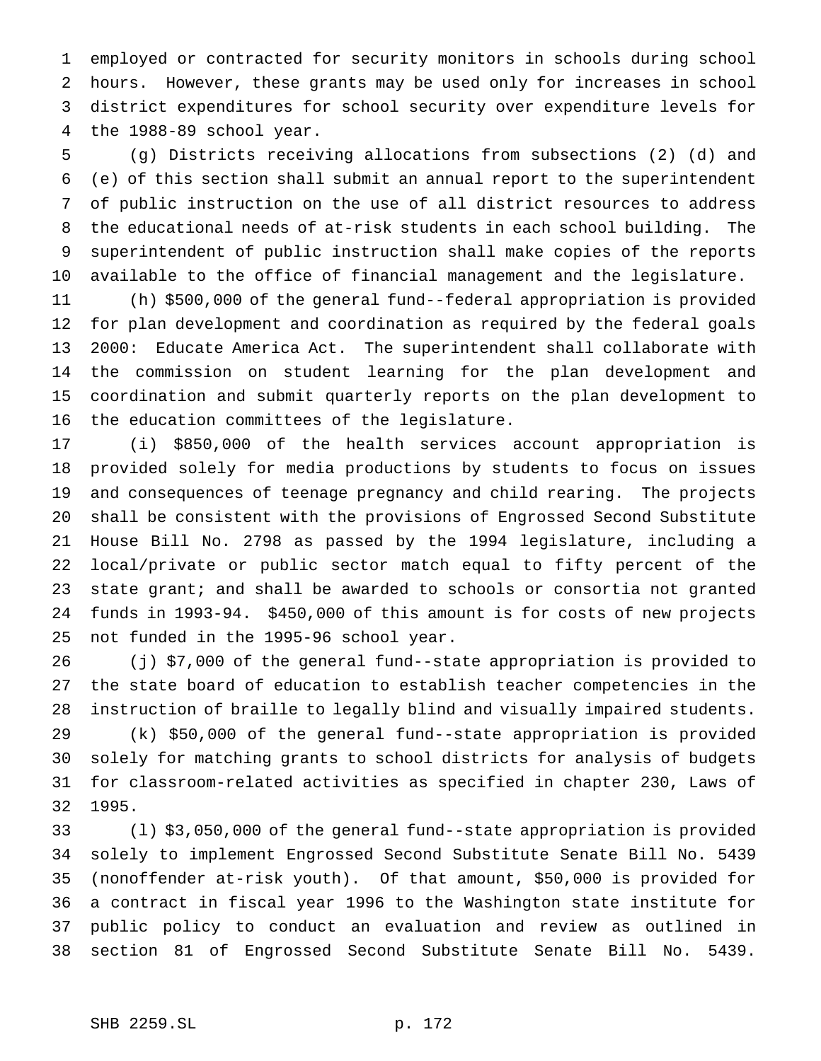employed or contracted for security monitors in schools during school hours. However, these grants may be used only for increases in school district expenditures for school security over expenditure levels for the 1988-89 school year.

 (g) Districts receiving allocations from subsections (2) (d) and (e) of this section shall submit an annual report to the superintendent of public instruction on the use of all district resources to address the educational needs of at-risk students in each school building. The superintendent of public instruction shall make copies of the reports available to the office of financial management and the legislature.

 (h) \$500,000 of the general fund--federal appropriation is provided for plan development and coordination as required by the federal goals 2000: Educate America Act. The superintendent shall collaborate with the commission on student learning for the plan development and coordination and submit quarterly reports on the plan development to the education committees of the legislature.

 (i) \$850,000 of the health services account appropriation is provided solely for media productions by students to focus on issues and consequences of teenage pregnancy and child rearing. The projects shall be consistent with the provisions of Engrossed Second Substitute House Bill No. 2798 as passed by the 1994 legislature, including a local/private or public sector match equal to fifty percent of the 23 state grant; and shall be awarded to schools or consortia not granted funds in 1993-94. \$450,000 of this amount is for costs of new projects not funded in the 1995-96 school year.

 (j) \$7,000 of the general fund--state appropriation is provided to the state board of education to establish teacher competencies in the instruction of braille to legally blind and visually impaired students. (k) \$50,000 of the general fund--state appropriation is provided solely for matching grants to school districts for analysis of budgets for classroom-related activities as specified in chapter 230, Laws of 1995.

 (l) \$3,050,000 of the general fund--state appropriation is provided solely to implement Engrossed Second Substitute Senate Bill No. 5439 (nonoffender at-risk youth). Of that amount, \$50,000 is provided for a contract in fiscal year 1996 to the Washington state institute for public policy to conduct an evaluation and review as outlined in section 81 of Engrossed Second Substitute Senate Bill No. 5439.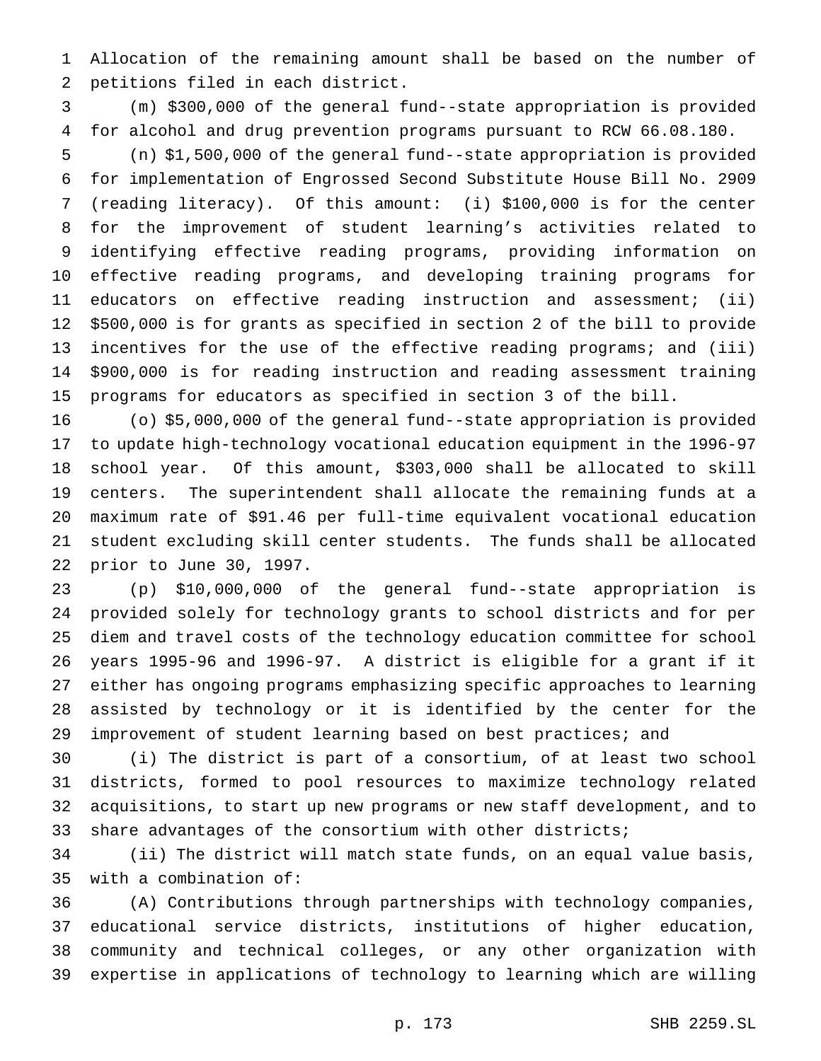Allocation of the remaining amount shall be based on the number of petitions filed in each district.

 (m) \$300,000 of the general fund--state appropriation is provided for alcohol and drug prevention programs pursuant to RCW 66.08.180.

 (n) \$1,500,000 of the general fund--state appropriation is provided for implementation of Engrossed Second Substitute House Bill No. 2909 (reading literacy). Of this amount: (i) \$100,000 is for the center for the improvement of student learning's activities related to identifying effective reading programs, providing information on effective reading programs, and developing training programs for educators on effective reading instruction and assessment; (ii) \$500,000 is for grants as specified in section 2 of the bill to provide incentives for the use of the effective reading programs; and (iii) \$900,000 is for reading instruction and reading assessment training programs for educators as specified in section 3 of the bill.

 (o) \$5,000,000 of the general fund--state appropriation is provided to update high-technology vocational education equipment in the 1996-97 school year. Of this amount, \$303,000 shall be allocated to skill centers. The superintendent shall allocate the remaining funds at a maximum rate of \$91.46 per full-time equivalent vocational education student excluding skill center students. The funds shall be allocated prior to June 30, 1997.

 (p) \$10,000,000 of the general fund--state appropriation is provided solely for technology grants to school districts and for per diem and travel costs of the technology education committee for school years 1995-96 and 1996-97. A district is eligible for a grant if it either has ongoing programs emphasizing specific approaches to learning assisted by technology or it is identified by the center for the improvement of student learning based on best practices; and

 (i) The district is part of a consortium, of at least two school districts, formed to pool resources to maximize technology related acquisitions, to start up new programs or new staff development, and to share advantages of the consortium with other districts;

 (ii) The district will match state funds, on an equal value basis, with a combination of:

 (A) Contributions through partnerships with technology companies, educational service districts, institutions of higher education, community and technical colleges, or any other organization with expertise in applications of technology to learning which are willing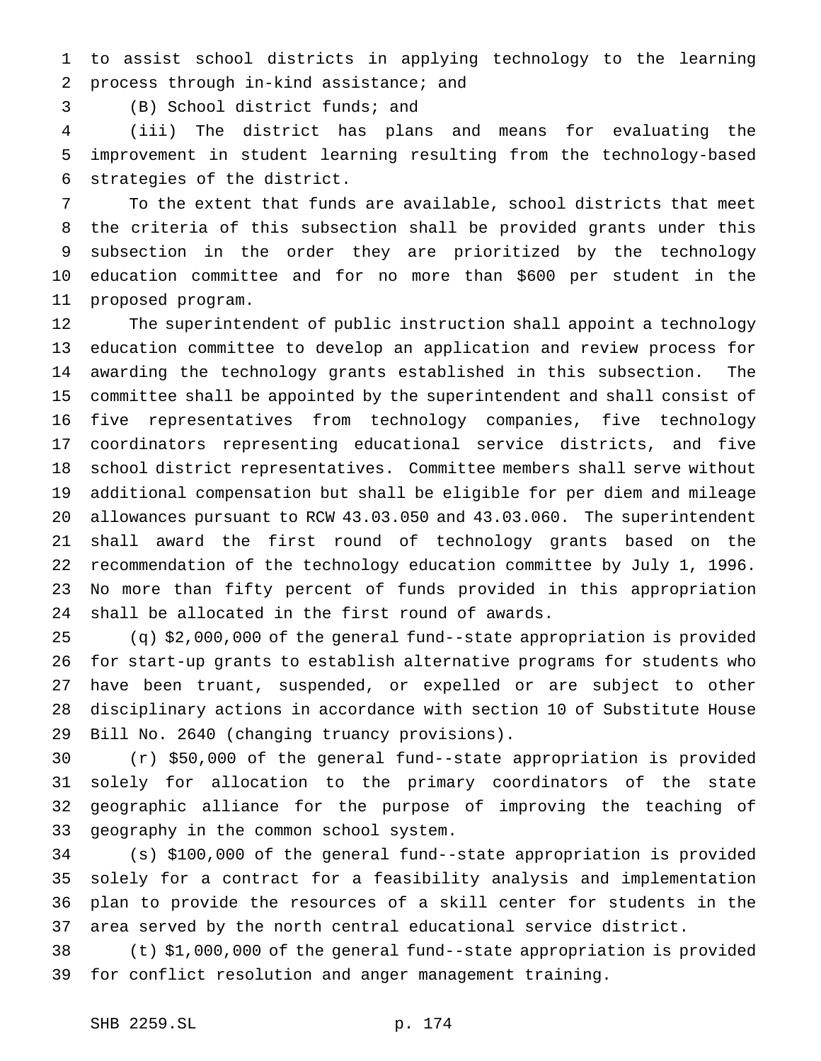to assist school districts in applying technology to the learning process through in-kind assistance; and

(B) School district funds; and

 (iii) The district has plans and means for evaluating the improvement in student learning resulting from the technology-based strategies of the district.

 To the extent that funds are available, school districts that meet the criteria of this subsection shall be provided grants under this subsection in the order they are prioritized by the technology education committee and for no more than \$600 per student in the proposed program.

 The superintendent of public instruction shall appoint a technology education committee to develop an application and review process for awarding the technology grants established in this subsection. The committee shall be appointed by the superintendent and shall consist of five representatives from technology companies, five technology coordinators representing educational service districts, and five school district representatives. Committee members shall serve without additional compensation but shall be eligible for per diem and mileage allowances pursuant to RCW 43.03.050 and 43.03.060. The superintendent shall award the first round of technology grants based on the recommendation of the technology education committee by July 1, 1996. No more than fifty percent of funds provided in this appropriation shall be allocated in the first round of awards.

 (q) \$2,000,000 of the general fund--state appropriation is provided for start-up grants to establish alternative programs for students who have been truant, suspended, or expelled or are subject to other disciplinary actions in accordance with section 10 of Substitute House Bill No. 2640 (changing truancy provisions).

 (r) \$50,000 of the general fund--state appropriation is provided solely for allocation to the primary coordinators of the state geographic alliance for the purpose of improving the teaching of geography in the common school system.

 (s) \$100,000 of the general fund--state appropriation is provided solely for a contract for a feasibility analysis and implementation plan to provide the resources of a skill center for students in the area served by the north central educational service district.

 (t) \$1,000,000 of the general fund--state appropriation is provided for conflict resolution and anger management training.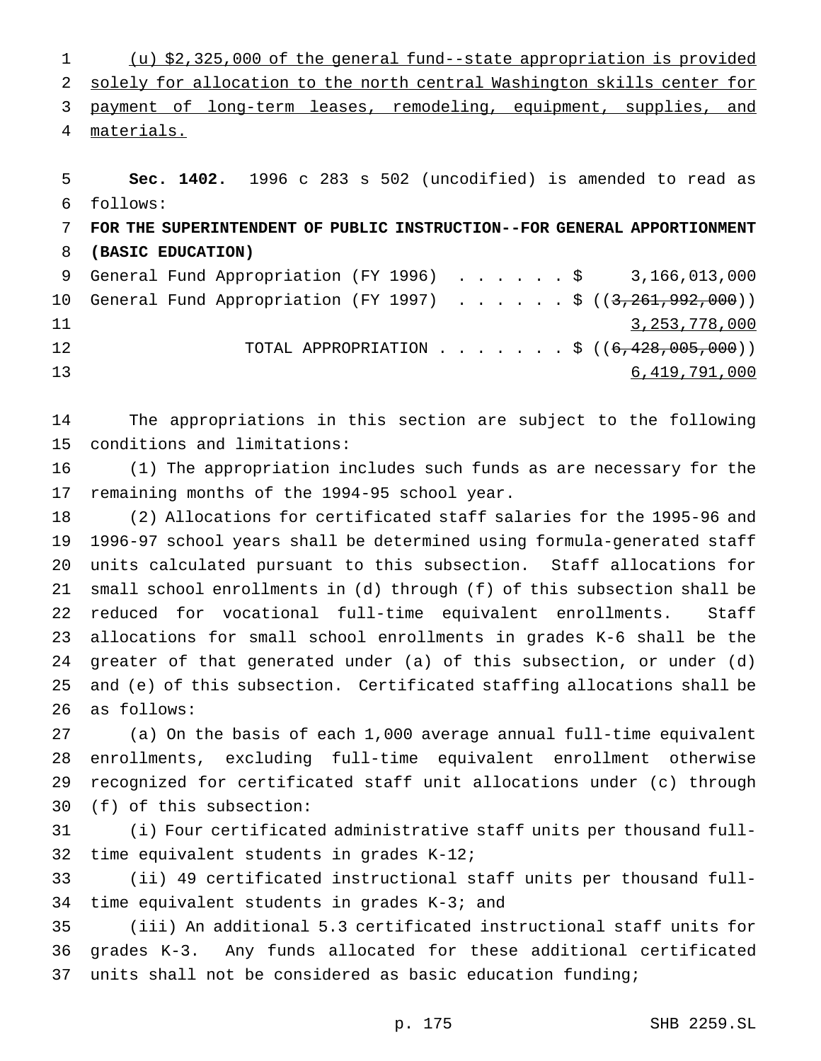(u) \$2,325,000 of the general fund--state appropriation is provided solely for allocation to the north central Washington skills center for 3 payment of long-term leases, remodeling, equipment, supplies, and materials.

 **Sec. 1402.** 1996 c 283 s 502 (uncodified) is amended to read as follows: **FOR THE SUPERINTENDENT OF PUBLIC INSTRUCTION--FOR GENERAL APPORTIONMENT (BASIC EDUCATION)** General Fund Appropriation (FY 1996) ......\$ 3,166,013,000 10 General Fund Appropriation (FY 1997) . . . . . \$ ((3,261,992,000)) 11 3,253,778,000 12 TOTAL APPROPRIATION . . . . . . \$ ((6,428,005,000)) 6,419,791,000

 The appropriations in this section are subject to the following conditions and limitations:

 (1) The appropriation includes such funds as are necessary for the remaining months of the 1994-95 school year.

 (2) Allocations for certificated staff salaries for the 1995-96 and 1996-97 school years shall be determined using formula-generated staff units calculated pursuant to this subsection. Staff allocations for small school enrollments in (d) through (f) of this subsection shall be reduced for vocational full-time equivalent enrollments. Staff allocations for small school enrollments in grades K-6 shall be the greater of that generated under (a) of this subsection, or under (d) and (e) of this subsection. Certificated staffing allocations shall be as follows:

 (a) On the basis of each 1,000 average annual full-time equivalent enrollments, excluding full-time equivalent enrollment otherwise recognized for certificated staff unit allocations under (c) through (f) of this subsection:

 (i) Four certificated administrative staff units per thousand full-time equivalent students in grades K-12;

 (ii) 49 certificated instructional staff units per thousand full-time equivalent students in grades K-3; and

 (iii) An additional 5.3 certificated instructional staff units for grades K-3. Any funds allocated for these additional certificated units shall not be considered as basic education funding;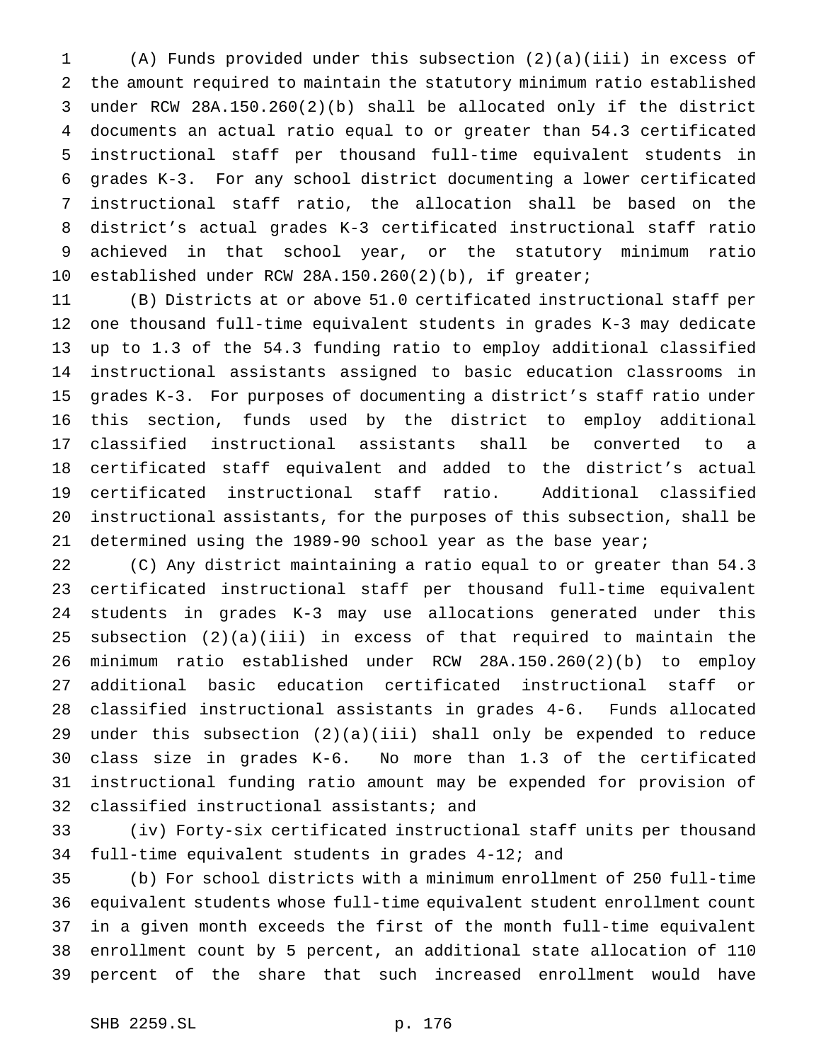(A) Funds provided under this subsection (2)(a)(iii) in excess of the amount required to maintain the statutory minimum ratio established under RCW 28A.150.260(2)(b) shall be allocated only if the district documents an actual ratio equal to or greater than 54.3 certificated instructional staff per thousand full-time equivalent students in grades K-3. For any school district documenting a lower certificated instructional staff ratio, the allocation shall be based on the district's actual grades K-3 certificated instructional staff ratio achieved in that school year, or the statutory minimum ratio established under RCW 28A.150.260(2)(b), if greater;

 (B) Districts at or above 51.0 certificated instructional staff per one thousand full-time equivalent students in grades K-3 may dedicate up to 1.3 of the 54.3 funding ratio to employ additional classified instructional assistants assigned to basic education classrooms in grades K-3. For purposes of documenting a district's staff ratio under this section, funds used by the district to employ additional classified instructional assistants shall be converted to a certificated staff equivalent and added to the district's actual certificated instructional staff ratio. Additional classified instructional assistants, for the purposes of this subsection, shall be determined using the 1989-90 school year as the base year;

 (C) Any district maintaining a ratio equal to or greater than 54.3 certificated instructional staff per thousand full-time equivalent students in grades K-3 may use allocations generated under this subsection (2)(a)(iii) in excess of that required to maintain the minimum ratio established under RCW 28A.150.260(2)(b) to employ additional basic education certificated instructional staff or classified instructional assistants in grades 4-6. Funds allocated under this subsection (2)(a)(iii) shall only be expended to reduce class size in grades K-6. No more than 1.3 of the certificated instructional funding ratio amount may be expended for provision of classified instructional assistants; and

 (iv) Forty-six certificated instructional staff units per thousand full-time equivalent students in grades 4-12; and

 (b) For school districts with a minimum enrollment of 250 full-time equivalent students whose full-time equivalent student enrollment count in a given month exceeds the first of the month full-time equivalent enrollment count by 5 percent, an additional state allocation of 110 percent of the share that such increased enrollment would have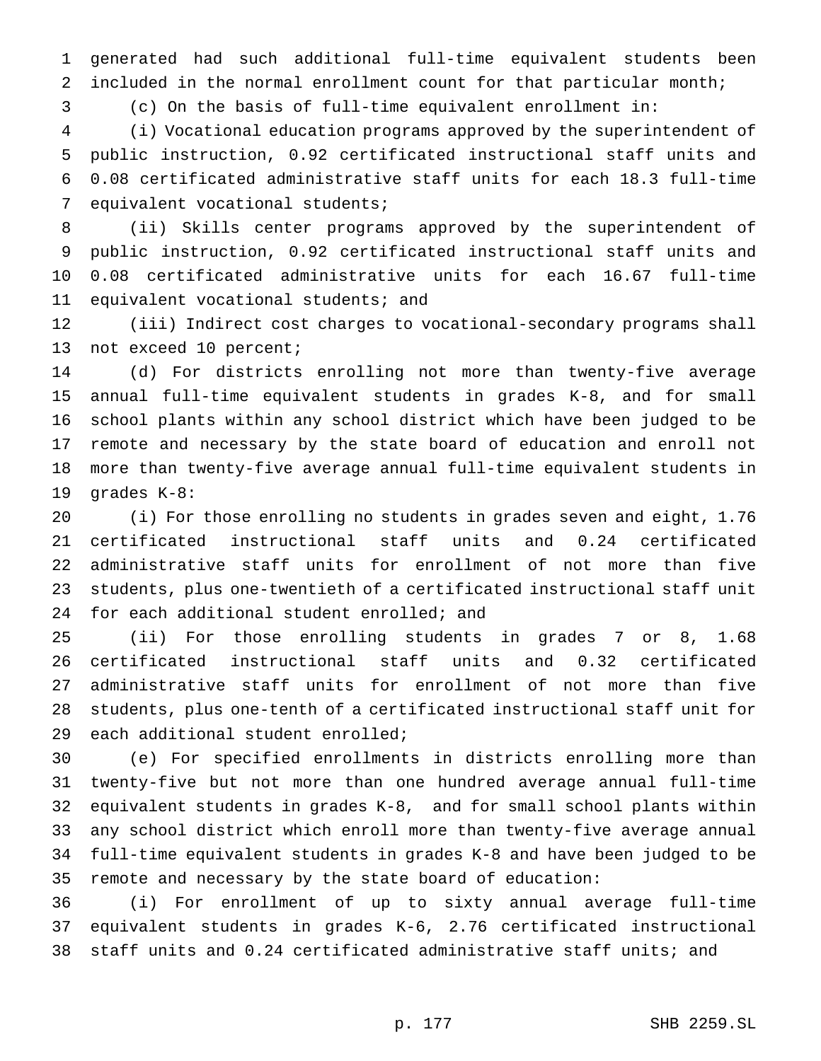generated had such additional full-time equivalent students been included in the normal enrollment count for that particular month;

(c) On the basis of full-time equivalent enrollment in:

 (i) Vocational education programs approved by the superintendent of public instruction, 0.92 certificated instructional staff units and 0.08 certificated administrative staff units for each 18.3 full-time equivalent vocational students;

 (ii) Skills center programs approved by the superintendent of public instruction, 0.92 certificated instructional staff units and 0.08 certificated administrative units for each 16.67 full-time 11 equivalent vocational students; and

 (iii) Indirect cost charges to vocational-secondary programs shall not exceed 10 percent;

 (d) For districts enrolling not more than twenty-five average annual full-time equivalent students in grades K-8, and for small school plants within any school district which have been judged to be remote and necessary by the state board of education and enroll not more than twenty-five average annual full-time equivalent students in grades K-8:

 (i) For those enrolling no students in grades seven and eight, 1.76 certificated instructional staff units and 0.24 certificated administrative staff units for enrollment of not more than five students, plus one-twentieth of a certificated instructional staff unit 24 for each additional student enrolled; and

 (ii) For those enrolling students in grades 7 or 8, 1.68 certificated instructional staff units and 0.32 certificated administrative staff units for enrollment of not more than five students, plus one-tenth of a certificated instructional staff unit for each additional student enrolled;

 (e) For specified enrollments in districts enrolling more than twenty-five but not more than one hundred average annual full-time equivalent students in grades K-8, and for small school plants within any school district which enroll more than twenty-five average annual full-time equivalent students in grades K-8 and have been judged to be remote and necessary by the state board of education:

 (i) For enrollment of up to sixty annual average full-time equivalent students in grades K-6, 2.76 certificated instructional staff units and 0.24 certificated administrative staff units; and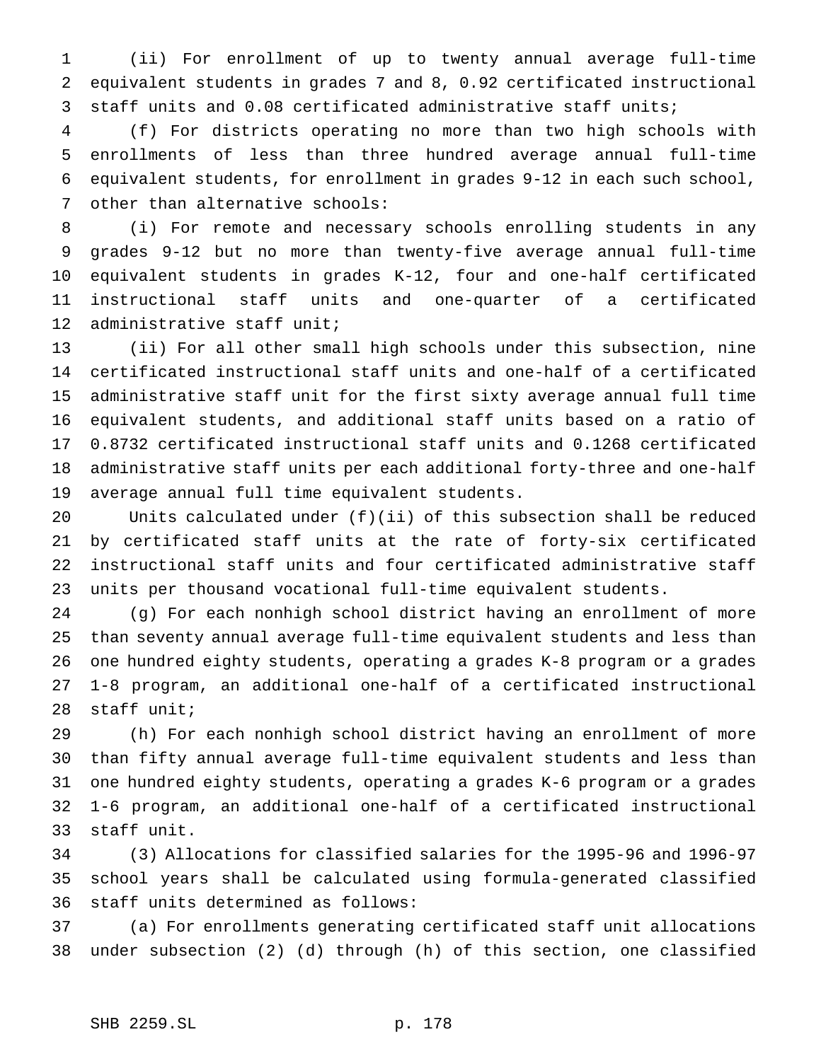(ii) For enrollment of up to twenty annual average full-time equivalent students in grades 7 and 8, 0.92 certificated instructional staff units and 0.08 certificated administrative staff units;

 (f) For districts operating no more than two high schools with enrollments of less than three hundred average annual full-time equivalent students, for enrollment in grades 9-12 in each such school, other than alternative schools:

 (i) For remote and necessary schools enrolling students in any grades 9-12 but no more than twenty-five average annual full-time equivalent students in grades K-12, four and one-half certificated instructional staff units and one-quarter of a certificated administrative staff unit;

 (ii) For all other small high schools under this subsection, nine certificated instructional staff units and one-half of a certificated administrative staff unit for the first sixty average annual full time equivalent students, and additional staff units based on a ratio of 0.8732 certificated instructional staff units and 0.1268 certificated administrative staff units per each additional forty-three and one-half average annual full time equivalent students.

 Units calculated under (f)(ii) of this subsection shall be reduced by certificated staff units at the rate of forty-six certificated instructional staff units and four certificated administrative staff units per thousand vocational full-time equivalent students.

 (g) For each nonhigh school district having an enrollment of more than seventy annual average full-time equivalent students and less than one hundred eighty students, operating a grades K-8 program or a grades 1-8 program, an additional one-half of a certificated instructional staff unit;

 (h) For each nonhigh school district having an enrollment of more than fifty annual average full-time equivalent students and less than one hundred eighty students, operating a grades K-6 program or a grades 1-6 program, an additional one-half of a certificated instructional staff unit.

 (3) Allocations for classified salaries for the 1995-96 and 1996-97 school years shall be calculated using formula-generated classified staff units determined as follows:

 (a) For enrollments generating certificated staff unit allocations under subsection (2) (d) through (h) of this section, one classified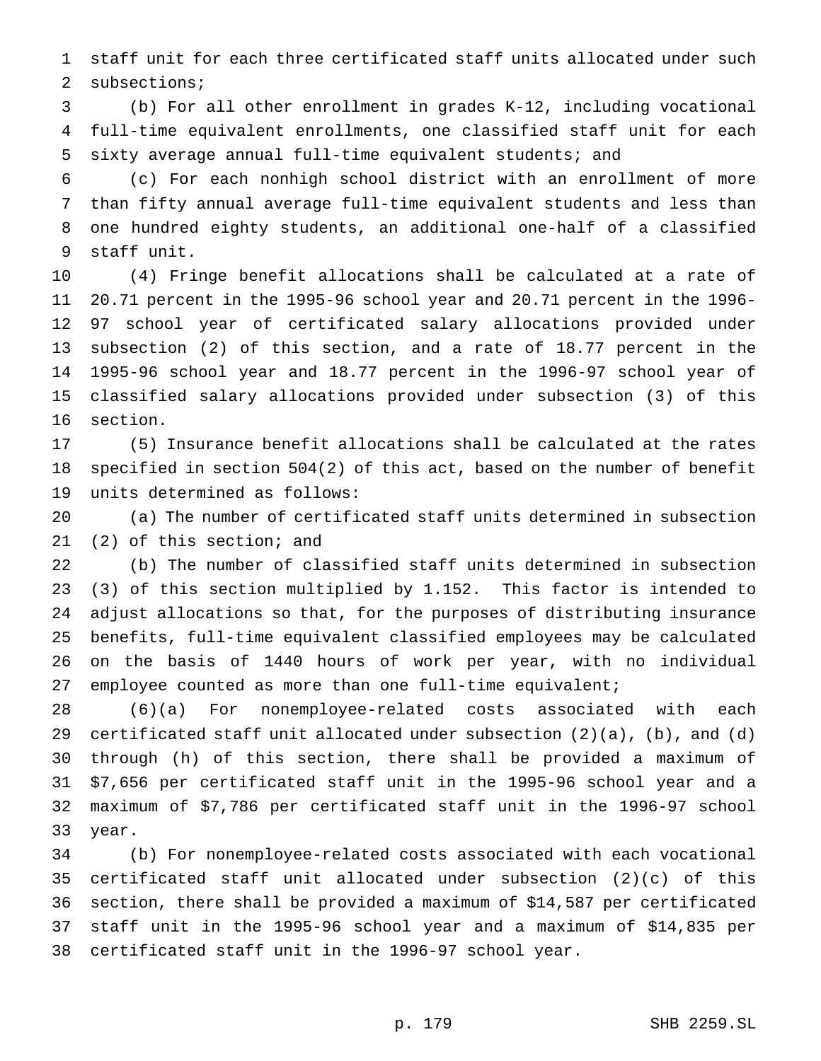staff unit for each three certificated staff units allocated under such 2 subsections;

 (b) For all other enrollment in grades K-12, including vocational full-time equivalent enrollments, one classified staff unit for each sixty average annual full-time equivalent students; and

 (c) For each nonhigh school district with an enrollment of more than fifty annual average full-time equivalent students and less than one hundred eighty students, an additional one-half of a classified staff unit.

 (4) Fringe benefit allocations shall be calculated at a rate of 20.71 percent in the 1995-96 school year and 20.71 percent in the 1996- 97 school year of certificated salary allocations provided under subsection (2) of this section, and a rate of 18.77 percent in the 1995-96 school year and 18.77 percent in the 1996-97 school year of classified salary allocations provided under subsection (3) of this section.

 (5) Insurance benefit allocations shall be calculated at the rates specified in section 504(2) of this act, based on the number of benefit units determined as follows:

 (a) The number of certificated staff units determined in subsection (2) of this section; and

 (b) The number of classified staff units determined in subsection (3) of this section multiplied by 1.152. This factor is intended to adjust allocations so that, for the purposes of distributing insurance benefits, full-time equivalent classified employees may be calculated on the basis of 1440 hours of work per year, with no individual employee counted as more than one full-time equivalent;

 (6)(a) For nonemployee-related costs associated with each 29 certificated staff unit allocated under subsection  $(2)(a)$ ,  $(b)$ , and  $(d)$  through (h) of this section, there shall be provided a maximum of \$7,656 per certificated staff unit in the 1995-96 school year and a maximum of \$7,786 per certificated staff unit in the 1996-97 school year.

 (b) For nonemployee-related costs associated with each vocational certificated staff unit allocated under subsection (2)(c) of this section, there shall be provided a maximum of \$14,587 per certificated staff unit in the 1995-96 school year and a maximum of \$14,835 per certificated staff unit in the 1996-97 school year.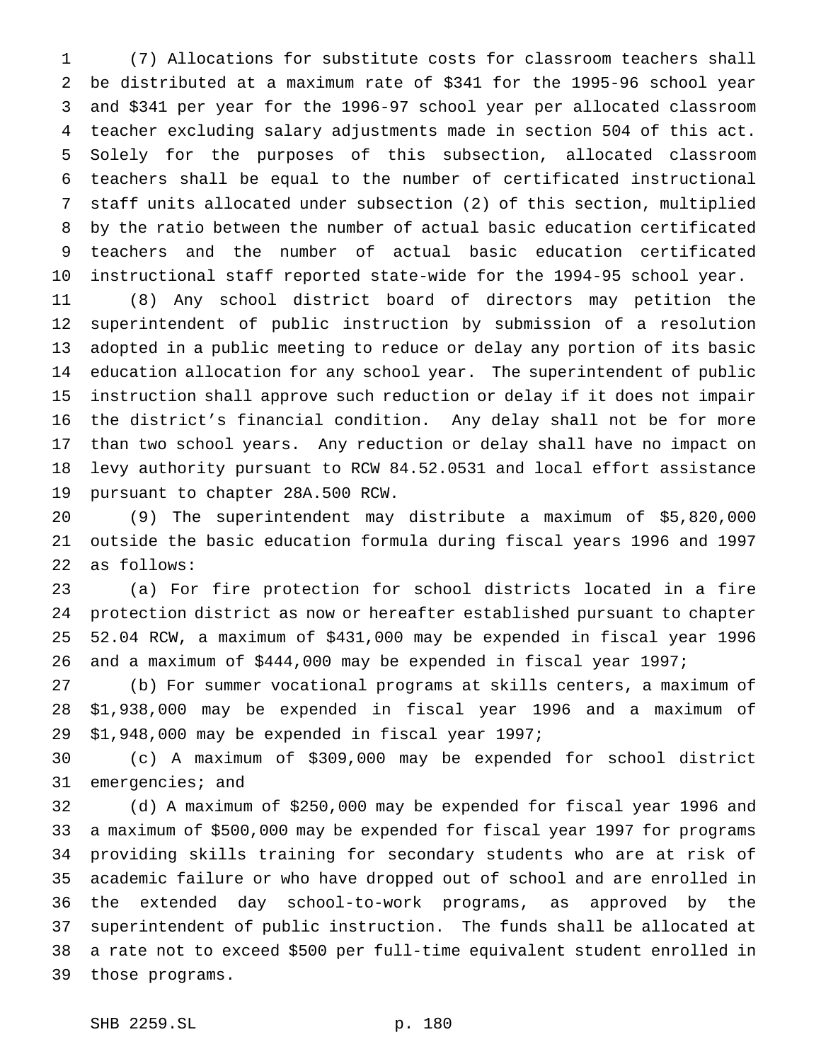(7) Allocations for substitute costs for classroom teachers shall be distributed at a maximum rate of \$341 for the 1995-96 school year and \$341 per year for the 1996-97 school year per allocated classroom teacher excluding salary adjustments made in section 504 of this act. Solely for the purposes of this subsection, allocated classroom teachers shall be equal to the number of certificated instructional staff units allocated under subsection (2) of this section, multiplied by the ratio between the number of actual basic education certificated teachers and the number of actual basic education certificated instructional staff reported state-wide for the 1994-95 school year.

 (8) Any school district board of directors may petition the superintendent of public instruction by submission of a resolution adopted in a public meeting to reduce or delay any portion of its basic education allocation for any school year. The superintendent of public instruction shall approve such reduction or delay if it does not impair the district's financial condition. Any delay shall not be for more than two school years. Any reduction or delay shall have no impact on levy authority pursuant to RCW 84.52.0531 and local effort assistance pursuant to chapter 28A.500 RCW.

 (9) The superintendent may distribute a maximum of \$5,820,000 outside the basic education formula during fiscal years 1996 and 1997 as follows:

 (a) For fire protection for school districts located in a fire protection district as now or hereafter established pursuant to chapter 52.04 RCW, a maximum of \$431,000 may be expended in fiscal year 1996 and a maximum of \$444,000 may be expended in fiscal year 1997;

 (b) For summer vocational programs at skills centers, a maximum of \$1,938,000 may be expended in fiscal year 1996 and a maximum of \$1,948,000 may be expended in fiscal year 1997;

 (c) A maximum of \$309,000 may be expended for school district 31 emergencies; and

 (d) A maximum of \$250,000 may be expended for fiscal year 1996 and a maximum of \$500,000 may be expended for fiscal year 1997 for programs providing skills training for secondary students who are at risk of academic failure or who have dropped out of school and are enrolled in the extended day school-to-work programs, as approved by the superintendent of public instruction. The funds shall be allocated at a rate not to exceed \$500 per full-time equivalent student enrolled in those programs.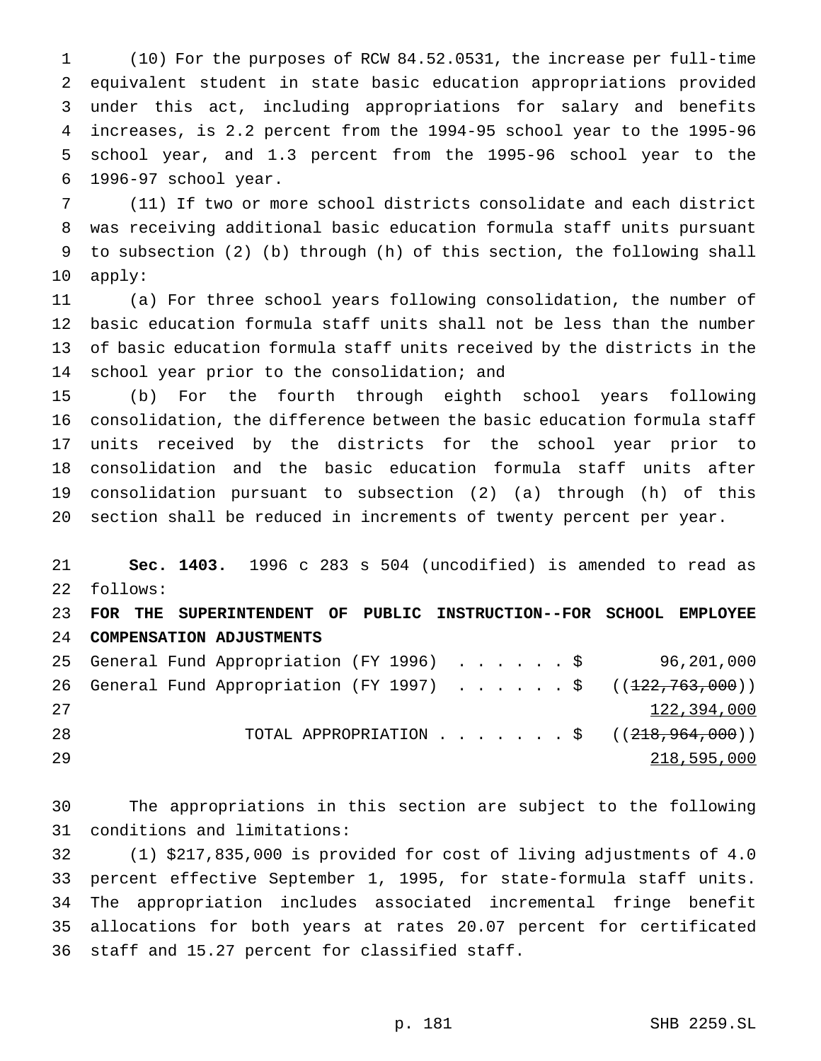(10) For the purposes of RCW 84.52.0531, the increase per full-time equivalent student in state basic education appropriations provided under this act, including appropriations for salary and benefits increases, is 2.2 percent from the 1994-95 school year to the 1995-96 school year, and 1.3 percent from the 1995-96 school year to the 1996-97 school year.

 (11) If two or more school districts consolidate and each district was receiving additional basic education formula staff units pursuant to subsection (2) (b) through (h) of this section, the following shall apply:

 (a) For three school years following consolidation, the number of basic education formula staff units shall not be less than the number of basic education formula staff units received by the districts in the school year prior to the consolidation; and

 (b) For the fourth through eighth school years following consolidation, the difference between the basic education formula staff units received by the districts for the school year prior to consolidation and the basic education formula staff units after consolidation pursuant to subsection (2) (a) through (h) of this section shall be reduced in increments of twenty percent per year.

 **Sec. 1403.** 1996 c 283 s 504 (uncodified) is amended to read as follows: **FOR THE SUPERINTENDENT OF PUBLIC INSTRUCTION--FOR SCHOOL EMPLOYEE COMPENSATION ADJUSTMENTS** General Fund Appropriation (FY 1996) ......\$ 96,201,000 26 General Fund Appropriation (FY 1997) . . . . . \$ ((<del>122,763,000</del>)) 122,394,000

28 TOTAL APPROPRIATION . . . . . . \$ ((<del>218,964,000</del>)) 218,595,000

 The appropriations in this section are subject to the following conditions and limitations:

 (1) \$217,835,000 is provided for cost of living adjustments of 4.0 percent effective September 1, 1995, for state-formula staff units. The appropriation includes associated incremental fringe benefit allocations for both years at rates 20.07 percent for certificated staff and 15.27 percent for classified staff.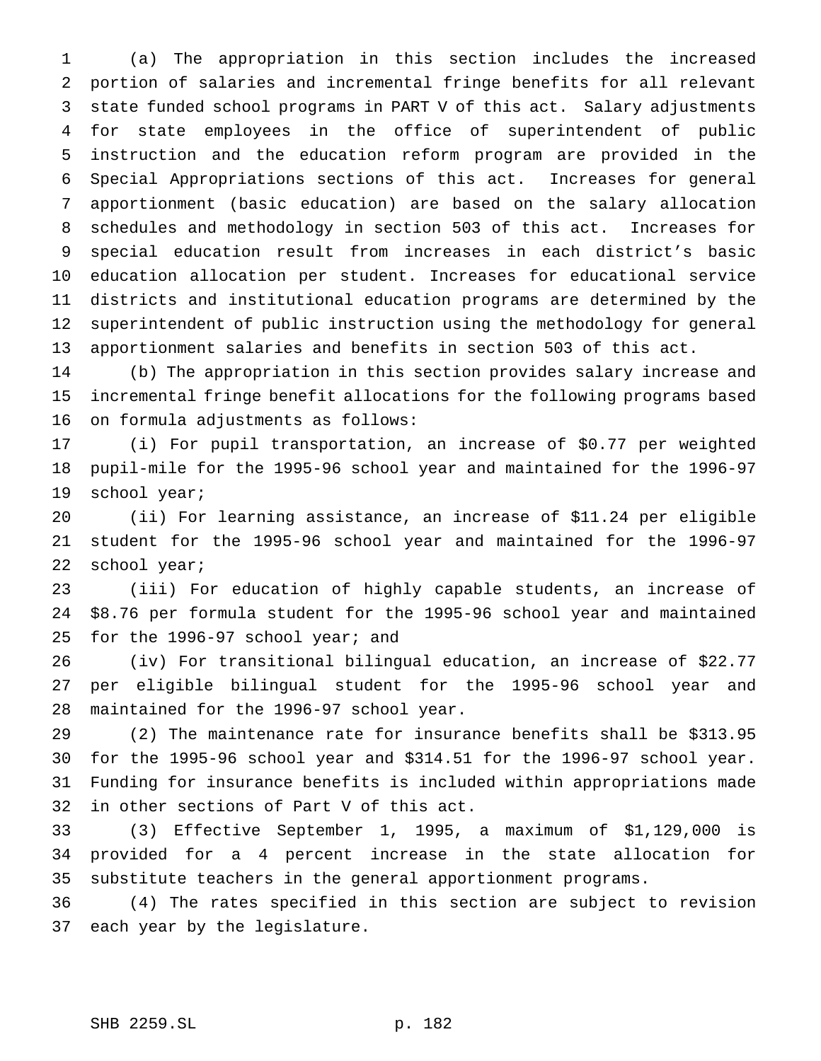(a) The appropriation in this section includes the increased portion of salaries and incremental fringe benefits for all relevant state funded school programs in PART V of this act. Salary adjustments for state employees in the office of superintendent of public instruction and the education reform program are provided in the Special Appropriations sections of this act. Increases for general apportionment (basic education) are based on the salary allocation schedules and methodology in section 503 of this act. Increases for special education result from increases in each district's basic education allocation per student. Increases for educational service districts and institutional education programs are determined by the superintendent of public instruction using the methodology for general apportionment salaries and benefits in section 503 of this act.

 (b) The appropriation in this section provides salary increase and incremental fringe benefit allocations for the following programs based on formula adjustments as follows:

 (i) For pupil transportation, an increase of \$0.77 per weighted pupil-mile for the 1995-96 school year and maintained for the 1996-97 school year;

 (ii) For learning assistance, an increase of \$11.24 per eligible student for the 1995-96 school year and maintained for the 1996-97 school year;

 (iii) For education of highly capable students, an increase of \$8.76 per formula student for the 1995-96 school year and maintained for the 1996-97 school year; and

 (iv) For transitional bilingual education, an increase of \$22.77 per eligible bilingual student for the 1995-96 school year and maintained for the 1996-97 school year.

 (2) The maintenance rate for insurance benefits shall be \$313.95 for the 1995-96 school year and \$314.51 for the 1996-97 school year. Funding for insurance benefits is included within appropriations made in other sections of Part V of this act.

 (3) Effective September 1, 1995, a maximum of \$1,129,000 is provided for a 4 percent increase in the state allocation for substitute teachers in the general apportionment programs.

 (4) The rates specified in this section are subject to revision each year by the legislature.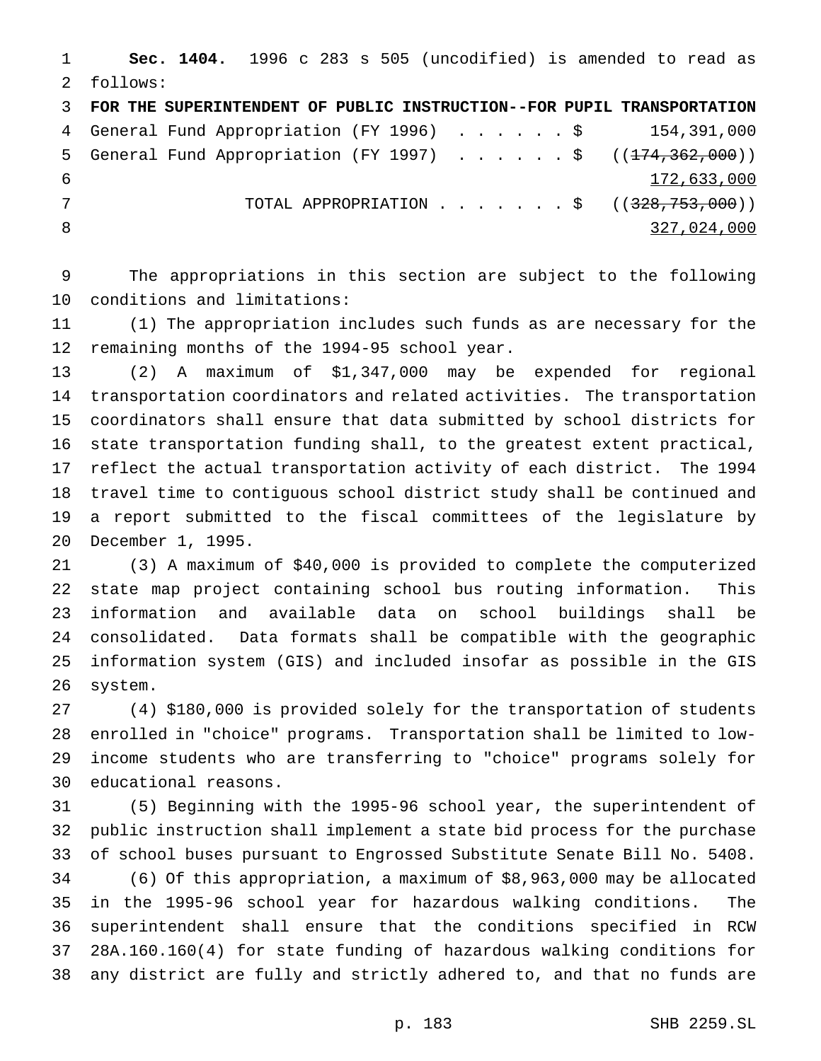**Sec. 1404.** 1996 c 283 s 505 (uncodified) is amended to read as follows: **FOR THE SUPERINTENDENT OF PUBLIC INSTRUCTION--FOR PUPIL TRANSPORTATION** General Fund Appropriation (FY 1996) ......\$ 154,391,000 5 General Fund Appropriation (FY 1997) . . . . . \$ ((<del>174,362,000</del>)) 172,633,000 7 TOTAL APPROPRIATION . . . . . . \$ ((328,753,000)) 327,024,000

 The appropriations in this section are subject to the following conditions and limitations:

 (1) The appropriation includes such funds as are necessary for the remaining months of the 1994-95 school year.

 (2) A maximum of \$1,347,000 may be expended for regional transportation coordinators and related activities. The transportation coordinators shall ensure that data submitted by school districts for state transportation funding shall, to the greatest extent practical, reflect the actual transportation activity of each district. The 1994 travel time to contiguous school district study shall be continued and a report submitted to the fiscal committees of the legislature by December 1, 1995.

 (3) A maximum of \$40,000 is provided to complete the computerized state map project containing school bus routing information. This information and available data on school buildings shall be consolidated. Data formats shall be compatible with the geographic information system (GIS) and included insofar as possible in the GIS system.

 (4) \$180,000 is provided solely for the transportation of students enrolled in "choice" programs. Transportation shall be limited to low- income students who are transferring to "choice" programs solely for educational reasons.

 (5) Beginning with the 1995-96 school year, the superintendent of public instruction shall implement a state bid process for the purchase of school buses pursuant to Engrossed Substitute Senate Bill No. 5408. (6) Of this appropriation, a maximum of \$8,963,000 may be allocated in the 1995-96 school year for hazardous walking conditions. The superintendent shall ensure that the conditions specified in RCW 28A.160.160(4) for state funding of hazardous walking conditions for any district are fully and strictly adhered to, and that no funds are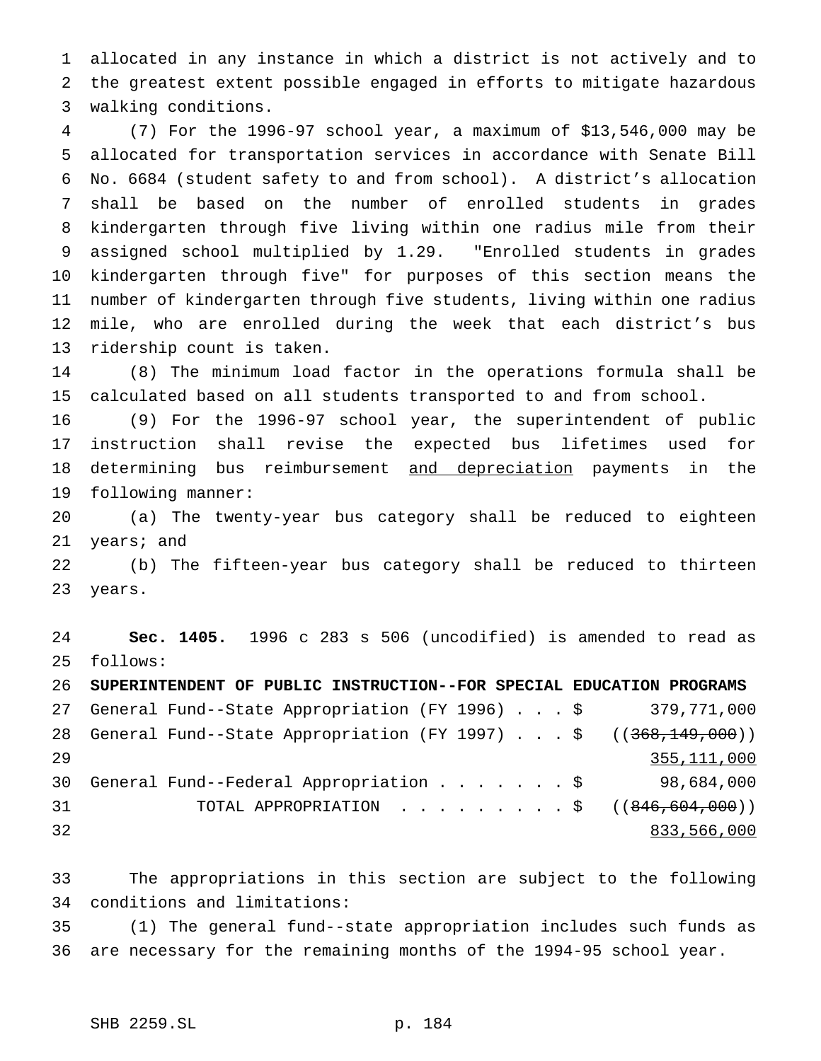allocated in any instance in which a district is not actively and to the greatest extent possible engaged in efforts to mitigate hazardous walking conditions.

 (7) For the 1996-97 school year, a maximum of \$13,546,000 may be allocated for transportation services in accordance with Senate Bill No. 6684 (student safety to and from school). A district's allocation shall be based on the number of enrolled students in grades kindergarten through five living within one radius mile from their assigned school multiplied by 1.29. "Enrolled students in grades kindergarten through five" for purposes of this section means the number of kindergarten through five students, living within one radius mile, who are enrolled during the week that each district's bus ridership count is taken.

 (8) The minimum load factor in the operations formula shall be calculated based on all students transported to and from school.

 (9) For the 1996-97 school year, the superintendent of public instruction shall revise the expected bus lifetimes used for 18 determining bus reimbursement and depreciation payments in the following manner:

 (a) The twenty-year bus category shall be reduced to eighteen years; and

 (b) The fifteen-year bus category shall be reduced to thirteen years.

 **Sec. 1405.** 1996 c 283 s 506 (uncodified) is amended to read as follows:

 **SUPERINTENDENT OF PUBLIC INSTRUCTION--FOR SPECIAL EDUCATION PROGRAMS** General Fund--State Appropriation (FY 1996)...\$ 379,771,000 28 General Fund--State Appropriation (FY 1997) . . . \$ ((<del>368,149,000</del>)) 355,111,000 General Fund--Federal Appropriation.......\$ 98,684,000 31 TOTAL APPROPRIATION . . . . . . . . \$ ((846,604,000)) 833,566,000

 The appropriations in this section are subject to the following conditions and limitations:

 (1) The general fund--state appropriation includes such funds as are necessary for the remaining months of the 1994-95 school year.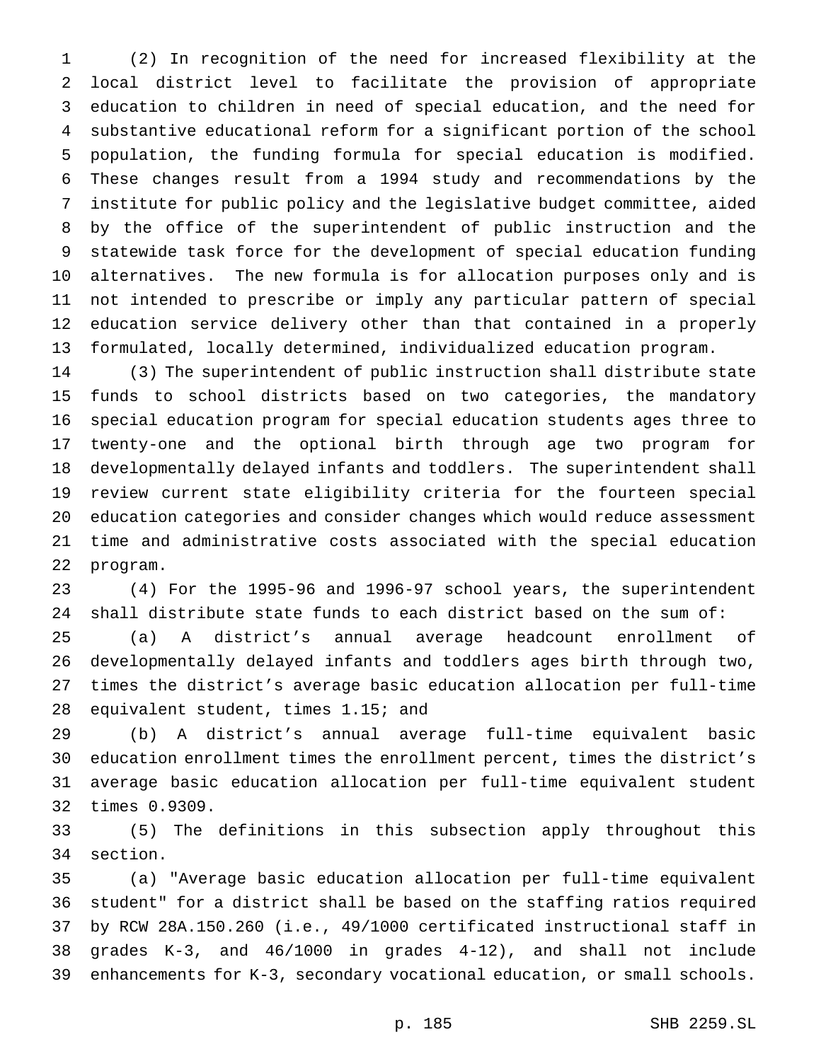(2) In recognition of the need for increased flexibility at the local district level to facilitate the provision of appropriate education to children in need of special education, and the need for substantive educational reform for a significant portion of the school population, the funding formula for special education is modified. These changes result from a 1994 study and recommendations by the institute for public policy and the legislative budget committee, aided by the office of the superintendent of public instruction and the statewide task force for the development of special education funding alternatives. The new formula is for allocation purposes only and is not intended to prescribe or imply any particular pattern of special education service delivery other than that contained in a properly formulated, locally determined, individualized education program.

 (3) The superintendent of public instruction shall distribute state funds to school districts based on two categories, the mandatory special education program for special education students ages three to twenty-one and the optional birth through age two program for developmentally delayed infants and toddlers. The superintendent shall review current state eligibility criteria for the fourteen special education categories and consider changes which would reduce assessment time and administrative costs associated with the special education program.

 (4) For the 1995-96 and 1996-97 school years, the superintendent shall distribute state funds to each district based on the sum of:

 (a) A district's annual average headcount enrollment of developmentally delayed infants and toddlers ages birth through two, times the district's average basic education allocation per full-time equivalent student, times 1.15; and

 (b) A district's annual average full-time equivalent basic education enrollment times the enrollment percent, times the district's average basic education allocation per full-time equivalent student times 0.9309.

 (5) The definitions in this subsection apply throughout this section.

 (a) "Average basic education allocation per full-time equivalent student" for a district shall be based on the staffing ratios required by RCW 28A.150.260 (i.e., 49/1000 certificated instructional staff in grades K-3, and 46/1000 in grades 4-12), and shall not include enhancements for K-3, secondary vocational education, or small schools.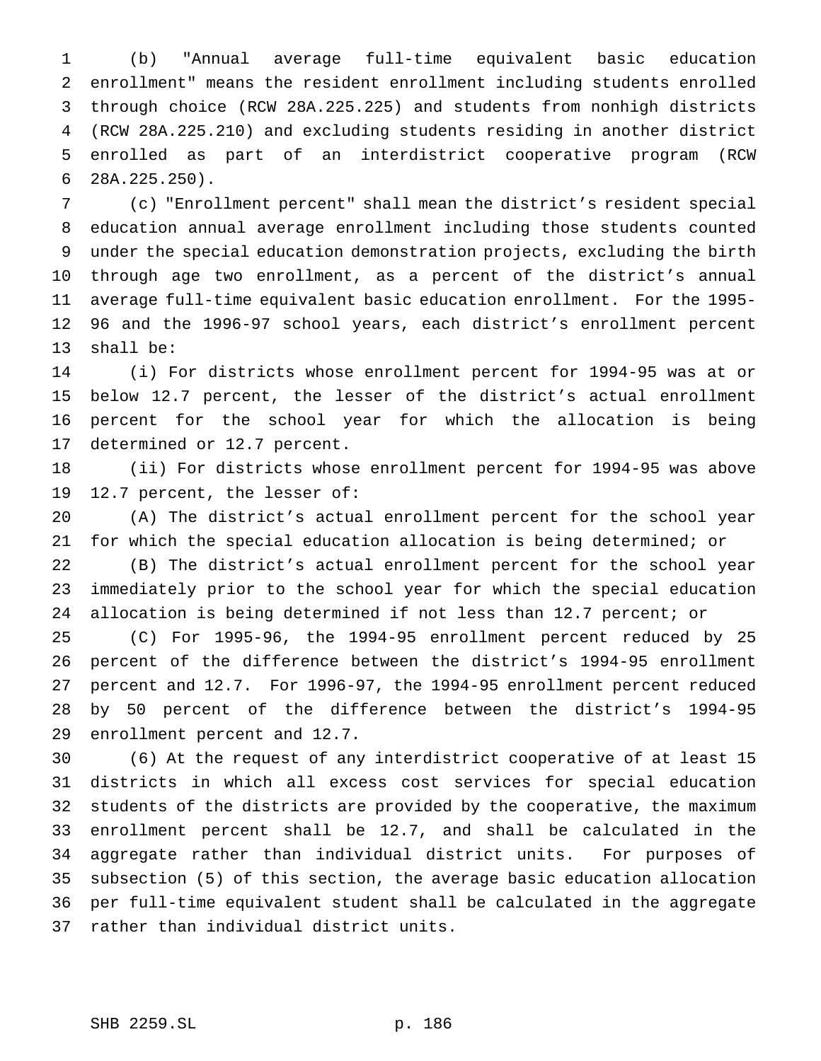(b) "Annual average full-time equivalent basic education enrollment" means the resident enrollment including students enrolled through choice (RCW 28A.225.225) and students from nonhigh districts (RCW 28A.225.210) and excluding students residing in another district enrolled as part of an interdistrict cooperative program (RCW 28A.225.250).

 (c) "Enrollment percent" shall mean the district's resident special education annual average enrollment including those students counted under the special education demonstration projects, excluding the birth through age two enrollment, as a percent of the district's annual average full-time equivalent basic education enrollment. For the 1995- 96 and the 1996-97 school years, each district's enrollment percent shall be:

 (i) For districts whose enrollment percent for 1994-95 was at or below 12.7 percent, the lesser of the district's actual enrollment percent for the school year for which the allocation is being determined or 12.7 percent.

 (ii) For districts whose enrollment percent for 1994-95 was above 12.7 percent, the lesser of:

 (A) The district's actual enrollment percent for the school year for which the special education allocation is being determined; or

 (B) The district's actual enrollment percent for the school year immediately prior to the school year for which the special education allocation is being determined if not less than 12.7 percent; or

 (C) For 1995-96, the 1994-95 enrollment percent reduced by 25 percent of the difference between the district's 1994-95 enrollment percent and 12.7. For 1996-97, the 1994-95 enrollment percent reduced by 50 percent of the difference between the district's 1994-95 enrollment percent and 12.7.

 (6) At the request of any interdistrict cooperative of at least 15 districts in which all excess cost services for special education students of the districts are provided by the cooperative, the maximum enrollment percent shall be 12.7, and shall be calculated in the aggregate rather than individual district units. For purposes of subsection (5) of this section, the average basic education allocation per full-time equivalent student shall be calculated in the aggregate rather than individual district units.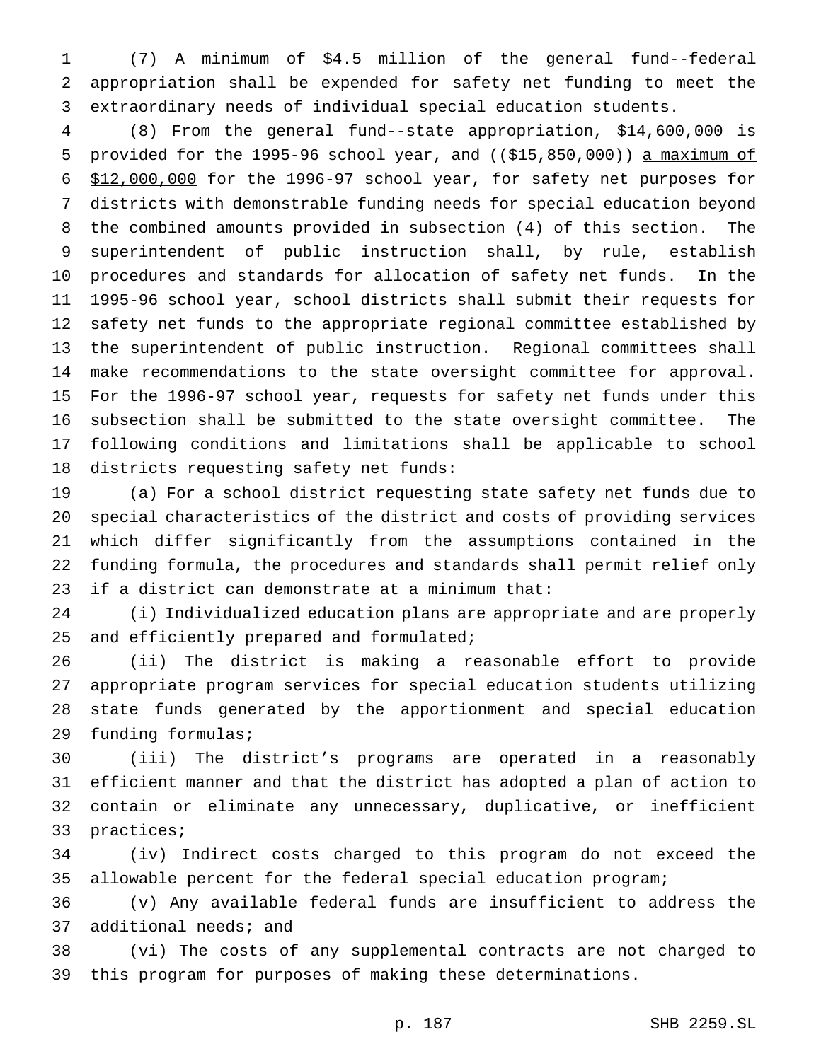(7) A minimum of \$4.5 million of the general fund--federal appropriation shall be expended for safety net funding to meet the extraordinary needs of individual special education students.

 (8) From the general fund--state appropriation, \$14,600,000 is 5 provided for the 1995-96 school year, and  $((\$15,850,000))$  a maximum of \$12,000,000 for the 1996-97 school year, for safety net purposes for districts with demonstrable funding needs for special education beyond the combined amounts provided in subsection (4) of this section. The superintendent of public instruction shall, by rule, establish procedures and standards for allocation of safety net funds. In the 1995-96 school year, school districts shall submit their requests for safety net funds to the appropriate regional committee established by the superintendent of public instruction. Regional committees shall make recommendations to the state oversight committee for approval. For the 1996-97 school year, requests for safety net funds under this subsection shall be submitted to the state oversight committee. The following conditions and limitations shall be applicable to school districts requesting safety net funds:

 (a) For a school district requesting state safety net funds due to special characteristics of the district and costs of providing services which differ significantly from the assumptions contained in the funding formula, the procedures and standards shall permit relief only if a district can demonstrate at a minimum that:

 (i) Individualized education plans are appropriate and are properly 25 and efficiently prepared and formulated;

 (ii) The district is making a reasonable effort to provide appropriate program services for special education students utilizing state funds generated by the apportionment and special education funding formulas;

 (iii) The district's programs are operated in a reasonably efficient manner and that the district has adopted a plan of action to contain or eliminate any unnecessary, duplicative, or inefficient practices;

 (iv) Indirect costs charged to this program do not exceed the allowable percent for the federal special education program;

 (v) Any available federal funds are insufficient to address the additional needs; and

 (vi) The costs of any supplemental contracts are not charged to this program for purposes of making these determinations.

p. 187 SHB 2259.SL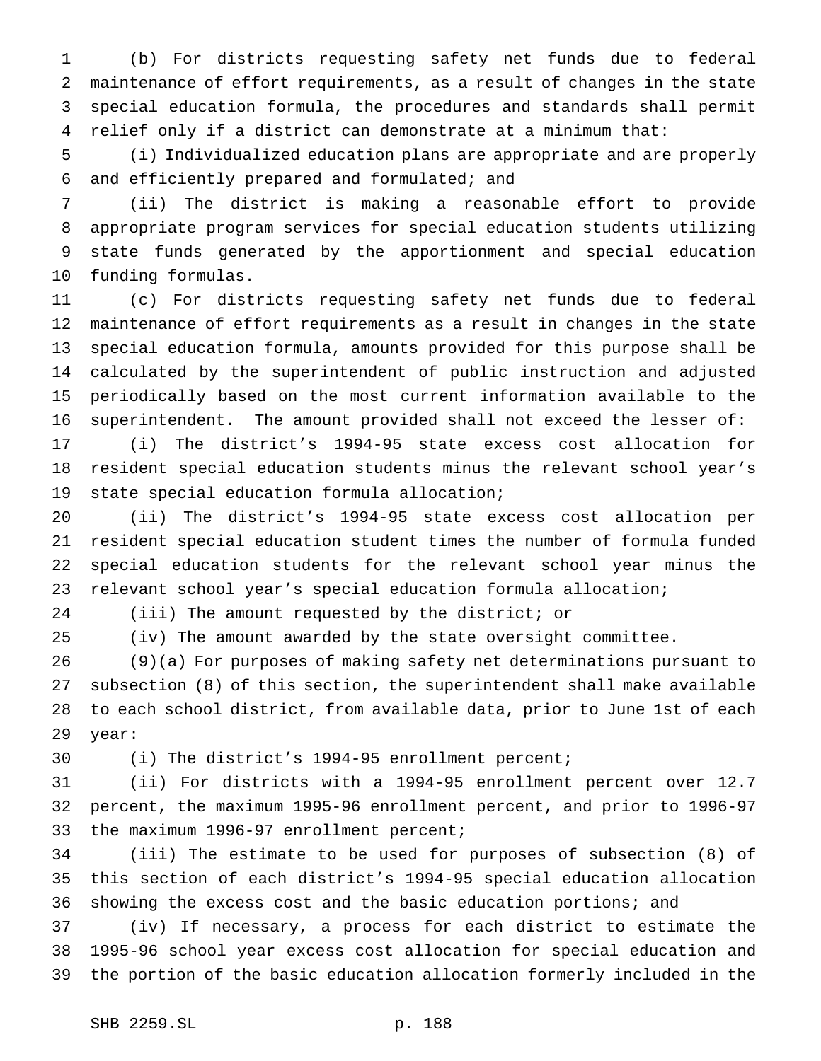(b) For districts requesting safety net funds due to federal maintenance of effort requirements, as a result of changes in the state special education formula, the procedures and standards shall permit relief only if a district can demonstrate at a minimum that:

 (i) Individualized education plans are appropriate and are properly and efficiently prepared and formulated; and

 (ii) The district is making a reasonable effort to provide appropriate program services for special education students utilizing state funds generated by the apportionment and special education funding formulas.

 (c) For districts requesting safety net funds due to federal maintenance of effort requirements as a result in changes in the state special education formula, amounts provided for this purpose shall be calculated by the superintendent of public instruction and adjusted periodically based on the most current information available to the superintendent. The amount provided shall not exceed the lesser of:

 (i) The district's 1994-95 state excess cost allocation for resident special education students minus the relevant school year's state special education formula allocation;

 (ii) The district's 1994-95 state excess cost allocation per resident special education student times the number of formula funded special education students for the relevant school year minus the relevant school year's special education formula allocation;

(iii) The amount requested by the district; or

(iv) The amount awarded by the state oversight committee.

 (9)(a) For purposes of making safety net determinations pursuant to subsection (8) of this section, the superintendent shall make available to each school district, from available data, prior to June 1st of each year:

(i) The district's 1994-95 enrollment percent;

 (ii) For districts with a 1994-95 enrollment percent over 12.7 percent, the maximum 1995-96 enrollment percent, and prior to 1996-97 the maximum 1996-97 enrollment percent;

 (iii) The estimate to be used for purposes of subsection (8) of this section of each district's 1994-95 special education allocation showing the excess cost and the basic education portions; and

 (iv) If necessary, a process for each district to estimate the 1995-96 school year excess cost allocation for special education and the portion of the basic education allocation formerly included in the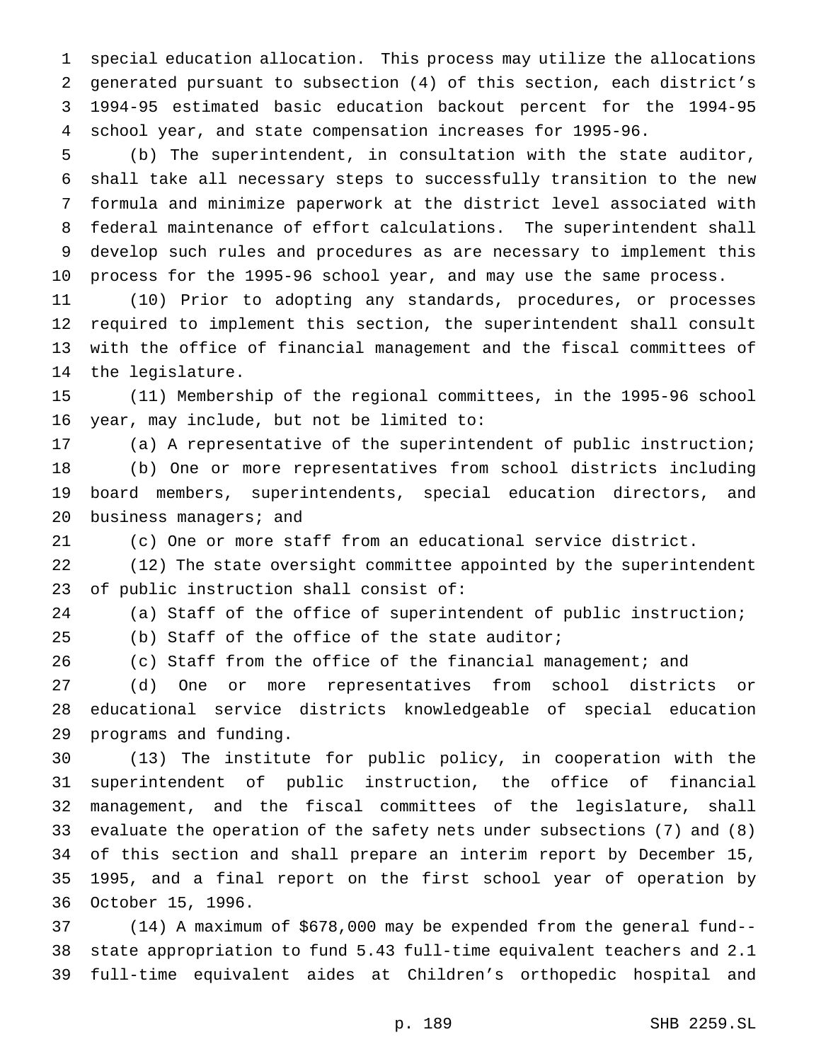special education allocation. This process may utilize the allocations generated pursuant to subsection (4) of this section, each district's 1994-95 estimated basic education backout percent for the 1994-95 school year, and state compensation increases for 1995-96.

 (b) The superintendent, in consultation with the state auditor, shall take all necessary steps to successfully transition to the new formula and minimize paperwork at the district level associated with federal maintenance of effort calculations. The superintendent shall develop such rules and procedures as are necessary to implement this process for the 1995-96 school year, and may use the same process.

 (10) Prior to adopting any standards, procedures, or processes required to implement this section, the superintendent shall consult with the office of financial management and the fiscal committees of the legislature.

 (11) Membership of the regional committees, in the 1995-96 school year, may include, but not be limited to:

 (a) A representative of the superintendent of public instruction; (b) One or more representatives from school districts including board members, superintendents, special education directors, and 20 business managers; and

(c) One or more staff from an educational service district.

 (12) The state oversight committee appointed by the superintendent of public instruction shall consist of:

(a) Staff of the office of superintendent of public instruction;

(b) Staff of the office of the state auditor;

(c) Staff from the office of the financial management; and

 (d) One or more representatives from school districts or educational service districts knowledgeable of special education programs and funding.

 (13) The institute for public policy, in cooperation with the superintendent of public instruction, the office of financial management, and the fiscal committees of the legislature, shall evaluate the operation of the safety nets under subsections (7) and (8) of this section and shall prepare an interim report by December 15, 1995, and a final report on the first school year of operation by October 15, 1996.

 (14) A maximum of \$678,000 may be expended from the general fund-- state appropriation to fund 5.43 full-time equivalent teachers and 2.1 full-time equivalent aides at Children's orthopedic hospital and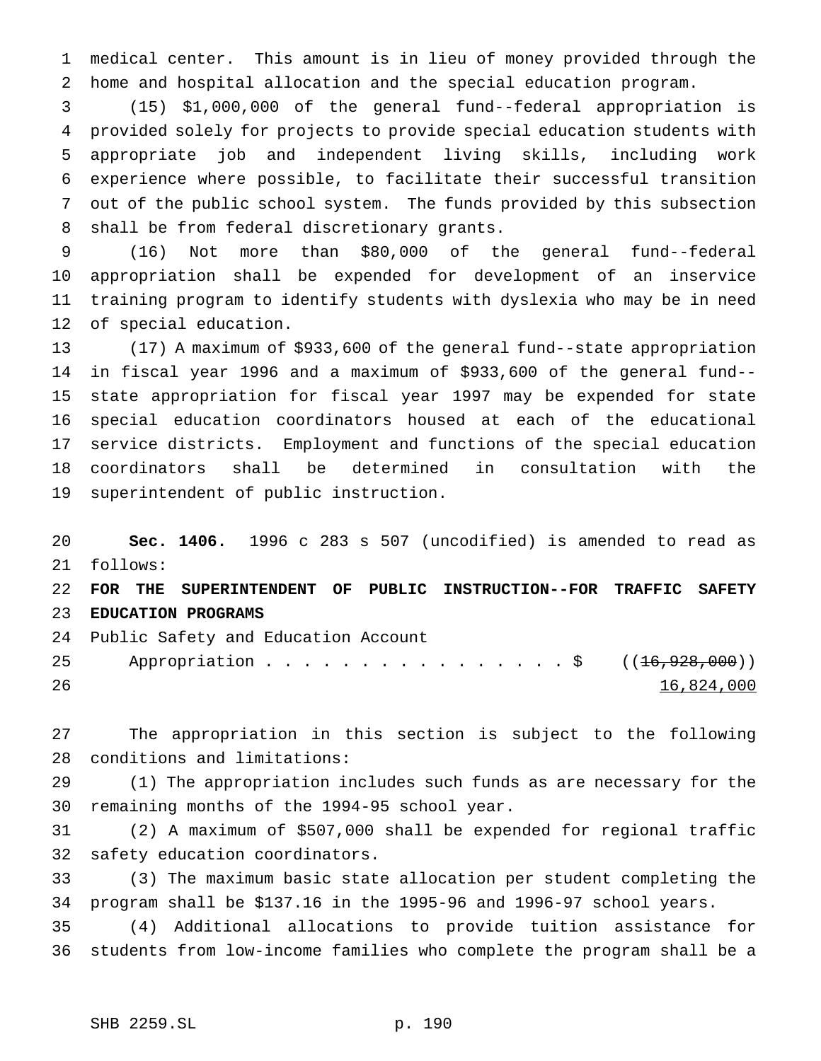medical center. This amount is in lieu of money provided through the home and hospital allocation and the special education program.

 (15) \$1,000,000 of the general fund--federal appropriation is provided solely for projects to provide special education students with appropriate job and independent living skills, including work experience where possible, to facilitate their successful transition out of the public school system. The funds provided by this subsection shall be from federal discretionary grants.

 (16) Not more than \$80,000 of the general fund--federal appropriation shall be expended for development of an inservice training program to identify students with dyslexia who may be in need of special education.

 (17) A maximum of \$933,600 of the general fund--state appropriation in fiscal year 1996 and a maximum of \$933,600 of the general fund-- state appropriation for fiscal year 1997 may be expended for state special education coordinators housed at each of the educational service districts. Employment and functions of the special education coordinators shall be determined in consultation with the superintendent of public instruction.

 **Sec. 1406.** 1996 c 283 s 507 (uncodified) is amended to read as follows: **FOR THE SUPERINTENDENT OF PUBLIC INSTRUCTION--FOR TRAFFIC SAFETY EDUCATION PROGRAMS** Public Safety and Education Account 25 Appropriation . . . . . . . . . . . . . . . \$ ((16,928,000))

16,824,000

 The appropriation in this section is subject to the following conditions and limitations:

 (1) The appropriation includes such funds as are necessary for the remaining months of the 1994-95 school year.

 (2) A maximum of \$507,000 shall be expended for regional traffic safety education coordinators.

 (3) The maximum basic state allocation per student completing the program shall be \$137.16 in the 1995-96 and 1996-97 school years.

 (4) Additional allocations to provide tuition assistance for students from low-income families who complete the program shall be a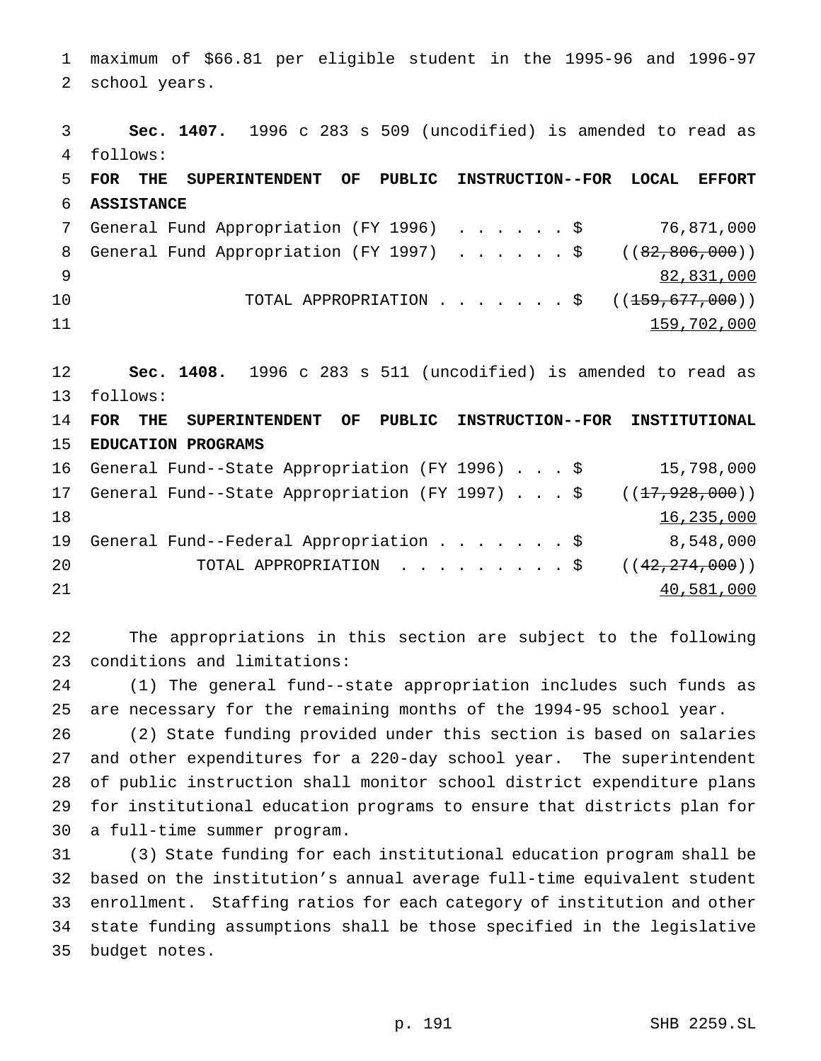maximum of \$66.81 per eligible student in the 1995-96 and 1996-97 school years.

 **Sec. 1407.** 1996 c 283 s 509 (uncodified) is amended to read as follows: **FOR THE SUPERINTENDENT OF PUBLIC INSTRUCTION--FOR LOCAL EFFORT ASSISTANCE** General Fund Appropriation (FY 1996) ......\$ 76,871,000 8 General Fund Appropriation (FY 1997) . . . . . \$ ((82,806,000)) 82,831,000 10 TOTAL APPROPRIATION . . . . . . \$ ((<del>159,677,000</del>)) 11 12 159,702,000 **Sec. 1408.** 1996 c 283 s 511 (uncodified) is amended to read as follows: **FOR THE SUPERINTENDENT OF PUBLIC INSTRUCTION--FOR INSTITUTIONAL EDUCATION PROGRAMS** General Fund--State Appropriation (FY 1996)...\$ 15,798,000 17 General Fund--State Appropriation (FY 1997)...\$ ((<del>17,928,000</del>)) 16,235,000 General Fund--Federal Appropriation.......\$ 8,548,000

20 TOTAL APPROPRIATION . . . . . . . . \$ ((42,274,000)) 40,581,000

 The appropriations in this section are subject to the following conditions and limitations:

 (1) The general fund--state appropriation includes such funds as are necessary for the remaining months of the 1994-95 school year.

 (2) State funding provided under this section is based on salaries and other expenditures for a 220-day school year. The superintendent of public instruction shall monitor school district expenditure plans for institutional education programs to ensure that districts plan for a full-time summer program.

 (3) State funding for each institutional education program shall be based on the institution's annual average full-time equivalent student enrollment. Staffing ratios for each category of institution and other state funding assumptions shall be those specified in the legislative budget notes.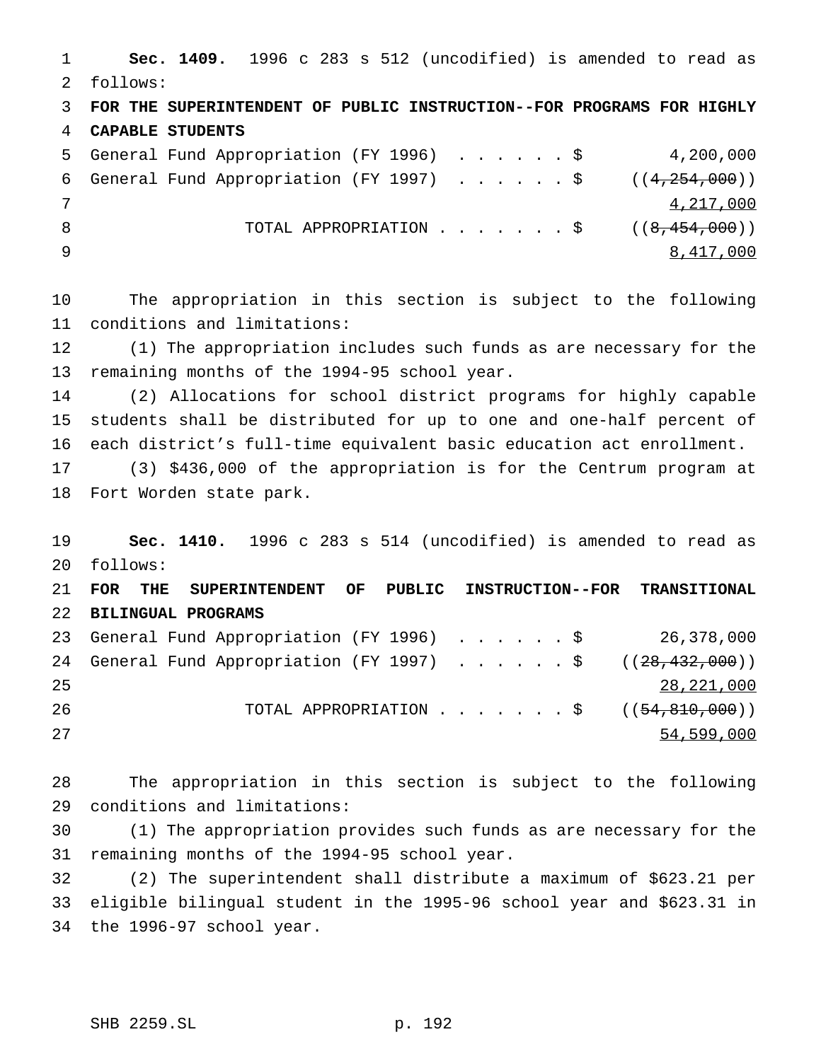**Sec. 1409.** 1996 c 283 s 512 (uncodified) is amended to read as follows: **FOR THE SUPERINTENDENT OF PUBLIC INSTRUCTION--FOR PROGRAMS FOR HIGHLY CAPABLE STUDENTS** General Fund Appropriation (FY 1996) ......\$ 4,200,000 6 General Fund Appropriation (FY 1997)  $\ldots$ ....\$ ((4,254,000)) 4,217,000 8 TOTAL APPROPRIATION . . . . . . \$ ((8,454,000)) 8,417,000

 The appropriation in this section is subject to the following conditions and limitations:

 (1) The appropriation includes such funds as are necessary for the remaining months of the 1994-95 school year.

 (2) Allocations for school district programs for highly capable students shall be distributed for up to one and one-half percent of each district's full-time equivalent basic education act enrollment.

 (3) \$436,000 of the appropriation is for the Centrum program at Fort Worden state park.

 **Sec. 1410.** 1996 c 283 s 514 (uncodified) is amended to read as follows: **FOR THE SUPERINTENDENT OF PUBLIC INSTRUCTION--FOR TRANSITIONAL BILINGUAL PROGRAMS**

 General Fund Appropriation (FY 1996) ......\$ 26,378,000 24 General Fund Appropriation (FY 1997) . . . . . \$ ((28,432,000)) 28,221,000 26 TOTAL APPROPRIATION . . . . . . \$ ((<del>54,810,000</del>)) 54,599,000

 The appropriation in this section is subject to the following conditions and limitations:

 (1) The appropriation provides such funds as are necessary for the remaining months of the 1994-95 school year.

 (2) The superintendent shall distribute a maximum of \$623.21 per eligible bilingual student in the 1995-96 school year and \$623.31 in the 1996-97 school year.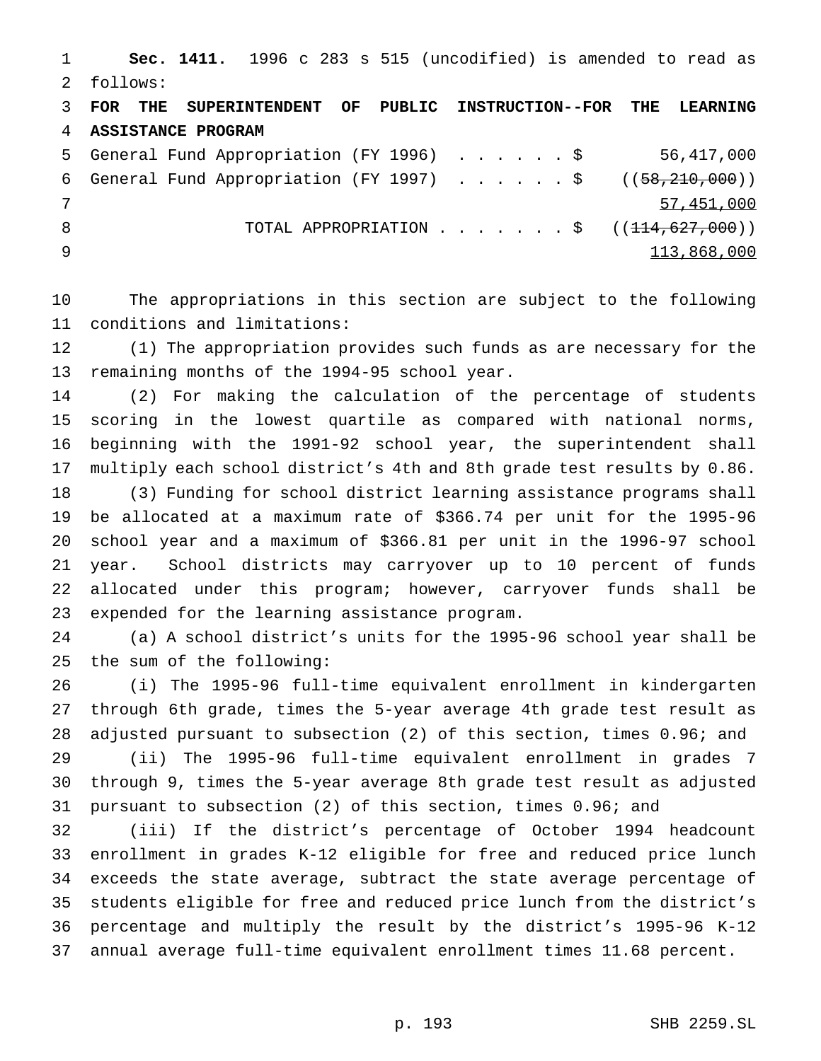**Sec. 1411.** 1996 c 283 s 515 (uncodified) is amended to read as follows:

 **FOR THE SUPERINTENDENT OF PUBLIC INSTRUCTION--FOR THE LEARNING ASSISTANCE PROGRAM** General Fund Appropriation (FY 1996) ......\$ 56,417,000 6 General Fund Appropriation (FY 1997) . . . . . \$ ((58,210,000)) 57,451,000 8 TOTAL APPROPRIATION . . . . . . \$ ((<del>114,627,000</del>))

113,868,000

 The appropriations in this section are subject to the following conditions and limitations:

 (1) The appropriation provides such funds as are necessary for the remaining months of the 1994-95 school year.

 (2) For making the calculation of the percentage of students scoring in the lowest quartile as compared with national norms, beginning with the 1991-92 school year, the superintendent shall multiply each school district's 4th and 8th grade test results by 0.86.

 (3) Funding for school district learning assistance programs shall be allocated at a maximum rate of \$366.74 per unit for the 1995-96 school year and a maximum of \$366.81 per unit in the 1996-97 school year. School districts may carryover up to 10 percent of funds allocated under this program; however, carryover funds shall be expended for the learning assistance program.

 (a) A school district's units for the 1995-96 school year shall be the sum of the following:

 (i) The 1995-96 full-time equivalent enrollment in kindergarten through 6th grade, times the 5-year average 4th grade test result as adjusted pursuant to subsection (2) of this section, times 0.96; and

 (ii) The 1995-96 full-time equivalent enrollment in grades 7 through 9, times the 5-year average 8th grade test result as adjusted pursuant to subsection (2) of this section, times 0.96; and

 (iii) If the district's percentage of October 1994 headcount enrollment in grades K-12 eligible for free and reduced price lunch exceeds the state average, subtract the state average percentage of students eligible for free and reduced price lunch from the district's percentage and multiply the result by the district's 1995-96 K-12 annual average full-time equivalent enrollment times 11.68 percent.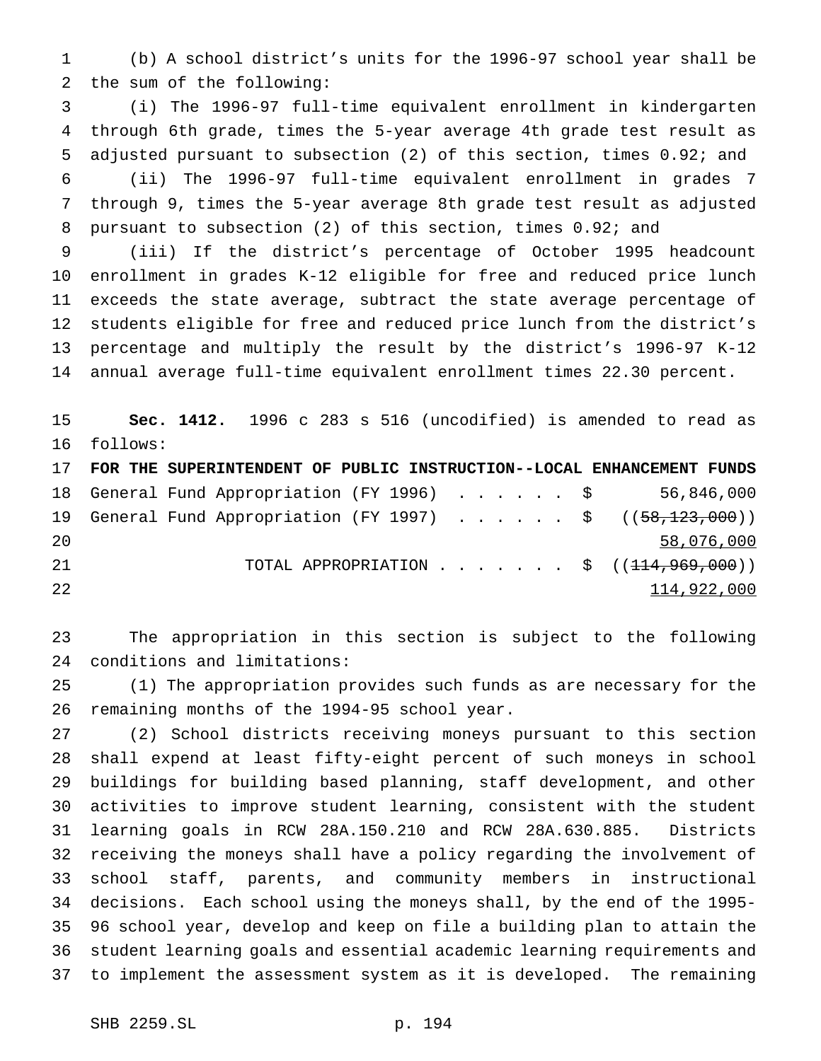(b) A school district's units for the 1996-97 school year shall be the sum of the following:

 (i) The 1996-97 full-time equivalent enrollment in kindergarten through 6th grade, times the 5-year average 4th grade test result as adjusted pursuant to subsection (2) of this section, times 0.92; and (ii) The 1996-97 full-time equivalent enrollment in grades 7 through 9, times the 5-year average 8th grade test result as adjusted pursuant to subsection (2) of this section, times 0.92; and

 (iii) If the district's percentage of October 1995 headcount enrollment in grades K-12 eligible for free and reduced price lunch exceeds the state average, subtract the state average percentage of students eligible for free and reduced price lunch from the district's percentage and multiply the result by the district's 1996-97 K-12 annual average full-time equivalent enrollment times 22.30 percent.

 **Sec. 1412.** 1996 c 283 s 516 (uncodified) is amended to read as follows:

 **FOR THE SUPERINTENDENT OF PUBLIC INSTRUCTION--LOCAL ENHANCEMENT FUNDS** General Fund Appropriation (FY 1996) ...... \$ 56,846,000 19 General Fund Appropriation (FY 1997) . . . . . . \$ ((58,123,000)) 20 58,076,000 58,076,000 58,076,000 58,076,000 58,076,000 58,076,000 58,076,000 58,076,000 58,076,000 58,076,000 58,076,000 58,076,000 58,076,000 58,076,000 58,076,000 58,076,000 58,076,000 58,076,000 58,076,000 58,076,000 21 TOTAL APPROPRIATION . . . . . . \$ ((<del>114,969,000</del>)) and  $114,922,000$ 

 The appropriation in this section is subject to the following conditions and limitations:

 (1) The appropriation provides such funds as are necessary for the remaining months of the 1994-95 school year.

 (2) School districts receiving moneys pursuant to this section shall expend at least fifty-eight percent of such moneys in school buildings for building based planning, staff development, and other activities to improve student learning, consistent with the student learning goals in RCW 28A.150.210 and RCW 28A.630.885. Districts receiving the moneys shall have a policy regarding the involvement of school staff, parents, and community members in instructional decisions. Each school using the moneys shall, by the end of the 1995- 96 school year, develop and keep on file a building plan to attain the student learning goals and essential academic learning requirements and to implement the assessment system as it is developed. The remaining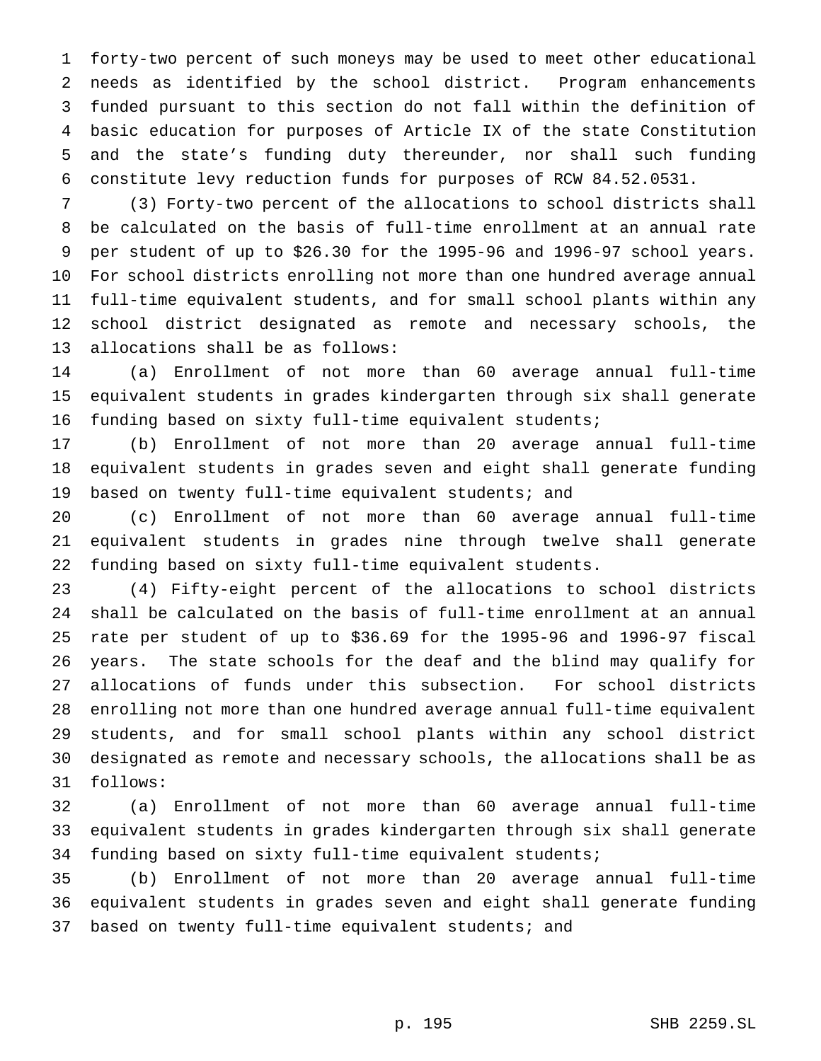forty-two percent of such moneys may be used to meet other educational needs as identified by the school district. Program enhancements funded pursuant to this section do not fall within the definition of basic education for purposes of Article IX of the state Constitution and the state's funding duty thereunder, nor shall such funding constitute levy reduction funds for purposes of RCW 84.52.0531.

 (3) Forty-two percent of the allocations to school districts shall be calculated on the basis of full-time enrollment at an annual rate per student of up to \$26.30 for the 1995-96 and 1996-97 school years. For school districts enrolling not more than one hundred average annual full-time equivalent students, and for small school plants within any school district designated as remote and necessary schools, the allocations shall be as follows:

 (a) Enrollment of not more than 60 average annual full-time equivalent students in grades kindergarten through six shall generate funding based on sixty full-time equivalent students;

 (b) Enrollment of not more than 20 average annual full-time equivalent students in grades seven and eight shall generate funding based on twenty full-time equivalent students; and

 (c) Enrollment of not more than 60 average annual full-time equivalent students in grades nine through twelve shall generate funding based on sixty full-time equivalent students.

 (4) Fifty-eight percent of the allocations to school districts shall be calculated on the basis of full-time enrollment at an annual rate per student of up to \$36.69 for the 1995-96 and 1996-97 fiscal years. The state schools for the deaf and the blind may qualify for allocations of funds under this subsection. For school districts enrolling not more than one hundred average annual full-time equivalent students, and for small school plants within any school district designated as remote and necessary schools, the allocations shall be as follows:

 (a) Enrollment of not more than 60 average annual full-time equivalent students in grades kindergarten through six shall generate funding based on sixty full-time equivalent students;

 (b) Enrollment of not more than 20 average annual full-time equivalent students in grades seven and eight shall generate funding based on twenty full-time equivalent students; and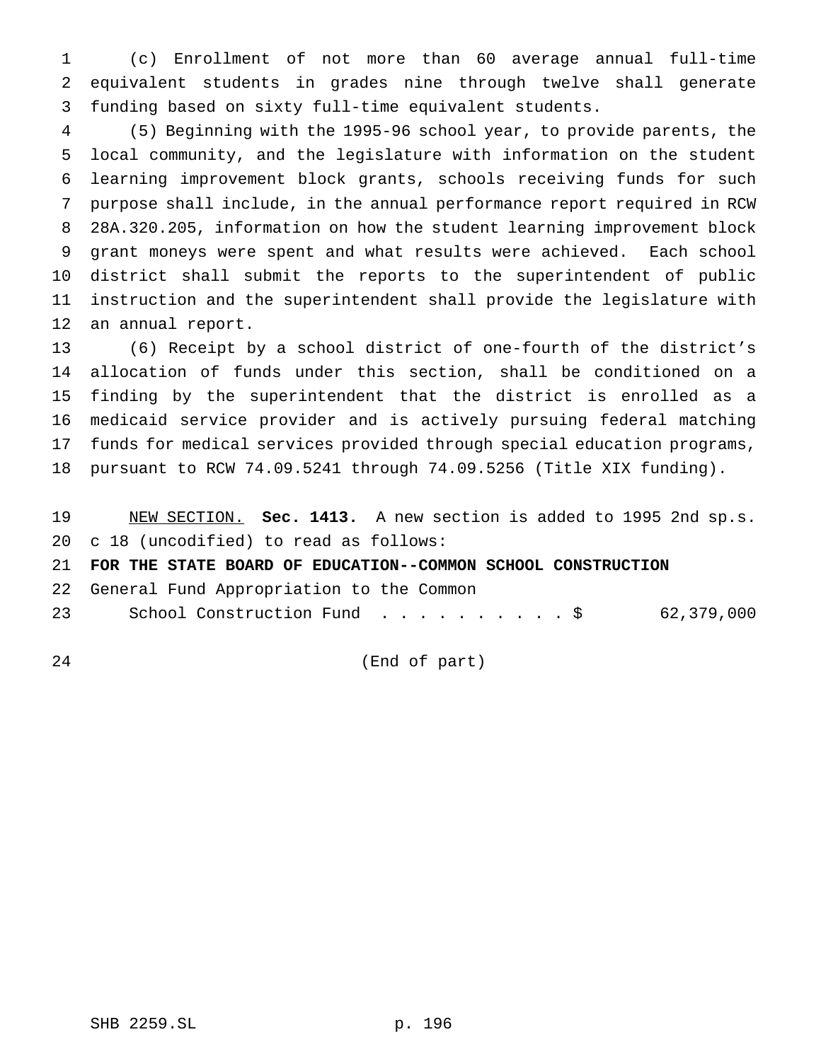(c) Enrollment of not more than 60 average annual full-time equivalent students in grades nine through twelve shall generate funding based on sixty full-time equivalent students.

 (5) Beginning with the 1995-96 school year, to provide parents, the local community, and the legislature with information on the student learning improvement block grants, schools receiving funds for such purpose shall include, in the annual performance report required in RCW 28A.320.205, information on how the student learning improvement block 9 grant moneys were spent and what results were achieved. Each school district shall submit the reports to the superintendent of public instruction and the superintendent shall provide the legislature with an annual report.

 (6) Receipt by a school district of one-fourth of the district's allocation of funds under this section, shall be conditioned on a finding by the superintendent that the district is enrolled as a medicaid service provider and is actively pursuing federal matching funds for medical services provided through special education programs, pursuant to RCW 74.09.5241 through 74.09.5256 (Title XIX funding).

 NEW SECTION. **Sec. 1413.** A new section is added to 1995 2nd sp.s. c 18 (uncodified) to read as follows:

**FOR THE STATE BOARD OF EDUCATION--COMMON SCHOOL CONSTRUCTION**

General Fund Appropriation to the Common

23 School Construction Fund . . . . . . . . . \$ 62,379,000

(End of part)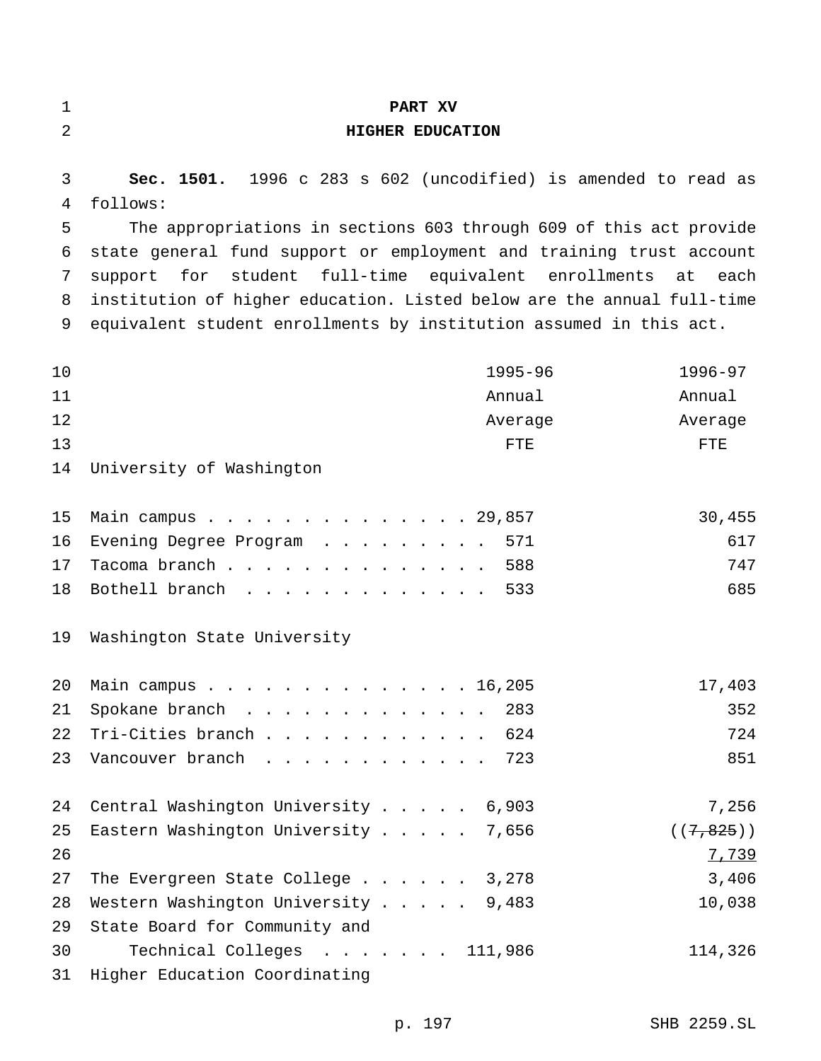| $\mathbf 1$                     | PART XV                                                                                                                                                                                                                                                                                                                                                                                                                               |                                     |
|---------------------------------|---------------------------------------------------------------------------------------------------------------------------------------------------------------------------------------------------------------------------------------------------------------------------------------------------------------------------------------------------------------------------------------------------------------------------------------|-------------------------------------|
| 2                               | HIGHER EDUCATION                                                                                                                                                                                                                                                                                                                                                                                                                      |                                     |
| 3<br>4<br>5<br>6<br>7<br>8<br>9 | Sec. 1501. 1996 c 283 s 602 (uncodified) is amended to read as<br>follows:<br>The appropriations in sections 603 through 609 of this act provide<br>state general fund support or employment and training trust account<br>student full-time equivalent enrollments<br>for<br>support<br>institution of higher education. Listed below are the annual full-time<br>equivalent student enrollments by institution assumed in this act. | at<br>each                          |
| 10<br>11<br>12<br>13<br>14      | $1995 - 96$<br>Annual<br>Average<br>FTE<br>University of Washington                                                                                                                                                                                                                                                                                                                                                                   | 1996-97<br>Annual<br>Average<br>FTE |
| 15<br>16<br>17<br>18            | Main campus 29,857<br>571<br>Evening Degree Program $\dots \dots \dots$<br>Tacoma branch<br>588<br>Bothell branch<br>533                                                                                                                                                                                                                                                                                                              | 30,455<br>617<br>747<br>685         |
| 19<br>20<br>21<br>22<br>23      | Washington State University<br>Main campus<br>16,205<br>Spokane branch 283<br>Tri-Cities branch<br>624<br>Vancouver branch<br>723                                                                                                                                                                                                                                                                                                     | 17,403<br>352<br>724<br>851         |
| 24<br>25<br>26                  | Central Washington University 6,903<br>Eastern Washington University<br>7,656                                                                                                                                                                                                                                                                                                                                                         | 7,256<br>((7, 825))<br>7,739        |
| 27<br>28<br>29                  | The Evergreen State College 3,278<br>Western Washington University 9,483<br>State Board for Community and                                                                                                                                                                                                                                                                                                                             | 3,406<br>10,038                     |
| 30<br>31                        | Technical Colleges 111,986<br>Higher Education Coordinating                                                                                                                                                                                                                                                                                                                                                                           | 114,326                             |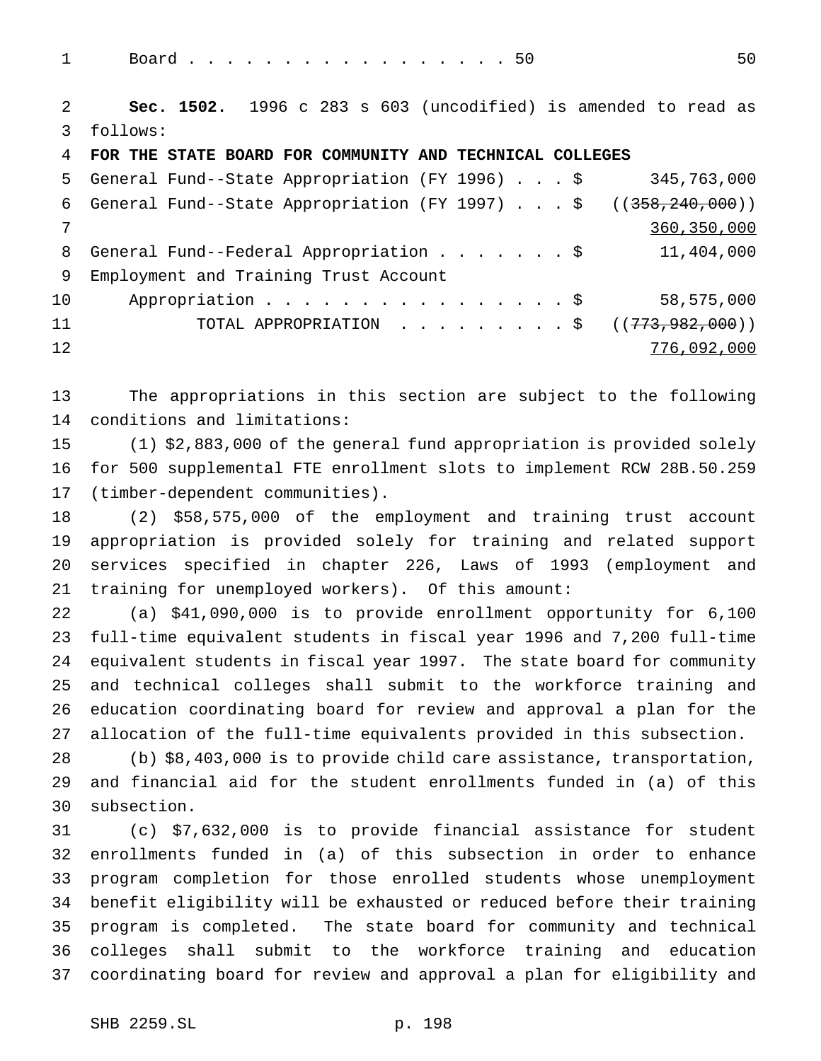1 Board................50 50

 **Sec. 1502.** 1996 c 283 s 603 (uncodified) is amended to read as follows:

**FOR THE STATE BOARD FOR COMMUNITY AND TECHNICAL COLLEGES**

|    | 5 General Fund--State Appropriation (FY 1996) \$                     | 345,763,000   |
|----|----------------------------------------------------------------------|---------------|
|    | 6 General Fund--State Appropriation (FY 1997) \$ $((358, 240, 000))$ |               |
|    |                                                                      | 360, 350, 000 |
|    | 8 General Fund--Federal Appropriation \$                             | 11,404,000    |
| 9  | Employment and Training Trust Account                                |               |
| 10 | Appropriation $\frac{1}{2}$                                          | 58,575,000    |
| 11 | TOTAL APPROPRIATION ( $(773,982,000)$ )                              |               |
| 12 |                                                                      | 776,092,000   |

 The appropriations in this section are subject to the following conditions and limitations:

 (1) \$2,883,000 of the general fund appropriation is provided solely for 500 supplemental FTE enrollment slots to implement RCW 28B.50.259 (timber-dependent communities).

 (2) \$58,575,000 of the employment and training trust account appropriation is provided solely for training and related support services specified in chapter 226, Laws of 1993 (employment and training for unemployed workers). Of this amount:

 (a) \$41,090,000 is to provide enrollment opportunity for 6,100 full-time equivalent students in fiscal year 1996 and 7,200 full-time equivalent students in fiscal year 1997. The state board for community and technical colleges shall submit to the workforce training and education coordinating board for review and approval a plan for the allocation of the full-time equivalents provided in this subsection.

 (b) \$8,403,000 is to provide child care assistance, transportation, and financial aid for the student enrollments funded in (a) of this subsection.

 (c) \$7,632,000 is to provide financial assistance for student enrollments funded in (a) of this subsection in order to enhance program completion for those enrolled students whose unemployment benefit eligibility will be exhausted or reduced before their training program is completed. The state board for community and technical colleges shall submit to the workforce training and education coordinating board for review and approval a plan for eligibility and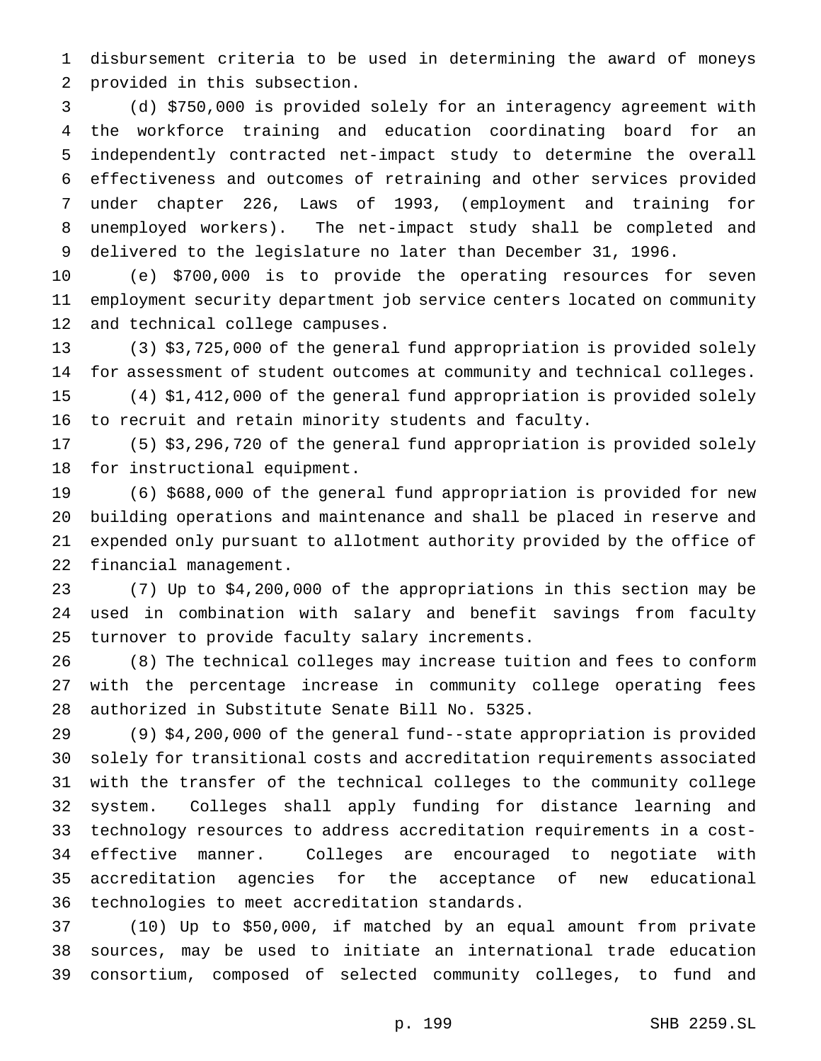disbursement criteria to be used in determining the award of moneys provided in this subsection.

 (d) \$750,000 is provided solely for an interagency agreement with the workforce training and education coordinating board for an independently contracted net-impact study to determine the overall effectiveness and outcomes of retraining and other services provided under chapter 226, Laws of 1993, (employment and training for unemployed workers). The net-impact study shall be completed and delivered to the legislature no later than December 31, 1996.

 (e) \$700,000 is to provide the operating resources for seven employment security department job service centers located on community and technical college campuses.

 (3) \$3,725,000 of the general fund appropriation is provided solely for assessment of student outcomes at community and technical colleges.

 (4) \$1,412,000 of the general fund appropriation is provided solely to recruit and retain minority students and faculty.

 (5) \$3,296,720 of the general fund appropriation is provided solely for instructional equipment.

 (6) \$688,000 of the general fund appropriation is provided for new building operations and maintenance and shall be placed in reserve and expended only pursuant to allotment authority provided by the office of financial management.

 (7) Up to \$4,200,000 of the appropriations in this section may be used in combination with salary and benefit savings from faculty turnover to provide faculty salary increments.

 (8) The technical colleges may increase tuition and fees to conform with the percentage increase in community college operating fees authorized in Substitute Senate Bill No. 5325.

 (9) \$4,200,000 of the general fund--state appropriation is provided solely for transitional costs and accreditation requirements associated with the transfer of the technical colleges to the community college system. Colleges shall apply funding for distance learning and technology resources to address accreditation requirements in a cost- effective manner. Colleges are encouraged to negotiate with accreditation agencies for the acceptance of new educational technologies to meet accreditation standards.

 (10) Up to \$50,000, if matched by an equal amount from private sources, may be used to initiate an international trade education consortium, composed of selected community colleges, to fund and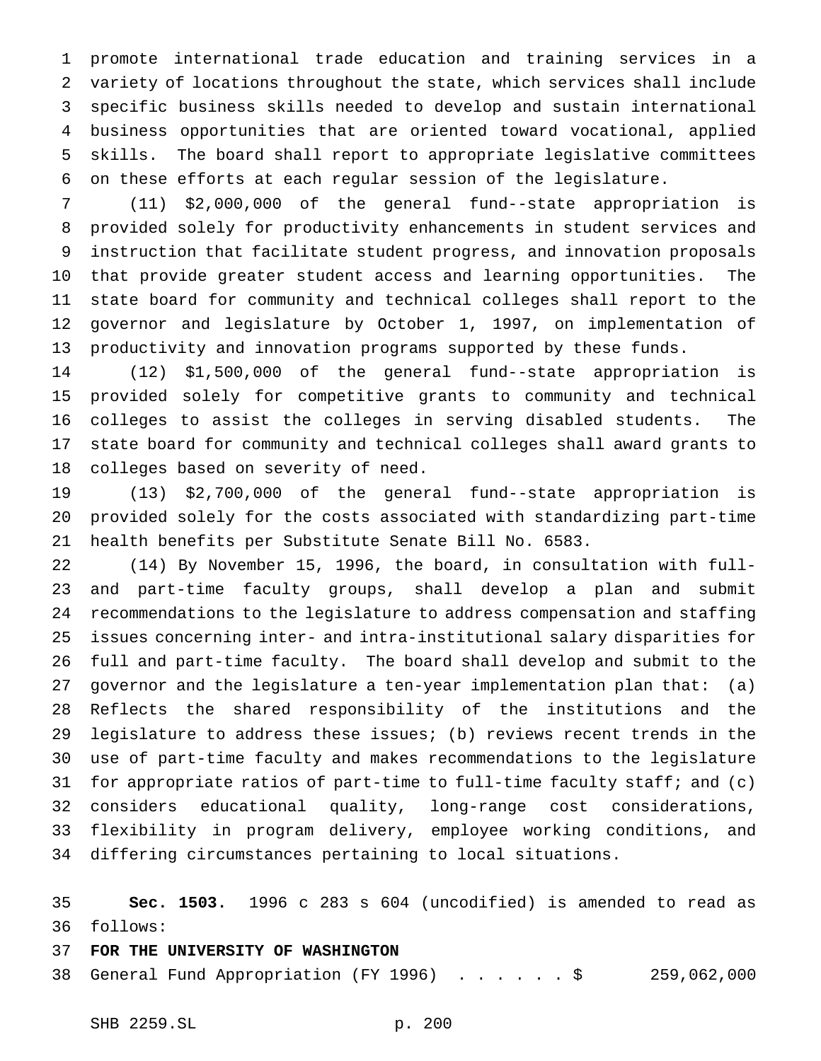promote international trade education and training services in a variety of locations throughout the state, which services shall include specific business skills needed to develop and sustain international business opportunities that are oriented toward vocational, applied skills. The board shall report to appropriate legislative committees on these efforts at each regular session of the legislature.

 (11) \$2,000,000 of the general fund--state appropriation is provided solely for productivity enhancements in student services and instruction that facilitate student progress, and innovation proposals that provide greater student access and learning opportunities. The state board for community and technical colleges shall report to the governor and legislature by October 1, 1997, on implementation of productivity and innovation programs supported by these funds.

 (12) \$1,500,000 of the general fund--state appropriation is provided solely for competitive grants to community and technical colleges to assist the colleges in serving disabled students. The state board for community and technical colleges shall award grants to colleges based on severity of need.

 (13) \$2,700,000 of the general fund--state appropriation is provided solely for the costs associated with standardizing part-time health benefits per Substitute Senate Bill No. 6583.

 (14) By November 15, 1996, the board, in consultation with full- and part-time faculty groups, shall develop a plan and submit recommendations to the legislature to address compensation and staffing issues concerning inter- and intra-institutional salary disparities for full and part-time faculty. The board shall develop and submit to the governor and the legislature a ten-year implementation plan that: (a) Reflects the shared responsibility of the institutions and the legislature to address these issues; (b) reviews recent trends in the use of part-time faculty and makes recommendations to the legislature for appropriate ratios of part-time to full-time faculty staff; and (c) considers educational quality, long-range cost considerations, flexibility in program delivery, employee working conditions, and differing circumstances pertaining to local situations.

 **Sec. 1503.** 1996 c 283 s 604 (uncodified) is amended to read as follows:

## **FOR THE UNIVERSITY OF WASHINGTON**

General Fund Appropriation (FY 1996) ......\$ 259,062,000

SHB 2259.SL p. 200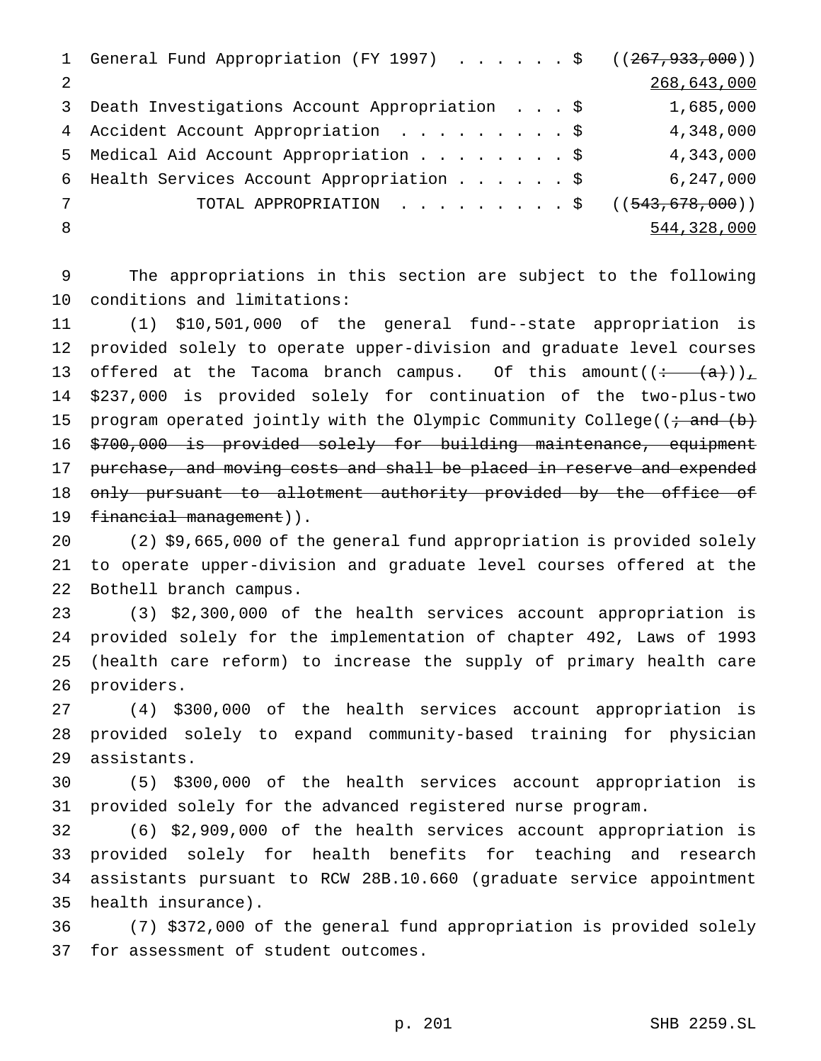|               | 1 General Fund Appropriation (FY 1997) \$ ((267, 933, 000)) |             |
|---------------|-------------------------------------------------------------|-------------|
| $\mathcal{L}$ |                                                             | 268,643,000 |
| 3             | Death Investigations Account Appropriation \$               | 1,685,000   |
| 4             | Accident Account Appropriation \$                           | 4,348,000   |
| 5             | Medical Aid Account Appropriation \$                        | 4,343,000   |
|               | 6 Health Services Account Appropriation \$                  | 6,247,000   |
|               | TOTAL APPROPRIATION ( $(543, 678, 000)$ )                   |             |
| -8            |                                                             | 544,328,000 |

 The appropriations in this section are subject to the following conditions and limitations:

 (1) \$10,501,000 of the general fund--state appropriation is provided solely to operate upper-division and graduate level courses 13 offered at the Tacoma branch campus. Of this amount( $\left(\frac{+}{+}(a)\right)_L$  \$237,000 is provided solely for continuation of the two-plus-two 15 program operated jointly with the Olympic Community College( $\overline{(i \cdot \text{and} \cdot \text{(b)}}$  \$700,000 is provided solely for building maintenance, equipment 17 purchase, and moving costs and shall be placed in reserve and expended 18 only pursuant to allotment authority provided by the office of 19 financial management)).

 (2) \$9,665,000 of the general fund appropriation is provided solely to operate upper-division and graduate level courses offered at the Bothell branch campus.

 (3) \$2,300,000 of the health services account appropriation is provided solely for the implementation of chapter 492, Laws of 1993 (health care reform) to increase the supply of primary health care providers.

 (4) \$300,000 of the health services account appropriation is provided solely to expand community-based training for physician assistants.

 (5) \$300,000 of the health services account appropriation is provided solely for the advanced registered nurse program.

 (6) \$2,909,000 of the health services account appropriation is provided solely for health benefits for teaching and research assistants pursuant to RCW 28B.10.660 (graduate service appointment health insurance).

 (7) \$372,000 of the general fund appropriation is provided solely for assessment of student outcomes.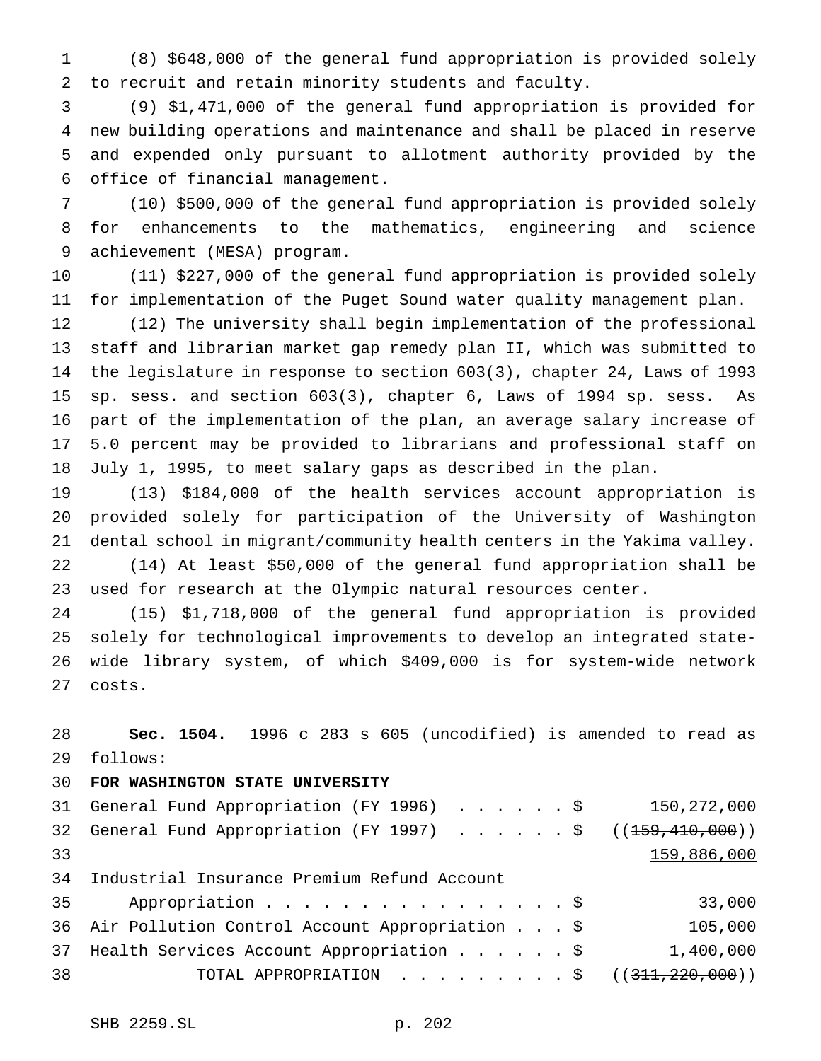(8) \$648,000 of the general fund appropriation is provided solely to recruit and retain minority students and faculty.

 (9) \$1,471,000 of the general fund appropriation is provided for new building operations and maintenance and shall be placed in reserve and expended only pursuant to allotment authority provided by the office of financial management.

 (10) \$500,000 of the general fund appropriation is provided solely for enhancements to the mathematics, engineering and science achievement (MESA) program.

 (11) \$227,000 of the general fund appropriation is provided solely for implementation of the Puget Sound water quality management plan.

 (12) The university shall begin implementation of the professional staff and librarian market gap remedy plan II, which was submitted to the legislature in response to section 603(3), chapter 24, Laws of 1993 sp. sess. and section 603(3), chapter 6, Laws of 1994 sp. sess. As part of the implementation of the plan, an average salary increase of 5.0 percent may be provided to librarians and professional staff on July 1, 1995, to meet salary gaps as described in the plan.

 (13) \$184,000 of the health services account appropriation is provided solely for participation of the University of Washington dental school in migrant/community health centers in the Yakima valley. (14) At least \$50,000 of the general fund appropriation shall be used for research at the Olympic natural resources center.

 (15) \$1,718,000 of the general fund appropriation is provided solely for technological improvements to develop an integrated state- wide library system, of which \$409,000 is for system-wide network costs.

 **Sec. 1504.** 1996 c 283 s 605 (uncodified) is amended to read as follows:

## **FOR WASHINGTON STATE UNIVERSITY**

|    | 31 General Fund Appropriation (FY 1996) \$                              | 150,272,000 |
|----|-------------------------------------------------------------------------|-------------|
|    | 32 General Fund Appropriation (FY 1997) \$ (( <del>159,410,000</del> )) |             |
| 33 |                                                                         | 159,886,000 |
|    | 34 Industrial Insurance Premium Refund Account                          |             |
| 35 | Appropriation $\frac{1}{5}$                                             | 33,000      |
|    | 36 Air Pollution Control Account Appropriation \$                       | 105,000     |
|    | 37 Health Services Account Appropriation \$                             | 1,400,000   |
| 38 | TOTAL APPROPRIATION $\ldots$ , \$ ((311,220,000))                       |             |
|    |                                                                         |             |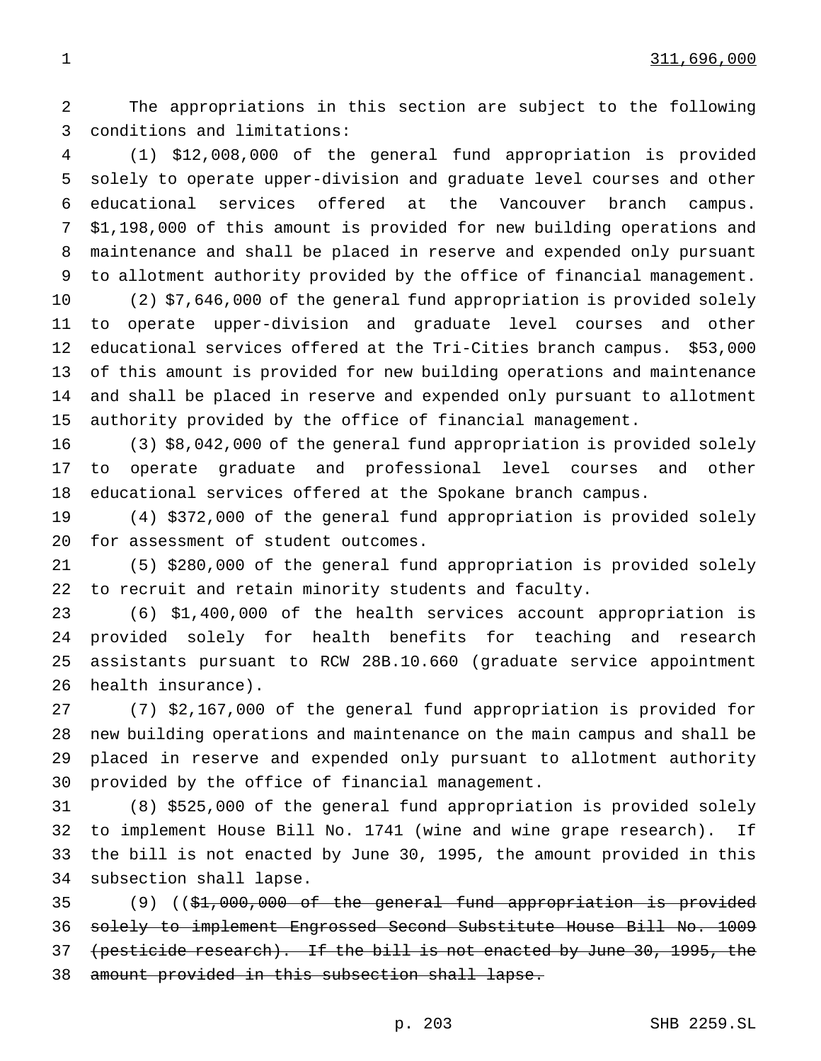The appropriations in this section are subject to the following conditions and limitations:

 (1) \$12,008,000 of the general fund appropriation is provided solely to operate upper-division and graduate level courses and other educational services offered at the Vancouver branch campus. \$1,198,000 of this amount is provided for new building operations and maintenance and shall be placed in reserve and expended only pursuant to allotment authority provided by the office of financial management.

 (2) \$7,646,000 of the general fund appropriation is provided solely to operate upper-division and graduate level courses and other educational services offered at the Tri-Cities branch campus. \$53,000 of this amount is provided for new building operations and maintenance and shall be placed in reserve and expended only pursuant to allotment authority provided by the office of financial management.

 (3) \$8,042,000 of the general fund appropriation is provided solely to operate graduate and professional level courses and other educational services offered at the Spokane branch campus.

 (4) \$372,000 of the general fund appropriation is provided solely for assessment of student outcomes.

 (5) \$280,000 of the general fund appropriation is provided solely to recruit and retain minority students and faculty.

 (6) \$1,400,000 of the health services account appropriation is provided solely for health benefits for teaching and research assistants pursuant to RCW 28B.10.660 (graduate service appointment health insurance).

 (7) \$2,167,000 of the general fund appropriation is provided for new building operations and maintenance on the main campus and shall be placed in reserve and expended only pursuant to allotment authority provided by the office of financial management.

 (8) \$525,000 of the general fund appropriation is provided solely to implement House Bill No. 1741 (wine and wine grape research). If the bill is not enacted by June 30, 1995, the amount provided in this subsection shall lapse.

 (9) ((\$1,000,000 of the general fund appropriation is provided solely to implement Engrossed Second Substitute House Bill No. 1009 (pesticide research). If the bill is not enacted by June 30, 1995, the amount provided in this subsection shall lapse.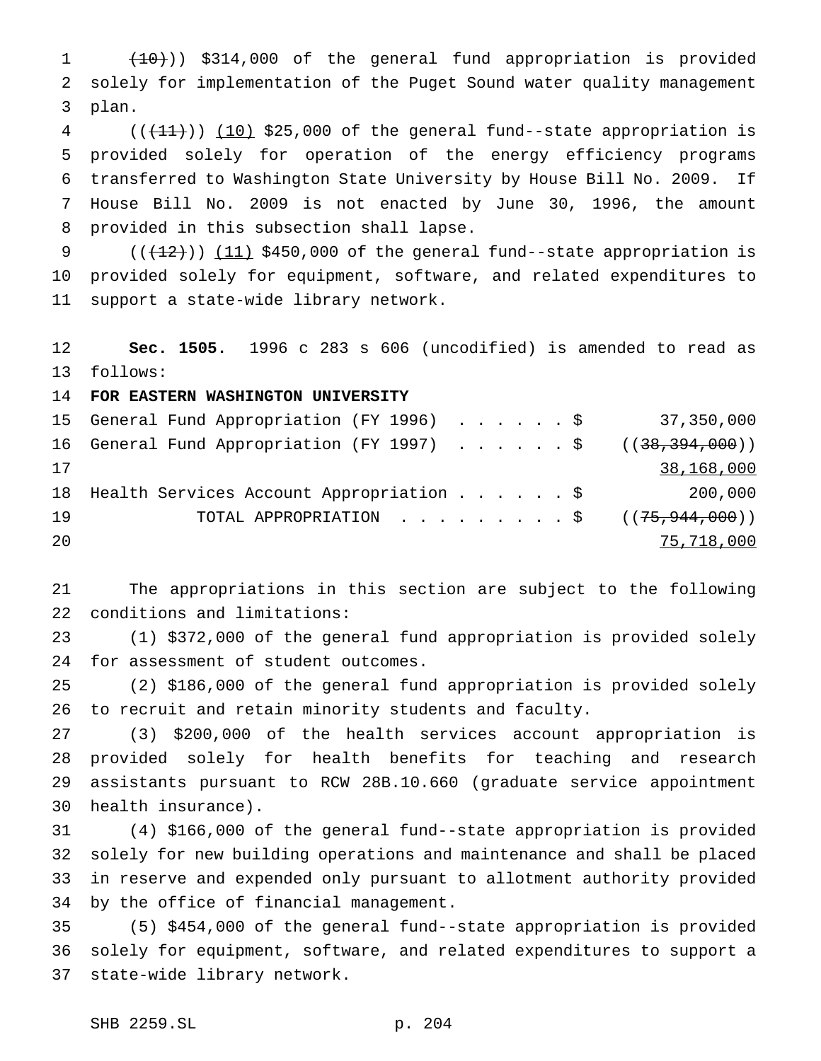(10))) \$314,000 of the general fund appropriation is provided solely for implementation of the Puget Sound water quality management plan.

 ( $(\overline{+11})$ )  $(10)$  \$25,000 of the general fund--state appropriation is provided solely for operation of the energy efficiency programs transferred to Washington State University by House Bill No. 2009. If House Bill No. 2009 is not enacted by June 30, 1996, the amount provided in this subsection shall lapse.

9  $((+12))$   $(11)$  \$450,000 of the general fund--state appropriation is provided solely for equipment, software, and related expenditures to support a state-wide library network.

 **Sec. 1505.** 1996 c 283 s 606 (uncodified) is amended to read as follows:

**FOR EASTERN WASHINGTON UNIVERSITY**

|    | 15 General Fund Appropriation (FY 1996) \$ 37,350,000     |  |  |  |            |
|----|-----------------------------------------------------------|--|--|--|------------|
|    | 16 General Fund Appropriation (FY 1997) \$ ((38,394,000)) |  |  |  |            |
| 17 |                                                           |  |  |  | 38,168,000 |
|    | 18 Health Services Account Appropriation \$ 200,000       |  |  |  |            |
| 19 | TOTAL APPROPRIATION $\frac{1}{5}$ ((75,944,000))          |  |  |  |            |
| 20 |                                                           |  |  |  | 75,718,000 |

 The appropriations in this section are subject to the following conditions and limitations:

 (1) \$372,000 of the general fund appropriation is provided solely for assessment of student outcomes.

 (2) \$186,000 of the general fund appropriation is provided solely to recruit and retain minority students and faculty.

 (3) \$200,000 of the health services account appropriation is provided solely for health benefits for teaching and research assistants pursuant to RCW 28B.10.660 (graduate service appointment health insurance).

 (4) \$166,000 of the general fund--state appropriation is provided solely for new building operations and maintenance and shall be placed in reserve and expended only pursuant to allotment authority provided by the office of financial management.

 (5) \$454,000 of the general fund--state appropriation is provided solely for equipment, software, and related expenditures to support a state-wide library network.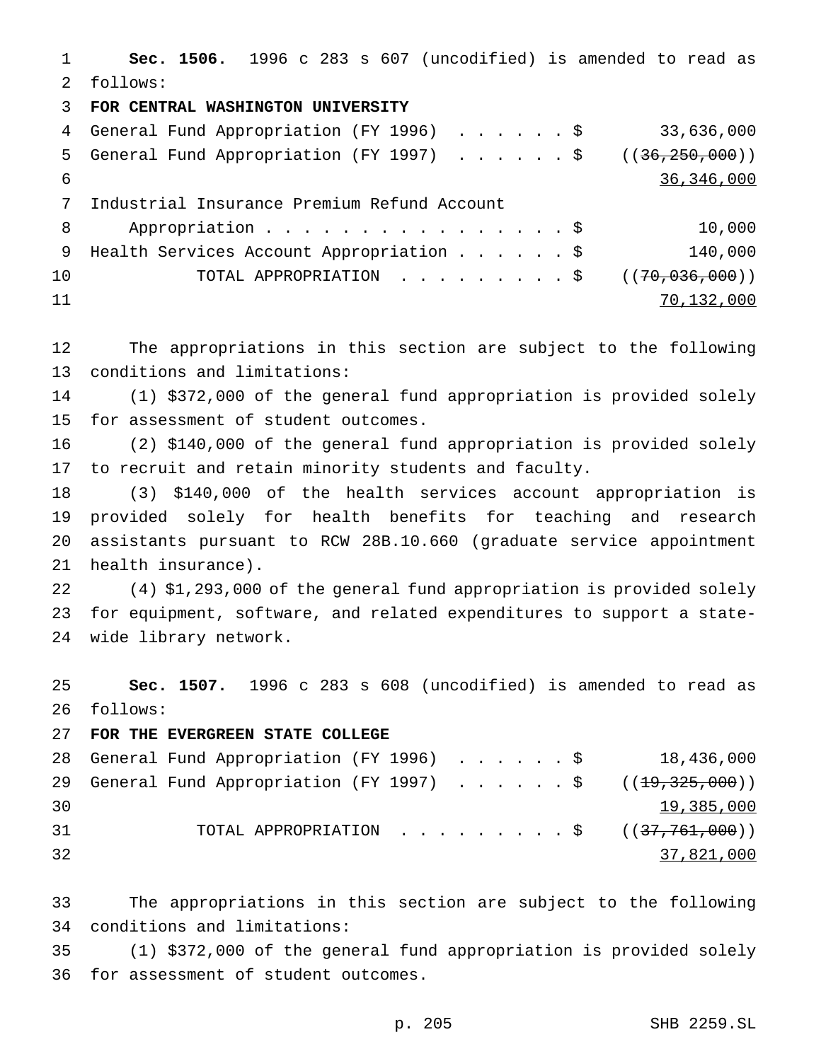**Sec. 1506.** 1996 c 283 s 607 (uncodified) is amended to read as follows: **FOR CENTRAL WASHINGTON UNIVERSITY**

 General Fund Appropriation (FY 1996) ......\$ 33,636,000 5 General Fund Appropriation (FY 1997) . . . . . \$ ((36,250,000)) 36,346,000 Industrial Insurance Premium Refund Account 8 Appropriation . . . . . . . . . . . . . . . \$ 10,000 9 Health Services Account Appropriation . . . . . \$ 140,000 10 TOTAL APPROPRIATION . . . . . . . . \$ ((70,036,000)) 70,132,000

 The appropriations in this section are subject to the following conditions and limitations:

 (1) \$372,000 of the general fund appropriation is provided solely for assessment of student outcomes.

 (2) \$140,000 of the general fund appropriation is provided solely to recruit and retain minority students and faculty.

 (3) \$140,000 of the health services account appropriation is provided solely for health benefits for teaching and research assistants pursuant to RCW 28B.10.660 (graduate service appointment health insurance).

 (4) \$1,293,000 of the general fund appropriation is provided solely for equipment, software, and related expenditures to support a state-wide library network.

 **Sec. 1507.** 1996 c 283 s 608 (uncodified) is amended to read as follows:

## **FOR THE EVERGREEN STATE COLLEGE**

|    |  |  |  |  |  |  | 28 General Fund Appropriation (FY 1996) \$ 18,436,000       |
|----|--|--|--|--|--|--|-------------------------------------------------------------|
|    |  |  |  |  |  |  | 29 General Fund Appropriation (FY 1997) \$ $((19,325,000))$ |
| 30 |  |  |  |  |  |  | 19,385,000                                                  |
| 31 |  |  |  |  |  |  | TOTAL APPROPRIATION $\ldots$ , \$ ((37,761,000))            |
| 32 |  |  |  |  |  |  | 37,821,000                                                  |

 The appropriations in this section are subject to the following conditions and limitations:

 (1) \$372,000 of the general fund appropriation is provided solely for assessment of student outcomes.

p. 205 SHB 2259.SL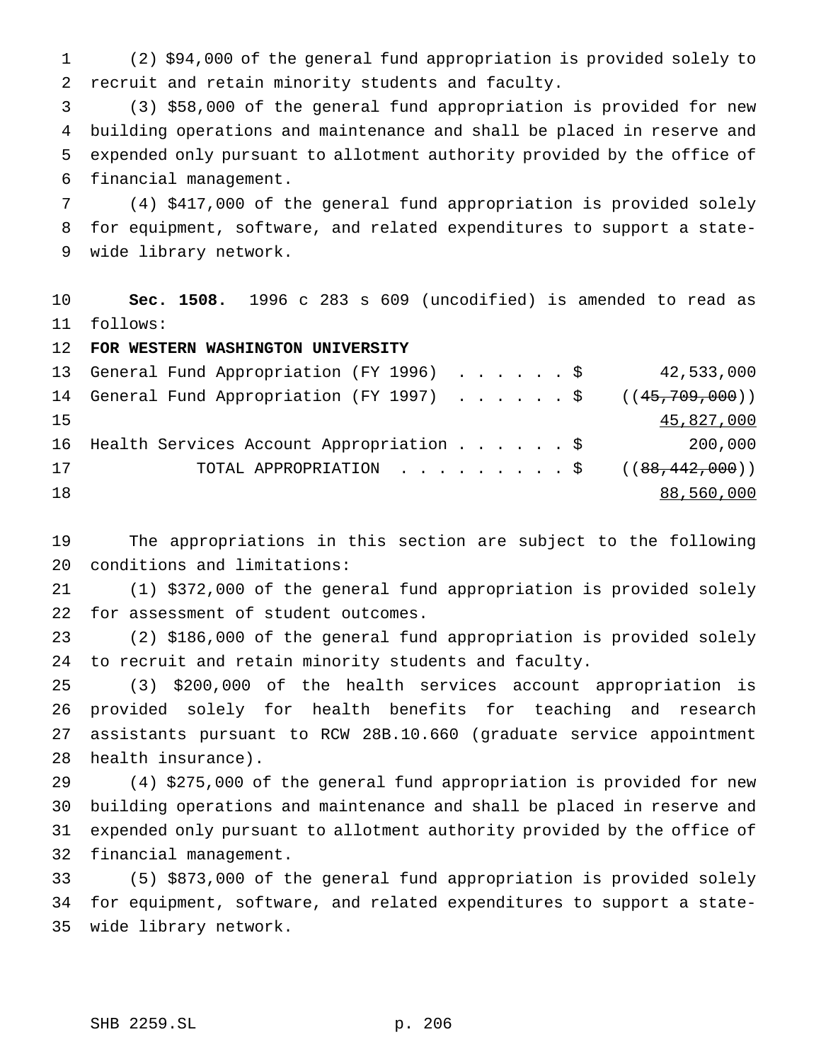(2) \$94,000 of the general fund appropriation is provided solely to recruit and retain minority students and faculty.

 (3) \$58,000 of the general fund appropriation is provided for new building operations and maintenance and shall be placed in reserve and expended only pursuant to allotment authority provided by the office of financial management.

 (4) \$417,000 of the general fund appropriation is provided solely for equipment, software, and related expenditures to support a state-wide library network.

 **Sec. 1508.** 1996 c 283 s 609 (uncodified) is amended to read as follows:

**FOR WESTERN WASHINGTON UNIVERSITY**

|    | 13 General Fund Appropriation (FY 1996) \$ 42,533,000       |  |  |  |            |
|----|-------------------------------------------------------------|--|--|--|------------|
|    | 14 General Fund Appropriation (FY 1997) \$ $((45,709,000))$ |  |  |  |            |
| 15 |                                                             |  |  |  | 45,827,000 |
|    | 16 Health Services Account Appropriation \$                 |  |  |  | 200,000    |
| 17 | TOTAL APPROPRIATION ( $(88,442,000)$ )                      |  |  |  |            |
| 18 |                                                             |  |  |  | 88,560,000 |

 The appropriations in this section are subject to the following conditions and limitations:

 (1) \$372,000 of the general fund appropriation is provided solely for assessment of student outcomes.

 (2) \$186,000 of the general fund appropriation is provided solely to recruit and retain minority students and faculty.

 (3) \$200,000 of the health services account appropriation is provided solely for health benefits for teaching and research assistants pursuant to RCW 28B.10.660 (graduate service appointment health insurance).

 (4) \$275,000 of the general fund appropriation is provided for new building operations and maintenance and shall be placed in reserve and expended only pursuant to allotment authority provided by the office of financial management.

 (5) \$873,000 of the general fund appropriation is provided solely for equipment, software, and related expenditures to support a state-wide library network.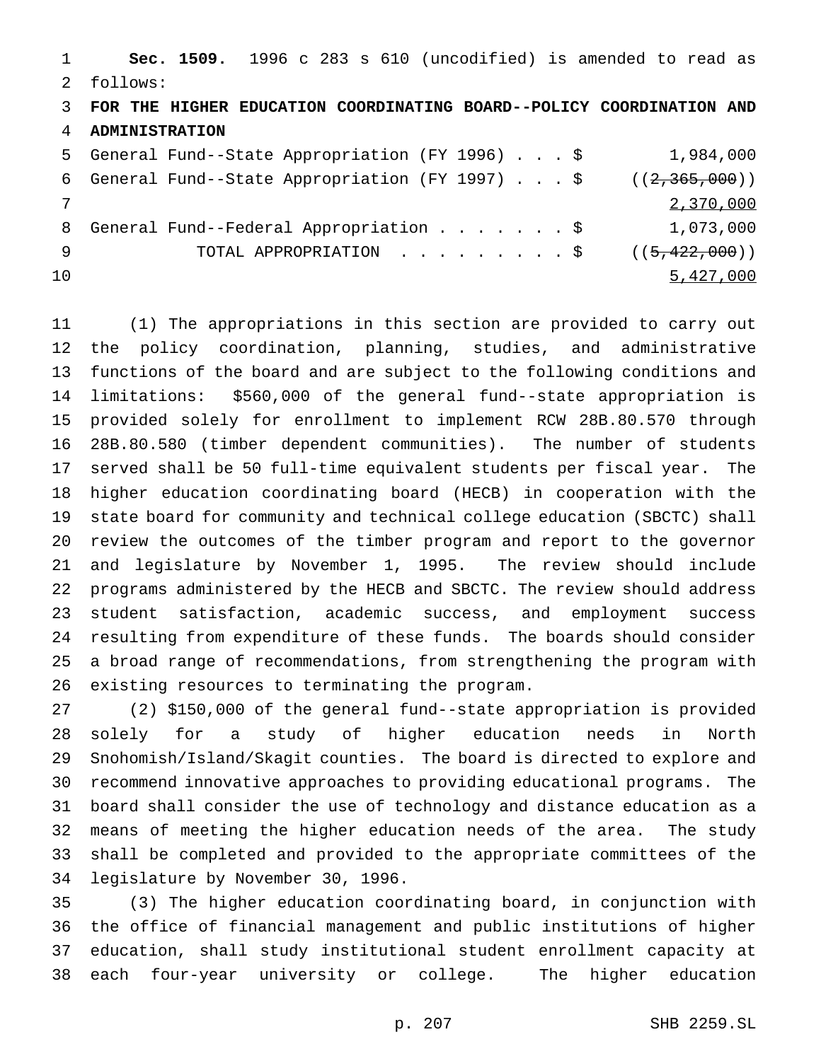**Sec. 1509.** 1996 c 283 s 610 (uncodified) is amended to read as follows: **FOR THE HIGHER EDUCATION COORDINATING BOARD--POLICY COORDINATION AND ADMINISTRATION** General Fund--State Appropriation (FY 1996)...\$ 1,984,000 6 General Fund--State Appropriation (FY 1997)...  $\frac{1}{2}$  ((2,365,000)) 2,370,000 8 General Fund--Federal Appropriation . . . . . . \$ 1,073,000 9 TOTAL APPROPRIATION . . . . . . . . \$ ((5,422,000)) 5,427,000

 (1) The appropriations in this section are provided to carry out the policy coordination, planning, studies, and administrative functions of the board and are subject to the following conditions and limitations: \$560,000 of the general fund--state appropriation is provided solely for enrollment to implement RCW 28B.80.570 through 28B.80.580 (timber dependent communities). The number of students served shall be 50 full-time equivalent students per fiscal year. The higher education coordinating board (HECB) in cooperation with the state board for community and technical college education (SBCTC) shall review the outcomes of the timber program and report to the governor and legislature by November 1, 1995. The review should include programs administered by the HECB and SBCTC. The review should address student satisfaction, academic success, and employment success resulting from expenditure of these funds. The boards should consider a broad range of recommendations, from strengthening the program with existing resources to terminating the program.

 (2) \$150,000 of the general fund--state appropriation is provided solely for a study of higher education needs in North Snohomish/Island/Skagit counties. The board is directed to explore and recommend innovative approaches to providing educational programs. The board shall consider the use of technology and distance education as a means of meeting the higher education needs of the area. The study shall be completed and provided to the appropriate committees of the legislature by November 30, 1996.

 (3) The higher education coordinating board, in conjunction with the office of financial management and public institutions of higher education, shall study institutional student enrollment capacity at each four-year university or college. The higher education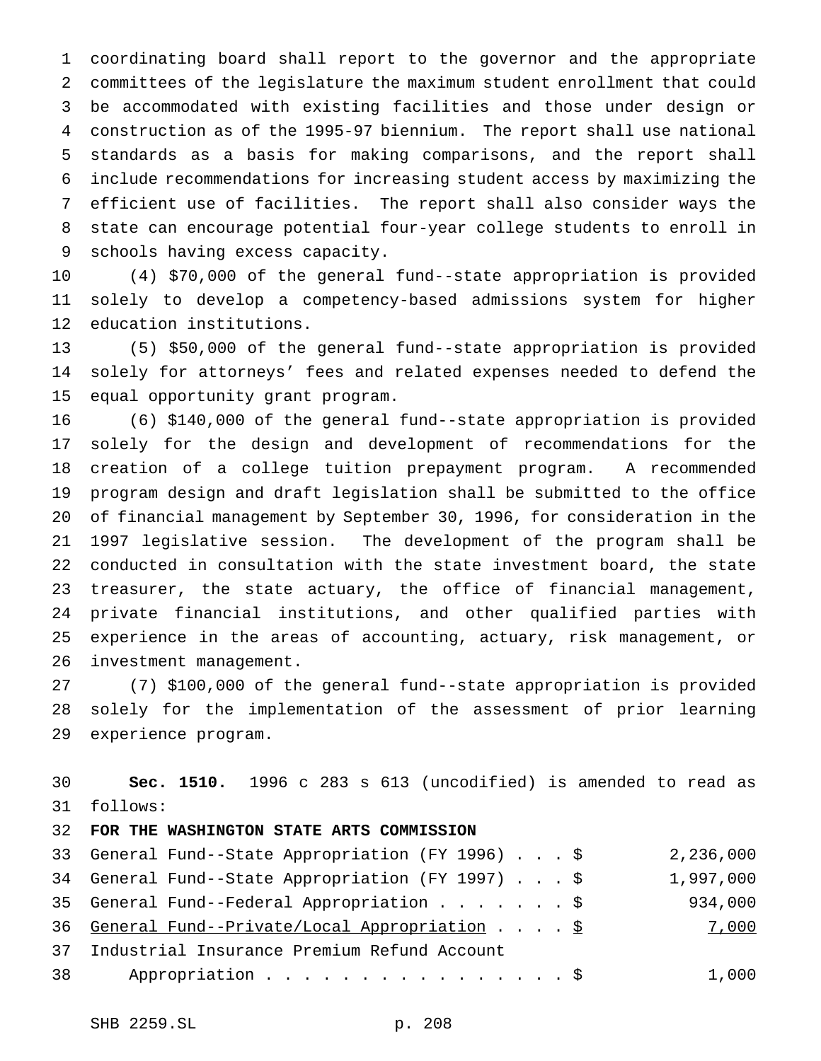coordinating board shall report to the governor and the appropriate committees of the legislature the maximum student enrollment that could be accommodated with existing facilities and those under design or construction as of the 1995-97 biennium. The report shall use national standards as a basis for making comparisons, and the report shall include recommendations for increasing student access by maximizing the efficient use of facilities. The report shall also consider ways the state can encourage potential four-year college students to enroll in schools having excess capacity.

 (4) \$70,000 of the general fund--state appropriation is provided solely to develop a competency-based admissions system for higher education institutions.

 (5) \$50,000 of the general fund--state appropriation is provided solely for attorneys' fees and related expenses needed to defend the equal opportunity grant program.

 (6) \$140,000 of the general fund--state appropriation is provided solely for the design and development of recommendations for the creation of a college tuition prepayment program. A recommended program design and draft legislation shall be submitted to the office of financial management by September 30, 1996, for consideration in the 1997 legislative session. The development of the program shall be conducted in consultation with the state investment board, the state treasurer, the state actuary, the office of financial management, private financial institutions, and other qualified parties with experience in the areas of accounting, actuary, risk management, or investment management.

 (7) \$100,000 of the general fund--state appropriation is provided solely for the implementation of the assessment of prior learning experience program.

 **Sec. 1510.** 1996 c 283 s 613 (uncodified) is amended to read as follows:

## **FOR THE WASHINGTON STATE ARTS COMMISSION**

|    | 33 General Fund--State Appropriation (FY 1996) \$ | 2,236,000 |
|----|---------------------------------------------------|-----------|
|    | 34 General Fund--State Appropriation (FY 1997) \$ | 1,997,000 |
|    | 35 General Fund--Federal Appropriation \$         | 934,000   |
|    | 36 General Fund--Private/Local Appropriation \$   | 7,000     |
|    | 37 Industrial Insurance Premium Refund Account    |           |
| 38 | Appropriation \$                                  | 1,000     |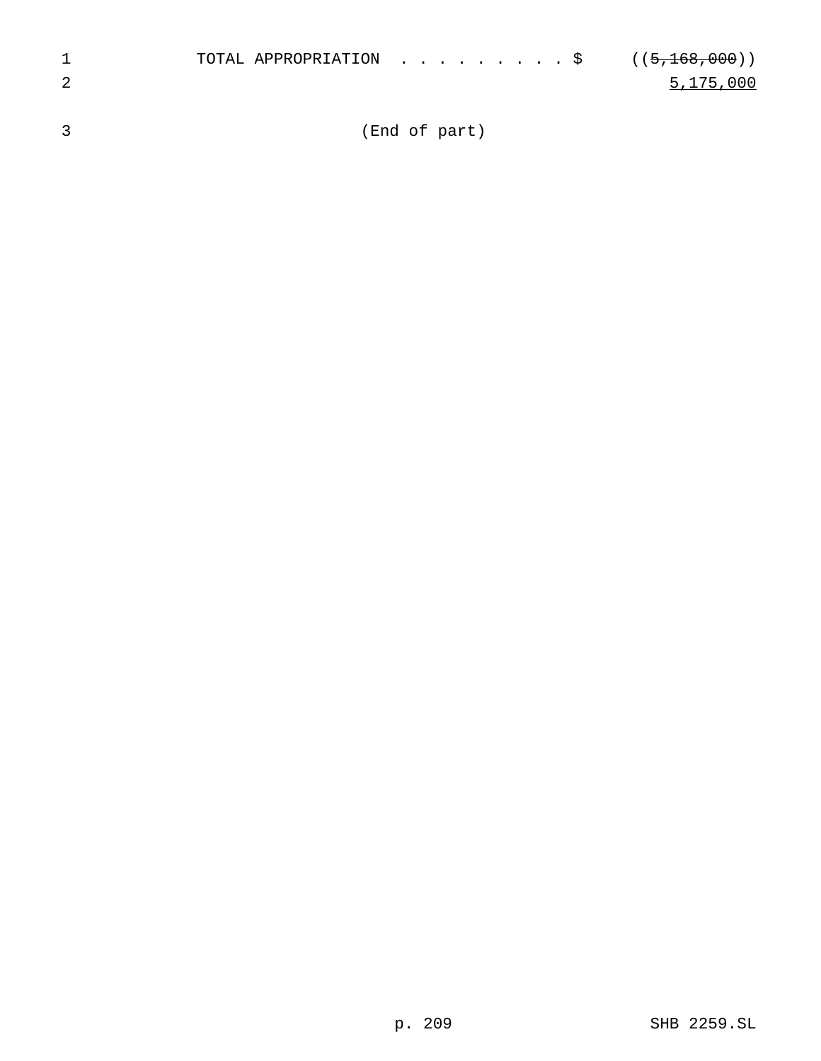|  | TOTAL APPROPRIATION $\ldots$ , \$ ((5,168,000)) |           |
|--|-------------------------------------------------|-----------|
|  |                                                 | 5,175,000 |
|  |                                                 |           |

3 (End of part)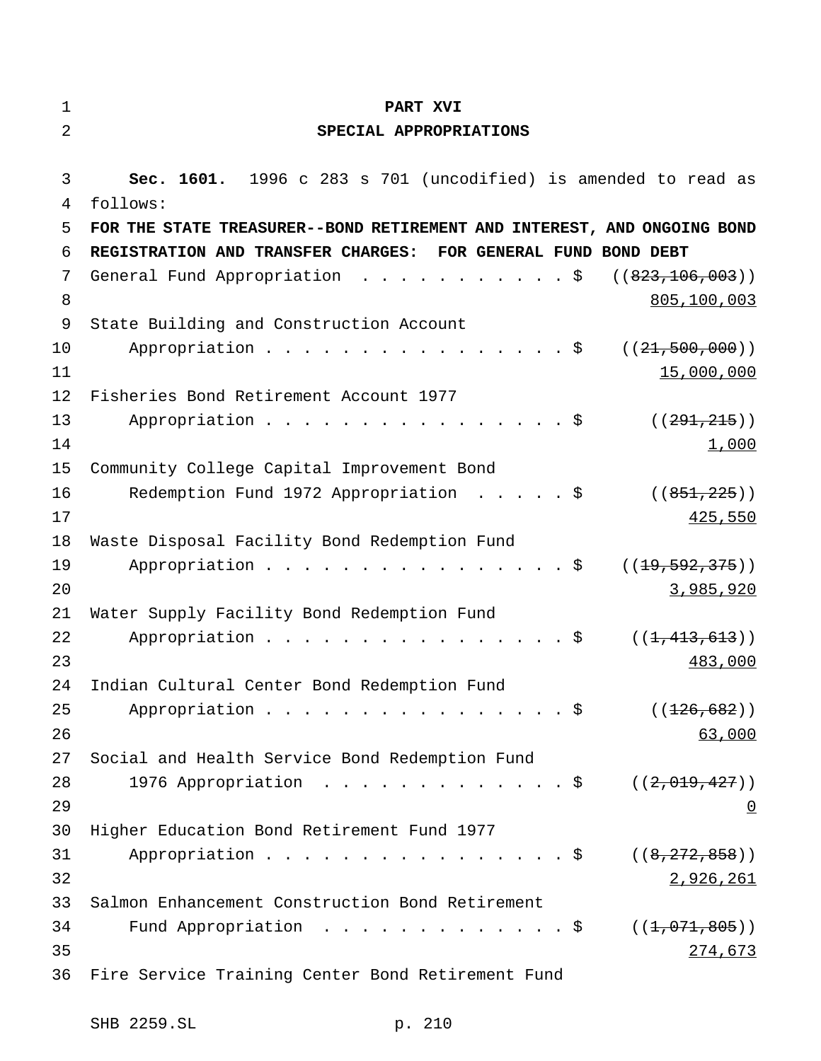| 1        | PART XVI                                                                   |
|----------|----------------------------------------------------------------------------|
| 2        | SPECIAL APPROPRIATIONS                                                     |
| 3<br>4   | Sec. 1601. 1996 c 283 s 701 (uncodified) is amended to read as<br>follows: |
| 5        | FOR THE STATE TREASURER--BOND RETIREMENT AND INTEREST, AND ONGOING BOND    |
| 6        | REGISTRATION AND TRANSFER CHARGES:<br>FOR GENERAL FUND BOND DEBT           |
| 7        | General Fund Appropriation \$<br>( (823, 106, 003))                        |
| 8        | 805,100,003                                                                |
| 9        | State Building and Construction Account                                    |
| 10       | Appropriation \$<br>((21, 500, 000))                                       |
| 11       | 15,000,000                                                                 |
| 12       | Fisheries Bond Retirement Account 1977                                     |
| 13       | Appropriation $\frac{1}{5}$<br>((291, 215))                                |
| 14       | 1,000                                                                      |
| 15       | Community College Capital Improvement Bond                                 |
| 16       | Redemption Fund 1972 Appropriation \$<br>((851, 225))                      |
| 17       | 425,550                                                                    |
| 18       | Waste Disposal Facility Bond Redemption Fund                               |
| 19       | Appropriation $\frac{1}{5}$<br>((19, 592, 375))                            |
| 20       | 3,985,920                                                                  |
| 21       | Water Supply Facility Bond Redemption Fund<br>Appropriation \$             |
| 22<br>23 | ((1, 413, 613))<br>483,000                                                 |
| 24       | Indian Cultural Center Bond Redemption Fund                                |
| 25       | Appropriation \$<br>( (126, 682) )                                         |
| 26       | 63,000                                                                     |
| 27       | Social and Health Service Bond Redemption Fund                             |
| 28       | 1976 Appropriation $\ldots$ \$<br>((2,019,427))                            |
| 29       | $\overline{0}$                                                             |
| 30       | Higher Education Bond Retirement Fund 1977                                 |
| 31       | Appropriation \$<br>((8, 272, 858))                                        |
| 32       | 2,926,261                                                                  |
| 33       | Salmon Enhancement Construction Bond Retirement                            |
| 34       | Fund Appropriation $\ldots$ \$<br>((1, 071, 805))                          |
| 35       | 274,673                                                                    |
| 36       | Fire Service Training Center Bond Retirement Fund                          |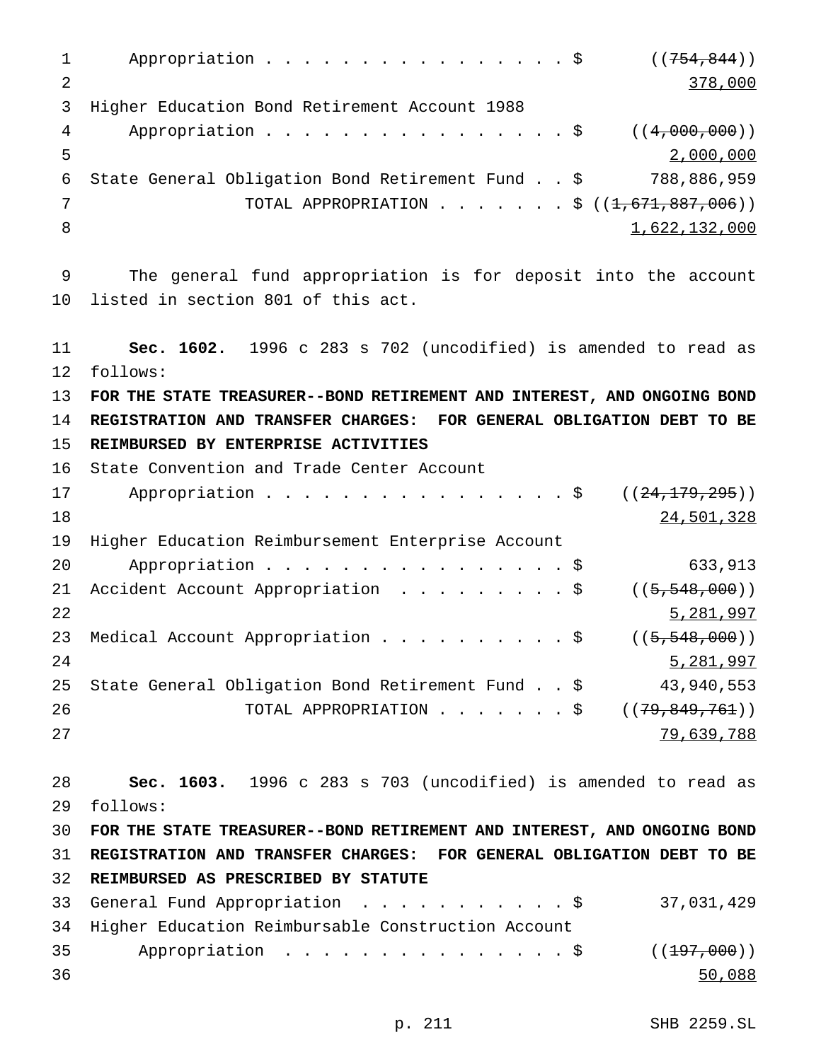1 Appropriation . . . . . . . . . . . . . . \$ ((754,844)) 2 378,000 3 Higher Education Bond Retirement Account 1988 4 Appropriation . . . . . . . . . . . . . . \$ ((4,000,000)) 5 2,000,000 6 State General Obligation Bond Retirement Fund..\$ 788,886,959 7 TOTAL APPROPRIATION . . . . . . \$ ((<del>1,671,887,006</del>)) 8 1,622,132,000 9 The general fund appropriation is for deposit into the account 10 listed in section 801 of this act. 11 **Sec. 1602.** 1996 c 283 s 702 (uncodified) is amended to read as 12 follows: 13 **FOR THE STATE TREASURER--BOND RETIREMENT AND INTEREST, AND ONGOING BOND** 14 **REGISTRATION AND TRANSFER CHARGES: FOR GENERAL OBLIGATION DEBT TO BE** 15 **REIMBURSED BY ENTERPRISE ACTIVITIES** 16 State Convention and Trade Center Account 17 Appropriation . . . . . . . . . . . . . . . \$ ((24,179,295)) 18 24,501,328 19 Higher Education Reimbursement Enterprise Account 20 Appropriation . . . . . . . . . . . . . . . \$ 633,913 21 Accident Account Appropriation . . . . . . . . \$ ((5,548,000)) 22 5,281,997 23 Medical Account Appropriation . . . . . . . . . \$ ((5,548,000)) 24 5,281,997 25 State General Obligation Bond Retirement Fund..\$ 43,940,553 26 TOTAL APPROPRIATION . . . . . . \$ ((<del>79,849,761</del>)) 27 79,639,788 28 **Sec. 1603.** 1996 c 283 s 703 (uncodified) is amended to read as 29 follows: 30 **FOR THE STATE TREASURER--BOND RETIREMENT AND INTEREST, AND ONGOING BOND** 31 **REGISTRATION AND TRANSFER CHARGES: FOR GENERAL OBLIGATION DEBT TO BE** 32 **REIMBURSED AS PRESCRIBED BY STATUTE** 33 General Fund Appropriation ...........\$ 37,031,429 34 Higher Education Reimbursable Construction Account 35 Appropriation . . . . . . . . . . . . . \$ ((<del>197,000</del>)) 36 50,088

p. 211 SHB 2259.SL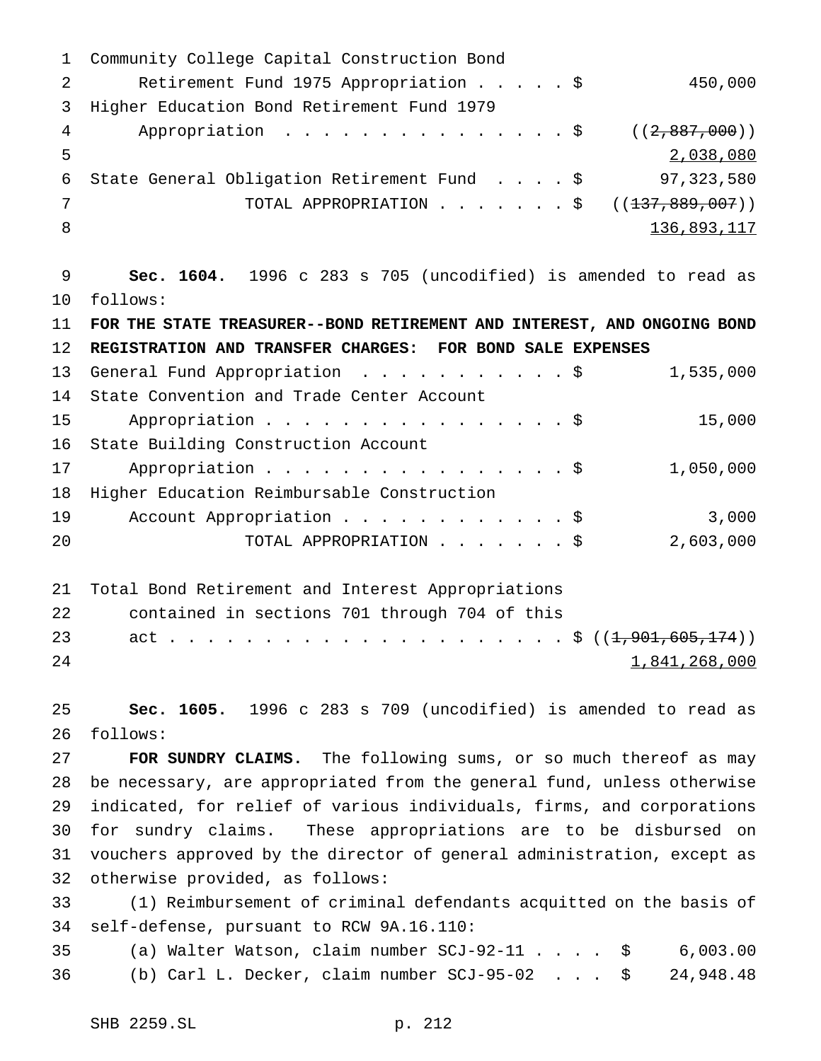Community College Capital Construction Bond Retirement Fund 1975 Appropriation.....\$ 450,000 Higher Education Bond Retirement Fund 1979 4 Appropriation . . . . . . . . . . . . . \$ ((2,887,000)) 2,038,080 State General Obligation Retirement Fund ....\$ 97,323,580 7 TOTAL APPROPRIATION . . . . . . \$ ((<del>137,889,007</del>)) 8 136,893,117 **Sec. 1604.** 1996 c 283 s 705 (uncodified) is amended to read as follows: **FOR THE STATE TREASURER--BOND RETIREMENT AND INTEREST, AND ONGOING BOND REGISTRATION AND TRANSFER CHARGES: FOR BOND SALE EXPENSES** 13 General Fund Appropriation . . . . . . . . . . \$ 1,535,000 State Convention and Trade Center Account 15 Appropriation . . . . . . . . . . . . . . . \$ 15,000 State Building Construction Account 17 Appropriation . . . . . . . . . . . . . . . \$ 1,050,000 Higher Education Reimbursable Construction 19 Account Appropriation . . . . . . . . . . . \$ 3,000 TOTAL APPROPRIATION.......\$ 2,603,000 Total Bond Retirement and Interest Appropriations contained in sections 701 through 704 of this act . . . . . . . . . . . . . . . . . . . . . \$ ((1,901,605,174)) 1,841,268,000 **Sec. 1605.** 1996 c 283 s 709 (uncodified) is amended to read as follows: **FOR SUNDRY CLAIMS.** The following sums, or so much thereof as may be necessary, are appropriated from the general fund, unless otherwise indicated, for relief of various individuals, firms, and corporations for sundry claims. These appropriations are to be disbursed on vouchers approved by the director of general administration, except as otherwise provided, as follows: (1) Reimbursement of criminal defendants acquitted on the basis of self-defense, pursuant to RCW 9A.16.110: (a) Walter Watson, claim number SCJ-92-11.... \$ 6,003.00 (b) Carl L. Decker, claim number SCJ-95-02 . . . \$ 24,948.48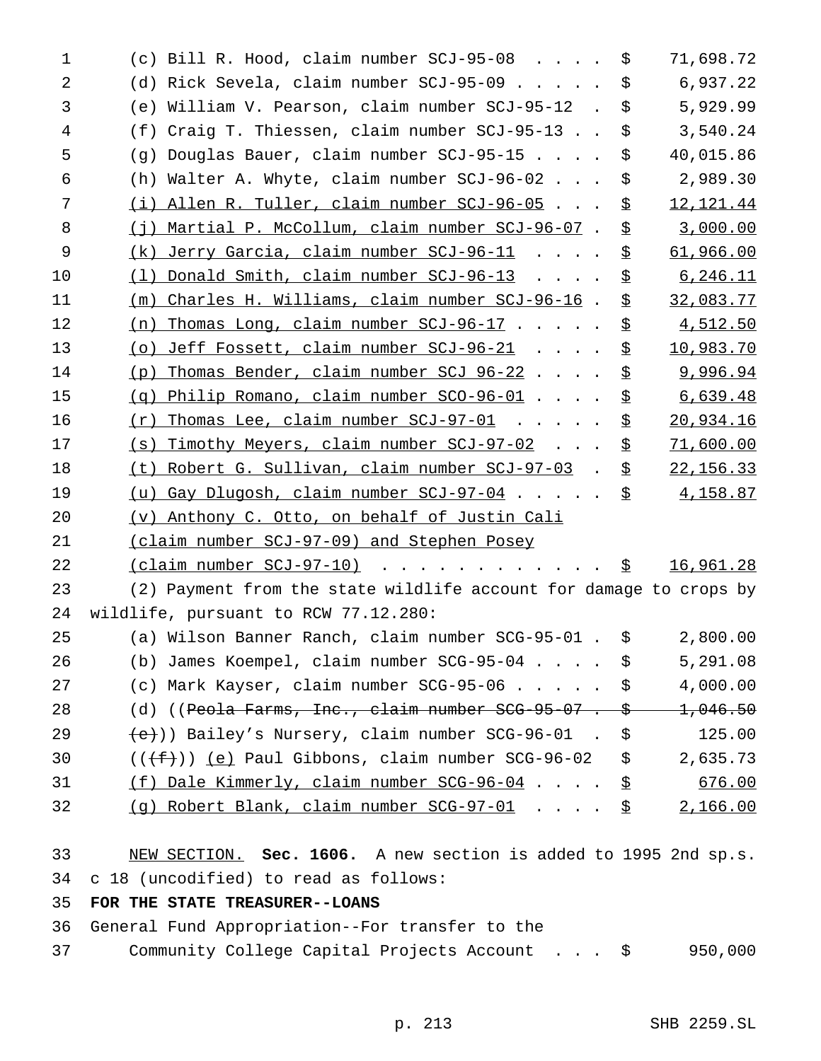| 1  | (c) Bill R. Hood, claim number $SCJ-95-08$ \$                                 |    | 71,698.72   |
|----|-------------------------------------------------------------------------------|----|-------------|
| 2  | (d) Rick Sevela, claim number SCJ-95-09                                       | \$ | 6,937.22    |
| 3  | (e) William V. Pearson, claim number SCJ-95-12. \$                            |    | 5,929.99    |
| 4  | (f) Craig T. Thiessen, claim number SCJ-95-13.                                | \$ | 3,540.24    |
| 5  | (g) Douglas Bauer, claim number SCJ-95-15                                     | \$ | 40,015.86   |
| 6  | (h) Walter A. Whyte, claim number SCJ-96-02                                   | \$ | 2,989.30    |
| 7  | (i) Allen R. Tuller, claim number SCJ-96-05                                   | \$ | 12, 121. 44 |
| 8  | (j) Martial P. McCollum, claim number SCJ-96-07.                              | \$ | 3,000.00    |
| 9  | <u>(k) Jerry Garcia, claim number SCJ-96-11</u>                               | \$ | 61,966.00   |
| 10 | $(1)$ Donald Smith, claim number SCJ-96-13                                    | \$ | 6, 246.11   |
| 11 | (m) Charles H. Williams, claim number SCJ-96-16.                              | \$ | 32,083.77   |
| 12 | Thomas Long, claim number SCJ-96-17<br>(n)                                    | \$ | 4,512.50    |
| 13 | (o) Jeff Fossett, claim number SCJ-96-21                                      | \$ | 10,983.70   |
| 14 | (p) Thomas Bender, claim number SCJ 96-22                                     | \$ | 9,996.94    |
| 15 | (g) Philip Romano, claim number SCO-96-01                                     | \$ | 6,639.48    |
| 16 | $(r)$ Thomas Lee, claim number SCJ-97-01                                      | \$ | 20,934.16   |
| 17 | (s) Timothy Meyers, claim number SCJ-97-02                                    | \$ | 71,600.00   |
| 18 | (t) Robert G. Sullivan, claim number SCJ-97-03.                               | 호  | 22, 156.33  |
| 19 | (u) Gay Dlugosh, claim number SCJ-97-04                                       | \$ | 4,158.87    |
| 20 | (v) Anthony C. Otto, on behalf of Justin Cali                                 |    |             |
| 21 | (claim number SCJ-97-09) and Stephen Posey                                    |    |             |
| 22 |                                                                               |    | 16,961.28   |
| 23 | (2) Payment from the state wildlife account for damage to crops by            |    |             |
| 24 | wildlife, pursuant to RCW 77.12.280:                                          |    |             |
| 25 | (a) Wilson Banner Ranch, claim number SCG-95-01 . \$ 2,800.00                 |    |             |
| 26 | (b) James Koempel, claim number $SCG-95-04$ \$                                |    | 5,291.08    |
| 27 | (c) Mark Kayser, claim number SCG-95-06 \$                                    |    | 4,000.00    |
| 28 | (d) ((Peola Farms, Inc., claim number SCG-95-07. $\frac{\div}{\div}$ 1,046.50 |    |             |
| 29 | $\{\leftrightarrow\}$ ) Bailey's Nursery, claim number SCG-96-01. \$          |    | 125.00      |
| 30 | $((\text{+f}))(e)$ Paul Gibbons, claim number SCG-96-02 \$                    |    | 2,635.73    |
| 31 | $(f)$ Dale Kimmerly, claim number SCG-96-04 \$                                |    | 676.00      |
| 32 | (g) Robert Blank, claim number SCG-97-01 \$                                   |    | 2,166.00    |
| 33 | NEW SECTION. Sec. 1606. A new section is added to 1995 2nd sp.s.              |    |             |
| 34 | c 18 (uncodified) to read as follows:                                         |    |             |
| 35 | FOR THE STATE TREASURER--LOANS                                                |    |             |
| 36 | General Fund Appropriation--For transfer to the                               |    |             |

Community College Capital Projects Account . . . \$ 950,000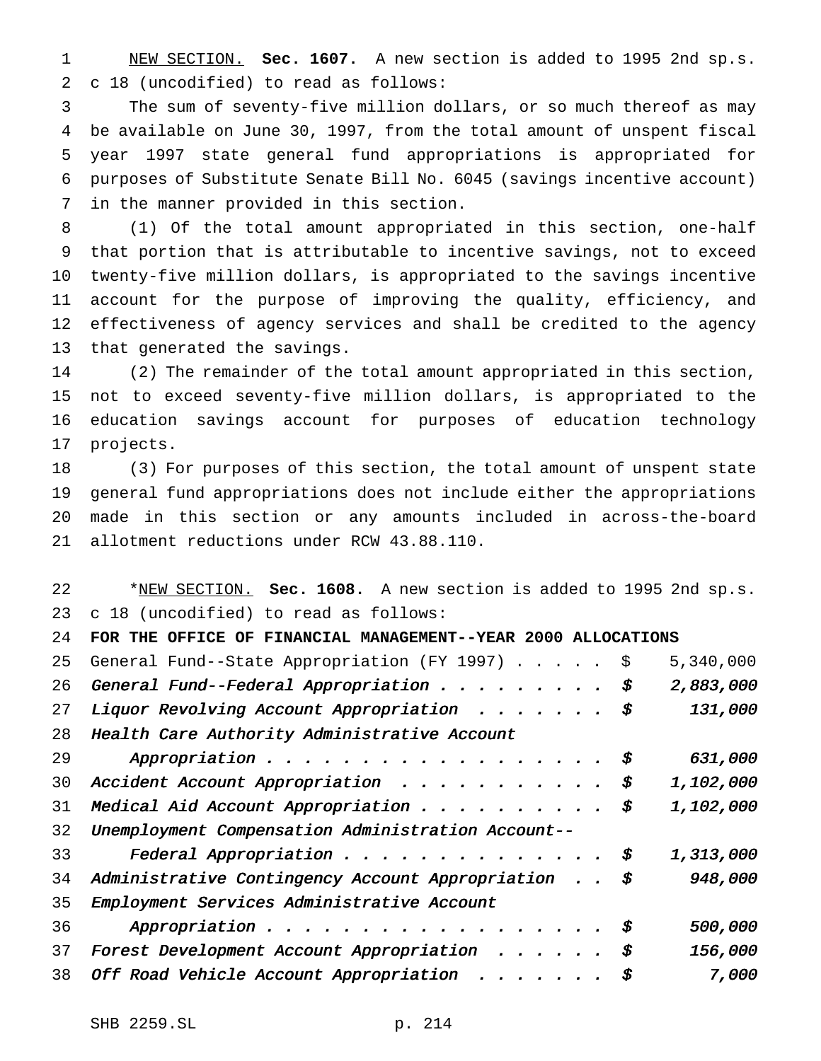NEW SECTION. **Sec. 1607.** A new section is added to 1995 2nd sp.s. c 18 (uncodified) to read as follows:

 The sum of seventy-five million dollars, or so much thereof as may be available on June 30, 1997, from the total amount of unspent fiscal year 1997 state general fund appropriations is appropriated for purposes of Substitute Senate Bill No. 6045 (savings incentive account) in the manner provided in this section.

 (1) Of the total amount appropriated in this section, one-half that portion that is attributable to incentive savings, not to exceed twenty-five million dollars, is appropriated to the savings incentive account for the purpose of improving the quality, efficiency, and effectiveness of agency services and shall be credited to the agency that generated the savings.

 (2) The remainder of the total amount appropriated in this section, not to exceed seventy-five million dollars, is appropriated to the education savings account for purposes of education technology projects.

 (3) For purposes of this section, the total amount of unspent state general fund appropriations does not include either the appropriations made in this section or any amounts included in across-the-board allotment reductions under RCW 43.88.110.

 \*NEW SECTION. **Sec. 1608.** A new section is added to 1995 2nd sp.s. c 18 (uncodified) to read as follows:

| 24 | FOR THE OFFICE OF FINANCIAL MANAGEMENT--YEAR 2000 ALLOCATIONS |               |
|----|---------------------------------------------------------------|---------------|
| 25 | General Fund--State Appropriation (FY 1997) \$                | 5,340,000     |
| 26 | General Fund--Federal Appropriation $\ddot{s}$                | 2,883,000     |
| 27 | Liquor Revolving Account Appropriation $\ddot{s}$             | 131,000       |
| 28 | Health Care Authority Administrative Account                  |               |
| 29 | Appropriation $\ddot{s}$                                      | 631,000       |
| 30 | Accident Account Appropriation \$                             | 1,102,000     |
| 31 | Medical Aid Account Appropriation $\ddot{s}$                  | 1,102,000     |
| 32 | Unemployment Compensation Administration Account--            |               |
| 33 | Federal Appropriation $\frac{1}{5}$                           | 1,313,000     |
| 34 | Administrative Contingency Account Appropriation $\sharp$     | 948,000       |
| 35 | Employment Services Administrative Account                    |               |
| 36 | Appropriation $\ddot{s}$                                      | 500,000       |
| 37 | Forest Development Account Appropriation                      | \$<br>156,000 |
| 38 | Off Road Vehicle Account Appropriation                        | 7,000         |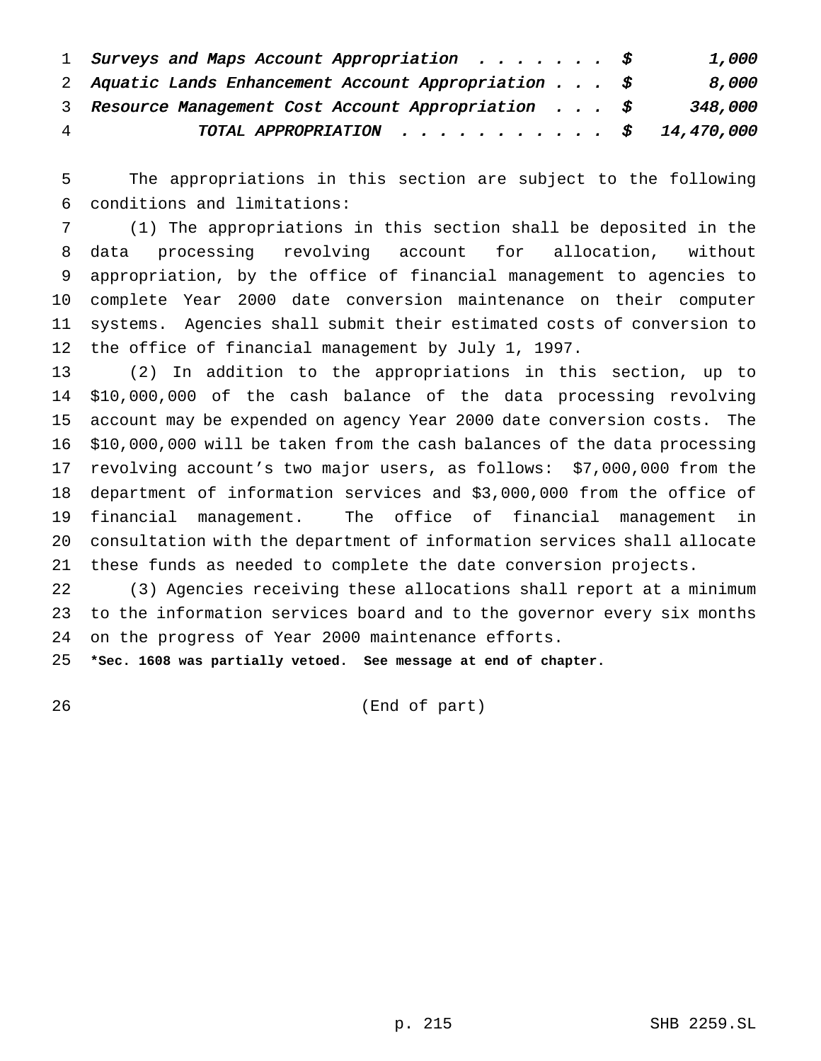|   | 1 Surveys and Maps Account Appropriation $\ddot{s}$                 | 1,000   |
|---|---------------------------------------------------------------------|---------|
|   | 2 Aquatic Lands Enhancement Account Appropriation $\ldots$ \$       | 8,000   |
|   | 3 Resource Management Cost Account Appropriation $\ldots$ , $\circ$ | 348,000 |
| 4 | TOTAL APPROPRIATION $\frac{1}{2}$ 14,470,000                        |         |

 The appropriations in this section are subject to the following conditions and limitations:

 (1) The appropriations in this section shall be deposited in the data processing revolving account for allocation, without appropriation, by the office of financial management to agencies to complete Year 2000 date conversion maintenance on their computer systems. Agencies shall submit their estimated costs of conversion to the office of financial management by July 1, 1997.

 (2) In addition to the appropriations in this section, up to \$10,000,000 of the cash balance of the data processing revolving account may be expended on agency Year 2000 date conversion costs. The \$10,000,000 will be taken from the cash balances of the data processing revolving account's two major users, as follows: \$7,000,000 from the department of information services and \$3,000,000 from the office of financial management. The office of financial management in consultation with the department of information services shall allocate these funds as needed to complete the date conversion projects.

 (3) Agencies receiving these allocations shall report at a minimum to the information services board and to the governor every six months on the progress of Year 2000 maintenance efforts.

**\*Sec. 1608 was partially vetoed. See message at end of chapter.**

(End of part)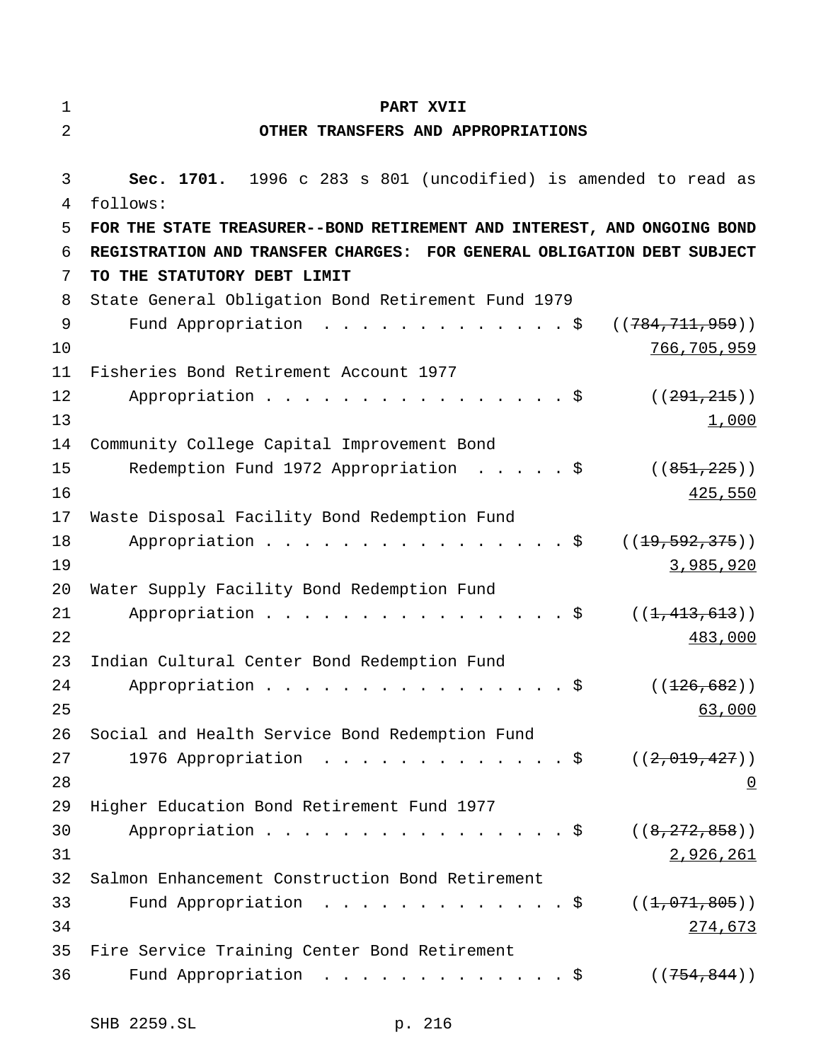# **PART XVII**

# **OTHER TRANSFERS AND APPROPRIATIONS**

| 3  | Sec. 1701. 1996 c 283 s 801 (uncodified) is amended to read as          |
|----|-------------------------------------------------------------------------|
| 4  | follows:                                                                |
| 5  | FOR THE STATE TREASURER--BOND RETIREMENT AND INTEREST, AND ONGOING BOND |
| 6  | REGISTRATION AND TRANSFER CHARGES: FOR GENERAL OBLIGATION DEBT SUBJECT  |
| 7  | TO THE STATUTORY DEBT LIMIT                                             |
| 8  | State General Obligation Bond Retirement Fund 1979                      |
| 9  | Fund Appropriation \$<br>((784, 711, 959))                              |
| 10 | 766,705,959                                                             |
| 11 | Fisheries Bond Retirement Account 1977                                  |
| 12 | Appropriation \$<br>((291, 215))                                        |
| 13 | 1,000                                                                   |
| 14 | Community College Capital Improvement Bond                              |
| 15 | Redemption Fund 1972 Appropriation \$<br>((851, 225))                   |
| 16 | 425,550                                                                 |
| 17 | Waste Disposal Facility Bond Redemption Fund                            |
| 18 | Appropriation $\frac{1}{5}$<br>((19, 592, 375))                         |
| 19 | 3,985,920                                                               |
| 20 | Water Supply Facility Bond Redemption Fund                              |
| 21 | Appropriation $\frac{1}{2}$<br>((1, 413, 613))                          |
| 22 | 483,000                                                                 |
| 23 | Indian Cultural Center Bond Redemption Fund                             |
| 24 | Appropriation \$<br>( (126, 682) )                                      |
| 25 | 63,000                                                                  |
| 26 | Social and Health Service Bond Redemption Fund                          |
| 27 | 1976 Appropriation \$<br>((2,019,427))                                  |
| 28 | $\underline{0}$                                                         |
| 29 | Higher Education Bond Retirement Fund 1977                              |
| 30 |                                                                         |
| 31 | 2,926,261                                                               |
| 32 | Salmon Enhancement Construction Bond Retirement                         |
| 33 | Fund Appropriation $\ldots$ \$<br>((1, 071, 805))                       |
| 34 | 274,673                                                                 |
| 35 | Fire Service Training Center Bond Retirement                            |
| 36 | Fund Appropriation \$<br>((754, 844))                                   |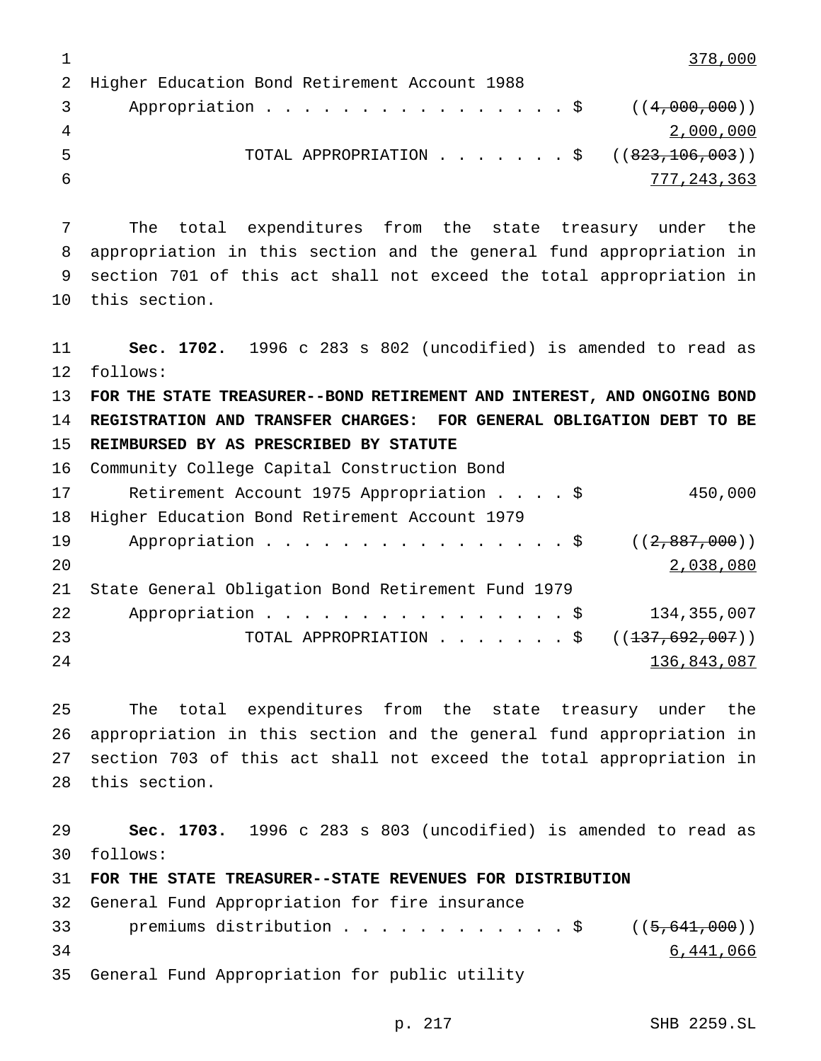1 378,000

 Higher Education Bond Retirement Account 1988 3 Appropriation . . . . . . . . . . . . . . \$ ((4,000,000)) 2,000,000 5 TOTAL APPROPRIATION . . . . . . \$ ((823,106,003)) 777,243,363

 The total expenditures from the state treasury under the appropriation in this section and the general fund appropriation in section 701 of this act shall not exceed the total appropriation in this section.

 **Sec. 1702.** 1996 c 283 s 802 (uncodified) is amended to read as follows: **FOR THE STATE TREASURER--BOND RETIREMENT AND INTEREST, AND ONGOING BOND REGISTRATION AND TRANSFER CHARGES: FOR GENERAL OBLIGATION DEBT TO BE REIMBURSED BY AS PRESCRIBED BY STATUTE** Community College Capital Construction Bond Retirement Account 1975 Appropriation....\$ 450,000 Higher Education Bond Retirement Account 1979 19 Appropriation . . . . . . . . . . . . . . \$ ((2,887,000)) 2,038,080 State General Obligation Bond Retirement Fund 1979 22 Appropriation . . . . . . . . . . . . . . . \$ 134,355,007 23 TOTAL APPROPRIATION . . . . . . \$ ((<del>137,692,007</del>)) 136,843,087

 The total expenditures from the state treasury under the appropriation in this section and the general fund appropriation in section 703 of this act shall not exceed the total appropriation in this section.

 **Sec. 1703.** 1996 c 283 s 803 (uncodified) is amended to read as follows: **FOR THE STATE TREASURER--STATE REVENUES FOR DISTRIBUTION** General Fund Appropriation for fire insurance

33 premiums distribution . . . . . . . . . . . \$ ((5,641,000)) 6,441,066 General Fund Appropriation for public utility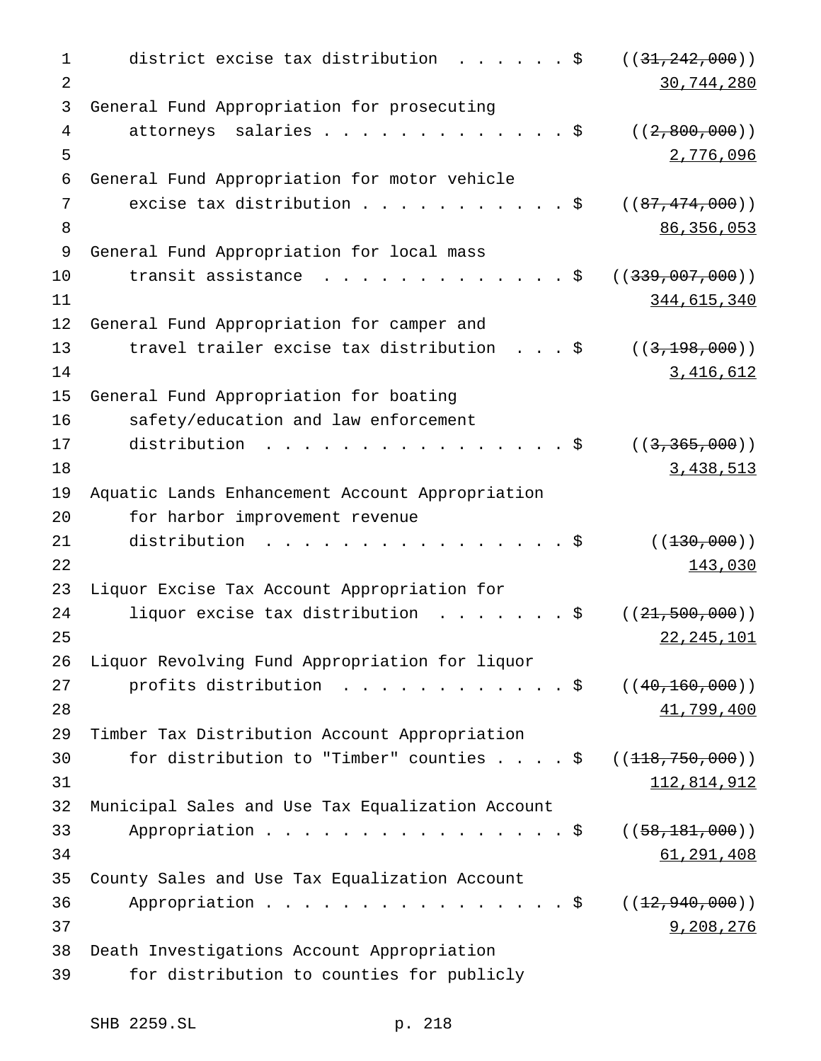```
1 district excise tax distribution . . . . . $ ((31,242,000))
2 30,744,280
3 General Fund Appropriation for prosecuting
4 attorneys salaries . . . . . . . . . . . . $ ((2,800,000))
5 2,776,096
6 General Fund Appropriation for motor vehicle
7 excise tax distribution . . . . . . . . . . $ ((87, 474, 000))8 86,356,053
9 General Fund Appropriation for local mass
10 transit assistance . . . . . . . . . . . . $ ((<del>339,007,000</del>))
11 344,615,340
12 General Fund Appropriation for camper and
13 travel trailer excise tax distribution . . . $ ((3,198,000))
14 3,416,612
15 General Fund Appropriation for boating
16 safety/education and law enforcement
17 distribution . . . . . . . . . . . . . . . $ ((3,365,000))
18 3,438,513
19 Aquatic Lands Enhancement Account Appropriation
20 for harbor improvement revenue
21 distribution . . . . . . . . . . . . . . . $ ((<del>130,000</del>))
22 143,030
23 Liquor Excise Tax Account Appropriation for
24 liquor excise tax distribution \ldots.....$ ((21,500,000))25 22,245,101
26 Liquor Revolving Fund Appropriation for liquor
27 profits distribution . . . . . . . . . . . $ ((40,160,000))
28 41,799,400
29 Timber Tax Distribution Account Appropriation
30 for distribution to "Timber" counties . . . . $ ((<del>118,750,000</del>))
31 112,814,912
32 Municipal Sales and Use Tax Equalization Account
33 Appropriation . . . . . . . . . . . . . . $ ((58,181,000))
34 61,291,408
35 County Sales and Use Tax Equalization Account
36 Appropriation . . . . . . . . . . . . . . $ ((<del>12,940,000</del>))
37 9,208,276
38 Death Investigations Account Appropriation
39 for distribution to counties for publicly
```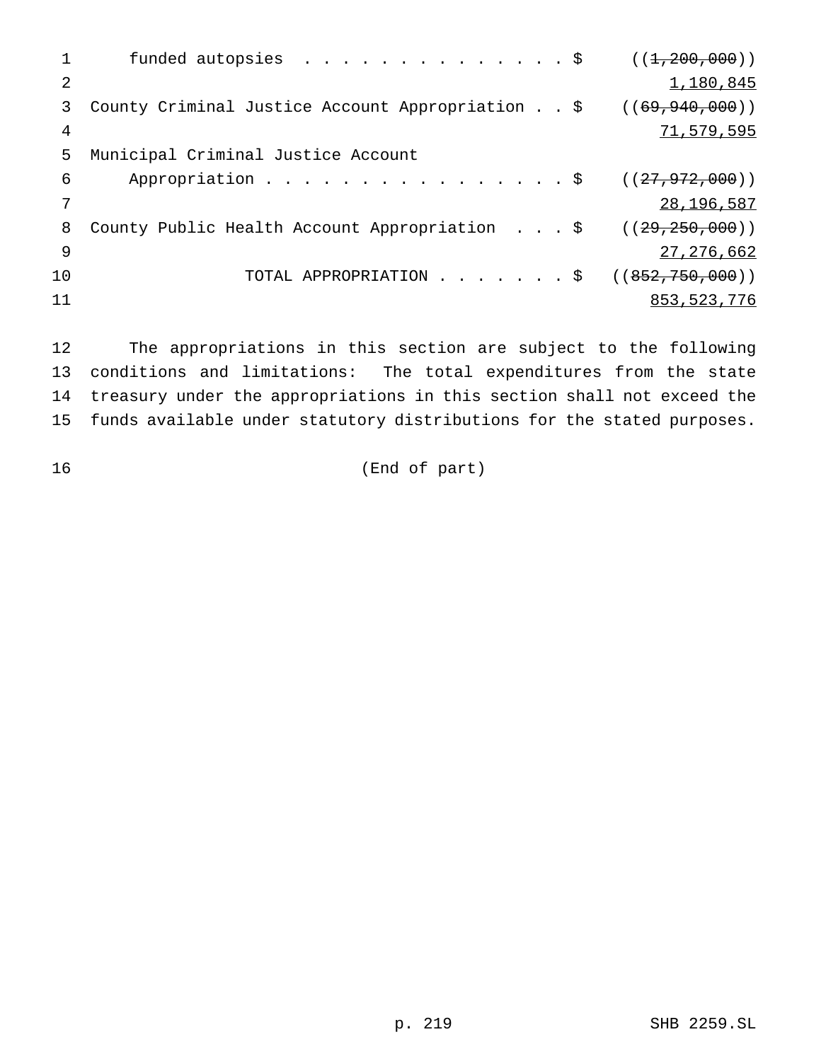| funded autopsies \$                              | ((1, 200, 000))    |
|--------------------------------------------------|--------------------|
|                                                  | 1,180,845          |
| County Criminal Justice Account Appropriation \$ | ( (69, 940, 000) ) |
|                                                  | 71,579,595         |
| Municipal Criminal Justice Account               |                    |
| Appropriation \$                                 | ((27, 972, 000))   |
|                                                  | 28, 196, 587       |
| County Public Health Account Appropriation \$    | ((29, 250, 000))   |
|                                                  | 27, 276, 662       |
| TOTAL APPROPRIATION $\frac{1}{9}$                | ((852, 750, 000))  |
|                                                  | 853, 523, 776      |
|                                                  |                    |

 The appropriations in this section are subject to the following conditions and limitations: The total expenditures from the state treasury under the appropriations in this section shall not exceed the funds available under statutory distributions for the stated purposes.

16 (End of part)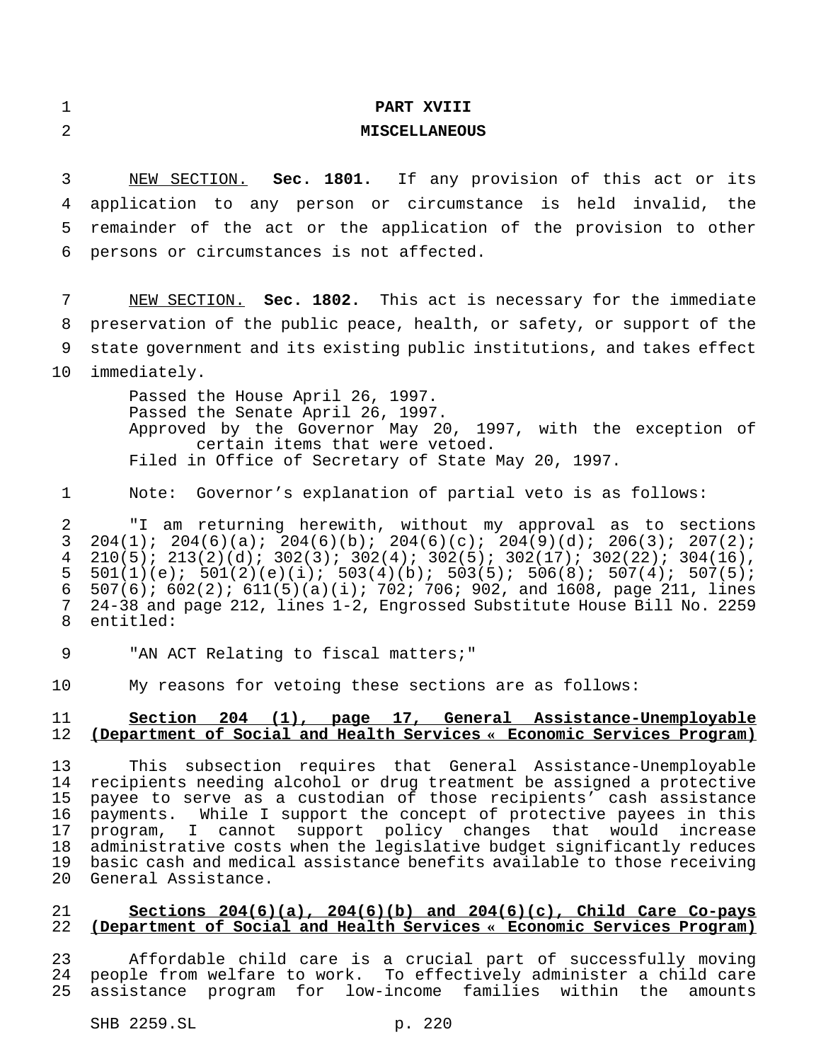|  |  | I |
|--|--|---|
|  |  |   |
|  |  |   |
|  |  |   |
|  |  |   |
|  |  |   |
|  |  |   |
|  |  |   |
|  |  |   |
|  |  |   |
|  |  |   |
|  |  |   |
|  |  |   |
|  |  |   |
|  |  |   |
|  |  |   |
|  |  |   |
|  |  |   |
|  |  |   |
|  |  |   |
|  |  |   |
|  |  |   |
|  |  |   |
|  |  |   |
|  |  |   |
|  |  |   |

### **PART XVIII**

#### **MISCELLANEOUS**

 NEW SECTION. **Sec. 1801.** If any provision of this act or its application to any person or circumstance is held invalid, the remainder of the act or the application of the provision to other persons or circumstances is not affected.

 NEW SECTION. **Sec. 1802.** This act is necessary for the immediate preservation of the public peace, health, or safety, or support of the state government and its existing public institutions, and takes effect immediately.

> Passed the House April 26, 1997. Passed the Senate April 26, 1997. Approved by the Governor May 20, 1997, with the exception of certain items that were vetoed. Filed in Office of Secretary of State May 20, 1997.

Note: Governor's explanation of partial veto is as follows:

 "I am returning herewith, without my approval as to sections 204(1); 204(6)(a); 204(6)(b); 204(6)(c); 204(9)(d); 206(3); 207(2);  $210(5)$ ;  $213(2)(d)$ ;  $302(3)$ ;  $302(4)$ ;  $302(5)$ ;  $302(17)$ ;  $302(22)$ ;  $304(16)$ ,<br>5  $501(1)(e)$ ;  $501(2)(e)(i)$ ;  $503(4)(b)$ ;  $503(5)$ ;  $506(8)$ ;  $507(4)$ ;  $507(5)$ ; 501(1)(e); 501(2)(e)(i); 503(4)(b); 503(5); 506(8); 507(4); 507(5); 6 507(6); 602(2); 611(5)(a)(i); 702; 706; 902, and 1608, page 211, lines<br>7 24-38 and page 212, lines 1-2, Engrossed Substitute House Bill No. 2259 24-38 and page 212, lines 1-2, Engrossed Substitute House Bill No. 2259 entitled:

9 TAN ACT Relating to fiscal matters;"

My reasons for vetoing these sections are as follows:

# **Section 204 (1), page 17, General Assistance-Unemployable (Department of Social and Health Services « Economic Services Program)**

 This subsection requires that General Assistance-Unemployable recipients needing alcohol or drug treatment be assigned a protective payee to serve as a custodian of those recipients' cash assistance payments. While I support the concept of protective payees in this program, I cannot support policy changes that would increase administrative costs when the legislative budget significantly reduces basic cash and medical assistance benefits available to those receiving General Assistance.

## **Sections 204(6)(a), 204(6)(b) and 204(6)(c), Child Care Co-pays (Department of Social and Health Services « Economic Services Program)**

 Affordable child care is a crucial part of successfully moving people from welfare to work. To effectively administer a child care assistance program for low-income families within the amounts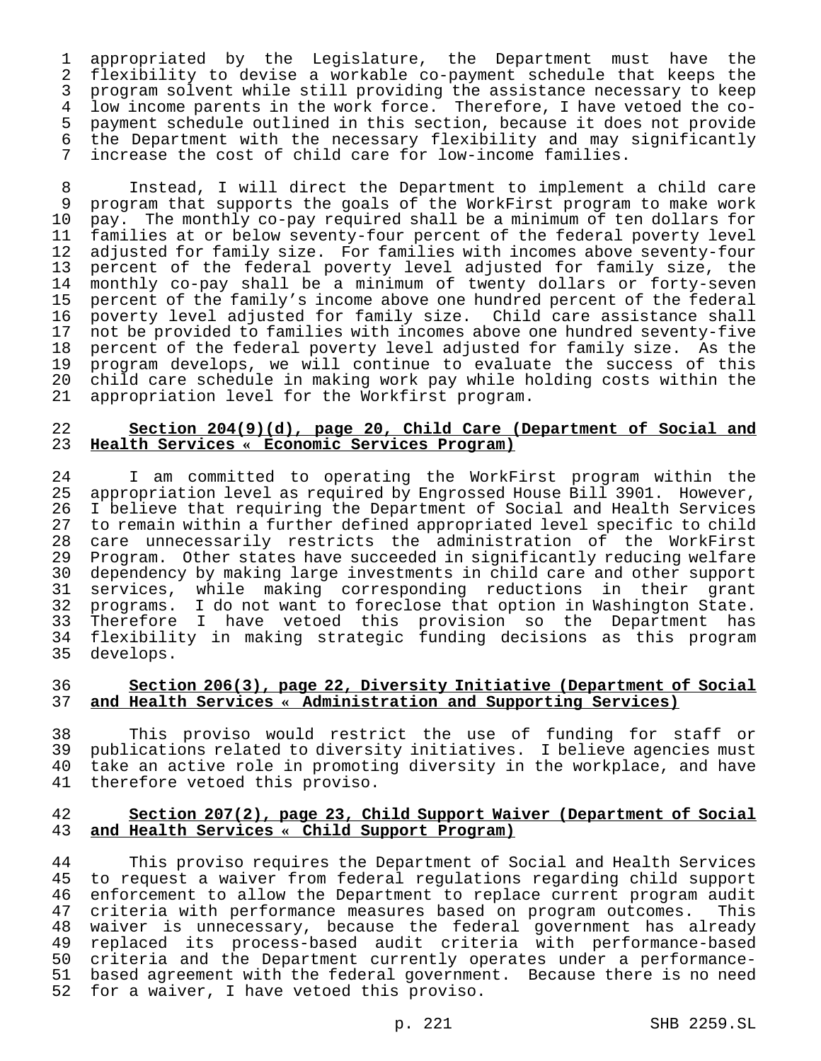appropriated by the Legislature, the Department must have the flexibility to devise a workable co-payment schedule that keeps the program solvent while still providing the assistance necessary to keep low income parents in the work force. Therefore, I have vetoed the co-5 payment schedule outlined in this section, because it does not provide<br>6 the Department with the necessary flexibility and may significantly the Department with the necessary flexibility and may significantly increase the cost of child care for low-income families.

 Instead, I will direct the Department to implement a child care 9 program that supports the goals of the WorkFirst program to make work<br>10 pay. The monthly co-pay required shall be a minimum of ten dollars for 10 pay. The monthly co-pay required shall be a minimum of ten dollars for<br>11 families at or below seventy-four percent of the federal poverty level families at or below seventy-four percent of the federal poverty level adjusted for family size. For families with incomes above seventy-four percent of the federal poverty level adjusted for family size, the 14 monthly co-pay shall be a minimum of twenty dollars or forty-seven<br>15 percent of the family's income above one hundred percent of the federal 15 percent of the family's income above one hundred percent of the federal<br>16 poverty level adjusted for family size. Child care assistance shall 16 poverty level adjusted for family size. Child care assistance shall<br>17 not be provided to families with incomes above one hundred seventy-five 17 not be provided to families with incomes above one hundred seventy-five<br>18 percent of the federal poverty level adjusted for family size. As the percent of the federal poverty level adjusted for family size. As the program develops, we will continue to evaluate the success of this 20 child care schedule in making work pay while holding costs within the<br>21 appropriation level for the Workfirst program. appropriation level for the Workfirst program.

# **Section 204(9)(d), page 20, Child Care (Department of Social and Health Services « Economic Services Program)**

24 I am committed to operating the WorkFirst program within the<br>25 appropriation level as required by Engrossed House Bill 3901. However, appropriation level as required by Engrossed House Bill 3901. However, I believe that requiring the Department of Social and Health Services to remain within a further defined appropriated level specific to child care unnecessarily restricts the administration of the WorkFirst 29 Program. Other states have succeeded in significantly reducing welfare<br>30 dependency by making large investments in child care and other support 30 dependency by making large investments in child care and other support<br>31 services, while making corresponding reductions in their grant services, while making corresponding reductions in their grant programs. I do not want to foreclose that option in Washington State. Therefore I have vetoed this provision so the Department has flexibility in making strategic funding decisions as this program develops.

## **Section 206(3), page 22, Diversity Initiative (Department of Social and Health Services « Administration and Supporting Services)**

38 This proviso would restrict the use of funding for staff or<br>39 publications related to diversity initiatives. I believe agencies must publications related to diversity initiatives. I believe agencies must take an active role in promoting diversity in the workplace, and have therefore vetoed this proviso.

#### **Section 207(2), page 23, Child Support Waiver (Department of Social and Health Services « Child Support Program)**

44 This proviso requires the Department of Social and Health Services<br>45 to request a waiver from federal requlations reqarding child support to request a waiver from federal regulations regarding child support enforcement to allow the Department to replace current program audit criteria with performance measures based on program outcomes. This 48 waiver is unnecessary, because the federal government has already<br>49 replaced its process-based audit criteria with performance-based replaced its process-based audit criteria with performance-based criteria and the Department currently operates under a performance- based agreement with the federal government. Because there is no need for a waiver, I have vetoed this proviso.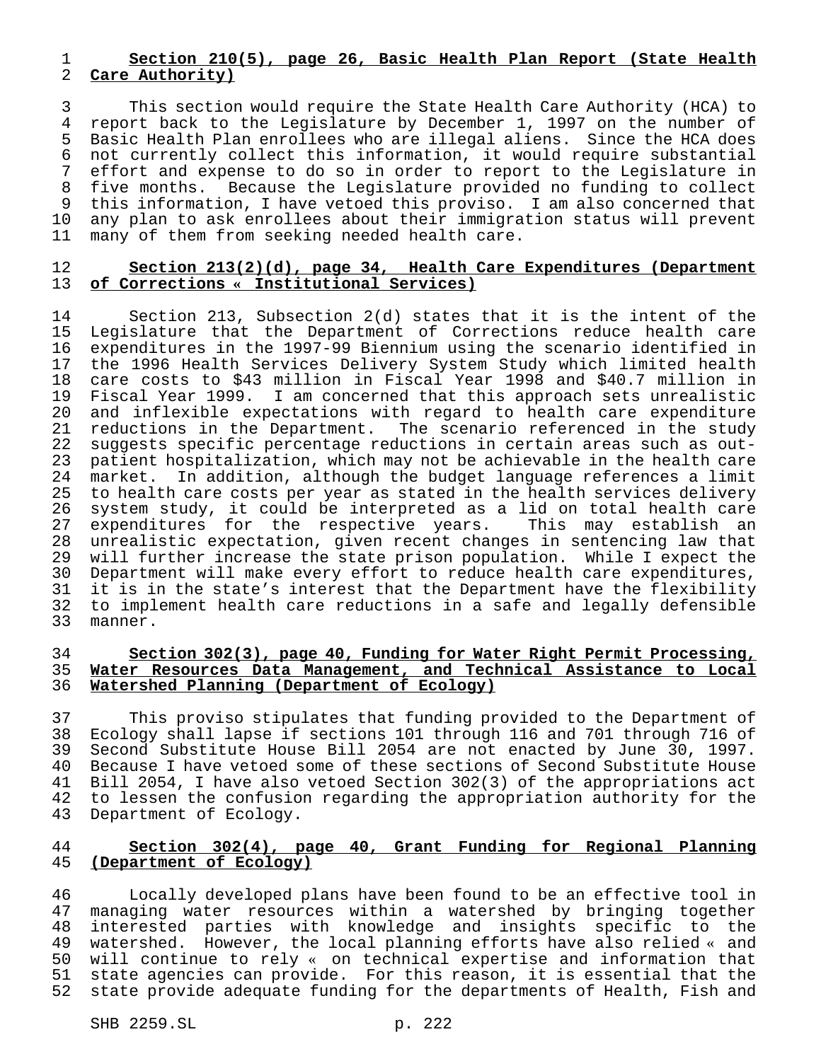# **Section 210(5), page 26, Basic Health Plan Report (State Health Care Authority)**

 This section would require the State Health Care Authority (HCA) to 4 report back to the Legislature by December 1, 1997 on the number of<br>5 Basic Health Plan enrollees who are illegal aliens. Since the HCA does Basic Health Plan enrollees who are illegal aliens. Since the HCA does not currently collect this information, it would require substantial effort and expense to do so in order to report to the Legislature in five months. Because the Legislature provided no funding to collect this information, I have vetoed this proviso. I am also concerned that 10 any plan to ask enrollees about their immigration status will prevent<br>11 many of them from seeking needed health care. many of them from seeking needed health care.

#### **Section 213(2)(d), page 34, Health Care Expenditures (Department of Corrections « Institutional Services)**

 Section 213, Subsection 2(d) states that it is the intent of the Legislature that the Department of Corrections reduce health care expenditures in the 1997-99 Biennium using the scenario identified in the 1996 Health Services Delivery System Study which limited health 18 care costs to \$43 million in Fiscal Year 1998 and \$40.7 million in<br>19 Fiscal Year 1999. I am concerned that this approach sets unrealistic 19 Fiscal Year 1999. I am concerned that this approach sets unrealistic<br>20 and inflexible expectations with regard to health care expenditure and inflexible expectations with regard to health care expenditure reductions in the Department. The scenario referenced in the study suggests specific percentage reductions in certain areas such as out- patient hospitalization, which may not be achievable in the health care 24 market. In addition, although the budget language references a limit<br>25 to health care costs per year as stated in the health services delivery to health care costs per year as stated in the health services delivery 26 system study, it could be interpreted as a lid on total health care<br>27 expenditures for the respective years. This may establish an expenditures for the respective years. This may establish an unrealistic expectation, given recent changes in sentencing law that 29 will further increase the state prison population. While I expect the<br>30 Department will make every effort to reduce health care expenditures, 30 Department will make every effort to reduce health care expenditures,<br>31 it is in the state's interest that the Department have the flexibility it is in the state's interest that the Department have the flexibility to implement health care reductions in a safe and legally defensible manner.

## **Section 302(3), page 40, Funding for Water Right Permit Processing, Water Resources Data Management, and Technical Assistance to Local Watershed Planning (Department of Ecology)**

 This proviso stipulates that funding provided to the Department of Ecology shall lapse if sections 101 through 116 and 701 through 716 of 39 Second Substitute House Bill 2054 are not enacted by June 30, 1997.<br>40 Because I have vetoed some of these sections of Second Substitute House Because I have vetoed some of these sections of Second Substitute House Bill 2054, I have also vetoed Section 302(3) of the appropriations act to lessen the confusion regarding the appropriation authority for the Department of Ecology.

## **Section 302(4), page 40, Grant Funding for Regional Planning (Department of Ecology)**

 Locally developed plans have been found to be an effective tool in managing water resources within a watershed by bringing together interested parties with knowledge and insights specific to the watershed. However, the local planning efforts have also relied « and will continue to rely « on technical expertise and information that state agencies can provide. For this reason, it is essential that the state provide adequate funding for the departments of Health, Fish and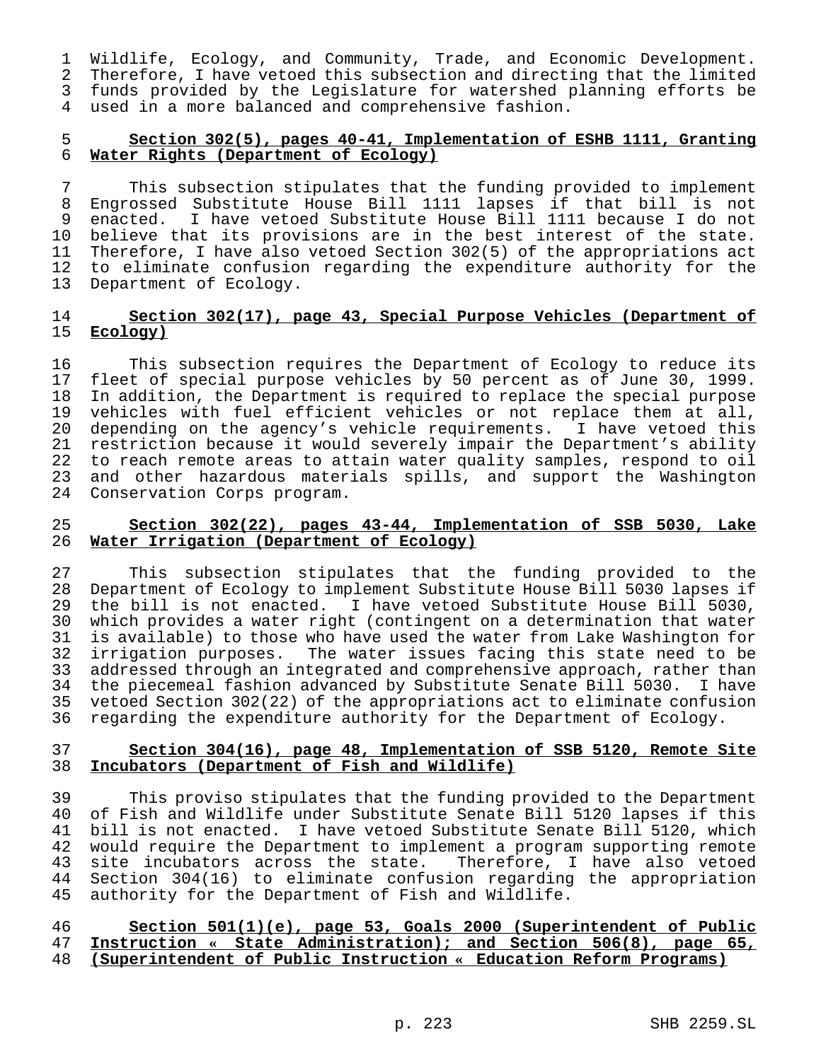Wildlife, Ecology, and Community, Trade, and Economic Development. Therefore, I have vetoed this subsection and directing that the limited funds provided by the Legislature for watershed planning efforts be used in a more balanced and comprehensive fashion.

# **Section 302(5), pages 40-41, Implementation of ESHB 1111, Granting Water Rights (Department of Ecology)**

 This subsection stipulates that the funding provided to implement Engrossed Substitute House Bill 1111 lapses if that bill is not enacted. I have vetoed Substitute House Bill 1111 because I do not believe that its provisions are in the best interest of the state. Therefore, I have also vetoed Section 302(5) of the appropriations act to eliminate confusion regarding the expenditure authority for the Department of Ecology.

# **Section 302(17), page 43, Special Purpose Vehicles (Department of Ecology)**

16 This subsection requires the Department of Ecology to reduce its<br>17 fleet of special purpose vehicles by 50 percent as of June 30, 1999. 17 fleet of special purpose vehicles by 50 percent as of June 30, 1999.<br>18 In addition, the Department is required to replace the special purpose 18 In addition, the Department is required to replace the special purpose<br>19 vehicles with fuel efficient vehicles or not replace them at all, vehicles with fuel efficient vehicles or not replace them at all, depending on the agency's vehicle requirements. I have vetoed this restriction because it would severely impair the Department's ability to reach remote areas to attain water quality samples, respond to oil 23 and other hazardous materials spills, and support the Washington<br>24 Conservation Corps program. Conservation Corps program.

## **Section 302(22), pages 43-44, Implementation of SSB 5030, Lake Water Irrigation (Department of Ecology)**

27 This subsection stipulates that the funding provided to the<br>28 Department of Ecology to implement Substitute House Bill 5030 lapses if Department of Ecology to implement Substitute House Bill 5030 lapses if the bill is not enacted. I have vetoed Substitute House Bill 5030, which provides a water right (contingent on a determination that water is available) to those who have used the water from Lake Washington for 32 irrigation purposes. The water issues facing this state need to be<br>33 addressed through an integrated and comprehensive approach, rather than 33 addressed through an integrated and comprehensive approach, rather than<br>34 the piecemeal fashion advanced by Substitute Senate Bill 5030. I have 34 the piecemeal fashion advanced by Substitute Senate Bill 5030. I have<br>35 vetoed Section 302(22) of the appropriations act to eliminate confusion vetoed Section 302(22) of the appropriations act to eliminate confusion regarding the expenditure authority for the Department of Ecology.

### **Section 304(16), page 48, Implementation of SSB 5120, Remote Site Incubators (Department of Fish and Wildlife)**

 This proviso stipulates that the funding provided to the Department of Fish and Wildlife under Substitute Senate Bill 5120 lapses if this 41 bill is not enacted. I have vetoed Substitute Senate Bill 5120, which<br>42 would require the Department to implement a program supporting remote would require the Department to implement a program supporting remote 43 site incubators across the state. Therefore, I have also vetoed<br>44 Section 304(16) to eliminate confusion regarding the appropriation Section  $304(16)$  to eliminate confusion regarding the appropriation authority for the Department of Fish and Wildlife.

# **Section 501(1)(e), page 53, Goals 2000 (Superintendent of Public Instruction « State Administration); and Section 506(8), page 65, (Superintendent of Public Instruction « Education Reform Programs)**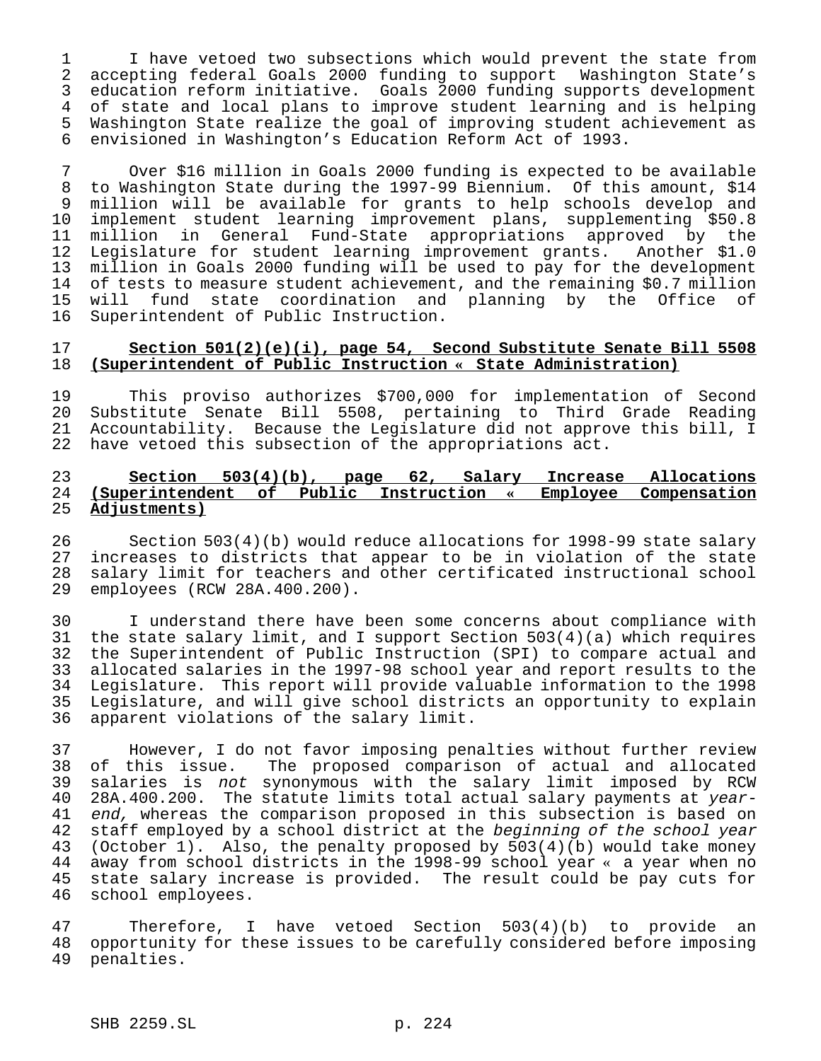I have vetoed two subsections which would prevent the state from accepting federal Goals 2000 funding to support Washington State's education reform initiative. Goals 2000 funding supports development of state and local plans to improve student learning and is helping 5 Washington State realize the goal of improving student achievement as<br>6 envisioned in Washington's Education Reform Act of 1993. envisioned in Washington's Education Reform Act of 1993.

7 Over \$16 million in Goals 2000 funding is expected to be available 8 to Washington State during the 1997-99 Biennium. Of this amount, \$14 9 million will be available for grants to help schools develop and<br>10 implement student learning improvement plans, supplementing \$50.8 10 implement student learning improvement plans, supplementing \$50.8<br>11 million in General Fund-State appropriations approved by the million in General Fund-State appropriations approved by the 12 Legislature for student learning improvement grants. Another \$1.0 13 million in Goals 2000 funding will be used to pay for the development 14 of tests to measure student achievement, and the remaining \$0.7 million 15 will fund state coordination and planning by the Office of Superintendent of Public Instruction.

## 17 **Section 501(2)(e)(i), page 54, Second Substitute Senate Bill 5508** 18 **(Superintendent of Public Instruction « State Administration)**

19 This proviso authorizes \$700,000 for implementation of Second<br>20 Substitute Senate Bill 5508, pertaining to Third Grade Reading Substitute Senate Bill 5508, pertaining to Third Grade Reading 21 Accountability. Because the Legislature did not approve this bill, I 22 have vetoed this subsection of the appropriations act.

## 23 **Section 503(4)(b), page 62, Salary Increase Allocations** 24 **(Superintendent of Public Instruction « Employee Compensation** 25 **Adjustments)**

26 Section 503(4)(b) would reduce allocations for 1998-99 state salary<br>27 increases to districts that appear to be in violation of the state 27 increases to districts that appear to be in violation of the state<br>28 salary limit for teachers and other certificated instructional school 28 salary limit for teachers and other certificated instructional school<br>29 employees (RCW 28A.400.200). 29 employees (RCW 28A.400.200).

30 I understand there have been some concerns about compliance with 31 the state salary limit, and I support Section 503(4)(a) which requires 32 the Superintendent of Public Instruction (SPI) to compare actual and<br>33 allocated salaries in the 1997-98 school year and report results to the 33 allocated salaries in the 1997-98 school year and report results to the<br>34 Legislature. This report will provide valuable information to the 1998 34 Legislature. This report will provide valuable information to the 1998<br>35 Legislature, and will give school districts an opportunity to explain Legislature, and will give school districts an opportunity to explain 36 apparent violations of the salary limit.

37 However, I do not favor imposing penalties without further review 38 of this issue. The proposed comparison of actual and allocated 39 salaries is not synonymous with the salary limit imposed by RCW 40 28A.400.200. The statute limits total actual salary payments at year-41 end, whereas the comparison proposed in this subsection is based on 42 staff employed by a school district at the *beginning of the school year*<br>43 (October 1). Also, the penalty proposed by 503(4)(b) would take money (October 1). Also, the penalty proposed by  $503(4)(b)$  would take money 44 away from school districts in the 1998-99 school year « a year when no<br>45 state salary increase is provided. The result could be pay cuts for state salary increase is provided. The result could be pay cuts for 46 school employees.

47 Therefore, I have vetoed Section 503(4)(b) to provide an<br>48 opportunity for these issues to be carefully considered before imposing opportunity for these issues to be carefully considered before imposing 49 penalties.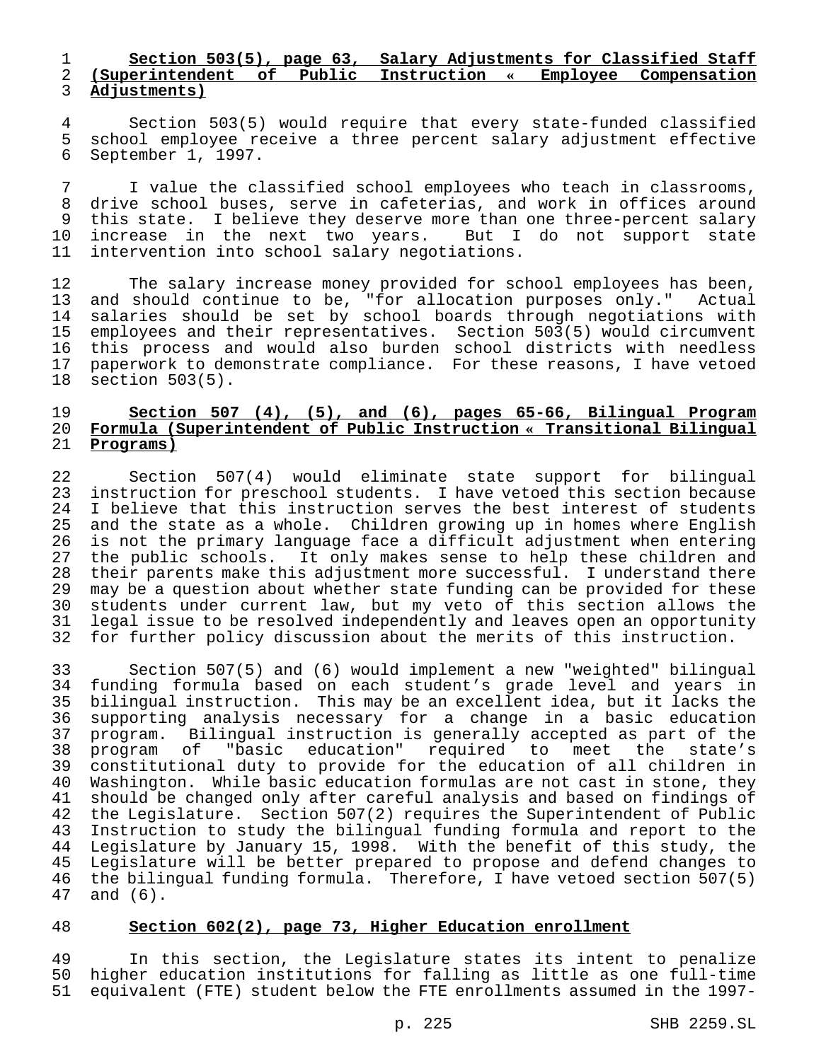## 1 **Section 503(5), page 63, Salary Adjustments for Classified Staff** 2 **(Superintendent of Public Instruction « Employee Compensation** 3 **Adjustments)**

4 Section 503(5) would require that every state-funded classified<br>5 school employee receive a three percent salary adjustment effective school employee receive a three percent salary adjustment effective 6 September 1, 1997.

7 I value the classified school employees who teach in classrooms, 8 drive school buses, serve in cafeterias, and work in offices around<br>9 this state. I believe they deserve more than one three-percent salary this state. I believe they deserve more than one three-percent salary 10 increase in the next two years. But I do not support state<br>11 intervention into school salary negotiations. intervention into school salary negotiations.

12 The salary increase money provided for school employees has been,<br>13 and should continue to be, "for allocation purposes only." Actual 13 and should continue to be, "for allocation purposes only." Actual 14 salaries should be set by school boards through negotiations with 15 employees and their representatives. Section 503(5) would circumvent<br>16 this process and would also burden school districts with needless this process and would also burden school districts with needless 17 paperwork to demonstrate compliance. For these reasons, I have vetoed 18 section 503(5). section  $503(5)$ .

## 19 **Section 507 (4), (5), and (6), pages 65-66, Bilingual Program** 20 **Formula (Superintendent of Public Instruction « Transitional Bilingual** 21 **Programs)**

22 Section 507(4) would eliminate state support for bilingual 23 instruction for preschool students. I have vetoed this section because<br>24 I believe that this instruction serves the best interest of students 24 I believe that this instruction serves the best interest of students<br>25 and the state as a whole. Children growing up in homes where English and the state as a whole. Children growing up in homes where English 26 is not the primary language face a difficult adjustment when entering 27 the public schools. It only makes sense to help these children and<br>28 their parents make this adjustment more successful. I understand there 28 their parents make this adjustment more successful. I understand there<br>29 may be a question about whether state funding can be provided for these 29 may be a question about whether state funding can be provided for these<br>30 students under current law, but my veto of this section allows the students under current law, but my veto of this section allows the 31 legal issue to be resolved independently and leaves open an opportunity 32 for further policy discussion about the merits of this instruction.

33 Section 507(5) and (6) would implement a new "weighted" bilingual 34 funding formula based on each student's grade level and years in bilingual instruction. This may be an excellent idea, but it lacks the 36 supporting analysis necessary for a change in a basic education 37 program. Bilingual instruction is generally accepted as part of the<br>38 program of "basic education" required to meet the state's 38 program of "basic education" required to meet the state's<br>39 constitutional duty to provide for the education of all children in constitutional duty to provide for the education of all children in 40 Washington. While basic education formulas are not cast in stone, they<br>41 should be changed only after careful analysis and based on findings of should be changed only after careful analysis and based on findings of 42 the Legislature. Section 507(2) requires the Superintendent of Public 43 Instruction to study the bilingual funding formula and report to the<br>44 Legislature by January 15, 1998. With the benefit of this study, the Legislature by January 15, 1998. With the benefit of this study, the 45 Legislature will be better prepared to propose and defend changes to<br>46 the bilingual funding formula. Therefore, I have vetoed section 507(5) the bilingual funding formula. Therefore, I have vetoed section 507(5) 47 and (6).

## 48 **Section 602(2), page 73, Higher Education enrollment**

49 In this section, the Legislature states its intent to penalize 50 higher education institutions for falling as little as one full-time 51 equivalent (FTE) student below the FTE enrollments assumed in the 1997-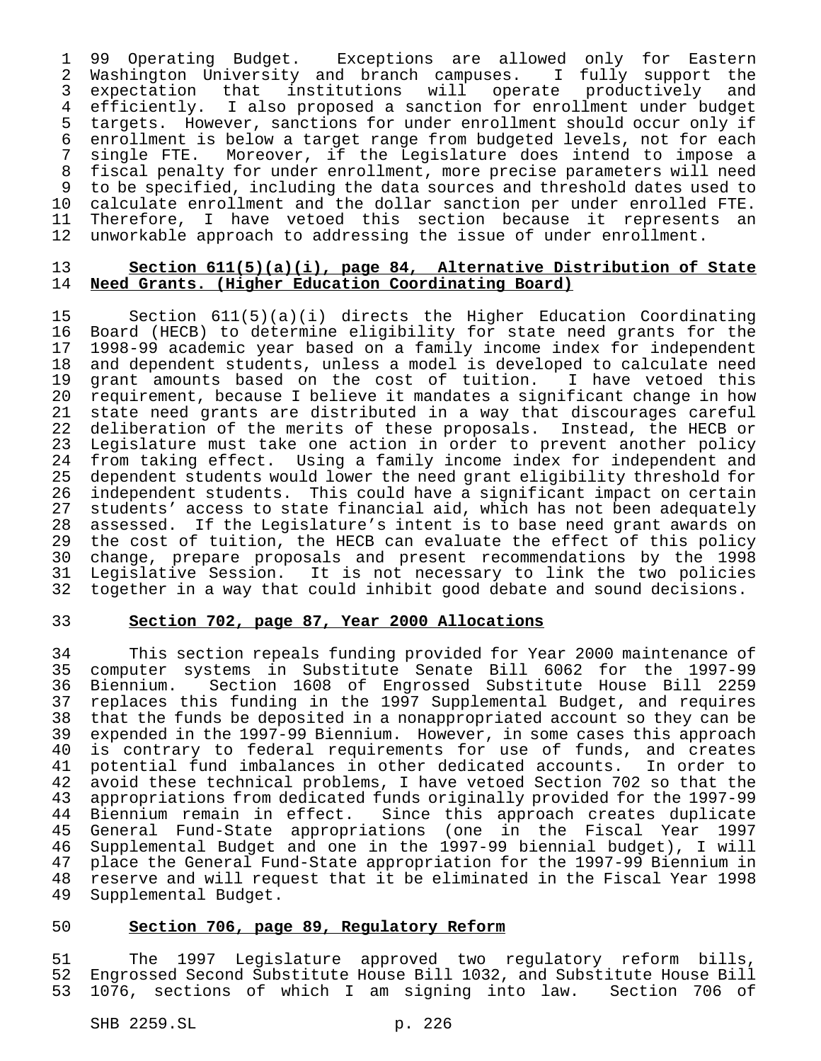99 Operating Budget. Exceptions are allowed only for Eastern Washington University and branch campuses. I fully support the expectation that institutions will operate productively and efficiently. I also proposed a sanction for enrollment under budget 5 targets. However, sanctions for under enrollment should occur only if<br>6 enrollment is below a target range from budgeted levels, not for each 6 enrollment is below a target range from budgeted levels, not for each<br>7 single FTE. Moreover, if the Legislature does intend to impose a single FTE. Moreover, if the Legislature does intend to impose a fiscal penalty for under enrollment, more precise parameters will need to be specified, including the data sources and threshold dates used to calculate enrollment and the dollar sanction per under enrolled FTE. 11 Therefore, I have vetoed this section because it represents an<br>12 unworkable approach to addressing the issue of under enrollment. unworkable approach to addressing the issue of under enrollment.

### **Section 611(5)(a)(i), page 84, Alternative Distribution of State Need Grants. (Higher Education Coordinating Board)**

 Section 611(5)(a)(i) directs the Higher Education Coordinating Board (HECB) to determine eligibility for state need grants for the 1998-99 academic year based on a family income index for independent and dependent students, unless a model is developed to calculate need 19 grant amounts based on the cost of tuition. I have vetoed this<br>20 requirement, because I believe it mandates a significant change in how 20 requirement, because I believe it mandates a significant change in how<br>21 state need grants are distributed in a way that discourages careful 21 state need grants are distributed in a way that discourages careful<br>22 deliberation of the merits of these proposals. Instead, the HECB or deliberation of the merits of these proposals. Instead, the HECB or Legislature must take one action in order to prevent another policy from taking effect. Using a family income index for independent and 25 dependent students would lower the need grant eligibility threshold for<br>26 independent students. This could have a significant impact on certain 26 independent students. This could have a significant impact on certain<br>27 students' access to state financial aid, which has not been adequately 27 students' access to state financial aid, which has not been adequately<br>28 assessed. If the Legislature's intent is to base need grant awards on assessed. If the Legislature's intent is to base need grant awards on the cost of tuition, the HECB can evaluate the effect of this policy 30 change, prepare proposals and present recommendations by the 1998<br>31 Legislative Session. It is not necessary to link the two policies 31 Legislative Session. It is not necessary to link the two policies<br>32 together in a way that could inhibit good debate and sound decisions. together in a way that could inhibit good debate and sound decisions.

# **Section 702, page 87, Year 2000 Allocations**

 This section repeals funding provided for Year 2000 maintenance of computer systems in Substitute Senate Bill 6062 for the 1997-99 Biennium. Section 1608 of Engrossed Substitute House Bill 2259 replaces this funding in the 1997 Supplemental Budget, and requires that the funds be deposited in a nonappropriated account so they can be 39 expended in the 1997-99 Biennium. However, in some cases this approach<br>40 is contrary to federal requirements for use of funds, and creates 40 is contrary to federal requirements for use of funds, and creates<br>41 potential fund imbalances in other dedicated accounts. In order to potential fund imbalances in other dedicated accounts. In order to avoid these technical problems, I have vetoed Section 702 so that the appropriations from dedicated funds originally provided for the 1997-99 Biennium remain in effect. Since this approach creates duplicate 45 General Fund-State appropriations (one in the Fiscal Year 1997<br>46 Supplemental Budget and one in the 1997-99 biennial budget), I will Supplemental Budget and one in the 1997-99 biennial budget), I will place the General Fund-State appropriation for the 1997-99 Biennium in reserve and will request that it be eliminated in the Fiscal Year 1998 Supplemental Budget.

## **Section 706, page 89, Regulatory Reform**

 The 1997 Legislature approved two regulatory reform bills, Engrossed Second Substitute House Bill 1032, and Substitute House Bill 1076, sections of which I am signing into law. Section 706 of